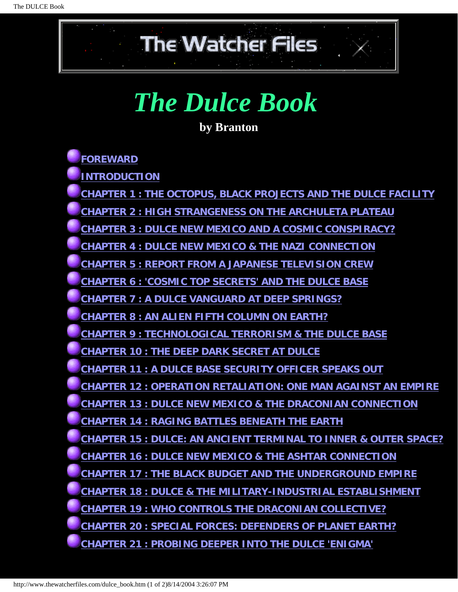<span id="page-0-0"></span>

**by Branton**

| <u>FOREWARD</u>                                                            |
|----------------------------------------------------------------------------|
| <b>INTRODUCTION</b>                                                        |
| <u> CHAPTER 1 : THE OCTOPUS, BLACK PROJECTS AND THE DULCE FACILITY</u>     |
| <u> CHAPTER 2 : HIGH STRANGENESS ON THE ARCHULETA PLATEAU</u>              |
| <u> CHAPTER 3 : DULCE NEW MEXICO AND A COSMIC CONSPIRACY?</u>              |
| <b>CHAPTER 4 : DULCE NEW MEXICO &amp; THE NAZI CONNECTION</b>              |
| <b>CHAPTER 5 : REPORT FROM A JAPANESE TELEVISION CREW</b>                  |
| <u> CHAPTER 6 : 'COSMIC TOP SECRETS' AND THE DULCE BASE</u>                |
| <b>CHAPTER 7 : A DULCE VANGUARD AT DEEP SPRINGS?</b>                       |
| <u> CHAPTER 8 : AN ALIEN FIFTH COLUMN ON EARTH?</u>                        |
| <b>CHAPTER 9 : TECHNOLOGICAL TERRORISM &amp; THE DULCE BASE</b>            |
| <b>CHAPTER 10 : THE DEEP DARK SECRET AT DULCE</b>                          |
| <u> CHAPTER 11 : A DULCE BASE SECURITY OFFICER SPEAKS OUT</u>              |
| <u> CHAPTER 12 : OPERATION RETALIATION: ONE MAN AGAINST AN EMPIRE</u>      |
| <u> CHAPTER 13 : DULCE NEW MEXICO &amp; THE DRACONIAN CONNECTION</u>       |
| CHAPTER 14 : RAGING BATTLES BENEATH THE EARTH                              |
| <b>CHAPTER 15 : DULCE: AN ANCIENT TERMINAL TO INNER &amp; OUTER SPACE?</b> |
| <u> CHAPTER 16 : DULCE NEW MEXICO &amp; THE ASHTAR CONNECTION</u>          |
| CHAPTER 17 : THE BLACK BUDGET AND THE UNDERGROUND EMPIRE                   |
| <b>CHAPTER 18 : DULCE &amp; THE MILITARY-INDUSTRIAL ESTABLISHMENT</b>      |
| <b>CHAPTER 19: WHO CONTROLS THE DRACONIAN COLLECTIVE?</b>                  |
| <b>CHAPTER 20: SPECIAL FORCES: DEFENDERS OF PLANET EARTH?</b>              |
| <b>CHAPTER 21 : PROBING DEEPER INTO THE DULCE 'ENIGMA'</b>                 |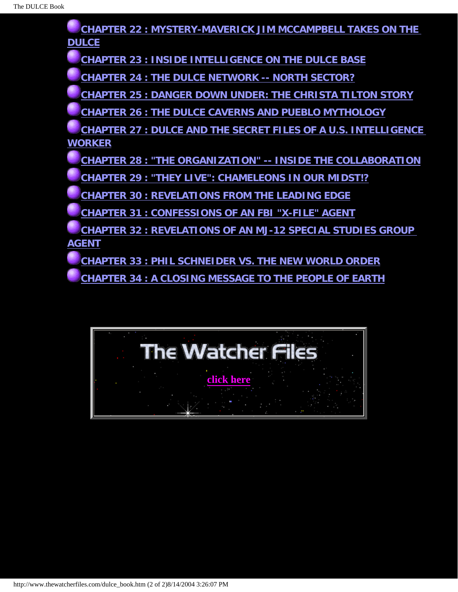|              | CHAPTER 22 : MYSTERY-MAVERICK JIM MCCAMPBELL TAKES ON THE       |  |
|--------------|-----------------------------------------------------------------|--|
| <b>DULCE</b> |                                                                 |  |
|              | <b>CHAPTER 23 : INSIDE INTELLIGENCE ON THE DULCE BASE</b>       |  |
| ¥            | CHAPTER 24 : THE DULCE NETWORK -- NORTH SECTOR?                 |  |
| Y            | <b>CHAPTER 25 : DANGER DOWN UNDER: THE CHRISTA TILTON STORY</b> |  |
|              | <b>CHAPTER 26 : THE DULCE CAVERNS AND PUEBLO MYTHOLOGY</b>      |  |
|              | CHAPTER 27 : DULCE AND THE SECRET FILES OF A U.S. INTELLIGENCE  |  |
| WORKER       |                                                                 |  |
|              | CHAPTER 28 : "THE ORGANIZATION" -- INSIDE THE COLLABORATION     |  |
|              | CHAPTER 29 : "THEY LIVE": CHAMELEONS IN OUR MIDST!?             |  |
| ×            | <b>CHAPTER 30: REVELATIONS FROM THE LEADING EDGE</b>            |  |
| ¥            | CHAPTER 31 : CONFESSIONS OF AN FBI "X-FILE" AGENT               |  |
|              | CHAPTER 32 : REVELATIONS OF AN MJ-12 SPECIAL STUDIES GROUP      |  |
| AGENT        |                                                                 |  |
|              | <b>CHAPTER 33 : PHIL SCHNEIDER VS. THE NEW WORLD ORDER</b>      |  |
|              | CHAPTER 34 : A CLOSING MESSAGE TO THE PEOPLE OF EARTH           |  |
|              |                                                                 |  |

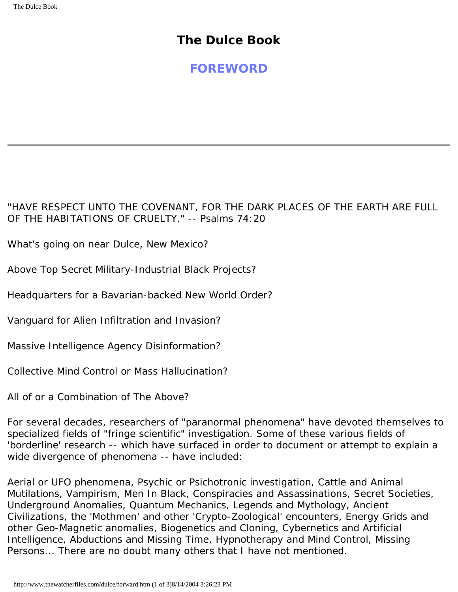<span id="page-2-0"></span>**FOREWORD**

"HAVE RESPECT UNTO THE COVENANT, FOR THE DARK PLACES OF THE EARTH ARE FULL OF THE HABITATIONS OF CRUELTY." -- Psalms 74:20

What's going on near Dulce, New Mexico?

Above Top Secret Military-Industrial Black Projects?

Headquarters for a Bavarian-backed New World Order?

Vanguard for Alien Infiltration and Invasion?

Massive Intelligence Agency Disinformation?

Collective Mind Control or Mass Hallucination?

All of or a Combination of The Above?

For several decades, researchers of "paranormal phenomena" have devoted themselves to specialized fields of "fringe scientific" investigation. Some of these various fields of 'borderline' research -- which have surfaced in order to document or attempt to explain a wide divergence of phenomena -- have included:

Aerial or UFO phenomena, Psychic or Psichotronic investigation, Cattle and Animal Mutilations, Vampirism, Men In Black, Conspiracies and Assassinations, Secret Societies, Underground Anomalies, Quantum Mechanics, Legends and Mythology, Ancient Civilizations, the 'Mothmen' and other 'Crypto-Zoological' encounters, Energy Grids and other Geo-Magnetic anomalies, Biogenetics and Cloning, Cybernetics and Artificial Intelligence, Abductions and Missing Time, Hypnotherapy and Mind Control, Missing Persons... There are no doubt many others that I have not mentioned.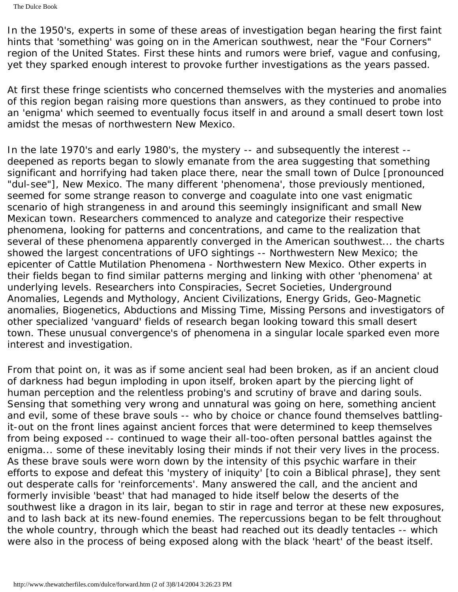The Dulce Book

In the 1950's, experts in some of these areas of investigation began hearing the first faint hints that 'something' was going on in the American southwest, near the "Four Corners" region of the United States. First these hints and rumors were brief, vague and confusing, yet they sparked enough interest to provoke further investigations as the years passed.

At first these fringe scientists who concerned themselves with the mysteries and anomalies of this region began raising more questions than answers, as they continued to probe into an 'enigma' which seemed to eventually focus itself in and around a small desert town lost amidst the mesas of northwestern New Mexico.

In the late 1970's and early 1980's, the mystery -- and subsequently the interest - deepened as reports began to slowly emanate from the area suggesting that something significant and horrifying had taken place there, near the small town of Dulce [pronounced "dul-see"], New Mexico. The many different 'phenomena', those previously mentioned, seemed for some strange reason to converge and coagulate into one vast enigmatic scenario of high strangeness in and around this seemingly insignificant and small New Mexican town. Researchers commenced to analyze and categorize their respective phenomena, looking for patterns and concentrations, and came to the realization that several of these phenomena apparently converged in the American southwest... the charts showed the largest concentrations of UFO sightings -- Northwestern New Mexico; the epicenter of Cattle Mutilation Phenomena - Northwestern New Mexico. Other experts in their fields began to find similar patterns merging and linking with other 'phenomena' at underlying levels. Researchers into Conspiracies, Secret Societies, Underground Anomalies, Legends and Mythology, Ancient Civilizations, Energy Grids, Geo-Magnetic anomalies, Biogenetics, Abductions and Missing Time, Missing Persons and investigators of other specialized 'vanguard' fields of research began looking toward this small desert town. These unusual convergence's of phenomena in a singular locale sparked even more interest and investigation.

From that point on, it was as if some ancient seal had been broken, as if an ancient cloud of darkness had begun imploding in upon itself, broken apart by the piercing light of human perception and the relentless probing's and scrutiny of brave and daring souls. Sensing that something very wrong and unnatural was going on here, something ancient and evil, some of these brave souls -- who by choice or chance found themselves battlingit-out on the front lines against ancient forces that were determined to keep themselves from being exposed -- continued to wage their all-too-often personal battles against the enigma... some of these inevitably losing their minds if not their very lives in the process. As these brave souls were worn down by the intensity of this psychic warfare in their efforts to expose and defeat this 'mystery of iniquity' [to coin a Biblical phrase], they sent out desperate calls for 'reinforcements'. Many answered the call, and the ancient and formerly invisible 'beast' that had managed to hide itself below the deserts of the southwest like a dragon in its lair, began to stir in rage and terror at these new exposures, and to lash back at its new-found enemies. The repercussions began to be felt throughout the whole country, through which the beast had reached out its deadly tentacles -- which were also in the process of being exposed along with the black 'heart' of the beast itself.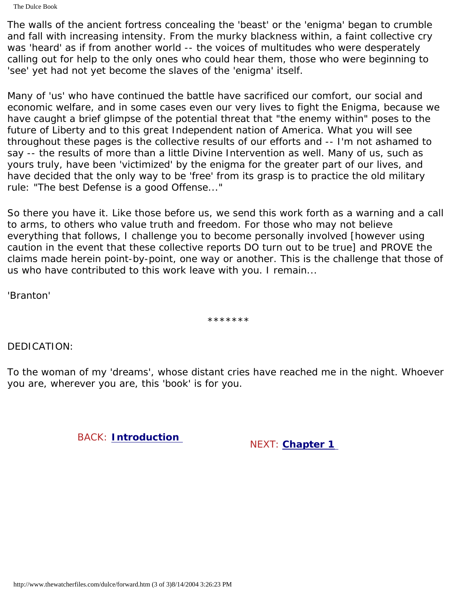The Dulce Book

The walls of the ancient fortress concealing the 'beast' or the 'enigma' began to crumble and fall with increasing intensity. From the murky blackness within, a faint collective cry was 'heard' as if from another world -- the voices of multitudes who were desperately calling out for help to the only ones who could hear them, those who were beginning to 'see' yet had not yet become the slaves of the 'enigma' itself.

Many of 'us' who have continued the battle have sacrificed our comfort, our social and economic welfare, and in some cases even our very lives to fight the Enigma, because we have caught a brief glimpse of the potential threat that "the enemy within" poses to the future of Liberty and to this great Independent nation of America. What you will see throughout these pages is the collective results of our efforts and -- I'm not ashamed to say -- the results of more than a little Divine Intervention as well. Many of us, such as yours truly, have been 'victimized' by the enigma for the greater part of our lives, and have decided that the only way to be 'free' from its grasp is to practice the old military rule: "The best Defense is a good Offense..."

So there you have it. Like those before us, we send this work forth as a warning and a call to arms, to others who value truth and freedom. For those who may not believe everything that follows, I challenge you to become personally involved [however using caution in the event that these collective reports DO turn out to be true] and PROVE the claims made herein point-by-point, one way or another. This is the challenge that those of us who have contributed to this work leave with you. I remain...

'Branton'

\*\*\*\*\*\*\*

DEDICATION:

To the woman of my 'dreams', whose distant cries have reached me in the night. Whoever you are, wherever you are, this 'book' is for you.

BACK: **[Introduction](#page-5-0)**

NEXT: **[Chapter 1](#page-7-0)**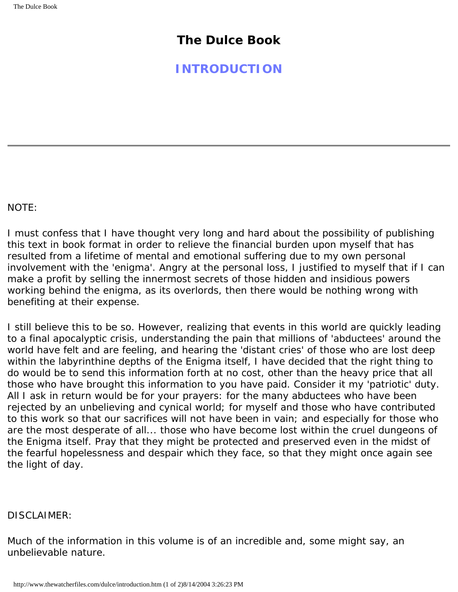<span id="page-5-0"></span>**INTRODUCTION**

#### NOTE:

I must confess that I have thought very long and hard about the possibility of publishing this text in book format in order to relieve the financial burden upon myself that has resulted from a lifetime of mental and emotional suffering due to my own personal involvement with the 'enigma'. Angry at the personal loss, I justified to myself that if I can make a profit by selling the innermost secrets of those hidden and insidious powers working behind the enigma, as its overlords, then there would be nothing wrong with benefiting at their expense.

I still believe this to be so. However, realizing that events in this world are quickly leading to a final apocalyptic crisis, understanding the pain that millions of 'abductees' around the world have felt and are feeling, and hearing the 'distant cries' of those who are lost deep within the labyrinthine depths of the Enigma itself, I have decided that the right thing to do would be to send this information forth at no cost, other than the heavy price that all those who have brought this information to you have paid. Consider it my 'patriotic' duty. All I ask in return would be for your prayers: for the many abductees who have been rejected by an unbelieving and cynical world; for myself and those who have contributed to this work so that our sacrifices will not have been in vain; and especially for those who are the most desperate of all... those who have become lost within the cruel dungeons of the Enigma itself. Pray that they might be protected and preserved even in the midst of the fearful hopelessness and despair which they face, so that they might once again see the light of day.

#### DISCLAIMER:

Much of the information in this volume is of an incredible and, some might say, an unbelievable nature.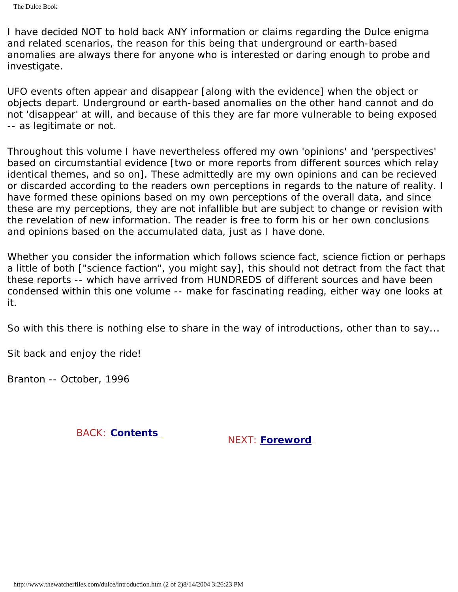I have decided NOT to hold back ANY information or claims regarding the Dulce enigma and related scenarios, the reason for this being that underground or earth-based anomalies are always there for anyone who is interested or daring enough to probe and investigate.

UFO events often appear and disappear [along with the evidence] when the object or objects depart. Underground or earth-based anomalies on the other hand cannot and do not 'disappear' at will, and because of this they are far more vulnerable to being exposed -- as legitimate or not.

Throughout this volume I have nevertheless offered my own 'opinions' and 'perspectives' based on circumstantial evidence [two or more reports from different sources which relay identical themes, and so on]. These admittedly are my own opinions and can be recieved or discarded according to the readers own perceptions in regards to the nature of reality. I have formed these opinions based on my own perceptions of the overall data, and since these are my perceptions, they are not infallible but are subject to change or revision with the revelation of new information. The reader is free to form his or her own conclusions and opinions based on the accumulated data, just as I have done.

Whether you consider the information which follows science fact, science fiction or perhaps a little of both ["science faction", you might say], this should not detract from the fact that these reports -- which have arrived from HUNDREDS of different sources and have been condensed within this one volume -- make for fascinating reading, either way one looks at it.

So with this there is nothing else to share in the way of introductions, other than to say...

Sit back and enjoy the ride!

Branton -- October, 1996

BACK: **[Contents](#page-0-0)**

NEXT: **[Foreword](#page-2-0)**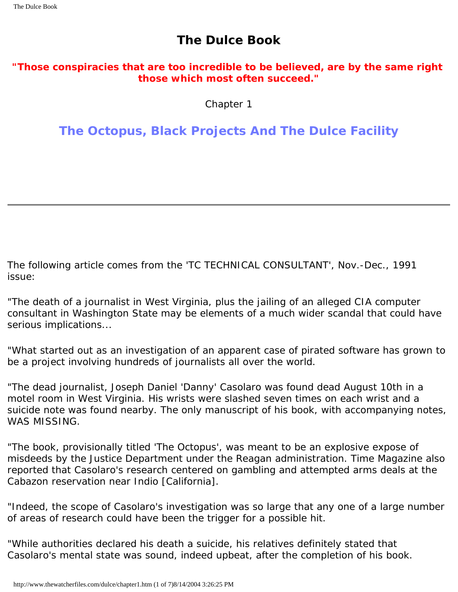#### <span id="page-7-0"></span>**"Those conspiracies that are too incredible to be believed, are by the same right those which most often succeed."**

Chapter 1

**The Octopus, Black Projects And The Dulce Facility**

The following article comes from the 'TC TECHNICAL CONSULTANT', Nov.-Dec., 1991 issue:

"The death of a journalist in West Virginia, plus the jailing of an alleged CIA computer consultant in Washington State may be elements of a much wider scandal that could have serious implications...

"What started out as an investigation of an apparent case of pirated software has grown to be a project involving hundreds of journalists all over the world.

"The dead journalist, Joseph Daniel 'Danny' Casolaro was found dead August 10th in a motel room in West Virginia. His wrists were slashed seven times on each wrist and a suicide note was found nearby. The only manuscript of his book, with accompanying notes, WAS MISSING.

"The book, provisionally titled 'The Octopus', was meant to be an explosive expose of misdeeds by the Justice Department under the Reagan administration. Time Magazine also reported that Casolaro's research centered on gambling and attempted arms deals at the Cabazon reservation near Indio [California].

"Indeed, the scope of Casolaro's investigation was so large that any one of a large number of areas of research could have been the trigger for a possible hit.

"While authorities declared his death a suicide, his relatives definitely stated that Casolaro's mental state was sound, indeed upbeat, after the completion of his book.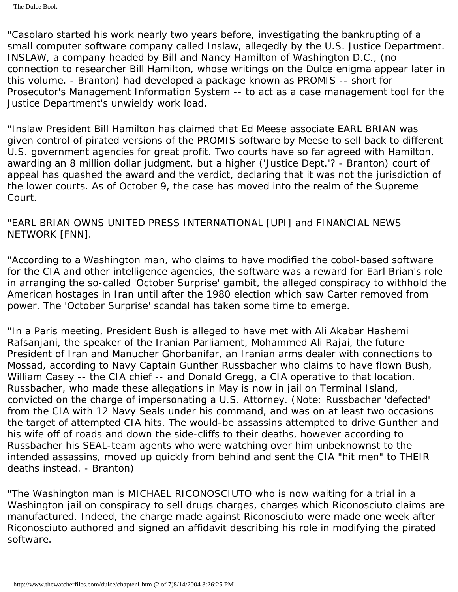"Casolaro started his work nearly two years before, investigating the bankrupting of a small computer software company called Inslaw, allegedly by the U.S. Justice Department. INSLAW, a company headed by Bill and Nancy Hamilton of Washington D.C., (no connection to researcher Bill Hamilton, whose writings on the Dulce enigma appear later in this volume. - Branton) had developed a package known as PROMIS -- short for Prosecutor's Management Information System -- to act as a case management tool for the Justice Department's unwieldy work load.

"Inslaw President Bill Hamilton has claimed that Ed Meese associate EARL BRIAN was given control of pirated versions of the PROMIS software by Meese to sell back to different U.S. government agencies for great profit. Two courts have so far agreed with Hamilton, awarding an 8 million dollar judgment, but a higher ('Justice Dept.'? - Branton) court of appeal has quashed the award and the verdict, declaring that it was not the jurisdiction of the lower courts. As of October 9, the case has moved into the realm of the Supreme Court.

"EARL BRIAN OWNS UNITED PRESS INTERNATIONAL [UPI] and FINANCIAL NEWS NETWORK [FNN].

"According to a Washington man, who claims to have modified the cobol-based software for the CIA and other intelligence agencies, the software was a reward for Earl Brian's role in arranging the so-called 'October Surprise' gambit, the alleged conspiracy to withhold the American hostages in Iran until after the 1980 election which saw Carter removed from power. The 'October Surprise' scandal has taken some time to emerge.

"In a Paris meeting, President Bush is alleged to have met with Ali Akabar Hashemi Rafsanjani, the speaker of the Iranian Parliament, Mohammed Ali Rajai, the future President of Iran and Manucher Ghorbanifar, an Iranian arms dealer with connections to Mossad, according to Navy Captain Gunther Russbacher who claims to have flown Bush, William Casey -- the CIA chief -- and Donald Gregg, a CIA operative to that location. Russbacher, who made these allegations in May is now in jail on Terminal Island, convicted on the charge of impersonating a U.S. Attorney. (Note: Russbacher 'defected' from the CIA with 12 Navy Seals under his command, and was on at least two occasions the target of attempted CIA hits. The would-be assassins attempted to drive Gunther and his wife off of roads and down the side-cliffs to their deaths, however according to Russbacher his SEAL-team agents who were watching over him unbeknownst to the intended assassins, moved up quickly from behind and sent the CIA "hit men" to THEIR deaths instead. - Branton)

"The Washington man is MICHAEL RICONOSCIUTO who is now waiting for a trial in a Washington jail on conspiracy to sell drugs charges, charges which Riconosciuto claims are manufactured. Indeed, the charge made against Riconosciuto were made one week after Riconosciuto authored and signed an affidavit describing his role in modifying the pirated software.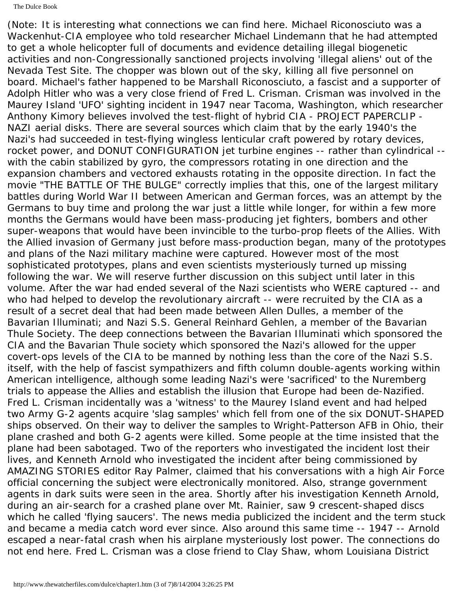The Dulce Book

(Note: It is interesting what connections we can find here. Michael Riconosciuto was a Wackenhut-CIA employee who told researcher Michael Lindemann that he had attempted to get a whole helicopter full of documents and evidence detailing illegal biogenetic activities and non-Congressionally sanctioned projects involving 'illegal aliens' out of the Nevada Test Site. The chopper was blown out of the sky, killing all five personnel on board. Michael's father happened to be Marshall Riconosciuto, a fascist and a supporter of Adolph Hitler who was a very close friend of Fred L. Crisman. Crisman was involved in the Maurey Island 'UFO' sighting incident in 1947 near Tacoma, Washington, which researcher Anthony Kimory believes involved the test-flight of hybrid CIA - PROJECT PAPERCLIP - NAZI aerial disks. There are several sources which claim that by the early 1940's the Nazi's had succeeded in test-flying wingless lenticular craft powered by rotary devices, rocket power, and DONUT CONFIGURATION jet turbine engines -- rather than cylindrical - with the cabin stabilized by gyro, the compressors rotating in one direction and the expansion chambers and vectored exhausts rotating in the opposite direction. In fact the movie "THE BATTLE OF THE BULGE" correctly implies that this, one of the largest military battles during World War II between American and German forces, was an attempt by the Germans to buy time and prolong the war just a little while longer, for within a few more months the Germans would have been mass-producing jet fighters, bombers and other super-weapons that would have been invincible to the turbo-prop fleets of the Allies. With the Allied invasion of Germany just before mass-production began, many of the prototypes and plans of the Nazi military machine were captured. However most of the most sophisticated prototypes, plans and even scientists mysteriously turned up missing following the war. We will reserve further discussion on this subject until later in this volume. After the war had ended several of the Nazi scientists who WERE captured -- and who had helped to develop the revolutionary aircraft -- were recruited by the CIA as a result of a secret deal that had been made between Allen Dulles, a member of the Bavarian Illuminati; and Nazi S.S. General Reinhard Gehlen, a member of the Bavarian Thule Society. The deep connections between the Bavarian Illuminati which sponsored the CIA and the Bavarian Thule society which sponsored the Nazi's allowed for the upper covert-ops levels of the CIA to be manned by nothing less than the core of the Nazi S.S. itself, with the help of fascist sympathizers and fifth column double-agents working within American intelligence, although some leading Nazi's were 'sacrificed' to the Nuremberg trials to appease the Allies and establish the illusion that Europe had been de-Nazified. Fred L. Crisman incidentally was a 'witness' to the Maurey Island event and had helped two Army G-2 agents acquire 'slag samples' which fell from one of the six DONUT-SHAPED ships observed. On their way to deliver the samples to Wright-Patterson AFB in Ohio, their plane crashed and both G-2 agents were killed. Some people at the time insisted that the plane had been sabotaged. Two of the reporters who investigated the incident lost their lives, and Kenneth Arnold who investigated the incident after being commissioned by AMAZING STORIES editor Ray Palmer, claimed that his conversations with a high Air Force official concerning the subject were electronically monitored. Also, strange government agents in dark suits were seen in the area. Shortly after his investigation Kenneth Arnold, during an air-search for a crashed plane over Mt. Rainier, saw 9 crescent-shaped discs which he called 'flying saucers'. The news media publicized the incident and the term stuck and became a media catch word ever since. Also around this same time -- 1947 -- Arnold escaped a near-fatal crash when his airplane mysteriously lost power. The connections do not end here. Fred L. Crisman was a close friend to Clay Shaw, whom Louisiana District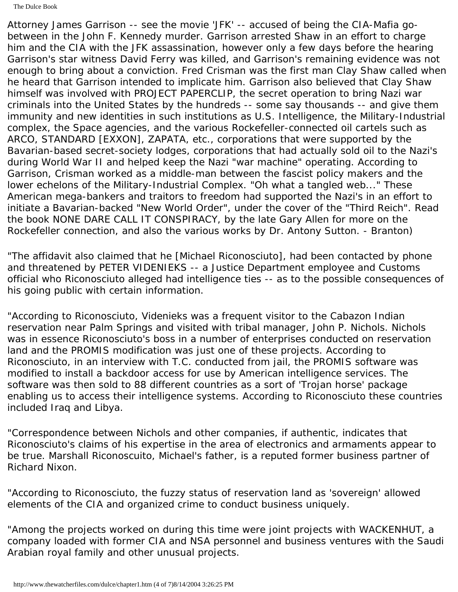Attorney James Garrison -- see the movie 'JFK' -- accused of being the CIA-Mafia gobetween in the John F. Kennedy murder. Garrison arrested Shaw in an effort to charge him and the CIA with the JFK assassination, however only a few days before the hearing Garrison's star witness David Ferry was killed, and Garrison's remaining evidence was not enough to bring about a conviction. Fred Crisman was the first man Clay Shaw called when he heard that Garrison intended to implicate him. Garrison also believed that Clay Shaw himself was involved with PROJECT PAPERCLIP, the secret operation to bring Nazi war criminals into the United States by the hundreds -- some say thousands -- and give them immunity and new identities in such institutions as U.S. Intelligence, the Military-Industrial complex, the Space agencies, and the various Rockefeller-connected oil cartels such as ARCO, STANDARD [EXXON], ZAPATA, etc., corporations that were supported by the Bavarian-based secret-society lodges, corporations that had actually sold oil to the Nazi's during World War II and helped keep the Nazi "war machine" operating. According to Garrison, Crisman worked as a middle-man between the fascist policy makers and the lower echelons of the Military-Industrial Complex. "Oh what a tangled web..." These American mega-bankers and traitors to freedom had supported the Nazi's in an effort to initiate a Bavarian-backed "New World Order", under the cover of the "Third Reich". Read the book NONE DARE CALL IT CONSPIRACY, by the late Gary Allen for more on the Rockefeller connection, and also the various works by Dr. Antony Sutton. - Branton)

"The affidavit also claimed that he [Michael Riconosciuto], had been contacted by phone and threatened by PETER VIDENIEKS -- a Justice Department employee and Customs official who Riconosciuto alleged had intelligence ties -- as to the possible consequences of his going public with certain information.

"According to Riconosciuto, Videnieks was a frequent visitor to the Cabazon Indian reservation near Palm Springs and visited with tribal manager, John P. Nichols. Nichols was in essence Riconosciuto's boss in a number of enterprises conducted on reservation land and the PROMIS modification was just one of these projects. According to Riconosciuto, in an interview with T.C. conducted from jail, the PROMIS software was modified to install a backdoor access for use by American intelligence services. The software was then sold to 88 different countries as a sort of 'Trojan horse' package enabling us to access their intelligence systems. According to Riconosciuto these countries included Iraq and Libya.

"Correspondence between Nichols and other companies, if authentic, indicates that Riconosciuto's claims of his expertise in the area of electronics and armaments appear to be true. Marshall Riconoscuito, Michael's father, is a reputed former business partner of Richard Nixon.

"According to Riconosciuto, the fuzzy status of reservation land as 'sovereign' allowed elements of the CIA and organized crime to conduct business uniquely.

"Among the projects worked on during this time were joint projects with WACKENHUT, a company loaded with former CIA and NSA personnel and business ventures with the Saudi Arabian royal family and other unusual projects.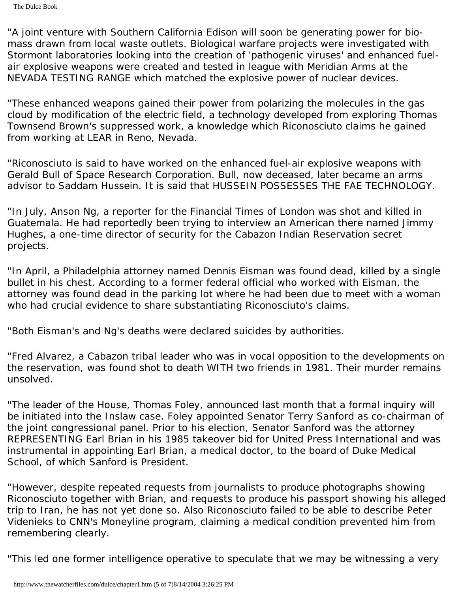"A joint venture with Southern California Edison will soon be generating power for biomass drawn from local waste outlets. Biological warfare projects were investigated with Stormont laboratories looking into the creation of 'pathogenic viruses' and enhanced fuelair explosive weapons were created and tested in league with Meridian Arms at the NEVADA TESTING RANGE which matched the explosive power of nuclear devices.

"These enhanced weapons gained their power from polarizing the molecules in the gas cloud by modification of the electric field, a technology developed from exploring Thomas Townsend Brown's suppressed work, a knowledge which Riconosciuto claims he gained from working at LEAR in Reno, Nevada.

"Riconosciuto is said to have worked on the enhanced fuel-air explosive weapons with Gerald Bull of Space Research Corporation. Bull, now deceased, later became an arms advisor to Saddam Hussein. It is said that HUSSEIN POSSESSES THE FAE TECHNOLOGY.

"In July, Anson Ng, a reporter for the Financial Times of London was shot and killed in Guatemala. He had reportedly been trying to interview an American there named Jimmy Hughes, a one-time director of security for the Cabazon Indian Reservation secret projects.

"In April, a Philadelphia attorney named Dennis Eisman was found dead, killed by a single bullet in his chest. According to a former federal official who worked with Eisman, the attorney was found dead in the parking lot where he had been due to meet with a woman who had crucial evidence to share substantiating Riconosciuto's claims.

"Both Eisman's and Ng's deaths were declared suicides by authorities.

"Fred Alvarez, a Cabazon tribal leader who was in vocal opposition to the developments on the reservation, was found shot to death WITH two friends in 1981. Their murder remains unsolved.

"The leader of the House, Thomas Foley, announced last month that a formal inquiry will be initiated into the Inslaw case. Foley appointed Senator Terry Sanford as co-chairman of the joint congressional panel. Prior to his election, Senator Sanford was the attorney REPRESENTING Earl Brian in his 1985 takeover bid for United Press International and was instrumental in appointing Earl Brian, a medical doctor, to the board of Duke Medical School, of which Sanford is President.

"However, despite repeated requests from journalists to produce photographs showing Riconosciuto together with Brian, and requests to produce his passport showing his alleged trip to Iran, he has not yet done so. Also Riconosciuto failed to be able to describe Peter Videnieks to CNN's Moneyline program, claiming a medical condition prevented him from remembering clearly.

"This led one former intelligence operative to speculate that we may be witnessing a very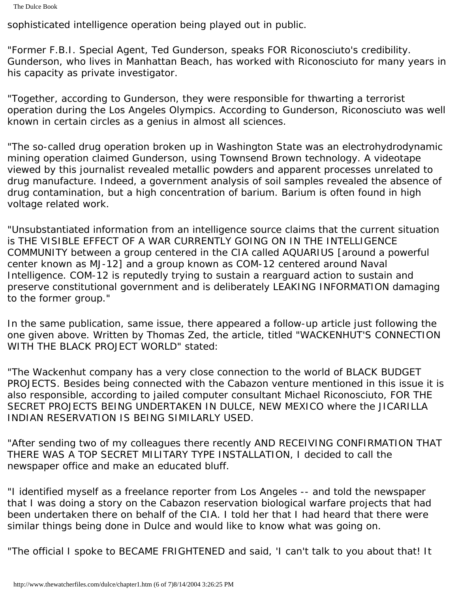sophisticated intelligence operation being played out in public.

"Former F.B.I. Special Agent, Ted Gunderson, speaks FOR Riconosciuto's credibility. Gunderson, who lives in Manhattan Beach, has worked with Riconosciuto for many years in his capacity as private investigator.

"Together, according to Gunderson, they were responsible for thwarting a terrorist operation during the Los Angeles Olympics. According to Gunderson, Riconosciuto was well known in certain circles as a genius in almost all sciences.

"The so-called drug operation broken up in Washington State was an electrohydrodynamic mining operation claimed Gunderson, using Townsend Brown technology. A videotape viewed by this journalist revealed metallic powders and apparent processes unrelated to drug manufacture. Indeed, a government analysis of soil samples revealed the absence of drug contamination, but a high concentration of barium. Barium is often found in high voltage related work.

"Unsubstantiated information from an intelligence source claims that the current situation is THE VISIBLE EFFECT OF A WAR CURRENTLY GOING ON IN THE INTELLIGENCE COMMUNITY between a group centered in the CIA called AQUARIUS [around a powerful center known as MJ-12] and a group known as COM-12 centered around Naval Intelligence. COM-12 is reputedly trying to sustain a rearguard action to sustain and preserve constitutional government and is deliberately LEAKING INFORMATION damaging to the former group."

In the same publication, same issue, there appeared a follow-up article just following the one given above. Written by Thomas Zed, the article, titled "WACKENHUT'S CONNECTION WITH THE BLACK PROJECT WORLD" stated:

"The Wackenhut company has a very close connection to the world of BLACK BUDGET PROJECTS. Besides being connected with the Cabazon venture mentioned in this issue it is also responsible, according to jailed computer consultant Michael Riconosciuto, FOR THE SECRET PROJECTS BEING UNDERTAKEN IN DULCE, NEW MEXICO where the JICARILLA INDIAN RESERVATION IS BEING SIMILARLY USED.

"After sending two of my colleagues there recently AND RECEIVING CONFIRMATION THAT THERE WAS A TOP SECRET MILITARY TYPE INSTALLATION, I decided to call the newspaper office and make an educated bluff.

"I identified myself as a freelance reporter from Los Angeles -- and told the newspaper that I was doing a story on the Cabazon reservation biological warfare projects that had been undertaken there on behalf of the CIA. I told her that I had heard that there were similar things being done in Dulce and would like to know what was going on.

"The official I spoke to BECAME FRIGHTENED and said, 'I can't talk to you about that! It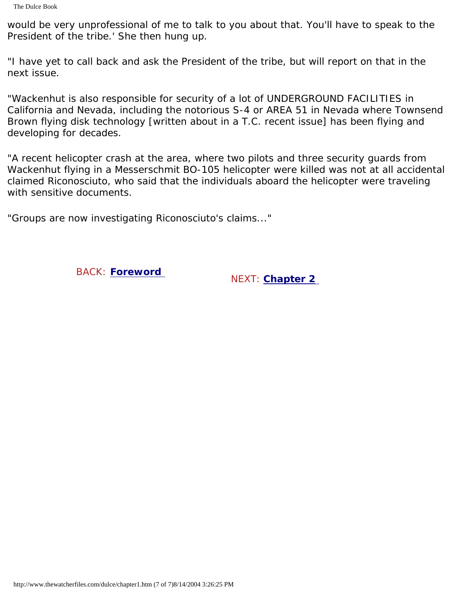would be very unprofessional of me to talk to you about that. You'll have to speak to the President of the tribe.' She then hung up.

"I have yet to call back and ask the President of the tribe, but will report on that in the next issue.

"Wackenhut is also responsible for security of a lot of UNDERGROUND FACILITIES in California and Nevada, including the notorious S-4 or AREA 51 in Nevada where Townsend Brown flying disk technology [written about in a T.C. recent issue] has been flying and developing for decades.

"A recent helicopter crash at the area, where two pilots and three security guards from Wackenhut flying in a Messerschmit BO-105 helicopter were killed was not at all accidental claimed Riconosciuto, who said that the individuals aboard the helicopter were traveling with sensitive documents.

"Groups are now investigating Riconosciuto's claims..."

BACK: **[Foreword](#page-2-0)**

NEXT: **[Chapter 2](#page-14-0)**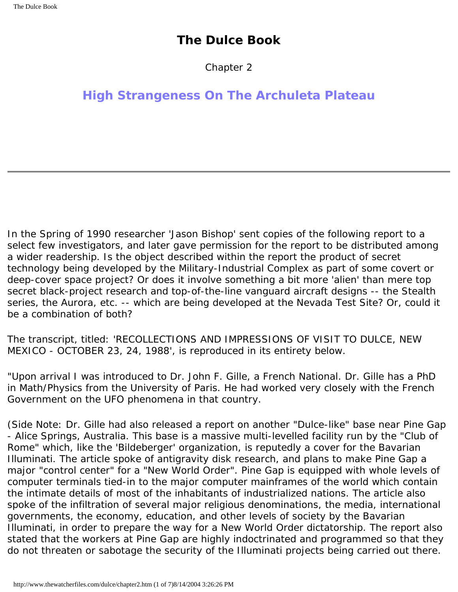Chapter 2

## <span id="page-14-0"></span>**High Strangeness On The Archuleta Plateau**

In the Spring of 1990 researcher 'Jason Bishop' sent copies of the following report to a select few investigators, and later gave permission for the report to be distributed among a wider readership. Is the object described within the report the product of secret technology being developed by the Military-Industrial Complex as part of some covert or deep-cover space project? Or does it involve something a bit more 'alien' than mere top secret black-project research and top-of-the-line vanguard aircraft designs -- the Stealth series, the Aurora, etc. -- which are being developed at the Nevada Test Site? Or, could it be a combination of both?

The transcript, titled: 'RECOLLECTIONS AND IMPRESSIONS OF VISIT TO DULCE, NEW MEXICO - OCTOBER 23, 24, 1988', is reproduced in its entirety below.

"Upon arrival I was introduced to Dr. John F. Gille, a French National. Dr. Gille has a PhD in Math/Physics from the University of Paris. He had worked very closely with the French Government on the UFO phenomena in that country.

(Side Note: Dr. Gille had also released a report on another "Dulce-like" base near Pine Gap - Alice Springs, Australia. This base is a massive multi-levelled facility run by the "Club of Rome" which, like the 'Bildeberger' organization, is reputedly a cover for the Bavarian Illuminati. The article spoke of antigravity disk research, and plans to make Pine Gap a major "control center" for a "New World Order". Pine Gap is equipped with whole levels of computer terminals tied-in to the major computer mainframes of the world which contain the intimate details of most of the inhabitants of industrialized nations. The article also spoke of the infiltration of several major religious denominations, the media, international governments, the economy, education, and other levels of society by the Bavarian Illuminati, in order to prepare the way for a New World Order dictatorship. The report also stated that the workers at Pine Gap are highly indoctrinated and programmed so that they do not threaten or sabotage the security of the Illuminati projects being carried out there.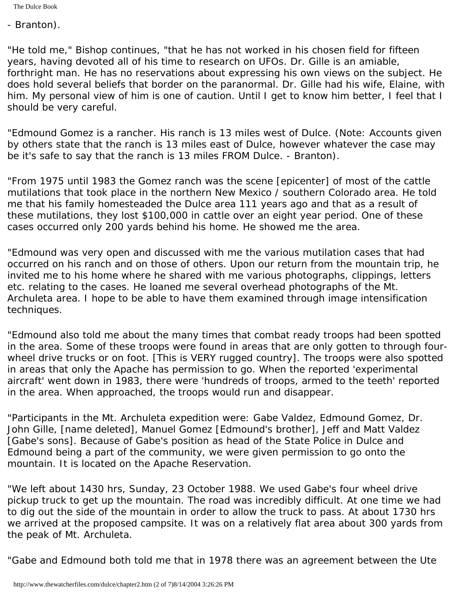- Branton).

"He told me," Bishop continues, "that he has not worked in his chosen field for fifteen years, having devoted all of his time to research on UFOs. Dr. Gille is an amiable, forthright man. He has no reservations about expressing his own views on the subject. He does hold several beliefs that border on the paranormal. Dr. Gille had his wife, Elaine, with him. My personal view of him is one of caution. Until I get to know him better, I feel that I should be very careful.

"Edmound Gomez is a rancher. His ranch is 13 miles west of Dulce. (Note: Accounts given by others state that the ranch is 13 miles east of Dulce, however whatever the case may be it's safe to say that the ranch is 13 miles FROM Dulce. - Branton).

"From 1975 until 1983 the Gomez ranch was the scene [epicenter] of most of the cattle mutilations that took place in the northern New Mexico / southern Colorado area. He told me that his family homesteaded the Dulce area 111 years ago and that as a result of these mutilations, they lost \$100,000 in cattle over an eight year period. One of these cases occurred only 200 yards behind his home. He showed me the area.

"Edmound was very open and discussed with me the various mutilation cases that had occurred on his ranch and on those of others. Upon our return from the mountain trip, he invited me to his home where he shared with me various photographs, clippings, letters etc. relating to the cases. He loaned me several overhead photographs of the Mt. Archuleta area. I hope to be able to have them examined through image intensification techniques.

"Edmound also told me about the many times that combat ready troops had been spotted in the area. Some of these troops were found in areas that are only gotten to through fourwheel drive trucks or on foot. [This is VERY rugged country]. The troops were also spotted in areas that only the Apache has permission to go. When the reported 'experimental aircraft' went down in 1983, there were 'hundreds of troops, armed to the teeth' reported in the area. When approached, the troops would run and disappear.

"Participants in the Mt. Archuleta expedition were: Gabe Valdez, Edmound Gomez, Dr. John Gille, [name deleted], Manuel Gomez [Edmound's brother], Jeff and Matt Valdez [Gabe's sons]. Because of Gabe's position as head of the State Police in Dulce and Edmound being a part of the community, we were given permission to go onto the mountain. It is located on the Apache Reservation.

"We left about 1430 hrs, Sunday, 23 October 1988. We used Gabe's four wheel drive pickup truck to get up the mountain. The road was incredibly difficult. At one time we had to dig out the side of the mountain in order to allow the truck to pass. At about 1730 hrs we arrived at the proposed campsite. It was on a relatively flat area about 300 yards from the peak of Mt. Archuleta.

"Gabe and Edmound both told me that in 1978 there was an agreement between the Ute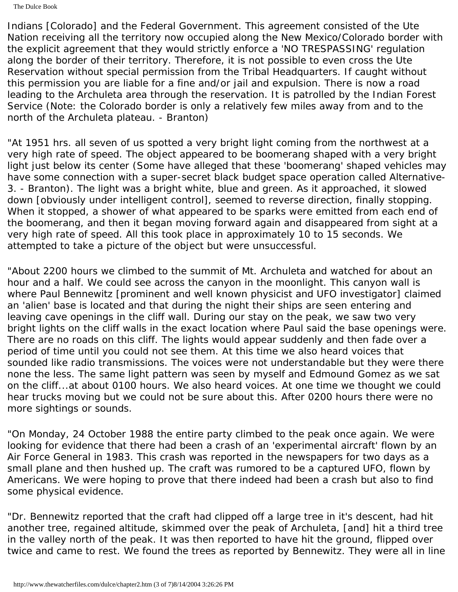The Dulce Book

Indians [Colorado] and the Federal Government. This agreement consisted of the Ute Nation receiving all the territory now occupied along the New Mexico/Colorado border with the explicit agreement that they would strictly enforce a 'NO TRESPASSING' regulation along the border of their territory. Therefore, it is not possible to even cross the Ute Reservation without special permission from the Tribal Headquarters. If caught without this permission you are liable for a fine and/or jail and expulsion. There is now a road leading to the Archuleta area through the reservation. It is patrolled by the Indian Forest Service (Note: the Colorado border is only a relatively few miles away from and to the north of the Archuleta plateau. - Branton)

"At 1951 hrs. all seven of us spotted a very bright light coming from the northwest at a very high rate of speed. The object appeared to be boomerang shaped with a very bright light just below its center (Some have alleged that these 'boomerang' shaped vehicles may have some connection with a super-secret black budget space operation called Alternative-3. - Branton). The light was a bright white, blue and green. As it approached, it slowed down [obviously under intelligent control], seemed to reverse direction, finally stopping. When it stopped, a shower of what appeared to be sparks were emitted from each end of the boomerang, and then it began moving forward again and disappeared from sight at a very high rate of speed. All this took place in approximately 10 to 15 seconds. We attempted to take a picture of the object but were unsuccessful.

"About 2200 hours we climbed to the summit of Mt. Archuleta and watched for about an hour and a half. We could see across the canyon in the moonlight. This canyon wall is where Paul Bennewitz [prominent and well known physicist and UFO investigator] claimed an 'alien' base is located and that during the night their ships are seen entering and leaving cave openings in the cliff wall. During our stay on the peak, we saw two very bright lights on the cliff walls in the exact location where Paul said the base openings were. There are no roads on this cliff. The lights would appear suddenly and then fade over a period of time until you could not see them. At this time we also heard voices that sounded like radio transmissions. The voices were not understandable but they were there none the less. The same light pattern was seen by myself and Edmound Gomez as we sat on the cliff...at about 0100 hours. We also heard voices. At one time we thought we could hear trucks moving but we could not be sure about this. After 0200 hours there were no more sightings or sounds.

"On Monday, 24 October 1988 the entire party climbed to the peak once again. We were looking for evidence that there had been a crash of an 'experimental aircraft' flown by an Air Force General in 1983. This crash was reported in the newspapers for two days as a small plane and then hushed up. The craft was rumored to be a captured UFO, flown by Americans. We were hoping to prove that there indeed had been a crash but also to find some physical evidence.

"Dr. Bennewitz reported that the craft had clipped off a large tree in it's descent, had hit another tree, regained altitude, skimmed over the peak of Archuleta, [and] hit a third tree in the valley north of the peak. It was then reported to have hit the ground, flipped over twice and came to rest. We found the trees as reported by Bennewitz. They were all in line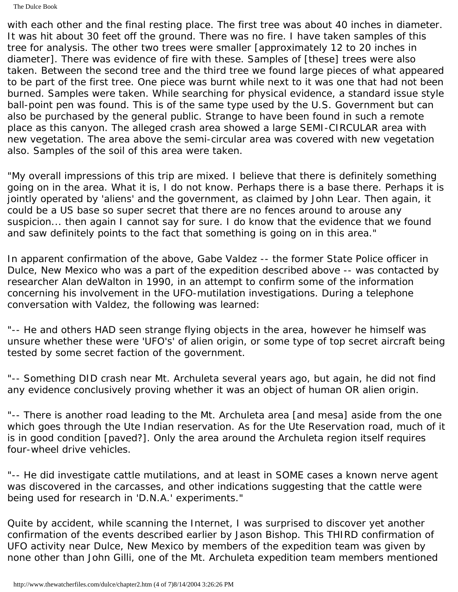The Dulce Book

with each other and the final resting place. The first tree was about 40 inches in diameter. It was hit about 30 feet off the ground. There was no fire. I have taken samples of this tree for analysis. The other two trees were smaller [approximately 12 to 20 inches in diameter]. There was evidence of fire with these. Samples of [these] trees were also taken. Between the second tree and the third tree we found large pieces of what appeared to be part of the first tree. One piece was burnt while next to it was one that had not been burned. Samples were taken. While searching for physical evidence, a standard issue style ball-point pen was found. This is of the same type used by the U.S. Government but can also be purchased by the general public. Strange to have been found in such a remote place as this canyon. The alleged crash area showed a large SEMI-CIRCULAR area with new vegetation. The area above the semi-circular area was covered with new vegetation also. Samples of the soil of this area were taken.

"My overall impressions of this trip are mixed. I believe that there is definitely something going on in the area. What it is, I do not know. Perhaps there is a base there. Perhaps it is jointly operated by 'aliens' and the government, as claimed by John Lear. Then again, it could be a US base so super secret that there are no fences around to arouse any suspicion... then again I cannot say for sure. I do know that the evidence that we found and saw definitely points to the fact that something is going on in this area."

In apparent confirmation of the above, Gabe Valdez -- the former State Police officer in Dulce, New Mexico who was a part of the expedition described above -- was contacted by researcher Alan deWalton in 1990, in an attempt to confirm some of the information concerning his involvement in the UFO-mutilation investigations. During a telephone conversation with Valdez, the following was learned:

"-- He and others HAD seen strange flying objects in the area, however he himself was unsure whether these were 'UFO's' of alien origin, or some type of top secret aircraft being tested by some secret faction of the government.

"-- Something DID crash near Mt. Archuleta several years ago, but again, he did not find any evidence conclusively proving whether it was an object of human OR alien origin.

"-- There is another road leading to the Mt. Archuleta area [and mesa] aside from the one which goes through the Ute Indian reservation. As for the Ute Reservation road, much of it is in good condition [paved?]. Only the area around the Archuleta region itself requires four-wheel drive vehicles.

"-- He did investigate cattle mutilations, and at least in SOME cases a known nerve agent was discovered in the carcasses, and other indications suggesting that the cattle were being used for research in 'D.N.A.' experiments."

Quite by accident, while scanning the Internet, I was surprised to discover yet another confirmation of the events described earlier by Jason Bishop. This THIRD confirmation of UFO activity near Dulce, New Mexico by members of the expedition team was given by none other than John Gilli, one of the Mt. Archuleta expedition team members mentioned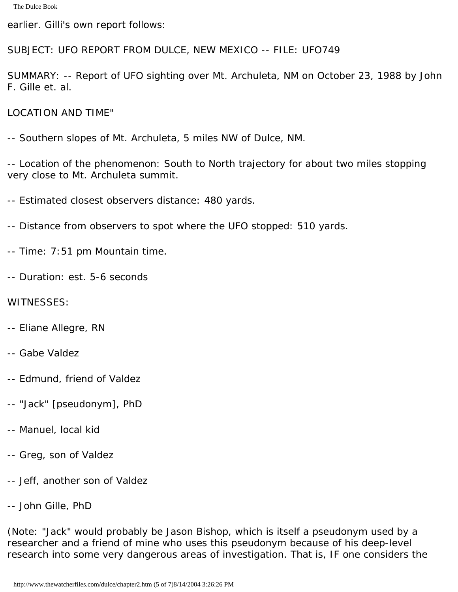earlier. Gilli's own report follows:

SUBJECT: UFO REPORT FROM DULCE, NEW MEXICO -- FILE: UFO749

SUMMARY: -- Report of UFO sighting over Mt. Archuleta, NM on October 23, 1988 by John F. Gille et. al.

LOCATION AND TIME"

-- Southern slopes of Mt. Archuleta, 5 miles NW of Dulce, NM.

-- Location of the phenomenon: South to North trajectory for about two miles stopping very close to Mt. Archuleta summit.

-- Estimated closest observers distance: 480 yards.

-- Distance from observers to spot where the UFO stopped: 510 yards.

-- Time: 7:51 pm Mountain time.

-- Duration: est. 5-6 seconds

#### WITNESSES:

- -- Eliane Allegre, RN
- -- Gabe Valdez
- -- Edmund, friend of Valdez
- -- "Jack" [pseudonym], PhD
- -- Manuel, local kid
- -- Greg, son of Valdez
- -- Jeff, another son of Valdez
- -- John Gille, PhD

(Note: "Jack" would probably be Jason Bishop, which is itself a pseudonym used by a researcher and a friend of mine who uses this pseudonym because of his deep-level research into some very dangerous areas of investigation. That is, IF one considers the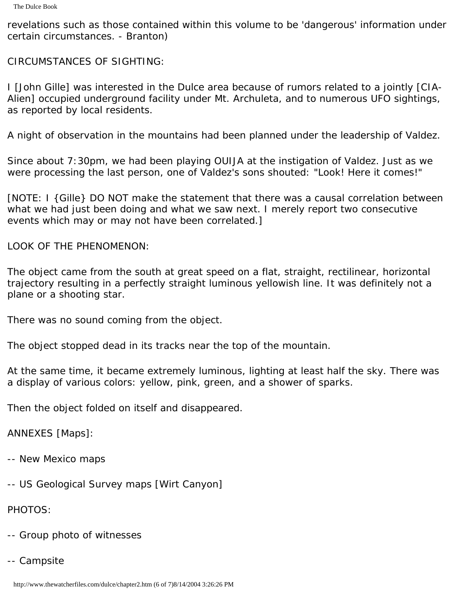revelations such as those contained within this volume to be 'dangerous' information under certain circumstances. - Branton)

CIRCUMSTANCES OF SIGHTING:

I [John Gille] was interested in the Dulce area because of rumors related to a jointly [CIA-Alien] occupied underground facility under Mt. Archuleta, and to numerous UFO sightings, as reported by local residents.

A night of observation in the mountains had been planned under the leadership of Valdez.

Since about 7:30pm, we had been playing OUIJA at the instigation of Valdez. Just as we were processing the last person, one of Valdez's sons shouted: "Look! Here it comes!"

[NOTE: I {Gille} DO NOT make the statement that there was a causal correlation between what we had just been doing and what we saw next. I merely report two consecutive events which may or may not have been correlated.]

LOOK OF THE PHENOMENON:

The object came from the south at great speed on a flat, straight, rectilinear, horizontal trajectory resulting in a perfectly straight luminous yellowish line. It was definitely not a plane or a shooting star.

There was no sound coming from the object.

The object stopped dead in its tracks near the top of the mountain.

At the same time, it became extremely luminous, lighting at least half the sky. There was a display of various colors: yellow, pink, green, and a shower of sparks.

Then the object folded on itself and disappeared.

ANNEXES [Maps]:

- -- New Mexico maps
- -- US Geological Survey maps [Wirt Canyon]

PHOTOS:

- -- Group photo of witnesses
- -- Campsite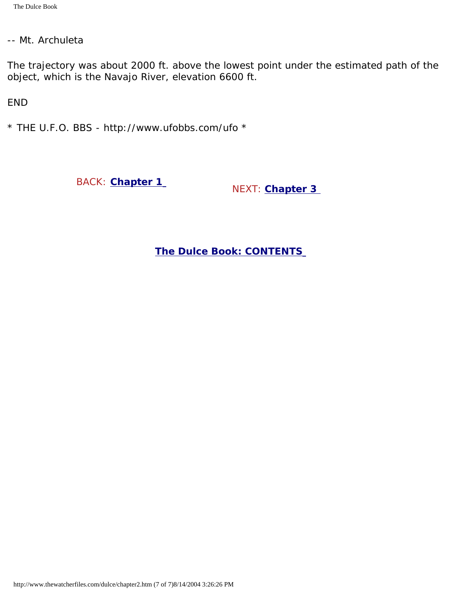-- Mt. Archuleta

The trajectory was about 2000 ft. above the lowest point under the estimated path of the object, which is the Navajo River, elevation 6600 ft.

END

\* THE U.F.O. BBS - http://www.ufobbs.com/ufo \*

BACK: **[Chapter 1](#page-7-0)** NEXT: **[Chapter 3](#page-21-0)** 

**[The Dulce Book: CONTENTS](http://ufoarea.bravepages.com/government_dulce_branton_contents.html)**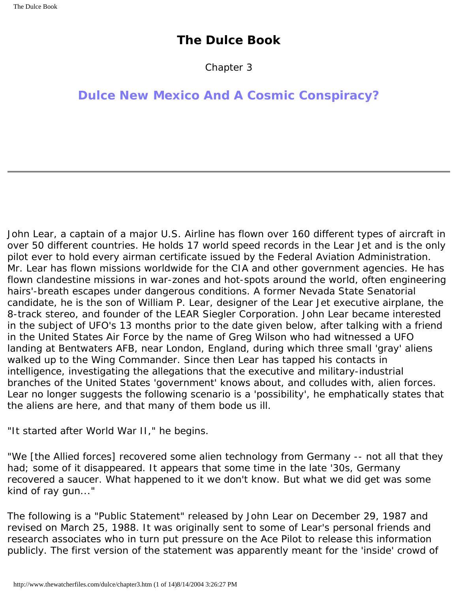Chapter 3

## <span id="page-21-0"></span>**Dulce New Mexico And A Cosmic Conspiracy?**

John Lear, a captain of a major U.S. Airline has flown over 160 different types of aircraft in over 50 different countries. He holds 17 world speed records in the Lear Jet and is the only pilot ever to hold every airman certificate issued by the Federal Aviation Administration. Mr. Lear has flown missions worldwide for the CIA and other government agencies. He has flown clandestine missions in war-zones and hot-spots around the world, often engineering hairs'-breath escapes under dangerous conditions. A former Nevada State Senatorial candidate, he is the son of William P. Lear, designer of the Lear Jet executive airplane, the 8-track stereo, and founder of the LEAR Siegler Corporation. John Lear became interested in the subject of UFO's 13 months prior to the date given below, after talking with a friend in the United States Air Force by the name of Greg Wilson who had witnessed a UFO landing at Bentwaters AFB, near London, England, during which three small 'gray' aliens walked up to the Wing Commander. Since then Lear has tapped his contacts in intelligence, investigating the allegations that the executive and military-industrial branches of the United States 'government' knows about, and colludes with, alien forces. Lear no longer suggests the following scenario is a 'possibility', he emphatically states that the aliens are here, and that many of them bode us ill.

"It started after World War II," he begins.

"We [the Allied forces] recovered some alien technology from Germany -- not all that they had; some of it disappeared. It appears that some time in the late '30s, Germany recovered a saucer. What happened to it we don't know. But what we did get was some kind of ray gun..."

The following is a "Public Statement" released by John Lear on December 29, 1987 and revised on March 25, 1988. It was originally sent to some of Lear's personal friends and research associates who in turn put pressure on the Ace Pilot to release this information publicly. The first version of the statement was apparently meant for the 'inside' crowd of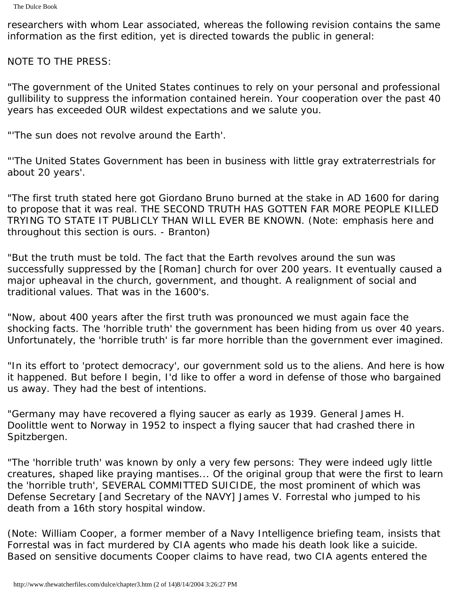researchers with whom Lear associated, whereas the following revision contains the same information as the first edition, yet is directed towards the public in general:

NOTE TO THE PRESS:

"The government of the United States continues to rely on your personal and professional gullibility to suppress the information contained herein. Your cooperation over the past 40 years has exceeded OUR wildest expectations and we salute you.

"'The sun does not revolve around the Earth'.

"'The United States Government has been in business with little gray extraterrestrials for about 20 years'.

"The first truth stated here got Giordano Bruno burned at the stake in AD 1600 for daring to propose that it was real. THE SECOND TRUTH HAS GOTTEN FAR MORE PEOPLE KILLED TRYING TO STATE IT PUBLICLY THAN WILL EVER BE KNOWN. (Note: emphasis here and throughout this section is ours. - Branton)

"But the truth must be told. The fact that the Earth revolves around the sun was successfully suppressed by the [Roman] church for over 200 years. It eventually caused a major upheaval in the church, government, and thought. A realignment of social and traditional values. That was in the 1600's.

"Now, about 400 years after the first truth was pronounced we must again face the shocking facts. The 'horrible truth' the government has been hiding from us over 40 years. Unfortunately, the 'horrible truth' is far more horrible than the government ever imagined.

"In its effort to 'protect democracy', our government sold us to the aliens. And here is how it happened. But before I begin, I'd like to offer a word in defense of those who bargained us away. They had the best of intentions.

"Germany may have recovered a flying saucer as early as 1939. General James H. Doolittle went to Norway in 1952 to inspect a flying saucer that had crashed there in Spitzbergen.

"The 'horrible truth' was known by only a very few persons: They were indeed ugly little creatures, shaped like praying mantises... Of the original group that were the first to learn the 'horrible truth', SEVERAL COMMITTED SUICIDE, the most prominent of which was Defense Secretary [and Secretary of the NAVY] James V. Forrestal who jumped to his death from a 16th story hospital window.

(Note: William Cooper, a former member of a Navy Intelligence briefing team, insists that Forrestal was in fact murdered by CIA agents who made his death look like a suicide. Based on sensitive documents Cooper claims to have read, two CIA agents entered the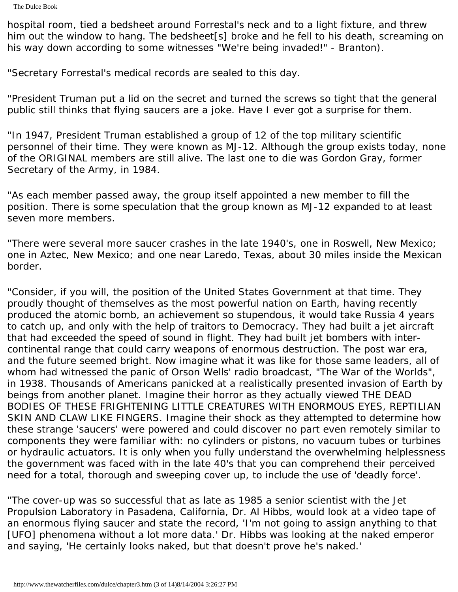The Dulce Book

hospital room, tied a bedsheet around Forrestal's neck and to a light fixture, and threw him out the window to hang. The bedsheet[s] broke and he fell to his death, screaming on his way down according to some witnesses "We're being invaded!" - Branton).

"Secretary Forrestal's medical records are sealed to this day.

"President Truman put a lid on the secret and turned the screws so tight that the general public still thinks that flying saucers are a joke. Have I ever got a surprise for them.

"In 1947, President Truman established a group of 12 of the top military scientific personnel of their time. They were known as MJ-12. Although the group exists today, none of the ORIGINAL members are still alive. The last one to die was Gordon Gray, former Secretary of the Army, in 1984.

"As each member passed away, the group itself appointed a new member to fill the position. There is some speculation that the group known as MJ-12 expanded to at least seven more members.

"There were several more saucer crashes in the late 1940's, one in Roswell, New Mexico; one in Aztec, New Mexico; and one near Laredo, Texas, about 30 miles inside the Mexican border.

"Consider, if you will, the position of the United States Government at that time. They proudly thought of themselves as the most powerful nation on Earth, having recently produced the atomic bomb, an achievement so stupendous, it would take Russia 4 years to catch up, and only with the help of traitors to Democracy. They had built a jet aircraft that had exceeded the speed of sound in flight. They had built jet bombers with intercontinental range that could carry weapons of enormous destruction. The post war era, and the future seemed bright. Now imagine what it was like for those same leaders, all of whom had witnessed the panic of Orson Wells' radio broadcast, "The War of the Worlds", in 1938. Thousands of Americans panicked at a realistically presented invasion of Earth by beings from another planet. Imagine their horror as they actually viewed THE DEAD BODIES OF THESE FRIGHTENING LITTLE CREATURES WITH ENORMOUS EYES, REPTILIAN SKIN AND CLAW LIKE FINGERS. Imagine their shock as they attempted to determine how these strange 'saucers' were powered and could discover no part even remotely similar to components they were familiar with: no cylinders or pistons, no vacuum tubes or turbines or hydraulic actuators. It is only when you fully understand the overwhelming helplessness the government was faced with in the late 40's that you can comprehend their perceived need for a total, thorough and sweeping cover up, to include the use of 'deadly force'.

"The cover-up was so successful that as late as 1985 a senior scientist with the Jet Propulsion Laboratory in Pasadena, California, Dr. Al Hibbs, would look at a video tape of an enormous flying saucer and state the record, 'I'm not going to assign anything to that [UFO] phenomena without a lot more data.' Dr. Hibbs was looking at the naked emperor and saying, 'He certainly looks naked, but that doesn't prove he's naked.'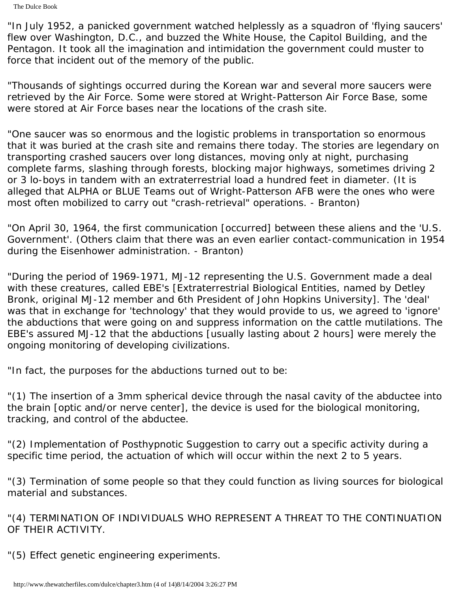"In July 1952, a panicked government watched helplessly as a squadron of 'flying saucers' flew over Washington, D.C., and buzzed the White House, the Capitol Building, and the Pentagon. It took all the imagination and intimidation the government could muster to force that incident out of the memory of the public.

"Thousands of sightings occurred during the Korean war and several more saucers were retrieved by the Air Force. Some were stored at Wright-Patterson Air Force Base, some were stored at Air Force bases near the locations of the crash site.

"One saucer was so enormous and the logistic problems in transportation so enormous that it was buried at the crash site and remains there today. The stories are legendary on transporting crashed saucers over long distances, moving only at night, purchasing complete farms, slashing through forests, blocking major highways, sometimes driving 2 or 3 lo-boys in tandem with an extraterrestrial load a hundred feet in diameter. (It is alleged that ALPHA or BLUE Teams out of Wright-Patterson AFB were the ones who were most often mobilized to carry out "crash-retrieval" operations. - Branton)

"On April 30, 1964, the first communication [occurred] between these aliens and the 'U.S. Government'. (Others claim that there was an even earlier contact-communication in 1954 during the Eisenhower administration. - Branton)

"During the period of 1969-1971, MJ-12 representing the U.S. Government made a deal with these creatures, called EBE's [Extraterrestrial Biological Entities, named by Detley Bronk, original MJ-12 member and 6th President of John Hopkins University]. The 'deal' was that in exchange for 'technology' that they would provide to us, we agreed to 'ignore' the abductions that were going on and suppress information on the cattle mutilations. The EBE's assured MJ-12 that the abductions [usually lasting about 2 hours] were merely the ongoing monitoring of developing civilizations.

"In fact, the purposes for the abductions turned out to be:

"(1) The insertion of a 3mm spherical device through the nasal cavity of the abductee into the brain [optic and/or nerve center], the device is used for the biological monitoring, tracking, and control of the abductee.

"(2) Implementation of Posthypnotic Suggestion to carry out a specific activity during a specific time period, the actuation of which will occur within the next 2 to 5 years.

"(3) Termination of some people so that they could function as living sources for biological material and substances.

"(4) TERMINATION OF INDIVIDUALS WHO REPRESENT A THREAT TO THE CONTINUATION OF THEIR ACTIVITY.

"(5) Effect genetic engineering experiments.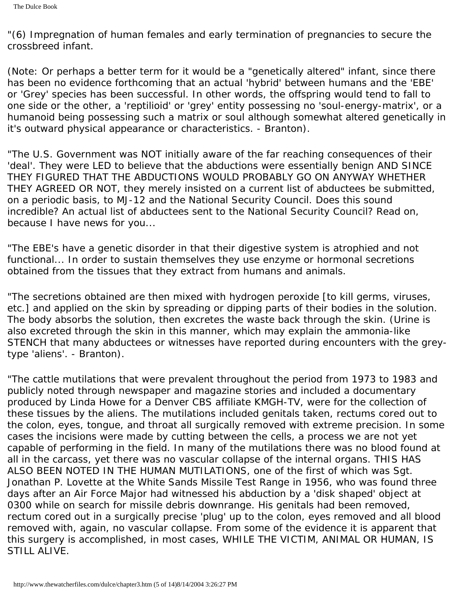"(6) Impregnation of human females and early termination of pregnancies to secure the crossbreed infant.

(Note: Or perhaps a better term for it would be a "genetically altered" infant, since there has been no evidence forthcoming that an actual 'hybrid' between humans and the 'EBE' or 'Grey' species has been successful. In other words, the offspring would tend to fall to one side or the other, a 'reptilioid' or 'grey' entity possessing no 'soul-energy-matrix', or a humanoid being possessing such a matrix or soul although somewhat altered genetically in it's outward physical appearance or characteristics. - Branton).

"The U.S. Government was NOT initially aware of the far reaching consequences of their 'deal'. They were LED to believe that the abductions were essentially benign AND SINCE THEY FIGURED THAT THE ABDUCTIONS WOULD PROBABLY GO ON ANYWAY WHETHER THEY AGREED OR NOT, they merely insisted on a current list of abductees be submitted, on a periodic basis, to MJ-12 and the National Security Council. Does this sound incredible? An actual list of abductees sent to the National Security Council? Read on, because I have news for you...

"The EBE's have a genetic disorder in that their digestive system is atrophied and not functional... In order to sustain themselves they use enzyme or hormonal secretions obtained from the tissues that they extract from humans and animals.

"The secretions obtained are then mixed with hydrogen peroxide [to kill germs, viruses, etc.] and applied on the skin by spreading or dipping parts of their bodies in the solution. The body absorbs the solution, then excretes the waste back through the skin. (Urine is also excreted through the skin in this manner, which may explain the ammonia-like STENCH that many abductees or witnesses have reported during encounters with the greytype 'aliens'. - Branton).

"The cattle mutilations that were prevalent throughout the period from 1973 to 1983 and publicly noted through newspaper and magazine stories and included a documentary produced by Linda Howe for a Denver CBS affiliate KMGH-TV, were for the collection of these tissues by the aliens. The mutilations included genitals taken, rectums cored out to the colon, eyes, tongue, and throat all surgically removed with extreme precision. In some cases the incisions were made by cutting between the cells, a process we are not yet capable of performing in the field. In many of the mutilations there was no blood found at all in the carcass, yet there was no vascular collapse of the internal organs. THIS HAS ALSO BEEN NOTED IN THE HUMAN MUTILATIONS, one of the first of which was Sgt. Jonathan P. Lovette at the White Sands Missile Test Range in 1956, who was found three days after an Air Force Major had witnessed his abduction by a 'disk shaped' object at 0300 while on search for missile debris downrange. His genitals had been removed, rectum cored out in a surgically precise 'plug' up to the colon, eyes removed and all blood removed with, again, no vascular collapse. From some of the evidence it is apparent that this surgery is accomplished, in most cases, WHILE THE VICTIM, ANIMAL OR HUMAN, IS STILL ALIVE.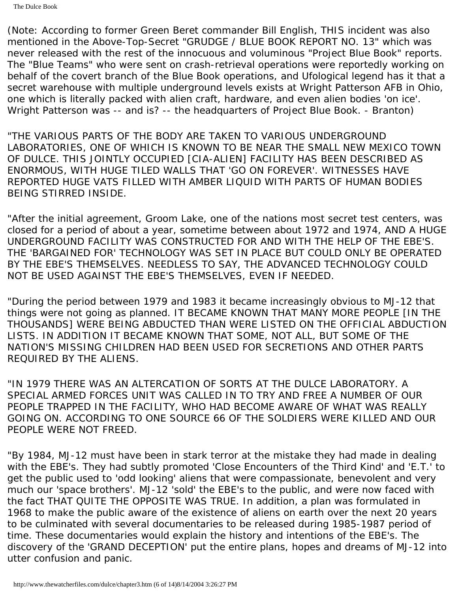(Note: According to former Green Beret commander Bill English, THIS incident was also mentioned in the Above-Top-Secret "GRUDGE / BLUE BOOK REPORT NO. 13" which was never released with the rest of the innocuous and voluminous "Project Blue Book" reports. The "Blue Teams" who were sent on crash-retrieval operations were reportedly working on behalf of the covert branch of the Blue Book operations, and Ufological legend has it that a secret warehouse with multiple underground levels exists at Wright Patterson AFB in Ohio, one which is literally packed with alien craft, hardware, and even alien bodies 'on ice'. Wright Patterson was -- and is? -- the headquarters of Project Blue Book. - Branton)

"THE VARIOUS PARTS OF THE BODY ARE TAKEN TO VARIOUS UNDERGROUND LABORATORIES, ONE OF WHICH IS KNOWN TO BE NEAR THE SMALL NEW MEXICO TOWN OF DULCE. THIS JOINTLY OCCUPIED [CIA-ALIEN] FACILITY HAS BEEN DESCRIBED AS ENORMOUS, WITH HUGE TILED WALLS THAT 'GO ON FOREVER'. WITNESSES HAVE REPORTED HUGE VATS FILLED WITH AMBER LIQUID WITH PARTS OF HUMAN BODIES BEING STIRRED INSIDE.

"After the initial agreement, Groom Lake, one of the nations most secret test centers, was closed for a period of about a year, sometime between about 1972 and 1974, AND A HUGE UNDERGROUND FACILITY WAS CONSTRUCTED FOR AND WITH THE HELP OF THE EBE'S. THE 'BARGAINED FOR' TECHNOLOGY WAS SET IN PLACE BUT COULD ONLY BE OPERATED BY THE EBE'S THEMSELVES. NEEDLESS TO SAY, THE ADVANCED TECHNOLOGY COULD NOT BE USED AGAINST THE EBE'S THEMSELVES, EVEN IF NEEDED.

"During the period between 1979 and 1983 it became increasingly obvious to MJ-12 that things were not going as planned. IT BECAME KNOWN THAT MANY MORE PEOPLE [IN THE THOUSANDS] WERE BEING ABDUCTED THAN WERE LISTED ON THE OFFICIAL ABDUCTION LISTS. IN ADDITION IT BECAME KNOWN THAT SOME, NOT ALL, BUT SOME OF THE NATION'S MISSING CHILDREN HAD BEEN USED FOR SECRETIONS AND OTHER PARTS REQUIRED BY THE ALIENS.

"IN 1979 THERE WAS AN ALTERCATION OF SORTS AT THE DULCE LABORATORY. A SPECIAL ARMED FORCES UNIT WAS CALLED IN TO TRY AND FREE A NUMBER OF OUR PEOPLE TRAPPED IN THE FACILITY, WHO HAD BECOME AWARE OF WHAT WAS REALLY GOING ON. ACCORDING TO ONE SOURCE 66 OF THE SOLDIERS WERE KILLED AND OUR PEOPLE WERE NOT FREED.

"By 1984, MJ-12 must have been in stark terror at the mistake they had made in dealing with the EBE's. They had subtly promoted 'Close Encounters of the Third Kind' and 'E.T.' to get the public used to 'odd looking' aliens that were compassionate, benevolent and very much our 'space brothers'. MJ-12 'sold' the EBE's to the public, and were now faced with the fact THAT QUITE THE OPPOSITE WAS TRUE. In addition, a plan was formulated in 1968 to make the public aware of the existence of aliens on earth over the next 20 years to be culminated with several documentaries to be released during 1985-1987 period of time. These documentaries would explain the history and intentions of the EBE's. The discovery of the 'GRAND DECEPTION' put the entire plans, hopes and dreams of MJ-12 into utter confusion and panic.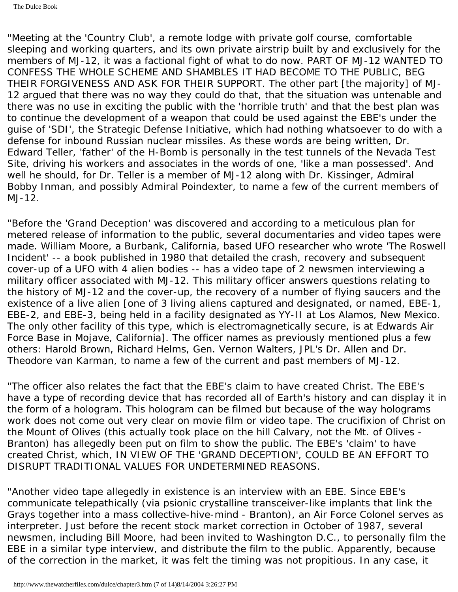"Meeting at the 'Country Club', a remote lodge with private golf course, comfortable sleeping and working quarters, and its own private airstrip built by and exclusively for the members of MJ-12, it was a factional fight of what to do now. PART OF MJ-12 WANTED TO CONFESS THE WHOLE SCHEME AND SHAMBLES IT HAD BECOME TO THE PUBLIC, BEG THEIR FORGIVENESS AND ASK FOR THEIR SUPPORT. The other part [the majority] of MJ-12 argued that there was no way they could do that, that the situation was untenable and there was no use in exciting the public with the 'horrible truth' and that the best plan was to continue the development of a weapon that could be used against the EBE's under the guise of 'SDI', the Strategic Defense Initiative, which had nothing whatsoever to do with a defense for inbound Russian nuclear missiles. As these words are being written, Dr. Edward Teller, 'father' of the H-Bomb is personally in the test tunnels of the Nevada Test Site, driving his workers and associates in the words of one, 'like a man possessed'. And well he should, for Dr. Teller is a member of MJ-12 along with Dr. Kissinger, Admiral Bobby Inman, and possibly Admiral Poindexter, to name a few of the current members of MJ-12.

"Before the 'Grand Deception' was discovered and according to a meticulous plan for metered release of information to the public, several documentaries and video tapes were made. William Moore, a Burbank, California, based UFO researcher who wrote 'The Roswell Incident' -- a book published in 1980 that detailed the crash, recovery and subsequent cover-up of a UFO with 4 alien bodies -- has a video tape of 2 newsmen interviewing a military officer associated with MJ-12. This military officer answers questions relating to the history of MJ-12 and the cover-up, the recovery of a number of flying saucers and the existence of a live alien [one of 3 living aliens captured and designated, or named, EBE-1, EBE-2, and EBE-3, being held in a facility designated as YY-II at Los Alamos, New Mexico. The only other facility of this type, which is electromagnetically secure, is at Edwards Air Force Base in Mojave, California]. The officer names as previously mentioned plus a few others: Harold Brown, Richard Helms, Gen. Vernon Walters, JPL's Dr. Allen and Dr. Theodore van Karman, to name a few of the current and past members of MJ-12.

"The officer also relates the fact that the EBE's claim to have created Christ. The EBE's have a type of recording device that has recorded all of Earth's history and can display it in the form of a hologram. This hologram can be filmed but because of the way holograms work does not come out very clear on movie film or video tape. The crucifixion of Christ on the Mount of Olives (this actually took place on the hill Calvary, not the Mt. of Olives - Branton) has allegedly been put on film to show the public. The EBE's 'claim' to have created Christ, which, IN VIEW OF THE 'GRAND DECEPTION', COULD BE AN EFFORT TO DISRUPT TRADITIONAL VALUES FOR UNDETERMINED REASONS.

"Another video tape allegedly in existence is an interview with an EBE. Since EBE's communicate telepathically (via psionic crystalline transceiver-like implants that link the Grays together into a mass collective-hive-mind - Branton), an Air Force Colonel serves as interpreter. Just before the recent stock market correction in October of 1987, several newsmen, including Bill Moore, had been invited to Washington D.C., to personally film the EBE in a similar type interview, and distribute the film to the public. Apparently, because of the correction in the market, it was felt the timing was not propitious. In any case, it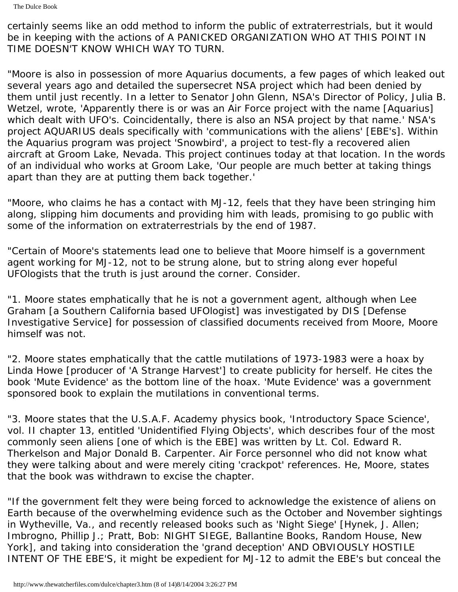The Dulce Book

certainly seems like an odd method to inform the public of extraterrestrials, but it would be in keeping with the actions of A PANICKED ORGANIZATION WHO AT THIS POINT IN TIME DOESN'T KNOW WHICH WAY TO TURN.

"Moore is also in possession of more Aquarius documents, a few pages of which leaked out several years ago and detailed the supersecret NSA project which had been denied by them until just recently. In a letter to Senator John Glenn, NSA's Director of Policy, Julia B. Wetzel, wrote, 'Apparently there is or was an Air Force project with the name [Aquarius] which dealt with UFO's. Coincidentally, there is also an NSA project by that name.' NSA's project AQUARIUS deals specifically with 'communications with the aliens' [EBE's]. Within the Aquarius program was project 'Snowbird', a project to test-fly a recovered alien aircraft at Groom Lake, Nevada. This project continues today at that location. In the words of an individual who works at Groom Lake, 'Our people are much better at taking things apart than they are at putting them back together.'

"Moore, who claims he has a contact with MJ-12, feels that they have been stringing him along, slipping him documents and providing him with leads, promising to go public with some of the information on extraterrestrials by the end of 1987.

"Certain of Moore's statements lead one to believe that Moore himself is a government agent working for MJ-12, not to be strung alone, but to string along ever hopeful UFOlogists that the truth is just around the corner. Consider.

"1. Moore states emphatically that he is not a government agent, although when Lee Graham [a Southern California based UFOlogist] was investigated by DIS [Defense Investigative Service] for possession of classified documents received from Moore, Moore himself was not.

"2. Moore states emphatically that the cattle mutilations of 1973-1983 were a hoax by Linda Howe [producer of 'A Strange Harvest'] to create publicity for herself. He cites the book 'Mute Evidence' as the bottom line of the hoax. 'Mute Evidence' was a government sponsored book to explain the mutilations in conventional terms.

"3. Moore states that the U.S.A.F. Academy physics book, 'Introductory Space Science', vol. II chapter 13, entitled 'Unidentified Flying Objects', which describes four of the most commonly seen aliens [one of which is the EBE] was written by Lt. Col. Edward R. Therkelson and Major Donald B. Carpenter. Air Force personnel who did not know what they were talking about and were merely citing 'crackpot' references. He, Moore, states that the book was withdrawn to excise the chapter.

"If the government felt they were being forced to acknowledge the existence of aliens on Earth because of the overwhelming evidence such as the October and November sightings in Wytheville, Va., and recently released books such as 'Night Siege' [Hynek, J. Allen; Imbrogno, Phillip J.; Pratt, Bob: NIGHT SIEGE, Ballantine Books, Random House, New York], and taking into consideration the 'grand deception' AND OBVIOUSLY HOSTILE INTENT OF THE EBE'S, it might be expedient for MJ-12 to admit the EBE's but conceal the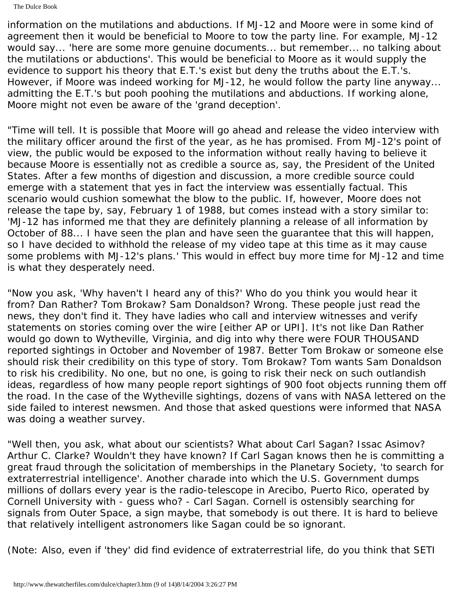The Dulce Book

information on the mutilations and abductions. If MJ-12 and Moore were in some kind of agreement then it would be beneficial to Moore to tow the party line. For example, MJ-12 would say... 'here are some more genuine documents... but remember... no talking about the mutilations or abductions'. This would be beneficial to Moore as it would supply the evidence to support his theory that E.T.'s exist but deny the truths about the E.T.'s. However, if Moore was indeed working for MJ-12, he would follow the party line anyway... admitting the E.T.'s but pooh poohing the mutilations and abductions. If working alone, Moore might not even be aware of the 'grand deception'.

"Time will tell. It is possible that Moore will go ahead and release the video interview with the military officer around the first of the year, as he has promised. From MJ-12's point of view, the public would be exposed to the information without really having to believe it because Moore is essentially not as credible a source as, say, the President of the United States. After a few months of digestion and discussion, a more credible source could emerge with a statement that yes in fact the interview was essentially factual. This scenario would cushion somewhat the blow to the public. If, however, Moore does not release the tape by, say, February 1 of 1988, but comes instead with a story similar to: 'MJ-12 has informed me that they are definitely planning a release of all information by October of 88... I have seen the plan and have seen the guarantee that this will happen, so I have decided to withhold the release of my video tape at this time as it may cause some problems with MJ-12's plans.' This would in effect buy more time for MJ-12 and time is what they desperately need.

"Now you ask, 'Why haven't I heard any of this?' Who do you think you would hear it from? Dan Rather? Tom Brokaw? Sam Donaldson? Wrong. These people just read the news, they don't find it. They have ladies who call and interview witnesses and verify statements on stories coming over the wire [either AP or UPI]. It's not like Dan Rather would go down to Wytheville, Virginia, and dig into why there were FOUR THOUSAND reported sightings in October and November of 1987. Better Tom Brokaw or someone else should risk their credibility on this type of story. Tom Brokaw? Tom wants Sam Donaldson to risk his credibility. No one, but no one, is going to risk their neck on such outlandish ideas, regardless of how many people report sightings of 900 foot objects running them off the road. In the case of the Wytheville sightings, dozens of vans with NASA lettered on the side failed to interest newsmen. And those that asked questions were informed that NASA was doing a weather survey.

"Well then, you ask, what about our scientists? What about Carl Sagan? Issac Asimov? Arthur C. Clarke? Wouldn't they have known? If Carl Sagan knows then he is committing a great fraud through the solicitation of memberships in the Planetary Society, 'to search for extraterrestrial intelligence'. Another charade into which the U.S. Government dumps millions of dollars every year is the radio-telescope in Arecibo, Puerto Rico, operated by Cornell University with - guess who? - Carl Sagan. Cornell is ostensibly searching for signals from Outer Space, a sign maybe, that somebody is out there. It is hard to believe that relatively intelligent astronomers like Sagan could be so ignorant.

(Note: Also, even if 'they' did find evidence of extraterrestrial life, do you think that SETI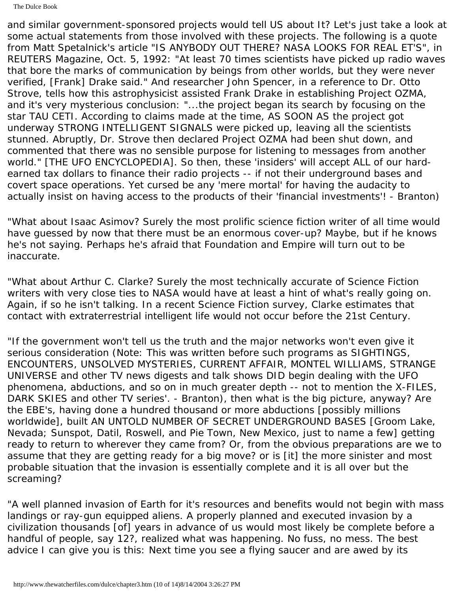and similar government-sponsored projects would tell US about It? Let's just take a look at some actual statements from those involved with these projects. The following is a quote from Matt Spetalnick's article "IS ANYBODY OUT THERE? NASA LOOKS FOR REAL ET'S", in REUTERS Magazine, Oct. 5, 1992: "At least 70 times scientists have picked up radio waves that bore the marks of communication by beings from other worlds, but they were never verified, [Frank] Drake said." And researcher John Spencer, in a reference to Dr. Otto Strove, tells how this astrophysicist assisted Frank Drake in establishing Project OZMA, and it's very mysterious conclusion: "...the project began its search by focusing on the star TAU CETI. According to claims made at the time, AS SOON AS the project got underway STRONG INTELLIGENT SIGNALS were picked up, leaving all the scientists stunned. Abruptly, Dr. Strove then declared Project OZMA had been shut down, and commented that there was no sensible purpose for listening to messages from another world." [THE UFO ENCYCLOPEDIA]. So then, these 'insiders' will accept ALL of our hardearned tax dollars to finance their radio projects -- if not their underground bases and covert space operations. Yet cursed be any 'mere mortal' for having the audacity to actually insist on having access to the products of their 'financial investments'! - Branton)

"What about Isaac Asimov? Surely the most prolific science fiction writer of all time would have guessed by now that there must be an enormous cover-up? Maybe, but if he knows he's not saying. Perhaps he's afraid that Foundation and Empire will turn out to be inaccurate.

"What about Arthur C. Clarke? Surely the most technically accurate of Science Fiction writers with very close ties to NASA would have at least a hint of what's really going on. Again, if so he isn't talking. In a recent Science Fiction survey, Clarke estimates that contact with extraterrestrial intelligent life would not occur before the 21st Century.

"If the government won't tell us the truth and the major networks won't even give it serious consideration (Note: This was written before such programs as SIGHTINGS, ENCOUNTERS, UNSOLVED MYSTERIES, CURRENT AFFAIR, MONTEL WILLIAMS, STRANGE UNIVERSE and other TV news digests and talk shows DID begin dealing with the UFO phenomena, abductions, and so on in much greater depth -- not to mention the X-FILES, DARK SKIES and other TV series'. - Branton), then what is the big picture, anyway? Are the EBE's, having done a hundred thousand or more abductions [possibly millions worldwide], built AN UNTOLD NUMBER OF SECRET UNDERGROUND BASES [Groom Lake, Nevada; Sunspot, Datil, Roswell, and Pie Town, New Mexico, just to name a few] getting ready to return to wherever they came from? Or, from the obvious preparations are we to assume that they are getting ready for a big move? or is [it] the more sinister and most probable situation that the invasion is essentially complete and it is all over but the screaming?

"A well planned invasion of Earth for it's resources and benefits would not begin with mass landings or ray-gun equipped aliens. A properly planned and executed invasion by a civilization thousands [of] years in advance of us would most likely be complete before a handful of people, say 12?, realized what was happening. No fuss, no mess. The best advice I can give you is this: Next time you see a flying saucer and are awed by its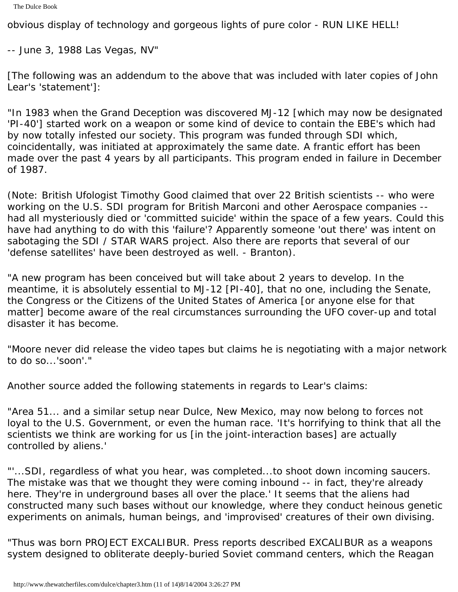obvious display of technology and gorgeous lights of pure color - RUN LIKE HELL!

-- June 3, 1988 Las Vegas, NV"

[The following was an addendum to the above that was included with later copies of John Lear's 'statement']:

"In 1983 when the Grand Deception was discovered MJ-12 [which may now be designated 'PI-40'] started work on a weapon or some kind of device to contain the EBE's which had by now totally infested our society. This program was funded through SDI which, coincidentally, was initiated at approximately the same date. A frantic effort has been made over the past 4 years by all participants. This program ended in failure in December of 1987.

(Note: British Ufologist Timothy Good claimed that over 22 British scientists -- who were working on the U.S. SDI program for British Marconi and other Aerospace companies - had all mysteriously died or 'committed suicide' within the space of a few years. Could this have had anything to do with this 'failure'? Apparently someone 'out there' was intent on sabotaging the SDI / STAR WARS project. Also there are reports that several of our 'defense satellites' have been destroyed as well. - Branton).

"A new program has been conceived but will take about 2 years to develop. In the meantime, it is absolutely essential to MJ-12 [PI-40], that no one, including the Senate, the Congress or the Citizens of the United States of America [or anyone else for that matter] become aware of the real circumstances surrounding the UFO cover-up and total disaster it has become.

"Moore never did release the video tapes but claims he is negotiating with a major network to do so...'soon'."

Another source added the following statements in regards to Lear's claims:

"Area 51... and a similar setup near Dulce, New Mexico, may now belong to forces not loyal to the U.S. Government, or even the human race. 'It's horrifying to think that all the scientists we think are working for us [in the joint-interaction bases] are actually controlled by aliens.'

"'...SDI, regardless of what you hear, was completed...to shoot down incoming saucers. The mistake was that we thought they were coming inbound -- in fact, they're already here. They're in underground bases all over the place.' It seems that the aliens had constructed many such bases without our knowledge, where they conduct heinous genetic experiments on animals, human beings, and 'improvised' creatures of their own divising.

"Thus was born PROJECT EXCALIBUR. Press reports described EXCALIBUR as a weapons system designed to obliterate deeply-buried Soviet command centers, which the Reagan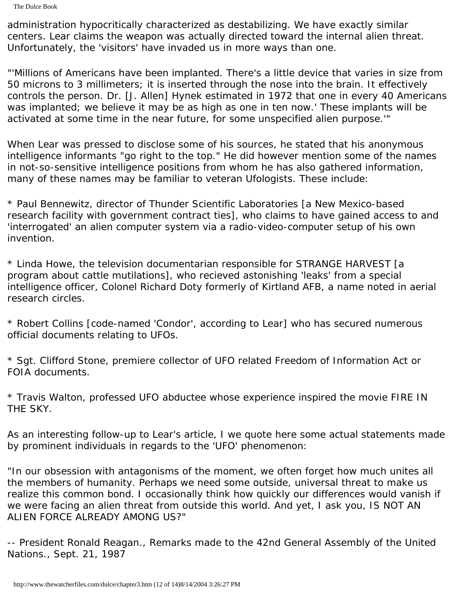The Dulce Book

administration hypocritically characterized as destabilizing. We have exactly similar centers. Lear claims the weapon was actually directed toward the internal alien threat. Unfortunately, the 'visitors' have invaded us in more ways than one.

"'Millions of Americans have been implanted. There's a little device that varies in size from 50 microns to 3 millimeters; it is inserted through the nose into the brain. It effectively controls the person. Dr. [J. Allen] Hynek estimated in 1972 that one in every 40 Americans was implanted; we believe it may be as high as one in ten now.' These implants will be activated at some time in the near future, for some unspecified alien purpose.'"

When Lear was pressed to disclose some of his sources, he stated that his anonymous intelligence informants "go right to the top." He did however mention some of the names in not-so-sensitive intelligence positions from whom he has also gathered information, many of these names may be familiar to veteran Ufologists. These include:

\* Paul Bennewitz, director of Thunder Scientific Laboratories [a New Mexico-based research facility with government contract ties], who claims to have gained access to and 'interrogated' an alien computer system via a radio-video-computer setup of his own invention.

\* Linda Howe, the television documentarian responsible for STRANGE HARVEST [a program about cattle mutilations], who recieved astonishing 'leaks' from a special intelligence officer, Colonel Richard Doty formerly of Kirtland AFB, a name noted in aerial research circles.

\* Robert Collins [code-named 'Condor', according to Lear] who has secured numerous official documents relating to UFOs.

\* Sgt. Clifford Stone, premiere collector of UFO related Freedom of Information Act or FOIA documents.

\* Travis Walton, professed UFO abductee whose experience inspired the movie FIRE IN THE SKY.

As an interesting follow-up to Lear's article, I we quote here some actual statements made by prominent individuals in regards to the 'UFO' phenomenon:

"In our obsession with antagonisms of the moment, we often forget how much unites all the members of humanity. Perhaps we need some outside, universal threat to make us realize this common bond. I occasionally think how quickly our differences would vanish if we were facing an alien threat from outside this world. And yet, I ask you, IS NOT AN ALIEN FORCE ALREADY AMONG US?"

-- President Ronald Reagan., Remarks made to the 42nd General Assembly of the United Nations., Sept. 21, 1987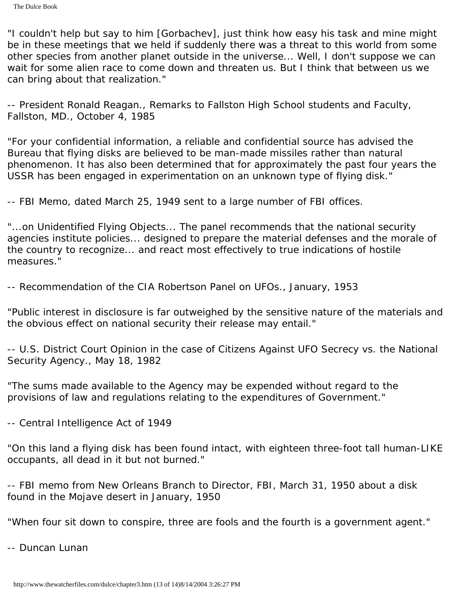"I couldn't help but say to him [Gorbachev], just think how easy his task and mine might be in these meetings that we held if suddenly there was a threat to this world from some other species from another planet outside in the universe... Well, I don't suppose we can wait for some alien race to come down and threaten us. But I think that between us we can bring about that realization."

-- President Ronald Reagan., Remarks to Fallston High School students and Faculty, Fallston, MD., October 4, 1985

"For your confidential information, a reliable and confidential source has advised the Bureau that flying disks are believed to be man-made missiles rather than natural phenomenon. It has also been determined that for approximately the past four years the USSR has been engaged in experimentation on an unknown type of flying disk."

-- FBI Memo, dated March 25, 1949 sent to a large number of FBI offices.

"...on Unidentified Flying Objects... The panel recommends that the national security agencies institute policies... designed to prepare the material defenses and the morale of the country to recognize... and react most effectively to true indications of hostile measures."

-- Recommendation of the CIA Robertson Panel on UFOs., January, 1953

"Public interest in disclosure is far outweighed by the sensitive nature of the materials and the obvious effect on national security their release may entail."

-- U.S. District Court Opinion in the case of Citizens Against UFO Secrecy vs. the National Security Agency., May 18, 1982

"The sums made available to the Agency may be expended without regard to the provisions of law and regulations relating to the expenditures of Government."

-- Central Intelligence Act of 1949

"On this land a flying disk has been found intact, with eighteen three-foot tall human-LIKE occupants, all dead in it but not burned."

-- FBI memo from New Orleans Branch to Director, FBI, March 31, 1950 about a disk found in the Mojave desert in January, 1950

"When four sit down to conspire, three are fools and the fourth is a government agent."

-- Duncan Lunan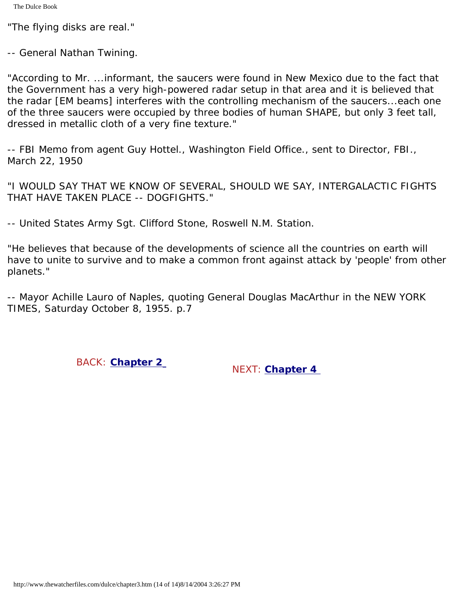"The flying disks are real."

-- General Nathan Twining.

"According to Mr. ...informant, the saucers were found in New Mexico due to the fact that the Government has a very high-powered radar setup in that area and it is believed that the radar [EM beams] interferes with the controlling mechanism of the saucers...each one of the three saucers were occupied by three bodies of human SHAPE, but only 3 feet tall, dressed in metallic cloth of a very fine texture."

-- FBI Memo from agent Guy Hottel., Washington Field Office., sent to Director, FBI., March 22, 1950

"I WOULD SAY THAT WE KNOW OF SEVERAL, SHOULD WE SAY, INTERGALACTIC FIGHTS THAT HAVE TAKEN PLACE -- DOGFIGHTS."

-- United States Army Sgt. Clifford Stone, Roswell N.M. Station.

"He believes that because of the developments of science all the countries on earth will have to unite to survive and to make a common front against attack by 'people' from other planets."

-- Mayor Achille Lauro of Naples, quoting General Douglas MacArthur in the NEW YORK TIMES, Saturday October 8, 1955. p.7

BACK: **[Chapter 2](#page-14-0)** NEXT: **[Chapter 4](#page-35-0)**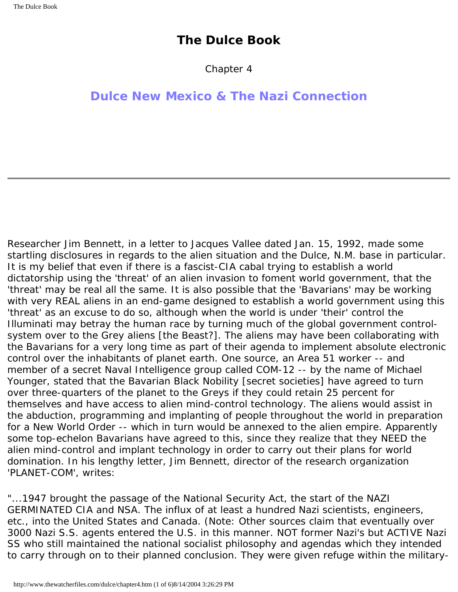Chapter 4

#### <span id="page-35-0"></span>**Dulce New Mexico & The Nazi Connection**

Researcher Jim Bennett, in a letter to Jacques Vallee dated Jan. 15, 1992, made some startling disclosures in regards to the alien situation and the Dulce, N.M. base in particular. It is my belief that even if there is a fascist-CIA cabal trying to establish a world dictatorship using the 'threat' of an alien invasion to foment world government, that the 'threat' may be real all the same. It is also possible that the 'Bavarians' may be working with very REAL aliens in an end-game designed to establish a world government using this 'threat' as an excuse to do so, although when the world is under 'their' control the Illuminati may betray the human race by turning much of the global government controlsystem over to the Grey aliens [the Beast?]. The aliens may have been collaborating with the Bavarians for a very long time as part of their agenda to implement absolute electronic control over the inhabitants of planet earth. One source, an Area 51 worker -- and member of a secret Naval Intelligence group called COM-12 -- by the name of Michael Younger, stated that the Bavarian Black Nobility [secret societies] have agreed to turn over three-quarters of the planet to the Greys if they could retain 25 percent for themselves and have access to alien mind-control technology. The aliens would assist in the abduction, programming and implanting of people throughout the world in preparation for a New World Order -- which in turn would be annexed to the alien empire. Apparently some top-echelon Bavarians have agreed to this, since they realize that they NEED the alien mind-control and implant technology in order to carry out their plans for world domination. In his lengthy letter, Jim Bennett, director of the research organization 'PLANET-COM', writes:

"...1947 brought the passage of the National Security Act, the start of the NAZI GERMINATED CIA and NSA. The influx of at least a hundred Nazi scientists, engineers, etc., into the United States and Canada. (Note: Other sources claim that eventually over 3000 Nazi S.S. agents entered the U.S. in this manner. NOT former Nazi's but ACTIVE Nazi SS who still maintained the national socialist philosophy and agendas which they intended to carry through on to their planned conclusion. They were given refuge within the military-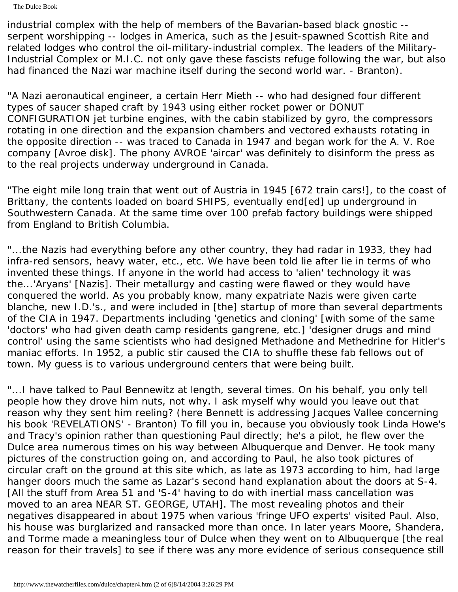The Dulce Book

industrial complex with the help of members of the Bavarian-based black gnostic - serpent worshipping -- lodges in America, such as the Jesuit-spawned Scottish Rite and related lodges who control the oil-military-industrial complex. The leaders of the Military-Industrial Complex or M.I.C. not only gave these fascists refuge following the war, but also had financed the Nazi war machine itself during the second world war. - Branton).

"A Nazi aeronautical engineer, a certain Herr Mieth -- who had designed four different types of saucer shaped craft by 1943 using either rocket power or DONUT CONFIGURATION jet turbine engines, with the cabin stabilized by gyro, the compressors rotating in one direction and the expansion chambers and vectored exhausts rotating in the opposite direction -- was traced to Canada in 1947 and began work for the A. V. Roe company [Avroe disk]. The phony AVROE 'aircar' was definitely to disinform the press as to the real projects underway underground in Canada.

"The eight mile long train that went out of Austria in 1945 [672 train cars!], to the coast of Brittany, the contents loaded on board SHIPS, eventually end[ed] up underground in Southwestern Canada. At the same time over 100 prefab factory buildings were shipped from England to British Columbia.

"...the Nazis had everything before any other country, they had radar in 1933, they had infra-red sensors, heavy water, etc., etc. We have been told lie after lie in terms of who invented these things. If anyone in the world had access to 'alien' technology it was the...'Aryans' [Nazis]. Their metallurgy and casting were flawed or they would have conquered the world. As you probably know, many expatriate Nazis were given carte blanche, new I.D.'s., and were included in [the] startup of more than several departments of the CIA in 1947. Departments including 'genetics and cloning' [with some of the same 'doctors' who had given death camp residents gangrene, etc.] 'designer drugs and mind control' using the same scientists who had designed Methadone and Methedrine for Hitler's maniac efforts. In 1952, a public stir caused the CIA to shuffle these fab fellows out of town. My guess is to various underground centers that were being built.

"...I have talked to Paul Bennewitz at length, several times. On his behalf, you only tell people how they drove him nuts, not why. I ask myself why would you leave out that reason why they sent him reeling? (here Bennett is addressing Jacques Vallee concerning his book 'REVELATIONS' - Branton) To fill you in, because you obviously took Linda Howe's and Tracy's opinion rather than questioning Paul directly; he's a pilot, he flew over the Dulce area numerous times on his way between Albuquerque and Denver. He took many pictures of the construction going on, and according to Paul, he also took pictures of circular craft on the ground at this site which, as late as 1973 according to him, had large hanger doors much the same as Lazar's second hand explanation about the doors at S-4. [All the stuff from Area 51 and 'S-4' having to do with inertial mass cancellation was moved to an area NEAR ST. GEORGE, UTAH]. The most revealing photos and their negatives disappeared in about 1975 when various 'fringe UFO experts' visited Paul. Also, his house was burglarized and ransacked more than once. In later years Moore, Shandera, and Torme made a meaningless tour of Dulce when they went on to Albuquerque [the real reason for their travels] to see if there was any more evidence of serious consequence still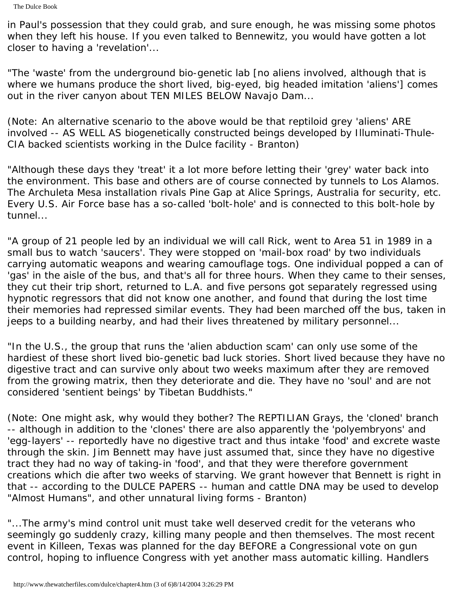in Paul's possession that they could grab, and sure enough, he was missing some photos when they left his house. If you even talked to Bennewitz, you would have gotten a lot closer to having a 'revelation'...

"The 'waste' from the underground bio-genetic lab [no aliens involved, although that is where we humans produce the short lived, big-eyed, big headed imitation 'aliens'] comes out in the river canyon about TEN MILES BELOW Navajo Dam...

(Note: An alternative scenario to the above would be that reptiloid grey 'aliens' ARE involved -- AS WELL AS biogenetically constructed beings developed by Illuminati-Thule-CIA backed scientists working in the Dulce facility - Branton)

"Although these days they 'treat' it a lot more before letting their 'grey' water back into the environment. This base and others are of course connected by tunnels to Los Alamos. The Archuleta Mesa installation rivals Pine Gap at Alice Springs, Australia for security, etc. Every U.S. Air Force base has a so-called 'bolt-hole' and is connected to this bolt-hole by tunnel...

"A group of 21 people led by an individual we will call Rick, went to Area 51 in 1989 in a small bus to watch 'saucers'. They were stopped on 'mail-box road' by two individuals carrying automatic weapons and wearing camouflage togs. One individual popped a can of 'gas' in the aisle of the bus, and that's all for three hours. When they came to their senses, they cut their trip short, returned to L.A. and five persons got separately regressed using hypnotic regressors that did not know one another, and found that during the lost time their memories had repressed similar events. They had been marched off the bus, taken in jeeps to a building nearby, and had their lives threatened by military personnel...

"In the U.S., the group that runs the 'alien abduction scam' can only use some of the hardiest of these short lived bio-genetic bad luck stories. Short lived because they have no digestive tract and can survive only about two weeks maximum after they are removed from the growing matrix, then they deteriorate and die. They have no 'soul' and are not considered 'sentient beings' by Tibetan Buddhists."

(Note: One might ask, why would they bother? The REPTILIAN Grays, the 'cloned' branch -- although in addition to the 'clones' there are also apparently the 'polyembryons' and 'egg-layers' -- reportedly have no digestive tract and thus intake 'food' and excrete waste through the skin. Jim Bennett may have just assumed that, since they have no digestive tract they had no way of taking-in 'food', and that they were therefore government creations which die after two weeks of starving. We grant however that Bennett is right in that -- according to the DULCE PAPERS -- human and cattle DNA may be used to develop "Almost Humans", and other unnatural living forms - Branton)

"...The army's mind control unit must take well deserved credit for the veterans who seemingly go suddenly crazy, killing many people and then themselves. The most recent event in Killeen, Texas was planned for the day BEFORE a Congressional vote on gun control, hoping to influence Congress with yet another mass automatic killing. Handlers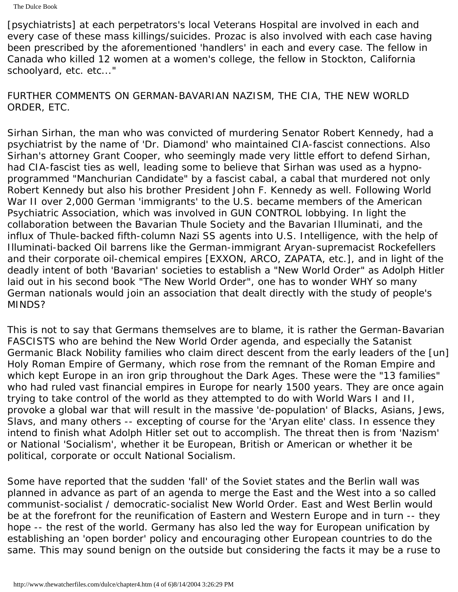[psychiatrists] at each perpetrators's local Veterans Hospital are involved in each and every case of these mass killings/suicides. Prozac is also involved with each case having been prescribed by the aforementioned 'handlers' in each and every case. The fellow in Canada who killed 12 women at a women's college, the fellow in Stockton, California schoolyard, etc. etc..."

#### FURTHER COMMENTS ON GERMAN-BAVARIAN NAZISM, THE CIA, THE NEW WORLD ORDER, ETC.

Sirhan Sirhan, the man who was convicted of murdering Senator Robert Kennedy, had a psychiatrist by the name of 'Dr. Diamond' who maintained CIA-fascist connections. Also Sirhan's attorney Grant Cooper, who seemingly made very little effort to defend Sirhan, had CIA-fascist ties as well, leading some to believe that Sirhan was used as a hypnoprogrammed "Manchurian Candidate" by a fascist cabal, a cabal that murdered not only Robert Kennedy but also his brother President John F. Kennedy as well. Following World War II over 2,000 German 'immigrants' to the U.S. became members of the American Psychiatric Association, which was involved in GUN CONTROL lobbying. In light the collaboration between the Bavarian Thule Society and the Bavarian Illuminati, and the influx of Thule-backed fifth-column Nazi SS agents into U.S. Intelligence, with the help of Illuminati-backed Oil barrens like the German-immigrant Aryan-supremacist Rockefellers and their corporate oil-chemical empires [EXXON, ARCO, ZAPATA, etc.], and in light of the deadly intent of both 'Bavarian' societies to establish a "New World Order" as Adolph Hitler laid out in his second book "The New World Order", one has to wonder WHY so many German nationals would join an association that dealt directly with the study of people's MINDS?

This is not to say that Germans themselves are to blame, it is rather the German-Bavarian FASCISTS who are behind the New World Order agenda, and especially the Satanist Germanic Black Nobility families who claim direct descent from the early leaders of the [un] Holy Roman Empire of Germany, which rose from the remnant of the Roman Empire and which kept Europe in an iron grip throughout the Dark Ages. These were the "13 families" who had ruled vast financial empires in Europe for nearly 1500 years. They are once again trying to take control of the world as they attempted to do with World Wars I and II, provoke a global war that will result in the massive 'de-population' of Blacks, Asians, Jews, Slavs, and many others -- excepting of course for the 'Aryan elite' class. In essence they intend to finish what Adolph Hitler set out to accomplish. The threat then is from 'Nazism' or National 'Socialism', whether it be European, British or American or whether it be political, corporate or occult National Socialism.

Some have reported that the sudden 'fall' of the Soviet states and the Berlin wall was planned in advance as part of an agenda to merge the East and the West into a so called communist-socialist / democratic-socialist New World Order. East and West Berlin would be at the forefront for the reunification of Eastern and Western Europe and in turn -- they hope -- the rest of the world. Germany has also led the way for European unification by establishing an 'open border' policy and encouraging other European countries to do the same. This may sound benign on the outside but considering the facts it may be a ruse to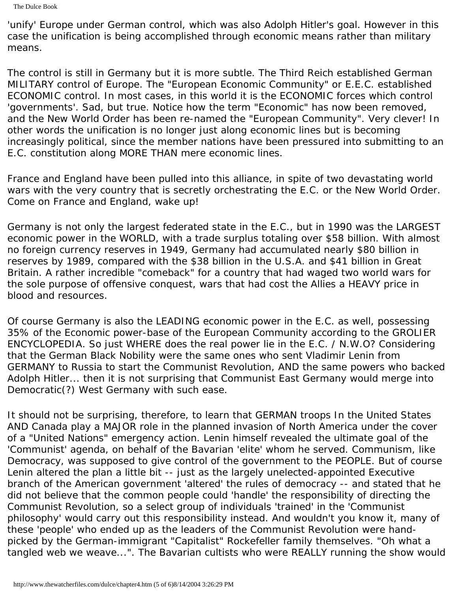'unify' Europe under German control, which was also Adolph Hitler's goal. However in this case the unification is being accomplished through economic means rather than military means.

The control is still in Germany but it is more subtle. The Third Reich established German MILITARY control of Europe. The "European Economic Community" or E.E.C. established ECONOMIC control. In most cases, in this world it is the ECONOMIC forces which control 'governments'. Sad, but true. Notice how the term "Economic" has now been removed, and the New World Order has been re-named the "European Community". Very clever! In other words the unification is no longer just along economic lines but is becoming increasingly political, since the member nations have been pressured into submitting to an E.C. constitution along MORE THAN mere economic lines.

France and England have been pulled into this alliance, in spite of two devastating world wars with the very country that is secretly orchestrating the E.C. or the New World Order. Come on France and England, wake up!

Germany is not only the largest federated state in the E.C., but in 1990 was the LARGEST economic power in the WORLD, with a trade surplus totaling over \$58 billion. With almost no foreign currency reserves in 1949, Germany had accumulated nearly \$80 billion in reserves by 1989, compared with the \$38 billion in the U.S.A. and \$41 billion in Great Britain. A rather incredible "comeback" for a country that had waged two world wars for the sole purpose of offensive conquest, wars that had cost the Allies a HEAVY price in blood and resources.

Of course Germany is also the LEADING economic power in the E.C. as well, possessing 35% of the Economic power-base of the European Community according to the GROLIER ENCYCLOPEDIA. So just WHERE does the real power lie in the E.C. / N.W.O? Considering that the German Black Nobility were the same ones who sent Vladimir Lenin from GERMANY to Russia to start the Communist Revolution, AND the same powers who backed Adolph Hitler... then it is not surprising that Communist East Germany would merge into Democratic(?) West Germany with such ease.

It should not be surprising, therefore, to learn that GERMAN troops In the United States AND Canada play a MAJOR role in the planned invasion of North America under the cover of a "United Nations" emergency action. Lenin himself revealed the ultimate goal of the 'Communist' agenda, on behalf of the Bavarian 'elite' whom he served. Communism, like Democracy, was supposed to give control of the government to the PEOPLE. But of course Lenin altered the plan a little bit -- just as the largely unelected-appointed Executive branch of the American government 'altered' the rules of democracy -- and stated that he did not believe that the common people could 'handle' the responsibility of directing the Communist Revolution, so a select group of individuals 'trained' in the 'Communist philosophy' would carry out this responsibility instead. And wouldn't you know it, many of these 'people' who ended up as the leaders of the Communist Revolution were handpicked by the German-immigrant "Capitalist" Rockefeller family themselves. "Oh what a tangled web we weave...". The Bavarian cultists who were REALLY running the show would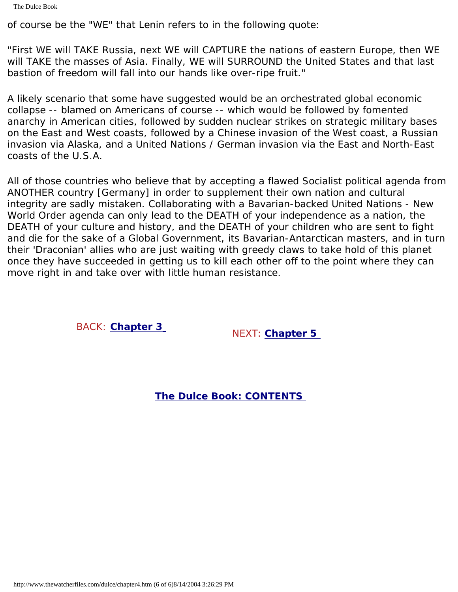of course be the "WE" that Lenin refers to in the following quote:

"First WE will TAKE Russia, next WE will CAPTURE the nations of eastern Europe, then WE will TAKE the masses of Asia. Finally, WE will SURROUND the United States and that last bastion of freedom will fall into our hands like over-ripe fruit."

A likely scenario that some have suggested would be an orchestrated global economic collapse -- blamed on Americans of course -- which would be followed by fomented anarchy in American cities, followed by sudden nuclear strikes on strategic military bases on the East and West coasts, followed by a Chinese invasion of the West coast, a Russian invasion via Alaska, and a United Nations / German invasion via the East and North-East coasts of the U.S.A.

All of those countries who believe that by accepting a flawed Socialist political agenda from ANOTHER country [Germany] in order to supplement their own nation and cultural integrity are sadly mistaken. Collaborating with a Bavarian-backed United Nations - New World Order agenda can only lead to the DEATH of your independence as a nation, the DEATH of your culture and history, and the DEATH of your children who are sent to fight and die for the sake of a Global Government, its Bavarian-Antarctican masters, and in turn their 'Draconian' allies who are just waiting with greedy claws to take hold of this planet once they have succeeded in getting us to kill each other off to the point where they can move right in and take over with little human resistance.

BACK: **[Chapter 3](#page-21-0)** NEXT: **[Chapter 5](#page-41-0)** 

**[The Dulce Book: CONTENTS](#page-0-0)**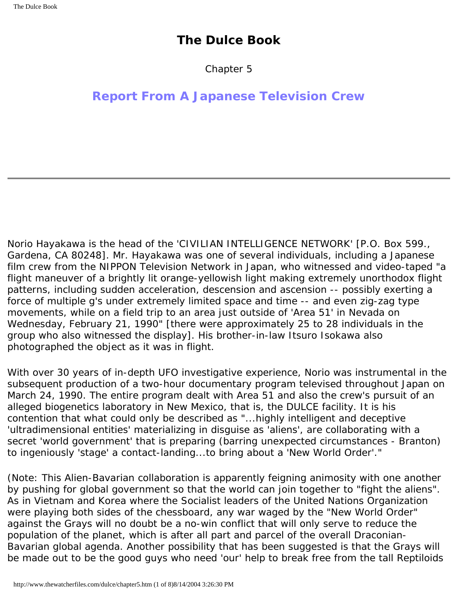Chapter 5

# <span id="page-41-0"></span>**Report From A Japanese Television Crew**

Norio Hayakawa is the head of the 'CIVILIAN INTELLIGENCE NETWORK' [P.O. Box 599., Gardena, CA 80248]. Mr. Hayakawa was one of several individuals, including a Japanese film crew from the NIPPON Television Network in Japan, who witnessed and video-taped "a flight maneuver of a brightly lit orange-yellowish light making extremely unorthodox flight patterns, including sudden acceleration, descension and ascension -- possibly exerting a force of multiple g's under extremely limited space and time -- and even zig-zag type movements, while on a field trip to an area just outside of 'Area 51' in Nevada on Wednesday, February 21, 1990" [there were approximately 25 to 28 individuals in the group who also witnessed the display]. His brother-in-law Itsuro Isokawa also photographed the object as it was in flight.

With over 30 years of in-depth UFO investigative experience, Norio was instrumental in the subsequent production of a two-hour documentary program televised throughout Japan on March 24, 1990. The entire program dealt with Area 51 and also the crew's pursuit of an alleged biogenetics laboratory in New Mexico, that is, the DULCE facility. It is his contention that what could only be described as "...highly intelligent and deceptive 'ultradimensional entities' materializing in disguise as 'aliens', are collaborating with a secret 'world government' that is preparing (barring unexpected circumstances - Branton) to ingeniously 'stage' a contact-landing...to bring about a 'New World Order'."

(Note: This Alien-Bavarian collaboration is apparently feigning animosity with one another by pushing for global government so that the world can join together to "fight the aliens". As in Vietnam and Korea where the Socialist leaders of the United Nations Organization were playing both sides of the chessboard, any war waged by the "New World Order" against the Grays will no doubt be a no-win conflict that will only serve to reduce the population of the planet, which is after all part and parcel of the overall Draconian-Bavarian global agenda. Another possibility that has been suggested is that the Grays will be made out to be the good guys who need 'our' help to break free from the tall Reptiloids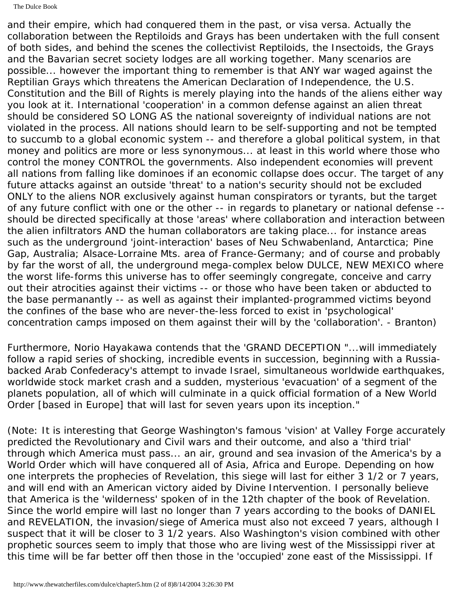and their empire, which had conquered them in the past, or visa versa. Actually the collaboration between the Reptiloids and Grays has been undertaken with the full consent of both sides, and behind the scenes the collectivist Reptiloids, the Insectoids, the Grays and the Bavarian secret society lodges are all working together. Many scenarios are possible... however the important thing to remember is that ANY war waged against the Reptilian Grays which threatens the American Declaration of Independence, the U.S. Constitution and the Bill of Rights is merely playing into the hands of the aliens either way you look at it. International 'cooperation' in a common defense against an alien threat should be considered SO LONG AS the national sovereignty of individual nations are not violated in the process. All nations should learn to be self-supporting and not be tempted to succumb to a global economic system -- and therefore a global political system, in that money and politics are more or less synonymous... at least in this world where those who control the money CONTROL the governments. Also independent economies will prevent all nations from falling like dominoes if an economic collapse does occur. The target of any future attacks against an outside 'threat' to a nation's security should not be excluded ONLY to the aliens NOR exclusively against human conspirators or tyrants, but the target of any future conflict with one or the other -- in regards to planetary or national defense - should be directed specifically at those 'areas' where collaboration and interaction between the alien infiltrators AND the human collaborators are taking place... for instance areas such as the underground 'joint-interaction' bases of Neu Schwabenland, Antarctica; Pine Gap, Australia; Alsace-Lorraine Mts. area of France-Germany; and of course and probably by far the worst of all, the underground mega-complex below DULCE, NEW MEXICO where the worst life-forms this universe has to offer seemingly congregate, conceive and carry out their atrocities against their victims -- or those who have been taken or abducted to the base permanantly -- as well as against their implanted-programmed victims beyond the confines of the base who are never-the-less forced to exist in 'psychological' concentration camps imposed on them against their will by the 'collaboration'. - Branton)

Furthermore, Norio Hayakawa contends that the 'GRAND DECEPTION "...will immediately follow a rapid series of shocking, incredible events in succession, beginning with a Russiabacked Arab Confederacy's attempt to invade Israel, simultaneous worldwide earthquakes, worldwide stock market crash and a sudden, mysterious 'evacuation' of a segment of the planets population, all of which will culminate in a quick official formation of a New World Order [based in Europe] that will last for seven years upon its inception."

(Note: It is interesting that George Washington's famous 'vision' at Valley Forge accurately predicted the Revolutionary and Civil wars and their outcome, and also a 'third trial' through which America must pass... an air, ground and sea invasion of the America's by a World Order which will have conquered all of Asia, Africa and Europe. Depending on how one interprets the prophecies of Revelation, this siege will last for either 3 1/2 or 7 years, and will end with an American victory aided by Divine Intervention. I personally believe that America is the 'wilderness' spoken of in the 12th chapter of the book of Revelation. Since the world empire will last no longer than 7 years according to the books of DANIEL and REVELATION, the invasion/siege of America must also not exceed 7 years, although I suspect that it will be closer to 3 1/2 years. Also Washington's vision combined with other prophetic sources seem to imply that those who are living west of the Mississippi river at this time will be far better off then those in the 'occupied' zone east of the Mississippi. If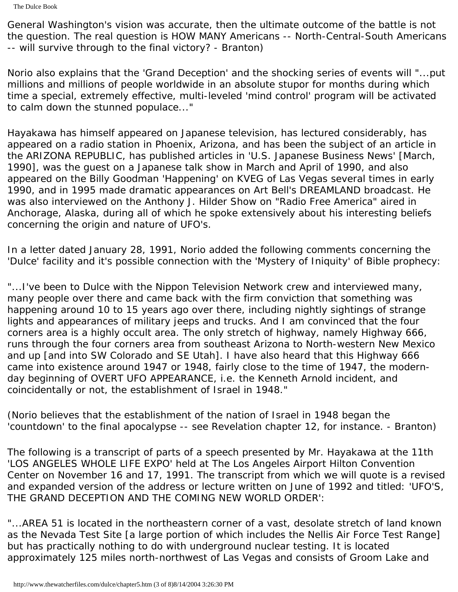The Dulce Book

General Washington's vision was accurate, then the ultimate outcome of the battle is not the question. The real question is HOW MANY Americans -- North-Central-South Americans -- will survive through to the final victory? - Branton)

Norio also explains that the 'Grand Deception' and the shocking series of events will "...put millions and millions of people worldwide in an absolute stupor for months during which time a special, extremely effective, multi-leveled 'mind control' program will be activated to calm down the stunned populace..."

Hayakawa has himself appeared on Japanese television, has lectured considerably, has appeared on a radio station in Phoenix, Arizona, and has been the subject of an article in the ARIZONA REPUBLIC, has published articles in 'U.S. Japanese Business News' [March, 1990], was the guest on a Japanese talk show in March and April of 1990, and also appeared on the Billy Goodman 'Happening' on KVEG of Las Vegas several times in early 1990, and in 1995 made dramatic appearances on Art Bell's DREAMLAND broadcast. He was also interviewed on the Anthony J. Hilder Show on "Radio Free America" aired in Anchorage, Alaska, during all of which he spoke extensively about his interesting beliefs concerning the origin and nature of UFO's.

In a letter dated January 28, 1991, Norio added the following comments concerning the 'Dulce' facility and it's possible connection with the 'Mystery of Iniquity' of Bible prophecy:

"...I've been to Dulce with the Nippon Television Network crew and interviewed many, many people over there and came back with the firm conviction that something was happening around 10 to 15 years ago over there, including nightly sightings of strange lights and appearances of military jeeps and trucks. And I am convinced that the four corners area is a highly occult area. The only stretch of highway, namely Highway 666, runs through the four corners area from southeast Arizona to North-western New Mexico and up [and into SW Colorado and SE Utah]. I have also heard that this Highway 666 came into existence around 1947 or 1948, fairly close to the time of 1947, the modernday beginning of OVERT UFO APPEARANCE, i.e. the Kenneth Arnold incident, and coincidentally or not, the establishment of Israel in 1948."

(Norio believes that the establishment of the nation of Israel in 1948 began the 'countdown' to the final apocalypse -- see Revelation chapter 12, for instance. - Branton)

The following is a transcript of parts of a speech presented by Mr. Hayakawa at the 11th 'LOS ANGELES WHOLE LIFE EXPO' held at The Los Angeles Airport Hilton Convention Center on November 16 and 17, 1991. The transcript from which we will quote is a revised and expanded version of the address or lecture written on June of 1992 and titled: 'UFO'S, THE GRAND DECEPTION AND THE COMING NEW WORLD ORDER':

"...AREA 51 is located in the northeastern corner of a vast, desolate stretch of land known as the Nevada Test Site [a large portion of which includes the Nellis Air Force Test Range] but has practically nothing to do with underground nuclear testing. It is located approximately 125 miles north-northwest of Las Vegas and consists of Groom Lake and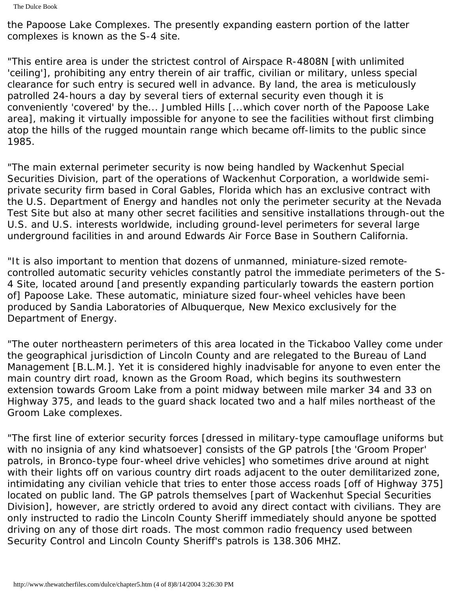the Papoose Lake Complexes. The presently expanding eastern portion of the latter complexes is known as the S-4 site.

"This entire area is under the strictest control of Airspace R-4808N [with unlimited 'ceiling'], prohibiting any entry therein of air traffic, civilian or military, unless special clearance for such entry is secured well in advance. By land, the area is meticulously patrolled 24-hours a day by several tiers of external security even though it is conveniently 'covered' by the... Jumbled Hills [...which cover north of the Papoose Lake area], making it virtually impossible for anyone to see the facilities without first climbing atop the hills of the rugged mountain range which became off-limits to the public since 1985.

"The main external perimeter security is now being handled by Wackenhut Special Securities Division, part of the operations of Wackenhut Corporation, a worldwide semiprivate security firm based in Coral Gables, Florida which has an exclusive contract with the U.S. Department of Energy and handles not only the perimeter security at the Nevada Test Site but also at many other secret facilities and sensitive installations through-out the U.S. and U.S. interests worldwide, including ground-level perimeters for several large underground facilities in and around Edwards Air Force Base in Southern California.

"It is also important to mention that dozens of unmanned, miniature-sized remotecontrolled automatic security vehicles constantly patrol the immediate perimeters of the S-4 Site, located around [and presently expanding particularly towards the eastern portion of] Papoose Lake. These automatic, miniature sized four-wheel vehicles have been produced by Sandia Laboratories of Albuquerque, New Mexico exclusively for the Department of Energy.

"The outer northeastern perimeters of this area located in the Tickaboo Valley come under the geographical jurisdiction of Lincoln County and are relegated to the Bureau of Land Management [B.L.M.]. Yet it is considered highly inadvisable for anyone to even enter the main country dirt road, known as the Groom Road, which begins its southwestern extension towards Groom Lake from a point midway between mile marker 34 and 33 on Highway 375, and leads to the guard shack located two and a half miles northeast of the Groom Lake complexes.

"The first line of exterior security forces [dressed in military-type camouflage uniforms but with no insignia of any kind whatsoever] consists of the GP patrols [the 'Groom Proper' patrols, in Bronco-type four-wheel drive vehicles] who sometimes drive around at night with their lights off on various country dirt roads adjacent to the outer demilitarized zone, intimidating any civilian vehicle that tries to enter those access roads [off of Highway 375] located on public land. The GP patrols themselves [part of Wackenhut Special Securities Division], however, are strictly ordered to avoid any direct contact with civilians. They are only instructed to radio the Lincoln County Sheriff immediately should anyone be spotted driving on any of those dirt roads. The most common radio frequency used between Security Control and Lincoln County Sheriff's patrols is 138.306 MHZ.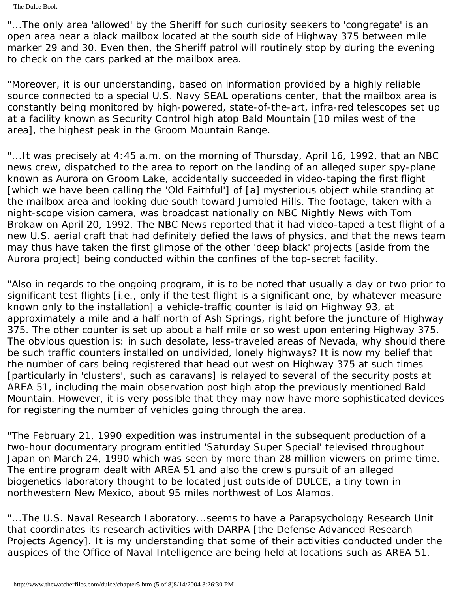The Dulce Book

"...The only area 'allowed' by the Sheriff for such curiosity seekers to 'congregate' is an open area near a black mailbox located at the south side of Highway 375 between mile marker 29 and 30. Even then, the Sheriff patrol will routinely stop by during the evening to check on the cars parked at the mailbox area.

"Moreover, it is our understanding, based on information provided by a highly reliable source connected to a special U.S. Navy SEAL operations center, that the mailbox area is constantly being monitored by high-powered, state-of-the-art, infra-red telescopes set up at a facility known as Security Control high atop Bald Mountain [10 miles west of the area], the highest peak in the Groom Mountain Range.

"...It was precisely at 4:45 a.m. on the morning of Thursday, April 16, 1992, that an NBC news crew, dispatched to the area to report on the landing of an alleged super spy-plane known as Aurora on Groom Lake, accidentally succeeded in video-taping the first flight [which we have been calling the 'Old Faithful'] of [a] mysterious object while standing at the mailbox area and looking due south toward Jumbled Hills. The footage, taken with a night-scope vision camera, was broadcast nationally on NBC Nightly News with Tom Brokaw on April 20, 1992. The NBC News reported that it had video-taped a test flight of a new U.S. aerial craft that had definitely defied the laws of physics, and that the news team may thus have taken the first glimpse of the other 'deep black' projects [aside from the Aurora project] being conducted within the confines of the top-secret facility.

"Also in regards to the ongoing program, it is to be noted that usually a day or two prior to significant test flights [i.e., only if the test flight is a significant one, by whatever measure known only to the installation] a vehicle-traffic counter is laid on Highway 93, at approximately a mile and a half north of Ash Springs, right before the juncture of Highway 375. The other counter is set up about a half mile or so west upon entering Highway 375. The obvious question is: in such desolate, less-traveled areas of Nevada, why should there be such traffic counters installed on undivided, lonely highways? It is now my belief that the number of cars being registered that head out west on Highway 375 at such times [particularly in 'clusters', such as caravans] is relayed to several of the security posts at AREA 51, including the main observation post high atop the previously mentioned Bald Mountain. However, it is very possible that they may now have more sophisticated devices for registering the number of vehicles going through the area.

"The February 21, 1990 expedition was instrumental in the subsequent production of a two-hour documentary program entitled 'Saturday Super Special' televised throughout Japan on March 24, 1990 which was seen by more than 28 million viewers on prime time. The entire program dealt with AREA 51 and also the crew's pursuit of an alleged biogenetics laboratory thought to be located just outside of DULCE, a tiny town in northwestern New Mexico, about 95 miles northwest of Los Alamos.

"...The U.S. Naval Research Laboratory...seems to have a Parapsychology Research Unit that coordinates its research activities with DARPA [the Defense Advanced Research Projects Agency]. It is my understanding that some of their activities conducted under the auspices of the Office of Naval Intelligence are being held at locations such as AREA 51.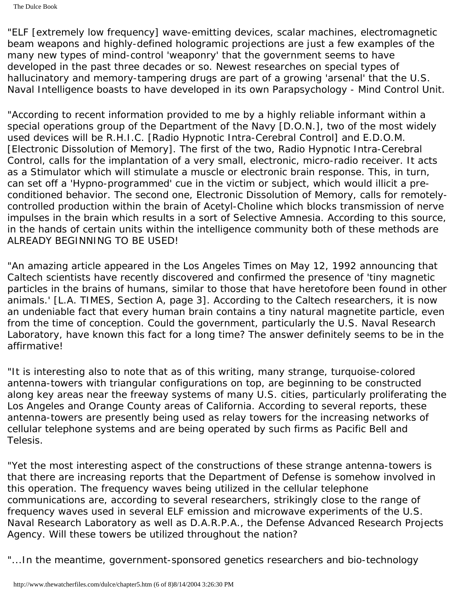"ELF [extremely low frequency] wave-emitting devices, scalar machines, electromagnetic beam weapons and highly-defined hologramic projections are just a few examples of the many new types of mind-control 'weaponry' that the government seems to have developed in the past three decades or so. Newest researches on special types of hallucinatory and memory-tampering drugs are part of a growing 'arsenal' that the U.S. Naval Intelligence boasts to have developed in its own Parapsychology - Mind Control Unit.

"According to recent information provided to me by a highly reliable informant within a special operations group of the Department of the Navy [D.O.N.], two of the most widely used devices will be R.H.I.C. [Radio Hypnotic Intra-Cerebral Control] and E.D.O.M. [Electronic Dissolution of Memory]. The first of the two, Radio Hypnotic Intra-Cerebral Control, calls for the implantation of a very small, electronic, micro-radio receiver. It acts as a Stimulator which will stimulate a muscle or electronic brain response. This, in turn, can set off a 'Hypno-programmed' cue in the victim or subject, which would illicit a preconditioned behavior. The second one, Electronic Dissolution of Memory, calls for remotelycontrolled production within the brain of Acetyl-Choline which blocks transmission of nerve impulses in the brain which results in a sort of Selective Amnesia. According to this source, in the hands of certain units within the intelligence community both of these methods are ALREADY BEGINNING TO BE USED!

"An amazing article appeared in the Los Angeles Times on May 12, 1992 announcing that Caltech scientists have recently discovered and confirmed the presence of 'tiny magnetic particles in the brains of humans, similar to those that have heretofore been found in other animals.' [L.A. TIMES, Section A, page 3]. According to the Caltech researchers, it is now an undeniable fact that every human brain contains a tiny natural magnetite particle, even from the time of conception. Could the government, particularly the U.S. Naval Research Laboratory, have known this fact for a long time? The answer definitely seems to be in the affirmative!

"It is interesting also to note that as of this writing, many strange, turquoise-colored antenna-towers with triangular configurations on top, are beginning to be constructed along key areas near the freeway systems of many U.S. cities, particularly proliferating the Los Angeles and Orange County areas of California. According to several reports, these antenna-towers are presently being used as relay towers for the increasing networks of cellular telephone systems and are being operated by such firms as Pacific Bell and Telesis.

"Yet the most interesting aspect of the constructions of these strange antenna-towers is that there are increasing reports that the Department of Defense is somehow involved in this operation. The frequency waves being utilized in the cellular telephone communications are, according to several researchers, strikingly close to the range of frequency waves used in several ELF emission and microwave experiments of the U.S. Naval Research Laboratory as well as D.A.R.P.A., the Defense Advanced Research Projects Agency. Will these towers be utilized throughout the nation?

"...In the meantime, government-sponsored genetics researchers and bio-technology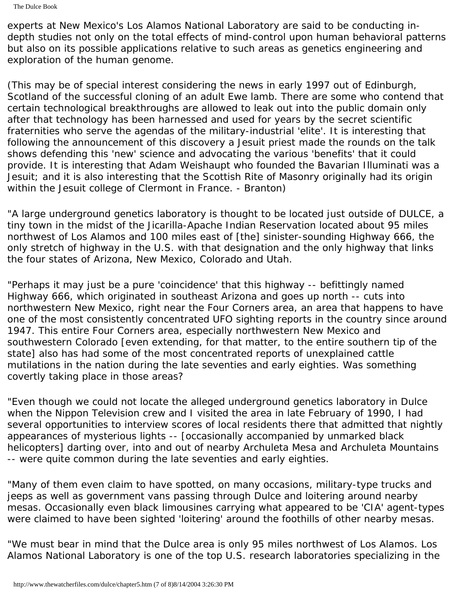The Dulce Book

experts at New Mexico's Los Alamos National Laboratory are said to be conducting indepth studies not only on the total effects of mind-control upon human behavioral patterns but also on its possible applications relative to such areas as genetics engineering and exploration of the human genome.

(This may be of special interest considering the news in early 1997 out of Edinburgh, Scotland of the successful cloning of an adult Ewe lamb. There are some who contend that certain technological breakthroughs are allowed to leak out into the public domain only after that technology has been harnessed and used for years by the secret scientific fraternities who serve the agendas of the military-industrial 'elite'. It is interesting that following the announcement of this discovery a Jesuit priest made the rounds on the talk shows defending this 'new' science and advocating the various 'benefits' that it could provide. It is interesting that Adam Weishaupt who founded the Bavarian Illuminati was a Jesuit; and it is also interesting that the Scottish Rite of Masonry originally had its origin within the Jesuit college of Clermont in France. - Branton)

"A large underground genetics laboratory is thought to be located just outside of DULCE, a tiny town in the midst of the Jicarilla-Apache Indian Reservation located about 95 miles northwest of Los Alamos and 100 miles east of [the] sinister-sounding Highway 666, the only stretch of highway in the U.S. with that designation and the only highway that links the four states of Arizona, New Mexico, Colorado and Utah.

"Perhaps it may just be a pure 'coincidence' that this highway -- befittingly named Highway 666, which originated in southeast Arizona and goes up north -- cuts into northwestern New Mexico, right near the Four Corners area, an area that happens to have one of the most consistently concentrated UFO sighting reports in the country since around 1947. This entire Four Corners area, especially northwestern New Mexico and southwestern Colorado [even extending, for that matter, to the entire southern tip of the state] also has had some of the most concentrated reports of unexplained cattle mutilations in the nation during the late seventies and early eighties. Was something covertly taking place in those areas?

"Even though we could not locate the alleged underground genetics laboratory in Dulce when the Nippon Television crew and I visited the area in late February of 1990, I had several opportunities to interview scores of local residents there that admitted that nightly appearances of mysterious lights -- [occasionally accompanied by unmarked black helicopters] darting over, into and out of nearby Archuleta Mesa and Archuleta Mountains -- were quite common during the late seventies and early eighties.

"Many of them even claim to have spotted, on many occasions, military-type trucks and jeeps as well as government vans passing through Dulce and loitering around nearby mesas. Occasionally even black limousines carrying what appeared to be 'CIA' agent-types were claimed to have been sighted 'loitering' around the foothills of other nearby mesas.

"We must bear in mind that the Dulce area is only 95 miles northwest of Los Alamos. Los Alamos National Laboratory is one of the top U.S. research laboratories specializing in the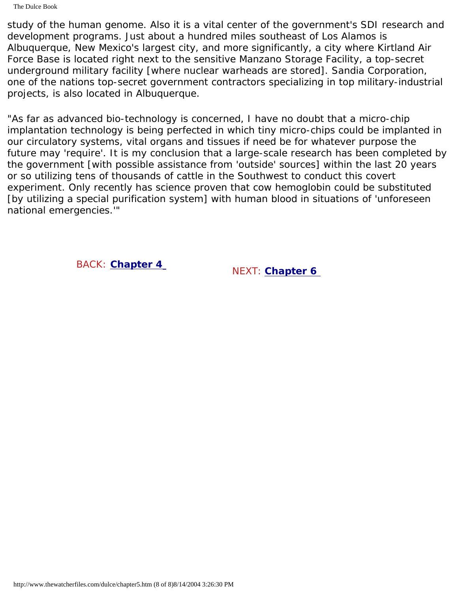study of the human genome. Also it is a vital center of the government's SDI research and development programs. Just about a hundred miles southeast of Los Alamos is Albuquerque, New Mexico's largest city, and more significantly, a city where Kirtland Air Force Base is located right next to the sensitive Manzano Storage Facility, a top-secret underground military facility [where nuclear warheads are stored]. Sandia Corporation, one of the nations top-secret government contractors specializing in top military-industrial projects, is also located in Albuquerque.

"As far as advanced bio-technology is concerned, I have no doubt that a micro-chip implantation technology is being perfected in which tiny micro-chips could be implanted in our circulatory systems, vital organs and tissues if need be for whatever purpose the future may 'require'. It is my conclusion that a large-scale research has been completed by the government [with possible assistance from 'outside' sources] within the last 20 years or so utilizing tens of thousands of cattle in the Southwest to conduct this covert experiment. Only recently has science proven that cow hemoglobin could be substituted [by utilizing a special purification system] with human blood in situations of 'unforeseen national emergencies.'"

BACK: **[Chapter 4](#page-35-0)** NEXT: **[Chapter 6](#page-49-0)**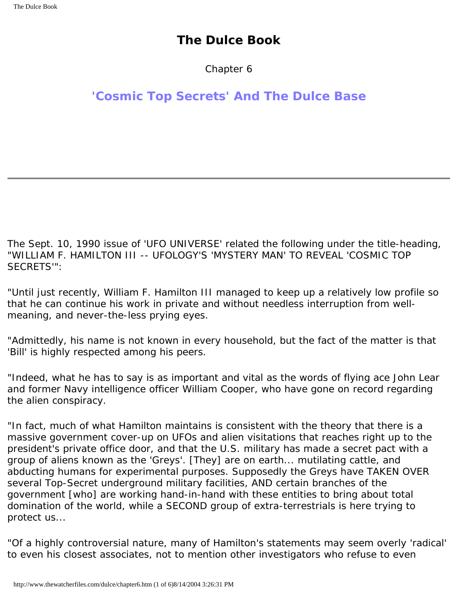Chapter 6

# <span id="page-49-0"></span>**'Cosmic Top Secrets' And The Dulce Base**

The Sept. 10, 1990 issue of 'UFO UNIVERSE' related the following under the title-heading, "WILLIAM F. HAMILTON III -- UFOLOGY'S 'MYSTERY MAN' TO REVEAL 'COSMIC TOP SECRETS'":

"Until just recently, William F. Hamilton III managed to keep up a relatively low profile so that he can continue his work in private and without needless interruption from wellmeaning, and never-the-less prying eyes.

"Admittedly, his name is not known in every household, but the fact of the matter is that 'Bill' is highly respected among his peers.

"Indeed, what he has to say is as important and vital as the words of flying ace John Lear and former Navy intelligence officer William Cooper, who have gone on record regarding the alien conspiracy.

"In fact, much of what Hamilton maintains is consistent with the theory that there is a massive government cover-up on UFOs and alien visitations that reaches right up to the president's private office door, and that the U.S. military has made a secret pact with a group of aliens known as the 'Greys'. [They] are on earth... mutilating cattle, and abducting humans for experimental purposes. Supposedly the Greys have TAKEN OVER several Top-Secret underground military facilities, AND certain branches of the government [who] are working hand-in-hand with these entities to bring about total domination of the world, while a SECOND group of extra-terrestrials is here trying to protect us...

"Of a highly controversial nature, many of Hamilton's statements may seem overly 'radical' to even his closest associates, not to mention other investigators who refuse to even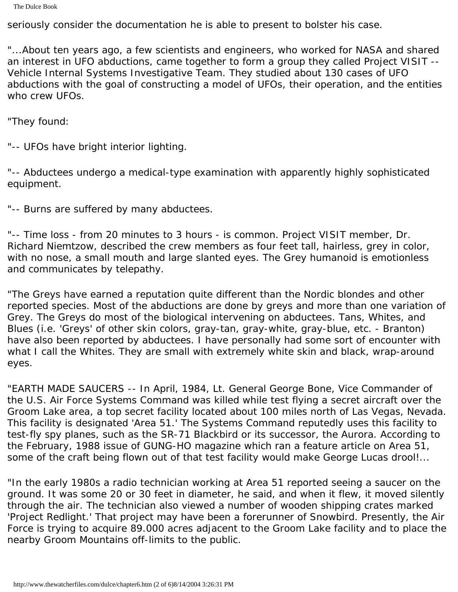seriously consider the documentation he is able to present to bolster his case.

"...About ten years ago, a few scientists and engineers, who worked for NASA and shared an interest in UFO abductions, came together to form a group they called Project VISIT -- Vehicle Internal Systems Investigative Team. They studied about 130 cases of UFO abductions with the goal of constructing a model of UFOs, their operation, and the entities who crew UFOs.

"They found:

"-- UFOs have bright interior lighting.

"-- Abductees undergo a medical-type examination with apparently highly sophisticated equipment.

"-- Burns are suffered by many abductees.

"-- Time loss - from 20 minutes to 3 hours - is common. Project VISIT member, Dr. Richard Niemtzow, described the crew members as four feet tall, hairless, grey in color, with no nose, a small mouth and large slanted eyes. The Grey humanoid is emotionless and communicates by telepathy.

"The Greys have earned a reputation quite different than the Nordic blondes and other reported species. Most of the abductions are done by greys and more than one variation of Grey. The Greys do most of the biological intervening on abductees. Tans, Whites, and Blues (i.e. 'Greys' of other skin colors, gray-tan, gray-white, gray-blue, etc. - Branton) have also been reported by abductees. I have personally had some sort of encounter with what I call the Whites. They are small with extremely white skin and black, wrap-around eyes.

"EARTH MADE SAUCERS -- In April, 1984, Lt. General George Bone, Vice Commander of the U.S. Air Force Systems Command was killed while test flying a secret aircraft over the Groom Lake area, a top secret facility located about 100 miles north of Las Vegas, Nevada. This facility is designated 'Area 51.' The Systems Command reputedly uses this facility to test-fly spy planes, such as the SR-71 Blackbird or its successor, the Aurora. According to the February, 1988 issue of GUNG-HO magazine which ran a feature article on Area 51, some of the craft being flown out of that test facility would make George Lucas drool!...

"In the early 1980s a radio technician working at Area 51 reported seeing a saucer on the ground. It was some 20 or 30 feet in diameter, he said, and when it flew, it moved silently through the air. The technician also viewed a number of wooden shipping crates marked 'Project Redlight.' That project may have been a forerunner of Snowbird. Presently, the Air Force is trying to acquire 89.000 acres adjacent to the Groom Lake facility and to place the nearby Groom Mountains off-limits to the public.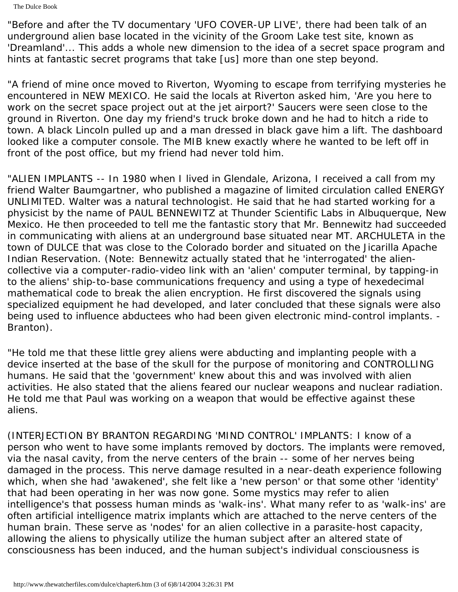"Before and after the TV documentary 'UFO COVER-UP LIVE', there had been talk of an underground alien base located in the vicinity of the Groom Lake test site, known as 'Dreamland'... This adds a whole new dimension to the idea of a secret space program and hints at fantastic secret programs that take [us] more than one step beyond.

"A friend of mine once moved to Riverton, Wyoming to escape from terrifying mysteries he encountered in NEW MEXICO. He said the locals at Riverton asked him, 'Are you here to work on the secret space project out at the jet airport?' Saucers were seen close to the ground in Riverton. One day my friend's truck broke down and he had to hitch a ride to town. A black Lincoln pulled up and a man dressed in black gave him a lift. The dashboard looked like a computer console. The MIB knew exactly where he wanted to be left off in front of the post office, but my friend had never told him.

"ALIEN IMPLANTS -- In 1980 when I lived in Glendale, Arizona, I received a call from my friend Walter Baumgartner, who published a magazine of limited circulation called ENERGY UNLIMITED. Walter was a natural technologist. He said that he had started working for a physicist by the name of PAUL BENNEWITZ at Thunder Scientific Labs in Albuquerque, New Mexico. He then proceeded to tell me the fantastic story that Mr. Bennewitz had succeeded in communicating with aliens at an underground base situated near MT. ARCHULETA in the town of DULCE that was close to the Colorado border and situated on the Jicarilla Apache Indian Reservation. (Note: Bennewitz actually stated that he 'interrogated' the aliencollective via a computer-radio-video link with an 'alien' computer terminal, by tapping-in to the aliens' ship-to-base communications frequency and using a type of hexedecimal mathematical code to break the alien encryption. He first discovered the signals using specialized equipment he had developed, and later concluded that these signals were also being used to influence abductees who had been given electronic mind-control implants. - Branton).

"He told me that these little grey aliens were abducting and implanting people with a device inserted at the base of the skull for the purpose of monitoring and CONTROLLING humans. He said that the 'government' knew about this and was involved with alien activities. He also stated that the aliens feared our nuclear weapons and nuclear radiation. He told me that Paul was working on a weapon that would be effective against these aliens.

(INTERJECTION BY BRANTON REGARDING 'MIND CONTROL' IMPLANTS: I know of a person who went to have some implants removed by doctors. The implants were removed, via the nasal cavity, from the nerve centers of the brain -- some of her nerves being damaged in the process. This nerve damage resulted in a near-death experience following which, when she had 'awakened', she felt like a 'new person' or that some other 'identity' that had been operating in her was now gone. Some mystics may refer to alien intelligence's that possess human minds as 'walk-ins'. What many refer to as 'walk-ins' are often artificial intelligence matrix implants which are attached to the nerve centers of the human brain. These serve as 'nodes' for an alien collective in a parasite-host capacity, allowing the aliens to physically utilize the human subject after an altered state of consciousness has been induced, and the human subject's individual consciousness is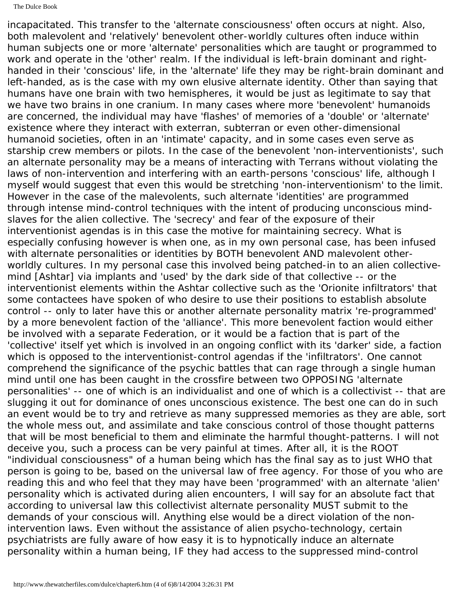incapacitated. This transfer to the 'alternate consciousness' often occurs at night. Also, both malevolent and 'relatively' benevolent other-worldly cultures often induce within human subjects one or more 'alternate' personalities which are taught or programmed to work and operate in the 'other' realm. If the individual is left-brain dominant and righthanded in their 'conscious' life, in the 'alternate' life they may be right-brain dominant and left-handed, as is the case with my own elusive alternate identity. Other than saying that humans have one brain with two hemispheres, it would be just as legitimate to say that we have two brains in one cranium. In many cases where more 'benevolent' humanoids are concerned, the individual may have 'flashes' of memories of a 'double' or 'alternate' existence where they interact with exterran, subterran or even other-dimensional humanoid societies, often in an 'intimate' capacity, and in some cases even serve as starship crew members or pilots. In the case of the benevolent 'non-interventionists', such an alternate personality may be a means of interacting with Terrans without violating the laws of non-intervention and interfering with an earth-persons 'conscious' life, although I myself would suggest that even this would be stretching 'non-interventionism' to the limit. However in the case of the malevolents, such alternate 'identities' are programmed through intense mind-control techniques with the intent of producing unconscious mindslaves for the alien collective. The 'secrecy' and fear of the exposure of their interventionist agendas is in this case the motive for maintaining secrecy. What is especially confusing however is when one, as in my own personal case, has been infused with alternate personalities or identities by BOTH benevolent AND malevolent otherworldly cultures. In my personal case this involved being patched-in to an alien collectivemind [Ashtar] via implants and 'used' by the dark side of that collective -- or the interventionist elements within the Ashtar collective such as the 'Orionite infiltrators' that some contactees have spoken of who desire to use their positions to establish absolute control -- only to later have this or another alternate personality matrix 're-programmed' by a more benevolent faction of the 'alliance'. This more benevolent faction would either be involved with a separate Federation, or it would be a faction that is part of the 'collective' itself yet which is involved in an ongoing conflict with its 'darker' side, a faction which is opposed to the interventionist-control agendas if the 'infiltrators'. One cannot comprehend the significance of the psychic battles that can rage through a single human mind until one has been caught in the crossfire between two OPPOSING 'alternate personalities' -- one of which is an individualist and one of which is a collectivist -- that are slugging it out for dominance of ones unconscious existence. The best one can do in such an event would be to try and retrieve as many suppressed memories as they are able, sort the whole mess out, and assimilate and take conscious control of those thought patterns that will be most beneficial to them and eliminate the harmful thought-patterns. I will not deceive you, such a process can be very painful at times. After all, it is the ROOT "individual consciousness" of a human being which has the final say as to just WHO that person is going to be, based on the universal law of free agency. For those of you who are reading this and who feel that they may have been 'programmed' with an alternate 'alien' personality which is activated during alien encounters, I will say for an absolute fact that according to universal law this collectivist alternate personality MUST submit to the demands of your conscious will. Anything else would be a direct violation of the nonintervention laws. Even without the assistance of alien psycho-technology, certain psychiatrists are fully aware of how easy it is to hypnotically induce an alternate personality within a human being, IF they had access to the suppressed mind-control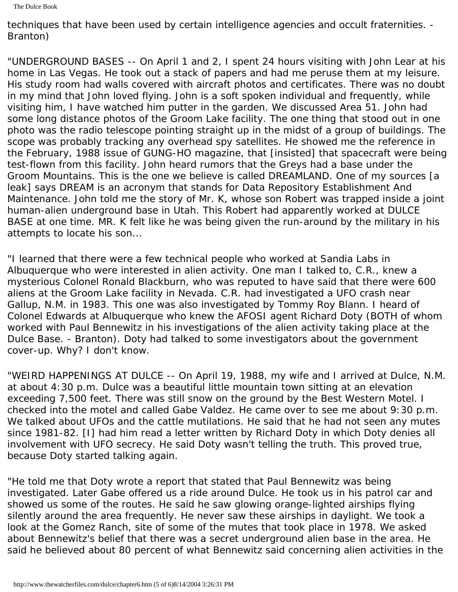techniques that have been used by certain intelligence agencies and occult fraternities. - Branton)

"UNDERGROUND BASES -- On April 1 and 2, I spent 24 hours visiting with John Lear at his home in Las Vegas. He took out a stack of papers and had me peruse them at my leisure. His study room had walls covered with aircraft photos and certificates. There was no doubt in my mind that John loved flying. John is a soft spoken individual and frequently, while visiting him, I have watched him putter in the garden. We discussed Area 51. John had some long distance photos of the Groom Lake facility. The one thing that stood out in one photo was the radio telescope pointing straight up in the midst of a group of buildings. The scope was probably tracking any overhead spy satellites. He showed me the reference in the February, 1988 issue of GUNG-HO magazine, that [insisted] that spacecraft were being test-flown from this facility. John heard rumors that the Greys had a base under the Groom Mountains. This is the one we believe is called DREAMLAND. One of my sources [a leak] says DREAM is an acronym that stands for Data Repository Establishment And Maintenance. John told me the story of Mr. K, whose son Robert was trapped inside a joint human-alien underground base in Utah. This Robert had apparently worked at DULCE BASE at one time. MR. K felt like he was being given the run-around by the military in his attempts to locate his son...

"I learned that there were a few technical people who worked at Sandia Labs in Albuquerque who were interested in alien activity. One man I talked to, C.R., knew a mysterious Colonel Ronald Blackburn, who was reputed to have said that there were 600 aliens at the Groom Lake facility in Nevada. C.R. had investigated a UFO crash near Gallup, N.M. in 1983. This one was also investigated by Tommy Roy Blann. I heard of Colonel Edwards at Albuquerque who knew the AFOSI agent Richard Doty (BOTH of whom worked with Paul Bennewitz in his investigations of the alien activity taking place at the Dulce Base. - Branton). Doty had talked to some investigators about the government cover-up. Why? I don't know.

"WEIRD HAPPENINGS AT DULCE -- On April 19, 1988, my wife and I arrived at Dulce, N.M. at about 4:30 p.m. Dulce was a beautiful little mountain town sitting at an elevation exceeding 7,500 feet. There was still snow on the ground by the Best Western Motel. I checked into the motel and called Gabe Valdez. He came over to see me about 9:30 p.m. We talked about UFOs and the cattle mutilations. He said that he had not seen any mutes since 1981-82. [I] had him read a letter written by Richard Doty in which Doty denies all involvement with UFO secrecy. He said Doty wasn't telling the truth. This proved true, because Doty started talking again.

"He told me that Doty wrote a report that stated that Paul Bennewitz was being investigated. Later Gabe offered us a ride around Dulce. He took us in his patrol car and showed us some of the routes. He said he saw glowing orange-lighted airships flying silently around the area frequently. He never saw these airships in daylight. We took a look at the Gomez Ranch, site of some of the mutes that took place in 1978. We asked about Bennewitz's belief that there was a secret underground alien base in the area. He said he believed about 80 percent of what Bennewitz said concerning alien activities in the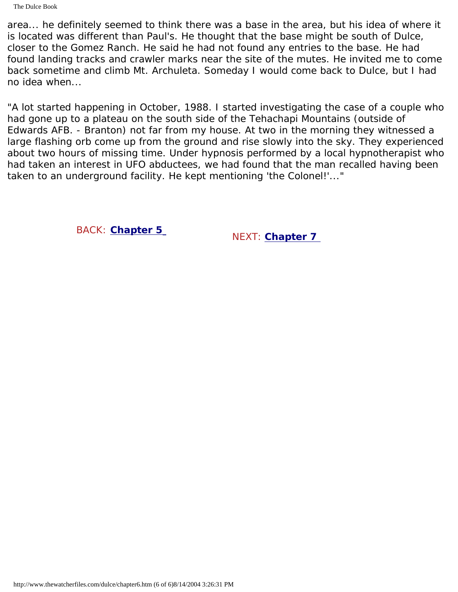area... he definitely seemed to think there was a base in the area, but his idea of where it is located was different than Paul's. He thought that the base might be south of Dulce, closer to the Gomez Ranch. He said he had not found any entries to the base. He had found landing tracks and crawler marks near the site of the mutes. He invited me to come back sometime and climb Mt. Archuleta. Someday I would come back to Dulce, but I had no idea when...

"A lot started happening in October, 1988. I started investigating the case of a couple who had gone up to a plateau on the south side of the Tehachapi Mountains (outside of Edwards AFB. - Branton) not far from my house. At two in the morning they witnessed a large flashing orb come up from the ground and rise slowly into the sky. They experienced about two hours of missing time. Under hypnosis performed by a local hypnotherapist who had taken an interest in UFO abductees, we had found that the man recalled having been taken to an underground facility. He kept mentioning 'the Colonel!'..."

BACK: **[Chapter 5](#page-41-0)** NEXT: **[Chapter 7](#page-55-0)**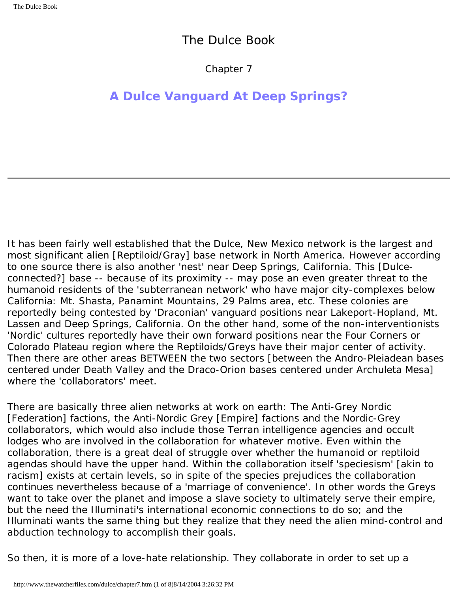Chapter 7

# <span id="page-55-0"></span>**A Dulce Vanguard At Deep Springs?**

It has been fairly well established that the Dulce, New Mexico network is the largest and most significant alien [Reptiloid/Gray] base network in North America. However according to one source there is also another 'nest' near Deep Springs, California. This [Dulceconnected?] base -- because of its proximity -- may pose an even greater threat to the humanoid residents of the 'subterranean network' who have major city-complexes below California: Mt. Shasta, Panamint Mountains, 29 Palms area, etc. These colonies are reportedly being contested by 'Draconian' vanguard positions near Lakeport-Hopland, Mt. Lassen and Deep Springs, California. On the other hand, some of the non-interventionists 'Nordic' cultures reportedly have their own forward positions near the Four Corners or Colorado Plateau region where the Reptiloids/Greys have their major center of activity. Then there are other areas BETWEEN the two sectors [between the Andro-Pleiadean bases centered under Death Valley and the Draco-Orion bases centered under Archuleta Mesa] where the 'collaborators' meet.

There are basically three alien networks at work on earth: The Anti-Grey Nordic [Federation] factions, the Anti-Nordic Grey [Empire] factions and the Nordic-Grey collaborators, which would also include those Terran intelligence agencies and occult lodges who are involved in the collaboration for whatever motive. Even within the collaboration, there is a great deal of struggle over whether the humanoid or reptiloid agendas should have the upper hand. Within the collaboration itself 'speciesism' [akin to racism] exists at certain levels, so in spite of the species prejudices the collaboration continues nevertheless because of a 'marriage of convenience'. In other words the Greys want to take over the planet and impose a slave society to ultimately serve their empire, but the need the Illuminati's international economic connections to do so; and the Illuminati wants the same thing but they realize that they need the alien mind-control and abduction technology to accomplish their goals.

So then, it is more of a love-hate relationship. They collaborate in order to set up a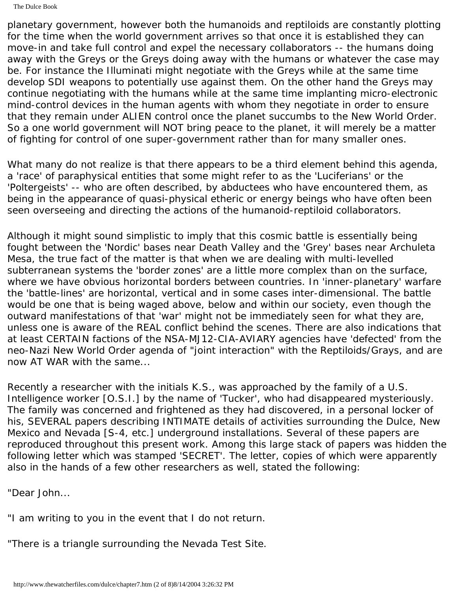The Dulce Book

planetary government, however both the humanoids and reptiloids are constantly plotting for the time when the world government arrives so that once it is established they can move-in and take full control and expel the necessary collaborators -- the humans doing away with the Greys or the Greys doing away with the humans or whatever the case may be. For instance the Illuminati might negotiate with the Greys while at the same time develop SDI weapons to potentially use against them. On the other hand the Greys may continue negotiating with the humans while at the same time implanting micro-electronic mind-control devices in the human agents with whom they negotiate in order to ensure that they remain under ALIEN control once the planet succumbs to the New World Order. So a one world government will NOT bring peace to the planet, it will merely be a matter of fighting for control of one super-government rather than for many smaller ones.

What many do not realize is that there appears to be a third element behind this agenda, a 'race' of paraphysical entities that some might refer to as the 'Luciferians' or the 'Poltergeists' -- who are often described, by abductees who have encountered them, as being in the appearance of quasi-physical etheric or energy beings who have often been seen overseeing and directing the actions of the humanoid-reptiloid collaborators.

Although it might sound simplistic to imply that this cosmic battle is essentially being fought between the 'Nordic' bases near Death Valley and the 'Grey' bases near Archuleta Mesa, the true fact of the matter is that when we are dealing with multi-levelled subterranean systems the 'border zones' are a little more complex than on the surface, where we have obvious horizontal borders between countries. In 'inner-planetary' warfare the 'battle-lines' are horizontal, vertical and in some cases inter-dimensional. The battle would be one that is being waged above, below and within our society, even though the outward manifestations of that 'war' might not be immediately seen for what they are, unless one is aware of the REAL conflict behind the scenes. There are also indications that at least CERTAIN factions of the NSA-MJ12-CIA-AVIARY agencies have 'defected' from the neo-Nazi New World Order agenda of "joint interaction" with the Reptiloids/Grays, and are now AT WAR with the same...

Recently a researcher with the initials K.S., was approached by the family of a U.S. Intelligence worker [O.S.I.] by the name of 'Tucker', who had disappeared mysteriously. The family was concerned and frightened as they had discovered, in a personal locker of his, SEVERAL papers describing INTIMATE details of activities surrounding the Dulce, New Mexico and Nevada [S-4, etc.] underground installations. Several of these papers are reproduced throughout this present work. Among this large stack of papers was hidden the following letter which was stamped 'SECRET'. The letter, copies of which were apparently also in the hands of a few other researchers as well, stated the following:

"Dear John...

"I am writing to you in the event that I do not return.

"There is a triangle surrounding the Nevada Test Site.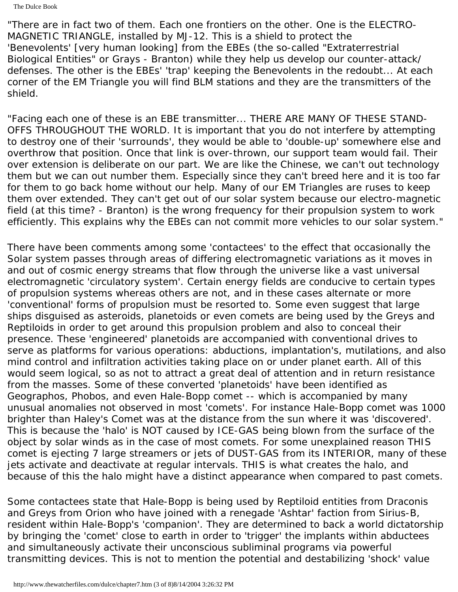"There are in fact two of them. Each one frontiers on the other. One is the ELECTRO-MAGNETIC TRIANGLE, installed by MJ-12. This is a shield to protect the 'Benevolents' [very human looking] from the EBEs (the so-called "Extraterrestrial Biological Entities" or Grays - Branton) while they help us develop our counter-attack/ defenses. The other is the EBEs' 'trap' keeping the Benevolents in the redoubt... At each corner of the EM Triangle you will find BLM stations and they are the transmitters of the shield.

"Facing each one of these is an EBE transmitter... THERE ARE MANY OF THESE STAND-OFFS THROUGHOUT THE WORLD. It is important that you do not interfere by attempting to destroy one of their 'surrounds', they would be able to 'double-up' somewhere else and overthrow that position. Once that link is over-thrown, our support team would fail. Their over extension is deliberate on our part. We are like the Chinese, we can't out technology them but we can out number them. Especially since they can't breed here and it is too far for them to go back home without our help. Many of our EM Triangles are ruses to keep them over extended. They can't get out of our solar system because our electro-magnetic field (at this time? - Branton) is the wrong frequency for their propulsion system to work efficiently. This explains why the EBEs can not commit more vehicles to our solar system."

There have been comments among some 'contactees' to the effect that occasionally the Solar system passes through areas of differing electromagnetic variations as it moves in and out of cosmic energy streams that flow through the universe like a vast universal electromagnetic 'circulatory system'. Certain energy fields are conducive to certain types of propulsion systems whereas others are not, and in these cases alternate or more 'conventional' forms of propulsion must be resorted to. Some even suggest that large ships disguised as asteroids, planetoids or even comets are being used by the Greys and Reptiloids in order to get around this propulsion problem and also to conceal their presence. These 'engineered' planetoids are accompanied with conventional drives to serve as platforms for various operations: abductions, implantation's, mutilations, and also mind control and infiltration activities taking place on or under planet earth. All of this would seem logical, so as not to attract a great deal of attention and in return resistance from the masses. Some of these converted 'planetoids' have been identified as Geographos, Phobos, and even Hale-Bopp comet -- which is accompanied by many unusual anomalies not observed in most 'comets'. For instance Hale-Bopp comet was 1000 brighter than Haley's Comet was at the distance from the sun where it was 'discovered'. This is because the 'halo' is NOT caused by ICE-GAS being blown from the surface of the object by solar winds as in the case of most comets. For some unexplained reason THIS comet is ejecting 7 large streamers or jets of DUST-GAS from its INTERIOR, many of these jets activate and deactivate at regular intervals. THIS is what creates the halo, and because of this the halo might have a distinct appearance when compared to past comets.

Some contactees state that Hale-Bopp is being used by Reptiloid entities from Draconis and Greys from Orion who have joined with a renegade 'Ashtar' faction from Sirius-B, resident within Hale-Bopp's 'companion'. They are determined to back a world dictatorship by bringing the 'comet' close to earth in order to 'trigger' the implants within abductees and simultaneously activate their unconscious subliminal programs via powerful transmitting devices. This is not to mention the potential and destabilizing 'shock' value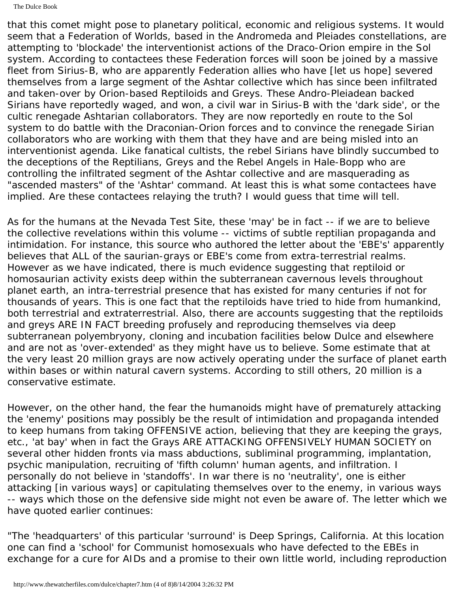The Dulce Book

that this comet might pose to planetary political, economic and religious systems. It would seem that a Federation of Worlds, based in the Andromeda and Pleiades constellations, are attempting to 'blockade' the interventionist actions of the Draco-Orion empire in the Sol system. According to contactees these Federation forces will soon be joined by a massive fleet from Sirius-B, who are apparently Federation allies who have [let us hope] severed themselves from a large segment of the Ashtar collective which has since been infiltrated and taken-over by Orion-based Reptiloids and Greys. These Andro-Pleiadean backed Sirians have reportedly waged, and won, a civil war in Sirius-B with the 'dark side', or the cultic renegade Ashtarian collaborators. They are now reportedly en route to the Sol system to do battle with the Draconian-Orion forces and to convince the renegade Sirian collaborators who are working with them that they have and are being misled into an interventionist agenda. Like fanatical cultists, the rebel Sirians have blindly succumbed to the deceptions of the Reptilians, Greys and the Rebel Angels in Hale-Bopp who are controlling the infiltrated segment of the Ashtar collective and are masquerading as "ascended masters" of the 'Ashtar' command. At least this is what some contactees have implied. Are these contactees relaying the truth? I would guess that time will tell.

As for the humans at the Nevada Test Site, these 'may' be in fact -- if we are to believe the collective revelations within this volume -- victims of subtle reptilian propaganda and intimidation. For instance, this source who authored the letter about the 'EBE's' apparently believes that ALL of the saurian-grays or EBE's come from extra-terrestrial realms. However as we have indicated, there is much evidence suggesting that reptiloid or homosaurian activity exists deep within the subterranean cavernous levels throughout planet earth, an intra-terrestrial presence that has existed for many centuries if not for thousands of years. This is one fact that the reptiloids have tried to hide from humankind, both terrestrial and extraterrestrial. Also, there are accounts suggesting that the reptiloids and greys ARE IN FACT breeding profusely and reproducing themselves via deep subterranean polyembryony, cloning and incubation facilities below Dulce and elsewhere and are not as 'over-extended' as they might have us to believe. Some estimate that at the very least 20 million grays are now actively operating under the surface of planet earth within bases or within natural cavern systems. According to still others, 20 million is a conservative estimate.

However, on the other hand, the fear the humanoids might have of prematurely attacking the 'enemy' positions may possibly be the result of intimidation and propaganda intended to keep humans from taking OFFENSIVE action, believing that they are keeping the grays, etc., 'at bay' when in fact the Grays ARE ATTACKING OFFENSIVELY HUMAN SOCIETY on several other hidden fronts via mass abductions, subliminal programming, implantation, psychic manipulation, recruiting of 'fifth column' human agents, and infiltration. I personally do not believe in 'standoffs'. In war there is no 'neutrality', one is either attacking [in various ways] or capitulating themselves over to the enemy, in various ways -- ways which those on the defensive side might not even be aware of. The letter which we have quoted earlier continues:

"The 'headquarters' of this particular 'surround' is Deep Springs, California. At this location one can find a 'school' for Communist homosexuals who have defected to the EBEs in exchange for a cure for AIDs and a promise to their own little world, including reproduction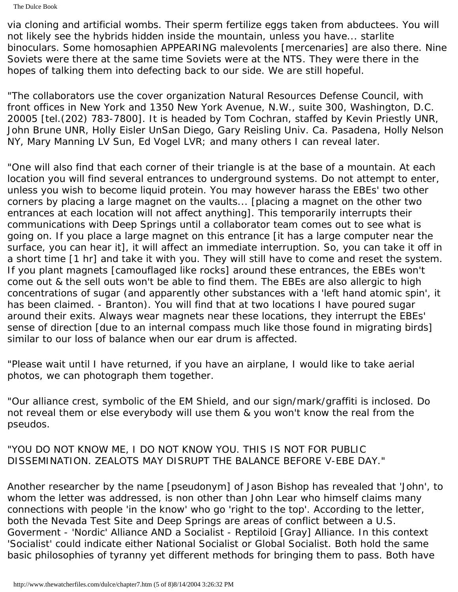The Dulce Book

via cloning and artificial wombs. Their sperm fertilize eggs taken from abductees. You will not likely see the hybrids hidden inside the mountain, unless you have... starlite binoculars. Some homosaphien APPEARING malevolents [mercenaries] are also there. Nine Soviets were there at the same time Soviets were at the NTS. They were there in the hopes of talking them into defecting back to our side. We are still hopeful.

"The collaborators use the cover organization Natural Resources Defense Council, with front offices in New York and 1350 New York Avenue, N.W., suite 300, Washington, D.C. 20005 [tel.(202) 783-7800]. It is headed by Tom Cochran, staffed by Kevin Priestly UNR, John Brune UNR, Holly Eisler UnSan Diego, Gary Reisling Univ. Ca. Pasadena, Holly Nelson NY, Mary Manning LV Sun, Ed Vogel LVR; and many others I can reveal later.

"One will also find that each corner of their triangle is at the base of a mountain. At each location you will find several entrances to underground systems. Do not attempt to enter, unless you wish to become liquid protein. You may however harass the EBEs' two other corners by placing a large magnet on the vaults... [placing a magnet on the other two entrances at each location will not affect anything]. This temporarily interrupts their communications with Deep Springs until a collaborator team comes out to see what is going on. If you place a large magnet on this entrance [it has a large computer near the surface, you can hear it], it will affect an immediate interruption. So, you can take it off in a short time [1 hr] and take it with you. They will still have to come and reset the system. If you plant magnets [camouflaged like rocks] around these entrances, the EBEs won't come out & the sell outs won't be able to find them. The EBEs are also allergic to high concentrations of sugar (and apparently other substances with a 'left hand atomic spin', it has been claimed. - Branton). You will find that at two locations I have poured sugar around their exits. Always wear magnets near these locations, they interrupt the EBEs' sense of direction [due to an internal compass much like those found in migrating birds] similar to our loss of balance when our ear drum is affected.

"Please wait until I have returned, if you have an airplane, I would like to take aerial photos, we can photograph them together.

"Our alliance crest, symbolic of the EM Shield, and our sign/mark/graffiti is inclosed. Do not reveal them or else everybody will use them & you won't know the real from the pseudos.

"YOU DO NOT KNOW ME, I DO NOT KNOW YOU. THIS IS NOT FOR PUBLIC DISSEMINATION. ZEALOTS MAY DISRUPT THE BALANCE BEFORE V-EBE DAY."

Another researcher by the name [pseudonym] of Jason Bishop has revealed that 'John', to whom the letter was addressed, is non other than John Lear who himself claims many connections with people 'in the know' who go 'right to the top'. According to the letter, both the Nevada Test Site and Deep Springs are areas of conflict between a U.S. Goverment - 'Nordic' Alliance AND a Socialist - Reptiloid [Gray] Alliance. In this context 'Socialist' could indicate either National Socialist or Global Socialist. Both hold the same basic philosophies of tyranny yet different methods for bringing them to pass. Both have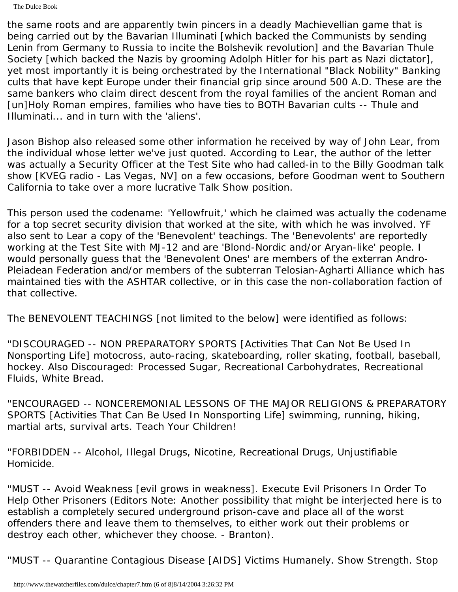the same roots and are apparently twin pincers in a deadly Machievellian game that is being carried out by the Bavarian Illuminati [which backed the Communists by sending Lenin from Germany to Russia to incite the Bolshevik revolution] and the Bavarian Thule Society [which backed the Nazis by grooming Adolph Hitler for his part as Nazi dictator], yet most importantly it is being orchestrated by the International "Black Nobility" Banking cults that have kept Europe under their financial grip since around 500 A.D. These are the same bankers who claim direct descent from the royal families of the ancient Roman and [un]Holy Roman empires, families who have ties to BOTH Bavarian cults -- Thule and Illuminati... and in turn with the 'aliens'.

Jason Bishop also released some other information he received by way of John Lear, from the individual whose letter we've just quoted. According to Lear, the author of the letter was actually a Security Officer at the Test Site who had called-in to the Billy Goodman talk show [KVEG radio - Las Vegas, NV] on a few occasions, before Goodman went to Southern California to take over a more lucrative Talk Show position.

This person used the codename: 'Yellowfruit,' which he claimed was actually the codename for a top secret security division that worked at the site, with which he was involved. YF also sent to Lear a copy of the 'Benevolent' teachings. The 'Benevolents' are reportedly working at the Test Site with MJ-12 and are 'Blond-Nordic and/or Aryan-like' people. I would personally guess that the 'Benevolent Ones' are members of the exterran Andro-Pleiadean Federation and/or members of the subterran Telosian-Agharti Alliance which has maintained ties with the ASHTAR collective, or in this case the non-collaboration faction of that collective.

The BENEVOLENT TEACHINGS [not limited to the below] were identified as follows:

"DISCOURAGED -- NON PREPARATORY SPORTS [Activities That Can Not Be Used In Nonsporting Life] motocross, auto-racing, skateboarding, roller skating, football, baseball, hockey. Also Discouraged: Processed Sugar, Recreational Carbohydrates, Recreational Fluids, White Bread.

"ENCOURAGED -- NONCEREMONIAL LESSONS OF THE MAJOR RELIGIONS & PREPARATORY SPORTS [Activities That Can Be Used In Nonsporting Life] swimming, running, hiking, martial arts, survival arts. Teach Your Children!

"FORBIDDEN -- Alcohol, Illegal Drugs, Nicotine, Recreational Drugs, Unjustifiable Homicide.

"MUST -- Avoid Weakness [evil grows in weakness]. Execute Evil Prisoners In Order To Help Other Prisoners (Editors Note: Another possibility that might be interjected here is to establish a completely secured underground prison-cave and place all of the worst offenders there and leave them to themselves, to either work out their problems or destroy each other, whichever they choose. - Branton).

"MUST -- Quarantine Contagious Disease [AIDS] Victims Humanely. Show Strength. Stop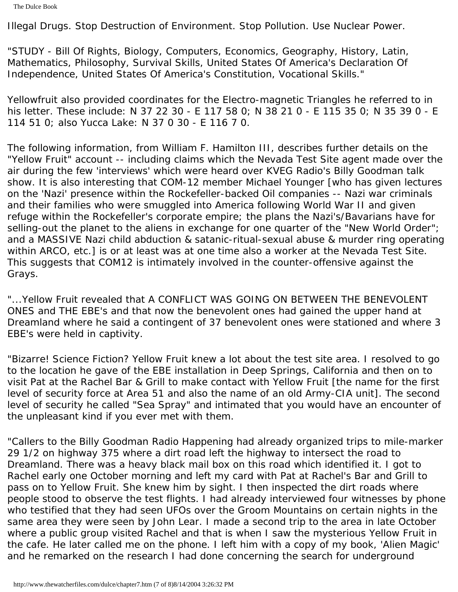Illegal Drugs. Stop Destruction of Environment. Stop Pollution. Use Nuclear Power.

"STUDY - Bill Of Rights, Biology, Computers, Economics, Geography, History, Latin, Mathematics, Philosophy, Survival Skills, United States Of America's Declaration Of Independence, United States Of America's Constitution, Vocational Skills."

Yellowfruit also provided coordinates for the Electro-magnetic Triangles he referred to in his letter. These include: N 37 22 30 - E 117 58 0; N 38 21 0 - E 115 35 0; N 35 39 0 - E 114 51 0; also Yucca Lake: N 37 0 30 - E 116 7 0.

The following information, from William F. Hamilton III, describes further details on the "Yellow Fruit" account -- including claims which the Nevada Test Site agent made over the air during the few 'interviews' which were heard over KVEG Radio's Billy Goodman talk show. It is also interesting that COM-12 member Michael Younger [who has given lectures on the 'Nazi' presence within the Rockefeller-backed Oil companies -- Nazi war criminals and their families who were smuggled into America following World War II and given refuge within the Rockefeller's corporate empire; the plans the Nazi's/Bavarians have for selling-out the planet to the aliens in exchange for one quarter of the "New World Order"; and a MASSIVE Nazi child abduction & satanic-ritual-sexual abuse & murder ring operating within ARCO, etc.] is or at least was at one time also a worker at the Nevada Test Site. This suggests that COM12 is intimately involved in the counter-offensive against the Grays.

"...Yellow Fruit revealed that A CONFLICT WAS GOING ON BETWEEN THE BENEVOLENT ONES and THE EBE's and that now the benevolent ones had gained the upper hand at Dreamland where he said a contingent of 37 benevolent ones were stationed and where 3 EBE's were held in captivity.

"Bizarre! Science Fiction? Yellow Fruit knew a lot about the test site area. I resolved to go to the location he gave of the EBE installation in Deep Springs, California and then on to visit Pat at the Rachel Bar & Grill to make contact with Yellow Fruit [the name for the first level of security force at Area 51 and also the name of an old Army-CIA unit]. The second level of security he called "Sea Spray" and intimated that you would have an encounter of the unpleasant kind if you ever met with them.

"Callers to the Billy Goodman Radio Happening had already organized trips to mile-marker 29 1/2 on highway 375 where a dirt road left the highway to intersect the road to Dreamland. There was a heavy black mail box on this road which identified it. I got to Rachel early one October morning and left my card with Pat at Rachel's Bar and Grill to pass on to Yellow Fruit. She knew him by sight. I then inspected the dirt roads where people stood to observe the test flights. I had already interviewed four witnesses by phone who testified that they had seen UFOs over the Groom Mountains on certain nights in the same area they were seen by John Lear. I made a second trip to the area in late October where a public group visited Rachel and that is when I saw the mysterious Yellow Fruit in the cafe. He later called me on the phone. I left him with a copy of my book, 'Alien Magic' and he remarked on the research I had done concerning the search for underground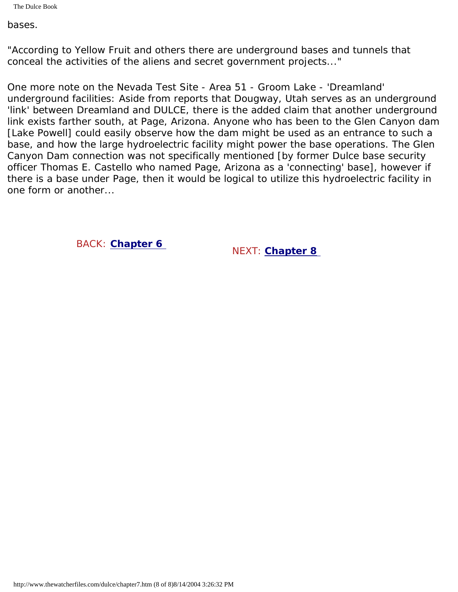bases.

"According to Yellow Fruit and others there are underground bases and tunnels that conceal the activities of the aliens and secret government projects..."

One more note on the Nevada Test Site - Area 51 - Groom Lake - 'Dreamland' underground facilities: Aside from reports that Dougway, Utah serves as an underground 'link' between Dreamland and DULCE, there is the added claim that another underground link exists farther south, at Page, Arizona. Anyone who has been to the Glen Canyon dam [Lake Powell] could easily observe how the dam might be used as an entrance to such a base, and how the large hydroelectric facility might power the base operations. The Glen Canyon Dam connection was not specifically mentioned [by former Dulce base security officer Thomas E. Castello who named Page, Arizona as a 'connecting' base], however if there is a base under Page, then it would be logical to utilize this hydroelectric facility in one form or another...

BACK: **[Chapter 6](#page-49-0)** NEXT: **[Chapter 8](#page-63-0)**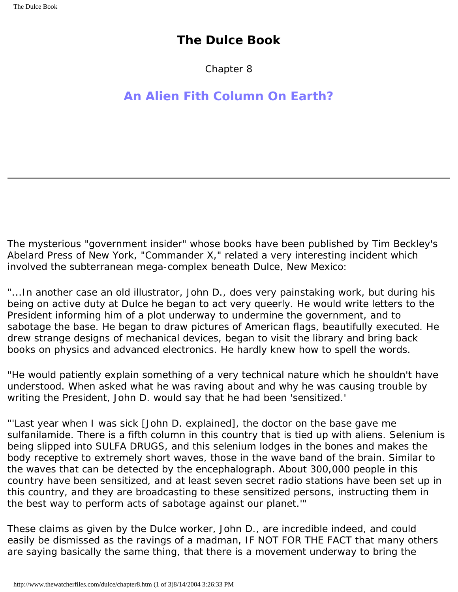Chapter 8

## <span id="page-63-0"></span>**An Alien Fith Column On Earth?**

The mysterious "government insider" whose books have been published by Tim Beckley's Abelard Press of New York, "Commander X," related a very interesting incident which involved the subterranean mega-complex beneath Dulce, New Mexico:

"...In another case an old illustrator, John D., does very painstaking work, but during his being on active duty at Dulce he began to act very queerly. He would write letters to the President informing him of a plot underway to undermine the government, and to sabotage the base. He began to draw pictures of American flags, beautifully executed. He drew strange designs of mechanical devices, began to visit the library and bring back books on physics and advanced electronics. He hardly knew how to spell the words.

"He would patiently explain something of a very technical nature which he shouldn't have understood. When asked what he was raving about and why he was causing trouble by writing the President, John D. would say that he had been 'sensitized.'

"'Last year when I was sick [John D. explained], the doctor on the base gave me sulfanilamide. There is a fifth column in this country that is tied up with aliens. Selenium is being slipped into SULFA DRUGS, and this selenium lodges in the bones and makes the body receptive to extremely short waves, those in the wave band of the brain. Similar to the waves that can be detected by the encephalograph. About 300,000 people in this country have been sensitized, and at least seven secret radio stations have been set up in this country, and they are broadcasting to these sensitized persons, instructing them in the best way to perform acts of sabotage against our planet.'"

These claims as given by the Dulce worker, John D., are incredible indeed, and could easily be dismissed as the ravings of a madman, IF NOT FOR THE FACT that many others are saying basically the same thing, that there is a movement underway to bring the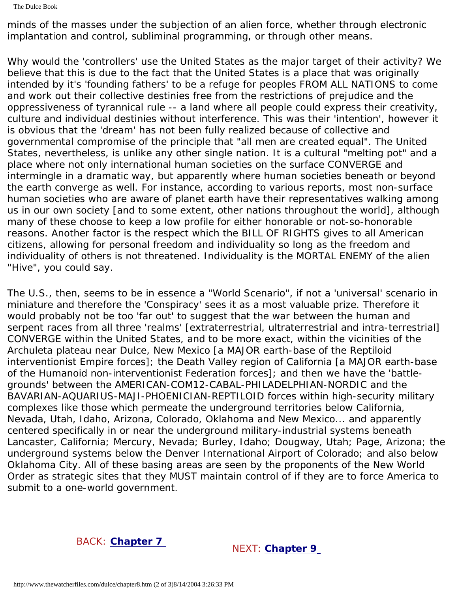The Dulce Book

minds of the masses under the subjection of an alien force, whether through electronic implantation and control, subliminal programming, or through other means.

Why would the 'controllers' use the United States as the major target of their activity? We believe that this is due to the fact that the United States is a place that was originally intended by it's 'founding fathers' to be a refuge for peoples FROM ALL NATIONS to come and work out their collective destinies free from the restrictions of prejudice and the oppressiveness of tyrannical rule -- a land where all people could express their creativity, culture and individual destinies without interference. This was their 'intention', however it is obvious that the 'dream' has not been fully realized because of collective and governmental compromise of the principle that "all men are created equal". The United States, nevertheless, is unlike any other single nation. It is a cultural "melting pot" and a place where not only international human societies on the surface CONVERGE and intermingle in a dramatic way, but apparently where human societies beneath or beyond the earth converge as well. For instance, according to various reports, most non-surface human societies who are aware of planet earth have their representatives walking among us in our own society [and to some extent, other nations throughout the world], although many of these choose to keep a low profile for either honorable or not-so-honorable reasons. Another factor is the respect which the BILL OF RIGHTS gives to all American citizens, allowing for personal freedom and individuality so long as the freedom and individuality of others is not threatened. Individuality is the MORTAL ENEMY of the alien "Hive", you could say.

The U.S., then, seems to be in essence a "World Scenario", if not a 'universal' scenario in miniature and therefore the 'Conspiracy' sees it as a most valuable prize. Therefore it would probably not be too 'far out' to suggest that the war between the human and serpent races from all three 'realms' [extraterrestrial, ultraterrestrial and intra-terrestrial] CONVERGE within the United States, and to be more exact, within the vicinities of the Archuleta plateau near Dulce, New Mexico [a MAJOR earth-base of the Reptiloid interventionist Empire forces]; the Death Valley region of California [a MAJOR earth-base of the Humanoid non-interventionist Federation forces]; and then we have the 'battlegrounds' between the AMERICAN-COM12-CABAL-PHILADELPHIAN-NORDIC and the BAVARIAN-AQUARIUS-MAJI-PHOENICIAN-REPTILOID forces within high-security military complexes like those which permeate the underground territories below California, Nevada, Utah, Idaho, Arizona, Colorado, Oklahoma and New Mexico... and apparently centered specifically in or near the underground military-industrial systems beneath Lancaster, California; Mercury, Nevada; Burley, Idaho; Dougway, Utah; Page, Arizona; the underground systems below the Denver International Airport of Colorado; and also below Oklahoma City. All of these basing areas are seen by the proponents of the New World Order as strategic sites that they MUST maintain control of if they are to force America to submit to a one-world government.

# BACK: **[Chapter 7](#page-55-0)** NEXT: **[Chapter 9](#page-66-0)**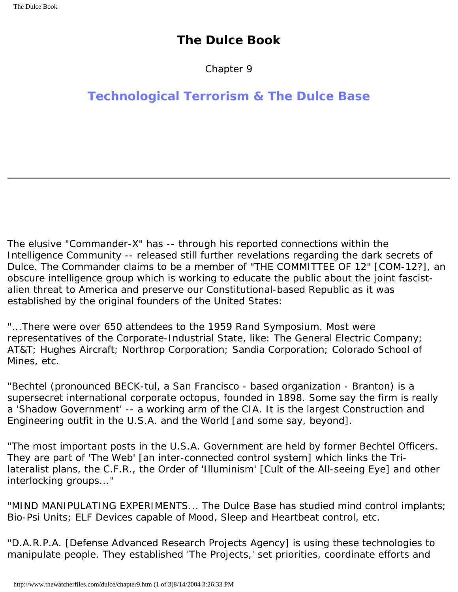Chapter 9

# <span id="page-66-0"></span>**Technological Terrorism & The Dulce Base**

The elusive "Commander-X" has -- through his reported connections within the Intelligence Community -- released still further revelations regarding the dark secrets of Dulce. The Commander claims to be a member of "THE COMMITTEE OF 12" [COM-12?], an obscure intelligence group which is working to educate the public about the joint fascistalien threat to America and preserve our Constitutional-based Republic as it was established by the original founders of the United States:

"...There were over 650 attendees to the 1959 Rand Symposium. Most were representatives of the Corporate-Industrial State, like: The General Electric Company; AT&T; Hughes Aircraft; Northrop Corporation; Sandia Corporation; Colorado School of Mines, etc.

"Bechtel (pronounced BECK-tul, a San Francisco - based organization - Branton) is a supersecret international corporate octopus, founded in 1898. Some say the firm is really a 'Shadow Government' -- a working arm of the CIA. It is the largest Construction and Engineering outfit in the U.S.A. and the World [and some say, beyond].

"The most important posts in the U.S.A. Government are held by former Bechtel Officers. They are part of 'The Web' [an inter-connected control system] which links the Trilateralist plans, the C.F.R., the Order of 'Illuminism' [Cult of the All-seeing Eye] and other interlocking groups..."

"MIND MANIPULATING EXPERIMENTS... The Dulce Base has studied mind control implants; Bio-Psi Units; ELF Devices capable of Mood, Sleep and Heartbeat control, etc.

"D.A.R.P.A. [Defense Advanced Research Projects Agency] is using these technologies to manipulate people. They established 'The Projects,' set priorities, coordinate efforts and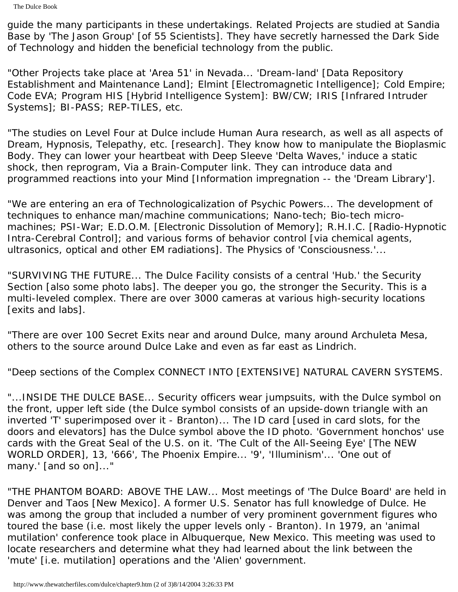guide the many participants in these undertakings. Related Projects are studied at Sandia Base by 'The Jason Group' [of 55 Scientists]. They have secretly harnessed the Dark Side of Technology and hidden the beneficial technology from the public.

"Other Projects take place at 'Area 51' in Nevada... 'Dream-land' [Data Repository Establishment and Maintenance Land]; Elmint [Electromagnetic Intelligence]; Cold Empire; Code EVA; Program HIS [Hybrid Intelligence System]: BW/CW; IRIS [Infrared Intruder Systems]; BI-PASS; REP-TILES, etc.

"The studies on Level Four at Dulce include Human Aura research, as well as all aspects of Dream, Hypnosis, Telepathy, etc. [research]. They know how to manipulate the Bioplasmic Body. They can lower your heartbeat with Deep Sleeve 'Delta Waves,' induce a static shock, then reprogram, Via a Brain-Computer link. They can introduce data and programmed reactions into your Mind [Information impregnation -- the 'Dream Library'].

"We are entering an era of Technologicalization of Psychic Powers... The development of techniques to enhance man/machine communications; Nano-tech; Bio-tech micromachines; PSI-War; E.D.O.M. [Electronic Dissolution of Memory]; R.H.I.C. [Radio-Hypnotic Intra-Cerebral Control]; and various forms of behavior control [via chemical agents, ultrasonics, optical and other EM radiations]. The Physics of 'Consciousness.'...

"SURVIVING THE FUTURE... The Dulce Facility consists of a central 'Hub.' the Security Section [also some photo labs]. The deeper you go, the stronger the Security. This is a multi-leveled complex. There are over 3000 cameras at various high-security locations [exits and labs].

"There are over 100 Secret Exits near and around Dulce, many around Archuleta Mesa, others to the source around Dulce Lake and even as far east as Lindrich.

"Deep sections of the Complex CONNECT INTO [EXTENSIVE] NATURAL CAVERN SYSTEMS.

"...INSIDE THE DULCE BASE... Security officers wear jumpsuits, with the Dulce symbol on the front, upper left side (the Dulce symbol consists of an upside-down triangle with an inverted 'T' superimposed over it - Branton)... The ID card [used in card slots, for the doors and elevators] has the Dulce symbol above the ID photo. 'Government honchos' use cards with the Great Seal of the U.S. on it. 'The Cult of the All-Seeing Eye' [The NEW WORLD ORDER], 13, '666', The Phoenix Empire... '9', 'Illuminism'... 'One out of many.' [and so on]..."

"THE PHANTOM BOARD: ABOVE THE LAW... Most meetings of 'The Dulce Board' are held in Denver and Taos [New Mexico]. A former U.S. Senator has full knowledge of Dulce. He was among the group that included a number of very prominent government figures who toured the base (i.e. most likely the upper levels only - Branton). In 1979, an 'animal mutilation' conference took place in Albuquerque, New Mexico. This meeting was used to locate researchers and determine what they had learned about the link between the 'mute' [i.e. mutilation] operations and the 'Alien' government.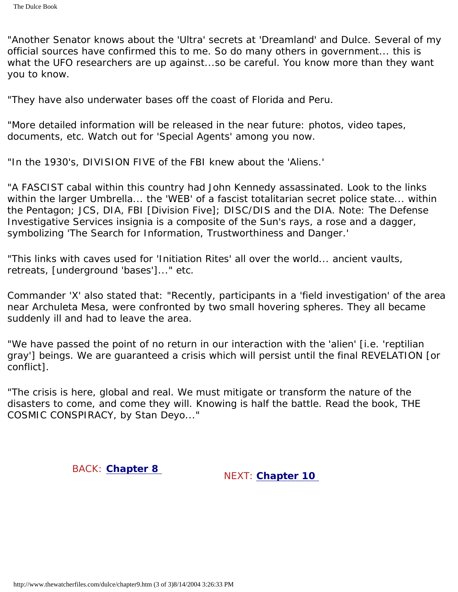"Another Senator knows about the 'Ultra' secrets at 'Dreamland' and Dulce. Several of my official sources have confirmed this to me. So do many others in government... this is what the UFO researchers are up against...so be careful. You know more than they want you to know.

"They have also underwater bases off the coast of Florida and Peru.

"More detailed information will be released in the near future: photos, video tapes, documents, etc. Watch out for 'Special Agents' among you now.

"In the 1930's, DIVISION FIVE of the FBI knew about the 'Aliens.'

"A FASCIST cabal within this country had John Kennedy assassinated. Look to the links within the larger Umbrella... the 'WEB' of a fascist totalitarian secret police state... within the Pentagon; JCS, DIA, FBI [Division Five]; DISC/DIS and the DIA. Note: The Defense Investigative Services insignia is a composite of the Sun's rays, a rose and a dagger, symbolizing 'The Search for Information, Trustworthiness and Danger.'

"This links with caves used for 'Initiation Rites' all over the world... ancient vaults, retreats, [underground 'bases']..." etc.

Commander 'X' also stated that: "Recently, participants in a 'field investigation' of the area near Archuleta Mesa, were confronted by two small hovering spheres. They all became suddenly ill and had to leave the area.

"We have passed the point of no return in our interaction with the 'alien' [i.e. 'reptilian gray'] beings. We are guaranteed a crisis which will persist until the final REVELATION [or conflict].

"The crisis is here, global and real. We must mitigate or transform the nature of the disasters to come, and come they will. Knowing is half the battle. Read the book, THE COSMIC CONSPIRACY, by Stan Deyo..."

BACK: **[Chapter 8](#page-63-0)** NEXT: **[Chapter 10](#page-69-0)**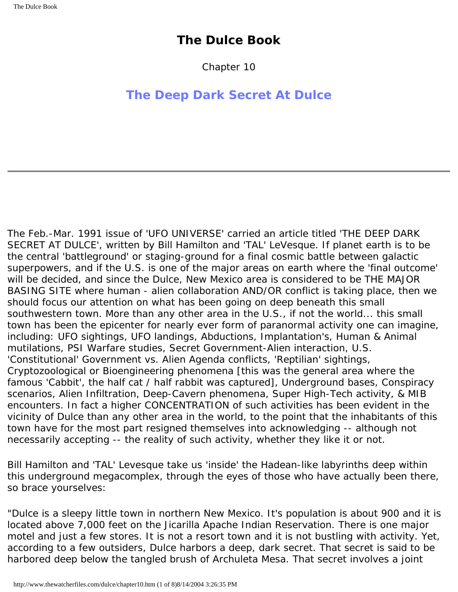Chapter 10

# <span id="page-69-0"></span>**The Deep Dark Secret At Dulce**

The Feb.-Mar. 1991 issue of 'UFO UNIVERSE' carried an article titled 'THE DEEP DARK SECRET AT DULCE', written by Bill Hamilton and 'TAL' LeVesque. If planet earth is to be the central 'battleground' or staging-ground for a final cosmic battle between galactic superpowers, and if the U.S. is one of the major areas on earth where the 'final outcome' will be decided, and since the Dulce, New Mexico area is considered to be THE MAJOR BASING SITE where human - alien collaboration AND/OR conflict is taking place, then we should focus our attention on what has been going on deep beneath this small southwestern town. More than any other area in the U.S., if not the world... this small town has been the epicenter for nearly ever form of paranormal activity one can imagine, including: UFO sightings, UFO landings, Abductions, Implantation's, Human & Animal mutilations, PSI Warfare studies, Secret Government-Alien interaction, U.S. 'Constitutional' Government vs. Alien Agenda conflicts, 'Reptilian' sightings, Cryptozoological or Bioengineering phenomena [this was the general area where the famous 'Cabbit', the half cat / half rabbit was captured], Underground bases, Conspiracy scenarios, Alien Infiltration, Deep-Cavern phenomena, Super High-Tech activity, & MIB encounters. In fact a higher CONCENTRATION of such activities has been evident in the vicinity of Dulce than any other area in the world, to the point that the inhabitants of this town have for the most part resigned themselves into acknowledging -- although not necessarily accepting -- the reality of such activity, whether they like it or not.

Bill Hamilton and 'TAL' Levesque take us 'inside' the Hadean-like labyrinths deep within this underground megacomplex, through the eyes of those who have actually been there, so brace yourselves:

"Dulce is a sleepy little town in northern New Mexico. It's population is about 900 and it is located above 7,000 feet on the Jicarilla Apache Indian Reservation. There is one major motel and just a few stores. It is not a resort town and it is not bustling with activity. Yet, according to a few outsiders, Dulce harbors a deep, dark secret. That secret is said to be harbored deep below the tangled brush of Archuleta Mesa. That secret involves a joint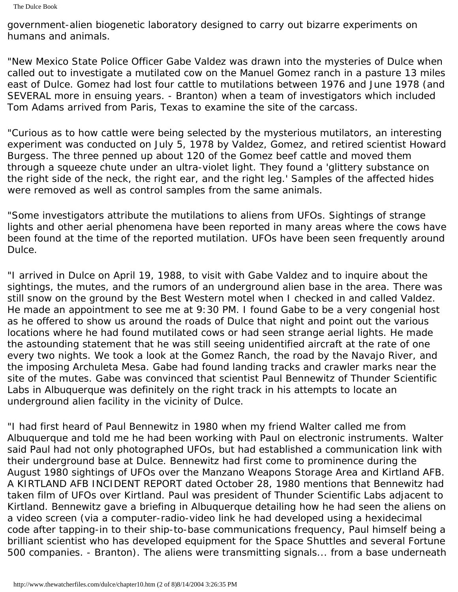government-alien biogenetic laboratory designed to carry out bizarre experiments on humans and animals.

"New Mexico State Police Officer Gabe Valdez was drawn into the mysteries of Dulce when called out to investigate a mutilated cow on the Manuel Gomez ranch in a pasture 13 miles east of Dulce. Gomez had lost four cattle to mutilations between 1976 and June 1978 (and SEVERAL more in ensuing years. - Branton) when a team of investigators which included Tom Adams arrived from Paris, Texas to examine the site of the carcass.

"Curious as to how cattle were being selected by the mysterious mutilators, an interesting experiment was conducted on July 5, 1978 by Valdez, Gomez, and retired scientist Howard Burgess. The three penned up about 120 of the Gomez beef cattle and moved them through a squeeze chute under an ultra-violet light. They found a 'glittery substance on the right side of the neck, the right ear, and the right leg.' Samples of the affected hides were removed as well as control samples from the same animals.

"Some investigators attribute the mutilations to aliens from UFOs. Sightings of strange lights and other aerial phenomena have been reported in many areas where the cows have been found at the time of the reported mutilation. UFOs have been seen frequently around Dulce.

"I arrived in Dulce on April 19, 1988, to visit with Gabe Valdez and to inquire about the sightings, the mutes, and the rumors of an underground alien base in the area. There was still snow on the ground by the Best Western motel when I checked in and called Valdez. He made an appointment to see me at 9:30 PM. I found Gabe to be a very congenial host as he offered to show us around the roads of Dulce that night and point out the various locations where he had found mutilated cows or had seen strange aerial lights. He made the astounding statement that he was still seeing unidentified aircraft at the rate of one every two nights. We took a look at the Gomez Ranch, the road by the Navajo River, and the imposing Archuleta Mesa. Gabe had found landing tracks and crawler marks near the site of the mutes. Gabe was convinced that scientist Paul Bennewitz of Thunder Scientific Labs in Albuquerque was definitely on the right track in his attempts to locate an underground alien facility in the vicinity of Dulce.

"I had first heard of Paul Bennewitz in 1980 when my friend Walter called me from Albuquerque and told me he had been working with Paul on electronic instruments. Walter said Paul had not only photographed UFOs, but had established a communication link with their underground base at Dulce. Bennewitz had first come to prominence during the August 1980 sightings of UFOs over the Manzano Weapons Storage Area and Kirtland AFB. A KIRTLAND AFB INCIDENT REPORT dated October 28, 1980 mentions that Bennewitz had taken film of UFOs over Kirtland. Paul was president of Thunder Scientific Labs adjacent to Kirtland. Bennewitz gave a briefing in Albuquerque detailing how he had seen the aliens on a video screen (via a computer-radio-video link he had developed using a hexidecimal code after tapping-in to their ship-to-base communications frequency, Paul himself being a brilliant scientist who has developed equipment for the Space Shuttles and several Fortune 500 companies. - Branton). The aliens were transmitting signals... from a base underneath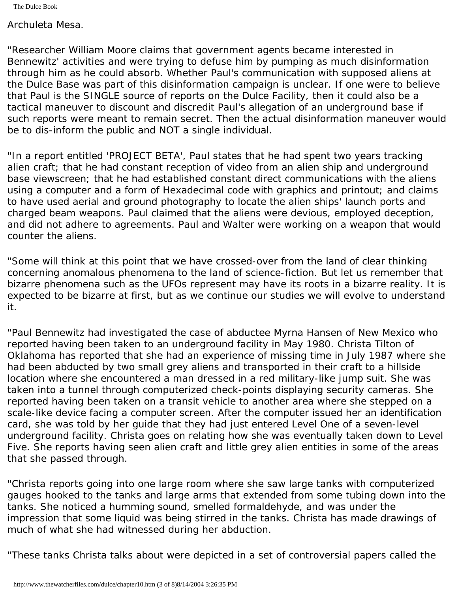Archuleta Mesa.

"Researcher William Moore claims that government agents became interested in Bennewitz' activities and were trying to defuse him by pumping as much disinformation through him as he could absorb. Whether Paul's communication with supposed aliens at the Dulce Base was part of this disinformation campaign is unclear. If one were to believe that Paul is the SINGLE source of reports on the Dulce Facility, then it could also be a tactical maneuver to discount and discredit Paul's allegation of an underground base if such reports were meant to remain secret. Then the actual disinformation maneuver would be to dis-inform the public and NOT a single individual.

"In a report entitled 'PROJECT BETA', Paul states that he had spent two years tracking alien craft; that he had constant reception of video from an alien ship and underground base viewscreen; that he had established constant direct communications with the aliens using a computer and a form of Hexadecimal code with graphics and printout; and claims to have used aerial and ground photography to locate the alien ships' launch ports and charged beam weapons. Paul claimed that the aliens were devious, employed deception, and did not adhere to agreements. Paul and Walter were working on a weapon that would counter the aliens.

"Some will think at this point that we have crossed-over from the land of clear thinking concerning anomalous phenomena to the land of science-fiction. But let us remember that bizarre phenomena such as the UFOs represent may have its roots in a bizarre reality. It is expected to be bizarre at first, but as we continue our studies we will evolve to understand it.

"Paul Bennewitz had investigated the case of abductee Myrna Hansen of New Mexico who reported having been taken to an underground facility in May 1980. Christa Tilton of Oklahoma has reported that she had an experience of missing time in July 1987 where she had been abducted by two small grey aliens and transported in their craft to a hillside location where she encountered a man dressed in a red military-like jump suit. She was taken into a tunnel through computerized check-points displaying security cameras. She reported having been taken on a transit vehicle to another area where she stepped on a scale-like device facing a computer screen. After the computer issued her an identification card, she was told by her guide that they had just entered Level One of a seven-level underground facility. Christa goes on relating how she was eventually taken down to Level Five. She reports having seen alien craft and little grey alien entities in some of the areas that she passed through.

"Christa reports going into one large room where she saw large tanks with computerized gauges hooked to the tanks and large arms that extended from some tubing down into the tanks. She noticed a humming sound, smelled formaldehyde, and was under the impression that some liquid was being stirred in the tanks. Christa has made drawings of much of what she had witnessed during her abduction.

"These tanks Christa talks about were depicted in a set of controversial papers called the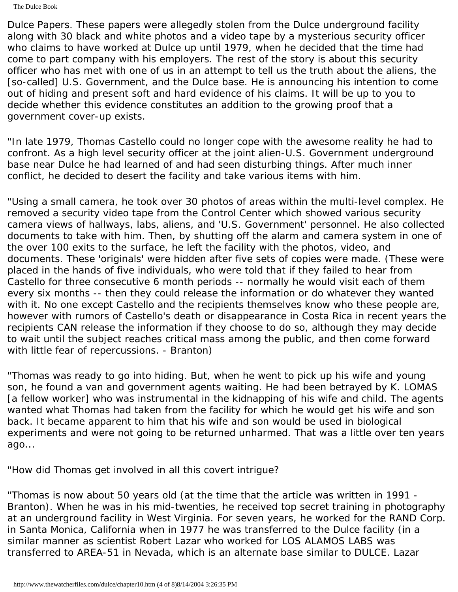The Dulce Book

Dulce Papers. These papers were allegedly stolen from the Dulce underground facility along with 30 black and white photos and a video tape by a mysterious security officer who claims to have worked at Dulce up until 1979, when he decided that the time had come to part company with his employers. The rest of the story is about this security officer who has met with one of us in an attempt to tell us the truth about the aliens, the [so-called] U.S. Government, and the Dulce base. He is announcing his intention to come out of hiding and present soft and hard evidence of his claims. It will be up to you to decide whether this evidence constitutes an addition to the growing proof that a government cover-up exists.

"In late 1979, Thomas Castello could no longer cope with the awesome reality he had to confront. As a high level security officer at the joint alien-U.S. Government underground base near Dulce he had learned of and had seen disturbing things. After much inner conflict, he decided to desert the facility and take various items with him.

"Using a small camera, he took over 30 photos of areas within the multi-level complex. He removed a security video tape from the Control Center which showed various security camera views of hallways, labs, aliens, and 'U.S. Government' personnel. He also collected documents to take with him. Then, by shutting off the alarm and camera system in one of the over 100 exits to the surface, he left the facility with the photos, video, and documents. These 'originals' were hidden after five sets of copies were made. (These were placed in the hands of five individuals, who were told that if they failed to hear from Castello for three consecutive 6 month periods -- normally he would visit each of them every six months -- then they could release the information or do whatever they wanted with it. No one except Castello and the recipients themselves know who these people are, however with rumors of Castello's death or disappearance in Costa Rica in recent years the recipients CAN release the information if they choose to do so, although they may decide to wait until the subject reaches critical mass among the public, and then come forward with little fear of repercussions. - Branton)

"Thomas was ready to go into hiding. But, when he went to pick up his wife and young son, he found a van and government agents waiting. He had been betrayed by K. LOMAS [a fellow worker] who was instrumental in the kidnapping of his wife and child. The agents wanted what Thomas had taken from the facility for which he would get his wife and son back. It became apparent to him that his wife and son would be used in biological experiments and were not going to be returned unharmed. That was a little over ten years ago...

"How did Thomas get involved in all this covert intrigue?

"Thomas is now about 50 years old (at the time that the article was written in 1991 - Branton). When he was in his mid-twenties, he received top secret training in photography at an underground facility in West Virginia. For seven years, he worked for the RAND Corp. in Santa Monica, California when in 1977 he was transferred to the Dulce facility (in a similar manner as scientist Robert Lazar who worked for LOS ALAMOS LABS was transferred to AREA-51 in Nevada, which is an alternate base similar to DULCE. Lazar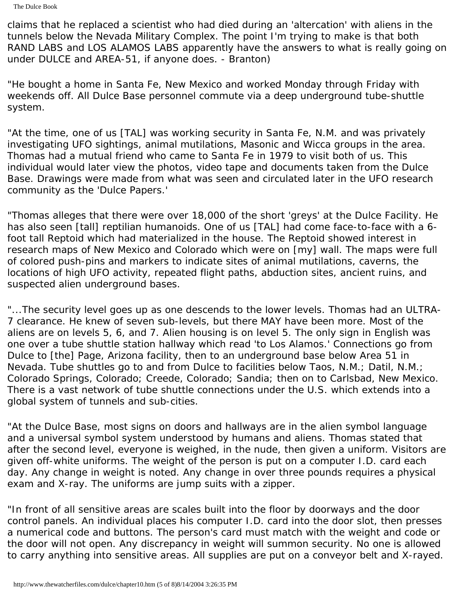The Dulce Book

claims that he replaced a scientist who had died during an 'altercation' with aliens in the tunnels below the Nevada Military Complex. The point I'm trying to make is that both RAND LABS and LOS ALAMOS LABS apparently have the answers to what is really going on under DULCE and AREA-51, if anyone does. - Branton)

"He bought a home in Santa Fe, New Mexico and worked Monday through Friday with weekends off. All Dulce Base personnel commute via a deep underground tube-shuttle system.

"At the time, one of us [TAL] was working security in Santa Fe, N.M. and was privately investigating UFO sightings, animal mutilations, Masonic and Wicca groups in the area. Thomas had a mutual friend who came to Santa Fe in 1979 to visit both of us. This individual would later view the photos, video tape and documents taken from the Dulce Base. Drawings were made from what was seen and circulated later in the UFO research community as the 'Dulce Papers.'

"Thomas alleges that there were over 18,000 of the short 'greys' at the Dulce Facility. He has also seen [tall] reptilian humanoids. One of us [TAL] had come face-to-face with a 6 foot tall Reptoid which had materialized in the house. The Reptoid showed interest in research maps of New Mexico and Colorado which were on [my] wall. The maps were full of colored push-pins and markers to indicate sites of animal mutilations, caverns, the locations of high UFO activity, repeated flight paths, abduction sites, ancient ruins, and suspected alien underground bases.

"...The security level goes up as one descends to the lower levels. Thomas had an ULTRA-7 clearance. He knew of seven sub-levels, but there MAY have been more. Most of the aliens are on levels 5, 6, and 7. Alien housing is on level 5. The only sign in English was one over a tube shuttle station hallway which read 'to Los Alamos.' Connections go from Dulce to [the] Page, Arizona facility, then to an underground base below Area 51 in Nevada. Tube shuttles go to and from Dulce to facilities below Taos, N.M.; Datil, N.M.; Colorado Springs, Colorado; Creede, Colorado; Sandia; then on to Carlsbad, New Mexico. There is a vast network of tube shuttle connections under the U.S. which extends into a global system of tunnels and sub-cities.

"At the Dulce Base, most signs on doors and hallways are in the alien symbol language and a universal symbol system understood by humans and aliens. Thomas stated that after the second level, everyone is weighed, in the nude, then given a uniform. Visitors are given off-white uniforms. The weight of the person is put on a computer I.D. card each day. Any change in weight is noted. Any change in over three pounds requires a physical exam and X-ray. The uniforms are jump suits with a zipper.

"In front of all sensitive areas are scales built into the floor by doorways and the door control panels. An individual places his computer I.D. card into the door slot, then presses a numerical code and buttons. The person's card must match with the weight and code or the door will not open. Any discrepancy in weight will summon security. No one is allowed to carry anything into sensitive areas. All supplies are put on a conveyor belt and X-rayed.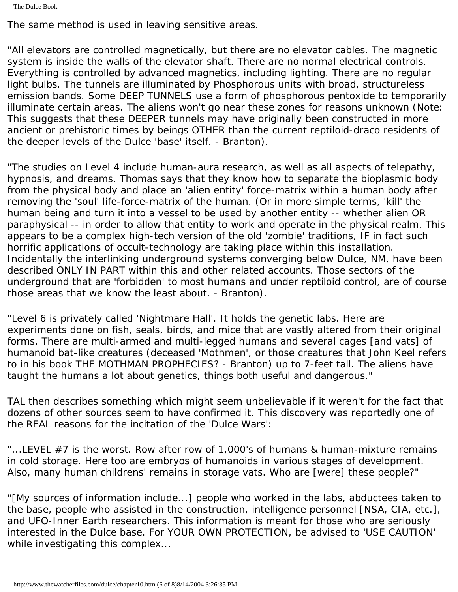The Dulce Book

The same method is used in leaving sensitive areas.

"All elevators are controlled magnetically, but there are no elevator cables. The magnetic system is inside the walls of the elevator shaft. There are no normal electrical controls. Everything is controlled by advanced magnetics, including lighting. There are no regular light bulbs. The tunnels are illuminated by Phosphorous units with broad, structureless emission bands. Some DEEP TUNNELS use a form of phosphorous pentoxide to temporarily illuminate certain areas. The aliens won't go near these zones for reasons unknown (Note: This suggests that these DEEPER tunnels may have originally been constructed in more ancient or prehistoric times by beings OTHER than the current reptiloid-draco residents of the deeper levels of the Dulce 'base' itself. - Branton).

"The studies on Level 4 include human-aura research, as well as all aspects of telepathy, hypnosis, and dreams. Thomas says that they know how to separate the bioplasmic body from the physical body and place an 'alien entity' force-matrix within a human body after removing the 'soul' life-force-matrix of the human. (Or in more simple terms, 'kill' the human being and turn it into a vessel to be used by another entity -- whether alien OR paraphysical -- in order to allow that entity to work and operate in the physical realm. This appears to be a complex high-tech version of the old 'zombie' traditions, IF in fact such horrific applications of occult-technology are taking place within this installation. Incidentally the interlinking underground systems converging below Dulce, NM, have been described ONLY IN PART within this and other related accounts. Those sectors of the underground that are 'forbidden' to most humans and under reptiloid control, are of course those areas that we know the least about. - Branton).

"Level 6 is privately called 'Nightmare Hall'. It holds the genetic labs. Here are experiments done on fish, seals, birds, and mice that are vastly altered from their original forms. There are multi-armed and multi-legged humans and several cages [and vats] of humanoid bat-like creatures (deceased 'Mothmen', or those creatures that John Keel refers to in his book THE MOTHMAN PROPHECIES? - Branton) up to 7-feet tall. The aliens have taught the humans a lot about genetics, things both useful and dangerous."

TAL then describes something which might seem unbelievable if it weren't for the fact that dozens of other sources seem to have confirmed it. This discovery was reportedly one of the REAL reasons for the incitation of the 'Dulce Wars':

"...LEVEL #7 is the worst. Row after row of 1,000's of humans & human-mixture remains in cold storage. Here too are embryos of humanoids in various stages of development. Also, many human childrens' remains in storage vats. Who are [were] these people?"

"[My sources of information include...] people who worked in the labs, abductees taken to the base, people who assisted in the construction, intelligence personnel [NSA, CIA, etc.], and UFO-Inner Earth researchers. This information is meant for those who are seriously interested in the Dulce base. For YOUR OWN PROTECTION, be advised to 'USE CAUTION' while investigating this complex...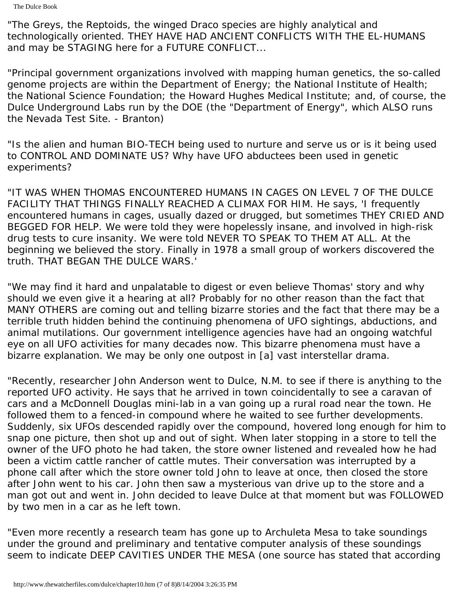The Dulce Book

"The Greys, the Reptoids, the winged Draco species are highly analytical and technologically oriented. THEY HAVE HAD ANCIENT CONFLICTS WITH THE EL-HUMANS and may be STAGING here for a FUTURE CONFLICT...

"Principal government organizations involved with mapping human genetics, the so-called genome projects are within the Department of Energy; the National Institute of Health; the National Science Foundation; the Howard Hughes Medical Institute; and, of course, the Dulce Underground Labs run by the DOE (the "Department of Energy", which ALSO runs the Nevada Test Site. - Branton)

"Is the alien and human BIO-TECH being used to nurture and serve us or is it being used to CONTROL AND DOMINATE US? Why have UFO abductees been used in genetic experiments?

"IT WAS WHEN THOMAS ENCOUNTERED HUMANS IN CAGES ON LEVEL 7 OF THE DULCE FACILITY THAT THINGS FINALLY REACHED A CLIMAX FOR HIM. He says, 'I frequently encountered humans in cages, usually dazed or drugged, but sometimes THEY CRIED AND BEGGED FOR HELP. We were told they were hopelessly insane, and involved in high-risk drug tests to cure insanity. We were told NEVER TO SPEAK TO THEM AT ALL. At the beginning we believed the story. Finally in 1978 a small group of workers discovered the truth. THAT BEGAN THE DULCE WARS.'

"We may find it hard and unpalatable to digest or even believe Thomas' story and why should we even give it a hearing at all? Probably for no other reason than the fact that MANY OTHERS are coming out and telling bizarre stories and the fact that there may be a terrible truth hidden behind the continuing phenomena of UFO sightings, abductions, and animal mutilations. Our government intelligence agencies have had an ongoing watchful eye on all UFO activities for many decades now. This bizarre phenomena must have a bizarre explanation. We may be only one outpost in [a] vast interstellar drama.

"Recently, researcher John Anderson went to Dulce, N.M. to see if there is anything to the reported UFO activity. He says that he arrived in town coincidentally to see a caravan of cars and a McDonnell Douglas mini-lab in a van going up a rural road near the town. He followed them to a fenced-in compound where he waited to see further developments. Suddenly, six UFOs descended rapidly over the compound, hovered long enough for him to snap one picture, then shot up and out of sight. When later stopping in a store to tell the owner of the UFO photo he had taken, the store owner listened and revealed how he had been a victim cattle rancher of cattle mutes. Their conversation was interrupted by a phone call after which the store owner told John to leave at once, then closed the store after John went to his car. John then saw a mysterious van drive up to the store and a man got out and went in. John decided to leave Dulce at that moment but was FOLLOWED by two men in a car as he left town.

"Even more recently a research team has gone up to Archuleta Mesa to take soundings under the ground and preliminary and tentative computer analysis of these soundings seem to indicate DEEP CAVITIES UNDER THE MESA (one source has stated that according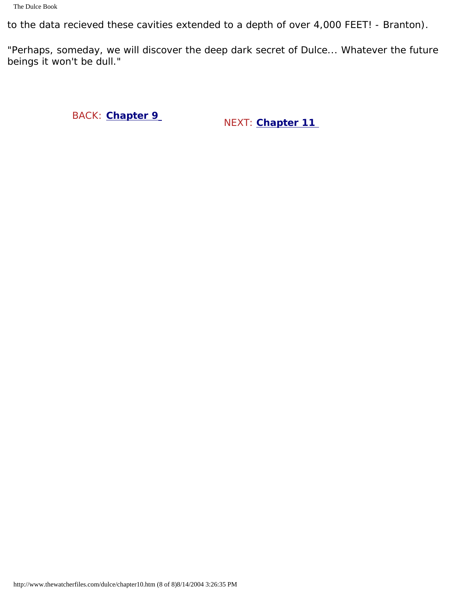to the data recieved these cavities extended to a depth of over 4,000 FEET! - Branton).

"Perhaps, someday, we will discover the deep dark secret of Dulce... Whatever the future beings it won't be dull."

BACK: **[Chapter 9](#page-66-0)** NEXT: **[Chapter 11](#page-77-0)**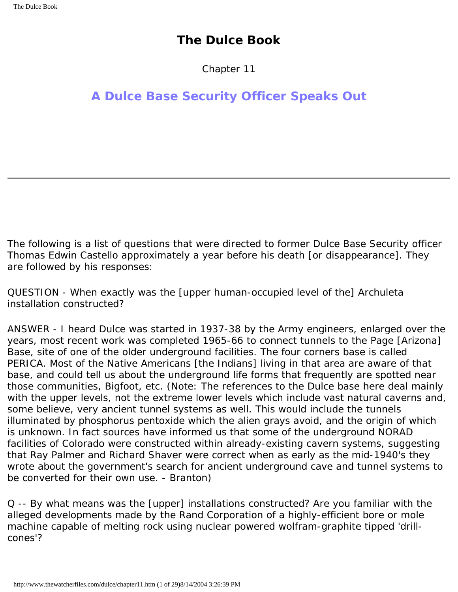## **The Dulce Book**

Chapter 11

## <span id="page-77-0"></span>**A Dulce Base Security Officer Speaks Out**

The following is a list of questions that were directed to former Dulce Base Security officer Thomas Edwin Castello approximately a year before his death [or disappearance]. They are followed by his responses:

QUESTION - When exactly was the [upper human-occupied level of the] Archuleta installation constructed?

ANSWER - I heard Dulce was started in 1937-38 by the Army engineers, enlarged over the years, most recent work was completed 1965-66 to connect tunnels to the Page [Arizona] Base, site of one of the older underground facilities. The four corners base is called PERICA. Most of the Native Americans [the Indians] living in that area are aware of that base, and could tell us about the underground life forms that frequently are spotted near those communities, Bigfoot, etc. (Note: The references to the Dulce base here deal mainly with the upper levels, not the extreme lower levels which include vast natural caverns and, some believe, very ancient tunnel systems as well. This would include the tunnels illuminated by phosphorus pentoxide which the alien grays avoid, and the origin of which is unknown. In fact sources have informed us that some of the underground NORAD facilities of Colorado were constructed within already-existing cavern systems, suggesting that Ray Palmer and Richard Shaver were correct when as early as the mid-1940's they wrote about the government's search for ancient underground cave and tunnel systems to be converted for their own use. - Branton)

Q -- By what means was the [upper] installations constructed? Are you familiar with the alleged developments made by the Rand Corporation of a highly-efficient bore or mole machine capable of melting rock using nuclear powered wolfram-graphite tipped 'drillcones'?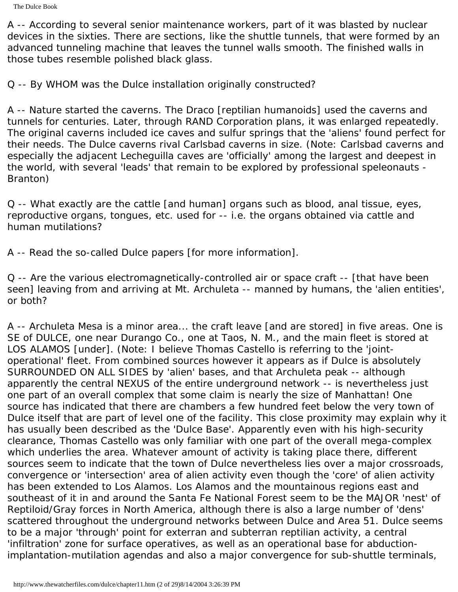The Dulce Book

A -- According to several senior maintenance workers, part of it was blasted by nuclear devices in the sixties. There are sections, like the shuttle tunnels, that were formed by an advanced tunneling machine that leaves the tunnel walls smooth. The finished walls in those tubes resemble polished black glass.

Q -- By WHOM was the Dulce installation originally constructed?

A -- Nature started the caverns. The Draco [reptilian humanoids] used the caverns and tunnels for centuries. Later, through RAND Corporation plans, it was enlarged repeatedly. The original caverns included ice caves and sulfur springs that the 'aliens' found perfect for their needs. The Dulce caverns rival Carlsbad caverns in size. (Note: Carlsbad caverns and especially the adjacent Lecheguilla caves are 'officially' among the largest and deepest in the world, with several 'leads' that remain to be explored by professional speleonauts - Branton)

Q -- What exactly are the cattle [and human] organs such as blood, anal tissue, eyes, reproductive organs, tongues, etc. used for -- i.e. the organs obtained via cattle and human mutilations?

A -- Read the so-called Dulce papers [for more information].

Q -- Are the various electromagnetically-controlled air or space craft -- [that have been seen] leaving from and arriving at Mt. Archuleta -- manned by humans, the 'alien entities', or both?

A -- Archuleta Mesa is a minor area... the craft leave [and are stored] in five areas. One is SE of DULCE, one near Durango Co., one at Taos, N. M., and the main fleet is stored at LOS ALAMOS [under]. (Note: I believe Thomas Castello is referring to the 'jointoperational' fleet. From combined sources however it appears as if Dulce is absolutely SURROUNDED ON ALL SIDES by 'alien' bases, and that Archuleta peak -- although apparently the central NEXUS of the entire underground network -- is nevertheless just one part of an overall complex that some claim is nearly the size of Manhattan! One source has indicated that there are chambers a few hundred feet below the very town of Dulce itself that are part of level one of the facility. This close proximity may explain why it has usually been described as the 'Dulce Base'. Apparently even with his high-security clearance, Thomas Castello was only familiar with one part of the overall mega-complex which underlies the area. Whatever amount of activity is taking place there, different sources seem to indicate that the town of Dulce nevertheless lies over a major crossroads, convergence or 'intersection' area of alien activity even though the 'core' of alien activity has been extended to Los Alamos. Los Alamos and the mountainous regions east and southeast of it in and around the Santa Fe National Forest seem to be the MAJOR 'nest' of Reptiloid/Gray forces in North America, although there is also a large number of 'dens' scattered throughout the underground networks between Dulce and Area 51. Dulce seems to be a major 'through' point for exterran and subterran reptilian activity, a central 'infiltration' zone for surface operatives, as well as an operational base for abductionimplantation-mutilation agendas and also a major convergence for sub-shuttle terminals,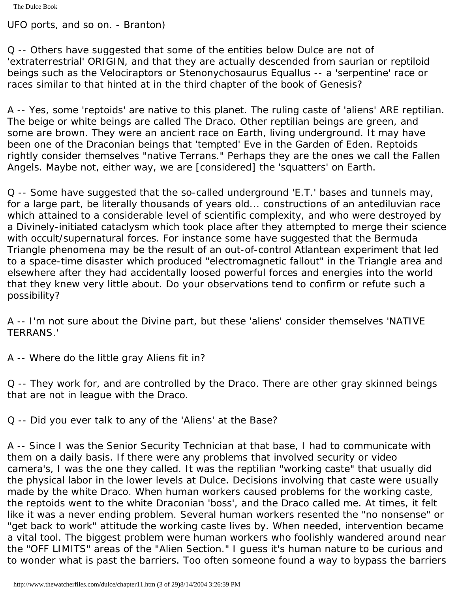The Dulce Book

UFO ports, and so on. - Branton)

Q -- Others have suggested that some of the entities below Dulce are not of 'extraterrestrial' ORIGIN, and that they are actually descended from saurian or reptiloid beings such as the Velociraptors or Stenonychosaurus Equallus -- a 'serpentine' race or races similar to that hinted at in the third chapter of the book of Genesis?

A -- Yes, some 'reptoids' are native to this planet. The ruling caste of 'aliens' ARE reptilian. The beige or white beings are called The Draco. Other reptilian beings are green, and some are brown. They were an ancient race on Earth, living underground. It may have been one of the Draconian beings that 'tempted' Eve in the Garden of Eden. Reptoids rightly consider themselves "native Terrans." Perhaps they are the ones we call the Fallen Angels. Maybe not, either way, we are [considered] the 'squatters' on Earth.

Q -- Some have suggested that the so-called underground 'E.T.' bases and tunnels may, for a large part, be literally thousands of years old... constructions of an antediluvian race which attained to a considerable level of scientific complexity, and who were destroyed by a Divinely-initiated cataclysm which took place after they attempted to merge their science with occult/supernatural forces. For instance some have suggested that the Bermuda Triangle phenomena may be the result of an out-of-control Atlantean experiment that led to a space-time disaster which produced "electromagnetic fallout" in the Triangle area and elsewhere after they had accidentally loosed powerful forces and energies into the world that they knew very little about. Do your observations tend to confirm or refute such a possibility?

A -- I'm not sure about the Divine part, but these 'aliens' consider themselves 'NATIVE TERRANS.'

A -- Where do the little gray Aliens fit in?

Q -- They work for, and are controlled by the Draco. There are other gray skinned beings that are not in league with the Draco.

Q -- Did you ever talk to any of the 'Aliens' at the Base?

A -- Since I was the Senior Security Technician at that base, I had to communicate with them on a daily basis. If there were any problems that involved security or video camera's, I was the one they called. It was the reptilian "working caste" that usually did the physical labor in the lower levels at Dulce. Decisions involving that caste were usually made by the white Draco. When human workers caused problems for the working caste, the reptoids went to the white Draconian 'boss', and the Draco called me. At times, it felt like it was a never ending problem. Several human workers resented the "no nonsense" or "get back to work" attitude the working caste lives by. When needed, intervention became a vital tool. The biggest problem were human workers who foolishly wandered around near the "OFF LIMITS" areas of the "Alien Section." I guess it's human nature to be curious and to wonder what is past the barriers. Too often someone found a way to bypass the barriers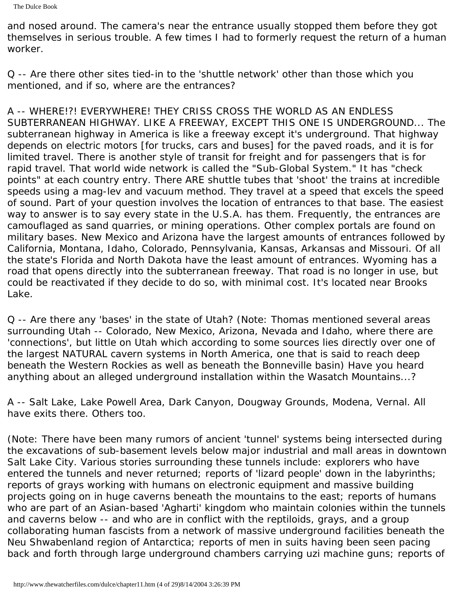and nosed around. The camera's near the entrance usually stopped them before they got themselves in serious trouble. A few times I had to formerly request the return of a human worker.

Q -- Are there other sites tied-in to the 'shuttle network' other than those which you mentioned, and if so, where are the entrances?

A -- WHERE!?! EVERYWHERE! THEY CRISS CROSS THE WORLD AS AN ENDLESS SUBTERRANEAN HIGHWAY. LIKE A FREEWAY, EXCEPT THIS ONE IS UNDERGROUND... The subterranean highway in America is like a freeway except it's underground. That highway depends on electric motors [for trucks, cars and buses] for the paved roads, and it is for limited travel. There is another style of transit for freight and for passengers that is for rapid travel. That world wide network is called the "Sub-Global System." It has "check points" at each country entry. There ARE shuttle tubes that 'shoot' the trains at incredible speeds using a mag-lev and vacuum method. They travel at a speed that excels the speed of sound. Part of your question involves the location of entrances to that base. The easiest way to answer is to say every state in the U.S.A. has them. Frequently, the entrances are camouflaged as sand quarries, or mining operations. Other complex portals are found on military bases. New Mexico and Arizona have the largest amounts of entrances followed by California, Montana, Idaho, Colorado, Pennsylvania, Kansas, Arkansas and Missouri. Of all the state's Florida and North Dakota have the least amount of entrances. Wyoming has a road that opens directly into the subterranean freeway. That road is no longer in use, but could be reactivated if they decide to do so, with minimal cost. It's located near Brooks Lake.

Q -- Are there any 'bases' in the state of Utah? (Note: Thomas mentioned several areas surrounding Utah -- Colorado, New Mexico, Arizona, Nevada and Idaho, where there are 'connections', but little on Utah which according to some sources lies directly over one of the largest NATURAL cavern systems in North America, one that is said to reach deep beneath the Western Rockies as well as beneath the Bonneville basin) Have you heard anything about an alleged underground installation within the Wasatch Mountains...?

A -- Salt Lake, Lake Powell Area, Dark Canyon, Dougway Grounds, Modena, Vernal. All have exits there. Others too.

(Note: There have been many rumors of ancient 'tunnel' systems being intersected during the excavations of sub-basement levels below major industrial and mall areas in downtown Salt Lake City. Various stories surrounding these tunnels include: explorers who have entered the tunnels and never returned; reports of 'lizard people' down in the labyrinths; reports of grays working with humans on electronic equipment and massive building projects going on in huge caverns beneath the mountains to the east; reports of humans who are part of an Asian-based 'Agharti' kingdom who maintain colonies within the tunnels and caverns below -- and who are in conflict with the reptiloids, grays, and a group collaborating human fascists from a network of massive underground facilities beneath the Neu Shwabenland region of Antarctica; reports of men in suits having been seen pacing back and forth through large underground chambers carrying uzi machine guns; reports of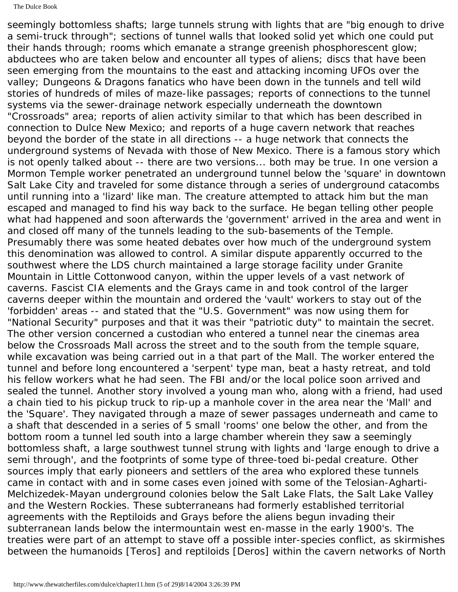seemingly bottomless shafts; large tunnels strung with lights that are "big enough to drive a semi-truck through"; sections of tunnel walls that looked solid yet which one could put their hands through; rooms which emanate a strange greenish phosphorescent glow; abductees who are taken below and encounter all types of aliens; discs that have been seen emerging from the mountains to the east and attacking incoming UFOs over the valley; Dungeons & Dragons fanatics who have been down in the tunnels and tell wild stories of hundreds of miles of maze-like passages; reports of connections to the tunnel systems via the sewer-drainage network especially underneath the downtown "Crossroads" area; reports of alien activity similar to that which has been described in connection to Dulce New Mexico; and reports of a huge cavern network that reaches beyond the border of the state in all directions -- a huge network that connects the underground systems of Nevada with those of New Mexico. There is a famous story which is not openly talked about -- there are two versions... both may be true. In one version a Mormon Temple worker penetrated an underground tunnel below the 'square' in downtown Salt Lake City and traveled for some distance through a series of underground catacombs until running into a 'lizard' like man. The creature attempted to attack him but the man escaped and managed to find his way back to the surface. He began telling other people what had happened and soon afterwards the 'government' arrived in the area and went in and closed off many of the tunnels leading to the sub-basements of the Temple. Presumably there was some heated debates over how much of the underground system this denomination was allowed to control. A similar dispute apparently occurred to the southwest where the LDS church maintained a large storage facility under Granite Mountain in Little Cottonwood canyon, within the upper levels of a vast network of caverns. Fascist CIA elements and the Grays came in and took control of the larger caverns deeper within the mountain and ordered the 'vault' workers to stay out of the 'forbidden' areas -- and stated that the "U.S. Government" was now using them for "National Security" purposes and that it was their "patriotic duty" to maintain the secret. The other version concerned a custodian who entered a tunnel near the cinemas area below the Crossroads Mall across the street and to the south from the temple square, while excavation was being carried out in a that part of the Mall. The worker entered the tunnel and before long encountered a 'serpent' type man, beat a hasty retreat, and told his fellow workers what he had seen. The FBI and/or the local police soon arrived and sealed the tunnel. Another story involved a young man who, along with a friend, had used a chain tied to his pickup truck to rip-up a manhole cover in the area near the 'Mall' and the 'Square'. They navigated through a maze of sewer passages underneath and came to a shaft that descended in a series of 5 small 'rooms' one below the other, and from the bottom room a tunnel led south into a large chamber wherein they saw a seemingly bottomless shaft, a large southwest tunnel strung with lights and 'large enough to drive a semi through', and the footprints of some type of three-toed bi-pedal creature. Other sources imply that early pioneers and settlers of the area who explored these tunnels came in contact with and in some cases even joined with some of the Telosian-Agharti-Melchizedek-Mayan underground colonies below the Salt Lake Flats, the Salt Lake Valley and the Western Rockies. These subterraneans had formerly established territorial agreements with the Reptiloids and Grays before the aliens begun invading their subterranean lands below the intermountain west en-masse in the early 1900's. The treaties were part of an attempt to stave off a possible inter-species conflict, as skirmishes between the humanoids [Teros] and reptiloids [Deros] within the cavern networks of North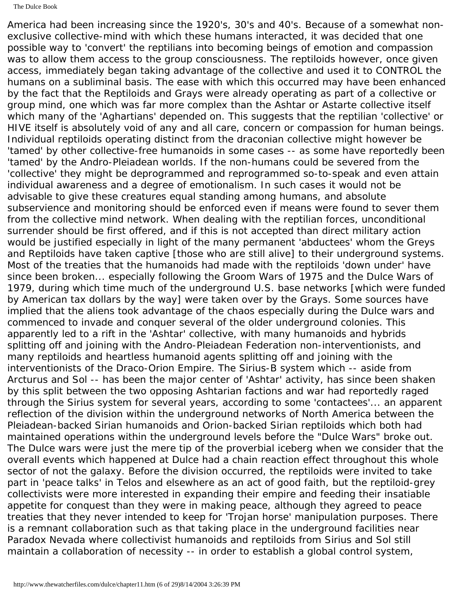America had been increasing since the 1920's, 30's and 40's. Because of a somewhat nonexclusive collective-mind with which these humans interacted, it was decided that one possible way to 'convert' the reptilians into becoming beings of emotion and compassion was to allow them access to the group consciousness. The reptiloids however, once given access, immediately began taking advantage of the collective and used it to CONTROL the humans on a subliminal basis. The ease with which this occurred may have been enhanced by the fact that the Reptiloids and Grays were already operating as part of a collective or group mind, one which was far more complex than the Ashtar or Astarte collective itself which many of the 'Aghartians' depended on. This suggests that the reptilian 'collective' or HIVE itself is absolutely void of any and all care, concern or compassion for human beings. Individual reptiloids operating distinct from the draconian collective might however be 'tamed' by other collective-free humanoids in some cases -- as some have reportedly been 'tamed' by the Andro-Pleiadean worlds. If the non-humans could be severed from the 'collective' they might be deprogrammed and reprogrammed so-to-speak and even attain individual awareness and a degree of emotionalism. In such cases it would not be advisable to give these creatures equal standing among humans, and absolute subservience and monitoring should be enforced even if means were found to sever them from the collective mind network. When dealing with the reptilian forces, unconditional surrender should be first offered, and if this is not accepted than direct military action would be justified especially in light of the many permanent 'abductees' whom the Greys and Reptiloids have taken captive [those who are still alive] to their underground systems. Most of the treaties that the humanoids had made with the reptiloids 'down under' have since been broken... especially following the Groom Wars of 1975 and the Dulce Wars of 1979, during which time much of the underground U.S. base networks [which were funded by American tax dollars by the way] were taken over by the Grays. Some sources have implied that the aliens took advantage of the chaos especially during the Dulce wars and commenced to invade and conquer several of the older underground colonies. This apparently led to a rift in the 'Ashtar' collective, with many humanoids and hybrids splitting off and joining with the Andro-Pleiadean Federation non-interventionists, and many reptiloids and heartless humanoid agents splitting off and joining with the interventionists of the Draco-Orion Empire. The Sirius-B system which -- aside from Arcturus and Sol -- has been the major center of 'Ashtar' activity, has since been shaken by this split between the two opposing Ashtarian factions and war had reportedly raged through the Sirius system for several years, according to some 'contactees'... an apparent reflection of the division within the underground networks of North America between the Pleiadean-backed Sirian humanoids and Orion-backed Sirian reptiloids which both had maintained operations within the underground levels before the "Dulce Wars" broke out. The Dulce wars were just the mere tip of the proverbial iceberg when we consider that the overall events which happened at Dulce had a chain reaction effect throughout this whole sector of not the galaxy. Before the division occurred, the reptiloids were invited to take part in 'peace talks' in Telos and elsewhere as an act of good faith, but the reptiloid-grey collectivists were more interested in expanding their empire and feeding their insatiable appetite for conquest than they were in making peace, although they agreed to peace treaties that they never intended to keep for 'Trojan horse' manipulation purposes. There is a remnant collaboration such as that taking place in the underground facilities near Paradox Nevada where collectivist humanoids and reptiloids from Sirius and Sol still maintain a collaboration of necessity -- in order to establish a global control system,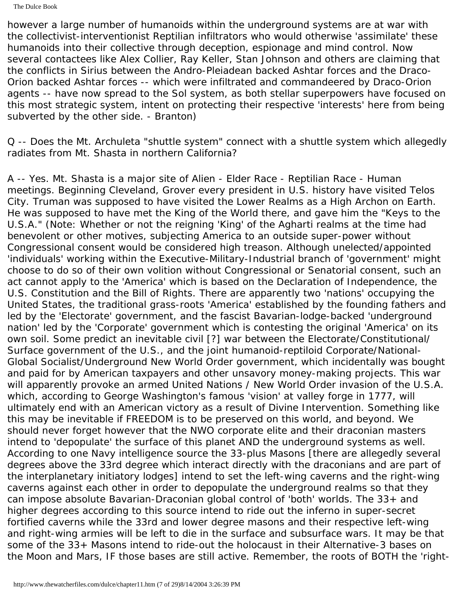The Dulce Book

however a large number of humanoids within the underground systems are at war with the collectivist-interventionist Reptilian infiltrators who would otherwise 'assimilate' these humanoids into their collective through deception, espionage and mind control. Now several contactees like Alex Collier, Ray Keller, Stan Johnson and others are claiming that the conflicts in Sirius between the Andro-Pleiadean backed Ashtar forces and the Draco-Orion backed Ashtar forces -- which were infiltrated and commandeered by Draco-Orion agents -- have now spread to the Sol system, as both stellar superpowers have focused on this most strategic system, intent on protecting their respective 'interests' here from being subverted by the other side. - Branton)

Q -- Does the Mt. Archuleta "shuttle system" connect with a shuttle system which allegedly radiates from Mt. Shasta in northern California?

A -- Yes. Mt. Shasta is a major site of Alien - Elder Race - Reptilian Race - Human meetings. Beginning Cleveland, Grover every president in U.S. history have visited Telos City. Truman was supposed to have visited the Lower Realms as a High Archon on Earth. He was supposed to have met the King of the World there, and gave him the "Keys to the U.S.A." (Note: Whether or not the reigning 'King' of the Agharti realms at the time had benevolent or other motives, subjecting America to an outside super-power without Congressional consent would be considered high treason. Although unelected/appointed 'individuals' working within the Executive-Military-Industrial branch of 'government' might choose to do so of their own volition without Congressional or Senatorial consent, such an act cannot apply to the 'America' which is based on the Declaration of Independence, the U.S. Constitution and the Bill of Rights. There are apparently two 'nations' occupying the United States, the traditional grass-roots 'America' established by the founding fathers and led by the 'Electorate' government, and the fascist Bavarian-lodge-backed 'underground nation' led by the 'Corporate' government which is contesting the original 'America' on its own soil. Some predict an inevitable civil [?] war between the Electorate/Constitutional/ Surface government of the U.S., and the joint humanoid-reptiloid Corporate/National-Global Socialist/Underground New World Order government, which incidentally was bought and paid for by American taxpayers and other unsavory money-making projects. This war will apparently provoke an armed United Nations / New World Order invasion of the U.S.A. which, according to George Washington's famous 'vision' at valley forge in 1777, will ultimately end with an American victory as a result of Divine Intervention. Something like this may be inevitable if FREEDOM is to be preserved on this world, and beyond. We should never forget however that the NWO corporate elite and their draconian masters intend to 'depopulate' the surface of this planet AND the underground systems as well. According to one Navy intelligence source the 33-plus Masons [there are allegedly several degrees above the 33rd degree which interact directly with the draconians and are part of the interplanetary initiatory lodges] intend to set the left-wing caverns and the right-wing caverns against each other in order to depopulate the underground realms so that they can impose absolute Bavarian-Draconian global control of 'both' worlds. The 33+ and higher degrees according to this source intend to ride out the inferno in super-secret fortified caverns while the 33rd and lower degree masons and their respective left-wing and right-wing armies will be left to die in the surface and subsurface wars. It may be that some of the 33+ Masons intend to ride-out the holocaust in their Alternative-3 bases on the Moon and Mars, IF those bases are still active. Remember, the roots of BOTH the 'right-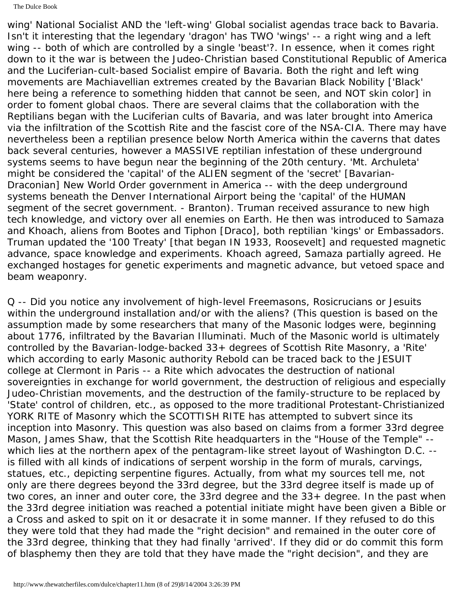The Dulce Book

wing' National Socialist AND the 'left-wing' Global socialist agendas trace back to Bavaria. Isn't it interesting that the legendary 'dragon' has TWO 'wings' -- a right wing and a left wing -- both of which are controlled by a single 'beast'?. In essence, when it comes right down to it the war is between the Judeo-Christian based Constitutional Republic of America and the Luciferian-cult-based Socialist empire of Bavaria. Both the right and left wing movements are Machiavellian extremes created by the Bavarian Black Nobility ['Black' here being a reference to something hidden that cannot be seen, and NOT skin color] in order to foment global chaos. There are several claims that the collaboration with the Reptilians began with the Luciferian cults of Bavaria, and was later brought into America via the infiltration of the Scottish Rite and the fascist core of the NSA-CIA. There may have nevertheless been a reptilian presence below North America within the caverns that dates back several centuries, however a MASSIVE reptilian infestation of these underground systems seems to have begun near the beginning of the 20th century. 'Mt. Archuleta' might be considered the 'capital' of the ALIEN segment of the 'secret' [Bavarian-Draconian] New World Order government in America -- with the deep underground systems beneath the Denver International Airport being the 'capital' of the HUMAN segment of the secret government. - Branton). Truman received assurance to new high tech knowledge, and victory over all enemies on Earth. He then was introduced to Samaza and Khoach, aliens from Bootes and Tiphon [Draco], both reptilian 'kings' or Embassadors. Truman updated the '100 Treaty' [that began IN 1933, Roosevelt] and requested magnetic advance, space knowledge and experiments. Khoach agreed, Samaza partially agreed. He exchanged hostages for genetic experiments and magnetic advance, but vetoed space and beam weaponry.

Q -- Did you notice any involvement of high-level Freemasons, Rosicrucians or Jesuits within the underground installation and/or with the aliens? (This question is based on the assumption made by some researchers that many of the Masonic lodges were, beginning about 1776, infiltrated by the Bavarian Illuminati. Much of the Masonic world is ultimately controlled by the Bavarian-lodge-backed 33+ degrees of Scottish Rite Masonry, a 'Rite' which according to early Masonic authority Rebold can be traced back to the JESUIT college at Clermont in Paris -- a Rite which advocates the destruction of national sovereignties in exchange for world government, the destruction of religious and especially Judeo-Christian movements, and the destruction of the family-structure to be replaced by 'State' control of children, etc., as opposed to the more traditional Protestant-Christianized YORK RITE of Masonry which the SCOTTISH RITE has attempted to subvert since its inception into Masonry. This question was also based on claims from a former 33rd degree Mason, James Shaw, that the Scottish Rite headquarters in the "House of the Temple" - which lies at the northern apex of the pentagram-like street layout of Washington D.C. - is filled with all kinds of indications of serpent worship in the form of murals, carvings, statues, etc., depicting serpentine figures. Actually, from what my sources tell me, not only are there degrees beyond the 33rd degree, but the 33rd degree itself is made up of two cores, an inner and outer core, the 33rd degree and the 33+ degree. In the past when the 33rd degree initiation was reached a potential initiate might have been given a Bible or a Cross and asked to spit on it or desacrate it in some manner. If they refused to do this they were told that they had made the "right decision" and remained in the outer core of the 33rd degree, thinking that they had finally 'arrived'. If they did or do commit this form of blasphemy then they are told that they have made the "right decision", and they are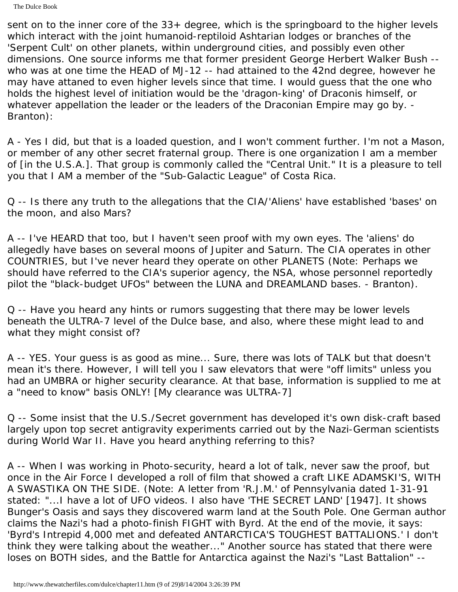The Dulce Book

sent on to the inner core of the 33+ degree, which is the springboard to the higher levels which interact with the joint humanoid-reptiloid Ashtarian lodges or branches of the 'Serpent Cult' on other planets, within underground cities, and possibly even other dimensions. One source informs me that former president George Herbert Walker Bush - who was at one time the HEAD of MJ-12 -- had attained to the 42nd degree, however he may have attaned to even higher levels since that time. I would guess that the one who holds the highest level of initiation would be the 'dragon-king' of Draconis himself, or whatever appellation the leader or the leaders of the Draconian Empire may go by. - Branton):

A - Yes I did, but that is a loaded question, and I won't comment further. I'm not a Mason, or member of any other secret fraternal group. There is one organization I am a member of [in the U.S.A.]. That group is commonly called the "Central Unit." It is a pleasure to tell you that I AM a member of the "Sub-Galactic League" of Costa Rica.

Q -- Is there any truth to the allegations that the CIA/'Aliens' have established 'bases' on the moon, and also Mars?

A -- I've HEARD that too, but I haven't seen proof with my own eyes. The 'aliens' do allegedly have bases on several moons of Jupiter and Saturn. The CIA operates in other COUNTRIES, but I've never heard they operate on other PLANETS (Note: Perhaps we should have referred to the CIA's superior agency, the NSA, whose personnel reportedly pilot the "black-budget UFOs" between the LUNA and DREAMLAND bases. - Branton).

Q -- Have you heard any hints or rumors suggesting that there may be lower levels beneath the ULTRA-7 level of the Dulce base, and also, where these might lead to and what they might consist of?

A -- YES. Your guess is as good as mine... Sure, there was lots of TALK but that doesn't mean it's there. However, I will tell you I saw elevators that were "off limits" unless you had an UMBRA or higher security clearance. At that base, information is supplied to me at a "need to know" basis ONLY! [My clearance was ULTRA-7]

Q -- Some insist that the U.S./Secret government has developed it's own disk-craft based largely upon top secret antigravity experiments carried out by the Nazi-German scientists during World War II. Have you heard anything referring to this?

A -- When I was working in Photo-security, heard a lot of talk, never saw the proof, but once in the Air Force I developed a roll of film that showed a craft LIKE ADAMSKI'S, WITH A SWASTIKA ON THE SIDE. (Note: A letter from 'R.J.M.' of Pennsylvania dated 1-31-91 stated: "...I have a lot of UFO videos. I also have 'THE SECRET LAND' [1947]. It shows Bunger's Oasis and says they discovered warm land at the South Pole. One German author claims the Nazi's had a photo-finish FIGHT with Byrd. At the end of the movie, it says: 'Byrd's Intrepid 4,000 met and defeated ANTARCTICA'S TOUGHEST BATTALIONS.' I don't think they were talking about the weather..." Another source has stated that there were loses on BOTH sides, and the Battle for Antarctica against the Nazi's "Last Battalion" --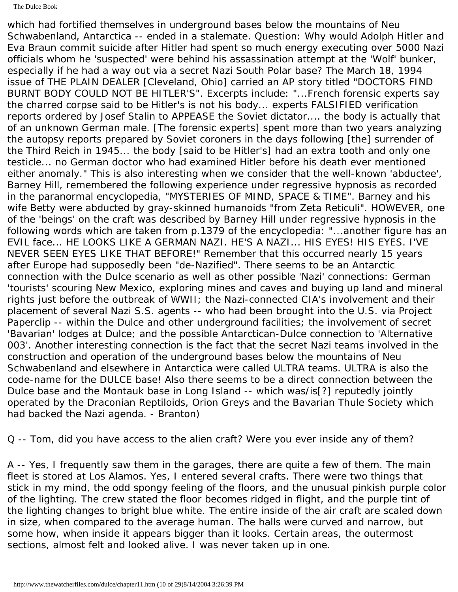which had fortified themselves in underground bases below the mountains of Neu Schwabenland, Antarctica -- ended in a stalemate. Question: Why would Adolph Hitler and Eva Braun commit suicide after Hitler had spent so much energy executing over 5000 Nazi officials whom he 'suspected' were behind his assassination attempt at the 'Wolf' bunker, especially if he had a way out via a secret Nazi South Polar base? The March 18, 1994 issue of THE PLAIN DEALER [Cleveland, Ohio] carried an AP story titled "DOCTORS FIND BURNT BODY COULD NOT BE HITLER'S". Excerpts include: "...French forensic experts say the charred corpse said to be Hitler's is not his body... experts FALSIFIED verification reports ordered by Josef Stalin to APPEASE the Soviet dictator.... the body is actually that of an unknown German male. [The forensic experts] spent more than two years analyzing the autopsy reports prepared by Soviet coroners in the days following [the] surrender of the Third Reich in 1945... the body [said to be Hitler's] had an extra tooth and only one testicle... no German doctor who had examined Hitler before his death ever mentioned either anomaly." This is also interesting when we consider that the well-known 'abductee', Barney Hill, remembered the following experience under regressive hypnosis as recorded in the paranormal encyclopedia, "MYSTERIES OF MIND, SPACE & TIME". Barney and his wife Betty were abducted by gray-skinned humanoids "from Zeta Reticuli". HOWEVER, one of the 'beings' on the craft was described by Barney Hill under regressive hypnosis in the following words which are taken from p.1379 of the encyclopedia: "...another figure has an EVIL face... HE LOOKS LIKE A GERMAN NAZI. HE'S A NAZI... HIS EYES! HIS EYES. I'VE NEVER SEEN EYES LIKE THAT BEFORE!" Remember that this occurred nearly 15 years after Europe had supposedly been "de-Nazified". There seems to be an Antarctic connection with the Dulce scenario as well as other possible 'Nazi' connections: German 'tourists' scouring New Mexico, exploring mines and caves and buying up land and mineral rights just before the outbreak of WWII; the Nazi-connected CIA's involvement and their placement of several Nazi S.S. agents -- who had been brought into the U.S. via Project Paperclip -- within the Dulce and other underground facilities; the involvement of secret 'Bavarian' lodges at Dulce; and the possible Antarctican-Dulce connection to 'Alternative 003'. Another interesting connection is the fact that the secret Nazi teams involved in the construction and operation of the underground bases below the mountains of Neu Schwabenland and elsewhere in Antarctica were called ULTRA teams. ULTRA is also the code-name for the DULCE base! Also there seems to be a direct connection between the Dulce base and the Montauk base in Long Island -- which was/is[?] reputedly jointly operated by the Draconian Reptiloids, Orion Greys and the Bavarian Thule Society which had backed the Nazi agenda. - Branton)

Q -- Tom, did you have access to the alien craft? Were you ever inside any of them?

A -- Yes, I frequently saw them in the garages, there are quite a few of them. The main fleet is stored at Los Alamos. Yes, I entered several crafts. There were two things that stick in my mind, the odd spongy feeling of the floors, and the unusual pinkish purple color of the lighting. The crew stated the floor becomes ridged in flight, and the purple tint of the lighting changes to bright blue white. The entire inside of the air craft are scaled down in size, when compared to the average human. The halls were curved and narrow, but some how, when inside it appears bigger than it looks. Certain areas, the outermost sections, almost felt and looked alive. I was never taken up in one.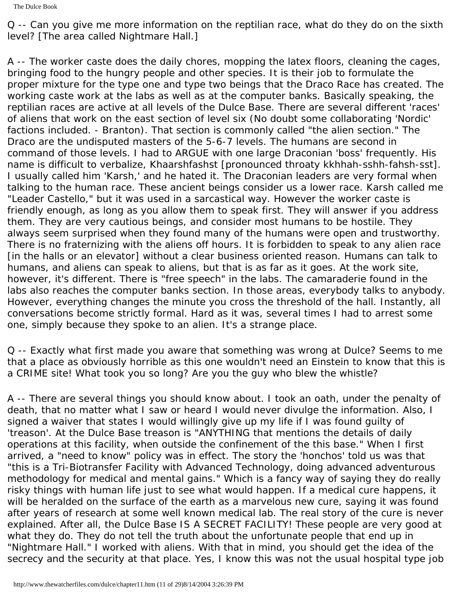Q -- Can you give me more information on the reptilian race, what do they do on the sixth level? [The area called Nightmare Hall.]

A -- The worker caste does the daily chores, mopping the latex floors, cleaning the cages, bringing food to the hungry people and other species. It is their job to formulate the proper mixture for the type one and type two beings that the Draco Race has created. The working caste work at the labs as well as at the computer banks. Basically speaking, the reptilian races are active at all levels of the Dulce Base. There are several different 'races' of aliens that work on the east section of level six (No doubt some collaborating 'Nordic' factions included. - Branton). That section is commonly called "the alien section." The Draco are the undisputed masters of the 5-6-7 levels. The humans are second in command of those levels. I had to ARGUE with one large Draconian 'boss' frequently. His name is difficult to verbalize, Khaarshfashst [pronounced throaty kkhhah-sshh-fahsh-sst]. I usually called him 'Karsh,' and he hated it. The Draconian leaders are very formal when talking to the human race. These ancient beings consider us a lower race. Karsh called me "Leader Castello," but it was used in a sarcastical way. However the worker caste is friendly enough, as long as you allow them to speak first. They will answer if you address them. They are very cautious beings, and consider most humans to be hostile. They always seem surprised when they found many of the humans were open and trustworthy. There is no fraternizing with the aliens off hours. It is forbidden to speak to any alien race [in the halls or an elevator] without a clear business oriented reason. Humans can talk to humans, and aliens can speak to aliens, but that is as far as it goes. At the work site, however, it's different. There is "free speech" in the labs. The camaraderie found in the labs also reaches the computer banks section. In those areas, everybody talks to anybody. However, everything changes the minute you cross the threshold of the hall. Instantly, all conversations become strictly formal. Hard as it was, several times I had to arrest some one, simply because they spoke to an alien. It's a strange place.

Q -- Exactly what first made you aware that something was wrong at Dulce? Seems to me that a place as obviously horrible as this one wouldn't need an Einstein to know that this is a CRIME site! What took you so long? Are you the guy who blew the whistle?

A -- There are several things you should know about. I took an oath, under the penalty of death, that no matter what I saw or heard I would never divulge the information. Also, I signed a waiver that states I would willingly give up my life if I was found guilty of 'treason'. At the Dulce Base treason is "ANYTHING that mentions the details of daily operations at this facility, when outside the confinement of the this base." When I first arrived, a "need to know" policy was in effect. The story the 'honchos' told us was that "this is a Tri-Biotransfer Facility with Advanced Technology, doing advanced adventurous methodology for medical and mental gains." Which is a fancy way of saying they do really risky things with human life just to see what would happen. If a medical cure happens, it will be heralded on the surface of the earth as a marvelous new cure, saying it was found after years of research at some well known medical lab. The real story of the cure is never explained. After all, the Dulce Base IS A SECRET FACILITY! These people are very good at what they do. They do not tell the truth about the unfortunate people that end up in "Nightmare Hall." I worked with aliens. With that in mind, you should get the idea of the secrecy and the security at that place. Yes, I know this was not the usual hospital type job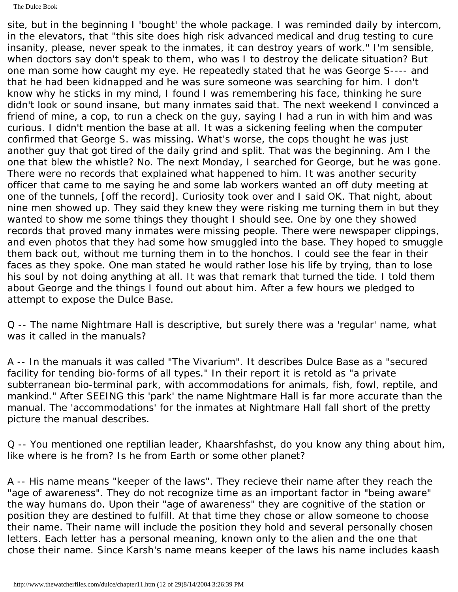site, but in the beginning I 'bought' the whole package. I was reminded daily by intercom, in the elevators, that "this site does high risk advanced medical and drug testing to cure insanity, please, never speak to the inmates, it can destroy years of work." I'm sensible, when doctors say don't speak to them, who was I to destroy the delicate situation? But one man some how caught my eye. He repeatedly stated that he was George S---- and that he had been kidnapped and he was sure someone was searching for him. I don't know why he sticks in my mind, I found I was remembering his face, thinking he sure didn't look or sound insane, but many inmates said that. The next weekend I convinced a friend of mine, a cop, to run a check on the guy, saying I had a run in with him and was curious. I didn't mention the base at all. It was a sickening feeling when the computer confirmed that George S. was missing. What's worse, the cops thought he was just another guy that got tired of the daily grind and split. That was the beginning. Am I the one that blew the whistle? No. The next Monday, I searched for George, but he was gone. There were no records that explained what happened to him. It was another security officer that came to me saying he and some lab workers wanted an off duty meeting at one of the tunnels, [off the record]. Curiosity took over and I said OK. That night, about nine men showed up. They said they knew they were risking me turning them in but they wanted to show me some things they thought I should see. One by one they showed records that proved many inmates were missing people. There were newspaper clippings, and even photos that they had some how smuggled into the base. They hoped to smuggle them back out, without me turning them in to the honchos. I could see the fear in their faces as they spoke. One man stated he would rather lose his life by trying, than to lose his soul by not doing anything at all. It was that remark that turned the tide. I told them about George and the things I found out about him. After a few hours we pledged to attempt to expose the Dulce Base.

Q -- The name Nightmare Hall is descriptive, but surely there was a 'regular' name, what was it called in the manuals?

A -- In the manuals it was called "The Vivarium". It describes Dulce Base as a "secured facility for tending bio-forms of all types." In their report it is retold as "a private subterranean bio-terminal park, with accommodations for animals, fish, fowl, reptile, and mankind." After SEEING this 'park' the name Nightmare Hall is far more accurate than the manual. The 'accommodations' for the inmates at Nightmare Hall fall short of the pretty picture the manual describes.

Q -- You mentioned one reptilian leader, Khaarshfashst, do you know any thing about him, like where is he from? Is he from Earth or some other planet?

A -- His name means "keeper of the laws". They recieve their name after they reach the "age of awareness". They do not recognize time as an important factor in "being aware" the way humans do. Upon their "age of awareness" they are cognitive of the station or position they are destined to fulfill. At that time they chose or allow someone to choose their name. Their name will include the position they hold and several personally chosen letters. Each letter has a personal meaning, known only to the alien and the one that chose their name. Since Karsh's name means keeper of the laws his name includes kaash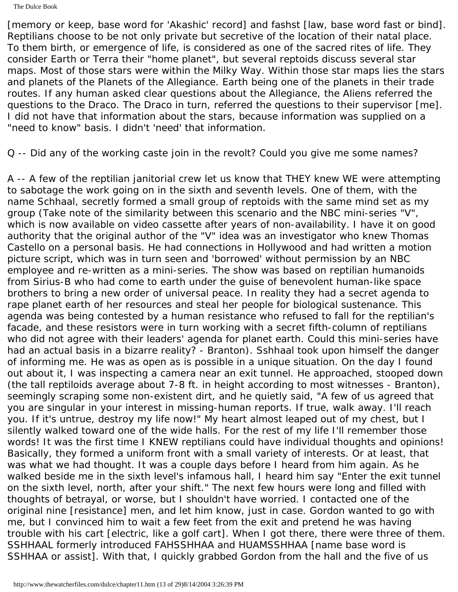The Dulce Book

[memory or keep, base word for 'Akashic' record] and fashst [law, base word fast or bind]. Reptilians choose to be not only private but secretive of the location of their natal place. To them birth, or emergence of life, is considered as one of the sacred rites of life. They consider Earth or Terra their "home planet", but several reptoids discuss several star maps. Most of those stars were within the Milky Way. Within those star maps lies the stars and planets of the Planets of the Allegiance. Earth being one of the planets in their trade routes. If any human asked clear questions about the Allegiance, the Aliens referred the questions to the Draco. The Draco in turn, referred the questions to their supervisor [me]. I did not have that information about the stars, because information was supplied on a "need to know" basis. I didn't 'need' that information.

Q -- Did any of the working caste join in the revolt? Could you give me some names?

A -- A few of the reptilian janitorial crew let us know that THEY knew WE were attempting to sabotage the work going on in the sixth and seventh levels. One of them, with the name Schhaal, secretly formed a small group of reptoids with the same mind set as my group (Take note of the similarity between this scenario and the NBC mini-series "V", which is now available on video cassette after years of non-availability. I have it on good authority that the original author of the "V" idea was an investigator who knew Thomas Castello on a personal basis. He had connections in Hollywood and had written a motion picture script, which was in turn seen and 'borrowed' without permission by an NBC employee and re-written as a mini-series. The show was based on reptilian humanoids from Sirius-B who had come to earth under the guise of benevolent human-like space brothers to bring a new order of universal peace. In reality they had a secret agenda to rape planet earth of her resources and steal her people for biological sustenance. This agenda was being contested by a human resistance who refused to fall for the reptilian's facade, and these resistors were in turn working with a secret fifth-column of reptilians who did not agree with their leaders' agenda for planet earth. Could this mini-series have had an actual basis in a bizarre reality? - Branton). Sshhaal took upon himself the danger of informing me. He was as open as is possible in a unique situation. On the day I found out about it, I was inspecting a camera near an exit tunnel. He approached, stooped down (the tall reptiloids average about 7-8 ft. in height according to most witnesses - Branton), seemingly scraping some non-existent dirt, and he quietly said, "A few of us agreed that you are singular in your interest in missing-human reports. If true, walk away. I'll reach you. If it's untrue, destroy my life now!" My heart almost leaped out of my chest, but I silently walked toward one of the wide halls. For the rest of my life I'll remember those words! It was the first time I KNEW reptilians could have individual thoughts and opinions! Basically, they formed a uniform front with a small variety of interests. Or at least, that was what we had thought. It was a couple days before I heard from him again. As he walked beside me in the sixth level's infamous hall, I heard him say "Enter the exit tunnel on the sixth level, north, after your shift." The next few hours were long and filled with thoughts of betrayal, or worse, but I shouldn't have worried. I contacted one of the original nine [resistance] men, and let him know, just in case. Gordon wanted to go with me, but I convinced him to wait a few feet from the exit and pretend he was having trouble with his cart [electric, like a golf cart]. When I got there, there were three of them. SSHHAAL formerly introduced FAHSSHHAA and HUAMSSHHAA [name base word is SSHHAA or assist]. With that, I quickly grabbed Gordon from the hall and the five of us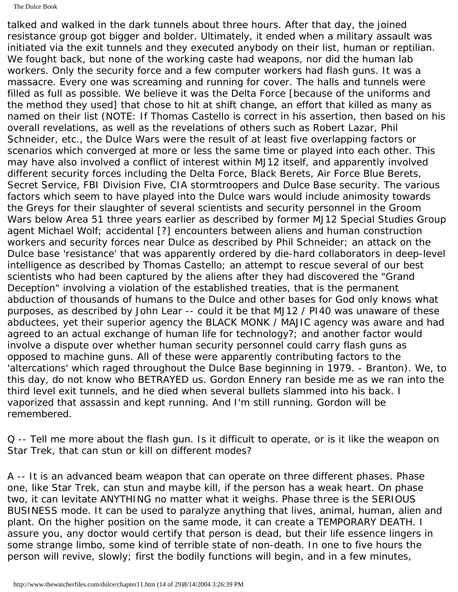talked and walked in the dark tunnels about three hours. After that day, the joined resistance group got bigger and bolder. Ultimately, it ended when a military assault was initiated via the exit tunnels and they executed anybody on their list, human or reptilian. We fought back, but none of the working caste had weapons, nor did the human lab workers. Only the security force and a few computer workers had flash guns. It was a massacre. Every one was screaming and running for cover. The halls and tunnels were filled as full as possible. We believe it was the Delta Force [because of the uniforms and the method they used] that chose to hit at shift change, an effort that killed as many as named on their list (NOTE: If Thomas Castello is correct in his assertion, then based on his overall revelations, as well as the revelations of others such as Robert Lazar, Phil Schneider, etc., the Dulce Wars were the result of at least five overlapping factors or scenarios which converged at more or less the same time or played into each other. This may have also involved a conflict of interest within MJ12 itself, and apparently involved different security forces including the Delta Force, Black Berets, Air Force Blue Berets, Secret Service, FBI Division Five, CIA stormtroopers and Dulce Base security. The various factors which seem to have played into the Dulce wars would include animosity towards the Greys for their slaughter of several scientists and security personnel in the Groom Wars below Area 51 three years earlier as described by former MJ12 Special Studies Group agent Michael Wolf; accidental [?] encounters between aliens and human construction workers and security forces near Dulce as described by Phil Schneider; an attack on the Dulce base 'resistance' that was apparently ordered by die-hard collaborators in deep-level intelligence as described by Thomas Castello; an attempt to rescue several of our best scientists who had been captured by the aliens after they had discovered the "Grand Deception" involving a violation of the established treaties, that is the permanent abduction of thousands of humans to the Dulce and other bases for God only knows what purposes, as described by John Lear -- could it be that MJ12 / PI40 was unaware of these abductees, yet their superior agency the BLACK MONK / MAJIC agency was aware and had agreed to an actual exchange of human life for technology?; and another factor would involve a dispute over whether human security personnel could carry flash guns as opposed to machine guns. All of these were apparently contributing factors to the 'altercations' which raged throughout the Dulce Base beginning in 1979. - Branton). We, to this day, do not know who BETRAYED us. Gordon Ennery ran beside me as we ran into the third level exit tunnels, and he died when several bullets slammed into his back. I vaporized that assassin and kept running. And I'm still running. Gordon will be remembered.

Q -- Tell me more about the flash gun. Is it difficult to operate, or is it like the weapon on Star Trek, that can stun or kill on different modes?

A -- It is an advanced beam weapon that can operate on three different phases. Phase one, like Star Trek, can stun and maybe kill, if the person has a weak heart. On phase two, it can levitate ANYTHING no matter what it weighs. Phase three is the SERIOUS BUSINESS mode. It can be used to paralyze anything that lives, animal, human, alien and plant. On the higher position on the same mode, it can create a TEMPORARY DEATH. I assure you, any doctor would certify that person is dead, but their life essence lingers in some strange limbo, some kind of terrible state of non-death. In one to five hours the person will revive, slowly; first the bodily functions will begin, and in a few minutes,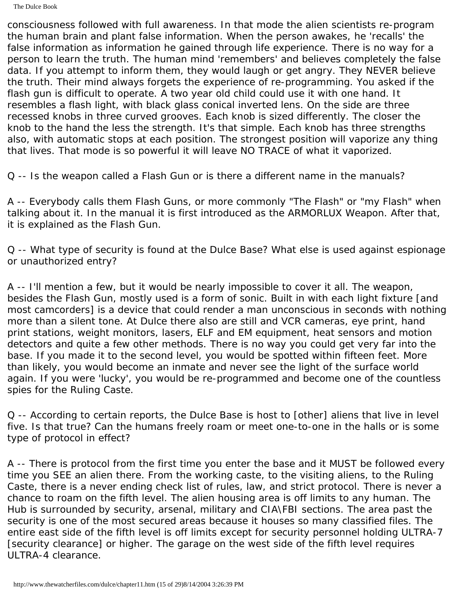The Dulce Book

consciousness followed with full awareness. In that mode the alien scientists re-program the human brain and plant false information. When the person awakes, he 'recalls' the false information as information he gained through life experience. There is no way for a person to learn the truth. The human mind 'remembers' and believes completely the false data. If you attempt to inform them, they would laugh or get angry. They NEVER believe the truth. Their mind always forgets the experience of re-programming. You asked if the flash gun is difficult to operate. A two year old child could use it with one hand. It resembles a flash light, with black glass conical inverted lens. On the side are three recessed knobs in three curved grooves. Each knob is sized differently. The closer the knob to the hand the less the strength. It's that simple. Each knob has three strengths also, with automatic stops at each position. The strongest position will vaporize any thing that lives. That mode is so powerful it will leave NO TRACE of what it vaporized.

Q -- Is the weapon called a Flash Gun or is there a different name in the manuals?

A -- Everybody calls them Flash Guns, or more commonly "The Flash" or "my Flash" when talking about it. In the manual it is first introduced as the ARMORLUX Weapon. After that, it is explained as the Flash Gun.

Q -- What type of security is found at the Dulce Base? What else is used against espionage or unauthorized entry?

A -- I'll mention a few, but it would be nearly impossible to cover it all. The weapon, besides the Flash Gun, mostly used is a form of sonic. Built in with each light fixture [and most camcorders] is a device that could render a man unconscious in seconds with nothing more than a silent tone. At Dulce there also are still and VCR cameras, eye print, hand print stations, weight monitors, lasers, ELF and EM equipment, heat sensors and motion detectors and quite a few other methods. There is no way you could get very far into the base. If you made it to the second level, you would be spotted within fifteen feet. More than likely, you would become an inmate and never see the light of the surface world again. If you were 'lucky', you would be re-programmed and become one of the countless spies for the Ruling Caste.

Q -- According to certain reports, the Dulce Base is host to [other] aliens that live in level five. Is that true? Can the humans freely roam or meet one-to-one in the halls or is some type of protocol in effect?

A -- There is protocol from the first time you enter the base and it MUST be followed every time you SEE an alien there. From the working caste, to the visiting aliens, to the Ruling Caste, there is a never ending check list of rules, law, and strict protocol. There is never a chance to roam on the fifth level. The alien housing area is off limits to any human. The Hub is surrounded by security, arsenal, military and CIA\FBI sections. The area past the security is one of the most secured areas because it houses so many classified files. The entire east side of the fifth level is off limits except for security personnel holding ULTRA-7 [security clearance] or higher. The garage on the west side of the fifth level requires ULTRA-4 clearance.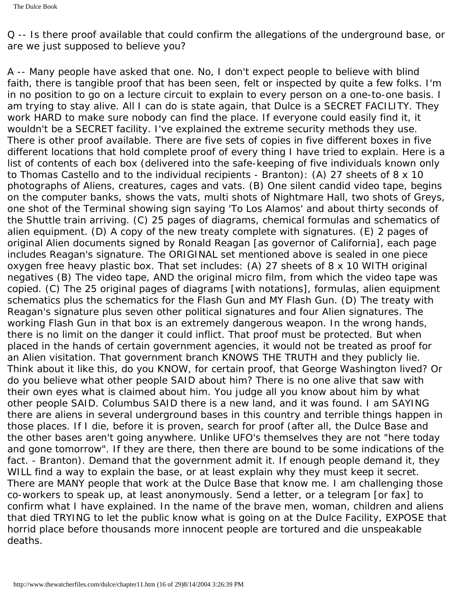Q -- Is there proof available that could confirm the allegations of the underground base, or are we just supposed to believe you?

A -- Many people have asked that one. No, I don't expect people to believe with blind faith, there is tangible proof that has been seen, felt or inspected by quite a few folks. I'm in no position to go on a lecture circuit to explain to every person on a one-to-one basis. I am trying to stay alive. All I can do is state again, that Dulce is a SECRET FACILITY. They work HARD to make sure nobody can find the place. If everyone could easily find it, it wouldn't be a SECRET facility. I've explained the extreme security methods they use. There is other proof available. There are five sets of copies in five different boxes in five different locations that hold complete proof of every thing I have tried to explain. Here is a list of contents of each box (delivered into the safe-keeping of five individuals known only to Thomas Castello and to the individual recipients - Branton): (A) 27 sheets of 8 x 10 photographs of Aliens, creatures, cages and vats. (B) One silent candid video tape, begins on the computer banks, shows the vats, multi shots of Nightmare Hall, two shots of Greys, one shot of the Terminal showing sign saying 'To Los Alamos' and about thirty seconds of the Shuttle train arriving. (C) 25 pages of diagrams, chemical formulas and schematics of alien equipment. (D) A copy of the new treaty complete with signatures. (E) 2 pages of original Alien documents signed by Ronald Reagan [as governor of California], each page includes Reagan's signature. The ORIGINAL set mentioned above is sealed in one piece oxygen free heavy plastic box. That set includes: (A) 27 sheets of 8 x 10 WITH original negatives (B) The video tape, AND the original micro film, from which the video tape was copied. (C) The 25 original pages of diagrams [with notations], formulas, alien equipment schematics plus the schematics for the Flash Gun and MY Flash Gun. (D) The treaty with Reagan's signature plus seven other political signatures and four Alien signatures. The working Flash Gun in that box is an extremely dangerous weapon. In the wrong hands, there is no limit on the danger it could inflict. That proof must be protected. But when placed in the hands of certain government agencies, it would not be treated as proof for an Alien visitation. That government branch KNOWS THE TRUTH and they publicly lie. Think about it like this, do you KNOW, for certain proof, that George Washington lived? Or do you believe what other people SAID about him? There is no one alive that saw with their own eyes what is claimed about him. You judge all you know about him by what other people SAID. Columbus SAID there is a new land, and it was found. I am SAYING there are aliens in several underground bases in this country and terrible things happen in those places. If I die, before it is proven, search for proof (after all, the Dulce Base and the other bases aren't going anywhere. Unlike UFO's themselves they are not "here today and gone tomorrow". If they are there, then there are bound to be some indications of the fact. - Branton). Demand that the government admit it. If enough people demand it, they WILL find a way to explain the base, or at least explain why they must keep it secret. There are MANY people that work at the Dulce Base that know me. I am challenging those co-workers to speak up, at least anonymously. Send a letter, or a telegram [or fax] to confirm what I have explained. In the name of the brave men, woman, children and aliens that died TRYING to let the public know what is going on at the Dulce Facility, EXPOSE that horrid place before thousands more innocent people are tortured and die unspeakable deaths.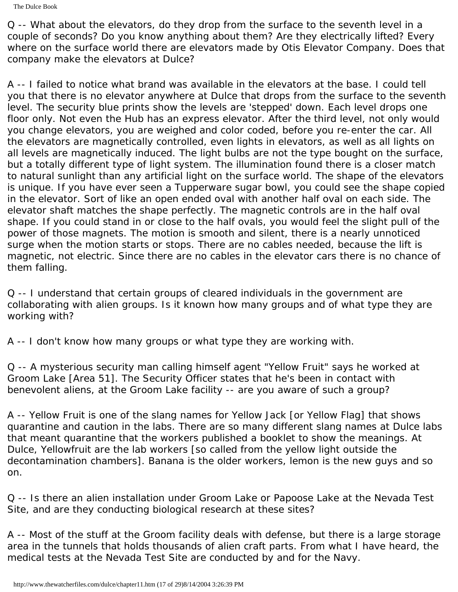The Dulce Book

Q -- What about the elevators, do they drop from the surface to the seventh level in a couple of seconds? Do you know anything about them? Are they electrically lifted? Every where on the surface world there are elevators made by Otis Elevator Company. Does that company make the elevators at Dulce?

A -- I failed to notice what brand was available in the elevators at the base. I could tell you that there is no elevator anywhere at Dulce that drops from the surface to the seventh level. The security blue prints show the levels are 'stepped' down. Each level drops one floor only. Not even the Hub has an express elevator. After the third level, not only would you change elevators, you are weighed and color coded, before you re-enter the car. All the elevators are magnetically controlled, even lights in elevators, as well as all lights on all levels are magnetically induced. The light bulbs are not the type bought on the surface, but a totally different type of light system. The illumination found there is a closer match to natural sunlight than any artificial light on the surface world. The shape of the elevators is unique. If you have ever seen a Tupperware sugar bowl, you could see the shape copied in the elevator. Sort of like an open ended oval with another half oval on each side. The elevator shaft matches the shape perfectly. The magnetic controls are in the half oval shape. If you could stand in or close to the half ovals, you would feel the slight pull of the power of those magnets. The motion is smooth and silent, there is a nearly unnoticed surge when the motion starts or stops. There are no cables needed, because the lift is magnetic, not electric. Since there are no cables in the elevator cars there is no chance of them falling.

Q -- I understand that certain groups of cleared individuals in the government are collaborating with alien groups. Is it known how many groups and of what type they are working with?

A -- I don't know how many groups or what type they are working with.

Q -- A mysterious security man calling himself agent "Yellow Fruit" says he worked at Groom Lake [Area 51]. The Security Officer states that he's been in contact with benevolent aliens, at the Groom Lake facility -- are you aware of such a group?

A -- Yellow Fruit is one of the slang names for Yellow Jack [or Yellow Flag] that shows quarantine and caution in the labs. There are so many different slang names at Dulce labs that meant quarantine that the workers published a booklet to show the meanings. At Dulce, Yellowfruit are the lab workers [so called from the yellow light outside the decontamination chambers]. Banana is the older workers, lemon is the new guys and so on.

Q -- Is there an alien installation under Groom Lake or Papoose Lake at the Nevada Test Site, and are they conducting biological research at these sites?

A -- Most of the stuff at the Groom facility deals with defense, but there is a large storage area in the tunnels that holds thousands of alien craft parts. From what I have heard, the medical tests at the Nevada Test Site are conducted by and for the Navy.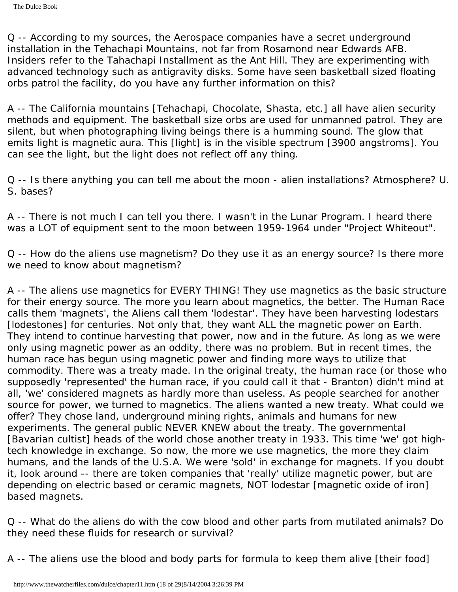Q -- According to my sources, the Aerospace companies have a secret underground installation in the Tehachapi Mountains, not far from Rosamond near Edwards AFB. Insiders refer to the Tahachapi Installment as the Ant Hill. They are experimenting with advanced technology such as antigravity disks. Some have seen basketball sized floating orbs patrol the facility, do you have any further information on this?

A -- The California mountains [Tehachapi, Chocolate, Shasta, etc.] all have alien security methods and equipment. The basketball size orbs are used for unmanned patrol. They are silent, but when photographing living beings there is a humming sound. The glow that emits light is magnetic aura. This [light] is in the visible spectrum [3900 angstroms]. You can see the light, but the light does not reflect off any thing.

Q -- Is there anything you can tell me about the moon - alien installations? Atmosphere? U. S. bases?

A -- There is not much I can tell you there. I wasn't in the Lunar Program. I heard there was a LOT of equipment sent to the moon between 1959-1964 under "Project Whiteout".

Q -- How do the aliens use magnetism? Do they use it as an energy source? Is there more we need to know about magnetism?

A -- The aliens use magnetics for EVERY THING! They use magnetics as the basic structure for their energy source. The more you learn about magnetics, the better. The Human Race calls them 'magnets', the Aliens call them 'lodestar'. They have been harvesting lodestars [lodestones] for centuries. Not only that, they want ALL the magnetic power on Earth. They intend to continue harvesting that power, now and in the future. As long as we were only using magnetic power as an oddity, there was no problem. But in recent times, the human race has begun using magnetic power and finding more ways to utilize that commodity. There was a treaty made. In the original treaty, the human race (or those who supposedly 'represented' the human race, if you could call it that - Branton) didn't mind at all, 'we' considered magnets as hardly more than useless. As people searched for another source for power, we turned to magnetics. The aliens wanted a new treaty. What could we offer? They chose land, underground mining rights, animals and humans for new experiments. The general public NEVER KNEW about the treaty. The governmental [Bavarian cultist] heads of the world chose another treaty in 1933. This time 'we' got hightech knowledge in exchange. So now, the more we use magnetics, the more they claim humans, and the lands of the U.S.A. We were 'sold' in exchange for magnets. If you doubt it, look around -- there are token companies that 'really' utilize magnetic power, but are depending on electric based or ceramic magnets, NOT lodestar [magnetic oxide of iron] based magnets.

Q -- What do the aliens do with the cow blood and other parts from mutilated animals? Do they need these fluids for research or survival?

A -- The aliens use the blood and body parts for formula to keep them alive [their food]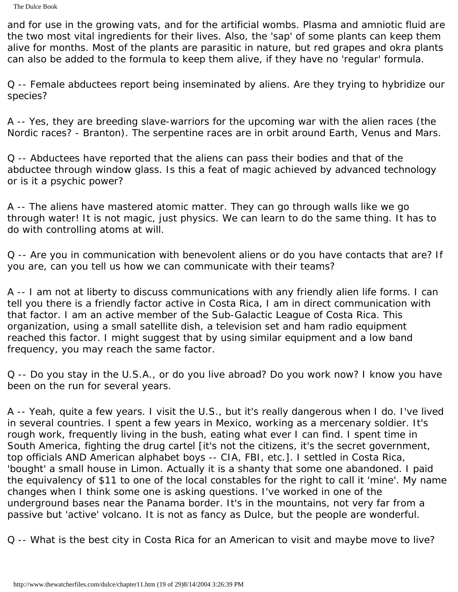The Dulce Book

and for use in the growing vats, and for the artificial wombs. Plasma and amniotic fluid are the two most vital ingredients for their lives. Also, the 'sap' of some plants can keep them alive for months. Most of the plants are parasitic in nature, but red grapes and okra plants can also be added to the formula to keep them alive, if they have no 'regular' formula.

Q -- Female abductees report being inseminated by aliens. Are they trying to hybridize our species?

A -- Yes, they are breeding slave-warriors for the upcoming war with the alien races (the Nordic races? - Branton). The serpentine races are in orbit around Earth, Venus and Mars.

Q -- Abductees have reported that the aliens can pass their bodies and that of the abductee through window glass. Is this a feat of magic achieved by advanced technology or is it a psychic power?

A -- The aliens have mastered atomic matter. They can go through walls like we go through water! It is not magic, just physics. We can learn to do the same thing. It has to do with controlling atoms at will.

Q -- Are you in communication with benevolent aliens or do you have contacts that are? If you are, can you tell us how we can communicate with their teams?

A -- I am not at liberty to discuss communications with any friendly alien life forms. I can tell you there is a friendly factor active in Costa Rica, I am in direct communication with that factor. I am an active member of the Sub-Galactic League of Costa Rica. This organization, using a small satellite dish, a television set and ham radio equipment reached this factor. I might suggest that by using similar equipment and a low band frequency, you may reach the same factor.

Q -- Do you stay in the U.S.A., or do you live abroad? Do you work now? I know you have been on the run for several years.

A -- Yeah, quite a few years. I visit the U.S., but it's really dangerous when I do. I've lived in several countries. I spent a few years in Mexico, working as a mercenary soldier. It's rough work, frequently living in the bush, eating what ever I can find. I spent time in South America, fighting the drug cartel [it's not the citizens, it's the secret government, top officials AND American alphabet boys -- CIA, FBI, etc.]. I settled in Costa Rica, 'bought' a small house in Limon. Actually it is a shanty that some one abandoned. I paid the equivalency of \$11 to one of the local constables for the right to call it 'mine'. My name changes when I think some one is asking questions. I've worked in one of the underground bases near the Panama border. It's in the mountains, not very far from a passive but 'active' volcano. It is not as fancy as Dulce, but the people are wonderful.

Q -- What is the best city in Costa Rica for an American to visit and maybe move to live?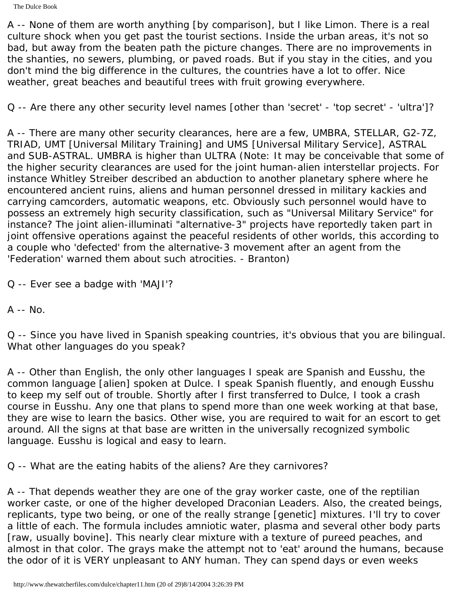The Dulce Book

A -- None of them are worth anything [by comparison], but I like Limon. There is a real culture shock when you get past the tourist sections. Inside the urban areas, it's not so bad, but away from the beaten path the picture changes. There are no improvements in the shanties, no sewers, plumbing, or paved roads. But if you stay in the cities, and you don't mind the big difference in the cultures, the countries have a lot to offer. Nice weather, great beaches and beautiful trees with fruit growing everywhere.

Q -- Are there any other security level names [other than 'secret' - 'top secret' - 'ultra']?

A -- There are many other security clearances, here are a few, UMBRA, STELLAR, G2-7Z, TRIAD, UMT [Universal Military Training] and UMS [Universal Military Service], ASTRAL and SUB-ASTRAL. UMBRA is higher than ULTRA (Note: It may be conceivable that some of the higher security clearances are used for the joint human-alien interstellar projects. For instance Whitley Streiber described an abduction to another planetary sphere where he encountered ancient ruins, aliens and human personnel dressed in military kackies and carrying camcorders, automatic weapons, etc. Obviously such personnel would have to possess an extremely high security classification, such as "Universal Military Service" for instance? The joint alien-illuminati "alternative-3" projects have reportedly taken part in joint offensive operations against the peaceful residents of other worlds, this according to a couple who 'defected' from the alternative-3 movement after an agent from the 'Federation' warned them about such atrocities. - Branton)

Q -- Ever see a badge with 'MAJI'?

A -- No.

Q -- Since you have lived in Spanish speaking countries, it's obvious that you are bilingual. What other languages do you speak?

A -- Other than English, the only other languages I speak are Spanish and Eusshu, the common language [alien] spoken at Dulce. I speak Spanish fluently, and enough Eusshu to keep my self out of trouble. Shortly after I first transferred to Dulce, I took a crash course in Eusshu. Any one that plans to spend more than one week working at that base, they are wise to learn the basics. Other wise, you are required to wait for an escort to get around. All the signs at that base are written in the universally recognized symbolic language. Eusshu is logical and easy to learn.

Q -- What are the eating habits of the aliens? Are they carnivores?

A -- That depends weather they are one of the gray worker caste, one of the reptilian worker caste, or one of the higher developed Draconian Leaders. Also, the created beings, replicants, type two being, or one of the really strange [genetic] mixtures. I'll try to cover a little of each. The formula includes amniotic water, plasma and several other body parts [raw, usually bovine]. This nearly clear mixture with a texture of pureed peaches, and almost in that color. The grays make the attempt not to 'eat' around the humans, because the odor of it is VERY unpleasant to ANY human. They can spend days or even weeks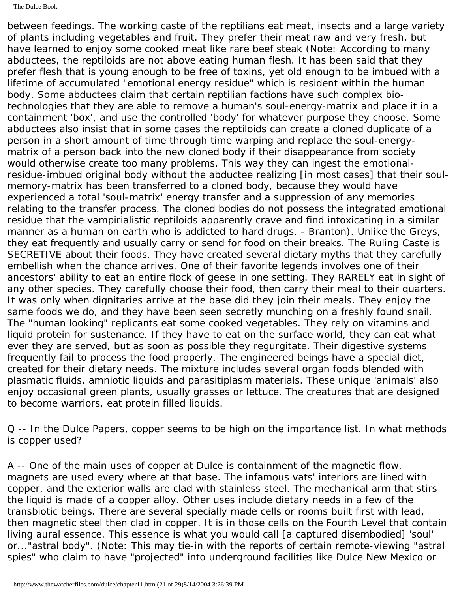between feedings. The working caste of the reptilians eat meat, insects and a large variety of plants including vegetables and fruit. They prefer their meat raw and very fresh, but have learned to enjoy some cooked meat like rare beef steak (Note: According to many abductees, the reptiloids are not above eating human flesh. It has been said that they prefer flesh that is young enough to be free of toxins, yet old enough to be imbued with a lifetime of accumulated "emotional energy residue" which is resident within the human body. Some abductees claim that certain reptilian factions have such complex biotechnologies that they are able to remove a human's soul-energy-matrix and place it in a containment 'box', and use the controlled 'body' for whatever purpose they choose. Some abductees also insist that in some cases the reptiloids can create a cloned duplicate of a person in a short amount of time through time warping and replace the soul-energymatrix of a person back into the new cloned body if their disappearance from society would otherwise create too many problems. This way they can ingest the emotionalresidue-imbued original body without the abductee realizing [in most cases] that their soulmemory-matrix has been transferred to a cloned body, because they would have experienced a total 'soul-matrix' energy transfer and a suppression of any memories relating to the transfer process. The cloned bodies do not possess the integrated emotional residue that the vampirialistic reptiloids apparently crave and find intoxicating in a similar manner as a human on earth who is addicted to hard drugs. - Branton). Unlike the Greys, they eat frequently and usually carry or send for food on their breaks. The Ruling Caste is SECRETIVE about their foods. They have created several dietary myths that they carefully embellish when the chance arrives. One of their favorite legends involves one of their ancestors' ability to eat an entire flock of geese in one setting. They RARELY eat in sight of any other species. They carefully choose their food, then carry their meal to their quarters. It was only when dignitaries arrive at the base did they join their meals. They enjoy the same foods we do, and they have been seen secretly munching on a freshly found snail. The "human looking" replicants eat some cooked vegetables. They rely on vitamins and liquid protein for sustenance. If they have to eat on the surface world, they can eat what ever they are served, but as soon as possible they regurgitate. Their digestive systems frequently fail to process the food properly. The engineered beings have a special diet, created for their dietary needs. The mixture includes several organ foods blended with plasmatic fluids, amniotic liquids and parasitiplasm materials. These unique 'animals' also enjoy occasional green plants, usually grasses or lettuce. The creatures that are designed to become warriors, eat protein filled liquids.

Q -- In the Dulce Papers, copper seems to be high on the importance list. In what methods is copper used?

A -- One of the main uses of copper at Dulce is containment of the magnetic flow, magnets are used every where at that base. The infamous vats' interiors are lined with copper, and the exterior walls are clad with stainless steel. The mechanical arm that stirs the liquid is made of a copper alloy. Other uses include dietary needs in a few of the transbiotic beings. There are several specially made cells or rooms built first with lead, then magnetic steel then clad in copper. It is in those cells on the Fourth Level that contain living aural essence. This essence is what you would call [a captured disembodied] 'soul' or..."astral body". (Note: This may tie-in with the reports of certain remote-viewing "astral spies" who claim to have "projected" into underground facilities like Dulce New Mexico or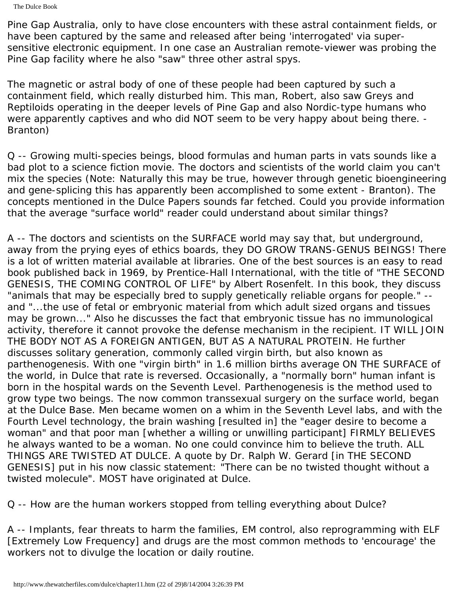The Dulce Book

Pine Gap Australia, only to have close encounters with these astral containment fields, or have been captured by the same and released after being 'interrogated' via supersensitive electronic equipment. In one case an Australian remote-viewer was probing the Pine Gap facility where he also "saw" three other astral spys.

The magnetic or astral body of one of these people had been captured by such a containment field, which really disturbed him. This man, Robert, also saw Greys and Reptiloids operating in the deeper levels of Pine Gap and also Nordic-type humans who were apparently captives and who did NOT seem to be very happy about being there. - Branton)

Q -- Growing multi-species beings, blood formulas and human parts in vats sounds like a bad plot to a science fiction movie. The doctors and scientists of the world claim you can't mix the species (Note: Naturally this may be true, however through genetic bioengineering and gene-splicing this has apparently been accomplished to some extent - Branton). The concepts mentioned in the Dulce Papers sounds far fetched. Could you provide information that the average "surface world" reader could understand about similar things?

A -- The doctors and scientists on the SURFACE world may say that, but underground, away from the prying eyes of ethics boards, they DO GROW TRANS-GENUS BEINGS! There is a lot of written material available at libraries. One of the best sources is an easy to read book published back in 1969, by Prentice-Hall International, with the title of "THE SECOND GENESIS, THE COMING CONTROL OF LIFE" by Albert Rosenfelt. In this book, they discuss "animals that may be especially bred to supply genetically reliable organs for people." - and "...the use of fetal or embryonic material from which adult sized organs and tissues may be grown..." Also he discusses the fact that embryonic tissue has no immunological activity, therefore it cannot provoke the defense mechanism in the recipient. IT WILL JOIN THE BODY NOT AS A FOREIGN ANTIGEN, BUT AS A NATURAL PROTEIN. He further discusses solitary generation, commonly called virgin birth, but also known as parthenogenesis. With one "virgin birth" in 1.6 million births average ON THE SURFACE of the world, in Dulce that rate is reversed. Occasionally, a "normally born" human infant is born in the hospital wards on the Seventh Level. Parthenogenesis is the method used to grow type two beings. The now common transsexual surgery on the surface world, began at the Dulce Base. Men became women on a whim in the Seventh Level labs, and with the Fourth Level technology, the brain washing [resulted in] the "eager desire to become a woman" and that poor man [whether a willing or unwilling participant] FIRMLY BELIEVES he always wanted to be a woman. No one could convince him to believe the truth. ALL THINGS ARE TWISTED AT DULCE. A quote by Dr. Ralph W. Gerard [in THE SECOND GENESIS] put in his now classic statement: "There can be no twisted thought without a twisted molecule". MOST have originated at Dulce.

Q -- How are the human workers stopped from telling everything about Dulce?

A -- Implants, fear threats to harm the families, EM control, also reprogramming with ELF [Extremely Low Frequency] and drugs are the most common methods to 'encourage' the workers not to divulge the location or daily routine.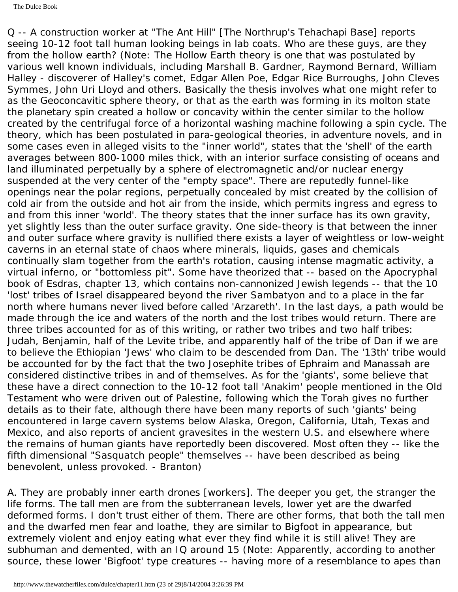Q -- A construction worker at "The Ant Hill" [The Northrup's Tehachapi Base] reports seeing 10-12 foot tall human looking beings in lab coats. Who are these guys, are they from the hollow earth? (Note: The Hollow Earth theory is one that was postulated by various well known individuals, including Marshall B. Gardner, Raymond Bernard, William Halley - discoverer of Halley's comet, Edgar Allen Poe, Edgar Rice Burroughs, John Cleves Symmes, John Uri Lloyd and others. Basically the thesis involves what one might refer to as the Geoconcavitic sphere theory, or that as the earth was forming in its molton state the planetary spin created a hollow or concavity within the center similar to the hollow created by the centrifugal force of a horizontal washing machine following a spin cycle. The theory, which has been postulated in para-geological theories, in adventure novels, and in some cases even in alleged visits to the "inner world", states that the 'shell' of the earth averages between 800-1000 miles thick, with an interior surface consisting of oceans and land illuminated perpetually by a sphere of electromagnetic and/or nuclear energy suspended at the very center of the "empty space". There are reputedly funnel-like openings near the polar regions, perpetually concealed by mist created by the collision of cold air from the outside and hot air from the inside, which permits ingress and egress to and from this inner 'world'. The theory states that the inner surface has its own gravity, yet slightly less than the outer surface gravity. One side-theory is that between the inner and outer surface where gravity is nullified there exists a layer of weightless or low-weight caverns in an eternal state of chaos where minerals, liquids, gases and chemicals continually slam together from the earth's rotation, causing intense magmatic activity, a virtual inferno, or "bottomless pit". Some have theorized that -- based on the Apocryphal book of Esdras, chapter 13, which contains non-cannonized Jewish legends -- that the 10 'lost' tribes of Israel disappeared beyond the river Sambatyon and to a place in the far north where humans never lived before called 'Arzareth'. In the last days, a path would be made through the ice and waters of the north and the lost tribes would return. There are three tribes accounted for as of this writing, or rather two tribes and two half tribes: Judah, Benjamin, half of the Levite tribe, and apparently half of the tribe of Dan if we are to believe the Ethiopian 'Jews' who claim to be descended from Dan. The '13th' tribe would be accounted for by the fact that the two Josephite tribes of Ephraim and Manassah are considered distinctive tribes in and of themselves. As for the 'giants', some believe that these have a direct connection to the 10-12 foot tall 'Anakim' people mentioned in the Old Testament who were driven out of Palestine, following which the Torah gives no further details as to their fate, although there have been many reports of such 'giants' being encountered in large cavern systems below Alaska, Oregon, California, Utah, Texas and Mexico, and also reports of ancient gravesites in the western U.S. and elsewhere where the remains of human giants have reportedly been discovered. Most often they -- like the fifth dimensional "Sasquatch people" themselves -- have been described as being benevolent, unless provoked. - Branton)

A. They are probably inner earth drones [workers]. The deeper you get, the stranger the life forms. The tall men are from the subterranean levels, lower yet are the dwarfed deformed forms. I don't trust either of them. There are other forms, that both the tall men and the dwarfed men fear and loathe, they are similar to Bigfoot in appearance, but extremely violent and enjoy eating what ever they find while it is still alive! They are subhuman and demented, with an IQ around 15 (Note: Apparently, according to another source, these lower 'Bigfoot' type creatures -- having more of a resemblance to apes than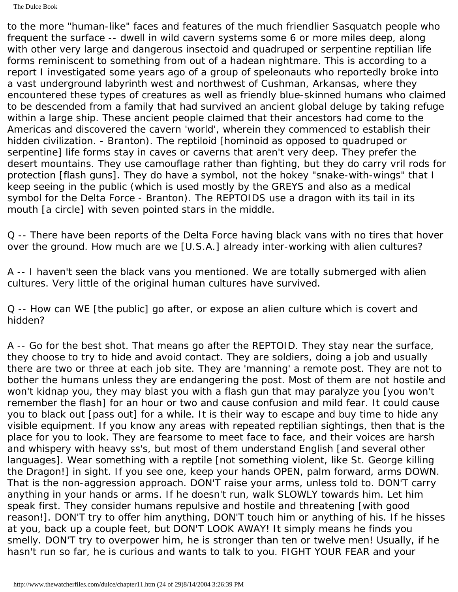to the more "human-like" faces and features of the much friendlier Sasquatch people who frequent the surface -- dwell in wild cavern systems some 6 or more miles deep, along with other very large and dangerous insectoid and quadruped or serpentine reptilian life forms reminiscent to something from out of a hadean nightmare. This is according to a report I investigated some years ago of a group of speleonauts who reportedly broke into a vast underground labyrinth west and northwest of Cushman, Arkansas, where they encountered these types of creatures as well as friendly blue-skinned humans who claimed to be descended from a family that had survived an ancient global deluge by taking refuge within a large ship. These ancient people claimed that their ancestors had come to the Americas and discovered the cavern 'world', wherein they commenced to establish their hidden civilization. - Branton). The reptiloid [hominoid as opposed to quadruped or serpentine] life forms stay in caves or caverns that aren't very deep. They prefer the desert mountains. They use camouflage rather than fighting, but they do carry vril rods for protection [flash guns]. They do have a symbol, not the hokey "snake-with-wings" that I keep seeing in the public (which is used mostly by the GREYS and also as a medical symbol for the Delta Force - Branton). The REPTOIDS use a dragon with its tail in its mouth [a circle] with seven pointed stars in the middle.

Q -- There have been reports of the Delta Force having black vans with no tires that hover over the ground. How much are we [U.S.A.] already inter-working with alien cultures?

A -- I haven't seen the black vans you mentioned. We are totally submerged with alien cultures. Very little of the original human cultures have survived.

Q -- How can WE [the public] go after, or expose an alien culture which is covert and hidden?

A -- Go for the best shot. That means go after the REPTOID. They stay near the surface, they choose to try to hide and avoid contact. They are soldiers, doing a job and usually there are two or three at each job site. They are 'manning' a remote post. They are not to bother the humans unless they are endangering the post. Most of them are not hostile and won't kidnap you, they may blast you with a flash gun that may paralyze you [you won't remember the flash] for an hour or two and cause confusion and mild fear. It could cause you to black out [pass out] for a while. It is their way to escape and buy time to hide any visible equipment. If you know any areas with repeated reptilian sightings, then that is the place for you to look. They are fearsome to meet face to face, and their voices are harsh and whispery with heavy ss's, but most of them understand English [and several other languages]. Wear something with a reptile [not something violent, like St. George killing the Dragon!] in sight. If you see one, keep your hands OPEN, palm forward, arms DOWN. That is the non-aggression approach. DON'T raise your arms, unless told to. DON'T carry anything in your hands or arms. If he doesn't run, walk SLOWLY towards him. Let him speak first. They consider humans repulsive and hostile and threatening [with good reason!]. DON'T try to offer him anything, DON'T touch him or anything of his. If he hisses at you, back up a couple feet, but DON'T LOOK AWAY! It simply means he finds you smelly. DON'T try to overpower him, he is stronger than ten or twelve men! Usually, if he hasn't run so far, he is curious and wants to talk to you. FIGHT YOUR FEAR and your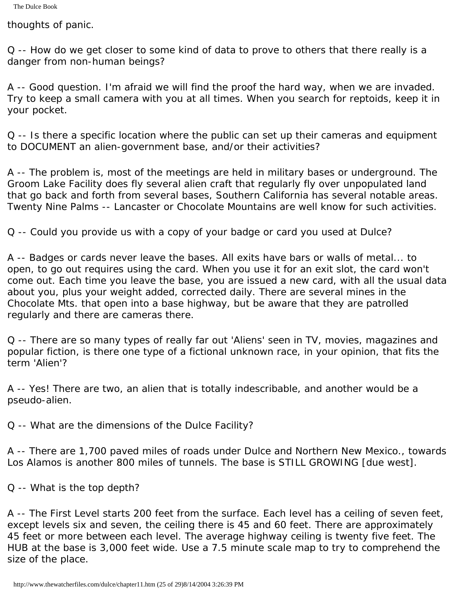thoughts of panic.

Q -- How do we get closer to some kind of data to prove to others that there really is a danger from non-human beings?

A -- Good question. I'm afraid we will find the proof the hard way, when we are invaded. Try to keep a small camera with you at all times. When you search for reptoids, keep it in your pocket.

Q -- Is there a specific location where the public can set up their cameras and equipment to DOCUMENT an alien-government base, and/or their activities?

A -- The problem is, most of the meetings are held in military bases or underground. The Groom Lake Facility does fly several alien craft that regularly fly over unpopulated land that go back and forth from several bases, Southern California has several notable areas. Twenty Nine Palms -- Lancaster or Chocolate Mountains are well know for such activities.

Q -- Could you provide us with a copy of your badge or card you used at Dulce?

A -- Badges or cards never leave the bases. All exits have bars or walls of metal... to open, to go out requires using the card. When you use it for an exit slot, the card won't come out. Each time you leave the base, you are issued a new card, with all the usual data about you, plus your weight added, corrected daily. There are several mines in the Chocolate Mts. that open into a base highway, but be aware that they are patrolled regularly and there are cameras there.

Q -- There are so many types of really far out 'Aliens' seen in TV, movies, magazines and popular fiction, is there one type of a fictional unknown race, in your opinion, that fits the term 'Alien'?

A -- Yes! There are two, an alien that is totally indescribable, and another would be a pseudo-alien.

Q -- What are the dimensions of the Dulce Facility?

A -- There are 1,700 paved miles of roads under Dulce and Northern New Mexico., towards Los Alamos is another 800 miles of tunnels. The base is STILL GROWING [due west].

Q -- What is the top depth?

A -- The First Level starts 200 feet from the surface. Each level has a ceiling of seven feet, except levels six and seven, the ceiling there is 45 and 60 feet. There are approximately 45 feet or more between each level. The average highway ceiling is twenty five feet. The HUB at the base is 3,000 feet wide. Use a 7.5 minute scale map to try to comprehend the size of the place.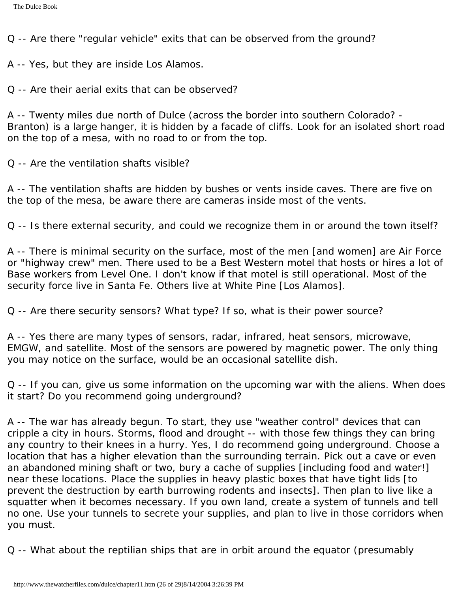Q -- Are there "regular vehicle" exits that can be observed from the ground?

A -- Yes, but they are inside Los Alamos.

Q -- Are their aerial exits that can be observed?

A -- Twenty miles due north of Dulce (across the border into southern Colorado? - Branton) is a large hanger, it is hidden by a facade of cliffs. Look for an isolated short road on the top of a mesa, with no road to or from the top.

Q -- Are the ventilation shafts visible?

A -- The ventilation shafts are hidden by bushes or vents inside caves. There are five on the top of the mesa, be aware there are cameras inside most of the vents.

Q -- Is there external security, and could we recognize them in or around the town itself?

A -- There is minimal security on the surface, most of the men [and women] are Air Force or "highway crew" men. There used to be a Best Western motel that hosts or hires a lot of Base workers from Level One. I don't know if that motel is still operational. Most of the security force live in Santa Fe. Others live at White Pine [Los Alamos].

Q -- Are there security sensors? What type? If so, what is their power source?

A -- Yes there are many types of sensors, radar, infrared, heat sensors, microwave, EMGW, and satellite. Most of the sensors are powered by magnetic power. The only thing you may notice on the surface, would be an occasional satellite dish.

Q -- If you can, give us some information on the upcoming war with the aliens. When does it start? Do you recommend going underground?

A -- The war has already begun. To start, they use "weather control" devices that can cripple a city in hours. Storms, flood and drought -- with those few things they can bring any country to their knees in a hurry. Yes, I do recommend going underground. Choose a location that has a higher elevation than the surrounding terrain. Pick out a cave or even an abandoned mining shaft or two, bury a cache of supplies [including food and water!] near these locations. Place the supplies in heavy plastic boxes that have tight lids [to prevent the destruction by earth burrowing rodents and insects]. Then plan to live like a squatter when it becomes necessary. If you own land, create a system of tunnels and tell no one. Use your tunnels to secrete your supplies, and plan to live in those corridors when you must.

Q -- What about the reptilian ships that are in orbit around the equator (presumably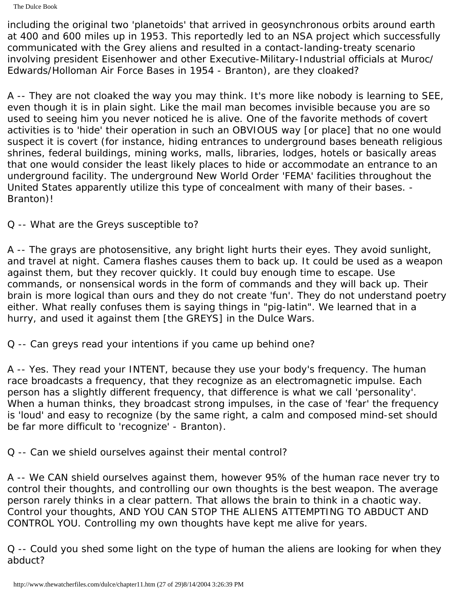The Dulce Book

including the original two 'planetoids' that arrived in geosynchronous orbits around earth at 400 and 600 miles up in 1953. This reportedly led to an NSA project which successfully communicated with the Grey aliens and resulted in a contact-landing-treaty scenario involving president Eisenhower and other Executive-Military-Industrial officials at Muroc/ Edwards/Holloman Air Force Bases in 1954 - Branton), are they cloaked?

A -- They are not cloaked the way you may think. It's more like nobody is learning to SEE, even though it is in plain sight. Like the mail man becomes invisible because you are so used to seeing him you never noticed he is alive. One of the favorite methods of covert activities is to 'hide' their operation in such an OBVIOUS way [or place] that no one would suspect it is covert (for instance, hiding entrances to underground bases beneath religious shrines, federal buildings, mining works, malls, libraries, lodges, hotels or basically areas that one would consider the least likely places to hide or accommodate an entrance to an underground facility. The underground New World Order 'FEMA' facilities throughout the United States apparently utilize this type of concealment with many of their bases. - Branton)!

Q -- What are the Greys susceptible to?

A -- The grays are photosensitive, any bright light hurts their eyes. They avoid sunlight, and travel at night. Camera flashes causes them to back up. It could be used as a weapon against them, but they recover quickly. It could buy enough time to escape. Use commands, or nonsensical words in the form of commands and they will back up. Their brain is more logical than ours and they do not create 'fun'. They do not understand poetry either. What really confuses them is saying things in "pig-latin". We learned that in a hurry, and used it against them [the GREYS] in the Dulce Wars.

Q -- Can greys read your intentions if you came up behind one?

A -- Yes. They read your INTENT, because they use your body's frequency. The human race broadcasts a frequency, that they recognize as an electromagnetic impulse. Each person has a slightly different frequency, that difference is what we call 'personality'. When a human thinks, they broadcast strong impulses, in the case of 'fear' the frequency is 'loud' and easy to recognize (by the same right, a calm and composed mind-set should be far more difficult to 'recognize' - Branton).

Q -- Can we shield ourselves against their mental control?

A -- We CAN shield ourselves against them, however 95% of the human race never try to control their thoughts, and controlling our own thoughts is the best weapon. The average person rarely thinks in a clear pattern. That allows the brain to think in a chaotic way. Control your thoughts, AND YOU CAN STOP THE ALIENS ATTEMPTING TO ABDUCT AND CONTROL YOU. Controlling my own thoughts have kept me alive for years.

Q -- Could you shed some light on the type of human the aliens are looking for when they abduct?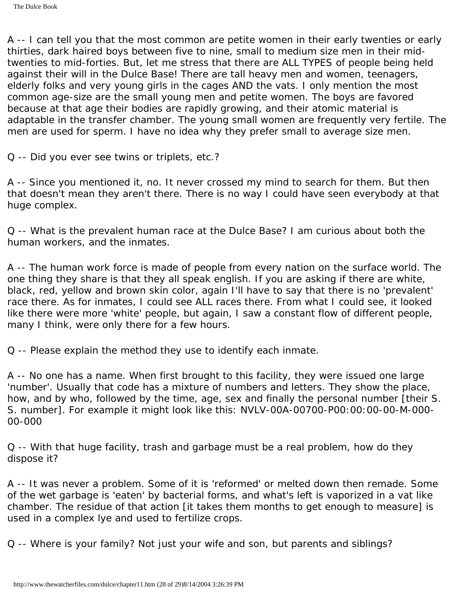A -- I can tell you that the most common are petite women in their early twenties or early thirties, dark haired boys between five to nine, small to medium size men in their midtwenties to mid-forties. But, let me stress that there are ALL TYPES of people being held against their will in the Dulce Base! There are tall heavy men and women, teenagers, elderly folks and very young girls in the cages AND the vats. I only mention the most common age-size are the small young men and petite women. The boys are favored because at that age their bodies are rapidly growing, and their atomic material is adaptable in the transfer chamber. The young small women are frequently very fertile. The men are used for sperm. I have no idea why they prefer small to average size men.

Q -- Did you ever see twins or triplets, etc.?

A -- Since you mentioned it, no. It never crossed my mind to search for them. But then that doesn't mean they aren't there. There is no way I could have seen everybody at that huge complex.

Q -- What is the prevalent human race at the Dulce Base? I am curious about both the human workers, and the inmates.

A -- The human work force is made of people from every nation on the surface world. The one thing they share is that they all speak english. If you are asking if there are white, black, red, yellow and brown skin color, again I'll have to say that there is no 'prevalent' race there. As for inmates, I could see ALL races there. From what I could see, it looked like there were more 'white' people, but again, I saw a constant flow of different people, many I think, were only there for a few hours.

Q -- Please explain the method they use to identify each inmate.

A -- No one has a name. When first brought to this facility, they were issued one large 'number'. Usually that code has a mixture of numbers and letters. They show the place, how, and by who, followed by the time, age, sex and finally the personal number [their S. S. number]. For example it might look like this: NVLV-00A-00700-P00:00:00-00-M-000- 00-000

Q -- With that huge facility, trash and garbage must be a real problem, how do they dispose it?

A -- It was never a problem. Some of it is 'reformed' or melted down then remade. Some of the wet garbage is 'eaten' by bacterial forms, and what's left is vaporized in a vat like chamber. The residue of that action [it takes them months to get enough to measure] is used in a complex lye and used to fertilize crops.

Q -- Where is your family? Not just your wife and son, but parents and siblings?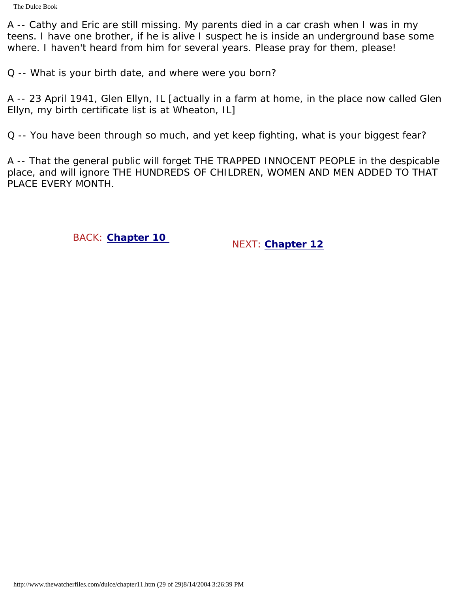A -- Cathy and Eric are still missing. My parents died in a car crash when I was in my teens. I have one brother, if he is alive I suspect he is inside an underground base some where. I haven't heard from him for several years. Please pray for them, please!

Q -- What is your birth date, and where were you born?

A -- 23 April 1941, Glen Ellyn, IL [actually in a farm at home, in the place now called Glen Ellyn, my birth certificate list is at Wheaton, IL]

Q -- You have been through so much, and yet keep fighting, what is your biggest fear?

A -- That the general public will forget THE TRAPPED INNOCENT PEOPLE in the despicable place, and will ignore THE HUNDREDS OF CHILDREN, WOMEN AND MEN ADDED TO THAT PLACE EVERY MONTH.

BACK: **[Chapter 10](#page-69-0)** NEXT: **[Chapter 12](#page-106-0)**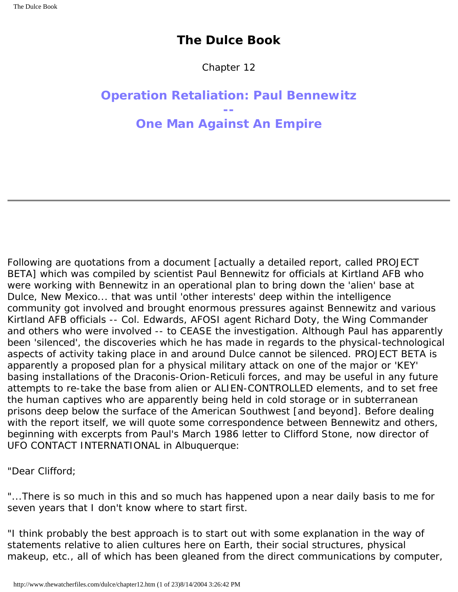## **The Dulce Book**

Chapter 12

<span id="page-106-0"></span>**Operation Retaliation: Paul Bennewitz -- One Man Against An Empire**

Following are quotations from a document [actually a detailed report, called PROJECT BETA] which was compiled by scientist Paul Bennewitz for officials at Kirtland AFB who were working with Bennewitz in an operational plan to bring down the 'alien' base at Dulce, New Mexico... that was until 'other interests' deep within the intelligence community got involved and brought enormous pressures against Bennewitz and various Kirtland AFB officials -- Col. Edwards, AFOSI agent Richard Doty, the Wing Commander and others who were involved -- to CEASE the investigation. Although Paul has apparently been 'silenced', the discoveries which he has made in regards to the physical-technological aspects of activity taking place in and around Dulce cannot be silenced. PROJECT BETA is apparently a proposed plan for a physical military attack on one of the major or 'KEY' basing installations of the Draconis-Orion-Reticuli forces, and may be useful in any future attempts to re-take the base from alien or ALIEN-CONTROLLED elements, and to set free the human captives who are apparently being held in cold storage or in subterranean prisons deep below the surface of the American Southwest [and beyond]. Before dealing with the report itself, we will quote some correspondence between Bennewitz and others, beginning with excerpts from Paul's March 1986 letter to Clifford Stone, now director of UFO CONTACT INTERNATIONAL in Albuquerque:

"Dear Clifford;

"...There is so much in this and so much has happened upon a near daily basis to me for seven years that I don't know where to start first.

"I think probably the best approach is to start out with some explanation in the way of statements relative to alien cultures here on Earth, their social structures, physical makeup, etc., all of which has been gleaned from the direct communications by computer,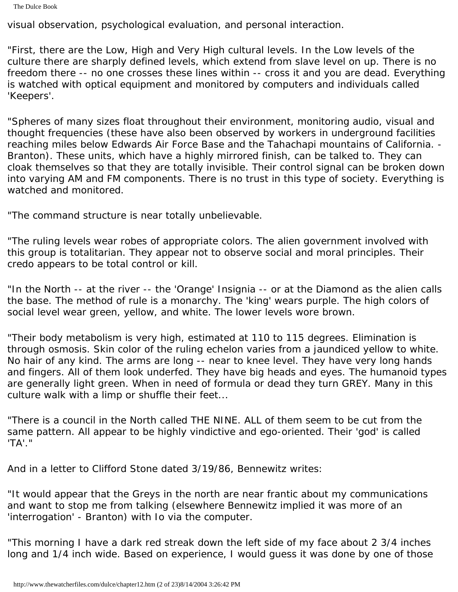The Dulce Book

visual observation, psychological evaluation, and personal interaction.

"First, there are the Low, High and Very High cultural levels. In the Low levels of the culture there are sharply defined levels, which extend from slave level on up. There is no freedom there -- no one crosses these lines within -- cross it and you are dead. Everything is watched with optical equipment and monitored by computers and individuals called 'Keepers'.

"Spheres of many sizes float throughout their environment, monitoring audio, visual and thought frequencies (these have also been observed by workers in underground facilities reaching miles below Edwards Air Force Base and the Tahachapi mountains of California. - Branton). These units, which have a highly mirrored finish, can be talked to. They can cloak themselves so that they are totally invisible. Their control signal can be broken down into varying AM and FM components. There is no trust in this type of society. Everything is watched and monitored.

"The command structure is near totally unbelievable.

"The ruling levels wear robes of appropriate colors. The alien government involved with this group is totalitarian. They appear not to observe social and moral principles. Their credo appears to be total control or kill.

"In the North -- at the river -- the 'Orange' Insignia -- or at the Diamond as the alien calls the base. The method of rule is a monarchy. The 'king' wears purple. The high colors of social level wear green, yellow, and white. The lower levels wore brown.

"Their body metabolism is very high, estimated at 110 to 115 degrees. Elimination is through osmosis. Skin color of the ruling echelon varies from a jaundiced yellow to white. No hair of any kind. The arms are long -- near to knee level. They have very long hands and fingers. All of them look underfed. They have big heads and eyes. The humanoid types are generally light green. When in need of formula or dead they turn GREY. Many in this culture walk with a limp or shuffle their feet...

"There is a council in the North called THE NINE. ALL of them seem to be cut from the same pattern. All appear to be highly vindictive and ego-oriented. Their 'god' is called 'TA'."

And in a letter to Clifford Stone dated 3/19/86, Bennewitz writes:

"It would appear that the Greys in the north are near frantic about my communications and want to stop me from talking (elsewhere Bennewitz implied it was more of an 'interrogation' - Branton) with Io via the computer.

"This morning I have a dark red streak down the left side of my face about 2 3/4 inches long and 1/4 inch wide. Based on experience, I would guess it was done by one of those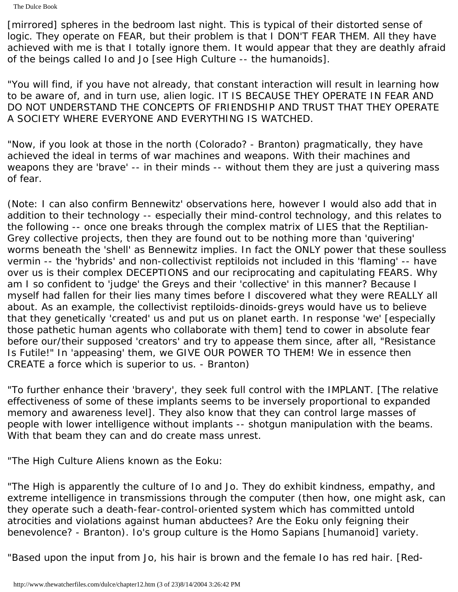The Dulce Book

[mirrored] spheres in the bedroom last night. This is typical of their distorted sense of logic. They operate on FEAR, but their problem is that I DON'T FEAR THEM. All they have achieved with me is that I totally ignore them. It would appear that they are deathly afraid of the beings called Io and Jo [see High Culture -- the humanoids].

"You will find, if you have not already, that constant interaction will result in learning how to be aware of, and in turn use, alien logic. IT IS BECAUSE THEY OPERATE IN FEAR AND DO NOT UNDERSTAND THE CONCEPTS OF FRIENDSHIP AND TRUST THAT THEY OPERATE A SOCIETY WHERE EVERYONE AND EVERYTHING IS WATCHED.

"Now, if you look at those in the north (Colorado? - Branton) pragmatically, they have achieved the ideal in terms of war machines and weapons. With their machines and weapons they are 'brave' -- in their minds -- without them they are just a quivering mass of fear.

(Note: I can also confirm Bennewitz' observations here, however I would also add that in addition to their technology -- especially their mind-control technology, and this relates to the following -- once one breaks through the complex matrix of LIES that the Reptilian-Grey collective projects, then they are found out to be nothing more than 'quivering' worms beneath the 'shell' as Bennewitz implies. In fact the ONLY power that these soulless vermin -- the 'hybrids' and non-collectivist reptiloids not included in this 'flaming' -- have over us is their complex DECEPTIONS and our reciprocating and capitulating FEARS. Why am I so confident to 'judge' the Greys and their 'collective' in this manner? Because I myself had fallen for their lies many times before I discovered what they were REALLY all about. As an example, the collectivist reptiloids-dinoids-greys would have us to believe that they genetically 'created' us and put us on planet earth. In response 'we' [especially those pathetic human agents who collaborate with them] tend to cower in absolute fear before our/their supposed 'creators' and try to appease them since, after all, "Resistance Is Futile!" In 'appeasing' them, we GIVE OUR POWER TO THEM! We in essence then CREATE a force which is superior to us. - Branton)

"To further enhance their 'bravery', they seek full control with the IMPLANT. [The relative effectiveness of some of these implants seems to be inversely proportional to expanded memory and awareness level]. They also know that they can control large masses of people with lower intelligence without implants -- shotgun manipulation with the beams. With that beam they can and do create mass unrest.

"The High Culture Aliens known as the Eoku:

"The High is apparently the culture of Io and Jo. They do exhibit kindness, empathy, and extreme intelligence in transmissions through the computer (then how, one might ask, can they operate such a death-fear-control-oriented system which has committed untold atrocities and violations against human abductees? Are the Eoku only feigning their benevolence? - Branton). Io's group culture is the Homo Sapians [humanoid] variety.

"Based upon the input from Jo, his hair is brown and the female Io has red hair. [Red-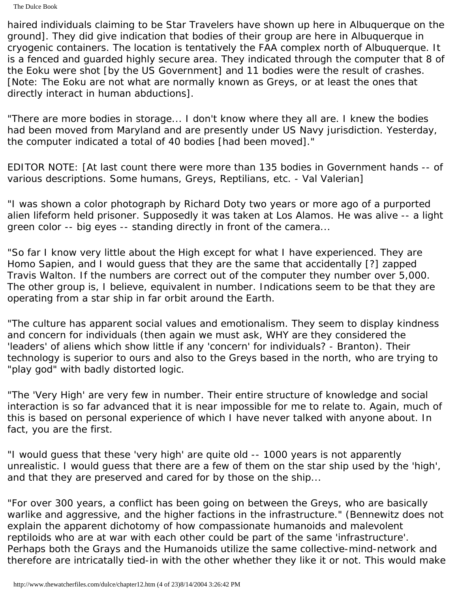The Dulce Book

haired individuals claiming to be Star Travelers have shown up here in Albuquerque on the ground]. They did give indication that bodies of their group are here in Albuquerque in cryogenic containers. The location is tentatively the FAA complex north of Albuquerque. It is a fenced and guarded highly secure area. They indicated through the computer that 8 of the Eoku were shot [by the US Government] and 11 bodies were the result of crashes. [Note: The Eoku are not what are normally known as Greys, or at least the ones that directly interact in human abductions].

"There are more bodies in storage... I don't know where they all are. I knew the bodies had been moved from Maryland and are presently under US Navy jurisdiction. Yesterday, the computer indicated a total of 40 bodies [had been moved]."

EDITOR NOTE: [At last count there were more than 135 bodies in Government hands -- of various descriptions. Some humans, Greys, Reptilians, etc. - Val Valerian]

"I was shown a color photograph by Richard Doty two years or more ago of a purported alien lifeform held prisoner. Supposedly it was taken at Los Alamos. He was alive -- a light green color -- big eyes -- standing directly in front of the camera...

"So far I know very little about the High except for what I have experienced. They are Homo Sapien, and I would guess that they are the same that accidentally [?] zapped Travis Walton. If the numbers are correct out of the computer they number over 5,000. The other group is, I believe, equivalent in number. Indications seem to be that they are operating from a star ship in far orbit around the Earth.

"The culture has apparent social values and emotionalism. They seem to display kindness and concern for individuals (then again we must ask, WHY are they considered the 'leaders' of aliens which show little if any 'concern' for individuals? - Branton). Their technology is superior to ours and also to the Greys based in the north, who are trying to "play god" with badly distorted logic.

"The 'Very High' are very few in number. Their entire structure of knowledge and social interaction is so far advanced that it is near impossible for me to relate to. Again, much of this is based on personal experience of which I have never talked with anyone about. In fact, you are the first.

"I would guess that these 'very high' are quite old -- 1000 years is not apparently unrealistic. I would guess that there are a few of them on the star ship used by the 'high', and that they are preserved and cared for by those on the ship...

"For over 300 years, a conflict has been going on between the Greys, who are basically warlike and aggressive, and the higher factions in the infrastructure." (Bennewitz does not explain the apparent dichotomy of how compassionate humanoids and malevolent reptiloids who are at war with each other could be part of the same 'infrastructure'. Perhaps both the Grays and the Humanoids utilize the same collective-mind-network and therefore are intricatally tied-in with the other whether they like it or not. This would make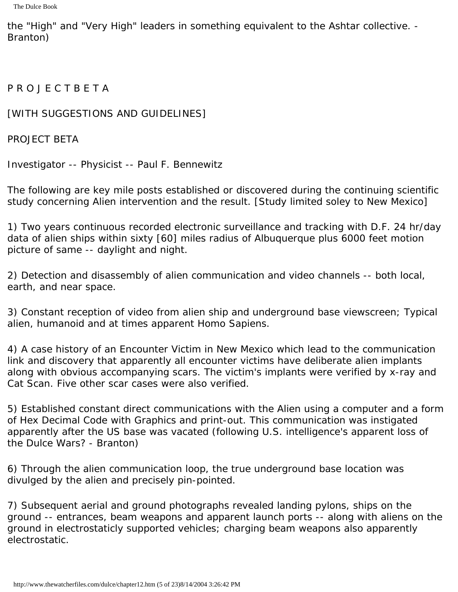the "High" and "Very High" leaders in something equivalent to the Ashtar collective. - Branton)

#### P R O J E C T B E T A

#### [WITH SUGGESTIONS AND GUIDELINES]

PROJECT BETA

Investigator -- Physicist -- Paul F. Bennewitz

The following are key mile posts established or discovered during the continuing scientific study concerning Alien intervention and the result. [Study limited soley to New Mexico]

1) Two years continuous recorded electronic surveillance and tracking with D.F. 24 hr/day data of alien ships within sixty [60] miles radius of Albuquerque plus 6000 feet motion picture of same -- daylight and night.

2) Detection and disassembly of alien communication and video channels -- both local, earth, and near space.

3) Constant reception of video from alien ship and underground base viewscreen; Typical alien, humanoid and at times apparent Homo Sapiens.

4) A case history of an Encounter Victim in New Mexico which lead to the communication link and discovery that apparently all encounter victims have deliberate alien implants along with obvious accompanying scars. The victim's implants were verified by x-ray and Cat Scan. Five other scar cases were also verified.

5) Established constant direct communications with the Alien using a computer and a form of Hex Decimal Code with Graphics and print-out. This communication was instigated apparently after the US base was vacated (following U.S. intelligence's apparent loss of the Dulce Wars? - Branton)

6) Through the alien communication loop, the true underground base location was divulged by the alien and precisely pin-pointed.

7) Subsequent aerial and ground photographs revealed landing pylons, ships on the ground -- entrances, beam weapons and apparent launch ports -- along with aliens on the ground in electrostaticly supported vehicles; charging beam weapons also apparently electrostatic.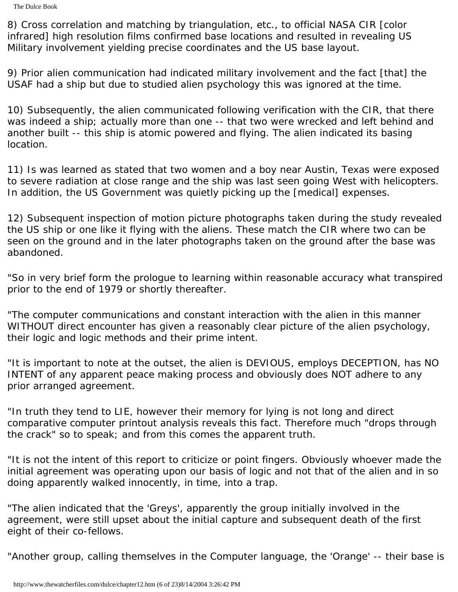The Dulce Book

8) Cross correlation and matching by triangulation, etc., to official NASA CIR [color infrared] high resolution films confirmed base locations and resulted in revealing US Military involvement yielding precise coordinates and the US base layout.

9) Prior alien communication had indicated military involvement and the fact [that] the USAF had a ship but due to studied alien psychology this was ignored at the time.

10) Subsequently, the alien communicated following verification with the CIR, that there was indeed a ship; actually more than one -- that two were wrecked and left behind and another built -- this ship is atomic powered and flying. The alien indicated its basing location.

11) Is was learned as stated that two women and a boy near Austin, Texas were exposed to severe radiation at close range and the ship was last seen going West with helicopters. In addition, the US Government was quietly picking up the [medical] expenses.

12) Subsequent inspection of motion picture photographs taken during the study revealed the US ship or one like it flying with the aliens. These match the CIR where two can be seen on the ground and in the later photographs taken on the ground after the base was abandoned.

"So in very brief form the prologue to learning within reasonable accuracy what transpired prior to the end of 1979 or shortly thereafter.

"The computer communications and constant interaction with the alien in this manner WITHOUT direct encounter has given a reasonably clear picture of the alien psychology, their logic and logic methods and their prime intent.

"It is important to note at the outset, the alien is DEVIOUS, employs DECEPTION, has NO INTENT of any apparent peace making process and obviously does NOT adhere to any prior arranged agreement.

"In truth they tend to LIE, however their memory for lying is not long and direct comparative computer printout analysis reveals this fact. Therefore much "drops through the crack" so to speak; and from this comes the apparent truth.

"It is not the intent of this report to criticize or point fingers. Obviously whoever made the initial agreement was operating upon our basis of logic and not that of the alien and in so doing apparently walked innocently, in time, into a trap.

"The alien indicated that the 'Greys', apparently the group initially involved in the agreement, were still upset about the initial capture and subsequent death of the first eight of their co-fellows.

"Another group, calling themselves in the Computer language, the 'Orange' -- their base is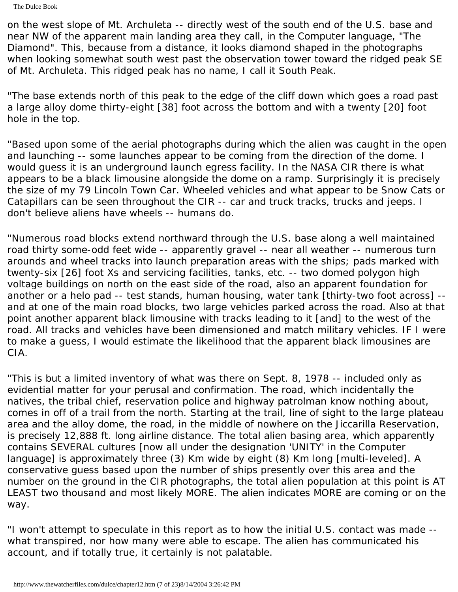The Dulce Book

on the west slope of Mt. Archuleta -- directly west of the south end of the U.S. base and near NW of the apparent main landing area they call, in the Computer language, "The Diamond". This, because from a distance, it looks diamond shaped in the photographs when looking somewhat south west past the observation tower toward the ridged peak SE of Mt. Archuleta. This ridged peak has no name, I call it South Peak.

"The base extends north of this peak to the edge of the cliff down which goes a road past a large alloy dome thirty-eight [38] foot across the bottom and with a twenty [20] foot hole in the top.

"Based upon some of the aerial photographs during which the alien was caught in the open and launching -- some launches appear to be coming from the direction of the dome. I would guess it is an underground launch egress facility. In the NASA CIR there is what appears to be a black limousine alongside the dome on a ramp. Surprisingly it is precisely the size of my 79 Lincoln Town Car. Wheeled vehicles and what appear to be Snow Cats or Catapillars can be seen throughout the CIR -- car and truck tracks, trucks and jeeps. I don't believe aliens have wheels -- humans do.

"Numerous road blocks extend northward through the U.S. base along a well maintained road thirty some-odd feet wide -- apparently gravel -- near all weather -- numerous turn arounds and wheel tracks into launch preparation areas with the ships; pads marked with twenty-six [26] foot Xs and servicing facilities, tanks, etc. -- two domed polygon high voltage buildings on north on the east side of the road, also an apparent foundation for another or a helo pad -- test stands, human housing, water tank [thirty-two foot across] - and at one of the main road blocks, two large vehicles parked across the road. Also at that point another apparent black limousine with tracks leading to it [and] to the west of the road. All tracks and vehicles have been dimensioned and match military vehicles. IF I were to make a guess, I would estimate the likelihood that the apparent black limousines are CIA.

"This is but a limited inventory of what was there on Sept. 8, 1978 -- included only as evidential matter for your perusal and confirmation. The road, which incidentally the natives, the tribal chief, reservation police and highway patrolman know nothing about, comes in off of a trail from the north. Starting at the trail, line of sight to the large plateau area and the alloy dome, the road, in the middle of nowhere on the Jiccarilla Reservation, is precisely 12,888 ft. long airline distance. The total alien basing area, which apparently contains SEVERAL cultures [now all under the designation 'UNITY' in the Computer language] is approximately three (3) Km wide by eight (8) Km long [multi-leveled]. A conservative guess based upon the number of ships presently over this area and the number on the ground in the CIR photographs, the total alien population at this point is AT LEAST two thousand and most likely MORE. The alien indicates MORE are coming or on the way.

"I won't attempt to speculate in this report as to how the initial U.S. contact was made - what transpired, nor how many were able to escape. The alien has communicated his account, and if totally true, it certainly is not palatable.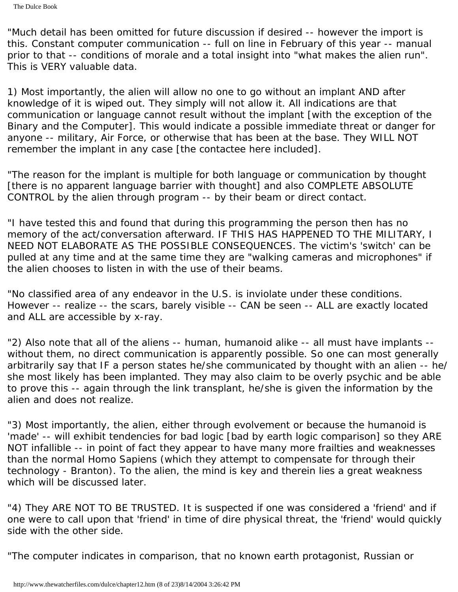"Much detail has been omitted for future discussion if desired -- however the import is this. Constant computer communication -- full on line in February of this year -- manual prior to that -- conditions of morale and a total insight into "what makes the alien run". This is VERY valuable data.

1) Most importantly, the alien will allow no one to go without an implant AND after knowledge of it is wiped out. They simply will not allow it. All indications are that communication or language cannot result without the implant [with the exception of the Binary and the Computer]. This would indicate a possible immediate threat or danger for anyone -- military, Air Force, or otherwise that has been at the base. They WILL NOT remember the implant in any case [the contactee here included].

"The reason for the implant is multiple for both language or communication by thought [there is no apparent language barrier with thought] and also COMPLETE ABSOLUTE CONTROL by the alien through program -- by their beam or direct contact.

"I have tested this and found that during this programming the person then has no memory of the act/conversation afterward. IF THIS HAS HAPPENED TO THE MILITARY, I NEED NOT ELABORATE AS THE POSSIBLE CONSEQUENCES. The victim's 'switch' can be pulled at any time and at the same time they are "walking cameras and microphones" if the alien chooses to listen in with the use of their beams.

"No classified area of any endeavor in the U.S. is inviolate under these conditions. However -- realize -- the scars, barely visible -- CAN be seen -- ALL are exactly located and ALL are accessible by x-ray.

"2) Also note that all of the aliens -- human, humanoid alike -- all must have implants - without them, no direct communication is apparently possible. So one can most generally arbitrarily say that IF a person states he/she communicated by thought with an alien -- he/ she most likely has been implanted. They may also claim to be overly psychic and be able to prove this -- again through the link transplant, he/she is given the information by the alien and does not realize.

"3) Most importantly, the alien, either through evolvement or because the humanoid is 'made' -- will exhibit tendencies for bad logic [bad by earth logic comparison] so they ARE NOT infallible -- in point of fact they appear to have many more frailties and weaknesses than the normal Homo Sapiens (which they attempt to compensate for through their technology - Branton). To the alien, the mind is key and therein lies a great weakness which will be discussed later.

"4) They ARE NOT TO BE TRUSTED. It is suspected if one was considered a 'friend' and if one were to call upon that 'friend' in time of dire physical threat, the 'friend' would quickly side with the other side.

"The computer indicates in comparison, that no known earth protagonist, Russian or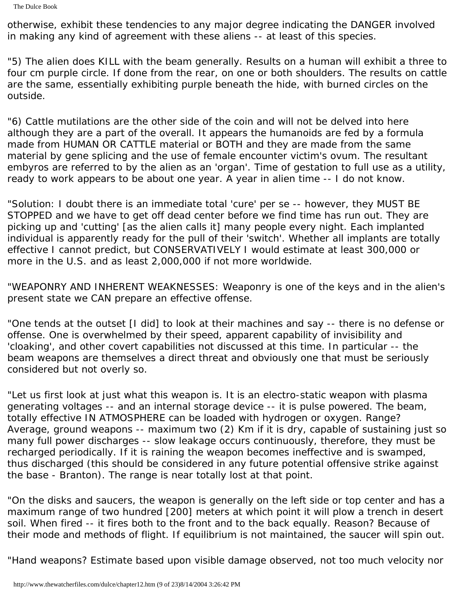The Dulce Book

otherwise, exhibit these tendencies to any major degree indicating the DANGER involved in making any kind of agreement with these aliens -- at least of this species.

"5) The alien does KILL with the beam generally. Results on a human will exhibit a three to four cm purple circle. If done from the rear, on one or both shoulders. The results on cattle are the same, essentially exhibiting purple beneath the hide, with burned circles on the outside.

"6) Cattle mutilations are the other side of the coin and will not be delved into here although they are a part of the overall. It appears the humanoids are fed by a formula made from HUMAN OR CATTLE material or BOTH and they are made from the same material by gene splicing and the use of female encounter victim's ovum. The resultant embyros are referred to by the alien as an 'organ'. Time of gestation to full use as a utility, ready to work appears to be about one year. A year in alien time -- I do not know.

"Solution: I doubt there is an immediate total 'cure' per se -- however, they MUST BE STOPPED and we have to get off dead center before we find time has run out. They are picking up and 'cutting' [as the alien calls it] many people every night. Each implanted individual is apparently ready for the pull of their 'switch'. Whether all implants are totally effective I cannot predict, but CONSERVATIVELY I would estimate at least 300,000 or more in the U.S. and as least 2,000,000 if not more worldwide.

"WEAPONRY AND INHERENT WEAKNESSES: Weaponry is one of the keys and in the alien's present state we CAN prepare an effective offense.

"One tends at the outset [I did] to look at their machines and say -- there is no defense or offense. One is overwhelmed by their speed, apparent capability of invisibility and 'cloaking', and other covert capabilities not discussed at this time. In particular -- the beam weapons are themselves a direct threat and obviously one that must be seriously considered but not overly so.

"Let us first look at just what this weapon is. It is an electro-static weapon with plasma generating voltages -- and an internal storage device -- it is pulse powered. The beam, totally effective IN ATMOSPHERE can be loaded with hydrogen or oxygen. Range? Average, ground weapons -- maximum two (2) Km if it is dry, capable of sustaining just so many full power discharges -- slow leakage occurs continuously, therefore, they must be recharged periodically. If it is raining the weapon becomes ineffective and is swamped, thus discharged (this should be considered in any future potential offensive strike against the base - Branton). The range is near totally lost at that point.

"On the disks and saucers, the weapon is generally on the left side or top center and has a maximum range of two hundred [200] meters at which point it will plow a trench in desert soil. When fired -- it fires both to the front and to the back equally. Reason? Because of their mode and methods of flight. If equilibrium is not maintained, the saucer will spin out.

"Hand weapons? Estimate based upon visible damage observed, not too much velocity nor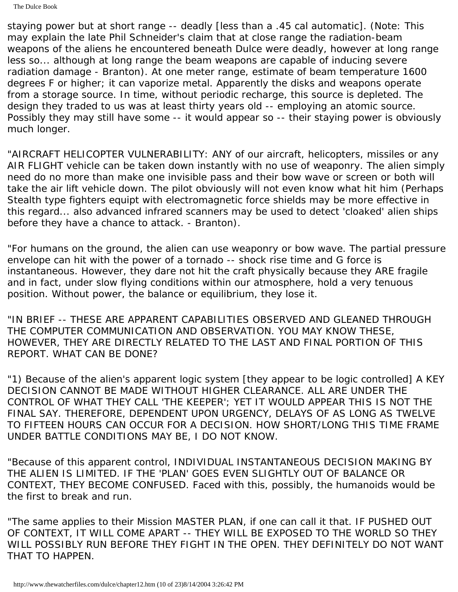The Dulce Book

staying power but at short range -- deadly [less than a .45 cal automatic]. (Note: This may explain the late Phil Schneider's claim that at close range the radiation-beam weapons of the aliens he encountered beneath Dulce were deadly, however at long range less so... although at long range the beam weapons are capable of inducing severe radiation damage - Branton). At one meter range, estimate of beam temperature 1600 degrees F or higher; it can vaporize metal. Apparently the disks and weapons operate from a storage source. In time, without periodic recharge, this source is depleted. The design they traded to us was at least thirty years old -- employing an atomic source. Possibly they may still have some -- it would appear so -- their staying power is obviously much longer.

"AIRCRAFT HELICOPTER VULNERABILITY: ANY of our aircraft, helicopters, missiles or any AIR FLIGHT vehicle can be taken down instantly with no use of weaponry. The alien simply need do no more than make one invisible pass and their bow wave or screen or both will take the air lift vehicle down. The pilot obviously will not even know what hit him (Perhaps Stealth type fighters equipt with electromagnetic force shields may be more effective in this regard... also advanced infrared scanners may be used to detect 'cloaked' alien ships before they have a chance to attack. - Branton).

"For humans on the ground, the alien can use weaponry or bow wave. The partial pressure envelope can hit with the power of a tornado -- shock rise time and G force is instantaneous. However, they dare not hit the craft physically because they ARE fragile and in fact, under slow flying conditions within our atmosphere, hold a very tenuous position. Without power, the balance or equilibrium, they lose it.

"IN BRIEF -- THESE ARE APPARENT CAPABILITIES OBSERVED AND GLEANED THROUGH THE COMPUTER COMMUNICATION AND OBSERVATION. YOU MAY KNOW THESE, HOWEVER, THEY ARE DIRECTLY RELATED TO THE LAST AND FINAL PORTION OF THIS REPORT. WHAT CAN BE DONE?

"1) Because of the alien's apparent logic system [they appear to be logic controlled] A KEY DECISION CANNOT BE MADE WITHOUT HIGHER CLEARANCE. ALL ARE UNDER THE CONTROL OF WHAT THEY CALL 'THE KEEPER'; YET IT WOULD APPEAR THIS IS NOT THE FINAL SAY. THEREFORE, DEPENDENT UPON URGENCY, DELAYS OF AS LONG AS TWELVE TO FIFTEEN HOURS CAN OCCUR FOR A DECISION. HOW SHORT/LONG THIS TIME FRAME UNDER BATTLE CONDITIONS MAY BE, I DO NOT KNOW.

"Because of this apparent control, INDIVIDUAL INSTANTANEOUS DECISION MAKING BY THE ALIEN IS LIMITED. IF THE 'PLAN' GOES EVEN SLIGHTLY OUT OF BALANCE OR CONTEXT, THEY BECOME CONFUSED. Faced with this, possibly, the humanoids would be the first to break and run.

"The same applies to their Mission MASTER PLAN, if one can call it that. IF PUSHED OUT OF CONTEXT, IT WILL COME APART -- THEY WILL BE EXPOSED TO THE WORLD SO THEY WILL POSSIBLY RUN BEFORE THEY FIGHT IN THE OPEN. THEY DEFINITELY DO NOT WANT THAT TO HAPPEN.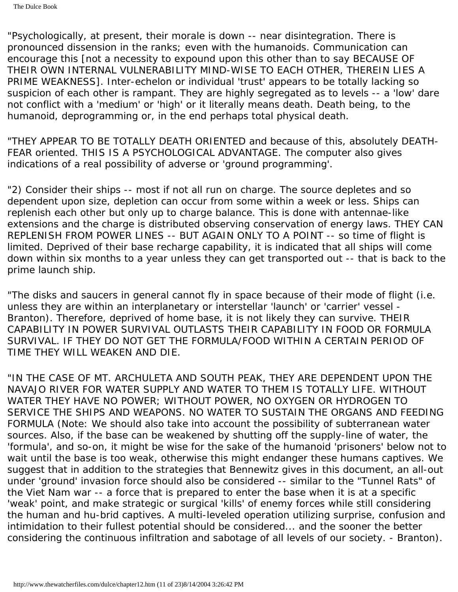"Psychologically, at present, their morale is down -- near disintegration. There is pronounced dissension in the ranks; even with the humanoids. Communication can encourage this [not a necessity to expound upon this other than to say BECAUSE OF THEIR OWN INTERNAL VULNERABILITY MIND-WISE TO EACH OTHER, THEREIN LIES A PRIME WEAKNESS]. Inter-echelon or individual 'trust' appears to be totally lacking so suspicion of each other is rampant. They are highly segregated as to levels -- a 'low' dare not conflict with a 'medium' or 'high' or it literally means death. Death being, to the humanoid, deprogramming or, in the end perhaps total physical death.

"THEY APPEAR TO BE TOTALLY DEATH ORIENTED and because of this, absolutely DEATH-FEAR oriented. THIS IS A PSYCHOLOGICAL ADVANTAGE. The computer also gives indications of a real possibility of adverse or 'ground programming'.

"2) Consider their ships -- most if not all run on charge. The source depletes and so dependent upon size, depletion can occur from some within a week or less. Ships can replenish each other but only up to charge balance. This is done with antennae-like extensions and the charge is distributed observing conservation of energy laws. THEY CAN REPLENISH FROM POWER LINES -- BUT AGAIN ONLY TO A POINT -- so time of flight is limited. Deprived of their base recharge capability, it is indicated that all ships will come down within six months to a year unless they can get transported out -- that is back to the prime launch ship.

"The disks and saucers in general cannot fly in space because of their mode of flight (i.e. unless they are within an interplanetary or interstellar 'launch' or 'carrier' vessel - Branton). Therefore, deprived of home base, it is not likely they can survive. THEIR CAPABILITY IN POWER SURVIVAL OUTLASTS THEIR CAPABILITY IN FOOD OR FORMULA SURVIVAL. IF THEY DO NOT GET THE FORMULA/FOOD WITHIN A CERTAIN PERIOD OF TIME THEY WILL WEAKEN AND DIE.

"IN THE CASE OF MT. ARCHULETA AND SOUTH PEAK, THEY ARE DEPENDENT UPON THE NAVAJO RIVER FOR WATER SUPPLY AND WATER TO THEM IS TOTALLY LIFE. WITHOUT WATER THEY HAVE NO POWER; WITHOUT POWER, NO OXYGEN OR HYDROGEN TO SERVICE THE SHIPS AND WEAPONS. NO WATER TO SUSTAIN THE ORGANS AND FEEDING FORMULA (Note: We should also take into account the possibility of subterranean water sources. Also, if the base can be weakened by shutting off the supply-line of water, the 'formula', and so-on, it might be wise for the sake of the humanoid 'prisoners' below not to wait until the base is too weak, otherwise this might endanger these humans captives. We suggest that in addition to the strategies that Bennewitz gives in this document, an all-out under 'ground' invasion force should also be considered -- similar to the "Tunnel Rats" of the Viet Nam war -- a force that is prepared to enter the base when it is at a specific 'weak' point, and make strategic or surgical 'kills' of enemy forces while still considering the human and hu-brid captives. A multi-leveled operation utilizing surprise, confusion and intimidation to their fullest potential should be considered... and the sooner the better considering the continuous infiltration and sabotage of all levels of our society. - Branton).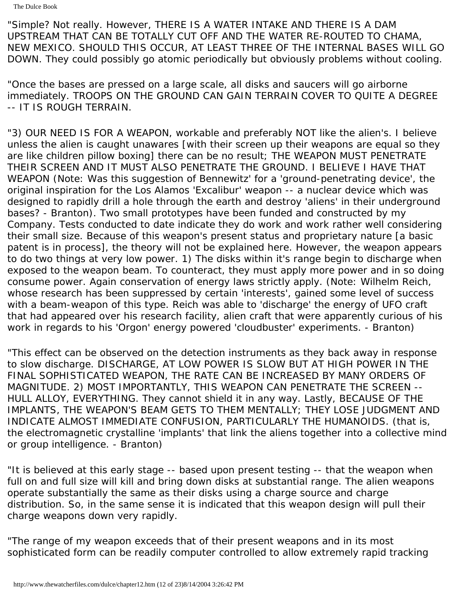"Simple? Not really. However, THERE IS A WATER INTAKE AND THERE IS A DAM UPSTREAM THAT CAN BE TOTALLY CUT OFF AND THE WATER RE-ROUTED TO CHAMA, NEW MEXICO. SHOULD THIS OCCUR, AT LEAST THREE OF THE INTERNAL BASES WILL GO DOWN. They could possibly go atomic periodically but obviously problems without cooling.

"Once the bases are pressed on a large scale, all disks and saucers will go airborne immediately. TROOPS ON THE GROUND CAN GAIN TERRAIN COVER TO QUITE A DEGREE -- IT IS ROUGH TERRAIN.

"3) OUR NEED IS FOR A WEAPON, workable and preferably NOT like the alien's. I believe unless the alien is caught unawares [with their screen up their weapons are equal so they are like children pillow boxing] there can be no result; THE WEAPON MUST PENETRATE THEIR SCREEN AND IT MUST ALSO PENETRATE THE GROUND. I BELIEVE I HAVE THAT WEAPON (Note: Was this suggestion of Bennewitz' for a 'ground-penetrating device', the original inspiration for the Los Alamos 'Excalibur' weapon -- a nuclear device which was designed to rapidly drill a hole through the earth and destroy 'aliens' in their underground bases? - Branton). Two small prototypes have been funded and constructed by my Company. Tests conducted to date indicate they do work and work rather well considering their small size. Because of this weapon's present status and proprietary nature [a basic patent is in process], the theory will not be explained here. However, the weapon appears to do two things at very low power. 1) The disks within it's range begin to discharge when exposed to the weapon beam. To counteract, they must apply more power and in so doing consume power. Again conservation of energy laws strictly apply. (Note: Wilhelm Reich, whose research has been suppressed by certain 'interests', gained some level of success with a beam-weapon of this type. Reich was able to 'discharge' the energy of UFO craft that had appeared over his research facility, alien craft that were apparently curious of his work in regards to his 'Orgon' energy powered 'cloudbuster' experiments. - Branton)

"This effect can be observed on the detection instruments as they back away in response to slow discharge. DISCHARGE, AT LOW POWER IS SLOW BUT AT HIGH POWER IN THE FINAL SOPHISTICATED WEAPON, THE RATE CAN BE INCREASED BY MANY ORDERS OF MAGNITUDE. 2) MOST IMPORTANTLY, THIS WEAPON CAN PENETRATE THE SCREEN -- HULL ALLOY, EVERYTHING. They cannot shield it in any way. Lastly, BECAUSE OF THE IMPLANTS, THE WEAPON'S BEAM GETS TO THEM MENTALLY; THEY LOSE JUDGMENT AND INDICATE ALMOST IMMEDIATE CONFUSION, PARTICULARLY THE HUMANOIDS. (that is, the electromagnetic crystalline 'implants' that link the aliens together into a collective mind or group intelligence. - Branton)

"It is believed at this early stage -- based upon present testing -- that the weapon when full on and full size will kill and bring down disks at substantial range. The alien weapons operate substantially the same as their disks using a charge source and charge distribution. So, in the same sense it is indicated that this weapon design will pull their charge weapons down very rapidly.

"The range of my weapon exceeds that of their present weapons and in its most sophisticated form can be readily computer controlled to allow extremely rapid tracking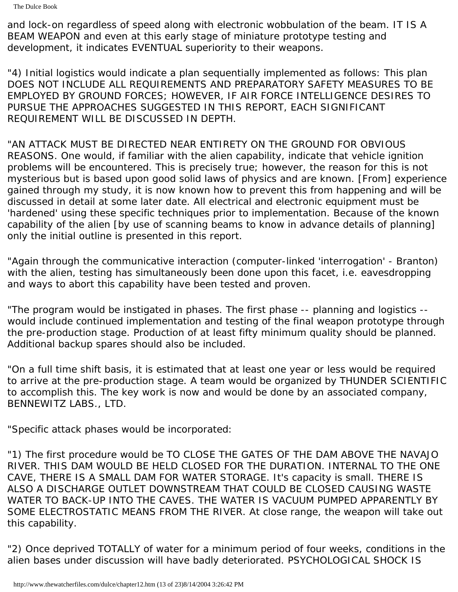The Dulce Book

and lock-on regardless of speed along with electronic wobbulation of the beam. IT IS A BEAM WEAPON and even at this early stage of miniature prototype testing and development, it indicates EVENTUAL superiority to their weapons.

"4) Initial logistics would indicate a plan sequentially implemented as follows: This plan DOES NOT INCLUDE ALL REQUIREMENTS AND PREPARATORY SAFETY MEASURES TO BE EMPLOYED BY GROUND FORCES; HOWEVER, IF AIR FORCE INTELLIGENCE DESIRES TO PURSUE THE APPROACHES SUGGESTED IN THIS REPORT, EACH SIGNIFICANT REQUIREMENT WILL BE DISCUSSED IN DEPTH.

"AN ATTACK MUST BE DIRECTED NEAR ENTIRETY ON THE GROUND FOR OBVIOUS REASONS. One would, if familiar with the alien capability, indicate that vehicle ignition problems will be encountered. This is precisely true; however, the reason for this is not mysterious but is based upon good solid laws of physics and are known. [From] experience gained through my study, it is now known how to prevent this from happening and will be discussed in detail at some later date. All electrical and electronic equipment must be 'hardened' using these specific techniques prior to implementation. Because of the known capability of the alien [by use of scanning beams to know in advance details of planning] only the initial outline is presented in this report.

"Again through the communicative interaction (computer-linked 'interrogation' - Branton) with the alien, testing has simultaneously been done upon this facet, i.e. eavesdropping and ways to abort this capability have been tested and proven.

"The program would be instigated in phases. The first phase -- planning and logistics - would include continued implementation and testing of the final weapon prototype through the pre-production stage. Production of at least fifty minimum quality should be planned. Additional backup spares should also be included.

"On a full time shift basis, it is estimated that at least one year or less would be required to arrive at the pre-production stage. A team would be organized by THUNDER SCIENTIFIC to accomplish this. The key work is now and would be done by an associated company, BENNEWITZ LABS., LTD.

"Specific attack phases would be incorporated:

"1) The first procedure would be TO CLOSE THE GATES OF THE DAM ABOVE THE NAVAJO RIVER. THIS DAM WOULD BE HELD CLOSED FOR THE DURATION. INTERNAL TO THE ONE CAVE, THERE IS A SMALL DAM FOR WATER STORAGE. It's capacity is small. THERE IS ALSO A DISCHARGE OUTLET DOWNSTREAM THAT COULD BE CLOSED CAUSING WASTE WATER TO BACK-UP INTO THE CAVES. THE WATER IS VACUUM PUMPED APPARENTLY BY SOME ELECTROSTATIC MEANS FROM THE RIVER. At close range, the weapon will take out this capability.

"2) Once deprived TOTALLY of water for a minimum period of four weeks, conditions in the alien bases under discussion will have badly deteriorated. PSYCHOLOGICAL SHOCK IS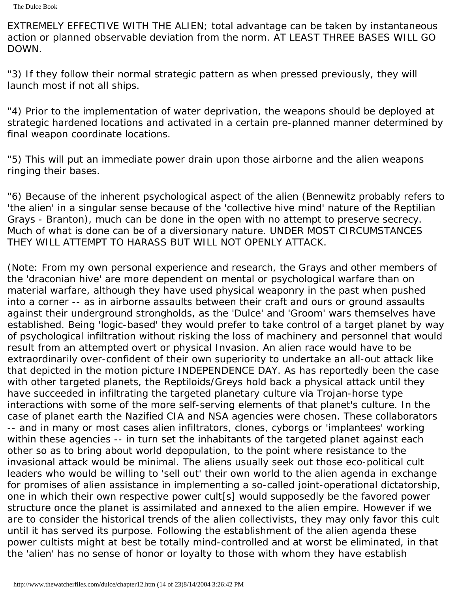EXTREMELY EFFECTIVE WITH THE ALIEN; total advantage can be taken by instantaneous action or planned observable deviation from the norm. AT LEAST THREE BASES WILL GO DOWN.

"3) If they follow their normal strategic pattern as when pressed previously, they will launch most if not all ships.

"4) Prior to the implementation of water deprivation, the weapons should be deployed at strategic hardened locations and activated in a certain pre-planned manner determined by final weapon coordinate locations.

"5) This will put an immediate power drain upon those airborne and the alien weapons ringing their bases.

"6) Because of the inherent psychological aspect of the alien (Bennewitz probably refers to 'the alien' in a singular sense because of the 'collective hive mind' nature of the Reptilian Grays - Branton), much can be done in the open with no attempt to preserve secrecy. Much of what is done can be of a diversionary nature. UNDER MOST CIRCUMSTANCES THEY WILL ATTEMPT TO HARASS BUT WILL NOT OPENLY ATTACK.

(Note: From my own personal experience and research, the Grays and other members of the 'draconian hive' are more dependent on mental or psychological warfare than on material warfare, although they have used physical weaponry in the past when pushed into a corner -- as in airborne assaults between their craft and ours or ground assaults against their underground strongholds, as the 'Dulce' and 'Groom' wars themselves have established. Being 'logic-based' they would prefer to take control of a target planet by way of psychological infiltration without risking the loss of machinery and personnel that would result from an attempted overt or physical Invasion. An alien race would have to be extraordinarily over-confident of their own superiority to undertake an all-out attack like that depicted in the motion picture INDEPENDENCE DAY. As has reportedly been the case with other targeted planets, the Reptiloids/Greys hold back a physical attack until they have succeeded in infiltrating the targeted planetary culture via Trojan-horse type interactions with some of the more self-serving elements of that planet's culture. In the case of planet earth the Nazified CIA and NSA agencies were chosen. These collaborators -- and in many or most cases alien infiltrators, clones, cyborgs or 'implantees' working within these agencies -- in turn set the inhabitants of the targeted planet against each other so as to bring about world depopulation, to the point where resistance to the invasional attack would be minimal. The aliens usually seek out those eco-political cult leaders who would be willing to 'sell out' their own world to the alien agenda in exchange for promises of alien assistance in implementing a so-called joint-operational dictatorship, one in which their own respective power cult[s] would supposedly be the favored power structure once the planet is assimilated and annexed to the alien empire. However if we are to consider the historical trends of the alien collectivists, they may only favor this cult until it has served its purpose. Following the establishment of the alien agenda these power cultists might at best be totally mind-controlled and at worst be eliminated, in that the 'alien' has no sense of honor or loyalty to those with whom they have establish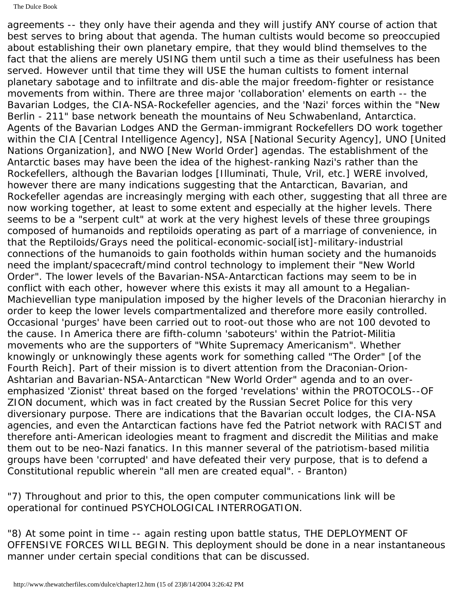agreements -- they only have their agenda and they will justify ANY course of action that best serves to bring about that agenda. The human cultists would become so preoccupied about establishing their own planetary empire, that they would blind themselves to the fact that the aliens are merely USING them until such a time as their usefulness has been served. However until that time they will USE the human cultists to foment internal planetary sabotage and to infiltrate and dis-able the major freedom-fighter or resistance movements from within. There are three major 'collaboration' elements on earth -- the Bavarian Lodges, the CIA-NSA-Rockefeller agencies, and the 'Nazi' forces within the "New Berlin - 211" base network beneath the mountains of Neu Schwabenland, Antarctica. Agents of the Bavarian Lodges AND the German-immigrant Rockefellers DO work together within the CIA [Central Intelligence Agency], NSA [National Security Agency], UNO [United Nations Organization], and NWO [New World Order] agendas. The establishment of the Antarctic bases may have been the idea of the highest-ranking Nazi's rather than the Rockefellers, although the Bavarian lodges [Illuminati, Thule, Vril, etc.] WERE involved, however there are many indications suggesting that the Antarctican, Bavarian, and Rockefeller agendas are increasingly merging with each other, suggesting that all three are now working together, at least to some extent and especially at the higher levels. There seems to be a "serpent cult" at work at the very highest levels of these three groupings composed of humanoids and reptiloids operating as part of a marriage of convenience, in that the Reptiloids/Grays need the political-economic-social[ist]-military-industrial connections of the humanoids to gain footholds within human society and the humanoids need the implant/spacecraft/mind control technology to implement their "New World Order". The lower levels of the Bavarian-NSA-Antarctican factions may seem to be in conflict with each other, however where this exists it may all amount to a Hegalian-Machievellian type manipulation imposed by the higher levels of the Draconian hierarchy in order to keep the lower levels compartmentalized and therefore more easily controlled. Occasional 'purges' have been carried out to root-out those who are not 100 devoted to the cause. In America there are fifth-column 'saboteurs' within the Patriot-Militia movements who are the supporters of "White Supremacy Americanism". Whether knowingly or unknowingly these agents work for something called "The Order" [of the Fourth Reich]. Part of their mission is to divert attention from the Draconian-Orion-Ashtarian and Bavarian-NSA-Antarctican "New World Order" agenda and to an overemphasized 'Zionist' threat based on the forged 'revelations' within the PROTOCOLS--OF ZION document, which was in fact created by the Russian Secret Police for this very diversionary purpose. There are indications that the Bavarian occult lodges, the CIA-NSA agencies, and even the Antarctican factions have fed the Patriot network with RACIST and therefore anti-American ideologies meant to fragment and discredit the Militias and make them out to be neo-Nazi fanatics. In this manner several of the patriotism-based militia groups have been 'corrupted' and have defeated their very purpose, that is to defend a Constitutional republic wherein "all men are created equal". - Branton)

"7) Throughout and prior to this, the open computer communications link will be operational for continued PSYCHOLOGICAL INTERROGATION.

"8) At some point in time -- again resting upon battle status, THE DEPLOYMENT OF OFFENSIVE FORCES WILL BEGIN. This deployment should be done in a near instantaneous manner under certain special conditions that can be discussed.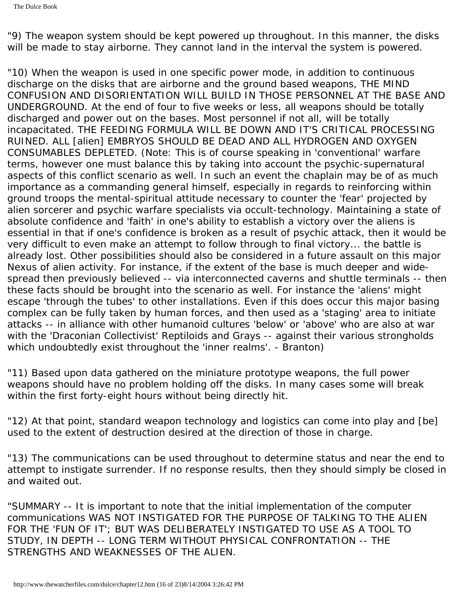"9) The weapon system should be kept powered up throughout. In this manner, the disks will be made to stay airborne. They cannot land in the interval the system is powered.

"10) When the weapon is used in one specific power mode, in addition to continuous discharge on the disks that are airborne and the ground based weapons, THE MIND CONFUSION AND DISORIENTATION WILL BUILD IN THOSE PERSONNEL AT THE BASE AND UNDERGROUND. At the end of four to five weeks or less, all weapons should be totally discharged and power out on the bases. Most personnel if not all, will be totally incapacitated. THE FEEDING FORMULA WILL BE DOWN AND IT'S CRITICAL PROCESSING RUINED. ALL [alien] EMBRYOS SHOULD BE DEAD AND ALL HYDROGEN AND OXYGEN CONSUMABLES DEPLETED. (Note: This is of course speaking in 'conventional' warfare terms, however one must balance this by taking into account the psychic-supernatural aspects of this conflict scenario as well. In such an event the chaplain may be of as much importance as a commanding general himself, especially in regards to reinforcing within ground troops the mental-spiritual attitude necessary to counter the 'fear' projected by alien sorcerer and psychic warfare specialists via occult-technology. Maintaining a state of absolute confidence and 'faith' in one's ability to establish a victory over the aliens is essential in that if one's confidence is broken as a result of psychic attack, then it would be very difficult to even make an attempt to follow through to final victory... the battle is already lost. Other possibilities should also be considered in a future assault on this major Nexus of alien activity. For instance, if the extent of the base is much deeper and widespread then previously believed -- via interconnected caverns and shuttle terminals -- then these facts should be brought into the scenario as well. For instance the 'aliens' might escape 'through the tubes' to other installations. Even if this does occur this major basing complex can be fully taken by human forces, and then used as a 'staging' area to initiate attacks -- in alliance with other humanoid cultures 'below' or 'above' who are also at war with the 'Draconian Collectivist' Reptiloids and Grays -- against their various strongholds which undoubtedly exist throughout the 'inner realms'. - Branton)

"11) Based upon data gathered on the miniature prototype weapons, the full power weapons should have no problem holding off the disks. In many cases some will break within the first forty-eight hours without being directly hit.

"12) At that point, standard weapon technology and logistics can come into play and [be] used to the extent of destruction desired at the direction of those in charge.

"13) The communications can be used throughout to determine status and near the end to attempt to instigate surrender. If no response results, then they should simply be closed in and waited out.

"SUMMARY -- It is important to note that the initial implementation of the computer communications WAS NOT INSTIGATED FOR THE PURPOSE OF TALKING TO THE ALIEN FOR THE 'FUN OF IT'; BUT WAS DELIBERATELY INSTIGATED TO USE AS A TOOL TO STUDY, IN DEPTH -- LONG TERM WITHOUT PHYSICAL CONFRONTATION -- THE STRENGTHS AND WEAKNESSES OF THE ALIEN.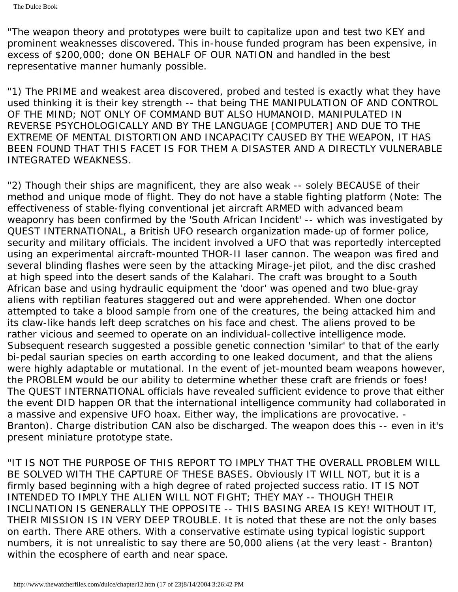"The weapon theory and prototypes were built to capitalize upon and test two KEY and prominent weaknesses discovered. This in-house funded program has been expensive, in excess of \$200,000; done ON BEHALF OF OUR NATION and handled in the best representative manner humanly possible.

"1) The PRIME and weakest area discovered, probed and tested is exactly what they have used thinking it is their key strength -- that being THE MANIPULATION OF AND CONTROL OF THE MIND; NOT ONLY OF COMMAND BUT ALSO HUMANOID. MANIPULATED IN REVERSE PSYCHOLOGICALLY AND BY THE LANGUAGE [COMPUTER] AND DUE TO THE EXTREME OF MENTAL DISTORTION AND INCAPACITY CAUSED BY THE WEAPON, IT HAS BEEN FOUND THAT THIS FACET IS FOR THEM A DISASTER AND A DIRECTLY VULNERABLE INTEGRATED WEAKNESS.

"2) Though their ships are magnificent, they are also weak -- solely BECAUSE of their method and unique mode of flight. They do not have a stable fighting platform (Note: The effectiveness of stable-flying conventional jet aircraft ARMED with advanced beam weaponry has been confirmed by the 'South African Incident' -- which was investigated by QUEST INTERNATIONAL, a British UFO research organization made-up of former police, security and military officials. The incident involved a UFO that was reportedly intercepted using an experimental aircraft-mounted THOR-II laser cannon. The weapon was fired and several blinding flashes were seen by the attacking Mirage-jet pilot, and the disc crashed at high speed into the desert sands of the Kalahari. The craft was brought to a South African base and using hydraulic equipment the 'door' was opened and two blue-gray aliens with reptilian features staggered out and were apprehended. When one doctor attempted to take a blood sample from one of the creatures, the being attacked him and its claw-like hands left deep scratches on his face and chest. The aliens proved to be rather vicious and seemed to operate on an individual-collective intelligence mode. Subsequent research suggested a possible genetic connection 'similar' to that of the early bi-pedal saurian species on earth according to one leaked document, and that the aliens were highly adaptable or mutational. In the event of jet-mounted beam weapons however, the PROBLEM would be our ability to determine whether these craft are friends or foes! The QUEST INTERNATIONAL officials have revealed sufficient evidence to prove that either the event DID happen OR that the international intelligence community had collaborated in a massive and expensive UFO hoax. Either way, the implications are provocative. - Branton). Charge distribution CAN also be discharged. The weapon does this -- even in it's present miniature prototype state.

"IT IS NOT THE PURPOSE OF THIS REPORT TO IMPLY THAT THE OVERALL PROBLEM WILL BE SOLVED WITH THE CAPTURE OF THESE BASES. Obviously IT WILL NOT, but it is a firmly based beginning with a high degree of rated projected success ratio. IT IS NOT INTENDED TO IMPLY THE ALIEN WILL NOT FIGHT; THEY MAY -- THOUGH THEIR INCLINATION IS GENERALLY THE OPPOSITE -- THIS BASING AREA IS KEY! WITHOUT IT, THEIR MISSION IS IN VERY DEEP TROUBLE. It is noted that these are not the only bases on earth. There ARE others. With a conservative estimate using typical logistic support numbers, it is not unrealistic to say there are 50,000 aliens (at the very least - Branton) within the ecosphere of earth and near space.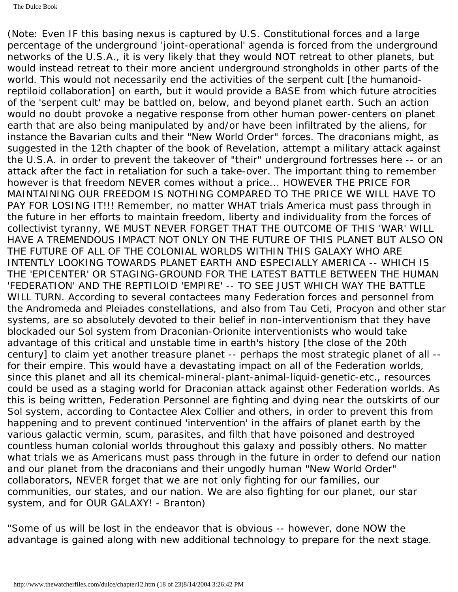(Note: Even IF this basing nexus is captured by U.S. Constitutional forces and a large percentage of the underground 'joint-operational' agenda is forced from the underground networks of the U.S.A., it is very likely that they would NOT retreat to other planets, but would instead retreat to their more ancient underground strongholds in other parts of the world. This would not necessarily end the activities of the serpent cult [the humanoidreptiloid collaboration] on earth, but it would provide a BASE from which future atrocities of the 'serpent cult' may be battled on, below, and beyond planet earth. Such an action would no doubt provoke a negative response from other human power-centers on planet earth that are also being manipulated by and/or have been infiltrated by the aliens, for instance the Bavarian cults and their "New World Order" forces. The draconians might, as suggested in the 12th chapter of the book of Revelation, attempt a military attack against the U.S.A. in order to prevent the takeover of "their" underground fortresses here -- or an attack after the fact in retaliation for such a take-over. The important thing to remember however is that freedom NEVER comes without a price... HOWEVER THE PRICE FOR MAINTAINING OUR FREEDOM IS NOTHING COMPARED TO THE PRICE WE WILL HAVE TO PAY FOR LOSING IT!!! Remember, no matter WHAT trials America must pass through in the future in her efforts to maintain freedom, liberty and individuality from the forces of collectivist tyranny, WE MUST NEVER FORGET THAT THE OUTCOME OF THIS 'WAR' WILL HAVE A TREMENDOUS IMPACT NOT ONLY ON THE FUTURE OF THIS PLANET BUT ALSO ON THE FUTURE OF ALL OF THE COLONIAL WORLDS WITHIN THIS GALAXY WHO ARE INTENTLY LOOKING TOWARDS PLANET EARTH AND ESPECIALLY AMERICA -- WHICH IS THE 'EPICENTER' OR STAGING-GROUND FOR THE LATEST BATTLE BETWEEN THE HUMAN 'FEDERATION' AND THE REPTILOID 'EMPIRE' -- TO SEE JUST WHICH WAY THE BATTLE WILL TURN. According to several contactees many Federation forces and personnel from the Andromeda and Pleiades constellations, and also from Tau Ceti, Procyon and other star systems, are so absolutely devoted to their belief in non-interventionism that they have blockaded our Sol system from Draconian-Orionite interventionists who would take advantage of this critical and unstable time in earth's history [the close of the 20th century] to claim yet another treasure planet -- perhaps the most strategic planet of all - for their empire. This would have a devastating impact on all of the Federation worlds, since this planet and all its chemical-mineral-plant-animal-liquid-genetic-etc., resources could be used as a staging world for Draconian attack against other Federation worlds. As this is being written, Federation Personnel are fighting and dying near the outskirts of our Sol system, according to Contactee Alex Collier and others, in order to prevent this from happening and to prevent continued 'intervention' in the affairs of planet earth by the various galactic vermin, scum, parasites, and filth that have poisoned and destroyed countless human colonial worlds throughout this galaxy and possibly others. No matter what trials we as Americans must pass through in the future in order to defend our nation and our planet from the draconians and their ungodly human "New World Order" collaborators, NEVER forget that we are not only fighting for our families, our communities, our states, and our nation. We are also fighting for our planet, our star system, and for OUR GALAXY! - Branton)

"Some of us will be lost in the endeavor that is obvious -- however, done NOW the advantage is gained along with new additional technology to prepare for the next stage.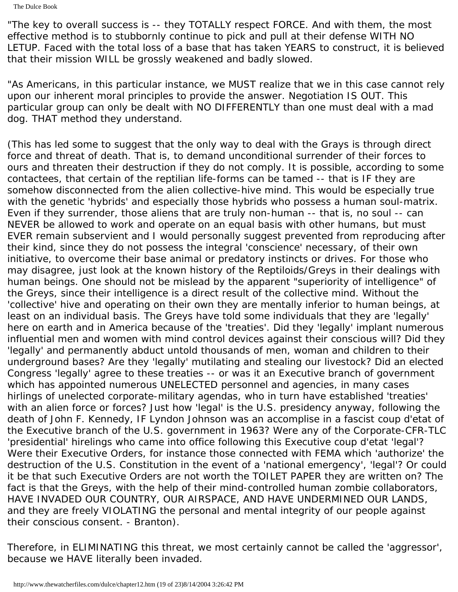The Dulce Book

"The key to overall success is -- they TOTALLY respect FORCE. And with them, the most effective method is to stubbornly continue to pick and pull at their defense WITH NO LETUP. Faced with the total loss of a base that has taken YEARS to construct, it is believed that their mission WILL be grossly weakened and badly slowed.

"As Americans, in this particular instance, we MUST realize that we in this case cannot rely upon our inherent moral principles to provide the answer. Negotiation IS OUT. This particular group can only be dealt with NO DIFFERENTLY than one must deal with a mad dog. THAT method they understand.

(This has led some to suggest that the only way to deal with the Grays is through direct force and threat of death. That is, to demand unconditional surrender of their forces to ours and threaten their destruction if they do not comply. It is possible, according to some contactees, that certain of the reptilian life-forms can be tamed -- that is IF they are somehow disconnected from the alien collective-hive mind. This would be especially true with the genetic 'hybrids' and especially those hybrids who possess a human soul-matrix. Even if they surrender, those aliens that are truly non-human -- that is, no soul -- can NEVER be allowed to work and operate on an equal basis with other humans, but must EVER remain subservient and I would personally suggest prevented from reproducing after their kind, since they do not possess the integral 'conscience' necessary, of their own initiative, to overcome their base animal or predatory instincts or drives. For those who may disagree, just look at the known history of the Reptiloids/Greys in their dealings with human beings. One should not be mislead by the apparent "superiority of intelligence" of the Greys, since their intelligence is a direct result of the collective mind. Without the 'collective' hive and operating on their own they are mentally inferior to human beings, at least on an individual basis. The Greys have told some individuals that they are 'legally' here on earth and in America because of the 'treaties'. Did they 'legally' implant numerous influential men and women with mind control devices against their conscious will? Did they 'legally' and permanently abduct untold thousands of men, woman and children to their underground bases? Are they 'legally' mutilating and stealing our livestock? Did an elected Congress 'legally' agree to these treaties -- or was it an Executive branch of government which has appointed numerous UNELECTED personnel and agencies, in many cases hirlings of unelected corporate-military agendas, who in turn have established 'treaties' with an alien force or forces? Just how 'legal' is the U.S. presidency anyway, following the death of John F. Kennedy, IF Lyndon Johnson was an accomplise in a fascist coup d'etat of the Executive branch of the U.S. government in 1963? Were any of the Corporate-CFR-TLC 'presidential' hirelings who came into office following this Executive coup d'etat 'legal'? Were their Executive Orders, for instance those connected with FEMA which 'authorize' the destruction of the U.S. Constitution in the event of a 'national emergency', 'legal'? Or could it be that such Executive Orders are not worth the TOILET PAPER they are written on? The fact is that the Greys, with the help of their mind-controlled human zombie collaborators, HAVE INVADED OUR COUNTRY, OUR AIRSPACE, AND HAVE UNDERMINED OUR LANDS, and they are freely VIOLATING the personal and mental integrity of our people against their conscious consent. - Branton).

Therefore, in ELIMINATING this threat, we most certainly cannot be called the 'aggressor', because we HAVE literally been invaded.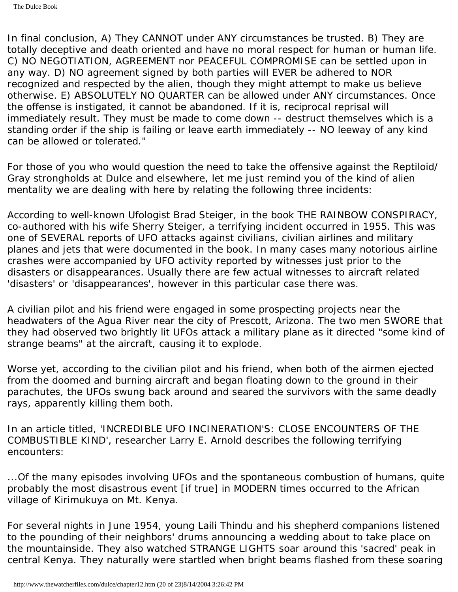In final conclusion, A) They CANNOT under ANY circumstances be trusted. B) They are totally deceptive and death oriented and have no moral respect for human or human life. C) NO NEGOTIATION, AGREEMENT nor PEACEFUL COMPROMISE can be settled upon in any way. D) NO agreement signed by both parties will EVER be adhered to NOR recognized and respected by the alien, though they might attempt to make us believe otherwise. E) ABSOLUTELY NO QUARTER can be allowed under ANY circumstances. Once the offense is instigated, it cannot be abandoned. If it is, reciprocal reprisal will immediately result. They must be made to come down -- destruct themselves which is a standing order if the ship is failing or leave earth immediately -- NO leeway of any kind can be allowed or tolerated."

For those of you who would question the need to take the offensive against the Reptiloid/ Gray strongholds at Dulce and elsewhere, let me just remind you of the kind of alien mentality we are dealing with here by relating the following three incidents:

According to well-known Ufologist Brad Steiger, in the book THE RAINBOW CONSPIRACY, co-authored with his wife Sherry Steiger, a terrifying incident occurred in 1955. This was one of SEVERAL reports of UFO attacks against civilians, civilian airlines and military planes and jets that were documented in the book. In many cases many notorious airline crashes were accompanied by UFO activity reported by witnesses just prior to the disasters or disappearances. Usually there are few actual witnesses to aircraft related 'disasters' or 'disappearances', however in this particular case there was.

A civilian pilot and his friend were engaged in some prospecting projects near the headwaters of the Agua River near the city of Prescott, Arizona. The two men SWORE that they had observed two brightly lit UFOs attack a military plane as it directed "some kind of strange beams" at the aircraft, causing it to explode.

Worse yet, according to the civilian pilot and his friend, when both of the airmen ejected from the doomed and burning aircraft and began floating down to the ground in their parachutes, the UFOs swung back around and seared the survivors with the same deadly rays, apparently killing them both.

In an article titled, 'INCREDIBLE UFO INCINERATION'S: CLOSE ENCOUNTERS OF THE COMBUSTIBLE KIND', researcher Larry E. Arnold describes the following terrifying encounters:

...Of the many episodes involving UFOs and the spontaneous combustion of humans, quite probably the most disastrous event [if true] in MODERN times occurred to the African village of Kirimukuya on Mt. Kenya.

For several nights in June 1954, young Laili Thindu and his shepherd companions listened to the pounding of their neighbors' drums announcing a wedding about to take place on the mountainside. They also watched STRANGE LIGHTS soar around this 'sacred' peak in central Kenya. They naturally were startled when bright beams flashed from these soaring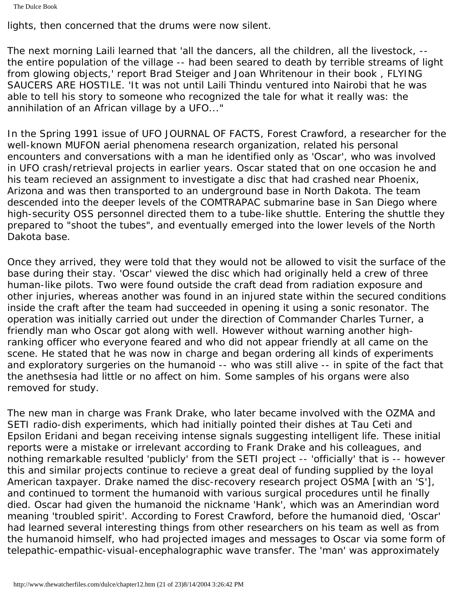The Dulce Book

lights, then concerned that the drums were now silent.

The next morning Laili learned that 'all the dancers, all the children, all the livestock, - the entire population of the village -- had been seared to death by terrible streams of light from glowing objects,' report Brad Steiger and Joan Whritenour in their book , FLYING SAUCERS ARE HOSTILE. 'It was not until Laili Thindu ventured into Nairobi that he was able to tell his story to someone who recognized the tale for what it really was: the annihilation of an African village by a UFO..."

In the Spring 1991 issue of UFO JOURNAL OF FACTS, Forest Crawford, a researcher for the well-known MUFON aerial phenomena research organization, related his personal encounters and conversations with a man he identified only as 'Oscar', who was involved in UFO crash/retrieval projects in earlier years. Oscar stated that on one occasion he and his team recieved an assignment to investigate a disc that had crashed near Phoenix, Arizona and was then transported to an underground base in North Dakota. The team descended into the deeper levels of the COMTRAPAC submarine base in San Diego where high-security OSS personnel directed them to a tube-like shuttle. Entering the shuttle they prepared to "shoot the tubes", and eventually emerged into the lower levels of the North Dakota base.

Once they arrived, they were told that they would not be allowed to visit the surface of the base during their stay. 'Oscar' viewed the disc which had originally held a crew of three human-like pilots. Two were found outside the craft dead from radiation exposure and other injuries, whereas another was found in an injured state within the secured conditions inside the craft after the team had succeeded in opening it using a sonic resonator. The operation was initially carried out under the direction of Commander Charles Turner, a friendly man who Oscar got along with well. However without warning another highranking officer who everyone feared and who did not appear friendly at all came on the scene. He stated that he was now in charge and began ordering all kinds of experiments and exploratory surgeries on the humanoid -- who was still alive -- in spite of the fact that the anethsesia had little or no affect on him. Some samples of his organs were also removed for study.

The new man in charge was Frank Drake, who later became involved with the OZMA and SETI radio-dish experiments, which had initially pointed their dishes at Tau Ceti and Epsilon Eridani and began receiving intense signals suggesting intelligent life. These initial reports were a mistake or irrelevant according to Frank Drake and his colleagues, and nothing remarkable resulted 'publicly' from the SETI project -- 'officially' that is -- however this and similar projects continue to recieve a great deal of funding supplied by the loyal American taxpayer. Drake named the disc-recovery research project OSMA [with an 'S'], and continued to torment the humanoid with various surgical procedures until he finally died. Oscar had given the humanoid the nickname 'Hank', which was an Amerindian word meaning 'troubled spirit'. According to Forest Crawford, before the humanoid died, 'Oscar' had learned several interesting things from other researchers on his team as well as from the humanoid himself, who had projected images and messages to Oscar via some form of telepathic-empathic-visual-encephalographic wave transfer. The 'man' was approximately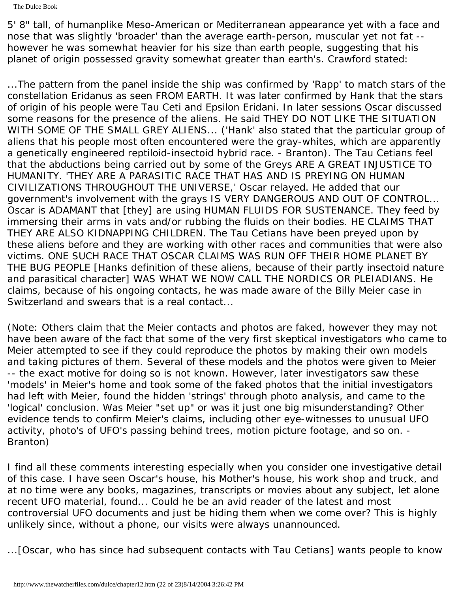The Dulce Book

5' 8" tall, of humanplike Meso-American or Mediterranean appearance yet with a face and nose that was slightly 'broader' than the average earth-person, muscular yet not fat - however he was somewhat heavier for his size than earth people, suggesting that his planet of origin possessed gravity somewhat greater than earth's. Crawford stated:

...The pattern from the panel inside the ship was confirmed by 'Rapp' to match stars of the constellation Eridanus as seen FROM EARTH. It was later confirmed by Hank that the stars of origin of his people were Tau Ceti and Epsilon Eridani. In later sessions Oscar discussed some reasons for the presence of the aliens. He said THEY DO NOT LIKE THE SITUATION WITH SOME OF THE SMALL GREY ALIENS... ('Hank' also stated that the particular group of aliens that his people most often encountered were the gray-whites, which are apparently a genetically engineered reptiloid-insectoid hybrid race. - Branton). The Tau Cetians feel that the abductions being carried out by some of the Greys ARE A GREAT INJUSTICE TO HUMANITY. 'THEY ARE A PARASITIC RACE THAT HAS AND IS PREYING ON HUMAN CIVILIZATIONS THROUGHOUT THE UNIVERSE,' Oscar relayed. He added that our government's involvement with the grays IS VERY DANGEROUS AND OUT OF CONTROL... Oscar is ADAMANT that [they] are using HUMAN FLUIDS FOR SUSTENANCE. They feed by immersing their arms in vats and/or rubbing the fluids on their bodies. HE CLAIMS THAT THEY ARE ALSO KIDNAPPING CHILDREN. The Tau Cetians have been preyed upon by these aliens before and they are working with other races and communities that were also victims. ONE SUCH RACE THAT OSCAR CLAIMS WAS RUN OFF THEIR HOME PLANET BY THE BUG PEOPLE [Hanks definition of these aliens, because of their partly insectoid nature and parasitical character] WAS WHAT WE NOW CALL THE NORDICS OR PLEIADIANS. He claims, because of his ongoing contacts, he was made aware of the Billy Meier case in Switzerland and swears that is a real contact...

(Note: Others claim that the Meier contacts and photos are faked, however they may not have been aware of the fact that some of the very first skeptical investigators who came to Meier attempted to see if they could reproduce the photos by making their own models and taking pictures of them. Several of these models and the photos were given to Meier -- the exact motive for doing so is not known. However, later investigators saw these 'models' in Meier's home and took some of the faked photos that the initial investigators had left with Meier, found the hidden 'strings' through photo analysis, and came to the 'logical' conclusion. Was Meier "set up" or was it just one big misunderstanding? Other evidence tends to confirm Meier's claims, including other eye-witnesses to unusual UFO activity, photo's of UFO's passing behind trees, motion picture footage, and so on. - Branton)

I find all these comments interesting especially when you consider one investigative detail of this case. I have seen Oscar's house, his Mother's house, his work shop and truck, and at no time were any books, magazines, transcripts or movies about any subject, let alone recent UFO material, found... Could he be an avid reader of the latest and most controversial UFO documents and just be hiding them when we come over? This is highly unlikely since, without a phone, our visits were always unannounced.

...[Oscar, who has since had subsequent contacts with Tau Cetians] wants people to know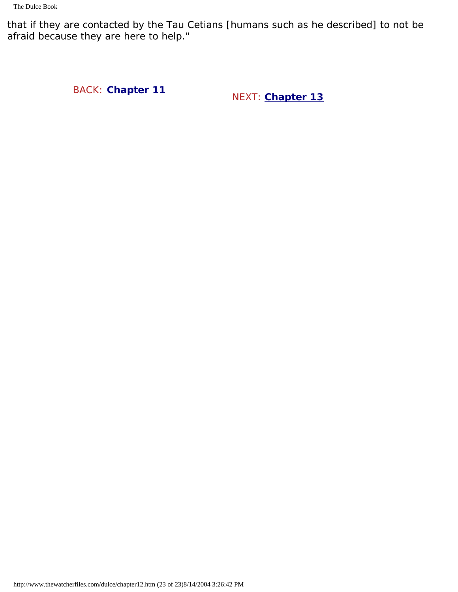that if they are contacted by the Tau Cetians [humans such as he described] to not be afraid because they are here to help."

BACK: **[Chapter 11](#page-77-0)** NEXT: **[Chapter 13](#page-129-0)**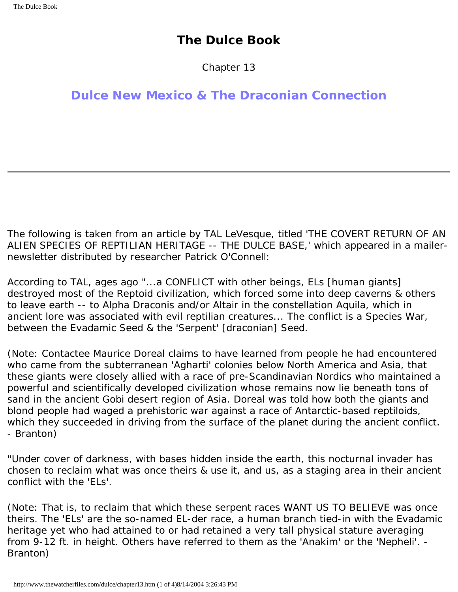### **The Dulce Book**

Chapter 13

### <span id="page-129-0"></span>**Dulce New Mexico & The Draconian Connection**

The following is taken from an article by TAL LeVesque, titled 'THE COVERT RETURN OF AN ALIEN SPECIES OF REPTILIAN HERITAGE -- THE DULCE BASE,' which appeared in a mailernewsletter distributed by researcher Patrick O'Connell:

According to TAL, ages ago "...a CONFLICT with other beings, ELs [human giants] destroyed most of the Reptoid civilization, which forced some into deep caverns & others to leave earth -- to Alpha Draconis and/or Altair in the constellation Aquila, which in ancient lore was associated with evil reptilian creatures... The conflict is a Species War, between the Evadamic Seed & the 'Serpent' [draconian] Seed.

(Note: Contactee Maurice Doreal claims to have learned from people he had encountered who came from the subterranean 'Agharti' colonies below North America and Asia, that these giants were closely allied with a race of pre-Scandinavian Nordics who maintained a powerful and scientifically developed civilization whose remains now lie beneath tons of sand in the ancient Gobi desert region of Asia. Doreal was told how both the giants and blond people had waged a prehistoric war against a race of Antarctic-based reptiloids, which they succeeded in driving from the surface of the planet during the ancient conflict. - Branton)

"Under cover of darkness, with bases hidden inside the earth, this nocturnal invader has chosen to reclaim what was once theirs & use it, and us, as a staging area in their ancient conflict with the 'ELs'.

(Note: That is, to reclaim that which these serpent races WANT US TO BELIEVE was once theirs. The 'ELs' are the so-named EL-der race, a human branch tied-in with the Evadamic heritage yet who had attained to or had retained a very tall physical stature averaging from 9-12 ft. in height. Others have referred to them as the 'Anakim' or the 'Nepheli'. - Branton)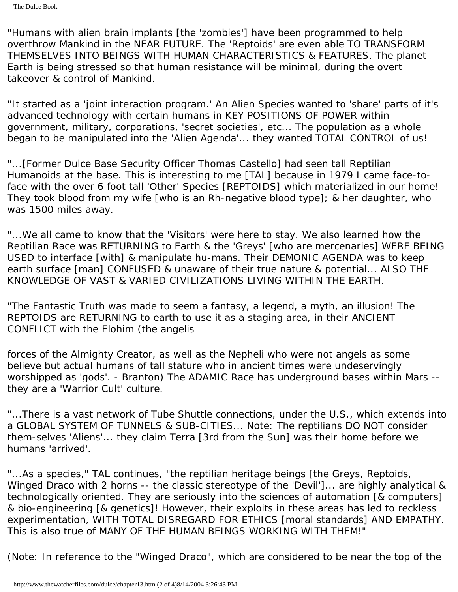"Humans with alien brain implants [the 'zombies'] have been programmed to help overthrow Mankind in the NEAR FUTURE. The 'Reptoids' are even able TO TRANSFORM THEMSELVES INTO BEINGS WITH HUMAN CHARACTERISTICS & FEATURES. The planet Earth is being stressed so that human resistance will be minimal, during the overt takeover & control of Mankind.

"It started as a 'joint interaction program.' An Alien Species wanted to 'share' parts of it's advanced technology with certain humans in KEY POSITIONS OF POWER within government, military, corporations, 'secret societies', etc... The population as a whole began to be manipulated into the 'Alien Agenda'... they wanted TOTAL CONTROL of us!

"...[Former Dulce Base Security Officer Thomas Castello] had seen tall Reptilian Humanoids at the base. This is interesting to me [TAL] because in 1979 I came face-toface with the over 6 foot tall 'Other' Species [REPTOIDS] which materialized in our home! They took blood from my wife [who is an Rh-negative blood type]; & her daughter, who was 1500 miles away.

"...We all came to know that the 'Visitors' were here to stay. We also learned how the Reptilian Race was RETURNING to Earth & the 'Greys' [who are mercenaries] WERE BEING USED to interface [with] & manipulate hu-mans. Their DEMONIC AGENDA was to keep earth surface [man] CONFUSED & unaware of their true nature & potential... ALSO THE KNOWLEDGE OF VAST & VARIED CIVILIZATIONS LIVING WITHIN THE EARTH.

"The Fantastic Truth was made to seem a fantasy, a legend, a myth, an illusion! The REPTOIDS are RETURNING to earth to use it as a staging area, in their ANCIENT CONFLICT with the Elohim (the angelis

forces of the Almighty Creator, as well as the Nepheli who were not angels as some believe but actual humans of tall stature who in ancient times were undeservingly worshipped as 'gods'. - Branton) The ADAMIC Race has underground bases within Mars - they are a 'Warrior Cult' culture.

"...There is a vast network of Tube Shuttle connections, under the U.S., which extends into a GLOBAL SYSTEM OF TUNNELS & SUB-CITIES... Note: The reptilians DO NOT consider them-selves 'Aliens'... they claim Terra [3rd from the Sun] was their home before we humans 'arrived'.

"...As a species," TAL continues, "the reptilian heritage beings [the Greys, Reptoids, Winged Draco with 2 horns -- the classic stereotype of the 'Devil']... are highly analytical & technologically oriented. They are seriously into the sciences of automation [& computers] & bio-engineering [& genetics]! However, their exploits in these areas has led to reckless experimentation, WITH TOTAL DISREGARD FOR ETHICS [moral standards] AND EMPATHY. This is also true of MANY OF THE HUMAN BEINGS WORKING WITH THEM!"

(Note: In reference to the "Winged Draco", which are considered to be near the top of the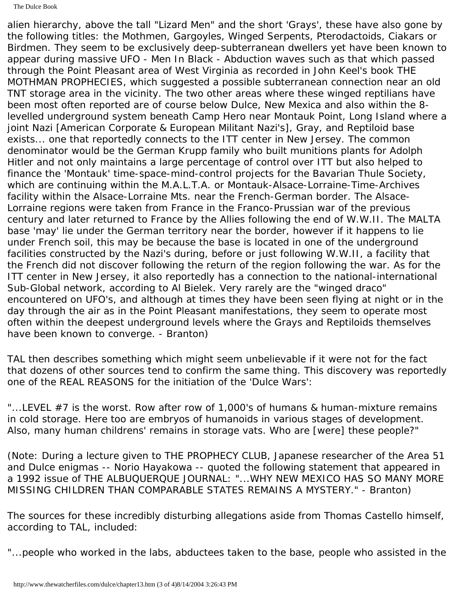alien hierarchy, above the tall "Lizard Men" and the short 'Grays', these have also gone by the following titles: the Mothmen, Gargoyles, Winged Serpents, Pterodactoids, Ciakars or Birdmen. They seem to be exclusively deep-subterranean dwellers yet have been known to appear during massive UFO - Men In Black - Abduction waves such as that which passed through the Point Pleasant area of West Virginia as recorded in John Keel's book THE MOTHMAN PROPHECIES, which suggested a possible subterranean connection near an old TNT storage area in the vicinity. The two other areas where these winged reptilians have been most often reported are of course below Dulce, New Mexica and also within the 8 levelled underground system beneath Camp Hero near Montauk Point, Long Island where a joint Nazi [American Corporate & European Militant Nazi's], Gray, and Reptiloid base exists... one that reportedly connects to the ITT center in New Jersey. The common denominator would be the German Krupp family who built munitions plants for Adolph Hitler and not only maintains a large percentage of control over ITT but also helped to finance the 'Montauk' time-space-mind-control projects for the Bavarian Thule Society, which are continuing within the M.A.L.T.A. or Montauk-Alsace-Lorraine-Time-Archives facility within the Alsace-Lorraine Mts. near the French-German border. The Alsace-Lorraine regions were taken from France in the Franco-Prussian war of the previous century and later returned to France by the Allies following the end of W.W.II. The MALTA base 'may' lie under the German territory near the border, however if it happens to lie under French soil, this may be because the base is located in one of the underground facilities constructed by the Nazi's during, before or just following W.W.II, a facility that the French did not discover following the return of the region following the war. As for the ITT center in New Jersey, it also reportedly has a connection to the national-international Sub-Global network, according to Al Bielek. Very rarely are the "winged draco" encountered on UFO's, and although at times they have been seen flying at night or in the day through the air as in the Point Pleasant manifestations, they seem to operate most often within the deepest underground levels where the Grays and Reptiloids themselves have been known to converge. - Branton)

TAL then describes something which might seem unbelievable if it were not for the fact that dozens of other sources tend to confirm the same thing. This discovery was reportedly one of the REAL REASONS for the initiation of the 'Dulce Wars':

"...LEVEL #7 is the worst. Row after row of 1,000's of humans & human-mixture remains in cold storage. Here too are embryos of humanoids in various stages of development. Also, many human childrens' remains in storage vats. Who are [were] these people?"

(Note: During a lecture given to THE PROPHECY CLUB, Japanese researcher of the Area 51 and Dulce enigmas -- Norio Hayakowa -- quoted the following statement that appeared in a 1992 issue of THE ALBUQUERQUE JOURNAL: "...WHY NEW MEXICO HAS SO MANY MORE MISSING CHILDREN THAN COMPARABLE STATES REMAINS A MYSTERY." - Branton)

The sources for these incredibly disturbing allegations aside from Thomas Castello himself, according to TAL, included:

"...people who worked in the labs, abductees taken to the base, people who assisted in the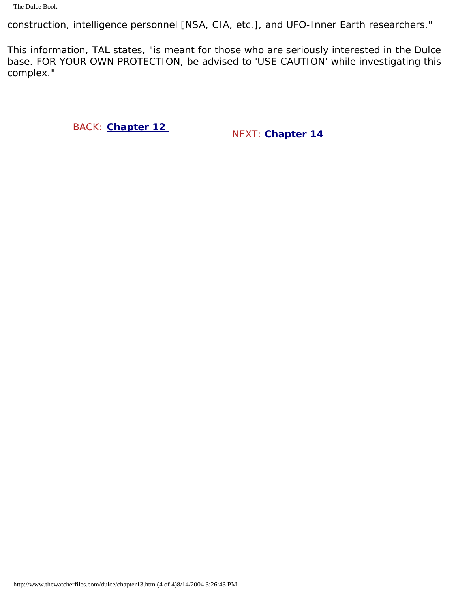construction, intelligence personnel [NSA, CIA, etc.], and UFO-Inner Earth researchers."

This information, TAL states, "is meant for those who are seriously interested in the Dulce base. FOR YOUR OWN PROTECTION, be advised to 'USE CAUTION' while investigating this complex."

BACK: **[Chapter 12](#page-106-0)** NEXT: **[Chapter 14](#page-133-0)**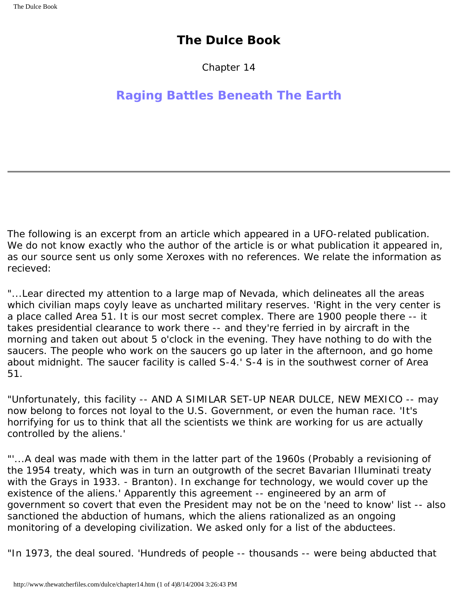## **The Dulce Book**

Chapter 14

## <span id="page-133-0"></span>**Raging Battles Beneath The Earth**

The following is an excerpt from an article which appeared in a UFO-related publication. We do not know exactly who the author of the article is or what publication it appeared in, as our source sent us only some Xeroxes with no references. We relate the information as recieved:

"...Lear directed my attention to a large map of Nevada, which delineates all the areas which civilian maps coyly leave as uncharted military reserves. 'Right in the very center is a place called Area 51. It is our most secret complex. There are 1900 people there -- it takes presidential clearance to work there -- and they're ferried in by aircraft in the morning and taken out about 5 o'clock in the evening. They have nothing to do with the saucers. The people who work on the saucers go up later in the afternoon, and go home about midnight. The saucer facility is called S-4.' S-4 is in the southwest corner of Area 51.

"Unfortunately, this facility -- AND A SIMILAR SET-UP NEAR DULCE, NEW MEXICO -- may now belong to forces not loyal to the U.S. Government, or even the human race. 'It's horrifying for us to think that all the scientists we think are working for us are actually controlled by the aliens.'

"'...A deal was made with them in the latter part of the 1960s (Probably a revisioning of the 1954 treaty, which was in turn an outgrowth of the secret Bavarian Illuminati treaty with the Grays in 1933. - Branton). In exchange for technology, we would cover up the existence of the aliens.' Apparently this agreement -- engineered by an arm of government so covert that even the President may not be on the 'need to know' list -- also sanctioned the abduction of humans, which the aliens rationalized as an ongoing monitoring of a developing civilization. We asked only for a list of the abductees.

"In 1973, the deal soured. 'Hundreds of people -- thousands -- were being abducted that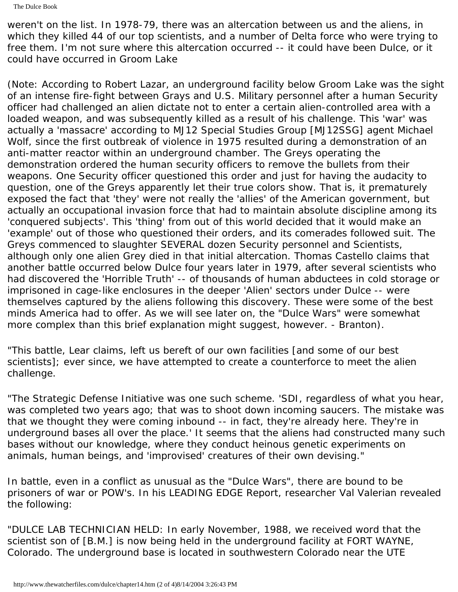weren't on the list. In 1978-79, there was an altercation between us and the aliens, in which they killed 44 of our top scientists, and a number of Delta force who were trying to free them. I'm not sure where this altercation occurred -- it could have been Dulce, or it could have occurred in Groom Lake

(Note: According to Robert Lazar, an underground facility below Groom Lake was the sight of an intense fire-fight between Grays and U.S. Military personnel after a human Security officer had challenged an alien dictate not to enter a certain alien-controlled area with a loaded weapon, and was subsequently killed as a result of his challenge. This 'war' was actually a 'massacre' according to MJ12 Special Studies Group [MJ12SSG] agent Michael Wolf, since the first outbreak of violence in 1975 resulted during a demonstration of an anti-matter reactor within an underground chamber. The Greys operating the demonstration ordered the human security officers to remove the bullets from their weapons. One Security officer questioned this order and just for having the audacity to question, one of the Greys apparently let their true colors show. That is, it prematurely exposed the fact that 'they' were not really the 'allies' of the American government, but actually an occupational invasion force that had to maintain absolute discipline among its 'conquered subjects'. This 'thing' from out of this world decided that it would make an 'example' out of those who questioned their orders, and its comerades followed suit. The Greys commenced to slaughter SEVERAL dozen Security personnel and Scientists, although only one alien Grey died in that initial altercation. Thomas Castello claims that another battle occurred below Dulce four years later in 1979, after several scientists who had discovered the 'Horrible Truth' -- of thousands of human abductees in cold storage or imprisoned in cage-like enclosures in the deeper 'Alien' sectors under Dulce -- were themselves captured by the aliens following this discovery. These were some of the best minds America had to offer. As we will see later on, the "Dulce Wars" were somewhat more complex than this brief explanation might suggest, however. - Branton).

"This battle, Lear claims, left us bereft of our own facilities [and some of our best scientists]; ever since, we have attempted to create a counterforce to meet the alien challenge.

"The Strategic Defense Initiative was one such scheme. 'SDI, regardless of what you hear, was completed two years ago; that was to shoot down incoming saucers. The mistake was that we thought they were coming inbound -- in fact, they're already here. They're in underground bases all over the place.' It seems that the aliens had constructed many such bases without our knowledge, where they conduct heinous genetic experiments on animals, human beings, and 'improvised' creatures of their own devising."

In battle, even in a conflict as unusual as the "Dulce Wars", there are bound to be prisoners of war or POW's. In his LEADING EDGE Report, researcher Val Valerian revealed the following:

"DULCE LAB TECHNICIAN HELD: In early November, 1988, we received word that the scientist son of [B.M.] is now being held in the underground facility at FORT WAYNE, Colorado. The underground base is located in southwestern Colorado near the UTE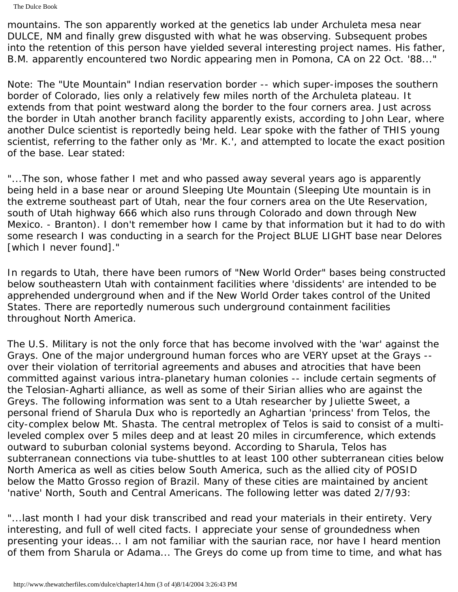The Dulce Book

mountains. The son apparently worked at the genetics lab under Archuleta mesa near DULCE, NM and finally grew disgusted with what he was observing. Subsequent probes into the retention of this person have yielded several interesting project names. His father, B.M. apparently encountered two Nordic appearing men in Pomona, CA on 22 Oct. '88..."

Note: The "Ute Mountain" Indian reservation border -- which super-imposes the southern border of Colorado, lies only a relatively few miles north of the Archuleta plateau. It extends from that point westward along the border to the four corners area. Just across the border in Utah another branch facility apparently exists, according to John Lear, where another Dulce scientist is reportedly being held. Lear spoke with the father of THIS young scientist, referring to the father only as 'Mr. K.', and attempted to locate the exact position of the base. Lear stated:

"...The son, whose father I met and who passed away several years ago is apparently being held in a base near or around Sleeping Ute Mountain (Sleeping Ute mountain is in the extreme southeast part of Utah, near the four corners area on the Ute Reservation, south of Utah highway 666 which also runs through Colorado and down through New Mexico. - Branton). I don't remember how I came by that information but it had to do with some research I was conducting in a search for the Project BLUE LIGHT base near Delores [which I never found]."

In regards to Utah, there have been rumors of "New World Order" bases being constructed below southeastern Utah with containment facilities where 'dissidents' are intended to be apprehended underground when and if the New World Order takes control of the United States. There are reportedly numerous such underground containment facilities throughout North America.

The U.S. Military is not the only force that has become involved with the 'war' against the Grays. One of the major underground human forces who are VERY upset at the Grays - over their violation of territorial agreements and abuses and atrocities that have been committed against various intra-planetary human colonies -- include certain segments of the Telosian-Agharti alliance, as well as some of their Sirian allies who are against the Greys. The following information was sent to a Utah researcher by Juliette Sweet, a personal friend of Sharula Dux who is reportedly an Aghartian 'princess' from Telos, the city-complex below Mt. Shasta. The central metroplex of Telos is said to consist of a multileveled complex over 5 miles deep and at least 20 miles in circumference, which extends outward to suburban colonial systems beyond. According to Sharula, Telos has subterranean connections via tube-shuttles to at least 100 other subterranean cities below North America as well as cities below South America, such as the allied city of POSID below the Matto Grosso region of Brazil. Many of these cities are maintained by ancient 'native' North, South and Central Americans. The following letter was dated 2/7/93:

"...last month I had your disk transcribed and read your materials in their entirety. Very interesting, and full of well cited facts. I appreciate your sense of groundedness when presenting your ideas... I am not familiar with the saurian race, nor have I heard mention of them from Sharula or Adama... The Greys do come up from time to time, and what has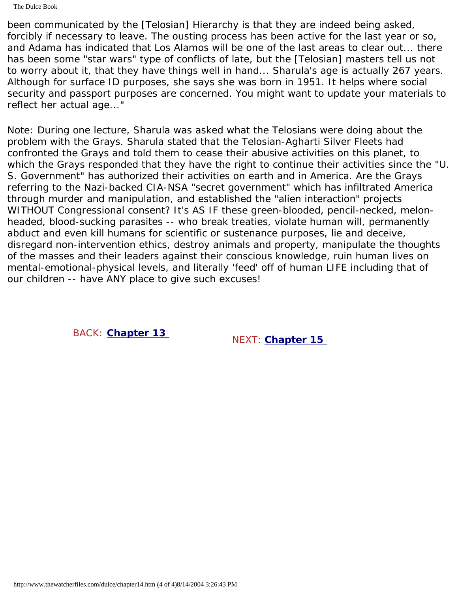The Dulce Book

been communicated by the [Telosian] Hierarchy is that they are indeed being asked, forcibly if necessary to leave. The ousting process has been active for the last year or so, and Adama has indicated that Los Alamos will be one of the last areas to clear out... there has been some "star wars" type of conflicts of late, but the [Telosian] masters tell us not to worry about it, that they have things well in hand... Sharula's age is actually 267 years. Although for surface ID purposes, she says she was born in 1951. It helps where social security and passport purposes are concerned. You might want to update your materials to reflect her actual age..."

Note: During one lecture, Sharula was asked what the Telosians were doing about the problem with the Grays. Sharula stated that the Telosian-Agharti Silver Fleets had confronted the Grays and told them to cease their abusive activities on this planet, to which the Grays responded that they have the right to continue their activities since the "U. S. Government" has authorized their activities on earth and in America. Are the Grays referring to the Nazi-backed CIA-NSA "secret government" which has infiltrated America through murder and manipulation, and established the "alien interaction" projects WITHOUT Congressional consent? It's AS IF these green-blooded, pencil-necked, melonheaded, blood-sucking parasites -- who break treaties, violate human will, permanently abduct and even kill humans for scientific or sustenance purposes, lie and deceive, disregard non-intervention ethics, destroy animals and property, manipulate the thoughts of the masses and their leaders against their conscious knowledge, ruin human lives on mental-emotional-physical levels, and literally 'feed' off of human LIFE including that of our children -- have ANY place to give such excuses!

BACK: **[Chapter 13](#page-129-0)** NEXT: **[Chapter 15](#page-137-0)**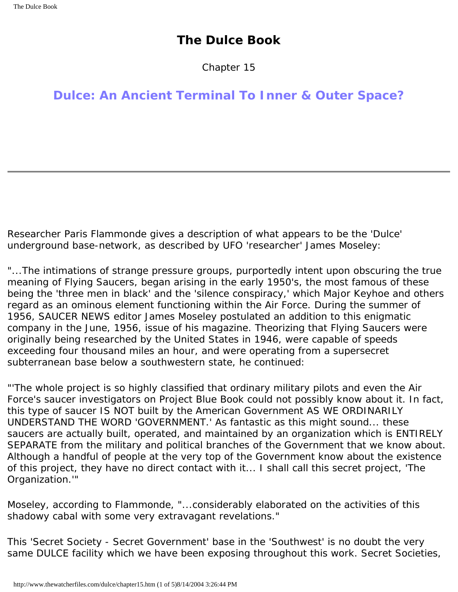### **The Dulce Book**

Chapter 15

#### <span id="page-137-0"></span>**Dulce: An Ancient Terminal To Inner & Outer Space?**

Researcher Paris Flammonde gives a description of what appears to be the 'Dulce' underground base-network, as described by UFO 'researcher' James Moseley:

"...The intimations of strange pressure groups, purportedly intent upon obscuring the true meaning of Flying Saucers, began arising in the early 1950's, the most famous of these being the 'three men in black' and the 'silence conspiracy,' which Major Keyhoe and others regard as an ominous element functioning within the Air Force. During the summer of 1956, SAUCER NEWS editor James Moseley postulated an addition to this enigmatic company in the June, 1956, issue of his magazine. Theorizing that Flying Saucers were originally being researched by the United States in 1946, were capable of speeds exceeding four thousand miles an hour, and were operating from a supersecret subterranean base below a southwestern state, he continued:

"'The whole project is so highly classified that ordinary military pilots and even the Air Force's saucer investigators on Project Blue Book could not possibly know about it. In fact, this type of saucer IS NOT built by the American Government AS WE ORDINARILY UNDERSTAND THE WORD 'GOVERNMENT.' As fantastic as this might sound... these saucers are actually built, operated, and maintained by an organization which is ENTIRELY SEPARATE from the military and political branches of the Government that we know about. Although a handful of people at the very top of the Government know about the existence of this project, they have no direct contact with it... I shall call this secret project, 'The Organization.'"

Moseley, according to Flammonde, "...considerably elaborated on the activities of this shadowy cabal with some very extravagant revelations."

This 'Secret Society - Secret Government' base in the 'Southwest' is no doubt the very same DULCE facility which we have been exposing throughout this work. Secret Societies,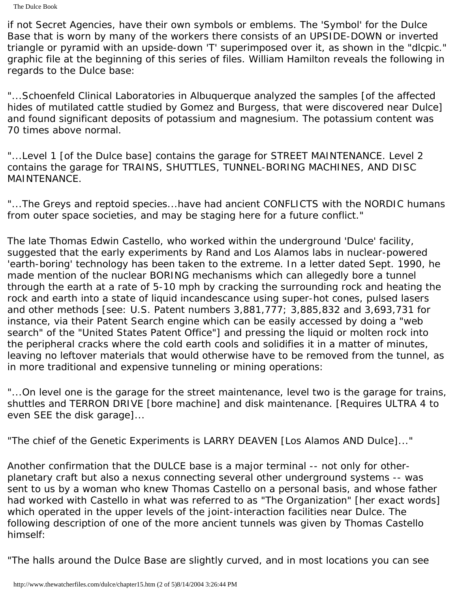The Dulce Book

if not Secret Agencies, have their own symbols or emblems. The 'Symbol' for the Dulce Base that is worn by many of the workers there consists of an UPSIDE-DOWN or inverted triangle or pyramid with an upside-down 'T' superimposed over it, as shown in the "dlcpic." graphic file at the beginning of this series of files. William Hamilton reveals the following in regards to the Dulce base:

"...Schoenfeld Clinical Laboratories in Albuquerque analyzed the samples [of the affected hides of mutilated cattle studied by Gomez and Burgess, that were discovered near Dulce] and found significant deposits of potassium and magnesium. The potassium content was 70 times above normal.

"...Level 1 [of the Dulce base] contains the garage for STREET MAINTENANCE. Level 2 contains the garage for TRAINS, SHUTTLES, TUNNEL-BORING MACHINES, AND DISC MAINTENANCE.

"...The Greys and reptoid species...have had ancient CONFLICTS with the NORDIC humans from outer space societies, and may be staging here for a future conflict."

The late Thomas Edwin Castello, who worked within the underground 'Dulce' facility, suggested that the early experiments by Rand and Los Alamos labs in nuclear-powered 'earth-boring' technology has been taken to the extreme. In a letter dated Sept. 1990, he made mention of the nuclear BORING mechanisms which can allegedly bore a tunnel through the earth at a rate of 5-10 mph by cracking the surrounding rock and heating the rock and earth into a state of liquid incandescance using super-hot cones, pulsed lasers and other methods [see: U.S. Patent numbers 3,881,777; 3,885,832 and 3,693,731 for instance, via their Patent Search engine which can be easily accessed by doing a "web search" of the "United States Patent Office"] and pressing the liquid or molten rock into the peripheral cracks where the cold earth cools and solidifies it in a matter of minutes, leaving no leftover materials that would otherwise have to be removed from the tunnel, as in more traditional and expensive tunneling or mining operations:

"...On level one is the garage for the street maintenance, level two is the garage for trains, shuttles and TERRON DRIVE [bore machine] and disk maintenance. [Requires ULTRA 4 to even SEE the disk garage]...

"The chief of the Genetic Experiments is LARRY DEAVEN [Los Alamos AND Dulce]..."

Another confirmation that the DULCE base is a major terminal -- not only for otherplanetary craft but also a nexus connecting several other underground systems -- was sent to us by a woman who knew Thomas Castello on a personal basis, and whose father had worked with Castello in what was referred to as "The Organization" [her exact words] which operated in the upper levels of the joint-interaction facilities near Dulce. The following description of one of the more ancient tunnels was given by Thomas Castello himself:

"The halls around the Dulce Base are slightly curved, and in most locations you can see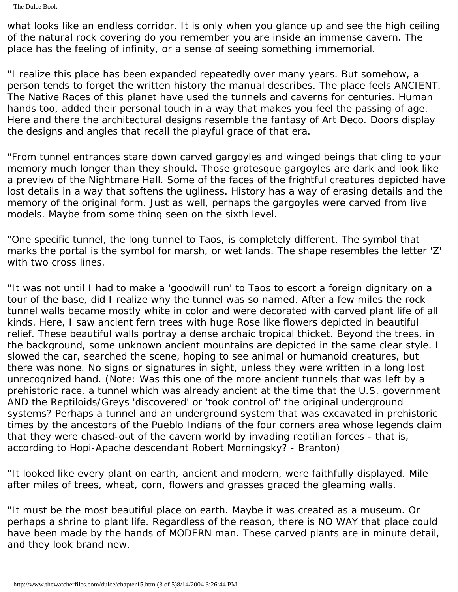The Dulce Book

what looks like an endless corridor. It is only when you glance up and see the high ceiling of the natural rock covering do you remember you are inside an immense cavern. The place has the feeling of infinity, or a sense of seeing something immemorial.

"I realize this place has been expanded repeatedly over many years. But somehow, a person tends to forget the written history the manual describes. The place feels ANCIENT. The Native Races of this planet have used the tunnels and caverns for centuries. Human hands too, added their personal touch in a way that makes you feel the passing of age. Here and there the architectural designs resemble the fantasy of Art Deco. Doors display the designs and angles that recall the playful grace of that era.

"From tunnel entrances stare down carved gargoyles and winged beings that cling to your memory much longer than they should. Those grotesque gargoyles are dark and look like a preview of the Nightmare Hall. Some of the faces of the frightful creatures depicted have lost details in a way that softens the ugliness. History has a way of erasing details and the memory of the original form. Just as well, perhaps the gargoyles were carved from live models. Maybe from some thing seen on the sixth level.

"One specific tunnel, the long tunnel to Taos, is completely different. The symbol that marks the portal is the symbol for marsh, or wet lands. The shape resembles the letter 'Z' with two cross lines.

"It was not until I had to make a 'goodwill run' to Taos to escort a foreign dignitary on a tour of the base, did I realize why the tunnel was so named. After a few miles the rock tunnel walls became mostly white in color and were decorated with carved plant life of all kinds. Here, I saw ancient fern trees with huge Rose like flowers depicted in beautiful relief. These beautiful walls portray a dense archaic tropical thicket. Beyond the trees, in the background, some unknown ancient mountains are depicted in the same clear style. I slowed the car, searched the scene, hoping to see animal or humanoid creatures, but there was none. No signs or signatures in sight, unless they were written in a long lost unrecognized hand. (Note: Was this one of the more ancient tunnels that was left by a prehistoric race, a tunnel which was already ancient at the time that the U.S. government AND the Reptiloids/Greys 'discovered' or 'took control of' the original underground systems? Perhaps a tunnel and an underground system that was excavated in prehistoric times by the ancestors of the Pueblo Indians of the four corners area whose legends claim that they were chased-out of the cavern world by invading reptilian forces - that is, according to Hopi-Apache descendant Robert Morningsky? - Branton)

"It looked like every plant on earth, ancient and modern, were faithfully displayed. Mile after miles of trees, wheat, corn, flowers and grasses graced the gleaming walls.

"It must be the most beautiful place on earth. Maybe it was created as a museum. Or perhaps a shrine to plant life. Regardless of the reason, there is NO WAY that place could have been made by the hands of MODERN man. These carved plants are in minute detail, and they look brand new.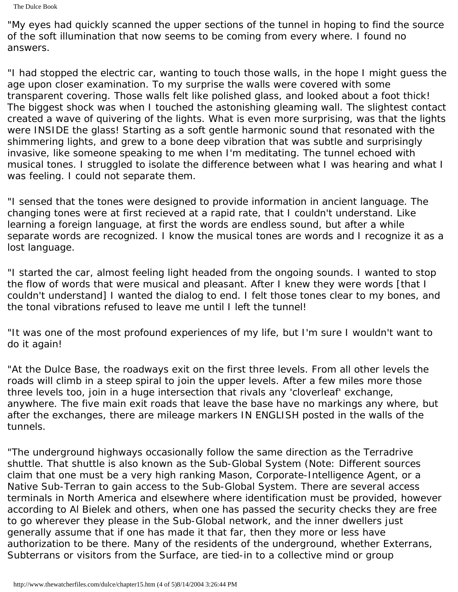The Dulce Book

"My eyes had quickly scanned the upper sections of the tunnel in hoping to find the source of the soft illumination that now seems to be coming from every where. I found no answers.

"I had stopped the electric car, wanting to touch those walls, in the hope I might guess the age upon closer examination. To my surprise the walls were covered with some transparent covering. Those walls felt like polished glass, and looked about a foot thick! The biggest shock was when I touched the astonishing gleaming wall. The slightest contact created a wave of quivering of the lights. What is even more surprising, was that the lights were INSIDE the glass! Starting as a soft gentle harmonic sound that resonated with the shimmering lights, and grew to a bone deep vibration that was subtle and surprisingly invasive, like someone speaking to me when I'm meditating. The tunnel echoed with musical tones. I struggled to isolate the difference between what I was hearing and what I was feeling. I could not separate them.

"I sensed that the tones were designed to provide information in ancient language. The changing tones were at first recieved at a rapid rate, that I couldn't understand. Like learning a foreign language, at first the words are endless sound, but after a while separate words are recognized. I know the musical tones are words and I recognize it as a lost language.

"I started the car, almost feeling light headed from the ongoing sounds. I wanted to stop the flow of words that were musical and pleasant. After I knew they were words [that I couldn't understand] I wanted the dialog to end. I felt those tones clear to my bones, and the tonal vibrations refused to leave me until I left the tunnel!

"It was one of the most profound experiences of my life, but I'm sure I wouldn't want to do it again!

"At the Dulce Base, the roadways exit on the first three levels. From all other levels the roads will climb in a steep spiral to join the upper levels. After a few miles more those three levels too, join in a huge intersection that rivals any 'cloverleaf' exchange, anywhere. The five main exit roads that leave the base have no markings any where, but after the exchanges, there are mileage markers IN ENGLISH posted in the walls of the tunnels.

"The underground highways occasionally follow the same direction as the Terradrive shuttle. That shuttle is also known as the Sub-Global System (Note: Different sources claim that one must be a very high ranking Mason, Corporate-Intelligence Agent, or a Native Sub-Terran to gain access to the Sub-Global System. There are several access terminals in North America and elsewhere where identification must be provided, however according to Al Bielek and others, when one has passed the security checks they are free to go wherever they please in the Sub-Global network, and the inner dwellers just generally assume that if one has made it that far, then they more or less have authorization to be there. Many of the residents of the underground, whether Exterrans, Subterrans or visitors from the Surface, are tied-in to a collective mind or group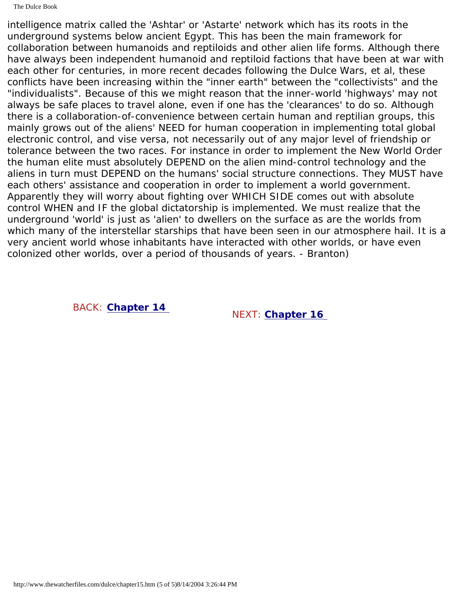The Dulce Book

intelligence matrix called the 'Ashtar' or 'Astarte' network which has its roots in the underground systems below ancient Egypt. This has been the main framework for collaboration between humanoids and reptiloids and other alien life forms. Although there have always been independent humanoid and reptiloid factions that have been at war with each other for centuries, in more recent decades following the Dulce Wars, et al, these conflicts have been increasing within the "inner earth" between the "collectivists" and the "individualists". Because of this we might reason that the inner-world 'highways' may not always be safe places to travel alone, even if one has the 'clearances' to do so. Although there is a collaboration-of-convenience between certain human and reptilian groups, this mainly grows out of the aliens' NEED for human cooperation in implementing total global electronic control, and vise versa, not necessarily out of any major level of friendship or tolerance between the two races. For instance in order to implement the New World Order the human elite must absolutely DEPEND on the alien mind-control technology and the aliens in turn must DEPEND on the humans' social structure connections. They MUST have each others' assistance and cooperation in order to implement a world government. Apparently they will worry about fighting over WHICH SIDE comes out with absolute control WHEN and IF the global dictatorship is implemented. We must realize that the underground 'world' is just as 'alien' to dwellers on the surface as are the worlds from which many of the interstellar starships that have been seen in our atmosphere hail. It is a very ancient world whose inhabitants have interacted with other worlds, or have even colonized other worlds, over a period of thousands of years. - Branton)

# BACK: **[Chapter 14](#page-133-0)** NEXT: **[Chapter 16](#page-137-0)**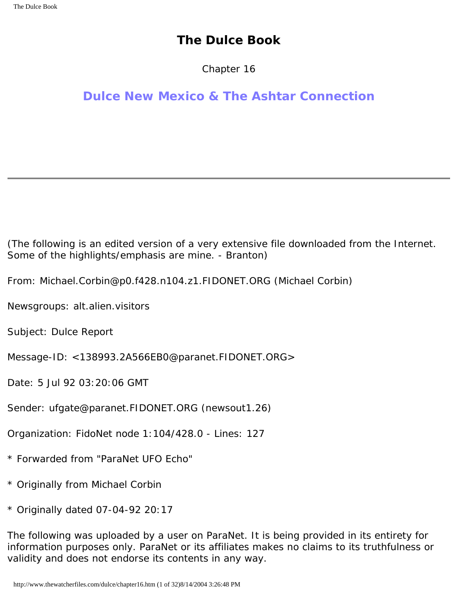### **The Dulce Book**

Chapter 16

## **Dulce New Mexico & The Ashtar Connection**

(The following is an edited version of a very extensive file downloaded from the Internet. Some of the highlights/emphasis are mine. - Branton)

From: Michael.Corbin@p0.f428.n104.z1.FIDONET.ORG (Michael Corbin)

Newsgroups: alt.alien.visitors

Subject: Dulce Report

Message-ID: <138993.2A566EB0@paranet.FIDONET.ORG>

Date: 5 Jul 92 03:20:06 GMT

Sender: ufgate@paranet.FIDONET.ORG (newsout1.26)

Organization: FidoNet node 1:104/428.0 - Lines: 127

- \* Forwarded from "ParaNet UFO Echo"
- \* Originally from Michael Corbin
- \* Originally dated 07-04-92 20:17

The following was uploaded by a user on ParaNet. It is being provided in its entirety for information purposes only. ParaNet or its affiliates makes no claims to its truthfulness or validity and does not endorse its contents in any way.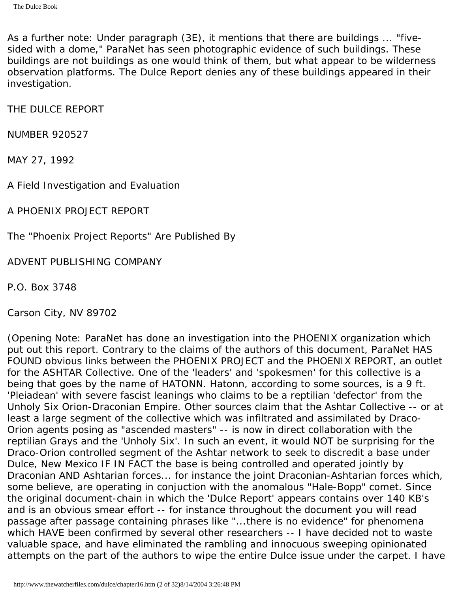As a further note: Under paragraph (3E), it mentions that there are buildings ... "fivesided with a dome," ParaNet has seen photographic evidence of such buildings. These buildings are not buildings as one would think of them, but what appear to be wilderness observation platforms. The Dulce Report denies any of these buildings appeared in their investigation.

THE DULCE REPORT

NUMBER 920527

MAY 27, 1992

A Field Investigation and Evaluation

A PHOENIX PROJECT REPORT

The "Phoenix Project Reports" Are Published By

ADVENT PUBLISHING COMPANY

P.O. Box 3748

Carson City, NV 89702

(Opening Note: ParaNet has done an investigation into the PHOENIX organization which put out this report. Contrary to the claims of the authors of this document, ParaNet HAS FOUND obvious links between the PHOENIX PROJECT and the PHOENIX REPORT, an outlet for the ASHTAR Collective. One of the 'leaders' and 'spokesmen' for this collective is a being that goes by the name of HATONN. Hatonn, according to some sources, is a 9 ft. 'Pleiadean' with severe fascist leanings who claims to be a reptilian 'defector' from the Unholy Six Orion-Draconian Empire. Other sources claim that the Ashtar Collective -- or at least a large segment of the collective which was infiltrated and assimilated by Draco-Orion agents posing as "ascended masters" -- is now in direct collaboration with the reptilian Grays and the 'Unholy Six'. In such an event, it would NOT be surprising for the Draco-Orion controlled segment of the Ashtar network to seek to discredit a base under Dulce, New Mexico IF IN FACT the base is being controlled and operated jointly by Draconian AND Ashtarian forces... for instance the joint Draconian-Ashtarian forces which, some believe, are operating in conjuction with the anomalous "Hale-Bopp" comet. Since the original document-chain in which the 'Dulce Report' appears contains over 140 KB's and is an obvious smear effort -- for instance throughout the document you will read passage after passage containing phrases like "...there is no evidence" for phenomena which HAVE been confirmed by several other researchers -- I have decided not to waste valuable space, and have eliminated the rambling and innocuous sweeping opinionated attempts on the part of the authors to wipe the entire Dulce issue under the carpet. I have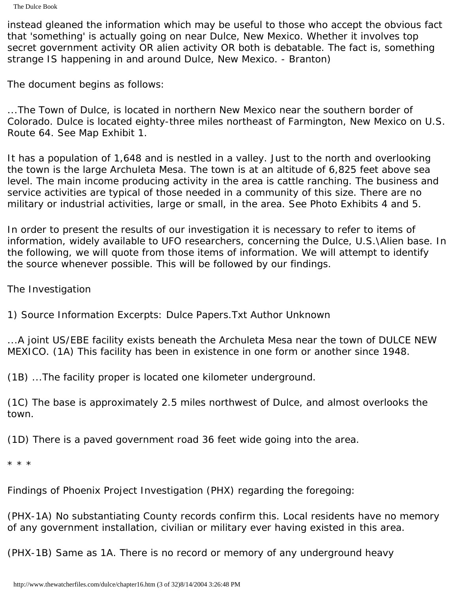The Dulce Book

instead gleaned the information which may be useful to those who accept the obvious fact that 'something' is actually going on near Dulce, New Mexico. Whether it involves top secret government activity OR alien activity OR both is debatable. The fact is, something strange IS happening in and around Dulce, New Mexico. - Branton)

The document begins as follows:

...The Town of Dulce, is located in northern New Mexico near the southern border of Colorado. Dulce is located eighty-three miles northeast of Farmington, New Mexico on U.S. Route 64. See Map Exhibit 1.

It has a population of 1,648 and is nestled in a valley. Just to the north and overlooking the town is the large Archuleta Mesa. The town is at an altitude of 6,825 feet above sea level. The main income producing activity in the area is cattle ranching. The business and service activities are typical of those needed in a community of this size. There are no military or industrial activities, large or small, in the area. See Photo Exhibits 4 and 5.

In order to present the results of our investigation it is necessary to refer to items of information, widely available to UFO researchers, concerning the Dulce, U.S.\Alien base. In the following, we will quote from those items of information. We will attempt to identify the source whenever possible. This will be followed by our findings.

The Investigation

1) Source Information Excerpts: Dulce Papers.Txt Author Unknown

...A joint US/EBE facility exists beneath the Archuleta Mesa near the town of DULCE NEW MEXICO. (1A) This facility has been in existence in one form or another since 1948.

(1B) ...The facility proper is located one kilometer underground.

(1C) The base is approximately 2.5 miles northwest of Dulce, and almost overlooks the town.

(1D) There is a paved government road 36 feet wide going into the area.

\* \* \*

Findings of Phoenix Project Investigation (PHX) regarding the foregoing:

(PHX-1A) No substantiating County records confirm this. Local residents have no memory of any government installation, civilian or military ever having existed in this area.

(PHX-1B) Same as 1A. There is no record or memory of any underground heavy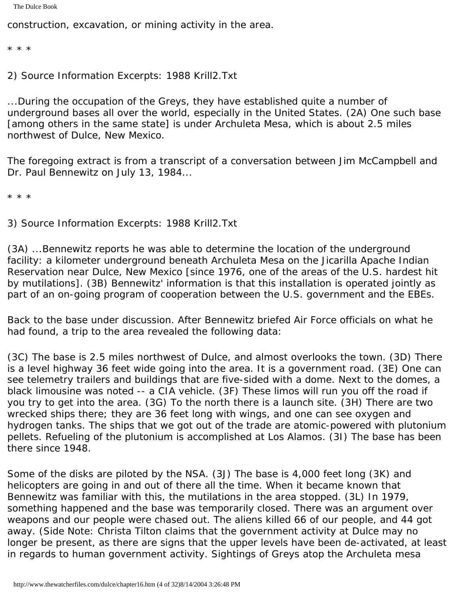construction, excavation, or mining activity in the area.

\* \* \*

2) Source Information Excerpts: 1988 Krill2.Txt

...During the occupation of the Greys, they have established quite a number of underground bases all over the world, especially in the United States. (2A) One such base [among others in the same state] is under Archuleta Mesa, which is about 2.5 miles northwest of Dulce, New Mexico.

The foregoing extract is from a transcript of a conversation between Jim McCampbell and Dr. Paul Bennewitz on July 13, 1984...

\* \* \*

3) Source Information Excerpts: 1988 Krill2.Txt

(3A) ...Bennewitz reports he was able to determine the location of the underground facility: a kilometer underground beneath Archuleta Mesa on the Jicarilla Apache Indian Reservation near Dulce, New Mexico [since 1976, one of the areas of the U.S. hardest hit by mutilations]. (3B) Bennewitz' information is that this installation is operated jointly as part of an on-going program of cooperation between the U.S. government and the EBEs.

Back to the base under discussion. After Bennewitz briefed Air Force officials on what he had found, a trip to the area revealed the following data:

(3C) The base is 2.5 miles northwest of Dulce, and almost overlooks the town. (3D) There is a level highway 36 feet wide going into the area. It is a government road. (3E) One can see telemetry trailers and buildings that are five-sided with a dome. Next to the domes, a black limousine was noted -- a CIA vehicle. (3F) These limos will run you off the road if you try to get into the area. (3G) To the north there is a launch site. (3H) There are two wrecked ships there; they are 36 feet long with wings, and one can see oxygen and hydrogen tanks. The ships that we got out of the trade are atomic-powered with plutonium pellets. Refueling of the plutonium is accomplished at Los Alamos. (3I) The base has been there since 1948.

Some of the disks are piloted by the NSA. (3J) The base is 4,000 feet long (3K) and helicopters are going in and out of there all the time. When it became known that Bennewitz was familiar with this, the mutilations in the area stopped. (3L) In 1979, something happened and the base was temporarily closed. There was an argument over weapons and our people were chased out. The aliens killed 66 of our people, and 44 got away. (Side Note: Christa Tilton claims that the government activity at Dulce may no longer be present, as there are signs that the upper levels have been de-activated, at least in regards to human government activity. Sightings of Greys atop the Archuleta mesa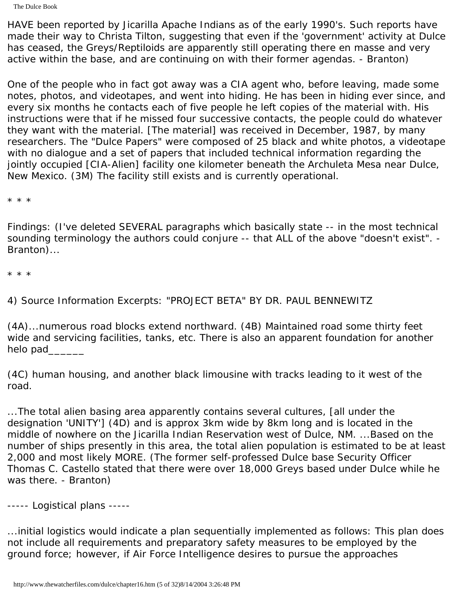HAVE been reported by Jicarilla Apache Indians as of the early 1990's. Such reports have made their way to Christa Tilton, suggesting that even if the 'government' activity at Dulce has ceased, the Greys/Reptiloids are apparently still operating there en masse and very active within the base, and are continuing on with their former agendas. - Branton)

One of the people who in fact got away was a CIA agent who, before leaving, made some notes, photos, and videotapes, and went into hiding. He has been in hiding ever since, and every six months he contacts each of five people he left copies of the material with. His instructions were that if he missed four successive contacts, the people could do whatever they want with the material. [The material] was received in December, 1987, by many researchers. The "Dulce Papers" were composed of 25 black and white photos, a videotape with no dialogue and a set of papers that included technical information regarding the jointly occupied [CIA-Alien] facility one kilometer beneath the Archuleta Mesa near Dulce, New Mexico. (3M) The facility still exists and is currently operational.

\* \* \*

Findings: (I've deleted SEVERAL paragraphs which basically state -- in the most technical sounding terminology the authors could conjure -- that ALL of the above "doesn't exist". - Branton)...

\* \* \*

4) Source Information Excerpts: "PROJECT BETA" BY DR. PAUL BENNEWITZ

(4A)...numerous road blocks extend northward. (4B) Maintained road some thirty feet wide and servicing facilities, tanks, etc. There is also an apparent foundation for another helo pad\_\_\_\_\_\_

(4C) human housing, and another black limousine with tracks leading to it west of the road.

...The total alien basing area apparently contains several cultures, [all under the designation 'UNITY'] (4D) and is approx 3km wide by 8km long and is located in the middle of nowhere on the Jicarilla Indian Reservation west of Dulce, NM. ...Based on the number of ships presently in this area, the total alien population is estimated to be at least 2,000 and most likely MORE. (The former self-professed Dulce base Security Officer Thomas C. Castello stated that there were over 18,000 Greys based under Dulce while he was there. - Branton)

----- Logistical plans -----

...initial logistics would indicate a plan sequentially implemented as follows: This plan does not include all requirements and preparatory safety measures to be employed by the ground force; however, if Air Force Intelligence desires to pursue the approaches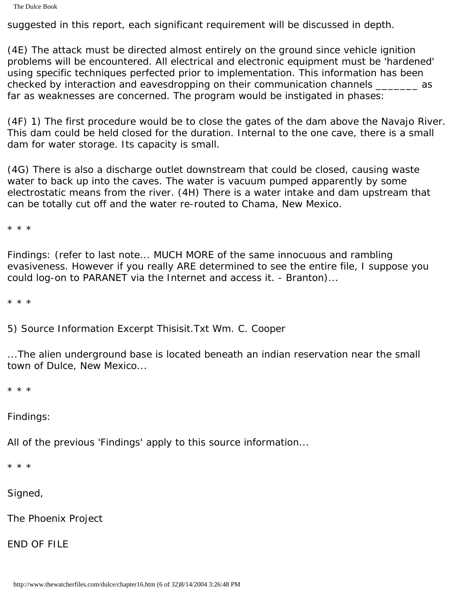suggested in this report, each significant requirement will be discussed in depth.

(4E) The attack must be directed almost entirely on the ground since vehicle ignition problems will be encountered. All electrical and electronic equipment must be 'hardened' using specific techniques perfected prior to implementation. This information has been checked by interaction and eavesdropping on their communication channels \_\_\_\_\_\_\_ as far as weaknesses are concerned. The program would be instigated in phases:

(4F) 1) The first procedure would be to close the gates of the dam above the Navajo River. This dam could be held closed for the duration. Internal to the one cave, there is a small dam for water storage. Its capacity is small.

(4G) There is also a discharge outlet downstream that could be closed, causing waste water to back up into the caves. The water is vacuum pumped apparently by some electrostatic means from the river. (4H) There is a water intake and dam upstream that can be totally cut off and the water re-routed to Chama, New Mexico.

\* \* \*

Findings: (refer to last note... MUCH MORE of the same innocuous and rambling evasiveness. However if you really ARE determined to see the entire file, I suppose you could log-on to PARANET via the Internet and access it. - Branton)...

\* \* \*

5) Source Information Excerpt Thisisit.Txt Wm. C. Cooper

...The alien underground base is located beneath an indian reservation near the small town of Dulce, New Mexico...

\* \* \*

Findings:

All of the previous 'Findings' apply to this source information...

\* \* \*

Signed,

The Phoenix Project

END OF FILE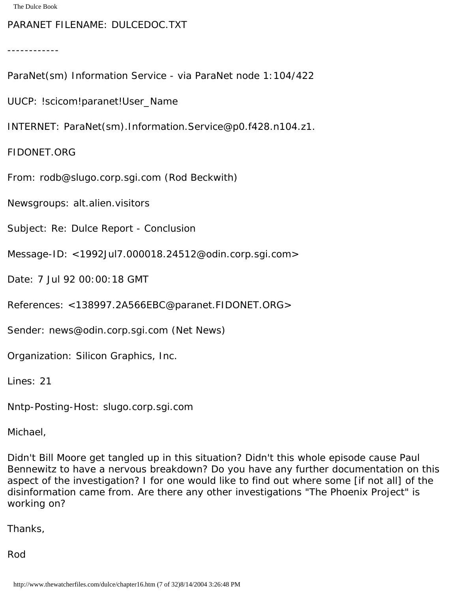## PARANET FILENAME: DULCEDOC.TXT

------------

ParaNet(sm) Information Service - via ParaNet node 1:104/422

UUCP: !scicom!paranet!User\_Name

INTERNET: ParaNet(sm).Information.Service@p0.f428.n104.z1.

FIDONET.ORG

From: rodb@slugo.corp.sgi.com (Rod Beckwith)

Newsgroups: alt.alien.visitors

Subject: Re: Dulce Report - Conclusion

Message-ID: <1992Jul7.000018.24512@odin.corp.sgi.com>

Date: 7 Jul 92 00:00:18 GMT

References: <138997.2A566EBC@paranet.FIDONET.ORG>

Sender: news@odin.corp.sgi.com (Net News)

Organization: Silicon Graphics, Inc.

Lines: 21

Nntp-Posting-Host: slugo.corp.sgi.com

Michael,

Didn't Bill Moore get tangled up in this situation? Didn't this whole episode cause Paul Bennewitz to have a nervous breakdown? Do you have any further documentation on this aspect of the investigation? I for one would like to find out where some [if not all] of the disinformation came from. Are there any other investigations "The Phoenix Project" is working on?

Thanks,

Rod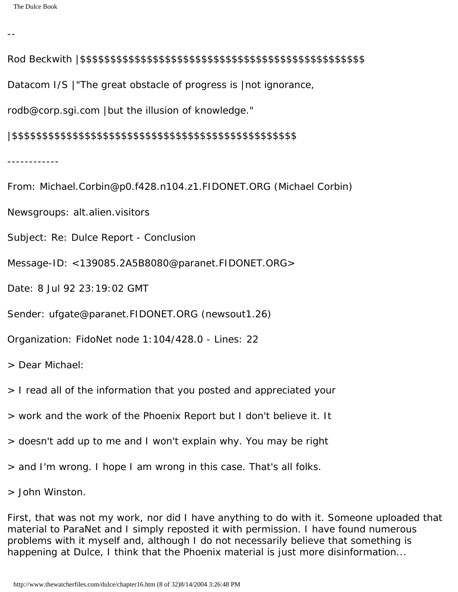--

Rod Beckwith |\$\$\$\$\$\$\$\$\$\$\$\$\$\$\$\$\$\$\$\$\$\$\$\$\$\$\$\$\$\$\$\$\$\$\$\$\$\$\$\$\$\$\$\$\$\$\$ Datacom I/S | "The great obstacle of progress is | not ignorance, rodb@corp.sgi.com |but the illusion of knowledge." |\$\$\$\$\$\$\$\$\$\$\$\$\$\$\$\$\$\$\$\$\$\$\$\$\$\$\$\$\$\$\$\$\$\$\$\$\$\$\$\$\$\$\$\$\$\$\$

------------

From: Michael.Corbin@p0.f428.n104.z1.FIDONET.ORG (Michael Corbin)

Newsgroups: alt.alien.visitors

Subject: Re: Dulce Report - Conclusion

Message-ID: <139085.2A5B8080@paranet.FIDONET.ORG>

Date: 8 Jul 92 23:19:02 GMT

Sender: ufgate@paranet.FIDONET.ORG (newsout1.26)

Organization: FidoNet node 1:104/428.0 - Lines: 22

> Dear Michael:

> I read all of the information that you posted and appreciated your

> work and the work of the Phoenix Report but I don't believe it. It

> doesn't add up to me and I won't explain why. You may be right

> and I'm wrong. I hope I am wrong in this case. That's all folks.

> John Winston.

First, that was not my work, nor did I have anything to do with it. Someone uploaded that material to ParaNet and I simply reposted it with permission. I have found numerous problems with it myself and, although I do not necessarily believe that something is happening at Dulce, I think that the Phoenix material is just more disinformation...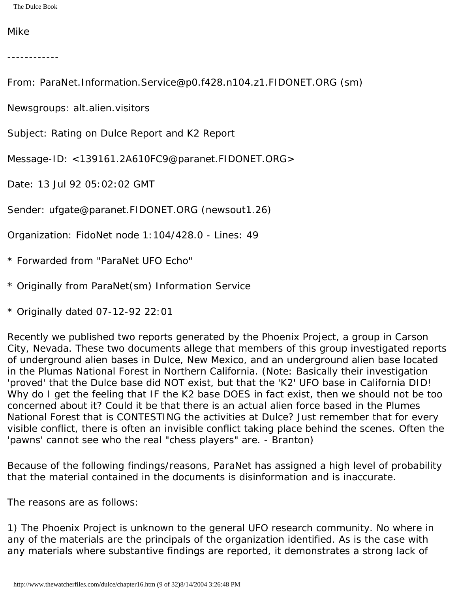## Mike

------------

From: ParaNet.Information.Service@p0.f428.n104.z1.FIDONET.ORG (sm)

Newsgroups: alt.alien.visitors

Subject: Rating on Dulce Report and K2 Report

Message-ID: <139161.2A610FC9@paranet.FIDONET.ORG>

Date: 13 Jul 92 05:02:02 GMT

Sender: ufgate@paranet.FIDONET.ORG (newsout1.26)

Organization: FidoNet node 1:104/428.0 - Lines: 49

- \* Forwarded from "ParaNet UFO Echo"
- \* Originally from ParaNet(sm) Information Service
- \* Originally dated 07-12-92 22:01

Recently we published two reports generated by the Phoenix Project, a group in Carson City, Nevada. These two documents allege that members of this group investigated reports of underground alien bases in Dulce, New Mexico, and an underground alien base located in the Plumas National Forest in Northern California. (Note: Basically their investigation 'proved' that the Dulce base did NOT exist, but that the 'K2' UFO base in California DID! Why do I get the feeling that IF the K2 base DOES in fact exist, then we should not be too concerned about it? Could it be that there is an actual alien force based in the Plumes National Forest that is CONTESTING the activities at Dulce? Just remember that for every visible conflict, there is often an invisible conflict taking place behind the scenes. Often the 'pawns' cannot see who the real "chess players" are. - Branton)

Because of the following findings/reasons, ParaNet has assigned a high level of probability that the material contained in the documents is disinformation and is inaccurate.

The reasons are as follows:

1) The Phoenix Project is unknown to the general UFO research community. No where in any of the materials are the principals of the organization identified. As is the case with any materials where substantive findings are reported, it demonstrates a strong lack of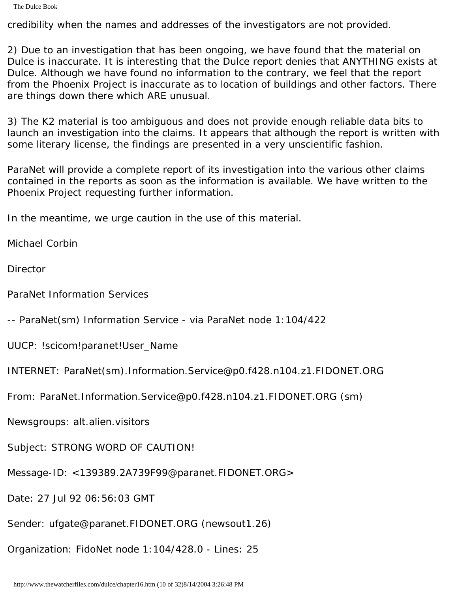credibility when the names and addresses of the investigators are not provided.

2) Due to an investigation that has been ongoing, we have found that the material on Dulce is inaccurate. It is interesting that the Dulce report denies that ANYTHING exists at Dulce. Although we have found no information to the contrary, we feel that the report from the Phoenix Project is inaccurate as to location of buildings and other factors. There are things down there which ARE unusual.

3) The K2 material is too ambiguous and does not provide enough reliable data bits to launch an investigation into the claims. It appears that although the report is written with some literary license, the findings are presented in a very unscientific fashion.

ParaNet will provide a complete report of its investigation into the various other claims contained in the reports as soon as the information is available. We have written to the Phoenix Project requesting further information.

In the meantime, we urge caution in the use of this material.

Michael Corbin

**Director** 

- ParaNet Information Services
- -- ParaNet(sm) Information Service via ParaNet node 1:104/422
- UUCP: !scicom!paranet!User\_Name
- INTERNET: ParaNet(sm).Information.Service@p0.f428.n104.z1.FIDONET.ORG
- From: ParaNet.Information.Service@p0.f428.n104.z1.FIDONET.ORG (sm)
- Newsgroups: alt.alien.visitors
- Subject: STRONG WORD OF CAUTION!
- Message-ID: <139389.2A739F99@paranet.FIDONET.ORG>
- Date: 27 Jul 92 06:56:03 GMT
- Sender: ufgate@paranet.FIDONET.ORG (newsout1.26)
- Organization: FidoNet node 1:104/428.0 Lines: 25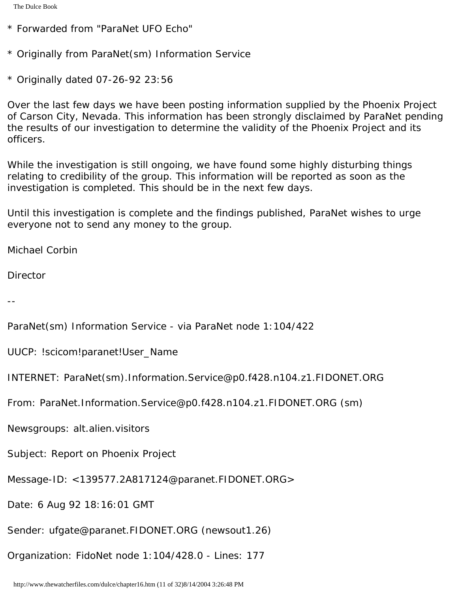- \* Forwarded from "ParaNet UFO Echo"
- \* Originally from ParaNet(sm) Information Service
- \* Originally dated 07-26-92 23:56

Over the last few days we have been posting information supplied by the Phoenix Project of Carson City, Nevada. This information has been strongly disclaimed by ParaNet pending the results of our investigation to determine the validity of the Phoenix Project and its officers.

While the investigation is still ongoing, we have found some highly disturbing things relating to credibility of the group. This information will be reported as soon as the investigation is completed. This should be in the next few days.

Until this investigation is complete and the findings published, ParaNet wishes to urge everyone not to send any money to the group.

Michael Corbin

**Director** 

--

ParaNet(sm) Information Service - via ParaNet node 1:104/422

UUCP: !scicom!paranet!User\_Name

INTERNET: ParaNet(sm).Information.Service@p0.f428.n104.z1.FIDONET.ORG

From: ParaNet.Information.Service@p0.f428.n104.z1.FIDONET.ORG (sm)

Newsgroups: alt.alien.visitors

Subject: Report on Phoenix Project

Message-ID: <139577.2A817124@paranet.FIDONET.ORG>

Date: 6 Aug 92 18:16:01 GMT

Sender: ufgate@paranet.FIDONET.ORG (newsout1.26)

Organization: FidoNet node 1:104/428.0 - Lines: 177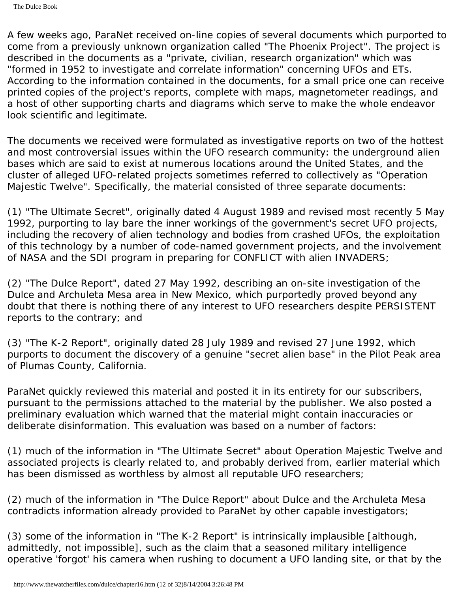A few weeks ago, ParaNet received on-line copies of several documents which purported to come from a previously unknown organization called "The Phoenix Project". The project is described in the documents as a "private, civilian, research organization" which was "formed in 1952 to investigate and correlate information" concerning UFOs and ETs. According to the information contained in the documents, for a small price one can receive printed copies of the project's reports, complete with maps, magnetometer readings, and a host of other supporting charts and diagrams which serve to make the whole endeavor look scientific and legitimate.

The documents we received were formulated as investigative reports on two of the hottest and most controversial issues within the UFO research community: the underground alien bases which are said to exist at numerous locations around the United States, and the cluster of alleged UFO-related projects sometimes referred to collectively as "Operation Majestic Twelve". Specifically, the material consisted of three separate documents:

(1) "The Ultimate Secret", originally dated 4 August 1989 and revised most recently 5 May 1992, purporting to lay bare the inner workings of the government's secret UFO projects, including the recovery of alien technology and bodies from crashed UFOs, the exploitation of this technology by a number of code-named government projects, and the involvement of NASA and the SDI program in preparing for CONFLICT with alien INVADERS;

(2) "The Dulce Report", dated 27 May 1992, describing an on-site investigation of the Dulce and Archuleta Mesa area in New Mexico, which purportedly proved beyond any doubt that there is nothing there of any interest to UFO researchers despite PERSISTENT reports to the contrary; and

(3) "The K-2 Report", originally dated 28 July 1989 and revised 27 June 1992, which purports to document the discovery of a genuine "secret alien base" in the Pilot Peak area of Plumas County, California.

ParaNet quickly reviewed this material and posted it in its entirety for our subscribers, pursuant to the permissions attached to the material by the publisher. We also posted a preliminary evaluation which warned that the material might contain inaccuracies or deliberate disinformation. This evaluation was based on a number of factors:

(1) much of the information in "The Ultimate Secret" about Operation Majestic Twelve and associated projects is clearly related to, and probably derived from, earlier material which has been dismissed as worthless by almost all reputable UFO researchers;

(2) much of the information in "The Dulce Report" about Dulce and the Archuleta Mesa contradicts information already provided to ParaNet by other capable investigators;

(3) some of the information in "The K-2 Report" is intrinsically implausible [although, admittedly, not impossible], such as the claim that a seasoned military intelligence operative 'forgot' his camera when rushing to document a UFO landing site, or that by the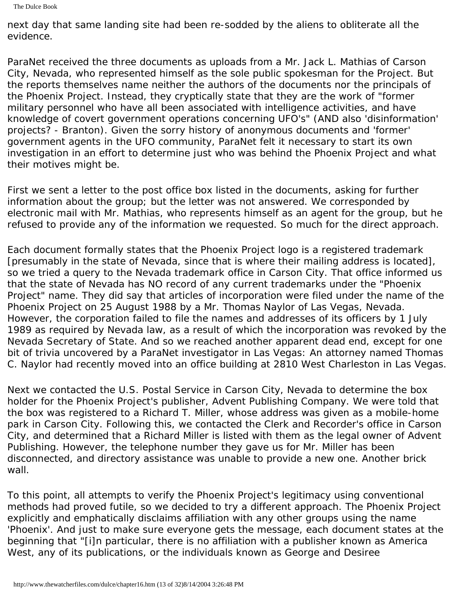next day that same landing site had been re-sodded by the aliens to obliterate all the evidence.

ParaNet received the three documents as uploads from a Mr. Jack L. Mathias of Carson City, Nevada, who represented himself as the sole public spokesman for the Project. But the reports themselves name neither the authors of the documents nor the principals of the Phoenix Project. Instead, they cryptically state that they are the work of "former military personnel who have all been associated with intelligence activities, and have knowledge of covert government operations concerning UFO's" (AND also 'disinformation' projects? - Branton). Given the sorry history of anonymous documents and 'former' government agents in the UFO community, ParaNet felt it necessary to start its own investigation in an effort to determine just who was behind the Phoenix Project and what their motives might be.

First we sent a letter to the post office box listed in the documents, asking for further information about the group; but the letter was not answered. We corresponded by electronic mail with Mr. Mathias, who represents himself as an agent for the group, but he refused to provide any of the information we requested. So much for the direct approach.

Each document formally states that the Phoenix Project logo is a registered trademark [presumably in the state of Nevada, since that is where their mailing address is located], so we tried a query to the Nevada trademark office in Carson City. That office informed us that the state of Nevada has NO record of any current trademarks under the "Phoenix Project" name. They did say that articles of incorporation were filed under the name of the Phoenix Project on 25 August 1988 by a Mr. Thomas Naylor of Las Vegas, Nevada. However, the corporation failed to file the names and addresses of its officers by 1 July 1989 as required by Nevada law, as a result of which the incorporation was revoked by the Nevada Secretary of State. And so we reached another apparent dead end, except for one bit of trivia uncovered by a ParaNet investigator in Las Vegas: An attorney named Thomas C. Naylor had recently moved into an office building at 2810 West Charleston in Las Vegas.

Next we contacted the U.S. Postal Service in Carson City, Nevada to determine the box holder for the Phoenix Project's publisher, Advent Publishing Company. We were told that the box was registered to a Richard T. Miller, whose address was given as a mobile-home park in Carson City. Following this, we contacted the Clerk and Recorder's office in Carson City, and determined that a Richard Miller is listed with them as the legal owner of Advent Publishing. However, the telephone number they gave us for Mr. Miller has been disconnected, and directory assistance was unable to provide a new one. Another brick wall.

To this point, all attempts to verify the Phoenix Project's legitimacy using conventional methods had proved futile, so we decided to try a different approach. The Phoenix Project explicitly and emphatically disclaims affiliation with any other groups using the name 'Phoenix'. And just to make sure everyone gets the message, each document states at the beginning that "[i]n particular, there is no affiliation with a publisher known as America West, any of its publications, or the individuals known as George and Desiree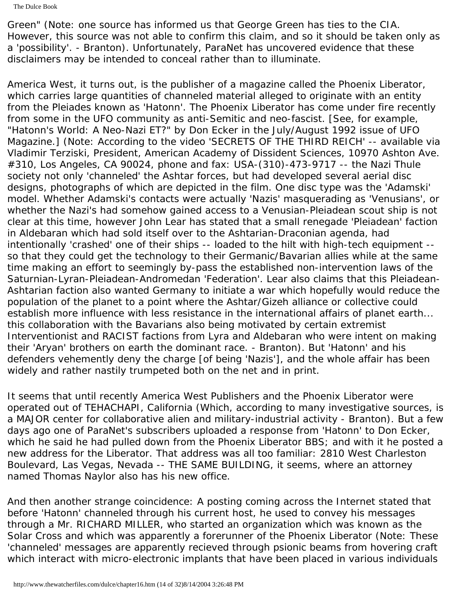The Dulce Book

Green" (Note: one source has informed us that George Green has ties to the CIA. However, this source was not able to confirm this claim, and so it should be taken only as a 'possibility'. - Branton). Unfortunately, ParaNet has uncovered evidence that these disclaimers may be intended to conceal rather than to illuminate.

America West, it turns out, is the publisher of a magazine called the Phoenix Liberator, which carries large quantities of channeled material alleged to originate with an entity from the Pleiades known as 'Hatonn'. The Phoenix Liberator has come under fire recently from some in the UFO community as anti-Semitic and neo-fascist. [See, for example, "Hatonn's World: A Neo-Nazi ET?" by Don Ecker in the July/August 1992 issue of UFO Magazine.] (Note: According to the video 'SECRETS OF THE THIRD REICH' -- available via Vladimir Terziski, President, American Academy of Dissident Sciences, 10970 Ashton Ave. #310, Los Angeles, CA 90024, phone and fax: USA-(310)-473-9717 -- the Nazi Thule society not only 'channeled' the Ashtar forces, but had developed several aerial disc designs, photographs of which are depicted in the film. One disc type was the 'Adamski' model. Whether Adamski's contacts were actually 'Nazis' masquerading as 'Venusians', or whether the Nazi's had somehow gained access to a Venusian-Pleiadean scout ship is not clear at this time, however John Lear has stated that a small renegade 'Pleiadean' faction in Aldebaran which had sold itself over to the Ashtarian-Draconian agenda, had intentionally 'crashed' one of their ships -- loaded to the hilt with high-tech equipment - so that they could get the technology to their Germanic/Bavarian allies while at the same time making an effort to seemingly by-pass the established non-intervention laws of the Saturnian-Lyran-Pleiadean-Andromedan 'Federation'. Lear also claims that this Pleiadean-Ashtarian faction also wanted Germany to initiate a war which hopefully would reduce the population of the planet to a point where the Ashtar/Gizeh alliance or collective could establish more influence with less resistance in the international affairs of planet earth... this collaboration with the Bavarians also being motivated by certain extremist Interventionist and RACIST factions from Lyra and Aldebaran who were intent on making their 'Aryan' brothers on earth the dominant race. - Branton). But 'Hatonn' and his defenders vehemently deny the charge [of being 'Nazis'], and the whole affair has been widely and rather nastily trumpeted both on the net and in print.

It seems that until recently America West Publishers and the Phoenix Liberator were operated out of TEHACHAPI, California (Which, according to many investigative sources, is a MAJOR center for collaborative alien and military-industrial activity - Branton). But a few days ago one of ParaNet's subscribers uploaded a response from 'Hatonn' to Don Ecker, which he said he had pulled down from the Phoenix Liberator BBS; and with it he posted a new address for the Liberator. That address was all too familiar: 2810 West Charleston Boulevard, Las Vegas, Nevada -- THE SAME BUILDING, it seems, where an attorney named Thomas Naylor also has his new office.

And then another strange coincidence: A posting coming across the Internet stated that before 'Hatonn' channeled through his current host, he used to convey his messages through a Mr. RICHARD MILLER, who started an organization which was known as the Solar Cross and which was apparently a forerunner of the Phoenix Liberator (Note: These 'channeled' messages are apparently recieved through psionic beams from hovering craft which interact with micro-electronic implants that have been placed in various individuals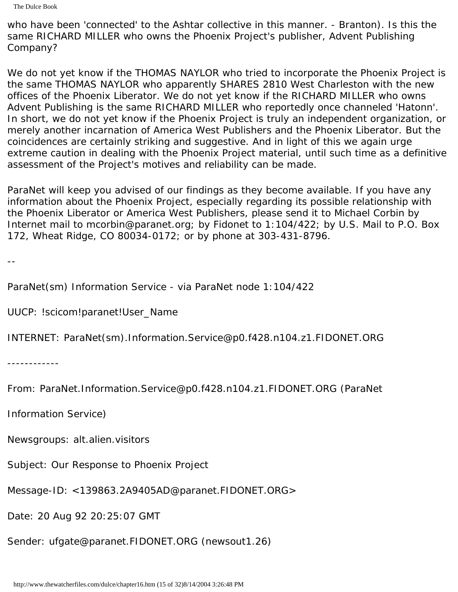```
The Dulce Book
```
who have been 'connected' to the Ashtar collective in this manner. - Branton). Is this the same RICHARD MILLER who owns the Phoenix Project's publisher, Advent Publishing Company?

We do not yet know if the THOMAS NAYLOR who tried to incorporate the Phoenix Project is the same THOMAS NAYLOR who apparently SHARES 2810 West Charleston with the new offices of the Phoenix Liberator. We do not yet know if the RICHARD MILLER who owns Advent Publishing is the same RICHARD MILLER who reportedly once channeled 'Hatonn'. In short, we do not yet know if the Phoenix Project is truly an independent organization, or merely another incarnation of America West Publishers and the Phoenix Liberator. But the coincidences are certainly striking and suggestive. And in light of this we again urge extreme caution in dealing with the Phoenix Project material, until such time as a definitive assessment of the Project's motives and reliability can be made.

ParaNet will keep you advised of our findings as they become available. If you have any information about the Phoenix Project, especially regarding its possible relationship with the Phoenix Liberator or America West Publishers, please send it to Michael Corbin by Internet mail to mcorbin@paranet.org; by Fidonet to 1:104/422; by U.S. Mail to P.O. Box 172, Wheat Ridge, CO 80034-0172; or by phone at 303-431-8796.

--

ParaNet(sm) Information Service - via ParaNet node 1:104/422

UUCP: !scicom!paranet!User\_Name

INTERNET: ParaNet(sm).Information.Service@p0.f428.n104.z1.FIDONET.ORG

------------

From: ParaNet.Information.Service@p0.f428.n104.z1.FIDONET.ORG (ParaNet

Information Service)

Newsgroups: alt.alien.visitors

Subject: Our Response to Phoenix Project

Message-ID: <139863.2A9405AD@paranet.FIDONET.ORG>

Date: 20 Aug 92 20:25:07 GMT

Sender: ufgate@paranet.FIDONET.ORG (newsout1.26)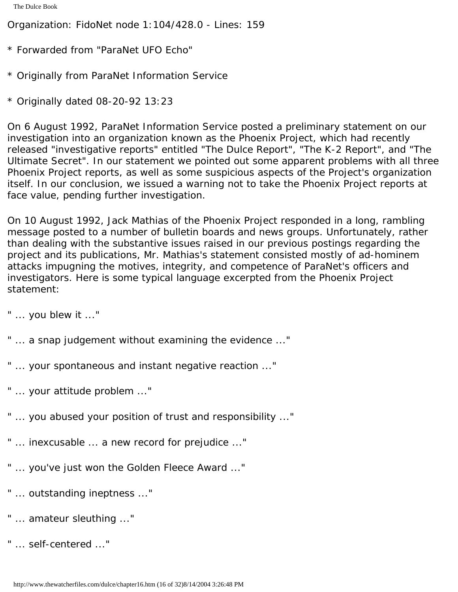Organization: FidoNet node 1:104/428.0 - Lines: 159

- \* Forwarded from "ParaNet UFO Echo"
- \* Originally from ParaNet Information Service
- \* Originally dated 08-20-92 13:23

On 6 August 1992, ParaNet Information Service posted a preliminary statement on our investigation into an organization known as the Phoenix Project, which had recently released "investigative reports" entitled "The Dulce Report", "The K-2 Report", and "The Ultimate Secret". In our statement we pointed out some apparent problems with all three Phoenix Project reports, as well as some suspicious aspects of the Project's organization itself. In our conclusion, we issued a warning not to take the Phoenix Project reports at face value, pending further investigation.

On 10 August 1992, Jack Mathias of the Phoenix Project responded in a long, rambling message posted to a number of bulletin boards and news groups. Unfortunately, rather than dealing with the substantive issues raised in our previous postings regarding the project and its publications, Mr. Mathias's statement consisted mostly of ad-hominem attacks impugning the motives, integrity, and competence of ParaNet's officers and investigators. Here is some typical language excerpted from the Phoenix Project statement:

- " ... you blew it ..."
- " ... a snap judgement without examining the evidence ..."
- " ... your spontaneous and instant negative reaction ..."
- " ... your attitude problem ..."
- " ... you abused your position of trust and responsibility ..."
- " ... inexcusable ... a new record for prejudice ..."
- " ... you've just won the Golden Fleece Award ..."
- " ... outstanding ineptness ..."
- " ... amateur sleuthing ..."
- " ... self-centered ..."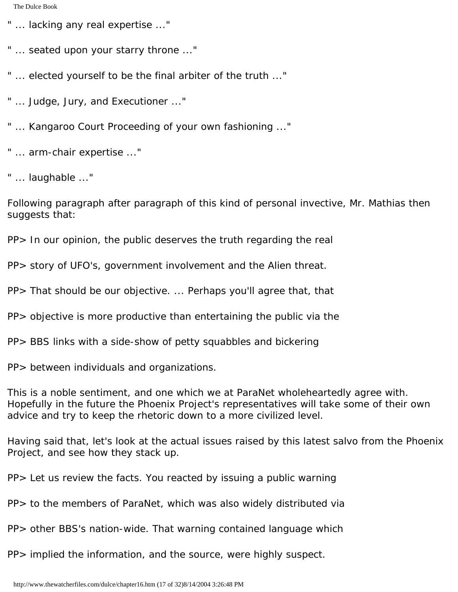- " ... lacking any real expertise ..."
- " ... seated upon your starry throne ..."
- " ... elected yourself to be the final arbiter of the truth ..."
- " ... Judge, Jury, and Executioner ..."
- " ... Kangaroo Court Proceeding of your own fashioning ..."
- " ... arm-chair expertise ..."
- " ... laughable ..."
- Following paragraph after paragraph of this kind of personal invective, Mr. Mathias then suggests that:
- PP> In our opinion, the public deserves the truth regarding the real
- PP> story of UFO's, government involvement and the Alien threat.
- PP> That should be our objective. ... Perhaps you'll agree that, that
- PP> objective is more productive than entertaining the public via the
- PP> BBS links with a side-show of petty squabbles and bickering
- PP> between individuals and organizations.
- This is a noble sentiment, and one which we at ParaNet wholeheartedly agree with. Hopefully in the future the Phoenix Project's representatives will take some of their own advice and try to keep the rhetoric down to a more civilized level.
- Having said that, let's look at the actual issues raised by this latest salvo from the Phoenix Project, and see how they stack up.
- PP> Let us review the facts. You reacted by issuing a public warning
- PP> to the members of ParaNet, which was also widely distributed via
- PP> other BBS's nation-wide. That warning contained language which
- PP> implied the information, and the source, were highly suspect.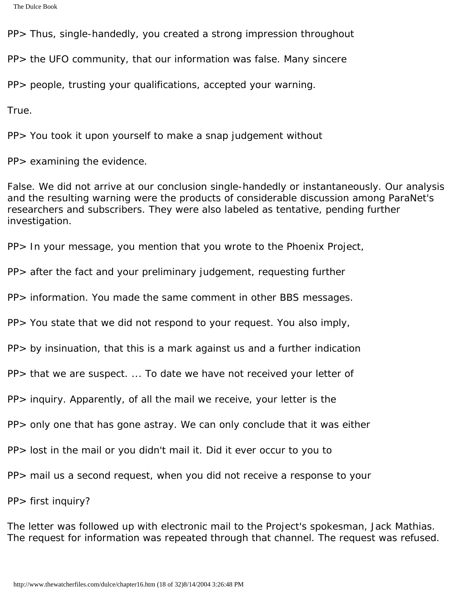```
The Dulce Book
```
PP> Thus, single-handedly, you created a strong impression throughout

PP> the UFO community, that our information was false. Many sincere

PP> people, trusting your qualifications, accepted your warning.

True.

PP> You took it upon yourself to make a snap judgement without

PP> examining the evidence.

False. We did not arrive at our conclusion single-handedly or instantaneously. Our analysis and the resulting warning were the products of considerable discussion among ParaNet's researchers and subscribers. They were also labeled as tentative, pending further investigation.

PP> In your message, you mention that you wrote to the Phoenix Project,

PP> after the fact and your preliminary judgement, requesting further

PP> information. You made the same comment in other BBS messages.

PP> You state that we did not respond to your request. You also imply,

PP> by insinuation, that this is a mark against us and a further indication

PP> that we are suspect. ... To date we have not received your letter of

PP> inquiry. Apparently, of all the mail we receive, your letter is the

PP> only one that has gone astray. We can only conclude that it was either

PP> lost in the mail or you didn't mail it. Did it ever occur to you to

PP> mail us a second request, when you did not receive a response to your

PP> first inquiry?

The letter was followed up with electronic mail to the Project's spokesman, Jack Mathias. The request for information was repeated through that channel. The request was refused.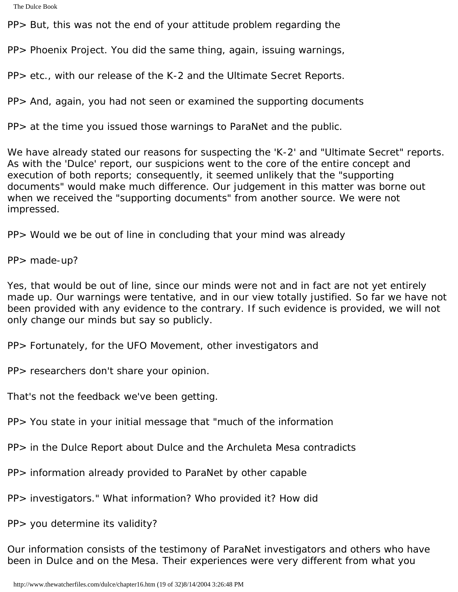```
The Dulce Book
```
PP> But, this was not the end of your attitude problem regarding the

PP> Phoenix Project. You did the same thing, again, issuing warnings,

PP> etc., with our release of the K-2 and the Ultimate Secret Reports.

PP> And, again, you had not seen or examined the supporting documents

PP> at the time you issued those warnings to ParaNet and the public.

We have already stated our reasons for suspecting the 'K-2' and "Ultimate Secret" reports. As with the 'Dulce' report, our suspicions went to the core of the entire concept and execution of both reports; consequently, it seemed unlikely that the "supporting documents" would make much difference. Our judgement in this matter was borne out when we received the "supporting documents" from another source. We were not impressed.

PP> Would we be out of line in concluding that your mind was already

PP> made-up?

Yes, that would be out of line, since our minds were not and in fact are not yet entirely made up. Our warnings were tentative, and in our view totally justified. So far we have not been provided with any evidence to the contrary. If such evidence is provided, we will not only change our minds but say so publicly.

PP> Fortunately, for the UFO Movement, other investigators and

PP> researchers don't share your opinion.

That's not the feedback we've been getting.

PP> You state in your initial message that "much of the information

PP> in the Dulce Report about Dulce and the Archuleta Mesa contradicts

PP> information already provided to ParaNet by other capable

PP> investigators." What information? Who provided it? How did

PP> you determine its validity?

Our information consists of the testimony of ParaNet investigators and others who have been in Dulce and on the Mesa. Their experiences were very different from what you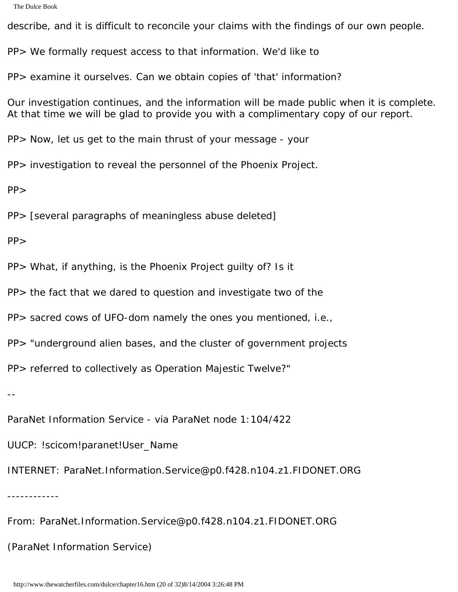```
The Dulce Book
```
describe, and it is difficult to reconcile your claims with the findings of our own people.

PP> We formally request access to that information. We'd like to

PP> examine it ourselves. Can we obtain copies of 'that' information?

Our investigation continues, and the information will be made public when it is complete. At that time we will be glad to provide you with a complimentary copy of our report.

PP> Now, let us get to the main thrust of your message - your

PP> investigation to reveal the personnel of the Phoenix Project.

PP>

PP> [several paragraphs of meaningless abuse deleted]

PP>

PP> What, if anything, is the Phoenix Project guilty of? Is it

PP> the fact that we dared to question and investigate two of the

PP> sacred cows of UFO-dom namely the ones you mentioned, i.e.,

PP> "underground alien bases, and the cluster of government projects

PP> referred to collectively as Operation Majestic Twelve?"

--

ParaNet Information Service - via ParaNet node 1:104/422

UUCP: !scicom!paranet!User\_Name

INTERNET: ParaNet.Information.Service@p0.f428.n104.z1.FIDONET.ORG

------------

From: ParaNet.Information.Service@p0.f428.n104.z1.FIDONET.ORG (ParaNet Information Service)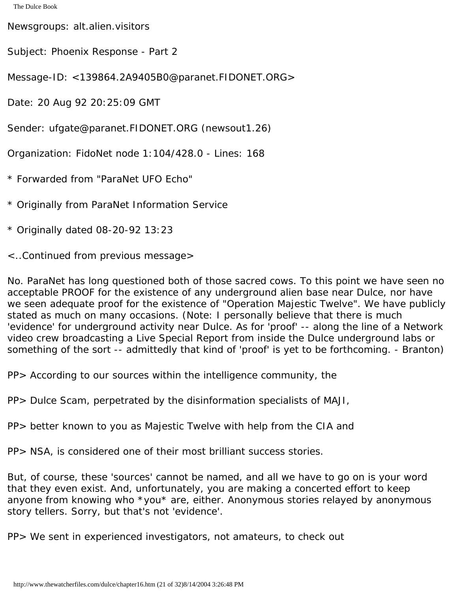Newsgroups: alt.alien.visitors

Subject: Phoenix Response - Part 2

Message-ID: <139864.2A9405B0@paranet.FIDONET.ORG>

Date: 20 Aug 92 20:25:09 GMT

Sender: ufgate@paranet.FIDONET.ORG (newsout1.26)

Organization: FidoNet node 1:104/428.0 - Lines: 168

\* Forwarded from "ParaNet UFO Echo"

\* Originally from ParaNet Information Service

\* Originally dated 08-20-92 13:23

<..Continued from previous message>

No. ParaNet has long questioned both of those sacred cows. To this point we have seen no acceptable PROOF for the existence of any underground alien base near Dulce, nor have we seen adequate proof for the existence of "Operation Majestic Twelve". We have publicly stated as much on many occasions. (Note: I personally believe that there is much 'evidence' for underground activity near Dulce. As for 'proof' -- along the line of a Network video crew broadcasting a Live Special Report from inside the Dulce underground labs or something of the sort -- admittedly that kind of 'proof' is yet to be forthcoming. - Branton)

PP> According to our sources within the intelligence community, the

PP> Dulce Scam, perpetrated by the disinformation specialists of MAJI,

PP> better known to you as Majestic Twelve with help from the CIA and

PP> NSA, is considered one of their most brilliant success stories.

But, of course, these 'sources' cannot be named, and all we have to go on is your word that they even exist. And, unfortunately, you are making a concerted effort to keep anyone from knowing who \*you\* are, either. Anonymous stories relayed by anonymous story tellers. Sorry, but that's not 'evidence'.

PP> We sent in experienced investigators, not amateurs, to check out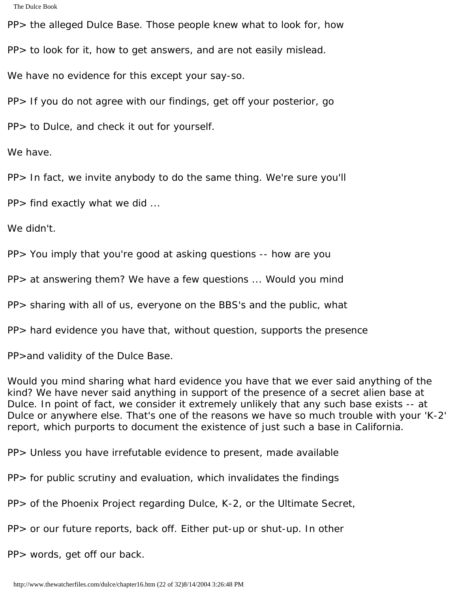```
The Dulce Book
```
PP> the alleged Dulce Base. Those people knew what to look for, how

PP> to look for it, how to get answers, and are not easily mislead.

We have no evidence for this except your say-so.

PP> If you do not agree with our findings, get off your posterior, go

PP> to Dulce, and check it out for yourself.

We have.

PP> In fact, we invite anybody to do the same thing. We're sure you'll

PP> find exactly what we did ...

We didn't.

PP> You imply that you're good at asking questions -- how are you

PP> at answering them? We have a few questions ... Would you mind

PP> sharing with all of us, everyone on the BBS's and the public, what

PP> hard evidence you have that, without question, supports the presence

PP>and validity of the Dulce Base.

Would you mind sharing what hard evidence you have that we ever said anything of the kind? We have never said anything in support of the presence of a secret alien base at Dulce. In point of fact, we consider it extremely unlikely that any such base exists -- at Dulce or anywhere else. That's one of the reasons we have so much trouble with your 'K-2' report, which purports to document the existence of just such a base in California.

PP> Unless you have irrefutable evidence to present, made available

PP> for public scrutiny and evaluation, which invalidates the findings

PP> of the Phoenix Project regarding Dulce, K-2, or the Ultimate Secret,

PP> or our future reports, back off. Either put-up or shut-up. In other

PP> words, get off our back.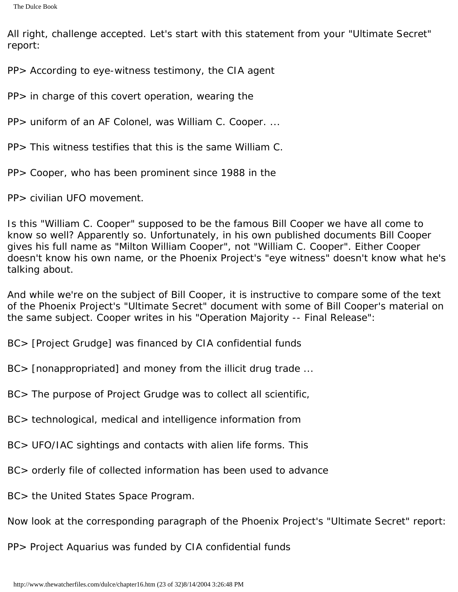All right, challenge accepted. Let's start with this statement from your "Ultimate Secret" report:

PP> According to eye-witness testimony, the CIA agent

PP> in charge of this covert operation, wearing the

PP> uniform of an AF Colonel, was William C. Cooper. ...

PP> This witness testifies that this is the same William C.

PP> Cooper, who has been prominent since 1988 in the

PP> civilian UFO movement.

Is this "William C. Cooper" supposed to be the famous Bill Cooper we have all come to know so well? Apparently so. Unfortunately, in his own published documents Bill Cooper gives his full name as "Milton William Cooper", not "William C. Cooper". Either Cooper doesn't know his own name, or the Phoenix Project's "eye witness" doesn't know what he's talking about.

And while we're on the subject of Bill Cooper, it is instructive to compare some of the text of the Phoenix Project's "Ultimate Secret" document with some of Bill Cooper's material on the same subject. Cooper writes in his "Operation Majority -- Final Release":

- BC> [Project Grudge] was financed by CIA confidential funds
- BC> [nonappropriated] and money from the illicit drug trade ...
- BC> The purpose of Project Grudge was to collect all scientific,
- BC> technological, medical and intelligence information from
- BC> UFO/IAC sightings and contacts with alien life forms. This
- BC> orderly file of collected information has been used to advance
- BC> the United States Space Program.

Now look at the corresponding paragraph of the Phoenix Project's "Ultimate Secret" report:

PP> Project Aquarius was funded by CIA confidential funds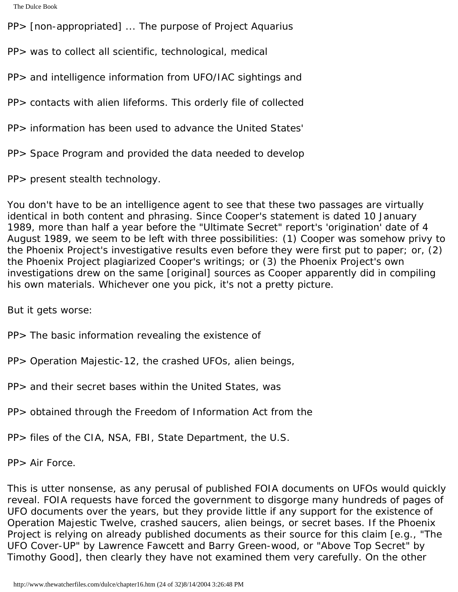```
The Dulce Book
```
PP> [non-appropriated] ... The purpose of Project Aquarius

PP> was to collect all scientific, technological, medical

PP> and intelligence information from UFO/IAC sightings and

PP> contacts with alien lifeforms. This orderly file of collected

PP> information has been used to advance the United States'

PP> Space Program and provided the data needed to develop

PP> present stealth technology.

You don't have to be an intelligence agent to see that these two passages are virtually identical in both content and phrasing. Since Cooper's statement is dated 10 January 1989, more than half a year before the "Ultimate Secret" report's 'origination' date of 4 August 1989, we seem to be left with three possibilities: (1) Cooper was somehow privy to the Phoenix Project's investigative results even before they were first put to paper; or, (2) the Phoenix Project plagiarized Cooper's writings; or (3) the Phoenix Project's own investigations drew on the same [original] sources as Cooper apparently did in compiling his own materials. Whichever one you pick, it's not a pretty picture.

But it gets worse:

PP> The basic information revealing the existence of

PP> Operation Majestic-12, the crashed UFOs, alien beings,

PP> and their secret bases within the United States, was

PP> obtained through the Freedom of Information Act from the

PP> files of the CIA, NSA, FBI, State Department, the U.S.

PP> Air Force.

This is utter nonsense, as any perusal of published FOIA documents on UFOs would quickly reveal. FOIA requests have forced the government to disgorge many hundreds of pages of UFO documents over the years, but they provide little if any support for the existence of Operation Majestic Twelve, crashed saucers, alien beings, or secret bases. If the Phoenix Project is relying on already published documents as their source for this claim [e.g., "The UFO Cover-UP" by Lawrence Fawcett and Barry Green-wood, or "Above Top Secret" by Timothy Good], then clearly they have not examined them very carefully. On the other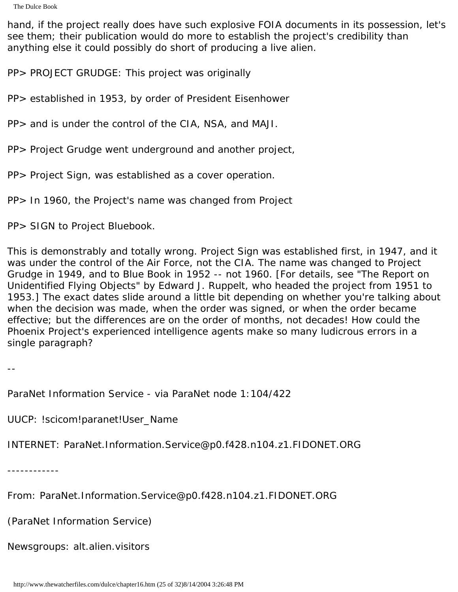hand, if the project really does have such explosive FOIA documents in its possession, let's see them; their publication would do more to establish the project's credibility than anything else it could possibly do short of producing a live alien.

PP> PROJECT GRUDGE: This project was originally

PP> established in 1953, by order of President Eisenhower

PP> and is under the control of the CIA, NSA, and MAJI.

PP> Project Grudge went underground and another project,

PP> Project Sign, was established as a cover operation.

PP> In 1960, the Project's name was changed from Project

PP> SIGN to Project Bluebook.

This is demonstrably and totally wrong. Project Sign was established first, in 1947, and it was under the control of the Air Force, not the CIA. The name was changed to Project Grudge in 1949, and to Blue Book in 1952 -- not 1960. [For details, see "The Report on Unidentified Flying Objects" by Edward J. Ruppelt, who headed the project from 1951 to 1953.] The exact dates slide around a little bit depending on whether you're talking about when the decision was made, when the order was signed, or when the order became effective; but the differences are on the order of months, not decades! How could the Phoenix Project's experienced intelligence agents make so many ludicrous errors in a single paragraph?

--

ParaNet Information Service - via ParaNet node 1:104/422

UUCP: !scicom!paranet!User\_Name

INTERNET: ParaNet.Information.Service@p0.f428.n104.z1.FIDONET.ORG

------------

From: ParaNet.Information.Service@p0.f428.n104.z1.FIDONET.ORG

(ParaNet Information Service)

Newsgroups: alt.alien.visitors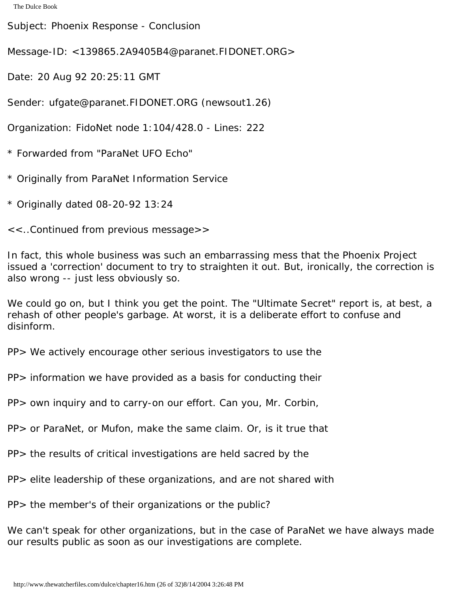Subject: Phoenix Response - Conclusion

Message-ID: <139865.2A9405B4@paranet.FIDONET.ORG>

Date: 20 Aug 92 20:25:11 GMT

Sender: ufgate@paranet.FIDONET.ORG (newsout1.26)

Organization: FidoNet node 1:104/428.0 - Lines: 222

\* Forwarded from "ParaNet UFO Echo"

- \* Originally from ParaNet Information Service
- \* Originally dated 08-20-92 13:24

<<..Continued from previous message>>

In fact, this whole business was such an embarrassing mess that the Phoenix Project issued a 'correction' document to try to straighten it out. But, ironically, the correction is also wrong -- just less obviously so.

We could go on, but I think you get the point. The "Ultimate Secret" report is, at best, a rehash of other people's garbage. At worst, it is a deliberate effort to confuse and disinform.

PP> We actively encourage other serious investigators to use the

PP> information we have provided as a basis for conducting their

PP> own inquiry and to carry-on our effort. Can you, Mr. Corbin,

PP> or ParaNet, or Mufon, make the same claim. Or, is it true that

PP> the results of critical investigations are held sacred by the

PP> elite leadership of these organizations, and are not shared with

PP> the member's of their organizations or the public?

We can't speak for other organizations, but in the case of ParaNet we have always made our results public as soon as our investigations are complete.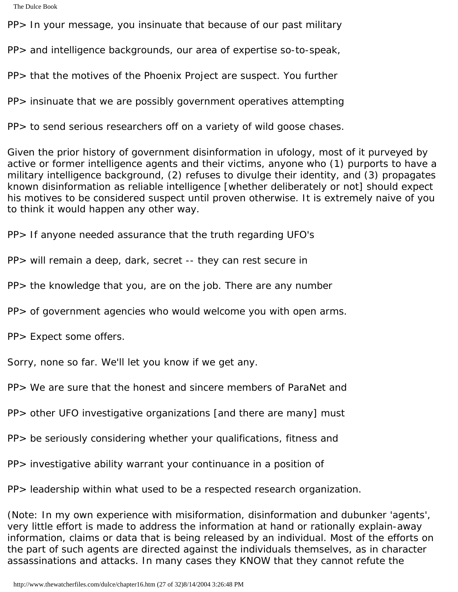```
The Dulce Book
```
PP> In your message, you insinuate that because of our past military

PP> and intelligence backgrounds, our area of expertise so-to-speak,

PP> that the motives of the Phoenix Project are suspect. You further

PP> insinuate that we are possibly government operatives attempting

PP> to send serious researchers off on a variety of wild goose chases.

Given the prior history of government disinformation in ufology, most of it purveyed by active or former intelligence agents and their victims, anyone who (1) purports to have a military intelligence background, (2) refuses to divulge their identity, and (3) propagates known disinformation as reliable intelligence [whether deliberately or not] should expect his motives to be considered suspect until proven otherwise. It is extremely naive of you to think it would happen any other way.

PP> If anyone needed assurance that the truth regarding UFO's

PP> will remain a deep, dark, secret -- they can rest secure in

PP> the knowledge that you, are on the job. There are any number

PP> of government agencies who would welcome you with open arms.

PP> Expect some offers.

Sorry, none so far. We'll let you know if we get any.

PP> We are sure that the honest and sincere members of ParaNet and

PP> other UFO investigative organizations [and there are many] must

PP> be seriously considering whether your qualifications, fitness and

PP> investigative ability warrant your continuance in a position of

PP> leadership within what used to be a respected research organization.

(Note: In my own experience with misiformation, disinformation and dubunker 'agents', very little effort is made to address the information at hand or rationally explain-away information, claims or data that is being released by an individual. Most of the efforts on the part of such agents are directed against the individuals themselves, as in character assassinations and attacks. In many cases they KNOW that they cannot refute the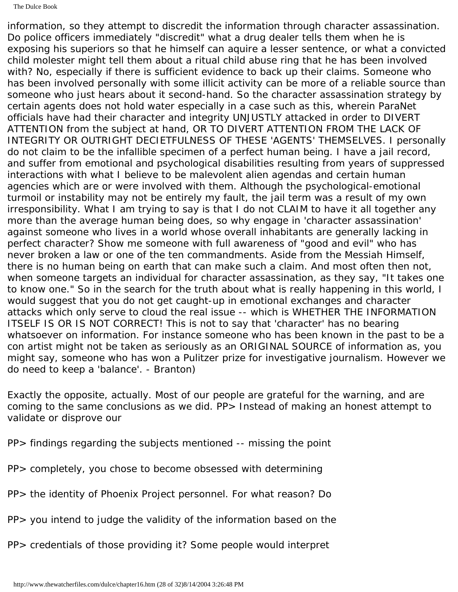information, so they attempt to discredit the information through character assassination. Do police officers immediately "discredit" what a drug dealer tells them when he is exposing his superiors so that he himself can aquire a lesser sentence, or what a convicted child molester might tell them about a ritual child abuse ring that he has been involved with? No, especially if there is sufficient evidence to back up their claims. Someone who has been involved personally with some illicit activity can be more of a reliable source than someone who just hears about it second-hand. So the character assassination strategy by certain agents does not hold water especially in a case such as this, wherein ParaNet officials have had their character and integrity UNJUSTLY attacked in order to DIVERT ATTENTION from the subject at hand, OR TO DIVERT ATTENTION FROM THE LACK OF INTEGRITY OR OUTRIGHT DECIETFULNESS OF THESE 'AGENTS' THEMSELVES. I personally do not claim to be the infallible specimen of a perfect human being. I have a jail record, and suffer from emotional and psychological disabilities resulting from years of suppressed interactions with what I believe to be malevolent alien agendas and certain human agencies which are or were involved with them. Although the psychological-emotional turmoil or instability may not be entirely my fault, the jail term was a result of my own irresponsibility. What I am trying to say is that I do not CLAIM to have it all together any more than the average human being does, so why engage in 'character assassination' against someone who lives in a world whose overall inhabitants are generally lacking in perfect character? Show me someone with full awareness of "good and evil" who has never broken a law or one of the ten commandments. Aside from the Messiah Himself, there is no human being on earth that can make such a claim. And most often then not, when someone targets an individual for character assassination, as they say, "It takes one to know one." So in the search for the truth about what is really happening in this world, I would suggest that you do not get caught-up in emotional exchanges and character attacks which only serve to cloud the real issue -- which is WHETHER THE INFORMATION ITSELF IS OR IS NOT CORRECT! This is not to say that 'character' has no bearing whatsoever on information. For instance someone who has been known in the past to be a con artist might not be taken as seriously as an ORIGINAL SOURCE of information as, you might say, someone who has won a Pulitzer prize for investigative journalism. However we do need to keep a 'balance'. - Branton)

Exactly the opposite, actually. Most of our people are grateful for the warning, and are coming to the same conclusions as we did. PP> Instead of making an honest attempt to validate or disprove our

PP> findings regarding the subjects mentioned -- missing the point

PP> completely, you chose to become obsessed with determining

PP> the identity of Phoenix Project personnel. For what reason? Do

PP> you intend to judge the validity of the information based on the

PP> credentials of those providing it? Some people would interpret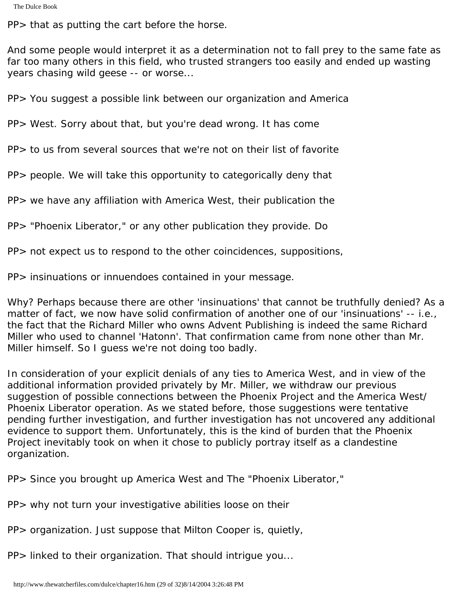PP> that as putting the cart before the horse.

And some people would interpret it as a determination not to fall prey to the same fate as far too many others in this field, who trusted strangers too easily and ended up wasting years chasing wild geese -- or worse...

PP> You suggest a possible link between our organization and America

PP> West. Sorry about that, but you're dead wrong. It has come

PP> to us from several sources that we're not on their list of favorite

PP> people. We will take this opportunity to categorically deny that

PP> we have any affiliation with America West, their publication the

PP> "Phoenix Liberator," or any other publication they provide. Do

PP> not expect us to respond to the other coincidences, suppositions,

PP> insinuations or innuendoes contained in your message.

Why? Perhaps because there are other 'insinuations' that cannot be truthfully denied? As a matter of fact, we now have solid confirmation of another one of our 'insinuations' -- i.e., the fact that the Richard Miller who owns Advent Publishing is indeed the same Richard Miller who used to channel 'Hatonn'. That confirmation came from none other than Mr. Miller himself. So I guess we're not doing too badly.

In consideration of your explicit denials of any ties to America West, and in view of the additional information provided privately by Mr. Miller, we withdraw our previous suggestion of possible connections between the Phoenix Project and the America West/ Phoenix Liberator operation. As we stated before, those suggestions were tentative pending further investigation, and further investigation has not uncovered any additional evidence to support them. Unfortunately, this is the kind of burden that the Phoenix Project inevitably took on when it chose to publicly portray itself as a clandestine organization.

PP> Since you brought up America West and The "Phoenix Liberator,"

PP> why not turn your investigative abilities loose on their

PP> organization. Just suppose that Milton Cooper is, quietly,

PP> linked to their organization. That should intrigue you...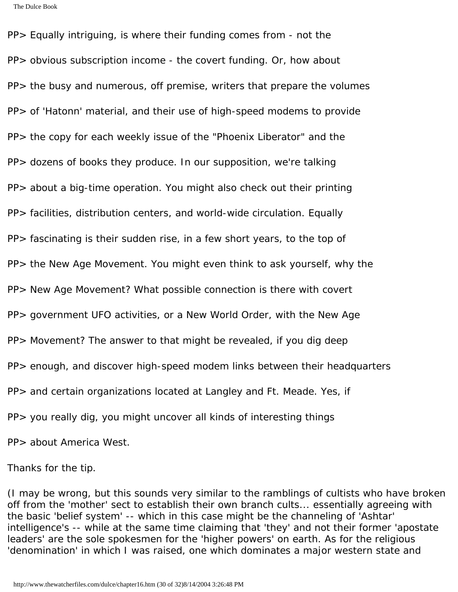```
The Dulce Book
```
PP> Equally intriguing, is where their funding comes from - not the PP> obvious subscription income - the covert funding. Or, how about PP> the busy and numerous, off premise, writers that prepare the volumes PP> of 'Hatonn' material, and their use of high-speed modems to provide PP> the copy for each weekly issue of the "Phoenix Liberator" and the PP> dozens of books they produce. In our supposition, we're talking PP> about a big-time operation. You might also check out their printing PP> facilities, distribution centers, and world-wide circulation. Equally PP> fascinating is their sudden rise, in a few short years, to the top of PP> the New Age Movement. You might even think to ask yourself, why the PP> New Age Movement? What possible connection is there with covert PP> government UFO activities, or a New World Order, with the New Age PP> Movement? The answer to that might be revealed, if you dig deep PP> enough, and discover high-speed modem links between their headquarters PP> and certain organizations located at Langley and Ft. Meade. Yes, if PP> you really dig, you might uncover all kinds of interesting things PP> about America West.

Thanks for the tip.

(I may be wrong, but this sounds very similar to the ramblings of cultists who have broken off from the 'mother' sect to establish their own branch cults... essentially agreeing with the basic 'belief system' -- which in this case might be the channeling of 'Ashtar' intelligence's -- while at the same time claiming that 'they' and not their former 'apostate leaders' are the sole spokesmen for the 'higher powers' on earth. As for the religious 'denomination' in which I was raised, one which dominates a major western state and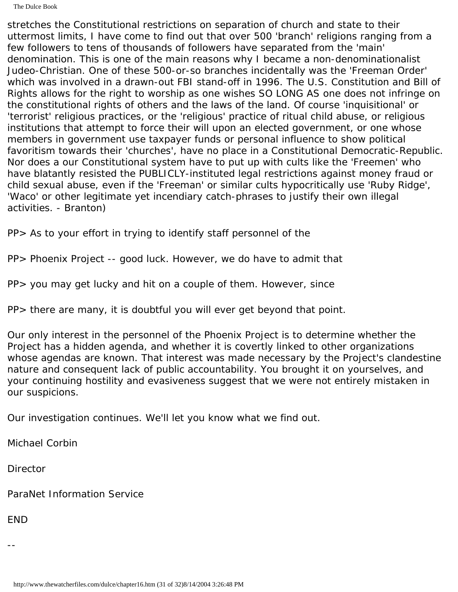The Dulce Book

stretches the Constitutional restrictions on separation of church and state to their uttermost limits, I have come to find out that over 500 'branch' religions ranging from a few followers to tens of thousands of followers have separated from the 'main' denomination. This is one of the main reasons why I became a non-denominationalist Judeo-Christian. One of these 500-or-so branches incidentally was the 'Freeman Order' which was involved in a drawn-out FBI stand-off in 1996. The U.S. Constitution and Bill of Rights allows for the right to worship as one wishes SO LONG AS one does not infringe on the constitutional rights of others and the laws of the land. Of course 'inquisitional' or 'terrorist' religious practices, or the 'religious' practice of ritual child abuse, or religious institutions that attempt to force their will upon an elected government, or one whose members in government use taxpayer funds or personal influence to show political favoritism towards their 'churches', have no place in a Constitutional Democratic-Republic. Nor does a our Constitutional system have to put up with cults like the 'Freemen' who have blatantly resisted the PUBLICLY-instituted legal restrictions against money fraud or child sexual abuse, even if the 'Freeman' or similar cults hypocritically use 'Ruby Ridge', 'Waco' or other legitimate yet incendiary catch-phrases to justify their own illegal activities. - Branton)

PP> As to your effort in trying to identify staff personnel of the

PP> Phoenix Project -- good luck. However, we do have to admit that

PP> you may get lucky and hit on a couple of them. However, since

PP> there are many, it is doubtful you will ever get beyond that point.

Our only interest in the personnel of the Phoenix Project is to determine whether the Project has a hidden agenda, and whether it is covertly linked to other organizations whose agendas are known. That interest was made necessary by the Project's clandestine nature and consequent lack of public accountability. You brought it on yourselves, and your continuing hostility and evasiveness suggest that we were not entirely mistaken in our suspicions.

Our investigation continues. We'll let you know what we find out.

Michael Corbin

**Director** 

ParaNet Information Service

END

--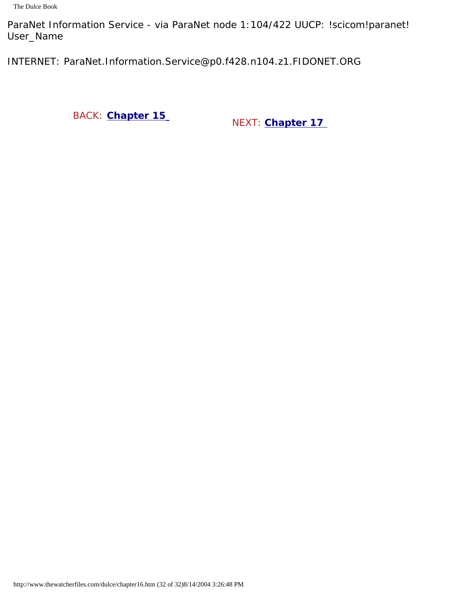ParaNet Information Service - via ParaNet node 1:104/422 UUCP: !scicom!paranet! User\_Name

INTERNET: ParaNet.Information.Service@p0.f428.n104.z1.FIDONET.ORG

BACK: **[Chapter 15](#page-137-0)** NEXT: **[Chapter 17](#page-174-0)**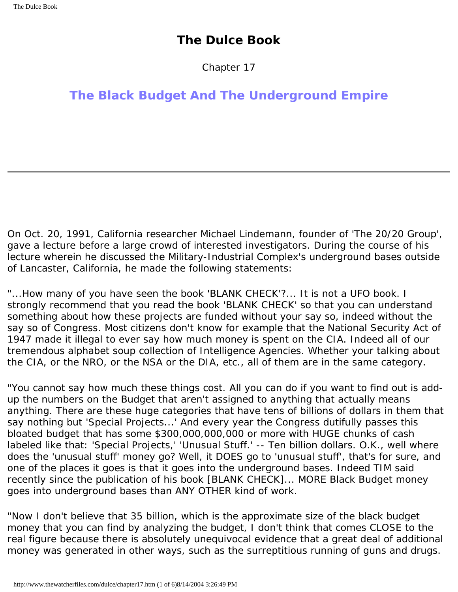Chapter 17

## <span id="page-174-0"></span>**The Black Budget And The Underground Empire**

On Oct. 20, 1991, California researcher Michael Lindemann, founder of 'The 20/20 Group', gave a lecture before a large crowd of interested investigators. During the course of his lecture wherein he discussed the Military-Industrial Complex's underground bases outside of Lancaster, California, he made the following statements:

"...How many of you have seen the book 'BLANK CHECK'?... It is not a UFO book. I strongly recommend that you read the book 'BLANK CHECK' so that you can understand something about how these projects are funded without your say so, indeed without the say so of Congress. Most citizens don't know for example that the National Security Act of 1947 made it illegal to ever say how much money is spent on the CIA. Indeed all of our tremendous alphabet soup collection of Intelligence Agencies. Whether your talking about the CIA, or the NRO, or the NSA or the DIA, etc., all of them are in the same category.

"You cannot say how much these things cost. All you can do if you want to find out is addup the numbers on the Budget that aren't assigned to anything that actually means anything. There are these huge categories that have tens of billions of dollars in them that say nothing but 'Special Projects...' And every year the Congress dutifully passes this bloated budget that has some \$300,000,000,000 or more with HUGE chunks of cash labeled like that: 'Special Projects,' 'Unusual Stuff.' -- Ten billion dollars. O.K., well where does the 'unusual stuff' money go? Well, it DOES go to 'unusual stuff', that's for sure, and one of the places it goes is that it goes into the underground bases. Indeed TIM said recently since the publication of his book [BLANK CHECK]... MORE Black Budget money goes into underground bases than ANY OTHER kind of work.

"Now I don't believe that 35 billion, which is the approximate size of the black budget money that you can find by analyzing the budget, I don't think that comes CLOSE to the real figure because there is absolutely unequivocal evidence that a great deal of additional money was generated in other ways, such as the surreptitious running of guns and drugs.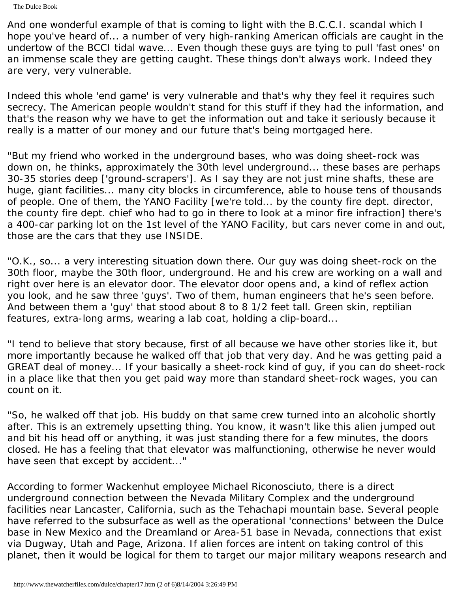The Dulce Book

And one wonderful example of that is coming to light with the B.C.C.I. scandal which I hope you've heard of... a number of very high-ranking American officials are caught in the undertow of the BCCI tidal wave... Even though these guys are tying to pull 'fast ones' on an immense scale they are getting caught. These things don't always work. Indeed they are very, very vulnerable.

Indeed this whole 'end game' is very vulnerable and that's why they feel it requires such secrecy. The American people wouldn't stand for this stuff if they had the information, and that's the reason why we have to get the information out and take it seriously because it really is a matter of our money and our future that's being mortgaged here.

"But my friend who worked in the underground bases, who was doing sheet-rock was down on, he thinks, approximately the 30th level underground... these bases are perhaps 30-35 stories deep ['ground-scrapers']. As I say they are not just mine shafts, these are huge, giant facilities... many city blocks in circumference, able to house tens of thousands of people. One of them, the YANO Facility [we're told... by the county fire dept. director, the county fire dept. chief who had to go in there to look at a minor fire infraction] there's a 400-car parking lot on the 1st level of the YANO Facility, but cars never come in and out, those are the cars that they use INSIDE.

"O.K., so... a very interesting situation down there. Our guy was doing sheet-rock on the 30th floor, maybe the 30th floor, underground. He and his crew are working on a wall and right over here is an elevator door. The elevator door opens and, a kind of reflex action you look, and he saw three 'guys'. Two of them, human engineers that he's seen before. And between them a 'guy' that stood about 8 to 8 1/2 feet tall. Green skin, reptilian features, extra-long arms, wearing a lab coat, holding a clip-board...

"I tend to believe that story because, first of all because we have other stories like it, but more importantly because he walked off that job that very day. And he was getting paid a GREAT deal of money... If your basically a sheet-rock kind of guy, if you can do sheet-rock in a place like that then you get paid way more than standard sheet-rock wages, you can count on it.

"So, he walked off that job. His buddy on that same crew turned into an alcoholic shortly after. This is an extremely upsetting thing. You know, it wasn't like this alien jumped out and bit his head off or anything, it was just standing there for a few minutes, the doors closed. He has a feeling that that elevator was malfunctioning, otherwise he never would have seen that except by accident..."

According to former Wackenhut employee Michael Riconosciuto, there is a direct underground connection between the Nevada Military Complex and the underground facilities near Lancaster, California, such as the Tehachapi mountain base. Several people have referred to the subsurface as well as the operational 'connections' between the Dulce base in New Mexico and the Dreamland or Area-51 base in Nevada, connections that exist via Dugway, Utah and Page, Arizona. If alien forces are intent on taking control of this planet, then it would be logical for them to target our major military weapons research and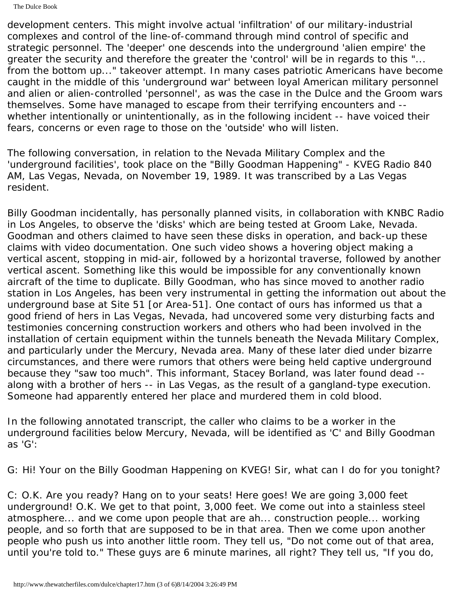The Dulce Book

development centers. This might involve actual 'infiltration' of our military-industrial complexes and control of the line-of-command through mind control of specific and strategic personnel. The 'deeper' one descends into the underground 'alien empire' the greater the security and therefore the greater the 'control' will be in regards to this "... from the bottom up..." takeover attempt. In many cases patriotic Americans have become caught in the middle of this 'underground war' between loyal American military personnel and alien or alien-controlled 'personnel', as was the case in the Dulce and the Groom wars themselves. Some have managed to escape from their terrifying encounters and - whether intentionally or unintentionally, as in the following incident -- have voiced their fears, concerns or even rage to those on the 'outside' who will listen.

The following conversation, in relation to the Nevada Military Complex and the 'underground facilities', took place on the "Billy Goodman Happening" - KVEG Radio 840 AM, Las Vegas, Nevada, on November 19, 1989. It was transcribed by a Las Vegas resident.

Billy Goodman incidentally, has personally planned visits, in collaboration with KNBC Radio in Los Angeles, to observe the 'disks' which are being tested at Groom Lake, Nevada. Goodman and others claimed to have seen these disks in operation, and back-up these claims with video documentation. One such video shows a hovering object making a vertical ascent, stopping in mid-air, followed by a horizontal traverse, followed by another vertical ascent. Something like this would be impossible for any conventionally known aircraft of the time to duplicate. Billy Goodman, who has since moved to another radio station in Los Angeles, has been very instrumental in getting the information out about the underground base at Site 51 [or Area-51]. One contact of ours has informed us that a good friend of hers in Las Vegas, Nevada, had uncovered some very disturbing facts and testimonies concerning construction workers and others who had been involved in the installation of certain equipment within the tunnels beneath the Nevada Military Complex, and particularly under the Mercury, Nevada area. Many of these later died under bizarre circumstances, and there were rumors that others were being held captive underground because they "saw too much". This informant, Stacey Borland, was later found dead - along with a brother of hers -- in Las Vegas, as the result of a gangland-type execution. Someone had apparently entered her place and murdered them in cold blood.

In the following annotated transcript, the caller who claims to be a worker in the underground facilities below Mercury, Nevada, will be identified as 'C' and Billy Goodman as 'G':

G: Hi! Your on the Billy Goodman Happening on KVEG! Sir, what can I do for you tonight?

C: O.K. Are you ready? Hang on to your seats! Here goes! We are going 3,000 feet underground! O.K. We get to that point, 3,000 feet. We come out into a stainless steel atmosphere... and we come upon people that are ah... construction people... working people, and so forth that are supposed to be in that area. Then we come upon another people who push us into another little room. They tell us, "Do not come out of that area, until you're told to." These guys are 6 minute marines, all right? They tell us, "If you do,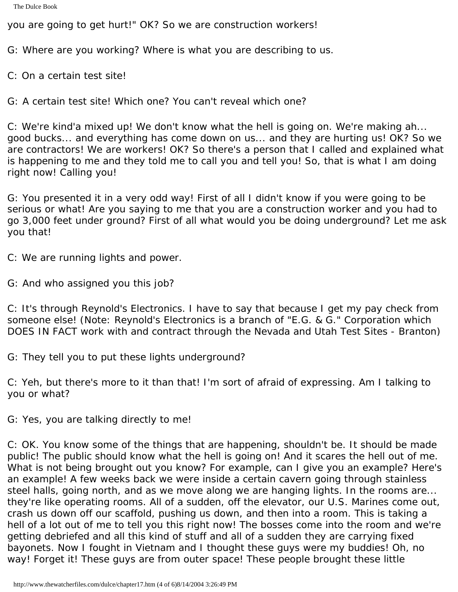you are going to get hurt!" OK? So we are construction workers!

G: Where are you working? Where is what you are describing to us.

C: On a certain test site!

G: A certain test site! Which one? You can't reveal which one?

C: We're kind'a mixed up! We don't know what the hell is going on. We're making ah... good bucks... and everything has come down on us... and they are hurting us! OK? So we are contractors! We are workers! OK? So there's a person that I called and explained what is happening to me and they told me to call you and tell you! So, that is what I am doing right now! Calling you!

G: You presented it in a very odd way! First of all I didn't know if you were going to be serious or what! Are you saying to me that you are a construction worker and you had to go 3,000 feet under ground? First of all what would you be doing underground? Let me ask you that!

C: We are running lights and power.

G: And who assigned you this job?

C: It's through Reynold's Electronics. I have to say that because I get my pay check from someone else! (Note: Reynold's Electronics is a branch of "E.G. & G." Corporation which DOES IN FACT work with and contract through the Nevada and Utah Test Sites - Branton)

G: They tell you to put these lights underground?

C: Yeh, but there's more to it than that! I'm sort of afraid of expressing. Am I talking to you or what?

G: Yes, you are talking directly to me!

C: OK. You know some of the things that are happening, shouldn't be. It should be made public! The public should know what the hell is going on! And it scares the hell out of me. What is not being brought out you know? For example, can I give you an example? Here's an example! A few weeks back we were inside a certain cavern going through stainless steel halls, going north, and as we move along we are hanging lights. In the rooms are... they're like operating rooms. All of a sudden, off the elevator, our U.S. Marines come out, crash us down off our scaffold, pushing us down, and then into a room. This is taking a hell of a lot out of me to tell you this right now! The bosses come into the room and we're getting debriefed and all this kind of stuff and all of a sudden they are carrying fixed bayonets. Now I fought in Vietnam and I thought these guys were my buddies! Oh, no way! Forget it! These guys are from outer space! These people brought these little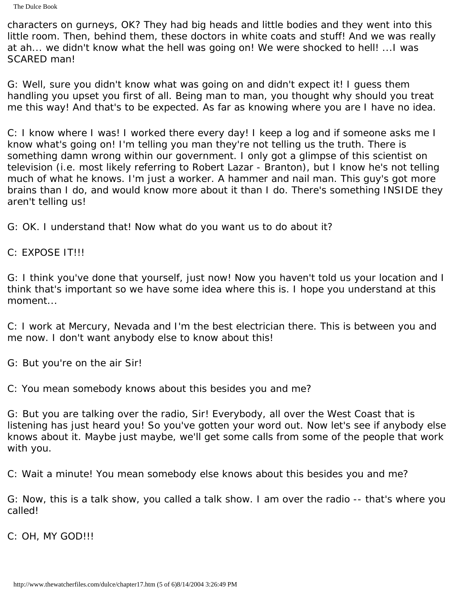characters on gurneys, OK? They had big heads and little bodies and they went into this little room. Then, behind them, these doctors in white coats and stuff! And we was really at ah... we didn't know what the hell was going on! We were shocked to hell! ...I was SCARED man!

G: Well, sure you didn't know what was going on and didn't expect it! I guess them handling you upset you first of all. Being man to man, you thought why should you treat me this way! And that's to be expected. As far as knowing where you are I have no idea.

C: I know where I was! I worked there every day! I keep a log and if someone asks me I know what's going on! I'm telling you man they're not telling us the truth. There is something damn wrong within our government. I only got a glimpse of this scientist on television (i.e. most likely referring to Robert Lazar - Branton), but I know he's not telling much of what he knows. I'm just a worker. A hammer and nail man. This guy's got more brains than I do, and would know more about it than I do. There's something INSIDE they aren't telling us!

G: OK. I understand that! Now what do you want us to do about it?

C: EXPOSE IT!!!

G: I think you've done that yourself, just now! Now you haven't told us your location and I think that's important so we have some idea where this is. I hope you understand at this moment...

C: I work at Mercury, Nevada and I'm the best electrician there. This is between you and me now. I don't want anybody else to know about this!

G: But you're on the air Sir!

C: You mean somebody knows about this besides you and me?

G: But you are talking over the radio, Sir! Everybody, all over the West Coast that is listening has just heard you! So you've gotten your word out. Now let's see if anybody else knows about it. Maybe just maybe, we'll get some calls from some of the people that work with you.

C: Wait a minute! You mean somebody else knows about this besides you and me?

G: Now, this is a talk show, you called a talk show. I am over the radio -- that's where you called!

C: OH, MY GOD!!!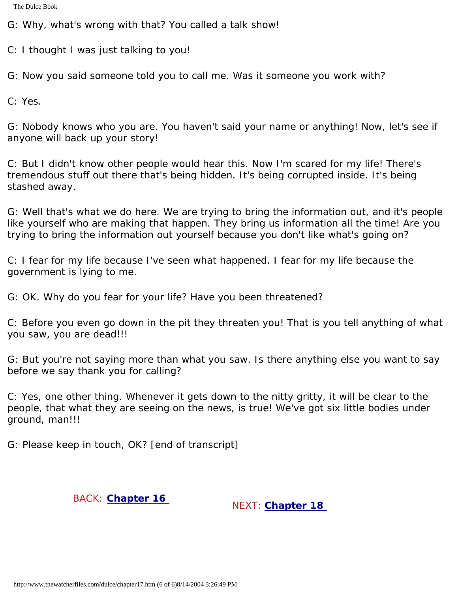G: Why, what's wrong with that? You called a talk show!

C: I thought I was just talking to you!

G: Now you said someone told you to call me. Was it someone you work with?

C: Yes.

G: Nobody knows who you are. You haven't said your name or anything! Now, let's see if anyone will back up your story!

C: But I didn't know other people would hear this. Now I'm scared for my life! There's tremendous stuff out there that's being hidden. It's being corrupted inside. It's being stashed away.

G: Well that's what we do here. We are trying to bring the information out, and it's people like yourself who are making that happen. They bring us information all the time! Are you trying to bring the information out yourself because you don't like what's going on?

C: I fear for my life because I've seen what happened. I fear for my life because the government is lying to me.

G: OK. Why do you fear for your life? Have you been threatened?

C: Before you even go down in the pit they threaten you! That is you tell anything of what you saw, you are dead!!!

G: But you're not saying more than what you saw. Is there anything else you want to say before we say thank you for calling?

C: Yes, one other thing. Whenever it gets down to the nitty gritty, it will be clear to the people, that what they are seeing on the news, is true! We've got six little bodies under ground, man!!!

G: Please keep in touch, OK? [end of transcript]

BACK: **[Chapter 16](#page-142-0)** NEXT: **[Chapter 18](#page-180-0)**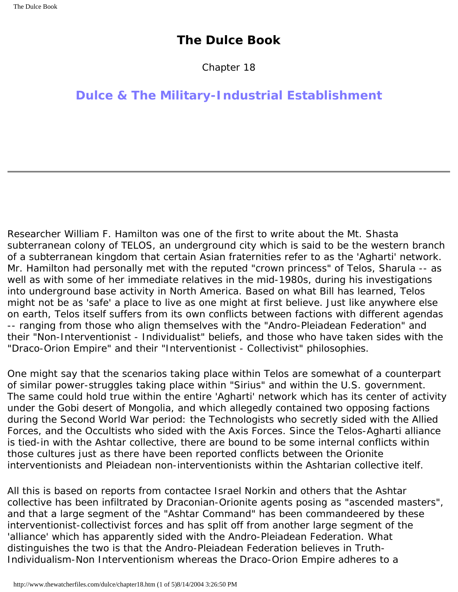Chapter 18

#### <span id="page-180-0"></span>**Dulce & The Military-Industrial Establishment**

Researcher William F. Hamilton was one of the first to write about the Mt. Shasta subterranean colony of TELOS, an underground city which is said to be the western branch of a subterranean kingdom that certain Asian fraternities refer to as the 'Agharti' network. Mr. Hamilton had personally met with the reputed "crown princess" of Telos, Sharula -- as well as with some of her immediate relatives in the mid-1980s, during his investigations into underground base activity in North America. Based on what Bill has learned, Telos might not be as 'safe' a place to live as one might at first believe. Just like anywhere else on earth, Telos itself suffers from its own conflicts between factions with different agendas -- ranging from those who align themselves with the "Andro-Pleiadean Federation" and their "Non-Interventionist - Individualist" beliefs, and those who have taken sides with the "Draco-Orion Empire" and their "Interventionist - Collectivist" philosophies.

One might say that the scenarios taking place within Telos are somewhat of a counterpart of similar power-struggles taking place within "Sirius" and within the U.S. government. The same could hold true within the entire 'Agharti' network which has its center of activity under the Gobi desert of Mongolia, and which allegedly contained two opposing factions during the Second World War period: the Technologists who secretly sided with the Allied Forces, and the Occultists who sided with the Axis Forces. Since the Telos-Agharti alliance is tied-in with the Ashtar collective, there are bound to be some internal conflicts within those cultures just as there have been reported conflicts between the Orionite interventionists and Pleiadean non-interventionists within the Ashtarian collective itelf.

All this is based on reports from contactee Israel Norkin and others that the Ashtar collective has been infiltrated by Draconian-Orionite agents posing as "ascended masters", and that a large segment of the "Ashtar Command" has been commandeered by these interventionist-collectivist forces and has split off from another large segment of the 'alliance' which has apparently sided with the Andro-Pleiadean Federation. What distinguishes the two is that the Andro-Pleiadean Federation believes in Truth-Individualism-Non Interventionism whereas the Draco-Orion Empire adheres to a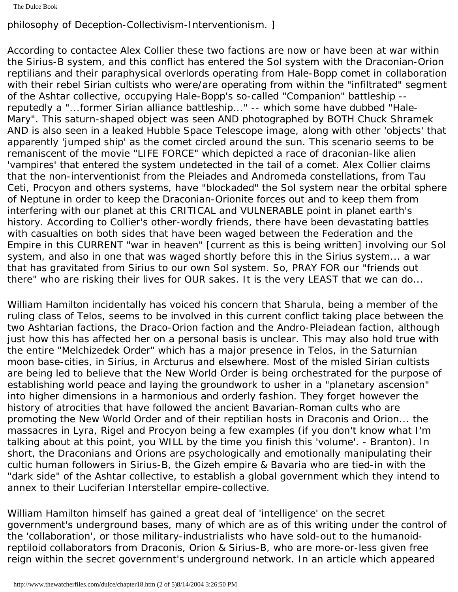The Dulce Book

philosophy of Deception-Collectivism-Interventionism. ]

According to contactee Alex Collier these two factions are now or have been at war within the Sirius-B system, and this conflict has entered the Sol system with the Draconian-Orion reptilians and their paraphysical overlords operating from Hale-Bopp comet in collaboration with their rebel Sirian cultists who were/are operating from within the "infiltrated" segment of the Ashtar collective, occupying Hale-Bopp's so-called "Companion" battleship - reputedly a "...former Sirian alliance battleship..." -- which some have dubbed "Hale-Mary". This saturn-shaped object was seen AND photographed by BOTH Chuck Shramek AND is also seen in a leaked Hubble Space Telescope image, along with other 'objects' that apparently 'jumped ship' as the comet circled around the sun. This scenario seems to be remaniscent of the movie "LIFE FORCE" which depicted a race of draconian-like alien 'vampires' that entered the system undetected in the tail of a comet. Alex Collier claims that the non-interventionist from the Pleiades and Andromeda constellations, from Tau Ceti, Procyon and others systems, have "blockaded" the Sol system near the orbital sphere of Neptune in order to keep the Draconian-Orionite forces out and to keep them from interfering with our planet at this CRITICAL and VULNERABLE point in planet earth's history. According to Collier's other-wordly friends, there have been devastating battles with casualties on both sides that have been waged between the Federation and the Empire in this CURRENT "war in heaven" [current as this is being written] involving our Sol system, and also in one that was waged shortly before this in the Sirius system... a war that has gravitated from Sirius to our own Sol system. So, PRAY FOR our "friends out there" who are risking their lives for OUR sakes. It is the very LEAST that we can do...

William Hamilton incidentally has voiced his concern that Sharula, being a member of the ruling class of Telos, seems to be involved in this current conflict taking place between the two Ashtarian factions, the Draco-Orion faction and the Andro-Pleiadean faction, although just how this has affected her on a personal basis is unclear. This may also hold true with the entire "Melchizedek Order" which has a major presence in Telos, in the Saturnian moon base-cities, in Sirius, in Arcturus and elsewhere. Most of the misled Sirian cultists are being led to believe that the New World Order is being orchestrated for the purpose of establishing world peace and laying the groundwork to usher in a "planetary ascension" into higher dimensions in a harmonious and orderly fashion. They forget however the history of atrocities that have followed the ancient Bavarian-Roman cults who are promoting the New World Order and of their reptilian hosts in Draconis and Orion... the massacres in Lyra, Rigel and Procyon being a few examples (if you don't know what I'm talking about at this point, you WILL by the time you finish this 'volume'. - Branton). In short, the Draconians and Orions are psychologically and emotionally manipulating their cultic human followers in Sirius-B, the Gizeh empire & Bavaria who are tied-in with the "dark side" of the Ashtar collective, to establish a global government which they intend to annex to their Luciferian Interstellar empire-collective.

William Hamilton himself has gained a great deal of 'intelligence' on the secret government's underground bases, many of which are as of this writing under the control of the 'collaboration', or those military-industrialists who have sold-out to the humanoidreptiloid collaborators from Draconis, Orion & Sirius-B, who are more-or-less given free reign within the secret government's underground network. In an article which appeared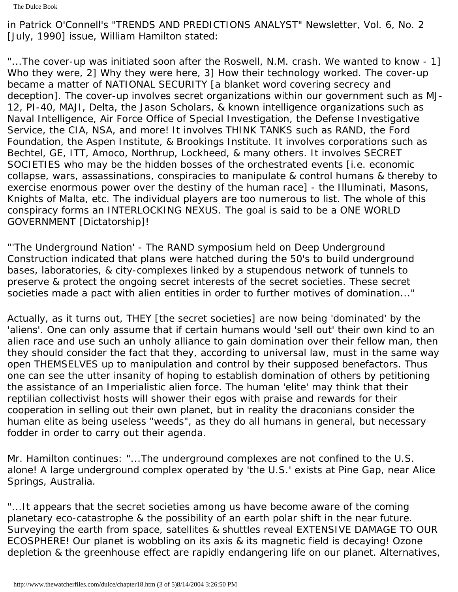in Patrick O'Connell's "TRENDS AND PREDICTIONS ANALYST" Newsletter, Vol. 6, No. 2 [July, 1990] issue, William Hamilton stated:

"...The cover-up was initiated soon after the Roswell, N.M. crash. We wanted to know - 1] Who they were, 2] Why they were here, 3] How their technology worked. The cover-up became a matter of NATIONAL SECURITY [a blanket word covering secrecy and deception]. The cover-up involves secret organizations within our government such as MJ-12, PI-40, MAJI, Delta, the Jason Scholars, & known intelligence organizations such as Naval Intelligence, Air Force Office of Special Investigation, the Defense Investigative Service, the CIA, NSA, and more! It involves THINK TANKS such as RAND, the Ford Foundation, the Aspen Institute, & Brookings Institute. It involves corporations such as Bechtel, GE, ITT, Amoco, Northrup, Lockheed, & many others. It involves SECRET SOCIETIES who may be the hidden bosses of the orchestrated events [i.e. economic collapse, wars, assassinations, conspiracies to manipulate & control humans & thereby to exercise enormous power over the destiny of the human race] - the Illuminati, Masons, Knights of Malta, etc. The individual players are too numerous to list. The whole of this conspiracy forms an INTERLOCKING NEXUS. The goal is said to be a ONE WORLD GOVERNMENT [Dictatorship]!

"'The Underground Nation' - The RAND symposium held on Deep Underground Construction indicated that plans were hatched during the 50's to build underground bases, laboratories, & city-complexes linked by a stupendous network of tunnels to preserve & protect the ongoing secret interests of the secret societies. These secret societies made a pact with alien entities in order to further motives of domination..."

Actually, as it turns out, THEY [the secret societies] are now being 'dominated' by the 'aliens'. One can only assume that if certain humans would 'sell out' their own kind to an alien race and use such an unholy alliance to gain domination over their fellow man, then they should consider the fact that they, according to universal law, must in the same way open THEMSELVES up to manipulation and control by their supposed benefactors. Thus one can see the utter insanity of hoping to establish domination of others by petitioning the assistance of an Imperialistic alien force. The human 'elite' may think that their reptilian collectivist hosts will shower their egos with praise and rewards for their cooperation in selling out their own planet, but in reality the draconians consider the human elite as being useless "weeds", as they do all humans in general, but necessary fodder in order to carry out their agenda.

Mr. Hamilton continues: "...The underground complexes are not confined to the U.S. alone! A large underground complex operated by 'the U.S.' exists at Pine Gap, near Alice Springs, Australia.

"...It appears that the secret societies among us have become aware of the coming planetary eco-catastrophe & the possibility of an earth polar shift in the near future. Surveying the earth from space, satellites & shuttles reveal EXTENSIVE DAMAGE TO OUR ECOSPHERE! Our planet is wobbling on its axis & its magnetic field is decaying! Ozone depletion & the greenhouse effect are rapidly endangering life on our planet. Alternatives,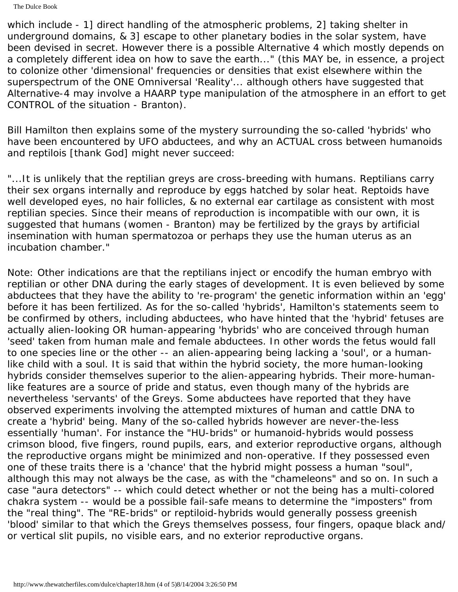which include - 1] direct handling of the atmospheric problems, 2] taking shelter in underground domains, & 3] escape to other planetary bodies in the solar system, have been devised in secret. However there is a possible Alternative 4 which mostly depends on a completely different idea on how to save the earth..." (this MAY be, in essence, a project to colonize other 'dimensional' frequencies or densities that exist elsewhere within the superspectrum of the ONE Omniversal 'Reality'... although others have suggested that Alternative-4 may involve a HAARP type manipulation of the atmosphere in an effort to get CONTROL of the situation - Branton).

Bill Hamilton then explains some of the mystery surrounding the so-called 'hybrids' who have been encountered by UFO abductees, and why an ACTUAL cross between humanoids and reptilois [thank God] might never succeed:

"...It is unlikely that the reptilian greys are cross-breeding with humans. Reptilians carry their sex organs internally and reproduce by eggs hatched by solar heat. Reptoids have well developed eyes, no hair follicles, & no external ear cartilage as consistent with most reptilian species. Since their means of reproduction is incompatible with our own, it is suggested that humans (women - Branton) may be fertilized by the grays by artificial insemination with human spermatozoa or perhaps they use the human uterus as an incubation chamber."

Note: Other indications are that the reptilians inject or encodify the human embryo with reptilian or other DNA during the early stages of development. It is even believed by some abductees that they have the ability to 're-program' the genetic information within an 'egg' before it has been fertilized. As for the so-called 'hybrids', Hamilton's statements seem to be confirmed by others, including abductees, who have hinted that the 'hybrid' fetuses are actually alien-looking OR human-appearing 'hybrids' who are conceived through human 'seed' taken from human male and female abductees. In other words the fetus would fall to one species line or the other -- an alien-appearing being lacking a 'soul', or a humanlike child with a soul. It is said that within the hybrid society, the more human-looking hybrids consider themselves superior to the alien-appearing hybrids. Their more-humanlike features are a source of pride and status, even though many of the hybrids are nevertheless 'servants' of the Greys. Some abductees have reported that they have observed experiments involving the attempted mixtures of human and cattle DNA to create a 'hybrid' being. Many of the so-called hybrids however are never-the-less essentially 'human'. For instance the "HU-brids" or humanoid-hybrids would possess crimson blood, five fingers, round pupils, ears, and exterior reproductive organs, although the reproductive organs might be minimized and non-operative. If they possessed even one of these traits there is a 'chance' that the hybrid might possess a human "soul", although this may not always be the case, as with the "chameleons" and so on. In such a case "aura detectors" -- which could detect whether or not the being has a multi-colored chakra system -- would be a possible fail-safe means to determine the "imposters" from the "real thing". The "RE-brids" or reptiloid-hybrids would generally possess greenish 'blood' similar to that which the Greys themselves possess, four fingers, opaque black and/ or vertical slit pupils, no visible ears, and no exterior reproductive organs.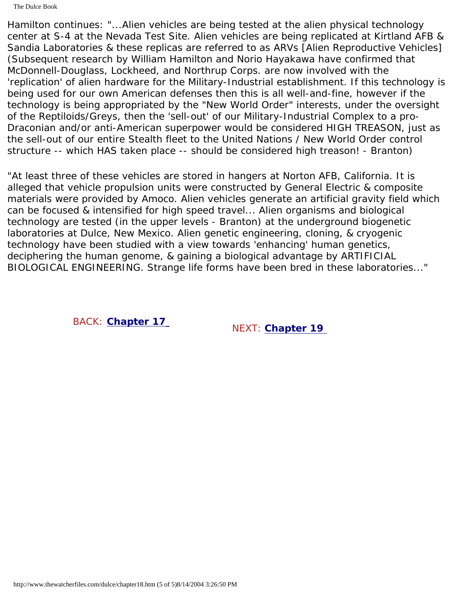Hamilton continues: "...Alien vehicles are being tested at the alien physical technology center at S-4 at the Nevada Test Site. Alien vehicles are being replicated at Kirtland AFB & Sandia Laboratories & these replicas are referred to as ARVs [Alien Reproductive Vehicles] (Subsequent research by William Hamilton and Norio Hayakawa have confirmed that McDonnell-Douglass, Lockheed, and Northrup Corps. are now involved with the 'replication' of alien hardware for the Military-Industrial establishment. If this technology is being used for our own American defenses then this is all well-and-fine, however if the technology is being appropriated by the "New World Order" interests, under the oversight of the Reptiloids/Greys, then the 'sell-out' of our Military-Industrial Complex to a pro-Draconian and/or anti-American superpower would be considered HIGH TREASON, just as the sell-out of our entire Stealth fleet to the United Nations / New World Order control structure -- which HAS taken place -- should be considered high treason! - Branton)

"At least three of these vehicles are stored in hangers at Norton AFB, California. It is alleged that vehicle propulsion units were constructed by General Electric & composite materials were provided by Amoco. Alien vehicles generate an artificial gravity field which can be focused & intensified for high speed travel... Alien organisms and biological technology are tested (in the upper levels - Branton) at the underground biogenetic laboratories at Dulce, New Mexico. Alien genetic engineering, cloning, & cryogenic technology have been studied with a view towards 'enhancing' human genetics, deciphering the human genome, & gaining a biological advantage by ARTIFICIAL BIOLOGICAL ENGINEERING. Strange life forms have been bred in these laboratories..."

BACK: **[Chapter 17](#page-174-0)** NEXT: **[Chapter 19](#page-185-0)**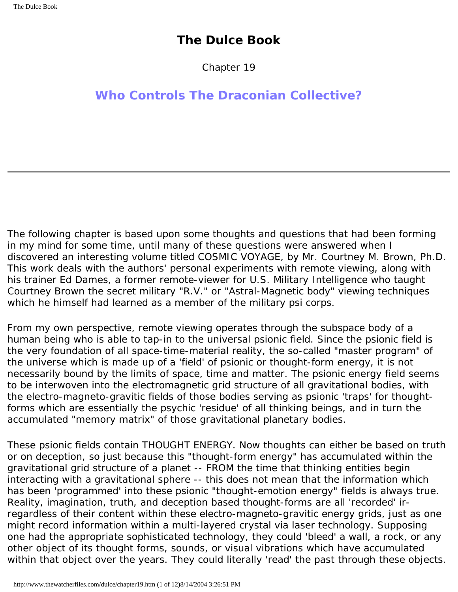Chapter 19

# <span id="page-185-0"></span>**Who Controls The Draconian Collective?**

The following chapter is based upon some thoughts and questions that had been forming in my mind for some time, until many of these questions were answered when I discovered an interesting volume titled COSMIC VOYAGE, by Mr. Courtney M. Brown, Ph.D. This work deals with the authors' personal experiments with remote viewing, along with his trainer Ed Dames, a former remote-viewer for U.S. Military Intelligence who taught Courtney Brown the secret military "R.V." or "Astral-Magnetic body" viewing techniques which he himself had learned as a member of the military psi corps.

From my own perspective, remote viewing operates through the subspace body of a human being who is able to tap-in to the universal psionic field. Since the psionic field is the very foundation of all space-time-material reality, the so-called "master program" of the universe which is made up of a 'field' of psionic or thought-form energy, it is not necessarily bound by the limits of space, time and matter. The psionic energy field seems to be interwoven into the electromagnetic grid structure of all gravitational bodies, with the electro-magneto-gravitic fields of those bodies serving as psionic 'traps' for thoughtforms which are essentially the psychic 'residue' of all thinking beings, and in turn the accumulated "memory matrix" of those gravitational planetary bodies.

These psionic fields contain THOUGHT ENERGY. Now thoughts can either be based on truth or on deception, so just because this "thought-form energy" has accumulated within the gravitational grid structure of a planet -- FROM the time that thinking entities begin interacting with a gravitational sphere -- this does not mean that the information which has been 'programmed' into these psionic "thought-emotion energy" fields is always true. Reality, imagination, truth, and deception based thought-forms are all 'recorded' irregardless of their content within these electro-magneto-gravitic energy grids, just as one might record information within a multi-layered crystal via laser technology. Supposing one had the appropriate sophisticated technology, they could 'bleed' a wall, a rock, or any other object of its thought forms, sounds, or visual vibrations which have accumulated within that object over the years. They could literally 'read' the past through these objects.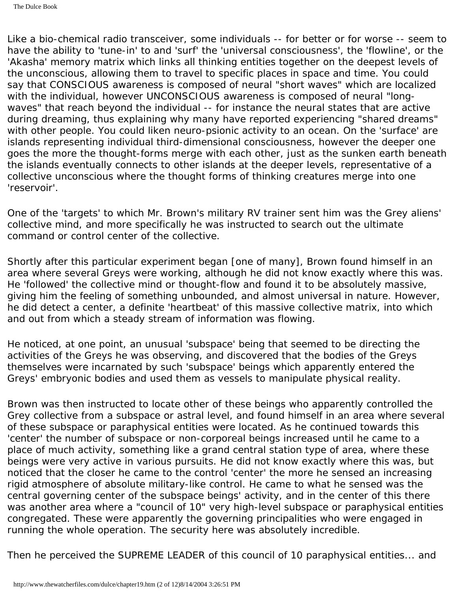Like a bio-chemical radio transceiver, some individuals -- for better or for worse -- seem to have the ability to 'tune-in' to and 'surf' the 'universal consciousness', the 'flowline', or the 'Akasha' memory matrix which links all thinking entities together on the deepest levels of the unconscious, allowing them to travel to specific places in space and time. You could say that CONSCIOUS awareness is composed of neural "short waves" which are localized with the individual, however UNCONSCIOUS awareness is composed of neural "longwaves" that reach beyond the individual -- for instance the neural states that are active during dreaming, thus explaining why many have reported experiencing "shared dreams" with other people. You could liken neuro-psionic activity to an ocean. On the 'surface' are islands representing individual third-dimensional consciousness, however the deeper one goes the more the thought-forms merge with each other, just as the sunken earth beneath the islands eventually connects to other islands at the deeper levels, representative of a collective unconscious where the thought forms of thinking creatures merge into one 'reservoir'.

One of the 'targets' to which Mr. Brown's military RV trainer sent him was the Grey aliens' collective mind, and more specifically he was instructed to search out the ultimate command or control center of the collective.

Shortly after this particular experiment began [one of many], Brown found himself in an area where several Greys were working, although he did not know exactly where this was. He 'followed' the collective mind or thought-flow and found it to be absolutely massive, giving him the feeling of something unbounded, and almost universal in nature. However, he did detect a center, a definite 'heartbeat' of this massive collective matrix, into which and out from which a steady stream of information was flowing.

He noticed, at one point, an unusual 'subspace' being that seemed to be directing the activities of the Greys he was observing, and discovered that the bodies of the Greys themselves were incarnated by such 'subspace' beings which apparently entered the Greys' embryonic bodies and used them as vessels to manipulate physical reality.

Brown was then instructed to locate other of these beings who apparently controlled the Grey collective from a subspace or astral level, and found himself in an area where several of these subspace or paraphysical entities were located. As he continued towards this 'center' the number of subspace or non-corporeal beings increased until he came to a place of much activity, something like a grand central station type of area, where these beings were very active in various pursuits. He did not know exactly where this was, but noticed that the closer he came to the control 'center' the more he sensed an increasing rigid atmosphere of absolute military-like control. He came to what he sensed was the central governing center of the subspace beings' activity, and in the center of this there was another area where a "council of 10" very high-level subspace or paraphysical entities congregated. These were apparently the governing principalities who were engaged in running the whole operation. The security here was absolutely incredible.

Then he perceived the SUPREME LEADER of this council of 10 paraphysical entities... and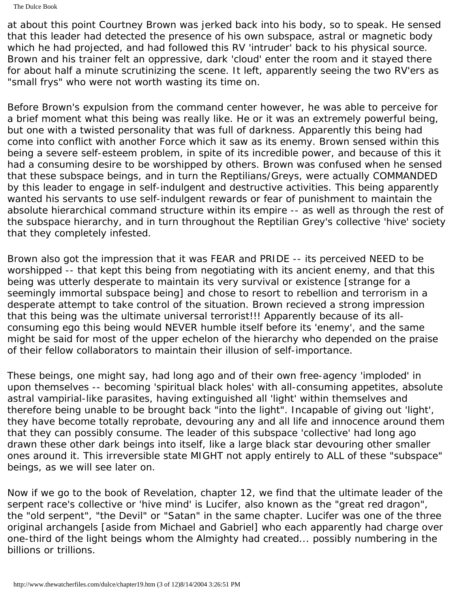The Dulce Book

at about this point Courtney Brown was jerked back into his body, so to speak. He sensed that this leader had detected the presence of his own subspace, astral or magnetic body which he had projected, and had followed this RV 'intruder' back to his physical source. Brown and his trainer felt an oppressive, dark 'cloud' enter the room and it stayed there for about half a minute scrutinizing the scene. It left, apparently seeing the two RV'ers as "small frys" who were not worth wasting its time on.

Before Brown's expulsion from the command center however, he was able to perceive for a brief moment what this being was really like. He or it was an extremely powerful being, but one with a twisted personality that was full of darkness. Apparently this being had come into conflict with another Force which it saw as its enemy. Brown sensed within this being a severe self-esteem problem, in spite of its incredible power, and because of this it had a consuming desire to be worshipped by others. Brown was confused when he sensed that these subspace beings, and in turn the Reptilians/Greys, were actually COMMANDED by this leader to engage in self-indulgent and destructive activities. This being apparently wanted his servants to use self-indulgent rewards or fear of punishment to maintain the absolute hierarchical command structure within its empire -- as well as through the rest of the subspace hierarchy, and in turn throughout the Reptilian Grey's collective 'hive' society that they completely infested.

Brown also got the impression that it was FEAR and PRIDE -- its perceived NEED to be worshipped -- that kept this being from negotiating with its ancient enemy, and that this being was utterly desperate to maintain its very survival or existence [strange for a seemingly immortal subspace being] and chose to resort to rebellion and terrorism in a desperate attempt to take control of the situation. Brown recieved a strong impression that this being was the ultimate universal terrorist!!! Apparently because of its allconsuming ego this being would NEVER humble itself before its 'enemy', and the same might be said for most of the upper echelon of the hierarchy who depended on the praise of their fellow collaborators to maintain their illusion of self-importance.

These beings, one might say, had long ago and of their own free-agency 'imploded' in upon themselves -- becoming 'spiritual black holes' with all-consuming appetites, absolute astral vampirial-like parasites, having extinguished all 'light' within themselves and therefore being unable to be brought back "into the light". Incapable of giving out 'light', they have become totally reprobate, devouring any and all life and innocence around them that they can possibly consume. The leader of this subspace 'collective' had long ago drawn these other dark beings into itself, like a large black star devouring other smaller ones around it. This irreversible state MIGHT not apply entirely to ALL of these "subspace" beings, as we will see later on.

Now if we go to the book of Revelation, chapter 12, we find that the ultimate leader of the serpent race's collective or 'hive mind' is Lucifer, also known as the "great red dragon", the "old serpent", "the Devil" or "Satan" in the same chapter. Lucifer was one of the three original archangels [aside from Michael and Gabriel] who each apparently had charge over one-third of the light beings whom the Almighty had created... possibly numbering in the billions or trillions.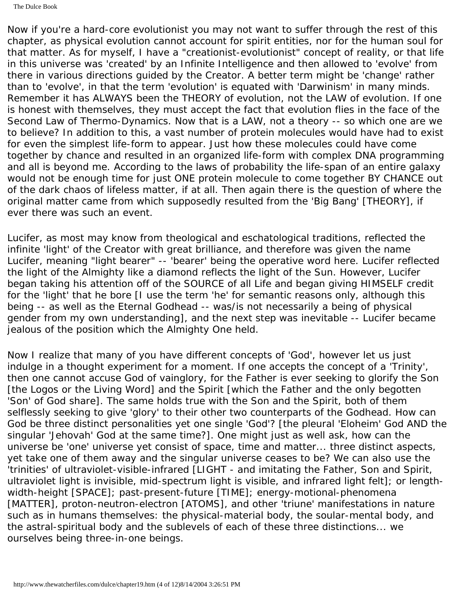Now if you're a hard-core evolutionist you may not want to suffer through the rest of this chapter, as physical evolution cannot account for spirit entities, nor for the human soul for that matter. As for myself, I have a "creationist-evolutionist" concept of reality, or that life in this universe was 'created' by an Infinite Intelligence and then allowed to 'evolve' from there in various directions guided by the Creator. A better term might be 'change' rather than to 'evolve', in that the term 'evolution' is equated with 'Darwinism' in many minds. Remember it has ALWAYS been the THEORY of evolution, not the LAW of evolution. If one is honest with themselves, they must accept the fact that evolution flies in the face of the Second Law of Thermo-Dynamics. Now that is a LAW, not a theory -- so which one are we to believe? In addition to this, a vast number of protein molecules would have had to exist for even the simplest life-form to appear. Just how these molecules could have come together by chance and resulted in an organized life-form with complex DNA programming and all is beyond me. According to the laws of probability the life-span of an entire galaxy would not be enough time for just ONE protein molecule to come together BY CHANCE out of the dark chaos of lifeless matter, if at all. Then again there is the question of where the original matter came from which supposedly resulted from the 'Big Bang' [THEORY], if ever there was such an event.

Lucifer, as most may know from theological and eschatological traditions, reflected the infinite 'light' of the Creator with great brilliance, and therefore was given the name Lucifer, meaning "light bearer" -- 'bearer' being the operative word here. Lucifer reflected the light of the Almighty like a diamond reflects the light of the Sun. However, Lucifer began taking his attention off of the SOURCE of all Life and began giving HIMSELF credit for the 'light' that he bore [I use the term 'he' for semantic reasons only, although this being -- as well as the Eternal Godhead -- was/is not necessarily a being of physical gender from my own understanding], and the next step was inevitable -- Lucifer became jealous of the position which the Almighty One held.

Now I realize that many of you have different concepts of 'God', however let us just indulge in a thought experiment for a moment. If one accepts the concept of a 'Trinity', then one cannot accuse God of vainglory, for the Father is ever seeking to glorify the Son [the Logos or the Living Word] and the Spirit [which the Father and the only begotten 'Son' of God share]. The same holds true with the Son and the Spirit, both of them selflessly seeking to give 'glory' to their other two counterparts of the Godhead. How can God be three distinct personalities yet one single 'God'? [the pleural 'Eloheim' God AND the singular 'Jehovah' God at the same time?]. One might just as well ask, how can the universe be 'one' universe yet consist of space, time and matter... three distinct aspects, yet take one of them away and the singular universe ceases to be? We can also use the 'trinities' of ultraviolet-visible-infrared [LIGHT - and imitating the Father, Son and Spirit, ultraviolet light is invisible, mid-spectrum light is visible, and infrared light felt]; or lengthwidth-height [SPACE]; past-present-future [TIME]; energy-motional-phenomena [MATTER], proton-neutron-electron [ATOMS], and other 'triune' manifestations in nature such as in humans themselves: the physical-material body, the soular-mental body, and the astral-spiritual body and the sublevels of each of these three distinctions... we ourselves being three-in-one beings.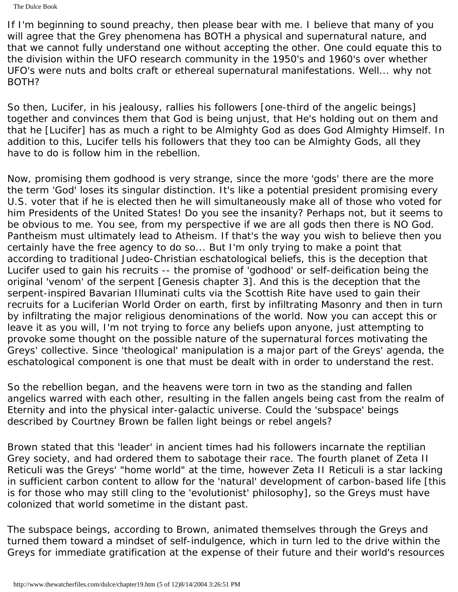The Dulce Book

If I'm beginning to sound preachy, then please bear with me. I believe that many of you will agree that the Grey phenomena has BOTH a physical and supernatural nature, and that we cannot fully understand one without accepting the other. One could equate this to the division within the UFO research community in the 1950's and 1960's over whether UFO's were nuts and bolts craft or ethereal supernatural manifestations. Well... why not BOTH?

So then, Lucifer, in his jealousy, rallies his followers [one-third of the angelic beings] together and convinces them that God is being unjust, that He's holding out on them and that he [Lucifer] has as much a right to be Almighty God as does God Almighty Himself. In addition to this, Lucifer tells his followers that they too can be Almighty Gods, all they have to do is follow him in the rebellion.

Now, promising them godhood is very strange, since the more 'gods' there are the more the term 'God' loses its singular distinction. It's like a potential president promising every U.S. voter that if he is elected then he will simultaneously make all of those who voted for him Presidents of the United States! Do you see the insanity? Perhaps not, but it seems to be obvious to me. You see, from my perspective if we are all gods then there is NO God. Pantheism must ultimately lead to Atheism. If that's the way you wish to believe then you certainly have the free agency to do so... But I'm only trying to make a point that according to traditional Judeo-Christian eschatological beliefs, this is the deception that Lucifer used to gain his recruits -- the promise of 'godhood' or self-deification being the original 'venom' of the serpent [Genesis chapter 3]. And this is the deception that the serpent-inspired Bavarian Illuminati cults via the Scottish Rite have used to gain their recruits for a Luciferian World Order on earth, first by infiltrating Masonry and then in turn by infiltrating the major religious denominations of the world. Now you can accept this or leave it as you will, I'm not trying to force any beliefs upon anyone, just attempting to provoke some thought on the possible nature of the supernatural forces motivating the Greys' collective. Since 'theological' manipulation is a major part of the Greys' agenda, the eschatological component is one that must be dealt with in order to understand the rest.

So the rebellion began, and the heavens were torn in two as the standing and fallen angelics warred with each other, resulting in the fallen angels being cast from the realm of Eternity and into the physical inter-galactic universe. Could the 'subspace' beings described by Courtney Brown be fallen light beings or rebel angels?

Brown stated that this 'leader' in ancient times had his followers incarnate the reptilian Grey society, and had ordered them to sabotage their race. The fourth planet of Zeta II Reticuli was the Greys' "home world" at the time, however Zeta II Reticuli is a star lacking in sufficient carbon content to allow for the 'natural' development of carbon-based life [this is for those who may still cling to the 'evolutionist' philosophy], so the Greys must have colonized that world sometime in the distant past.

The subspace beings, according to Brown, animated themselves through the Greys and turned them toward a mindset of self-indulgence, which in turn led to the drive within the Greys for immediate gratification at the expense of their future and their world's resources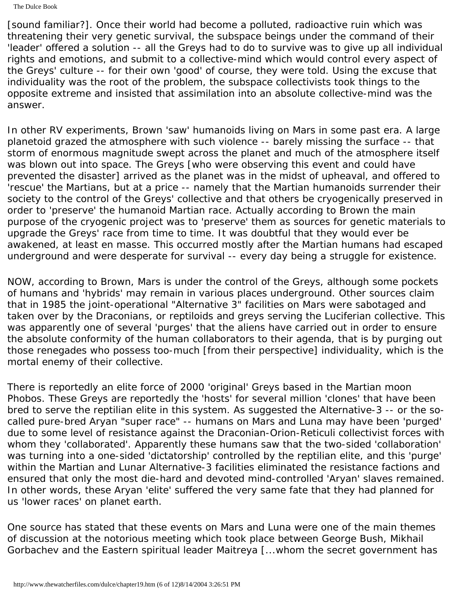The Dulce Book

[sound familiar?]. Once their world had become a polluted, radioactive ruin which was threatening their very genetic survival, the subspace beings under the command of their 'leader' offered a solution -- all the Greys had to do to survive was to give up all individual rights and emotions, and submit to a collective-mind which would control every aspect of the Greys' culture -- for their own 'good' of course, they were told. Using the excuse that individuality was the root of the problem, the subspace collectivists took things to the opposite extreme and insisted that assimilation into an absolute collective-mind was the answer.

In other RV experiments, Brown 'saw' humanoids living on Mars in some past era. A large planetoid grazed the atmosphere with such violence -- barely missing the surface -- that storm of enormous magnitude swept across the planet and much of the atmosphere itself was blown out into space. The Greys [who were observing this event and could have prevented the disaster] arrived as the planet was in the midst of upheaval, and offered to 'rescue' the Martians, but at a price -- namely that the Martian humanoids surrender their society to the control of the Greys' collective and that others be cryogenically preserved in order to 'preserve' the humanoid Martian race. Actually according to Brown the main purpose of the cryogenic project was to 'preserve' them as sources for genetic materials to upgrade the Greys' race from time to time. It was doubtful that they would ever be awakened, at least en masse. This occurred mostly after the Martian humans had escaped underground and were desperate for survival -- every day being a struggle for existence.

NOW, according to Brown, Mars is under the control of the Greys, although some pockets of humans and 'hybrids' may remain in various places underground. Other sources claim that in 1985 the joint-operational "Alternative 3" facilities on Mars were sabotaged and taken over by the Draconians, or reptiloids and greys serving the Luciferian collective. This was apparently one of several 'purges' that the aliens have carried out in order to ensure the absolute conformity of the human collaborators to their agenda, that is by purging out those renegades who possess too-much [from their perspective] individuality, which is the mortal enemy of their collective.

There is reportedly an elite force of 2000 'original' Greys based in the Martian moon Phobos. These Greys are reportedly the 'hosts' for several million 'clones' that have been bred to serve the reptilian elite in this system. As suggested the Alternative-3 -- or the socalled pure-bred Aryan "super race" -- humans on Mars and Luna may have been 'purged' due to some level of resistance against the Draconian-Orion-Reticuli collectivist forces with whom they 'collaborated'. Apparently these humans saw that the two-sided 'collaboration' was turning into a one-sided 'dictatorship' controlled by the reptilian elite, and this 'purge' within the Martian and Lunar Alternative-3 facilities eliminated the resistance factions and ensured that only the most die-hard and devoted mind-controlled 'Aryan' slaves remained. In other words, these Aryan 'elite' suffered the very same fate that they had planned for us 'lower races' on planet earth.

One source has stated that these events on Mars and Luna were one of the main themes of discussion at the notorious meeting which took place between George Bush, Mikhail Gorbachev and the Eastern spiritual leader Maitreya [...whom the secret government has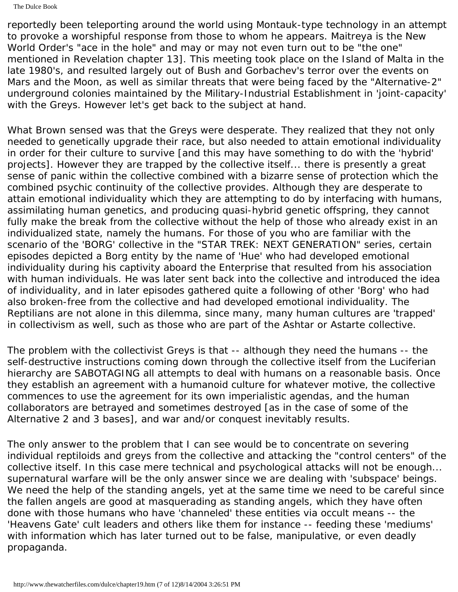The Dulce Book

reportedly been teleporting around the world using Montauk-type technology in an attempt to provoke a worshipful response from those to whom he appears. Maitreya is the New World Order's "ace in the hole" and may or may not even turn out to be "the one" mentioned in Revelation chapter 13]. This meeting took place on the Island of Malta in the late 1980's, and resulted largely out of Bush and Gorbachev's terror over the events on Mars and the Moon, as well as similar threats that were being faced by the "Alternative-2" underground colonies maintained by the Military-Industrial Establishment in 'joint-capacity' with the Greys. However let's get back to the subject at hand.

What Brown sensed was that the Greys were desperate. They realized that they not only needed to genetically upgrade their race, but also needed to attain emotional individuality in order for their culture to survive [and this may have something to do with the 'hybrid' projects]. However they are trapped by the collective itself... there is presently a great sense of panic within the collective combined with a bizarre sense of protection which the combined psychic continuity of the collective provides. Although they are desperate to attain emotional individuality which they are attempting to do by interfacing with humans, assimilating human genetics, and producing quasi-hybrid genetic offspring, they cannot fully make the break from the collective without the help of those who already exist in an individualized state, namely the humans. For those of you who are familiar with the scenario of the 'BORG' collective in the "STAR TREK: NEXT GENERATION" series, certain episodes depicted a Borg entity by the name of 'Hue' who had developed emotional individuality during his captivity aboard the Enterprise that resulted from his association with human individuals. He was later sent back into the collective and introduced the idea of individuality, and in later episodes gathered quite a following of other 'Borg' who had also broken-free from the collective and had developed emotional individuality. The Reptilians are not alone in this dilemma, since many, many human cultures are 'trapped' in collectivism as well, such as those who are part of the Ashtar or Astarte collective.

The problem with the collectivist Greys is that -- although they need the humans -- the self-destructive instructions coming down through the collective itself from the Luciferian hierarchy are SABOTAGING all attempts to deal with humans on a reasonable basis. Once they establish an agreement with a humanoid culture for whatever motive, the collective commences to use the agreement for its own imperialistic agendas, and the human collaborators are betrayed and sometimes destroyed [as in the case of some of the Alternative 2 and 3 bases], and war and/or conquest inevitably results.

The only answer to the problem that I can see would be to concentrate on severing individual reptiloids and greys from the collective and attacking the "control centers" of the collective itself. In this case mere technical and psychological attacks will not be enough... supernatural warfare will be the only answer since we are dealing with 'subspace' beings. We need the help of the standing angels, yet at the same time we need to be careful since the fallen angels are good at masquerading as standing angels, which they have often done with those humans who have 'channeled' these entities via occult means -- the 'Heavens Gate' cult leaders and others like them for instance -- feeding these 'mediums' with information which has later turned out to be false, manipulative, or even deadly propaganda.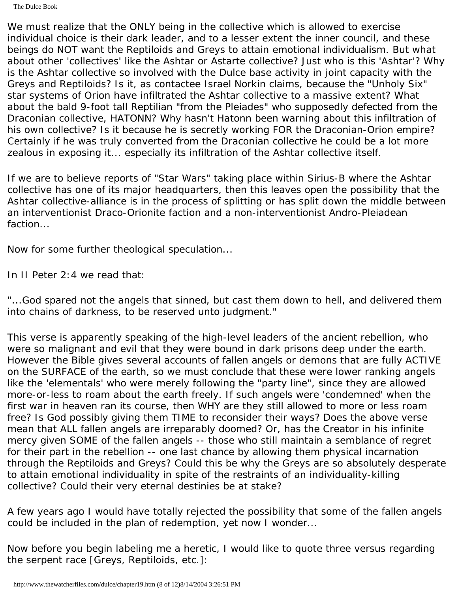We must realize that the ONLY being in the collective which is allowed to exercise individual choice is their dark leader, and to a lesser extent the inner council, and these beings do NOT want the Reptiloids and Greys to attain emotional individualism. But what about other 'collectives' like the Ashtar or Astarte collective? Just who is this 'Ashtar'? Why is the Ashtar collective so involved with the Dulce base activity in joint capacity with the Greys and Reptiloids? Is it, as contactee Israel Norkin claims, because the "Unholy Six" star systems of Orion have infiltrated the Ashtar collective to a massive extent? What about the bald 9-foot tall Reptilian "from the Pleiades" who supposedly defected from the Draconian collective, HATONN? Why hasn't Hatonn been warning about this infiltration of his own collective? Is it because he is secretly working FOR the Draconian-Orion empire? Certainly if he was truly converted from the Draconian collective he could be a lot more zealous in exposing it... especially its infiltration of the Ashtar collective itself.

If we are to believe reports of "Star Wars" taking place within Sirius-B where the Ashtar collective has one of its major headquarters, then this leaves open the possibility that the Ashtar collective-alliance is in the process of splitting or has split down the middle between an interventionist Draco-Orionite faction and a non-interventionist Andro-Pleiadean faction...

Now for some further theological speculation...

In II Peter 2:4 we read that:

"...God spared not the angels that sinned, but cast them down to hell, and delivered them into chains of darkness, to be reserved unto judgment."

This verse is apparently speaking of the high-level leaders of the ancient rebellion, who were so malignant and evil that they were bound in dark prisons deep under the earth. However the Bible gives several accounts of fallen angels or demons that are fully ACTIVE on the SURFACE of the earth, so we must conclude that these were lower ranking angels like the 'elementals' who were merely following the "party line", since they are allowed more-or-less to roam about the earth freely. If such angels were 'condemned' when the first war in heaven ran its course, then WHY are they still allowed to more or less roam free? Is God possibly giving them TIME to reconsider their ways? Does the above verse mean that ALL fallen angels are irreparably doomed? Or, has the Creator in his infinite mercy given SOME of the fallen angels -- those who still maintain a semblance of regret for their part in the rebellion -- one last chance by allowing them physical incarnation through the Reptiloids and Greys? Could this be why the Greys are so absolutely desperate to attain emotional individuality in spite of the restraints of an individuality-killing collective? Could their very eternal destinies be at stake?

A few years ago I would have totally rejected the possibility that some of the fallen angels could be included in the plan of redemption, yet now I wonder...

Now before you begin labeling me a heretic, I would like to quote three versus regarding the serpent race [Greys, Reptiloids, etc.]: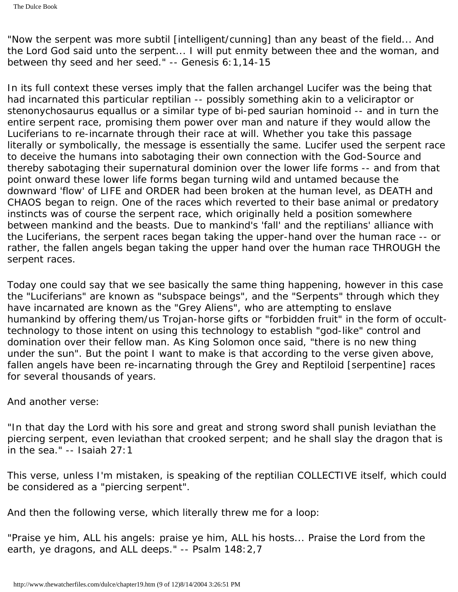"Now the serpent was more subtil [intelligent/cunning] than any beast of the field... And the Lord God said unto the serpent... I will put enmity between thee and the woman, and between thy seed and her seed." -- Genesis 6:1,14-15

In its full context these verses imply that the fallen archangel Lucifer was the being that had incarnated this particular reptilian -- possibly something akin to a veliciraptor or stenonychosaurus equallus or a similar type of bi-ped saurian hominoid -- and in turn the entire serpent race, promising them power over man and nature if they would allow the Luciferians to re-incarnate through their race at will. Whether you take this passage literally or symbolically, the message is essentially the same. Lucifer used the serpent race to deceive the humans into sabotaging their own connection with the God-Source and thereby sabotaging their supernatural dominion over the lower life forms -- and from that point onward these lower life forms began turning wild and untamed because the downward 'flow' of LIFE and ORDER had been broken at the human level, as DEATH and CHAOS began to reign. One of the races which reverted to their base animal or predatory instincts was of course the serpent race, which originally held a position somewhere between mankind and the beasts. Due to mankind's 'fall' and the reptilians' alliance with the Luciferians, the serpent races began taking the upper-hand over the human race -- or rather, the fallen angels began taking the upper hand over the human race THROUGH the serpent races.

Today one could say that we see basically the same thing happening, however in this case the "Luciferians" are known as "subspace beings", and the "Serpents" through which they have incarnated are known as the "Grey Aliens", who are attempting to enslave humankind by offering them/us Trojan-horse gifts or "forbidden fruit" in the form of occulttechnology to those intent on using this technology to establish "god-like" control and domination over their fellow man. As King Solomon once said, "there is no new thing under the sun". But the point I want to make is that according to the verse given above, fallen angels have been re-incarnating through the Grey and Reptiloid [serpentine] races for several thousands of years.

And another verse:

"In that day the Lord with his sore and great and strong sword shall punish leviathan the piercing serpent, even leviathan that crooked serpent; and he shall slay the dragon that is in the sea." -- Isaiah 27:1

This verse, unless I'm mistaken, is speaking of the reptilian COLLECTIVE itself, which could be considered as a "piercing serpent".

And then the following verse, which literally threw me for a loop:

"Praise ye him, ALL his angels: praise ye him, ALL his hosts... Praise the Lord from the earth, ye dragons, and ALL deeps." -- Psalm 148:2,7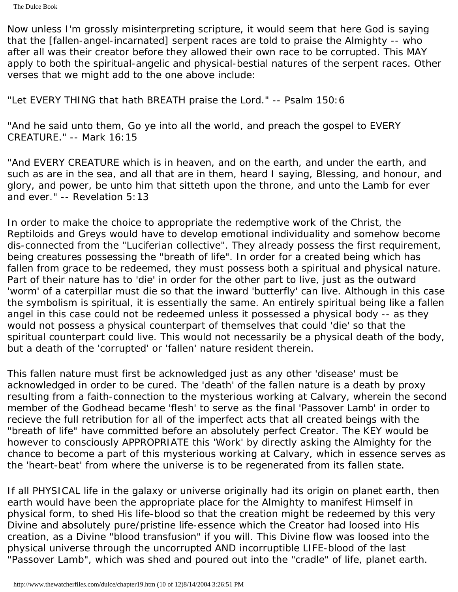Now unless I'm grossly misinterpreting scripture, it would seem that here God is saying that the [fallen-angel-incarnated] serpent races are told to praise the Almighty -- who after all was their creator before they allowed their own race to be corrupted. This MAY apply to both the spiritual-angelic and physical-bestial natures of the serpent races. Other verses that we might add to the one above include:

#### "Let EVERY THING that hath BREATH praise the Lord." -- Psalm 150:6

"And he said unto them, Go ye into all the world, and preach the gospel to EVERY CREATURE." -- Mark 16:15

"And EVERY CREATURE which is in heaven, and on the earth, and under the earth, and such as are in the sea, and all that are in them, heard I saying, Blessing, and honour, and glory, and power, be unto him that sitteth upon the throne, and unto the Lamb for ever and ever." -- Revelation 5:13

In order to make the choice to appropriate the redemptive work of the Christ, the Reptiloids and Greys would have to develop emotional individuality and somehow become dis-connected from the "Luciferian collective". They already possess the first requirement, being creatures possessing the "breath of life". In order for a created being which has fallen from grace to be redeemed, they must possess both a spiritual and physical nature. Part of their nature has to 'die' in order for the other part to live, just as the outward 'worm' of a caterpillar must die so that the inward 'butterfly' can live. Although in this case the symbolism is spiritual, it is essentially the same. An entirely spiritual being like a fallen angel in this case could not be redeemed unless it possessed a physical body -- as they would not possess a physical counterpart of themselves that could 'die' so that the spiritual counterpart could live. This would not necessarily be a physical death of the body, but a death of the 'corrupted' or 'fallen' nature resident therein.

This fallen nature must first be acknowledged just as any other 'disease' must be acknowledged in order to be cured. The 'death' of the fallen nature is a death by proxy resulting from a faith-connection to the mysterious working at Calvary, wherein the second member of the Godhead became 'flesh' to serve as the final 'Passover Lamb' in order to recieve the full retribution for all of the imperfect acts that all created beings with the "breath of life" have committed before an absolutely perfect Creator. The KEY would be however to consciously APPROPRIATE this 'Work' by directly asking the Almighty for the chance to become a part of this mysterious working at Calvary, which in essence serves as the 'heart-beat' from where the universe is to be regenerated from its fallen state.

If all PHYSICAL life in the galaxy or universe originally had its origin on planet earth, then earth would have been the appropriate place for the Almighty to manifest Himself in physical form, to shed His life-blood so that the creation might be redeemed by this very Divine and absolutely pure/pristine life-essence which the Creator had loosed into His creation, as a Divine "blood transfusion" if you will. This Divine flow was loosed into the physical universe through the uncorrupted AND incorruptible LIFE-blood of the last "Passover Lamb", which was shed and poured out into the "cradle" of life, planet earth.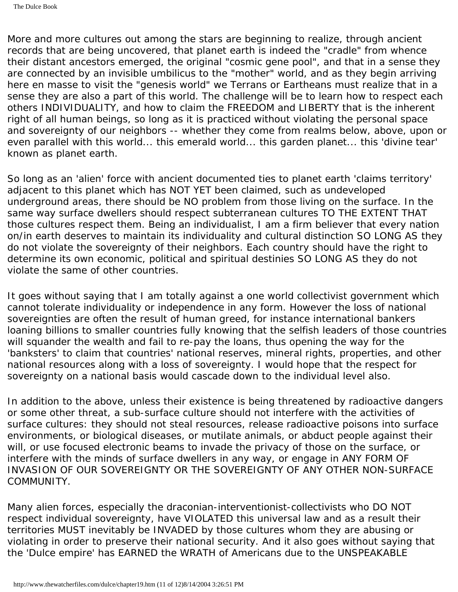More and more cultures out among the stars are beginning to realize, through ancient records that are being uncovered, that planet earth is indeed the "cradle" from whence their distant ancestors emerged, the original "cosmic gene pool", and that in a sense they are connected by an invisible umbilicus to the "mother" world, and as they begin arriving here en masse to visit the "genesis world" we Terrans or Eartheans must realize that in a sense they are also a part of this world. The challenge will be to learn how to respect each others INDIVIDUALITY, and how to claim the FREEDOM and LIBERTY that is the inherent right of all human beings, so long as it is practiced without violating the personal space and sovereignty of our neighbors -- whether they come from realms below, above, upon or even parallel with this world... this emerald world... this garden planet... this 'divine tear' known as planet earth.

So long as an 'alien' force with ancient documented ties to planet earth 'claims territory' adjacent to this planet which has NOT YET been claimed, such as undeveloped underground areas, there should be NO problem from those living on the surface. In the same way surface dwellers should respect subterranean cultures TO THE EXTENT THAT those cultures respect them. Being an individualist, I am a firm believer that every nation on/in earth deserves to maintain its individuality and cultural distinction SO LONG AS they do not violate the sovereignty of their neighbors. Each country should have the right to determine its own economic, political and spiritual destinies SO LONG AS they do not violate the same of other countries.

It goes without saying that I am totally against a one world collectivist government which cannot tolerate individuality or independence in any form. However the loss of national sovereignties are often the result of human greed, for instance international bankers loaning billions to smaller countries fully knowing that the selfish leaders of those countries will squander the wealth and fail to re-pay the loans, thus opening the way for the 'banksters' to claim that countries' national reserves, mineral rights, properties, and other national resources along with a loss of sovereignty. I would hope that the respect for sovereignty on a national basis would cascade down to the individual level also.

In addition to the above, unless their existence is being threatened by radioactive dangers or some other threat, a sub-surface culture should not interfere with the activities of surface cultures: they should not steal resources, release radioactive poisons into surface environments, or biological diseases, or mutilate animals, or abduct people against their will, or use focused electronic beams to invade the privacy of those on the surface, or interfere with the minds of surface dwellers in any way, or engage in ANY FORM OF INVASION OF OUR SOVEREIGNTY OR THE SOVEREIGNTY OF ANY OTHER NON-SURFACE COMMUNITY.

Many alien forces, especially the draconian-interventionist-collectivists who DO NOT respect individual sovereignty, have VIOLATED this universal law and as a result their territories MUST inevitably be INVADED by those cultures whom they are abusing or violating in order to preserve their national security. And it also goes without saying that the 'Dulce empire' has EARNED the WRATH of Americans due to the UNSPEAKABLE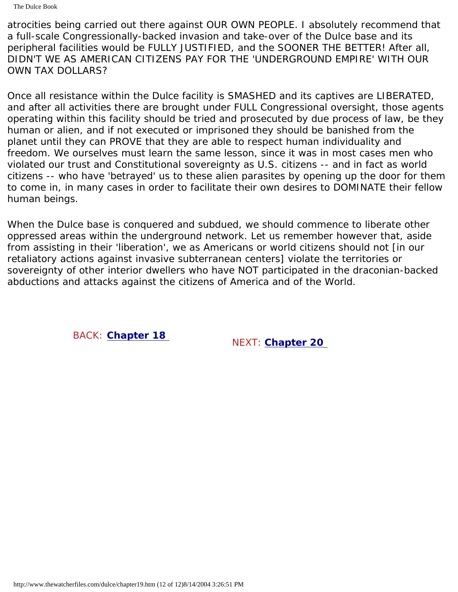atrocities being carried out there against OUR OWN PEOPLE. I absolutely recommend that a full-scale Congressionally-backed invasion and take-over of the Dulce base and its peripheral facilities would be FULLY JUSTIFIED, and the SOONER THE BETTER! After all, DIDN'T WE AS AMERICAN CITIZENS PAY FOR THE 'UNDERGROUND EMPIRE' WITH OUR OWN TAX DOLLARS?

Once all resistance within the Dulce facility is SMASHED and its captives are LIBERATED, and after all activities there are brought under FULL Congressional oversight, those agents operating within this facility should be tried and prosecuted by due process of law, be they human or alien, and if not executed or imprisoned they should be banished from the planet until they can PROVE that they are able to respect human individuality and freedom. We ourselves must learn the same lesson, since it was in most cases men who violated our trust and Constitutional sovereignty as U.S. citizens -- and in fact as world citizens -- who have 'betrayed' us to these alien parasites by opening up the door for them to come in, in many cases in order to facilitate their own desires to DOMINATE their fellow human beings.

When the Dulce base is conquered and subdued, we should commence to liberate other oppressed areas within the underground network. Let us remember however that, aside from assisting in their 'liberation', we as Americans or world citizens should not [in our retaliatory actions against invasive subterranean centers] violate the territories or sovereignty of other interior dwellers who have NOT participated in the draconian-backed abductions and attacks against the citizens of America and of the World.

BACK: **[Chapter 18](#page-180-0)** NEXT: **[Chapter 20](#page-197-0)**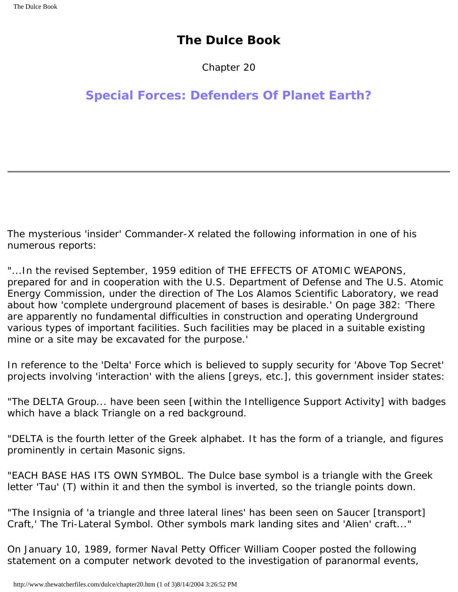Chapter 20

# <span id="page-197-0"></span>**Special Forces: Defenders Of Planet Earth?**

The mysterious 'insider' Commander-X related the following information in one of his numerous reports:

"...In the revised September, 1959 edition of THE EFFECTS OF ATOMIC WEAPONS, prepared for and in cooperation with the U.S. Department of Defense and The U.S. Atomic Energy Commission, under the direction of The Los Alamos Scientific Laboratory, we read about how 'complete underground placement of bases is desirable.' On page 382: 'There are apparently no fundamental difficulties in construction and operating Underground various types of important facilities. Such facilities may be placed in a suitable existing mine or a site may be excavated for the purpose.'

In reference to the 'Delta' Force which is believed to supply security for 'Above Top Secret' projects involving 'interaction' with the aliens [greys, etc.], this government insider states:

"The DELTA Group... have been seen [within the Intelligence Support Activity] with badges which have a black Triangle on a red background.

"DELTA is the fourth letter of the Greek alphabet. It has the form of a triangle, and figures prominently in certain Masonic signs.

"EACH BASE HAS ITS OWN SYMBOL. The Dulce base symbol is a triangle with the Greek letter 'Tau' (T) within it and then the symbol is inverted, so the triangle points down.

"The Insignia of 'a triangle and three lateral lines' has been seen on Saucer [transport] Craft,' The Tri-Lateral Symbol. Other symbols mark landing sites and 'Alien' craft..."

On January 10, 1989, former Naval Petty Officer William Cooper posted the following statement on a computer network devoted to the investigation of paranormal events,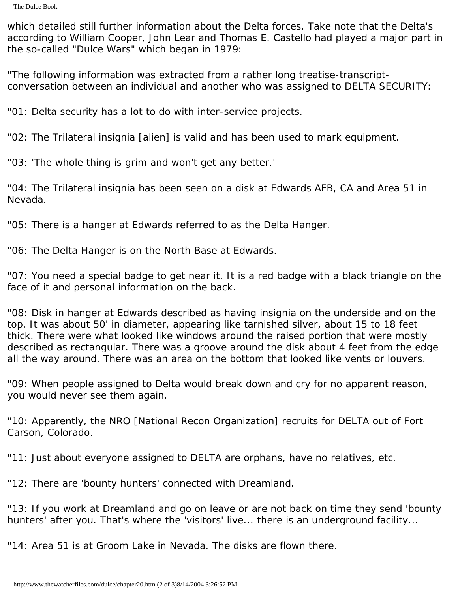which detailed still further information about the Delta forces. Take note that the Delta's according to William Cooper, John Lear and Thomas E. Castello had played a major part in the so-called "Dulce Wars" which began in 1979:

"The following information was extracted from a rather long treatise-transcriptconversation between an individual and another who was assigned to DELTA SECURITY:

"01: Delta security has a lot to do with inter-service projects.

"02: The Trilateral insignia [alien] is valid and has been used to mark equipment.

"03: 'The whole thing is grim and won't get any better.'

"04: The Trilateral insignia has been seen on a disk at Edwards AFB, CA and Area 51 in Nevada.

"05: There is a hanger at Edwards referred to as the Delta Hanger.

"06: The Delta Hanger is on the North Base at Edwards.

"07: You need a special badge to get near it. It is a red badge with a black triangle on the face of it and personal information on the back.

"08: Disk in hanger at Edwards described as having insignia on the underside and on the top. It was about 50' in diameter, appearing like tarnished silver, about 15 to 18 feet thick. There were what looked like windows around the raised portion that were mostly described as rectangular. There was a groove around the disk about 4 feet from the edge all the way around. There was an area on the bottom that looked like vents or louvers.

"09: When people assigned to Delta would break down and cry for no apparent reason, you would never see them again.

"10: Apparently, the NRO [National Recon Organization] recruits for DELTA out of Fort Carson, Colorado.

"11: Just about everyone assigned to DELTA are orphans, have no relatives, etc.

"12: There are 'bounty hunters' connected with Dreamland.

"13: If you work at Dreamland and go on leave or are not back on time they send 'bounty hunters' after you. That's where the 'visitors' live... there is an underground facility...

"14: Area 51 is at Groom Lake in Nevada. The disks are flown there.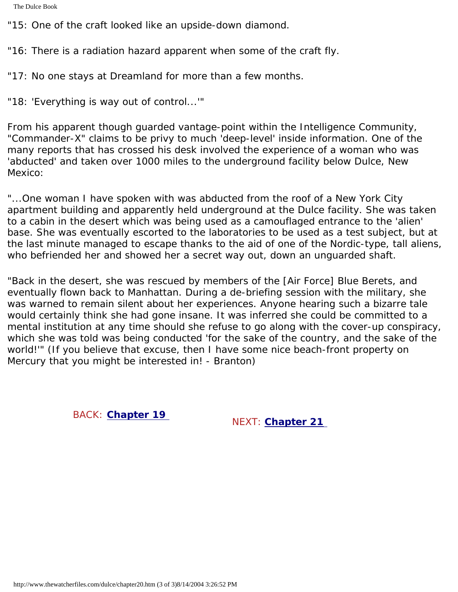"15: One of the craft looked like an upside-down diamond.

"16: There is a radiation hazard apparent when some of the craft fly.

"17: No one stays at Dreamland for more than a few months.

"18: 'Everything is way out of control...'"

From his apparent though guarded vantage-point within the Intelligence Community, "Commander-X" claims to be privy to much 'deep-level' inside information. One of the many reports that has crossed his desk involved the experience of a woman who was 'abducted' and taken over 1000 miles to the underground facility below Dulce, New Mexico:

"...One woman I have spoken with was abducted from the roof of a New York City apartment building and apparently held underground at the Dulce facility. She was taken to a cabin in the desert which was being used as a camouflaged entrance to the 'alien' base. She was eventually escorted to the laboratories to be used as a test subject, but at the last minute managed to escape thanks to the aid of one of the Nordic-type, tall aliens, who befriended her and showed her a secret way out, down an unguarded shaft.

"Back in the desert, she was rescued by members of the [Air Force] Blue Berets, and eventually flown back to Manhattan. During a de-briefing session with the military, she was warned to remain silent about her experiences. Anyone hearing such a bizarre tale would certainly think she had gone insane. It was inferred she could be committed to a mental institution at any time should she refuse to go along with the cover-up conspiracy, which she was told was being conducted 'for the sake of the country, and the sake of the world!'" (If you believe that excuse, then I have some nice beach-front property on Mercury that you might be interested in! - Branton)

BACK: **[Chapter 19](#page-185-0)** NEXT: **[Chapter 21](#page-200-0)**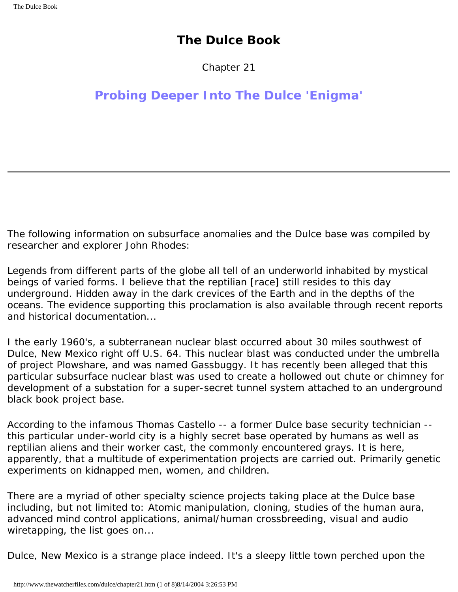Chapter 21

# <span id="page-200-0"></span>**Probing Deeper Into The Dulce 'Enigma'**

The following information on subsurface anomalies and the Dulce base was compiled by researcher and explorer John Rhodes:

Legends from different parts of the globe all tell of an underworld inhabited by mystical beings of varied forms. I believe that the reptilian [race] still resides to this day underground. Hidden away in the dark crevices of the Earth and in the depths of the oceans. The evidence supporting this proclamation is also available through recent reports and historical documentation...

I the early 1960's, a subterranean nuclear blast occurred about 30 miles southwest of Dulce, New Mexico right off U.S. 64. This nuclear blast was conducted under the umbrella of project Plowshare, and was named Gassbuggy. It has recently been alleged that this particular subsurface nuclear blast was used to create a hollowed out chute or chimney for development of a substation for a super-secret tunnel system attached to an underground black book project base.

According to the infamous Thomas Castello -- a former Dulce base security technician - this particular under-world city is a highly secret base operated by humans as well as reptilian aliens and their worker cast, the commonly encountered grays. It is here, apparently, that a multitude of experimentation projects are carried out. Primarily genetic experiments on kidnapped men, women, and children.

There are a myriad of other specialty science projects taking place at the Dulce base including, but not limited to: Atomic manipulation, cloning, studies of the human aura, advanced mind control applications, animal/human crossbreeding, visual and audio wiretapping, the list goes on...

Dulce, New Mexico is a strange place indeed. It's a sleepy little town perched upon the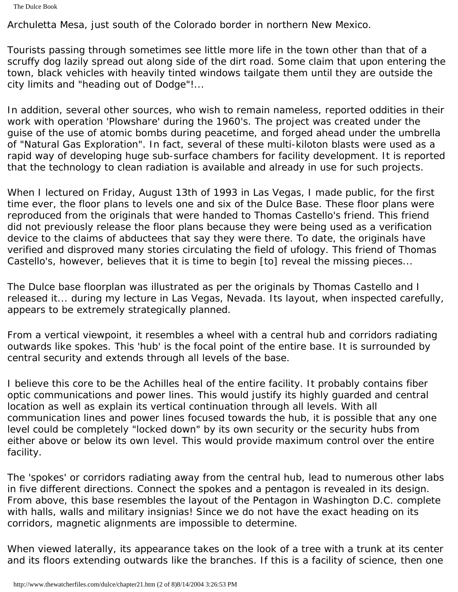The Dulce Book

Archuletta Mesa, just south of the Colorado border in northern New Mexico.

Tourists passing through sometimes see little more life in the town other than that of a scruffy dog lazily spread out along side of the dirt road. Some claim that upon entering the town, black vehicles with heavily tinted windows tailgate them until they are outside the city limits and "heading out of Dodge"!...

In addition, several other sources, who wish to remain nameless, reported oddities in their work with operation 'Plowshare' during the 1960's. The project was created under the guise of the use of atomic bombs during peacetime, and forged ahead under the umbrella of "Natural Gas Exploration". In fact, several of these multi-kiloton blasts were used as a rapid way of developing huge sub-surface chambers for facility development. It is reported that the technology to clean radiation is available and already in use for such projects.

When I lectured on Friday, August 13th of 1993 in Las Vegas, I made public, for the first time ever, the floor plans to levels one and six of the Dulce Base. These floor plans were reproduced from the originals that were handed to Thomas Castello's friend. This friend did not previously release the floor plans because they were being used as a verification device to the claims of abductees that say they were there. To date, the originals have verified and disproved many stories circulating the field of ufology. This friend of Thomas Castello's, however, believes that it is time to begin [to] reveal the missing pieces...

The Dulce base floorplan was illustrated as per the originals by Thomas Castello and I released it... during my lecture in Las Vegas, Nevada. Its layout, when inspected carefully, appears to be extremely strategically planned.

From a vertical viewpoint, it resembles a wheel with a central hub and corridors radiating outwards like spokes. This 'hub' is the focal point of the entire base. It is surrounded by central security and extends through all levels of the base.

I believe this core to be the Achilles heal of the entire facility. It probably contains fiber optic communications and power lines. This would justify its highly guarded and central location as well as explain its vertical continuation through all levels. With all communication lines and power lines focused towards the hub, it is possible that any one level could be completely "locked down" by its own security or the security hubs from either above or below its own level. This would provide maximum control over the entire facility.

The 'spokes' or corridors radiating away from the central hub, lead to numerous other labs in five different directions. Connect the spokes and a pentagon is revealed in its design. From above, this base resembles the layout of the Pentagon in Washington D.C. complete with halls, walls and military insignias! Since we do not have the exact heading on its corridors, magnetic alignments are impossible to determine.

When viewed laterally, its appearance takes on the look of a tree with a trunk at its center and its floors extending outwards like the branches. If this is a facility of science, then one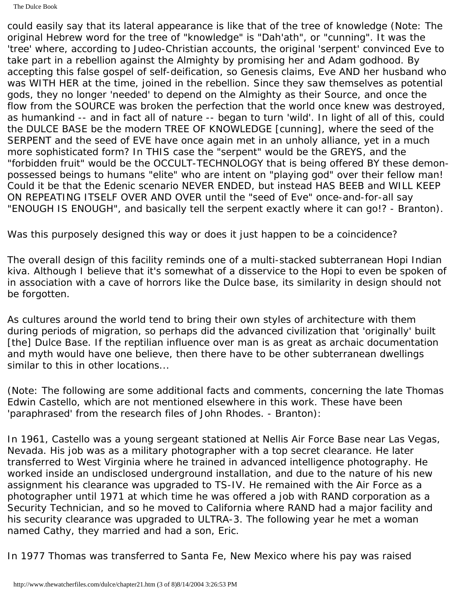could easily say that its lateral appearance is like that of the tree of knowledge (Note: The original Hebrew word for the tree of "knowledge" is "Dah'ath", or "cunning". It was the 'tree' where, according to Judeo-Christian accounts, the original 'serpent' convinced Eve to take part in a rebellion against the Almighty by promising her and Adam godhood. By accepting this false gospel of self-deification, so Genesis claims, Eve AND her husband who was WITH HER at the time, joined in the rebellion. Since they saw themselves as potential gods, they no longer 'needed' to depend on the Almighty as their Source, and once the flow from the SOURCE was broken the perfection that the world once knew was destroyed, as humankind -- and in fact all of nature -- began to turn 'wild'. In light of all of this, could the DULCE BASE be the modern TREE OF KNOWLEDGE [cunning], where the seed of the SERPENT and the seed of EVE have once again met in an unholy alliance, yet in a much more sophisticated form? In THIS case the "serpent" would be the GREYS, and the "forbidden fruit" would be the OCCULT-TECHNOLOGY that is being offered BY these demonpossessed beings to humans "elite" who are intent on "playing god" over their fellow man! Could it be that the Edenic scenario NEVER ENDED, but instead HAS BEEB and WILL KEEP ON REPEATING ITSELF OVER AND OVER until the "seed of Eve" once-and-for-all say "ENOUGH IS ENOUGH", and basically tell the serpent exactly where it can go!? - Branton).

Was this purposely designed this way or does it just happen to be a coincidence?

The overall design of this facility reminds one of a multi-stacked subterranean Hopi Indian kiva. Although I believe that it's somewhat of a disservice to the Hopi to even be spoken of in association with a cave of horrors like the Dulce base, its similarity in design should not be forgotten.

As cultures around the world tend to bring their own styles of architecture with them during periods of migration, so perhaps did the advanced civilization that 'originally' built [the] Dulce Base. If the reptilian influence over man is as great as archaic documentation and myth would have one believe, then there have to be other subterranean dwellings similar to this in other locations...

(Note: The following are some additional facts and comments, concerning the late Thomas Edwin Castello, which are not mentioned elsewhere in this work. These have been 'paraphrased' from the research files of John Rhodes. - Branton):

In 1961, Castello was a young sergeant stationed at Nellis Air Force Base near Las Vegas, Nevada. His job was as a military photographer with a top secret clearance. He later transferred to West Virginia where he trained in advanced intelligence photography. He worked inside an undisclosed underground installation, and due to the nature of his new assignment his clearance was upgraded to TS-IV. He remained with the Air Force as a photographer until 1971 at which time he was offered a job with RAND corporation as a Security Technician, and so he moved to California where RAND had a major facility and his security clearance was upgraded to ULTRA-3. The following year he met a woman named Cathy, they married and had a son, Eric.

In 1977 Thomas was transferred to Santa Fe, New Mexico where his pay was raised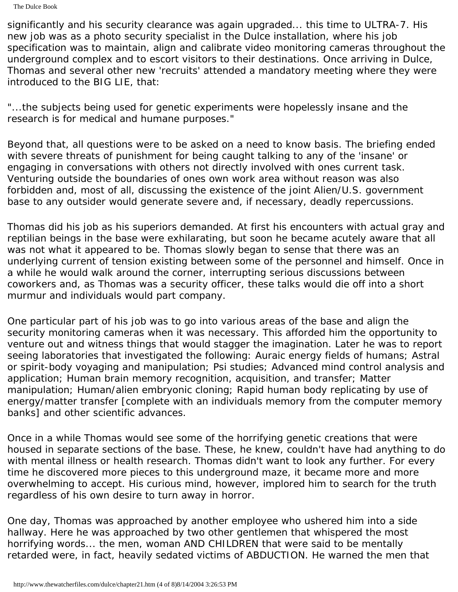The Dulce Book

significantly and his security clearance was again upgraded... this time to ULTRA-7. His new job was as a photo security specialist in the Dulce installation, where his job specification was to maintain, align and calibrate video monitoring cameras throughout the underground complex and to escort visitors to their destinations. Once arriving in Dulce, Thomas and several other new 'recruits' attended a mandatory meeting where they were introduced to the BIG LIE, that:

"...the subjects being used for genetic experiments were hopelessly insane and the research is for medical and humane purposes."

Beyond that, all questions were to be asked on a need to know basis. The briefing ended with severe threats of punishment for being caught talking to any of the 'insane' or engaging in conversations with others not directly involved with ones current task. Venturing outside the boundaries of ones own work area without reason was also forbidden and, most of all, discussing the existence of the joint Alien/U.S. government base to any outsider would generate severe and, if necessary, deadly repercussions.

Thomas did his job as his superiors demanded. At first his encounters with actual gray and reptilian beings in the base were exhilarating, but soon he became acutely aware that all was not what it appeared to be. Thomas slowly began to sense that there was an underlying current of tension existing between some of the personnel and himself. Once in a while he would walk around the corner, interrupting serious discussions between coworkers and, as Thomas was a security officer, these talks would die off into a short murmur and individuals would part company.

One particular part of his job was to go into various areas of the base and align the security monitoring cameras when it was necessary. This afforded him the opportunity to venture out and witness things that would stagger the imagination. Later he was to report seeing laboratories that investigated the following: Auraic energy fields of humans; Astral or spirit-body voyaging and manipulation; Psi studies; Advanced mind control analysis and application; Human brain memory recognition, acquisition, and transfer; Matter manipulation; Human/alien embryonic cloning; Rapid human body replicating by use of energy/matter transfer [complete with an individuals memory from the computer memory banks] and other scientific advances.

Once in a while Thomas would see some of the horrifying genetic creations that were housed in separate sections of the base. These, he knew, couldn't have had anything to do with mental illness or health research. Thomas didn't want to look any further. For every time he discovered more pieces to this underground maze, it became more and more overwhelming to accept. His curious mind, however, implored him to search for the truth regardless of his own desire to turn away in horror.

One day, Thomas was approached by another employee who ushered him into a side hallway. Here he was approached by two other gentlemen that whispered the most horrifying words... the men, woman AND CHILDREN that were said to be mentally retarded were, in fact, heavily sedated victims of ABDUCTION. He warned the men that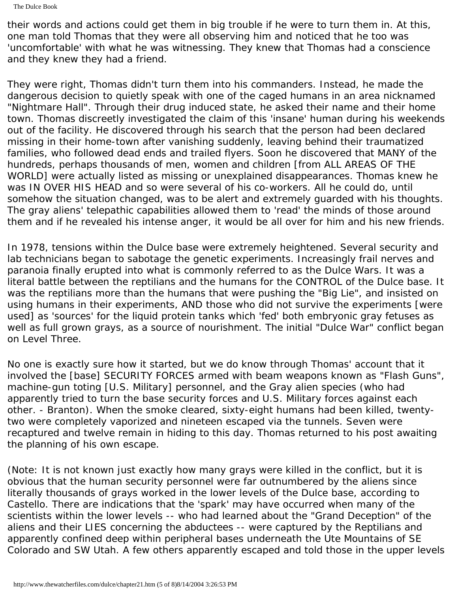The Dulce Book

their words and actions could get them in big trouble if he were to turn them in. At this, one man told Thomas that they were all observing him and noticed that he too was 'uncomfortable' with what he was witnessing. They knew that Thomas had a conscience and they knew they had a friend.

They were right, Thomas didn't turn them into his commanders. Instead, he made the dangerous decision to quietly speak with one of the caged humans in an area nicknamed "Nightmare Hall". Through their drug induced state, he asked their name and their home town. Thomas discreetly investigated the claim of this 'insane' human during his weekends out of the facility. He discovered through his search that the person had been declared missing in their home-town after vanishing suddenly, leaving behind their traumatized families, who followed dead ends and trailed flyers. Soon he discovered that MANY of the hundreds, perhaps thousands of men, women and children [from ALL AREAS OF THE WORLD] were actually listed as missing or unexplained disappearances. Thomas knew he was IN OVER HIS HEAD and so were several of his co-workers. All he could do, until somehow the situation changed, was to be alert and extremely guarded with his thoughts. The gray aliens' telepathic capabilities allowed them to 'read' the minds of those around them and if he revealed his intense anger, it would be all over for him and his new friends.

In 1978, tensions within the Dulce base were extremely heightened. Several security and lab technicians began to sabotage the genetic experiments. Increasingly frail nerves and paranoia finally erupted into what is commonly referred to as the Dulce Wars. It was a literal battle between the reptilians and the humans for the CONTROL of the Dulce base. It was the reptilians more than the humans that were pushing the "Big Lie", and insisted on using humans in their experiments, AND those who did not survive the experiments [were used] as 'sources' for the liquid protein tanks which 'fed' both embryonic gray fetuses as well as full grown grays, as a source of nourishment. The initial "Dulce War" conflict began on Level Three.

No one is exactly sure how it started, but we do know through Thomas' account that it involved the [base] SECURITY FORCES armed with beam weapons known as "Flash Guns", machine-gun toting [U.S. Military] personnel, and the Gray alien species (who had apparently tried to turn the base security forces and U.S. Military forces against each other. - Branton). When the smoke cleared, sixty-eight humans had been killed, twentytwo were completely vaporized and nineteen escaped via the tunnels. Seven were recaptured and twelve remain in hiding to this day. Thomas returned to his post awaiting the planning of his own escape.

(Note: It is not known just exactly how many grays were killed in the conflict, but it is obvious that the human security personnel were far outnumbered by the aliens since literally thousands of grays worked in the lower levels of the Dulce base, according to Castello. There are indications that the 'spark' may have occurred when many of the scientists within the lower levels -- who had learned about the "Grand Deception" of the aliens and their LIES concerning the abductees -- were captured by the Reptilians and apparently confined deep within peripheral bases underneath the Ute Mountains of SE Colorado and SW Utah. A few others apparently escaped and told those in the upper levels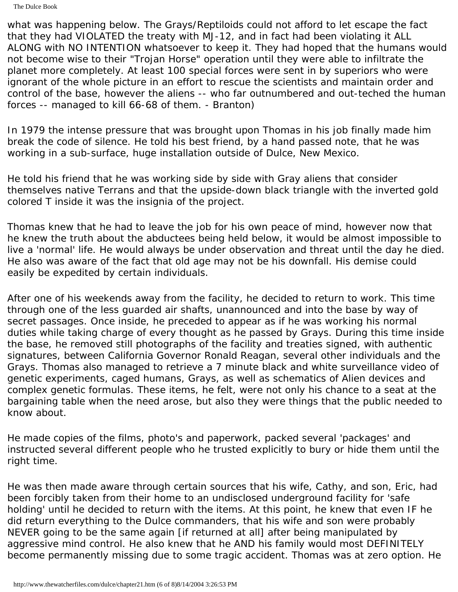what was happening below. The Grays/Reptiloids could not afford to let escape the fact that they had VIOLATED the treaty with MJ-12, and in fact had been violating it ALL ALONG with NO INTENTION whatsoever to keep it. They had hoped that the humans would not become wise to their "Trojan Horse" operation until they were able to infiltrate the planet more completely. At least 100 special forces were sent in by superiors who were ignorant of the whole picture in an effort to rescue the scientists and maintain order and control of the base, however the aliens -- who far outnumbered and out-teched the human forces -- managed to kill 66-68 of them. - Branton)

In 1979 the intense pressure that was brought upon Thomas in his job finally made him break the code of silence. He told his best friend, by a hand passed note, that he was working in a sub-surface, huge installation outside of Dulce, New Mexico.

He told his friend that he was working side by side with Gray aliens that consider themselves native Terrans and that the upside-down black triangle with the inverted gold colored T inside it was the insignia of the project.

Thomas knew that he had to leave the job for his own peace of mind, however now that he knew the truth about the abductees being held below, it would be almost impossible to live a 'normal' life. He would always be under observation and threat until the day he died. He also was aware of the fact that old age may not be his downfall. His demise could easily be expedited by certain individuals.

After one of his weekends away from the facility, he decided to return to work. This time through one of the less guarded air shafts, unannounced and into the base by way of secret passages. Once inside, he preceded to appear as if he was working his normal duties while taking charge of every thought as he passed by Grays. During this time inside the base, he removed still photographs of the facility and treaties signed, with authentic signatures, between California Governor Ronald Reagan, several other individuals and the Grays. Thomas also managed to retrieve a 7 minute black and white surveillance video of genetic experiments, caged humans, Grays, as well as schematics of Alien devices and complex genetic formulas. These items, he felt, were not only his chance to a seat at the bargaining table when the need arose, but also they were things that the public needed to know about.

He made copies of the films, photo's and paperwork, packed several 'packages' and instructed several different people who he trusted explicitly to bury or hide them until the right time.

He was then made aware through certain sources that his wife, Cathy, and son, Eric, had been forcibly taken from their home to an undisclosed underground facility for 'safe holding' until he decided to return with the items. At this point, he knew that even IF he did return everything to the Dulce commanders, that his wife and son were probably NEVER going to be the same again [if returned at all] after being manipulated by aggressive mind control. He also knew that he AND his family would most DEFINITELY become permanently missing due to some tragic accident. Thomas was at zero option. He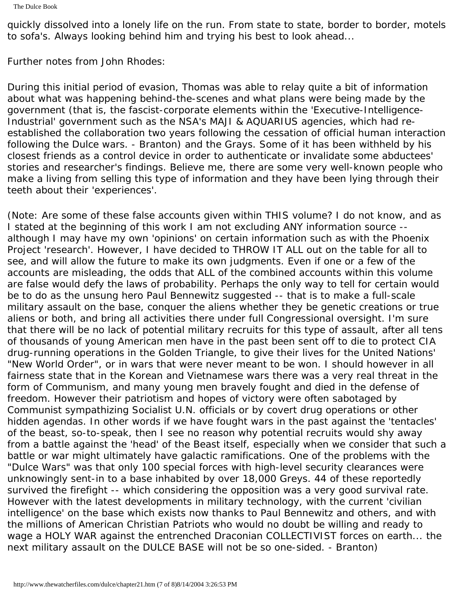The Dulce Book

quickly dissolved into a lonely life on the run. From state to state, border to border, motels to sofa's. Always looking behind him and trying his best to look ahead...

Further notes from John Rhodes:

During this initial period of evasion, Thomas was able to relay quite a bit of information about what was happening behind-the-scenes and what plans were being made by the government (that is, the fascist-corporate elements within the 'Executive-Intelligence-Industrial' government such as the NSA's MAJI & AQUARIUS agencies, which had reestablished the collaboration two years following the cessation of official human interaction following the Dulce wars. - Branton) and the Grays. Some of it has been withheld by his closest friends as a control device in order to authenticate or invalidate some abductees' stories and researcher's findings. Believe me, there are some very well-known people who make a living from selling this type of information and they have been lying through their teeth about their 'experiences'.

(Note: Are some of these false accounts given within THIS volume? I do not know, and as I stated at the beginning of this work I am not excluding ANY information source - although I may have my own 'opinions' on certain information such as with the Phoenix Project 'research'. However, I have decided to THROW IT ALL out on the table for all to see, and will allow the future to make its own judgments. Even if one or a few of the accounts are misleading, the odds that ALL of the combined accounts within this volume are false would defy the laws of probability. Perhaps the only way to tell for certain would be to do as the unsung hero Paul Bennewitz suggested -- that is to make a full-scale military assault on the base, conquer the aliens whether they be genetic creations or true aliens or both, and bring all activities there under full Congressional oversight. I'm sure that there will be no lack of potential military recruits for this type of assault, after all tens of thousands of young American men have in the past been sent off to die to protect CIA drug-running operations in the Golden Triangle, to give their lives for the United Nations' "New World Order", or in wars that were never meant to be won. I should however in all fairness state that in the Korean and Vietnamese wars there was a very real threat in the form of Communism, and many young men bravely fought and died in the defense of freedom. However their patriotism and hopes of victory were often sabotaged by Communist sympathizing Socialist U.N. officials or by covert drug operations or other hidden agendas. In other words if we have fought wars in the past against the 'tentacles' of the beast, so-to-speak, then I see no reason why potential recruits would shy away from a battle against the 'head' of the Beast itself, especially when we consider that such a battle or war might ultimately have galactic ramifications. One of the problems with the "Dulce Wars" was that only 100 special forces with high-level security clearances were unknowingly sent-in to a base inhabited by over 18,000 Greys. 44 of these reportedly survived the firefight -- which considering the opposition was a very good survival rate. However with the latest developments in military technology, with the current 'civilian intelligence' on the base which exists now thanks to Paul Bennewitz and others, and with the millions of American Christian Patriots who would no doubt be willing and ready to wage a HOLY WAR against the entrenched Draconian COLLECTIVIST forces on earth... the next military assault on the DULCE BASE will not be so one-sided. - Branton)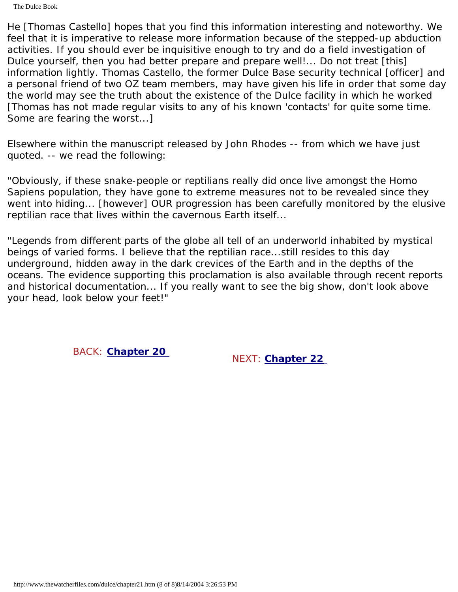He [Thomas Castello] hopes that you find this information interesting and noteworthy. We feel that it is imperative to release more information because of the stepped-up abduction activities. If you should ever be inquisitive enough to try and do a field investigation of Dulce yourself, then you had better prepare and prepare well!... Do not treat [this] information lightly. Thomas Castello, the former Dulce Base security technical [officer] and a personal friend of two OZ team members, may have given his life in order that some day the world may see the truth about the existence of the Dulce facility in which he worked [Thomas has not made regular visits to any of his known 'contacts' for quite some time. Some are fearing the worst...]

Elsewhere within the manuscript released by John Rhodes -- from which we have just quoted. -- we read the following:

"Obviously, if these snake-people or reptilians really did once live amongst the Homo Sapiens population, they have gone to extreme measures not to be revealed since they went into hiding... [however] OUR progression has been carefully monitored by the elusive reptilian race that lives within the cavernous Earth itself...

"Legends from different parts of the globe all tell of an underworld inhabited by mystical beings of varied forms. I believe that the reptilian race...still resides to this day underground, hidden away in the dark crevices of the Earth and in the depths of the oceans. The evidence supporting this proclamation is also available through recent reports and historical documentation... If you really want to see the big show, don't look above your head, look below your feet!"

BACK: **[Chapter 20](#page-197-0)** NEXT: **[Chapter 22](#page-208-0)**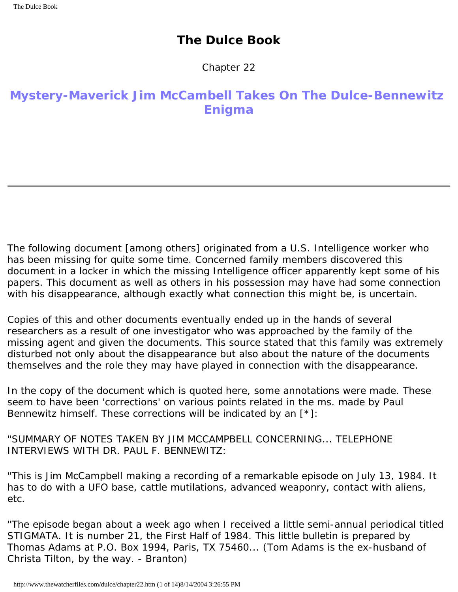Chapter 22

## <span id="page-208-0"></span>**Mystery-Maverick Jim McCambell Takes On The Dulce-Bennewitz Enigma**

The following document [among others] originated from a U.S. Intelligence worker who has been missing for quite some time. Concerned family members discovered this document in a locker in which the missing Intelligence officer apparently kept some of his papers. This document as well as others in his possession may have had some connection with his disappearance, although exactly what connection this might be, is uncertain.

Copies of this and other documents eventually ended up in the hands of several researchers as a result of one investigator who was approached by the family of the missing agent and given the documents. This source stated that this family was extremely disturbed not only about the disappearance but also about the nature of the documents themselves and the role they may have played in connection with the disappearance.

In the copy of the document which is quoted here, some annotations were made. These seem to have been 'corrections' on various points related in the ms. made by Paul Bennewitz himself. These corrections will be indicated by an [\*]:

"SUMMARY OF NOTES TAKEN BY JIM MCCAMPBELL CONCERNING... TELEPHONE INTERVIEWS WITH DR. PAUL F. BENNEWITZ:

"This is Jim McCampbell making a recording of a remarkable episode on July 13, 1984. It has to do with a UFO base, cattle mutilations, advanced weaponry, contact with aliens, etc.

"The episode began about a week ago when I received a little semi-annual periodical titled STIGMATA. It is number 21, the First Half of 1984. This little bulletin is prepared by Thomas Adams at P.O. Box 1994, Paris, TX 75460... (Tom Adams is the ex-husband of Christa Tilton, by the way. - Branton)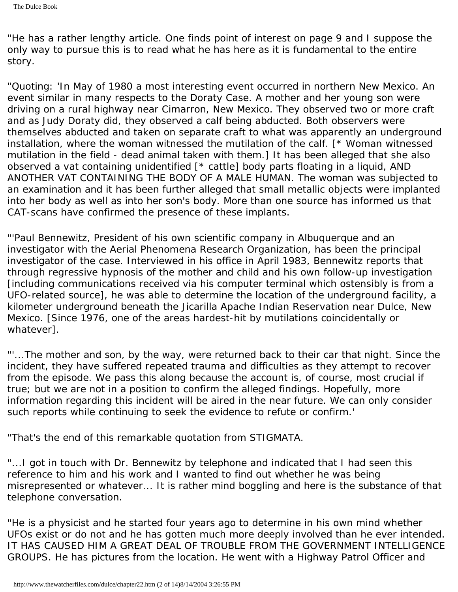"He has a rather lengthy article. One finds point of interest on page 9 and I suppose the only way to pursue this is to read what he has here as it is fundamental to the entire story.

"Quoting: 'In May of 1980 a most interesting event occurred in northern New Mexico. An event similar in many respects to the Doraty Case. A mother and her young son were driving on a rural highway near Cimarron, New Mexico. They observed two or more craft and as Judy Doraty did, they observed a calf being abducted. Both observers were themselves abducted and taken on separate craft to what was apparently an underground installation, where the woman witnessed the mutilation of the calf. [\* Woman witnessed mutilation in the field - dead animal taken with them.] It has been alleged that she also observed a vat containing unidentified [\* cattle] body parts floating in a liquid, AND ANOTHER VAT CONTAINING THE BODY OF A MALE HUMAN. The woman was subjected to an examination and it has been further alleged that small metallic objects were implanted into her body as well as into her son's body. More than one source has informed us that CAT-scans have confirmed the presence of these implants.

"'Paul Bennewitz, President of his own scientific company in Albuquerque and an investigator with the Aerial Phenomena Research Organization, has been the principal investigator of the case. Interviewed in his office in April 1983, Bennewitz reports that through regressive hypnosis of the mother and child and his own follow-up investigation [including communications received via his computer terminal which ostensibly is from a UFO-related source], he was able to determine the location of the underground facility, a kilometer underground beneath the Jicarilla Apache Indian Reservation near Dulce, New Mexico. [Since 1976, one of the areas hardest-hit by mutilations coincidentally or whatever].

"'...The mother and son, by the way, were returned back to their car that night. Since the incident, they have suffered repeated trauma and difficulties as they attempt to recover from the episode. We pass this along because the account is, of course, most crucial if true; but we are not in a position to confirm the alleged findings. Hopefully, more information regarding this incident will be aired in the near future. We can only consider such reports while continuing to seek the evidence to refute or confirm.'

"That's the end of this remarkable quotation from STIGMATA.

"...I got in touch with Dr. Bennewitz by telephone and indicated that I had seen this reference to him and his work and I wanted to find out whether he was being misrepresented or whatever... It is rather mind boggling and here is the substance of that telephone conversation.

"He is a physicist and he started four years ago to determine in his own mind whether UFOs exist or do not and he has gotten much more deeply involved than he ever intended. IT HAS CAUSED HIM A GREAT DEAL OF TROUBLE FROM THE GOVERNMENT INTELLIGENCE GROUPS. He has pictures from the location. He went with a Highway Patrol Officer and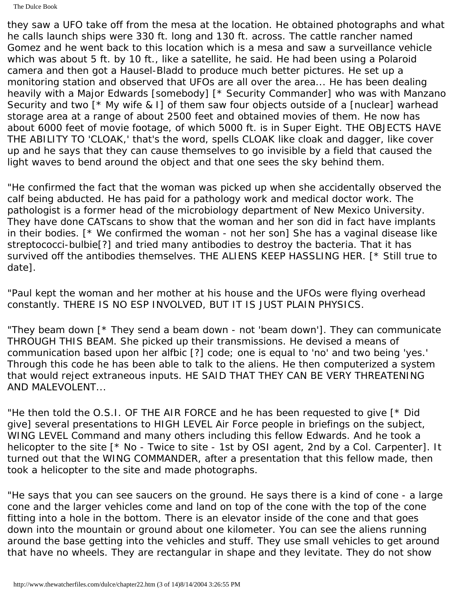they saw a UFO take off from the mesa at the location. He obtained photographs and what he calls launch ships were 330 ft. long and 130 ft. across. The cattle rancher named Gomez and he went back to this location which is a mesa and saw a surveillance vehicle which was about 5 ft. by 10 ft., like a satellite, he said. He had been using a Polaroid camera and then got a Hausel-Bladd to produce much better pictures. He set up a monitoring station and observed that UFOs are all over the area... He has been dealing heavily with a Major Edwards [somebody] [\* Security Commander] who was with Manzano Security and two [\* My wife & I] of them saw four objects outside of a [nuclear] warhead storage area at a range of about 2500 feet and obtained movies of them. He now has about 6000 feet of movie footage, of which 5000 ft. is in Super Eight. THE OBJECTS HAVE THE ABILITY TO 'CLOAK,' that's the word, spells CLOAK like cloak and dagger, like cover up and he says that they can cause themselves to go invisible by a field that caused the light waves to bend around the object and that one sees the sky behind them.

"He confirmed the fact that the woman was picked up when she accidentally observed the calf being abducted. He has paid for a pathology work and medical doctor work. The pathologist is a former head of the microbiology department of New Mexico University. They have done CATscans to show that the woman and her son did in fact have implants in their bodies.  $\lceil$ \* We confirmed the woman - not her son] She has a vaginal disease like streptococci-bulbie[?] and tried many antibodies to destroy the bacteria. That it has survived off the antibodies themselves. THE ALIENS KEEP HASSLING HER. [\* Still true to date].

"Paul kept the woman and her mother at his house and the UFOs were flying overhead constantly. THERE IS NO ESP INVOLVED, BUT IT IS JUST PLAIN PHYSICS.

"They beam down [\* They send a beam down - not 'beam down']. They can communicate THROUGH THIS BEAM. She picked up their transmissions. He devised a means of communication based upon her alfbic [?] code; one is equal to 'no' and two being 'yes.' Through this code he has been able to talk to the aliens. He then computerized a system that would reject extraneous inputs. HE SAID THAT THEY CAN BE VERY THREATENING AND MALEVOLENT...

"He then told the O.S.I. OF THE AIR FORCE and he has been requested to give [\* Did give] several presentations to HIGH LEVEL Air Force people in briefings on the subject, WING LEVEL Command and many others including this fellow Edwards. And he took a helicopter to the site [\* No - Twice to site - 1st by OSI agent, 2nd by a Col. Carpenter]. It turned out that the WING COMMANDER, after a presentation that this fellow made, then took a helicopter to the site and made photographs.

"He says that you can see saucers on the ground. He says there is a kind of cone - a large cone and the larger vehicles come and land on top of the cone with the top of the cone fitting into a hole in the bottom. There is an elevator inside of the cone and that goes down into the mountain or ground about one kilometer. You can see the aliens running around the base getting into the vehicles and stuff. They use small vehicles to get around that have no wheels. They are rectangular in shape and they levitate. They do not show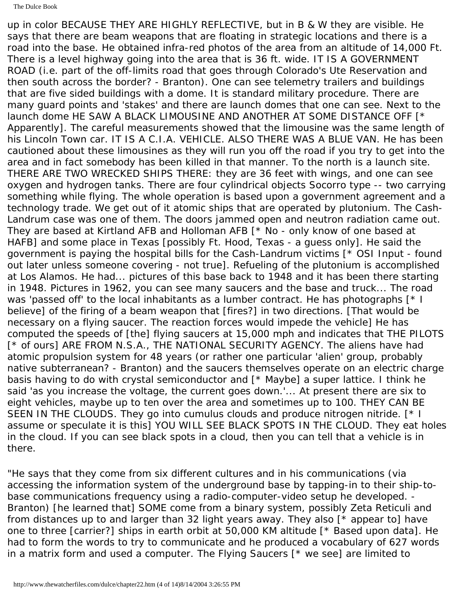up in color BECAUSE THEY ARE HIGHLY REFLECTIVE, but in B & W they are visible. He says that there are beam weapons that are floating in strategic locations and there is a road into the base. He obtained infra-red photos of the area from an altitude of 14,000 Ft. There is a level highway going into the area that is 36 ft. wide. IT IS A GOVERNMENT ROAD (i.e. part of the off-limits road that goes through Colorado's Ute Reservation and then south across the border? - Branton). One can see telemetry trailers and buildings that are five sided buildings with a dome. It is standard military procedure. There are many guard points and 'stakes' and there are launch domes that one can see. Next to the launch dome HE SAW A BLACK LIMOUSINE AND ANOTHER AT SOME DISTANCE OFF [\* Apparently]. The careful measurements showed that the limousine was the same length of his Lincoln Town car. IT IS A C.I.A. VEHICLE. ALSO THERE WAS A BLUE VAN. He has been cautioned about these limousines as they will run you off the road if you try to get into the area and in fact somebody has been killed in that manner. To the north is a launch site. THERE ARE TWO WRECKED SHIPS THERE: they are 36 feet with wings, and one can see oxygen and hydrogen tanks. There are four cylindrical objects Socorro type -- two carrying something while flying. The whole operation is based upon a government agreement and a technology trade. We get out of it atomic ships that are operated by plutonium. The Cash-Landrum case was one of them. The doors jammed open and neutron radiation came out. They are based at Kirtland AFB and Holloman AFB [\* No - only know of one based at HAFB] and some place in Texas [possibly Ft. Hood, Texas - a guess only]. He said the government is paying the hospital bills for the Cash-Landrum victims [\* OSI Input - found out later unless someone covering - not true]. Refueling of the plutonium is accomplished at Los Alamos. He had... pictures of this base back to 1948 and it has been there starting in 1948. Pictures in 1962, you can see many saucers and the base and truck... The road was 'passed off' to the local inhabitants as a lumber contract. He has photographs [\* I believe] of the firing of a beam weapon that [fires?] in two directions. [That would be necessary on a flying saucer. The reaction forces would impede the vehicle] He has computed the speeds of [the] flying saucers at 15,000 mph and indicates that THE PILOTS [\* of ours] ARE FROM N.S.A., THE NATIONAL SECURITY AGENCY. The aliens have had atomic propulsion system for 48 years (or rather one particular 'alien' group, probably native subterranean? - Branton) and the saucers themselves operate on an electric charge basis having to do with crystal semiconductor and [\* Maybe] a super lattice. I think he said 'as you increase the voltage, the current goes down.'... At present there are six to eight vehicles, maybe up to ten over the area and sometimes up to 100. THEY CAN BE SEEN IN THE CLOUDS. They go into cumulus clouds and produce nitrogen nitride. [\* I assume or speculate it is this] YOU WILL SEE BLACK SPOTS IN THE CLOUD. They eat holes in the cloud. If you can see black spots in a cloud, then you can tell that a vehicle is in there.

"He says that they come from six different cultures and in his communications (via accessing the information system of the underground base by tapping-in to their ship-tobase communications frequency using a radio-computer-video setup he developed. - Branton) [he learned that] SOME come from a binary system, possibly Zeta Reticuli and from distances up to and larger than 32 light years away. They also  $\lceil$ \* appear to have one to three [carrier?] ships in earth orbit at 50,000 KM altitude [\* Based upon data]. He had to form the words to try to communicate and he produced a vocabulary of 627 words in a matrix form and used a computer. The Flying Saucers [\* we see] are limited to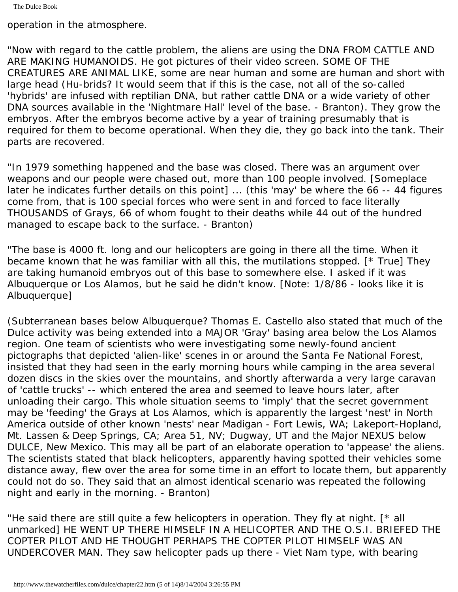operation in the atmosphere.

"Now with regard to the cattle problem, the aliens are using the DNA FROM CATTLE AND ARE MAKING HUMANOIDS. He got pictures of their video screen. SOME OF THE CREATURES ARE ANIMAL LIKE, some are near human and some are human and short with large head (Hu-brids? It would seem that if this is the case, not all of the so-called 'hybrids' are infused with reptilian DNA, but rather cattle DNA or a wide variety of other DNA sources available in the 'Nightmare Hall' level of the base. - Branton). They grow the embryos. After the embryos become active by a year of training presumably that is required for them to become operational. When they die, they go back into the tank. Their parts are recovered.

"In 1979 something happened and the base was closed. There was an argument over weapons and our people were chased out, more than 100 people involved. [Someplace later he indicates further details on this point] ... (this 'may' be where the 66 -- 44 figures come from, that is 100 special forces who were sent in and forced to face literally THOUSANDS of Grays, 66 of whom fought to their deaths while 44 out of the hundred managed to escape back to the surface. - Branton)

"The base is 4000 ft. long and our helicopters are going in there all the time. When it became known that he was familiar with all this, the mutilations stopped. [\* True] They are taking humanoid embryos out of this base to somewhere else. I asked if it was Albuquerque or Los Alamos, but he said he didn't know. [Note: 1/8/86 - looks like it is Albuquerque]

(Subterranean bases below Albuquerque? Thomas E. Castello also stated that much of the Dulce activity was being extended into a MAJOR 'Gray' basing area below the Los Alamos region. One team of scientists who were investigating some newly-found ancient pictographs that depicted 'alien-like' scenes in or around the Santa Fe National Forest, insisted that they had seen in the early morning hours while camping in the area several dozen discs in the skies over the mountains, and shortly afterwarda a very large caravan of 'cattle trucks' -- which entered the area and seemed to leave hours later, after unloading their cargo. This whole situation seems to 'imply' that the secret government may be 'feeding' the Grays at Los Alamos, which is apparently the largest 'nest' in North America outside of other known 'nests' near Madigan - Fort Lewis, WA; Lakeport-Hopland, Mt. Lassen & Deep Springs, CA; Area 51, NV; Dugway, UT and the Major NEXUS below DULCE, New Mexico. This may all be part of an elaborate operation to 'appease' the aliens. The scientists stated that black helicopters, apparently having spotted their vehicles some distance away, flew over the area for some time in an effort to locate them, but apparently could not do so. They said that an almost identical scenario was repeated the following night and early in the morning. - Branton)

"He said there are still quite a few helicopters in operation. They fly at night. [\* all unmarked] HE WENT UP THERE HIMSELF IN A HELICOPTER AND THE O.S.I. BRIEFED THE COPTER PILOT AND HE THOUGHT PERHAPS THE COPTER PILOT HIMSELF WAS AN UNDERCOVER MAN. They saw helicopter pads up there - Viet Nam type, with bearing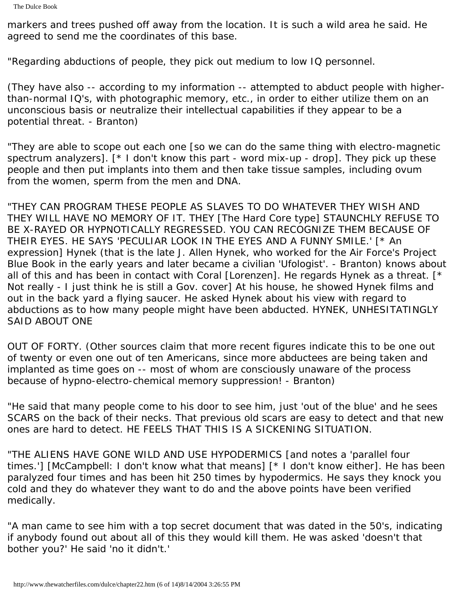markers and trees pushed off away from the location. It is such a wild area he said. He agreed to send me the coordinates of this base.

"Regarding abductions of people, they pick out medium to low IQ personnel.

(They have also -- according to my information -- attempted to abduct people with higherthan-normal IQ's, with photographic memory, etc., in order to either utilize them on an unconscious basis or neutralize their intellectual capabilities if they appear to be a potential threat. - Branton)

"They are able to scope out each one [so we can do the same thing with electro-magnetic spectrum analyzers]. [\* I don't know this part - word mix-up - drop]. They pick up these people and then put implants into them and then take tissue samples, including ovum from the women, sperm from the men and DNA.

"THEY CAN PROGRAM THESE PEOPLE AS SLAVES TO DO WHATEVER THEY WISH AND THEY WILL HAVE NO MEMORY OF IT. THEY [The Hard Core type] STAUNCHLY REFUSE TO BE X-RAYED OR HYPNOTICALLY REGRESSED. YOU CAN RECOGNIZE THEM BECAUSE OF THEIR EYES. HE SAYS 'PECULIAR LOOK IN THE EYES AND A FUNNY SMILE.' [\* An expression] Hynek (that is the late J. Allen Hynek, who worked for the Air Force's Project Blue Book in the early years and later became a civilian 'Ufologist'. - Branton) knows about all of this and has been in contact with Coral [Lorenzen]. He regards Hynek as a threat. [\* Not really - I just think he is still a Gov. cover] At his house, he showed Hynek films and out in the back yard a flying saucer. He asked Hynek about his view with regard to abductions as to how many people might have been abducted. HYNEK, UNHESITATINGLY SAID ABOUT ONE

OUT OF FORTY. (Other sources claim that more recent figures indicate this to be one out of twenty or even one out of ten Americans, since more abductees are being taken and implanted as time goes on -- most of whom are consciously unaware of the process because of hypno-electro-chemical memory suppression! - Branton)

"He said that many people come to his door to see him, just 'out of the blue' and he sees SCARS on the back of their necks. That previous old scars are easy to detect and that new ones are hard to detect. HE FEELS THAT THIS IS A SICKENING SITUATION.

"THE ALIENS HAVE GONE WILD AND USE HYPODERMICS [and notes a 'parallel four times.'] [McCampbell: I don't know what that means] [\* I don't know either]. He has been paralyzed four times and has been hit 250 times by hypodermics. He says they knock you cold and they do whatever they want to do and the above points have been verified medically.

"A man came to see him with a top secret document that was dated in the 50's, indicating if anybody found out about all of this they would kill them. He was asked 'doesn't that bother you?' He said 'no it didn't.'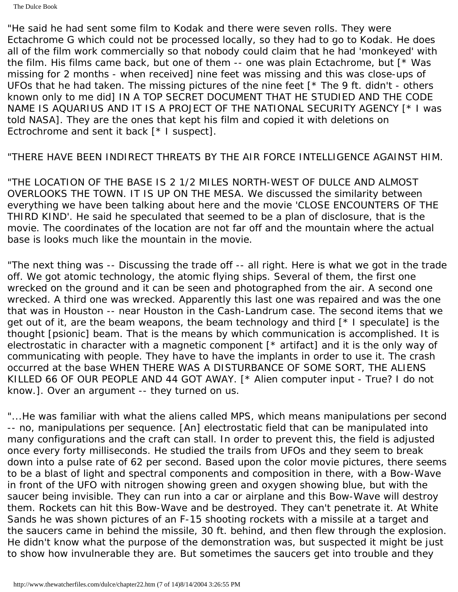"He said he had sent some film to Kodak and there were seven rolls. They were Ectachrome G which could not be processed locally, so they had to go to Kodak. He does all of the film work commercially so that nobody could claim that he had 'monkeyed' with the film. His films came back, but one of them -- one was plain Ectachrome, but [\* Was missing for 2 months - when received] nine feet was missing and this was close-ups of UFOs that he had taken. The missing pictures of the nine feet  $\lceil * \rceil$  The 9 ft. didn't - others known only to me did] IN A TOP SECRET DOCUMENT THAT HE STUDIED AND THE CODE NAME IS AQUARIUS AND IT IS A PROJECT OF THE NATIONAL SECURITY AGENCY [\* I was told NASA]. They are the ones that kept his film and copied it with deletions on Ectrochrome and sent it back [\* I suspect].

"THERE HAVE BEEN INDIRECT THREATS BY THE AIR FORCE INTELLIGENCE AGAINST HIM.

"THE LOCATION OF THE BASE IS 2 1/2 MILES NORTH-WEST OF DULCE AND ALMOST OVERLOOKS THE TOWN. IT IS UP ON THE MESA. We discussed the similarity between everything we have been talking about here and the movie 'CLOSE ENCOUNTERS OF THE THIRD KIND'. He said he speculated that seemed to be a plan of disclosure, that is the movie. The coordinates of the location are not far off and the mountain where the actual base is looks much like the mountain in the movie.

"The next thing was -- Discussing the trade off -- all right. Here is what we got in the trade off. We got atomic technology, the atomic flying ships. Several of them, the first one wrecked on the ground and it can be seen and photographed from the air. A second one wrecked. A third one was wrecked. Apparently this last one was repaired and was the one that was in Houston -- near Houston in the Cash-Landrum case. The second items that we get out of it, are the beam weapons, the beam technology and third [\* I speculate] is the thought [psionic] beam. That is the means by which communication is accomplished. It is electrostatic in character with a magnetic component  $\lceil * \text{ artifact} \rceil$  and it is the only way of communicating with people. They have to have the implants in order to use it. The crash occurred at the base WHEN THERE WAS A DISTURBANCE OF SOME SORT, THE ALIENS KILLED 66 OF OUR PEOPLE AND 44 GOT AWAY. [\* Alien computer input - True? I do not know.]. Over an argument -- they turned on us.

"...He was familiar with what the aliens called MPS, which means manipulations per second -- no, manipulations per sequence. [An] electrostatic field that can be manipulated into many configurations and the craft can stall. In order to prevent this, the field is adjusted once every forty milliseconds. He studied the trails from UFOs and they seem to break down into a pulse rate of 62 per second. Based upon the color movie pictures, there seems to be a blast of light and spectral components and composition in there, with a Bow-Wave in front of the UFO with nitrogen showing green and oxygen showing blue, but with the saucer being invisible. They can run into a car or airplane and this Bow-Wave will destroy them. Rockets can hit this Bow-Wave and be destroyed. They can't penetrate it. At White Sands he was shown pictures of an F-15 shooting rockets with a missile at a target and the saucers came in behind the missile, 30 ft. behind, and then flew through the explosion. He didn't know what the purpose of the demonstration was, but suspected it might be just to show how invulnerable they are. But sometimes the saucers get into trouble and they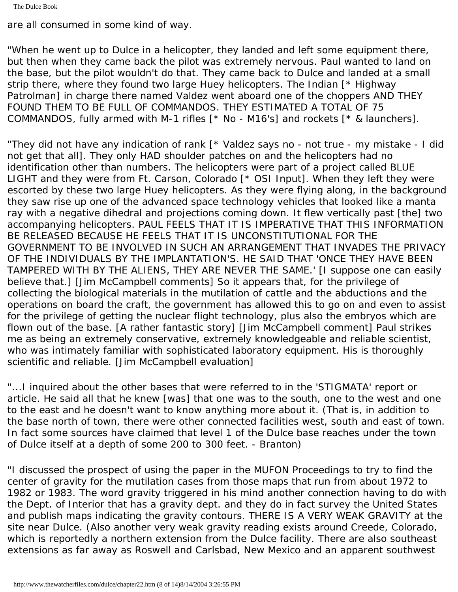are all consumed in some kind of way.

"When he went up to Dulce in a helicopter, they landed and left some equipment there, but then when they came back the pilot was extremely nervous. Paul wanted to land on the base, but the pilot wouldn't do that. They came back to Dulce and landed at a small strip there, where they found two large Huey helicopters. The Indian [\* Highway Patrolman] in charge there named Valdez went aboard one of the choppers AND THEY FOUND THEM TO BE FULL OF COMMANDOS. THEY ESTIMATED A TOTAL OF 75 COMMANDOS, fully armed with M-1 rifles [\* No - M16's] and rockets [\* & launchers].

"They did not have any indication of rank [\* Valdez says no - not true - my mistake - I did not get that all]. They only HAD shoulder patches on and the helicopters had no identification other than numbers. The helicopters were part of a project called BLUE LIGHT and they were from Ft. Carson, Colorado [\* OSI Input]. When they left they were escorted by these two large Huey helicopters. As they were flying along, in the background they saw rise up one of the advanced space technology vehicles that looked like a manta ray with a negative dihedral and projections coming down. It flew vertically past [the] two accompanying helicopters. PAUL FEELS THAT IT IS IMPERATIVE THAT THIS INFORMATION BE RELEASED BECAUSE HE FEELS THAT IT IS UNCONSTITUTIONAL FOR THE GOVERNMENT TO BE INVOLVED IN SUCH AN ARRANGEMENT THAT INVADES THE PRIVACY OF THE INDIVIDUALS BY THE IMPLANTATION'S. HE SAID THAT 'ONCE THEY HAVE BEEN TAMPERED WITH BY THE ALIENS, THEY ARE NEVER THE SAME.' [I suppose one can easily believe that.] [Jim McCampbell comments] So it appears that, for the privilege of collecting the biological materials in the mutilation of cattle and the abductions and the operations on board the craft, the government has allowed this to go on and even to assist for the privilege of getting the nuclear flight technology, plus also the embryos which are flown out of the base. [A rather fantastic story] [Jim McCampbell comment] Paul strikes me as being an extremely conservative, extremely knowledgeable and reliable scientist, who was intimately familiar with sophisticated laboratory equipment. His is thoroughly scientific and reliable. [Jim McCampbell evaluation]

"...I inquired about the other bases that were referred to in the 'STIGMATA' report or article. He said all that he knew [was] that one was to the south, one to the west and one to the east and he doesn't want to know anything more about it. (That is, in addition to the base north of town, there were other connected facilities west, south and east of town. In fact some sources have claimed that level 1 of the Dulce base reaches under the town of Dulce itself at a depth of some 200 to 300 feet. - Branton)

"I discussed the prospect of using the paper in the MUFON Proceedings to try to find the center of gravity for the mutilation cases from those maps that run from about 1972 to 1982 or 1983. The word gravity triggered in his mind another connection having to do with the Dept. of Interior that has a gravity dept. and they do in fact survey the United States and publish maps indicating the gravity contours. THERE IS A VERY WEAK GRAVITY at the site near Dulce. (Also another very weak gravity reading exists around Creede, Colorado, which is reportedly a northern extension from the Dulce facility. There are also southeast extensions as far away as Roswell and Carlsbad, New Mexico and an apparent southwest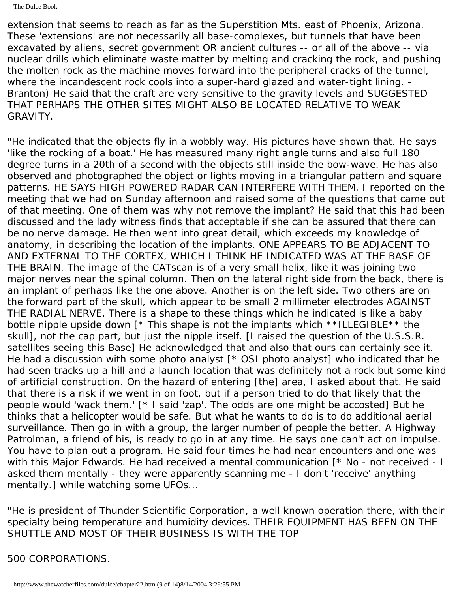The Dulce Book

extension that seems to reach as far as the Superstition Mts. east of Phoenix, Arizona. These 'extensions' are not necessarily all base-complexes, but tunnels that have been excavated by aliens, secret government OR ancient cultures -- or all of the above -- via nuclear drills which eliminate waste matter by melting and cracking the rock, and pushing the molten rock as the machine moves forward into the peripheral cracks of the tunnel, where the incandescent rock cools into a super-hard glazed and water-tight lining. - Branton) He said that the craft are very sensitive to the gravity levels and SUGGESTED THAT PERHAPS THE OTHER SITES MIGHT ALSO BE LOCATED RELATIVE TO WEAK GRAVITY.

"He indicated that the objects fly in a wobbly way. His pictures have shown that. He says 'like the rocking of a boat.' He has measured many right angle turns and also full 180 degree turns in a 20th of a second with the objects still inside the bow-wave. He has also observed and photographed the object or lights moving in a triangular pattern and square patterns. HE SAYS HIGH POWERED RADAR CAN INTERFERE WITH THEM. I reported on the meeting that we had on Sunday afternoon and raised some of the questions that came out of that meeting. One of them was why not remove the implant? He said that this had been discussed and the lady witness finds that acceptable if she can be assured that there can be no nerve damage. He then went into great detail, which exceeds my knowledge of anatomy, in describing the location of the implants. ONE APPEARS TO BE ADJACENT TO AND EXTERNAL TO THE CORTEX, WHICH I THINK HE INDICATED WAS AT THE BASE OF THE BRAIN. The image of the CATscan is of a very small helix, like it was joining two major nerves near the spinal column. Then on the lateral right side from the back, there is an implant of perhaps like the one above. Another is on the left side. Two others are on the forward part of the skull, which appear to be small 2 millimeter electrodes AGAINST THE RADIAL NERVE. There is a shape to these things which he indicated is like a baby bottle nipple upside down [\* This shape is not the implants which \*\*ILLEGIBLE\*\* the skull], not the cap part, but just the nipple itself. [I raised the question of the U.S.S.R. satellites seeing this Base] He acknowledged that and also that ours can certainly see it. He had a discussion with some photo analyst  $[$ \* OSI photo analyst] who indicated that he had seen tracks up a hill and a launch location that was definitely not a rock but some kind of artificial construction. On the hazard of entering [the] area, I asked about that. He said that there is a risk if we went in on foot, but if a person tried to do that likely that the people would 'wack them.' [\* I said 'zap'. The odds are one might be accosted] But he thinks that a helicopter would be safe. But what he wants to do is to do additional aerial surveillance. Then go in with a group, the larger number of people the better. A Highway Patrolman, a friend of his, is ready to go in at any time. He says one can't act on impulse. You have to plan out a program. He said four times he had near encounters and one was with this Major Edwards. He had received a mental communication [\* No - not received - I asked them mentally - they were apparently scanning me - I don't 'receive' anything mentally.] while watching some UFOs...

"He is president of Thunder Scientific Corporation, a well known operation there, with their specialty being temperature and humidity devices. THEIR EQUIPMENT HAS BEEN ON THE SHUTTLE AND MOST OF THEIR BUSINESS IS WITH THE TOP

500 CORPORATIONS.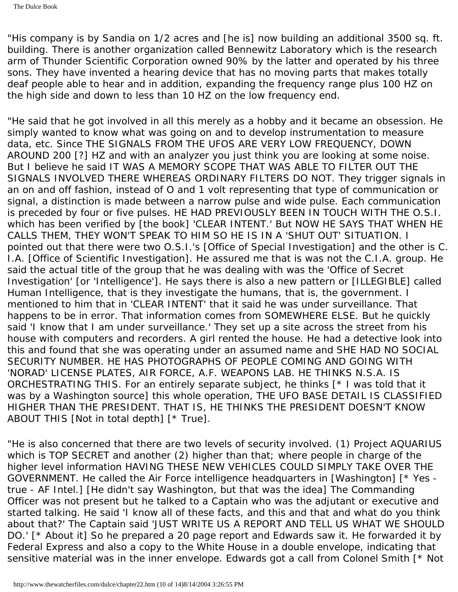"His company is by Sandia on 1/2 acres and [he is] now building an additional 3500 sq. ft. building. There is another organization called Bennewitz Laboratory which is the research arm of Thunder Scientific Corporation owned 90% by the latter and operated by his three sons. They have invented a hearing device that has no moving parts that makes totally deaf people able to hear and in addition, expanding the frequency range plus 100 HZ on the high side and down to less than 10 HZ on the low frequency end.

"He said that he got involved in all this merely as a hobby and it became an obsession. He simply wanted to know what was going on and to develop instrumentation to measure data, etc. Since THE SIGNALS FROM THE UFOS ARE VERY LOW FREQUENCY, DOWN AROUND 200 [?] HZ and with an analyzer you just think you are looking at some noise. But I believe he said IT WAS A MEMORY SCOPE THAT WAS ABLE TO FILTER OUT THE SIGNALS INVOLVED THERE WHEREAS ORDINARY FILTERS DO NOT. They trigger signals in an on and off fashion, instead of O and 1 volt representing that type of communication or signal, a distinction is made between a narrow pulse and wide pulse. Each communication is preceded by four or five pulses. HE HAD PREVIOUSLY BEEN IN TOUCH WITH THE O.S.I. which has been verified by [the book] 'CLEAR INTENT.' But NOW HE SAYS THAT WHEN HE CALLS THEM, THEY WON'T SPEAK TO HIM SO HE IS IN A 'SHUT OUT' SITUATION. I pointed out that there were two O.S.I.'s [Office of Special Investigation] and the other is C. I.A. [Office of Scientific Investigation]. He assured me that is was not the C.I.A. group. He said the actual title of the group that he was dealing with was the 'Office of Secret Investigation' [or 'Intelligence']. He says there is also a new pattern or [ILLEGIBLE] called Human Intelligence, that is they investigate the humans, that is, the government. I mentioned to him that in 'CLEAR INTENT' that it said he was under surveillance. That happens to be in error. That information comes from SOMEWHERE ELSE. But he quickly said 'I know that I am under surveillance.' They set up a site across the street from his house with computers and recorders. A girl rented the house. He had a detective look into this and found that she was operating under an assumed name and SHE HAD NO SOCIAL SECURITY NUMBER. HE HAS PHOTOGRAPHS OF PEOPLE COMING AND GOING WITH 'NORAD' LICENSE PLATES, AIR FORCE, A.F. WEAPONS LAB. HE THINKS N.S.A. IS ORCHESTRATING THIS. For an entirely separate subject, he thinks [\* I was told that it was by a Washington source] this whole operation, THE UFO BASE DETAIL IS CLASSIFIED HIGHER THAN THE PRESIDENT. THAT IS, HE THINKS THE PRESIDENT DOESN'T KNOW ABOUT THIS [Not in total depth] [\* True].

"He is also concerned that there are two levels of security involved. (1) Project AQUARIUS which is TOP SECRET and another (2) higher than that; where people in charge of the higher level information HAVING THESE NEW VEHICLES COULD SIMPLY TAKE OVER THE GOVERNMENT. He called the Air Force intelligence headquarters in [Washington] [\* Yes true - AF Intel.] [He didn't say Washington, but that was the idea] The Commanding Officer was not present but he talked to a Captain who was the adjutant or executive and started talking. He said 'I know all of these facts, and this and that and what do you think about that?' The Captain said 'JUST WRITE US A REPORT AND TELL US WHAT WE SHOULD DO.' [\* About it] So he prepared a 20 page report and Edwards saw it. He forwarded it by Federal Express and also a copy to the White House in a double envelope, indicating that sensitive material was in the inner envelope. Edwards got a call from Colonel Smith [\* Not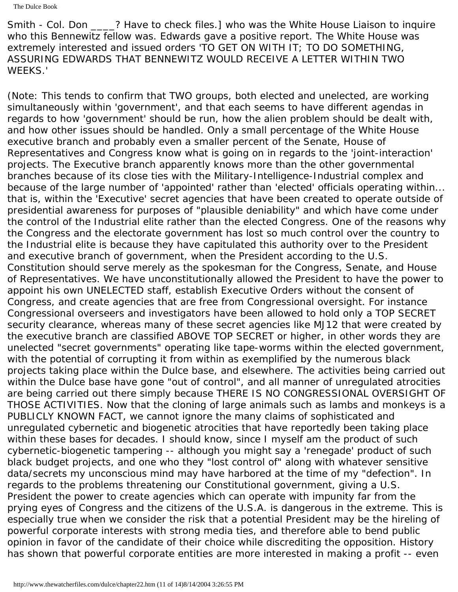Smith - Col. Don 3 Have to check files.] who was the White House Liaison to inquire who this Bennewitz fellow was. Edwards gave a positive report. The White House was extremely interested and issued orders 'TO GET ON WITH IT; TO DO SOMETHING, ASSURING EDWARDS THAT BENNEWITZ WOULD RECEIVE A LETTER WITHIN TWO WEEKS.'

(Note: This tends to confirm that TWO groups, both elected and unelected, are working simultaneously within 'government', and that each seems to have different agendas in regards to how 'government' should be run, how the alien problem should be dealt with, and how other issues should be handled. Only a small percentage of the White House executive branch and probably even a smaller percent of the Senate, House of Representatives and Congress know what is going on in regards to the 'joint-interaction' projects. The Executive branch apparently knows more than the other governmental branches because of its close ties with the Military-Intelligence-Industrial complex and because of the large number of 'appointed' rather than 'elected' officials operating within... that is, within the 'Executive' secret agencies that have been created to operate outside of presidential awareness for purposes of "plausible deniability" and which have come under the control of the Industrial elite rather than the elected Congress. One of the reasons why the Congress and the electorate government has lost so much control over the country to the Industrial elite is because they have capitulated this authority over to the President and executive branch of government, when the President according to the U.S. Constitution should serve merely as the spokesman for the Congress, Senate, and House of Representatives. We have unconstitutionally allowed the President to have the power to appoint his own UNELECTED staff, establish Executive Orders without the consent of Congress, and create agencies that are free from Congressional oversight. For instance Congressional overseers and investigators have been allowed to hold only a TOP SECRET security clearance, whereas many of these secret agencies like MJ12 that were created by the executive branch are classified ABOVE TOP SECRET or higher, in other words they are unelected "secret governments" operating like tape-worms within the elected government, with the potential of corrupting it from within as exemplified by the numerous black projects taking place within the Dulce base, and elsewhere. The activities being carried out within the Dulce base have gone "out of control", and all manner of unregulated atrocities are being carried out there simply because THERE IS NO CONGRESSIONAL OVERSIGHT OF THOSE ACTIVITIES. Now that the cloning of large animals such as lambs and monkeys is a PUBLICLY KNOWN FACT, we cannot ignore the many claims of sophisticated and unregulated cybernetic and biogenetic atrocities that have reportedly been taking place within these bases for decades. I should know, since I myself am the product of such cybernetic-biogenetic tampering -- although you might say a 'renegade' product of such black budget projects, and one who they "lost control of" along with whatever sensitive data/secrets my unconscious mind may have harbored at the time of my "defection". In regards to the problems threatening our Constitutional government, giving a U.S. President the power to create agencies which can operate with impunity far from the prying eyes of Congress and the citizens of the U.S.A. is dangerous in the extreme. This is especially true when we consider the risk that a potential President may be the hireling of powerful corporate interests with strong media ties, and therefore able to bend public opinion in favor of the candidate of their choice while discrediting the opposition. History has shown that powerful corporate entities are more interested in making a profit -- even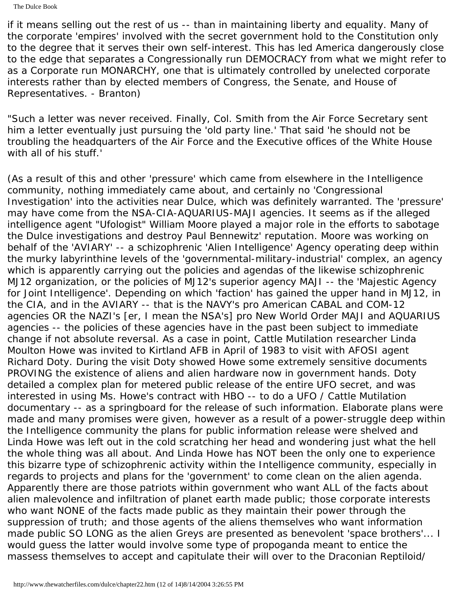The Dulce Book

if it means selling out the rest of us -- than in maintaining liberty and equality. Many of the corporate 'empires' involved with the secret government hold to the Constitution only to the degree that it serves their own self-interest. This has led America dangerously close to the edge that separates a Congressionally run DEMOCRACY from what we might refer to as a Corporate run MONARCHY, one that is ultimately controlled by unelected corporate interests rather than by elected members of Congress, the Senate, and House of Representatives. - Branton)

"Such a letter was never received. Finally, Col. Smith from the Air Force Secretary sent him a letter eventually just pursuing the 'old party line.' That said 'he should not be troubling the headquarters of the Air Force and the Executive offices of the White House with all of his stuff.'

(As a result of this and other 'pressure' which came from elsewhere in the Intelligence community, nothing immediately came about, and certainly no 'Congressional Investigation' into the activities near Dulce, which was definitely warranted. The 'pressure' may have come from the NSA-CIA-AQUARIUS-MAJI agencies. It seems as if the alleged intelligence agent "Ufologist" William Moore played a major role in the efforts to sabotage the Dulce investigations and destroy Paul Bennewitz' reputation. Moore was working on behalf of the 'AVIARY' -- a schizophrenic 'Alien Intelligence' Agency operating deep within the murky labyrinthine levels of the 'governmental-military-industrial' complex, an agency which is apparently carrying out the policies and agendas of the likewise schizophrenic MJ12 organization, or the policies of MJ12's superior agency MAJI -- the 'Majestic Agency for Joint Intelligence'. Depending on which 'faction' has gained the upper hand in MJ12, in the CIA, and in the AVIARY -- that is the NAVY's pro American CABAL and COM-12 agencies OR the NAZI's [er, I mean the NSA's] pro New World Order MAJI and AQUARIUS agencies -- the policies of these agencies have in the past been subject to immediate change if not absolute reversal. As a case in point, Cattle Mutilation researcher Linda Moulton Howe was invited to Kirtland AFB in April of 1983 to visit with AFOSI agent Richard Doty. During the visit Doty showed Howe some extremely sensitive documents PROVING the existence of aliens and alien hardware now in government hands. Doty detailed a complex plan for metered public release of the entire UFO secret, and was interested in using Ms. Howe's contract with HBO -- to do a UFO / Cattle Mutilation documentary -- as a springboard for the release of such information. Elaborate plans were made and many promises were given, however as a result of a power-struggle deep within the Intelligence community the plans for public information release were shelved and Linda Howe was left out in the cold scratching her head and wondering just what the hell the whole thing was all about. And Linda Howe has NOT been the only one to experience this bizarre type of schizophrenic activity within the Intelligence community, especially in regards to projects and plans for the 'government' to come clean on the alien agenda. Apparently there are those patriots within government who want ALL of the facts about alien malevolence and infiltration of planet earth made public; those corporate interests who want NONE of the facts made public as they maintain their power through the suppression of truth; and those agents of the aliens themselves who want information made public SO LONG as the alien Greys are presented as benevolent 'space brothers'... I would guess the latter would involve some type of propoganda meant to entice the massess themselves to accept and capitulate their will over to the Draconian Reptiloid/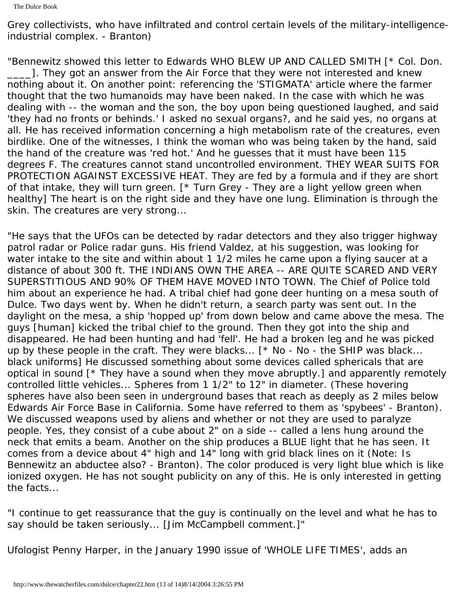Grey collectivists, who have infiltrated and control certain levels of the military-intelligenceindustrial complex. - Branton)

"Bennewitz showed this letter to Edwards WHO BLEW UP AND CALLED SMITH [\* Col. Don. \_\_\_\_]. They got an answer from the Air Force that they were not interested and knew nothing about it. On another point: referencing the 'STIGMATA' article where the farmer thought that the two humanoids may have been naked. In the case with which he was dealing with -- the woman and the son, the boy upon being questioned laughed, and said 'they had no fronts or behinds.' I asked no sexual organs?, and he said yes, no organs at all. He has received information concerning a high metabolism rate of the creatures, even birdlike. One of the witnesses, I think the woman who was being taken by the hand, said the hand of the creature was 'red hot.' And he guesses that it must have been 115 degrees F. The creatures cannot stand uncontrolled environment. THEY WEAR SUITS FOR PROTECTION AGAINST EXCESSIVE HEAT. They are fed by a formula and if they are short of that intake, they will turn green. [\* Turn Grey - They are a light yellow green when healthy] The heart is on the right side and they have one lung. Elimination is through the skin. The creatures are very strong...

"He says that the UFOs can be detected by radar detectors and they also trigger highway patrol radar or Police radar guns. His friend Valdez, at his suggestion, was looking for water intake to the site and within about 1 1/2 miles he came upon a flying saucer at a distance of about 300 ft. THE INDIANS OWN THE AREA -- ARE QUITE SCARED AND VERY SUPERSTITIOUS AND 90% OF THEM HAVE MOVED INTO TOWN. The Chief of Police told him about an experience he had. A tribal chief had gone deer hunting on a mesa south of Dulce. Two days went by. When he didn't return, a search party was sent out. In the daylight on the mesa, a ship 'hopped up' from down below and came above the mesa. The guys [human] kicked the tribal chief to the ground. Then they got into the ship and disappeared. He had been hunting and had 'fell'. He had a broken leg and he was picked up by these people in the craft. They were blacks... [\* No - No - the SHIP was black... black uniforms] He discussed something about some devices called sphericals that are optical in sound [\* They have a sound when they move abruptly.] and apparently remotely controlled little vehicles... Spheres from 1 1/2" to 12" in diameter. (These hovering spheres have also been seen in underground bases that reach as deeply as 2 miles below Edwards Air Force Base in California. Some have referred to them as 'spybees' - Branton). We discussed weapons used by aliens and whether or not they are used to paralyze people. Yes, they consist of a cube about 2" on a side -- called a lens hung around the neck that emits a beam. Another on the ship produces a BLUE light that he has seen. It comes from a device about 4" high and 14" long with grid black lines on it (Note: Is Bennewitz an abductee also? - Branton). The color produced is very light blue which is like ionized oxygen. He has not sought publicity on any of this. He is only interested in getting the facts...

"I continue to get reassurance that the guy is continually on the level and what he has to say should be taken seriously... [Jim McCampbell comment.]"

Ufologist Penny Harper, in the January 1990 issue of 'WHOLE LIFE TIMES', adds an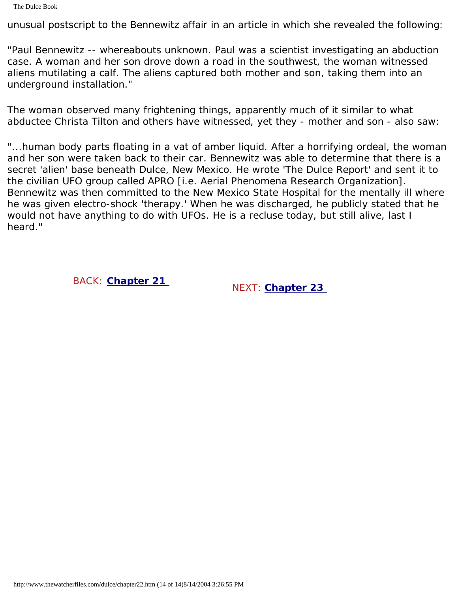unusual postscript to the Bennewitz affair in an article in which she revealed the following:

"Paul Bennewitz -- whereabouts unknown. Paul was a scientist investigating an abduction case. A woman and her son drove down a road in the southwest, the woman witnessed aliens mutilating a calf. The aliens captured both mother and son, taking them into an underground installation."

The woman observed many frightening things, apparently much of it similar to what abductee Christa Tilton and others have witnessed, yet they - mother and son - also saw:

"...human body parts floating in a vat of amber liquid. After a horrifying ordeal, the woman and her son were taken back to their car. Bennewitz was able to determine that there is a secret 'alien' base beneath Dulce, New Mexico. He wrote 'The Dulce Report' and sent it to the civilian UFO group called APRO [i.e. Aerial Phenomena Research Organization]. Bennewitz was then committed to the New Mexico State Hospital for the mentally ill where he was given electro-shock 'therapy.' When he was discharged, he publicly stated that he would not have anything to do with UFOs. He is a recluse today, but still alive, last I heard."

BACK: **[Chapter 21](#page-200-0)** NEXT: **[Chapter 23](#page-222-0)**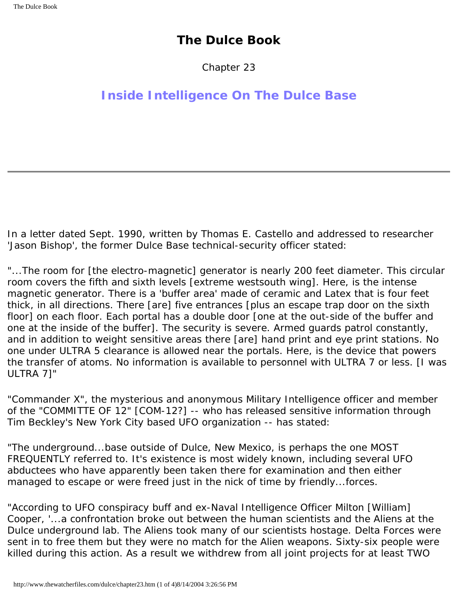Chapter 23

# <span id="page-222-0"></span>**Inside Intelligence On The Dulce Base**

In a letter dated Sept. 1990, written by Thomas E. Castello and addressed to researcher 'Jason Bishop', the former Dulce Base technical-security officer stated:

"...The room for [the electro-magnetic] generator is nearly 200 feet diameter. This circular room covers the fifth and sixth levels [extreme westsouth wing]. Here, is the intense magnetic generator. There is a 'buffer area' made of ceramic and Latex that is four feet thick, in all directions. There [are] five entrances [plus an escape trap door on the sixth floor] on each floor. Each portal has a double door [one at the out-side of the buffer and one at the inside of the buffer]. The security is severe. Armed guards patrol constantly, and in addition to weight sensitive areas there [are] hand print and eye print stations. No one under ULTRA 5 clearance is allowed near the portals. Here, is the device that powers the transfer of atoms. No information is available to personnel with ULTRA 7 or less. [I was ULTRA 7]"

"Commander X", the mysterious and anonymous Military Intelligence officer and member of the "COMMITTE OF 12" [COM-12?] -- who has released sensitive information through Tim Beckley's New York City based UFO organization -- has stated:

"The underground...base outside of Dulce, New Mexico, is perhaps the one MOST FREQUENTLY referred to. It's existence is most widely known, including several UFO abductees who have apparently been taken there for examination and then either managed to escape or were freed just in the nick of time by friendly...forces.

"According to UFO conspiracy buff and ex-Naval Intelligence Officer Milton [William] Cooper, '...a confrontation broke out between the human scientists and the Aliens at the Dulce underground lab. The Aliens took many of our scientists hostage. Delta Forces were sent in to free them but they were no match for the Alien weapons. Sixty-six people were killed during this action. As a result we withdrew from all joint projects for at least TWO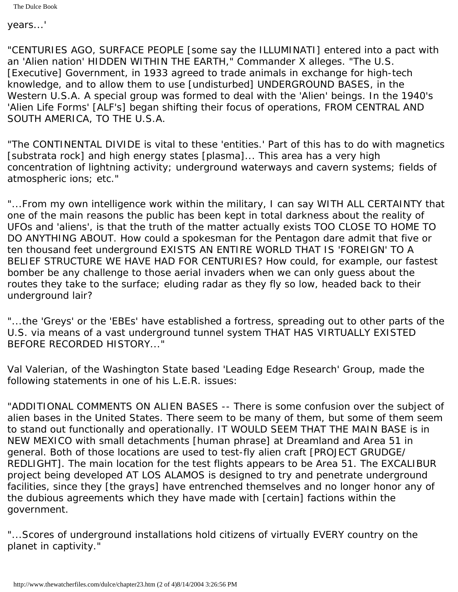years...'

"CENTURIES AGO, SURFACE PEOPLE [some say the ILLUMINATI] entered into a pact with an 'Alien nation' HIDDEN WITHIN THE EARTH," Commander X alleges. "The U.S. [Executive] Government, in 1933 agreed to trade animals in exchange for high-tech knowledge, and to allow them to use [undisturbed] UNDERGROUND BASES, in the Western U.S.A. A special group was formed to deal with the 'Alien' beings. In the 1940's 'Alien Life Forms' [ALF's] began shifting their focus of operations, FROM CENTRAL AND SOUTH AMERICA, TO THE U.S.A.

"The CONTINENTAL DIVIDE is vital to these 'entities.' Part of this has to do with magnetics [substrata rock] and high energy states [plasma]... This area has a very high concentration of lightning activity; underground waterways and cavern systems; fields of atmospheric ions; etc."

"...From my own intelligence work within the military, I can say WITH ALL CERTAINTY that one of the main reasons the public has been kept in total darkness about the reality of UFOs and 'aliens', is that the truth of the matter actually exists TOO CLOSE TO HOME TO DO ANYTHING ABOUT. How could a spokesman for the Pentagon dare admit that five or ten thousand feet underground EXISTS AN ENTIRE WORLD THAT IS 'FOREIGN' TO A BELIEF STRUCTURE WE HAVE HAD FOR CENTURIES? How could, for example, our fastest bomber be any challenge to those aerial invaders when we can only guess about the routes they take to the surface; eluding radar as they fly so low, headed back to their underground lair?

"...the 'Greys' or the 'EBEs' have established a fortress, spreading out to other parts of the U.S. via means of a vast underground tunnel system THAT HAS VIRTUALLY EXISTED BEFORE RECORDED HISTORY..."

Val Valerian, of the Washington State based 'Leading Edge Research' Group, made the following statements in one of his L.E.R. issues:

"ADDITIONAL COMMENTS ON ALIEN BASES -- There is some confusion over the subject of alien bases in the United States. There seem to be many of them, but some of them seem to stand out functionally and operationally. IT WOULD SEEM THAT THE MAIN BASE is in NEW MEXICO with small detachments [human phrase] at Dreamland and Area 51 in general. Both of those locations are used to test-fly alien craft [PROJECT GRUDGE/ REDLIGHT]. The main location for the test flights appears to be Area 51. The EXCALIBUR project being developed AT LOS ALAMOS is designed to try and penetrate underground facilities, since they [the grays] have entrenched themselves and no longer honor any of the dubious agreements which they have made with [certain] factions within the government.

"...Scores of underground installations hold citizens of virtually EVERY country on the planet in captivity."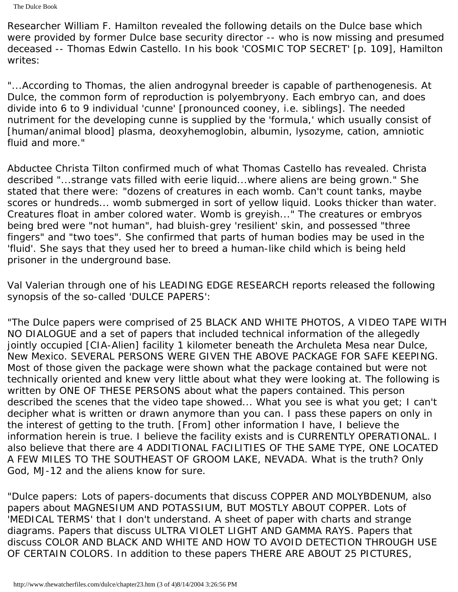Researcher William F. Hamilton revealed the following details on the Dulce base which were provided by former Dulce base security director -- who is now missing and presumed deceased -- Thomas Edwin Castello. In his book 'COSMIC TOP SECRET' [p. 109], Hamilton writes:

"...According to Thomas, the alien androgynal breeder is capable of parthenogenesis. At Dulce, the common form of reproduction is polyembryony. Each embryo can, and does divide into 6 to 9 individual 'cunne' [pronounced cooney, i.e. siblings]. The needed nutriment for the developing cunne is supplied by the 'formula,' which usually consist of [human/animal blood] plasma, deoxyhemoglobin, albumin, lysozyme, cation, amniotic fluid and more."

Abductee Christa Tilton confirmed much of what Thomas Castello has revealed. Christa described "...strange vats filled with eerie liquid...where aliens are being grown." She stated that there were: "dozens of creatures in each womb. Can't count tanks, maybe scores or hundreds... womb submerged in sort of yellow liquid. Looks thicker than water. Creatures float in amber colored water. Womb is greyish..." The creatures or embryos being bred were "not human", had bluish-grey 'resilient' skin, and possessed "three fingers" and "two toes". She confirmed that parts of human bodies may be used in the 'fluid'. She says that they used her to breed a human-like child which is being held prisoner in the underground base.

Val Valerian through one of his LEADING EDGE RESEARCH reports released the following synopsis of the so-called 'DULCE PAPERS':

"The Dulce papers were comprised of 25 BLACK AND WHITE PHOTOS, A VIDEO TAPE WITH NO DIALOGUE and a set of papers that included technical information of the allegedly jointly occupied [CIA-Alien] facility 1 kilometer beneath the Archuleta Mesa near Dulce, New Mexico. SEVERAL PERSONS WERE GIVEN THE ABOVE PACKAGE FOR SAFE KEEPING. Most of those given the package were shown what the package contained but were not technically oriented and knew very little about what they were looking at. The following is written by ONE OF THESE PERSONS about what the papers contained. This person described the scenes that the video tape showed... What you see is what you get; I can't decipher what is written or drawn anymore than you can. I pass these papers on only in the interest of getting to the truth. [From] other information I have, I believe the information herein is true. I believe the facility exists and is CURRENTLY OPERATIONAL. I also believe that there are 4 ADDITIONAL FACILITIES OF THE SAME TYPE, ONE LOCATED A FEW MILES TO THE SOUTHEAST OF GROOM LAKE, NEVADA. What is the truth? Only God, MJ-12 and the aliens know for sure.

"Dulce papers: Lots of papers-documents that discuss COPPER AND MOLYBDENUM, also papers about MAGNESIUM AND POTASSIUM, BUT MOSTLY ABOUT COPPER. Lots of 'MEDICAL TERMS' that I don't understand. A sheet of paper with charts and strange diagrams. Papers that discuss ULTRA VIOLET LIGHT AND GAMMA RAYS. Papers that discuss COLOR AND BLACK AND WHITE AND HOW TO AVOID DETECTION THROUGH USE OF CERTAIN COLORS. In addition to these papers THERE ARE ABOUT 25 PICTURES,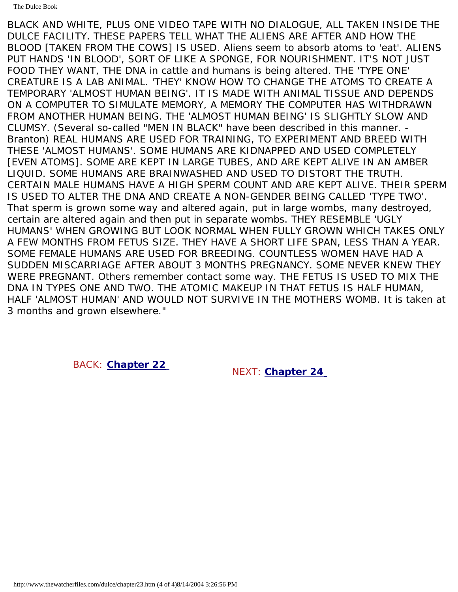BLACK AND WHITE, PLUS ONE VIDEO TAPE WITH NO DIALOGUE, ALL TAKEN INSIDE THE DULCE FACILITY. THESE PAPERS TELL WHAT THE ALIENS ARE AFTER AND HOW THE BLOOD [TAKEN FROM THE COWS] IS USED. Aliens seem to absorb atoms to 'eat'. ALIENS PUT HANDS 'IN BLOOD', SORT OF LIKE A SPONGE, FOR NOURISHMENT. IT'S NOT JUST FOOD THEY WANT, THE DNA in cattle and humans is being altered. THE 'TYPE ONE' CREATURE IS A LAB ANIMAL. 'THEY' KNOW HOW TO CHANGE THE ATOMS TO CREATE A TEMPORARY 'ALMOST HUMAN BEING'. IT IS MADE WITH ANIMAL TISSUE AND DEPENDS ON A COMPUTER TO SIMULATE MEMORY, A MEMORY THE COMPUTER HAS WITHDRAWN FROM ANOTHER HUMAN BEING. THE 'ALMOST HUMAN BEING' IS SLIGHTLY SLOW AND CLUMSY. (Several so-called "MEN IN BLACK" have been described in this manner. - Branton) REAL HUMANS ARE USED FOR TRAINING, TO EXPERIMENT AND BREED WITH THESE 'ALMOST HUMANS'. SOME HUMANS ARE KIDNAPPED AND USED COMPLETELY [EVEN ATOMS]. SOME ARE KEPT IN LARGE TUBES, AND ARE KEPT ALIVE IN AN AMBER LIQUID. SOME HUMANS ARE BRAINWASHED AND USED TO DISTORT THE TRUTH. CERTAIN MALE HUMANS HAVE A HIGH SPERM COUNT AND ARE KEPT ALIVE. THEIR SPERM IS USED TO ALTER THE DNA AND CREATE A NON-GENDER BEING CALLED 'TYPE TWO'. That sperm is grown some way and altered again, put in large wombs, many destroyed, certain are altered again and then put in separate wombs. THEY RESEMBLE 'UGLY HUMANS' WHEN GROWING BUT LOOK NORMAL WHEN FULLY GROWN WHICH TAKES ONLY A FEW MONTHS FROM FETUS SIZE. THEY HAVE A SHORT LIFE SPAN, LESS THAN A YEAR. SOME FEMALE HUMANS ARE USED FOR BREEDING. COUNTLESS WOMEN HAVE HAD A SUDDEN MISCARRIAGE AFTER ABOUT 3 MONTHS PREGNANCY. SOME NEVER KNEW THEY WERE PREGNANT. Others remember contact some way. THE FETUS IS USED TO MIX THE DNA IN TYPES ONE AND TWO. THE ATOMIC MAKEUP IN THAT FETUS IS HALF HUMAN, HALF 'ALMOST HUMAN' AND WOULD NOT SURVIVE IN THE MOTHERS WOMB. It is taken at 3 months and grown elsewhere."

BACK: **[Chapter 22](#page-208-0)** NEXT: **[Chapter 24](#page-226-0)**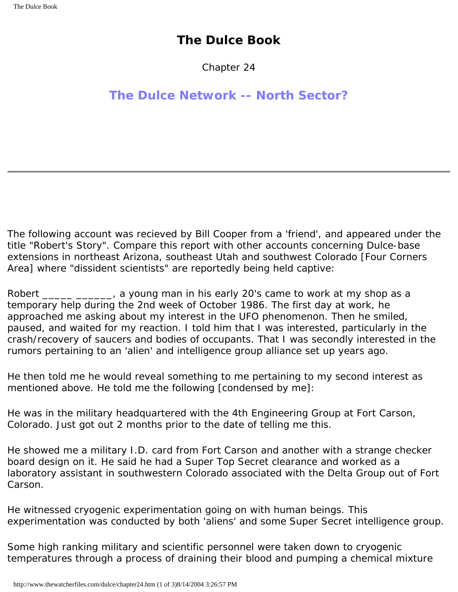Chapter 24

<span id="page-226-0"></span>**The Dulce Network -- North Sector?**

The following account was recieved by Bill Cooper from a 'friend', and appeared under the title "Robert's Story". Compare this report with other accounts concerning Dulce-base extensions in northeast Arizona, southeast Utah and southwest Colorado [Four Corners Area] where "dissident scientists" are reportedly being held captive:

Robert \_\_\_\_\_ \_\_\_\_\_, a young man in his early 20's came to work at my shop as a temporary help during the 2nd week of October 1986. The first day at work, he approached me asking about my interest in the UFO phenomenon. Then he smiled, paused, and waited for my reaction. I told him that I was interested, particularly in the crash/recovery of saucers and bodies of occupants. That I was secondly interested in the rumors pertaining to an 'alien' and intelligence group alliance set up years ago.

He then told me he would reveal something to me pertaining to my second interest as mentioned above. He told me the following [condensed by me]:

He was in the military headquartered with the 4th Engineering Group at Fort Carson, Colorado. Just got out 2 months prior to the date of telling me this.

He showed me a military I.D. card from Fort Carson and another with a strange checker board design on it. He said he had a Super Top Secret clearance and worked as a laboratory assistant in southwestern Colorado associated with the Delta Group out of Fort Carson.

He witnessed cryogenic experimentation going on with human beings. This experimentation was conducted by both 'aliens' and some Super Secret intelligence group.

Some high ranking military and scientific personnel were taken down to cryogenic temperatures through a process of draining their blood and pumping a chemical mixture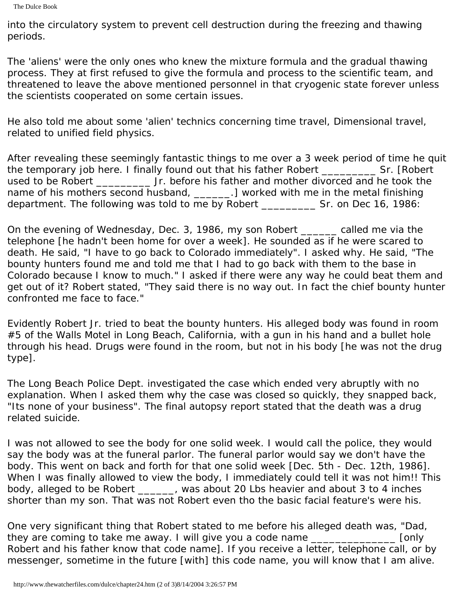into the circulatory system to prevent cell destruction during the freezing and thawing periods.

The 'aliens' were the only ones who knew the mixture formula and the gradual thawing process. They at first refused to give the formula and process to the scientific team, and threatened to leave the above mentioned personnel in that cryogenic state forever unless the scientists cooperated on some certain issues.

He also told me about some 'alien' technics concerning time travel, Dimensional travel, related to unified field physics.

After revealing these seemingly fantastic things to me over a 3 week period of time he quit the temporary job here. I finally found out that his father Robert \_\_\_\_\_\_\_\_\_ Sr. [Robert used to be Robert Theore his father and mother divorced and he took the name of his mothers second husband, \_\_\_\_\_\_\_.] worked with me in the metal finishing department. The following was told to me by Robert \_\_\_\_\_\_\_\_\_\_\_ Sr. on Dec 16, 1986:

On the evening of Wednesday, Dec. 3, 1986, my son Robert \_\_\_\_\_\_ called me via the telephone [he hadn't been home for over a week]. He sounded as if he were scared to death. He said, "I have to go back to Colorado immediately". I asked why. He said, "The bounty hunters found me and told me that I had to go back with them to the base in Colorado because I know to much." I asked if there were any way he could beat them and get out of it? Robert stated, "They said there is no way out. In fact the chief bounty hunter confronted me face to face."

Evidently Robert Jr. tried to beat the bounty hunters. His alleged body was found in room #5 of the Walls Motel in Long Beach, California, with a gun in his hand and a bullet hole through his head. Drugs were found in the room, but not in his body [he was not the drug type].

The Long Beach Police Dept. investigated the case which ended very abruptly with no explanation. When I asked them why the case was closed so quickly, they snapped back, "Its none of your business". The final autopsy report stated that the death was a drug related suicide.

I was not allowed to see the body for one solid week. I would call the police, they would say the body was at the funeral parlor. The funeral parlor would say we don't have the body. This went on back and forth for that one solid week [Dec. 5th - Dec. 12th, 1986]. When I was finally allowed to view the body, I immediately could tell it was not him!! This body, alleged to be Robert \_\_\_\_\_\_, was about 20 Lbs heavier and about 3 to 4 inches shorter than my son. That was not Robert even tho the basic facial feature's were his.

One very significant thing that Robert stated to me before his alleged death was, "Dad, they are coming to take me away. I will give you a code name \_\_\_\_\_\_\_\_\_\_\_\_\_\_ [only Robert and his father know that code name]. If you receive a letter, telephone call, or by messenger, sometime in the future [with] this code name, you will know that I am alive.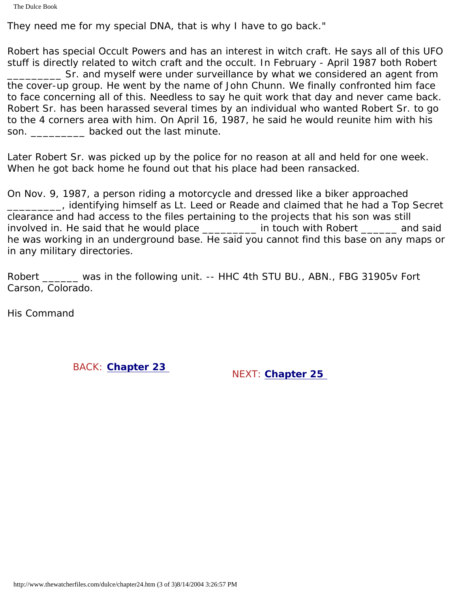They need me for my special DNA, that is why I have to go back."

Robert has special Occult Powers and has an interest in witch craft. He says all of this UFO stuff is directly related to witch craft and the occult. In February - April 1987 both Robert \_\_\_\_\_\_\_\_\_ Sr. and myself were under surveillance by what we considered an agent from the cover-up group. He went by the name of John Chunn. We finally confronted him face to face concerning all of this. Needless to say he quit work that day and never came back. Robert Sr. has been harassed several times by an individual who wanted Robert Sr. to go to the 4 corners area with him. On April 16, 1987, he said he would reunite him with his son. **Example 2** backed out the last minute.

Later Robert Sr. was picked up by the police for no reason at all and held for one week. When he got back home he found out that his place had been ransacked.

On Nov. 9, 1987, a person riding a motorcycle and dressed like a biker approached **\_\_\_\_**, identifying himself as Lt. Leed or Reade and claimed that he had a Top Secret clearance and had access to the files pertaining to the projects that his son was still involved in. He said that he would place \_\_\_\_\_\_\_\_\_ in touch with Robert \_\_\_\_\_\_ and said he was working in an underground base. He said you cannot find this base on any maps or in any military directories.

Robert \_\_\_\_\_\_ was in the following unit. -- HHC 4th STU BU., ABN., FBG 31905v Fort Carson, Colorado.

His Command

BACK: **[Chapter 23](#page-222-0)** NEXT: **[Chapter 25](#page-229-0)**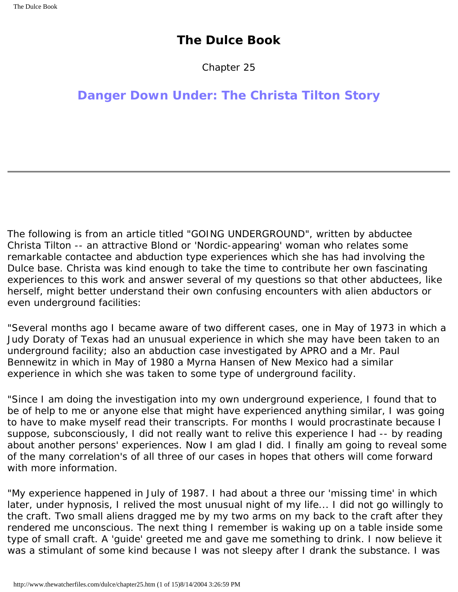Chapter 25

# <span id="page-229-0"></span>**Danger Down Under: The Christa Tilton Story**

The following is from an article titled "GOING UNDERGROUND", written by abductee Christa Tilton -- an attractive Blond or 'Nordic-appearing' woman who relates some remarkable contactee and abduction type experiences which she has had involving the Dulce base. Christa was kind enough to take the time to contribute her own fascinating experiences to this work and answer several of my questions so that other abductees, like herself, might better understand their own confusing encounters with alien abductors or even underground facilities:

"Several months ago I became aware of two different cases, one in May of 1973 in which a Judy Doraty of Texas had an unusual experience in which she may have been taken to an underground facility; also an abduction case investigated by APRO and a Mr. Paul Bennewitz in which in May of 1980 a Myrna Hansen of New Mexico had a similar experience in which she was taken to some type of underground facility.

"Since I am doing the investigation into my own underground experience, I found that to be of help to me or anyone else that might have experienced anything similar, I was going to have to make myself read their transcripts. For months I would procrastinate because I suppose, subconsciously, I did not really want to relive this experience I had -- by reading about another persons' experiences. Now I am glad I did. I finally am going to reveal some of the many correlation's of all three of our cases in hopes that others will come forward with more information.

"My experience happened in July of 1987. I had about a three our 'missing time' in which later, under hypnosis, I relived the most unusual night of my life... I did not go willingly to the craft. Two small aliens dragged me by my two arms on my back to the craft after they rendered me unconscious. The next thing I remember is waking up on a table inside some type of small craft. A 'guide' greeted me and gave me something to drink. I now believe it was a stimulant of some kind because I was not sleepy after I drank the substance. I was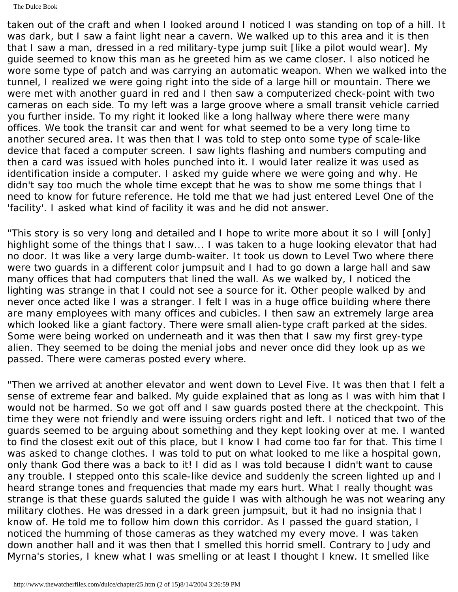The Dulce Book

taken out of the craft and when I looked around I noticed I was standing on top of a hill. It was dark, but I saw a faint light near a cavern. We walked up to this area and it is then that I saw a man, dressed in a red military-type jump suit [like a pilot would wear]. My guide seemed to know this man as he greeted him as we came closer. I also noticed he wore some type of patch and was carrying an automatic weapon. When we walked into the tunnel, I realized we were going right into the side of a large hill or mountain. There we were met with another guard in red and I then saw a computerized check-point with two cameras on each side. To my left was a large groove where a small transit vehicle carried you further inside. To my right it looked like a long hallway where there were many offices. We took the transit car and went for what seemed to be a very long time to another secured area. It was then that I was told to step onto some type of scale-like device that faced a computer screen. I saw lights flashing and numbers computing and then a card was issued with holes punched into it. I would later realize it was used as identification inside a computer. I asked my guide where we were going and why. He didn't say too much the whole time except that he was to show me some things that I need to know for future reference. He told me that we had just entered Level One of the 'facility'. I asked what kind of facility it was and he did not answer.

"This story is so very long and detailed and I hope to write more about it so I will [only] highlight some of the things that I saw... I was taken to a huge looking elevator that had no door. It was like a very large dumb-waiter. It took us down to Level Two where there were two guards in a different color jumpsuit and I had to go down a large hall and saw many offices that had computers that lined the wall. As we walked by, I noticed the lighting was strange in that I could not see a source for it. Other people walked by and never once acted like I was a stranger. I felt I was in a huge office building where there are many employees with many offices and cubicles. I then saw an extremely large area which looked like a giant factory. There were small alien-type craft parked at the sides. Some were being worked on underneath and it was then that I saw my first grey-type alien. They seemed to be doing the menial jobs and never once did they look up as we passed. There were cameras posted every where.

"Then we arrived at another elevator and went down to Level Five. It was then that I felt a sense of extreme fear and balked. My guide explained that as long as I was with him that I would not be harmed. So we got off and I saw guards posted there at the checkpoint. This time they were not friendly and were issuing orders right and left. I noticed that two of the guards seemed to be arguing about something and they kept looking over at me. I wanted to find the closest exit out of this place, but I know I had come too far for that. This time I was asked to change clothes. I was told to put on what looked to me like a hospital gown, only thank God there was a back to it! I did as I was told because I didn't want to cause any trouble. I stepped onto this scale-like device and suddenly the screen lighted up and I heard strange tones and frequencies that made my ears hurt. What I really thought was strange is that these guards saluted the guide I was with although he was not wearing any military clothes. He was dressed in a dark green jumpsuit, but it had no insignia that I know of. He told me to follow him down this corridor. As I passed the guard station, I noticed the humming of those cameras as they watched my every move. I was taken down another hall and it was then that I smelled this horrid smell. Contrary to Judy and Myrna's stories, I knew what I was smelling or at least I thought I knew. It smelled like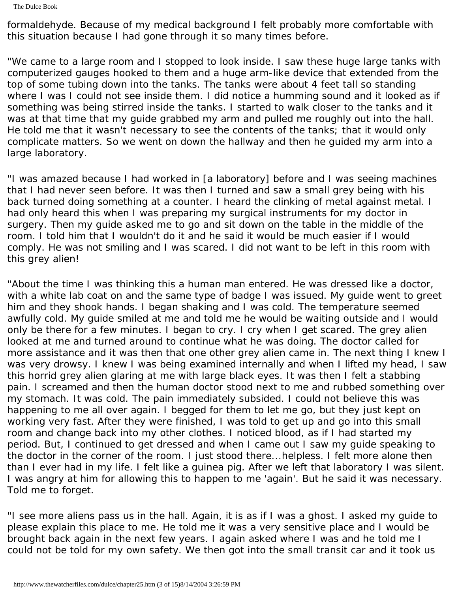The Dulce Book

formaldehyde. Because of my medical background I felt probably more comfortable with this situation because I had gone through it so many times before.

"We came to a large room and I stopped to look inside. I saw these huge large tanks with computerized gauges hooked to them and a huge arm-like device that extended from the top of some tubing down into the tanks. The tanks were about 4 feet tall so standing where I was I could not see inside them. I did notice a humming sound and it looked as if something was being stirred inside the tanks. I started to walk closer to the tanks and it was at that time that my guide grabbed my arm and pulled me roughly out into the hall. He told me that it wasn't necessary to see the contents of the tanks; that it would only complicate matters. So we went on down the hallway and then he guided my arm into a large laboratory.

"I was amazed because I had worked in [a laboratory] before and I was seeing machines that I had never seen before. It was then I turned and saw a small grey being with his back turned doing something at a counter. I heard the clinking of metal against metal. I had only heard this when I was preparing my surgical instruments for my doctor in surgery. Then my guide asked me to go and sit down on the table in the middle of the room. I told him that I wouldn't do it and he said it would be much easier if I would comply. He was not smiling and I was scared. I did not want to be left in this room with this grey alien!

"About the time I was thinking this a human man entered. He was dressed like a doctor, with a white lab coat on and the same type of badge I was issued. My guide went to greet him and they shook hands. I began shaking and I was cold. The temperature seemed awfully cold. My guide smiled at me and told me he would be waiting outside and I would only be there for a few minutes. I began to cry. I cry when I get scared. The grey alien looked at me and turned around to continue what he was doing. The doctor called for more assistance and it was then that one other grey alien came in. The next thing I knew I was very drowsy. I knew I was being examined internally and when I lifted my head, I saw this horrid grey alien glaring at me with large black eyes. It was then I felt a stabbing pain. I screamed and then the human doctor stood next to me and rubbed something over my stomach. It was cold. The pain immediately subsided. I could not believe this was happening to me all over again. I begged for them to let me go, but they just kept on working very fast. After they were finished, I was told to get up and go into this small room and change back into my other clothes. I noticed blood, as if I had started my period. But, I continued to get dressed and when I came out I saw my guide speaking to the doctor in the corner of the room. I just stood there...helpless. I felt more alone then than I ever had in my life. I felt like a guinea pig. After we left that laboratory I was silent. I was angry at him for allowing this to happen to me 'again'. But he said it was necessary. Told me to forget.

"I see more aliens pass us in the hall. Again, it is as if I was a ghost. I asked my guide to please explain this place to me. He told me it was a very sensitive place and I would be brought back again in the next few years. I again asked where I was and he told me I could not be told for my own safety. We then got into the small transit car and it took us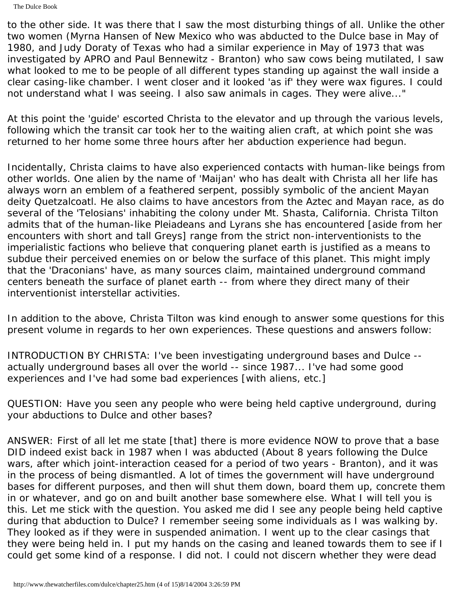to the other side. It was there that I saw the most disturbing things of all. Unlike the other two women (Myrna Hansen of New Mexico who was abducted to the Dulce base in May of 1980, and Judy Doraty of Texas who had a similar experience in May of 1973 that was investigated by APRO and Paul Bennewitz - Branton) who saw cows being mutilated, I saw what looked to me to be people of all different types standing up against the wall inside a clear casing-like chamber. I went closer and it looked 'as if' they were wax figures. I could not understand what I was seeing. I also saw animals in cages. They were alive..."

At this point the 'guide' escorted Christa to the elevator and up through the various levels, following which the transit car took her to the waiting alien craft, at which point she was returned to her home some three hours after her abduction experience had begun.

Incidentally, Christa claims to have also experienced contacts with human-like beings from other worlds. One alien by the name of 'Maijan' who has dealt with Christa all her life has always worn an emblem of a feathered serpent, possibly symbolic of the ancient Mayan deity Quetzalcoatl. He also claims to have ancestors from the Aztec and Mayan race, as do several of the 'Telosians' inhabiting the colony under Mt. Shasta, California. Christa Tilton admits that of the human-like Pleiadeans and Lyrans she has encountered [aside from her encounters with short and tall Greys] range from the strict non-interventionists to the imperialistic factions who believe that conquering planet earth is justified as a means to subdue their perceived enemies on or below the surface of this planet. This might imply that the 'Draconians' have, as many sources claim, maintained underground command centers beneath the surface of planet earth -- from where they direct many of their interventionist interstellar activities.

In addition to the above, Christa Tilton was kind enough to answer some questions for this present volume in regards to her own experiences. These questions and answers follow:

INTRODUCTION BY CHRISTA: I've been investigating underground bases and Dulce - actually underground bases all over the world -- since 1987... I've had some good experiences and I've had some bad experiences [with aliens, etc.]

QUESTION: Have you seen any people who were being held captive underground, during your abductions to Dulce and other bases?

ANSWER: First of all let me state [that] there is more evidence NOW to prove that a base DID indeed exist back in 1987 when I was abducted (About 8 years following the Dulce wars, after which joint-interaction ceased for a period of two years - Branton), and it was in the process of being dismantled. A lot of times the government will have underground bases for different purposes, and then will shut them down, board them up, concrete them in or whatever, and go on and built another base somewhere else. What I will tell you is this. Let me stick with the question. You asked me did I see any people being held captive during that abduction to Dulce? I remember seeing some individuals as I was walking by. They looked as if they were in suspended animation. I went up to the clear casings that they were being held in. I put my hands on the casing and leaned towards them to see if I could get some kind of a response. I did not. I could not discern whether they were dead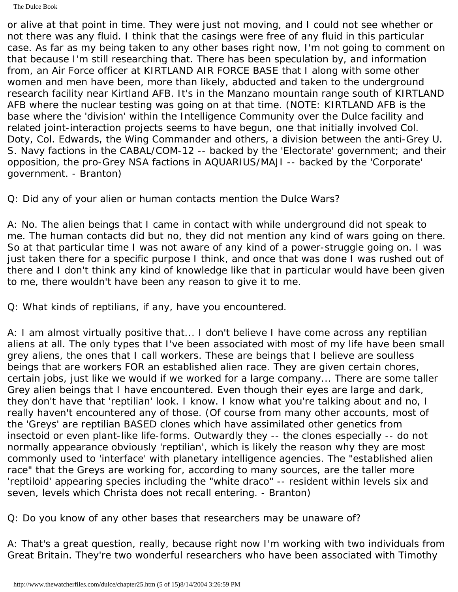or alive at that point in time. They were just not moving, and I could not see whether or not there was any fluid. I think that the casings were free of any fluid in this particular case. As far as my being taken to any other bases right now, I'm not going to comment on that because I'm still researching that. There has been speculation by, and information from, an Air Force officer at KIRTLAND AIR FORCE BASE that I along with some other women and men have been, more than likely, abducted and taken to the underground research facility near Kirtland AFB. It's in the Manzano mountain range south of KIRTLAND AFB where the nuclear testing was going on at that time. (NOTE: KIRTLAND AFB is the base where the 'division' within the Intelligence Community over the Dulce facility and related joint-interaction projects seems to have begun, one that initially involved Col. Doty, Col. Edwards, the Wing Commander and others, a division between the anti-Grey U. S. Navy factions in the CABAL/COM-12 -- backed by the 'Electorate' government; and their opposition, the pro-Grey NSA factions in AQUARIUS/MAJI -- backed by the 'Corporate' government. - Branton)

Q: Did any of your alien or human contacts mention the Dulce Wars?

A: No. The alien beings that I came in contact with while underground did not speak to me. The human contacts did but no, they did not mention any kind of wars going on there. So at that particular time I was not aware of any kind of a power-struggle going on. I was just taken there for a specific purpose I think, and once that was done I was rushed out of there and I don't think any kind of knowledge like that in particular would have been given to me, there wouldn't have been any reason to give it to me.

Q: What kinds of reptilians, if any, have you encountered.

A: I am almost virtually positive that... I don't believe I have come across any reptilian aliens at all. The only types that I've been associated with most of my life have been small grey aliens, the ones that I call workers. These are beings that I believe are soulless beings that are workers FOR an established alien race. They are given certain chores, certain jobs, just like we would if we worked for a large company... There are some taller Grey alien beings that I have encountered. Even though their eyes are large and dark, they don't have that 'reptilian' look. I know. I know what you're talking about and no, I really haven't encountered any of those. (Of course from many other accounts, most of the 'Greys' are reptilian BASED clones which have assimilated other genetics from insectoid or even plant-like life-forms. Outwardly they -- the clones especially -- do not normally appearance obviously 'reptilian', which is likely the reason why they are most commonly used to 'interface' with planetary intelligence agencies. The "established alien race" that the Greys are working for, according to many sources, are the taller more 'reptiloid' appearing species including the "white draco" -- resident within levels six and seven, levels which Christa does not recall entering. - Branton)

Q: Do you know of any other bases that researchers may be unaware of?

A: That's a great question, really, because right now I'm working with two individuals from Great Britain. They're two wonderful researchers who have been associated with Timothy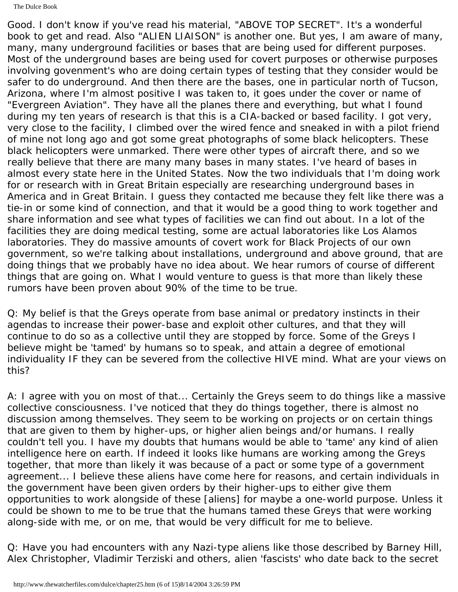The Dulce Book

Good. I don't know if you've read his material, "ABOVE TOP SECRET". It's a wonderful book to get and read. Also "ALIEN LIAISON" is another one. But yes, I am aware of many, many, many underground facilities or bases that are being used for different purposes. Most of the underground bases are being used for covert purposes or otherwise purposes involving govenment's who are doing certain types of testing that they consider would be safer to do underground. And then there are the bases, one in particular north of Tucson, Arizona, where I'm almost positive I was taken to, it goes under the cover or name of "Evergreen Aviation". They have all the planes there and everything, but what I found during my ten years of research is that this is a CIA-backed or based facility. I got very, very close to the facility, I climbed over the wired fence and sneaked in with a pilot friend of mine not long ago and got some great photographs of some black helicopters. These black helicopters were unmarked. There were other types of aircraft there, and so we really believe that there are many many bases in many states. I've heard of bases in almost every state here in the United States. Now the two individuals that I'm doing work for or research with in Great Britain especially are researching underground bases in America and in Great Britain. I guess they contacted me because they felt like there was a tie-in or some kind of connection, and that it would be a good thing to work together and share information and see what types of facilities we can find out about. In a lot of the facilities they are doing medical testing, some are actual laboratories like Los Alamos laboratories. They do massive amounts of covert work for Black Projects of our own government, so we're talking about installations, underground and above ground, that are doing things that we probably have no idea about. We hear rumors of course of different things that are going on. What I would venture to guess is that more than likely these rumors have been proven about 90% of the time to be true.

Q: My belief is that the Greys operate from base animal or predatory instincts in their agendas to increase their power-base and exploit other cultures, and that they will continue to do so as a collective until they are stopped by force. Some of the Greys I believe might be 'tamed' by humans so to speak, and attain a degree of emotional individuality IF they can be severed from the collective HIVE mind. What are your views on this?

A: I agree with you on most of that... Certainly the Greys seem to do things like a massive collective consciousness. I've noticed that they do things together, there is almost no discussion among themselves. They seem to be working on projects or on certain things that are given to them by higher-ups, or higher alien beings and/or humans. I really couldn't tell you. I have my doubts that humans would be able to 'tame' any kind of alien intelligence here on earth. If indeed it looks like humans are working among the Greys together, that more than likely it was because of a pact or some type of a government agreement... I believe these aliens have come here for reasons, and certain individuals in the government have been given orders by their higher-ups to either give them opportunities to work alongside of these [aliens] for maybe a one-world purpose. Unless it could be shown to me to be true that the humans tamed these Greys that were working along-side with me, or on me, that would be very difficult for me to believe.

Q: Have you had encounters with any Nazi-type aliens like those described by Barney Hill, Alex Christopher, Vladimir Terziski and others, alien 'fascists' who date back to the secret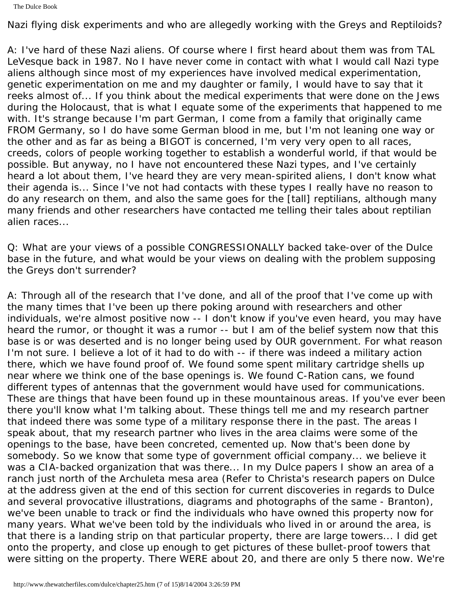The Dulce Book

Nazi flying disk experiments and who are allegedly working with the Greys and Reptiloids?

A: I've hard of these Nazi aliens. Of course where I first heard about them was from TAL LeVesque back in 1987. No I have never come in contact with what I would call Nazi type aliens although since most of my experiences have involved medical experimentation, genetic experimentation on me and my daughter or family, I would have to say that it reeks almost of... If you think about the medical experiments that were done on the Jews during the Holocaust, that is what I equate some of the experiments that happened to me with. It's strange because I'm part German, I come from a family that originally came FROM Germany, so I do have some German blood in me, but I'm not leaning one way or the other and as far as being a BIGOT is concerned, I'm very very open to all races, creeds, colors of people working together to establish a wonderful world, if that would be possible. But anyway, no I have not encountered these Nazi types, and I've certainly heard a lot about them, I've heard they are very mean-spirited aliens, I don't know what their agenda is... Since I've not had contacts with these types I really have no reason to do any research on them, and also the same goes for the [tall] reptilians, although many many friends and other researchers have contacted me telling their tales about reptilian alien races...

Q: What are your views of a possible CONGRESSIONALLY backed take-over of the Dulce base in the future, and what would be your views on dealing with the problem supposing the Greys don't surrender?

A: Through all of the research that I've done, and all of the proof that I've come up with the many times that I've been up there poking around with researchers and other individuals, we're almost positive now -- I don't know if you've even heard, you may have heard the rumor, or thought it was a rumor -- but I am of the belief system now that this base is or was deserted and is no longer being used by OUR government. For what reason I'm not sure. I believe a lot of it had to do with -- if there was indeed a military action there, which we have found proof of. We found some spent military cartridge shells up near where we think one of the base openings is. We found C-Ration cans, we found different types of antennas that the government would have used for communications. These are things that have been found up in these mountainous areas. If you've ever been there you'll know what I'm talking about. These things tell me and my research partner that indeed there was some type of a military response there in the past. The areas I speak about, that my research partner who lives in the area claims were some of the openings to the base, have been concreted, cemented up. Now that's been done by somebody. So we know that some type of government official company... we believe it was a CIA-backed organization that was there... In my Dulce papers I show an area of a ranch just north of the Archuleta mesa area (Refer to Christa's research papers on Dulce at the address given at the end of this section for current discoveries in regards to Dulce and several provocative illustrations, diagrams and photographs of the same - Branton), we've been unable to track or find the individuals who have owned this property now for many years. What we've been told by the individuals who lived in or around the area, is that there is a landing strip on that particular property, there are large towers... I did get onto the property, and close up enough to get pictures of these bullet-proof towers that were sitting on the property. There WERE about 20, and there are only 5 there now. We're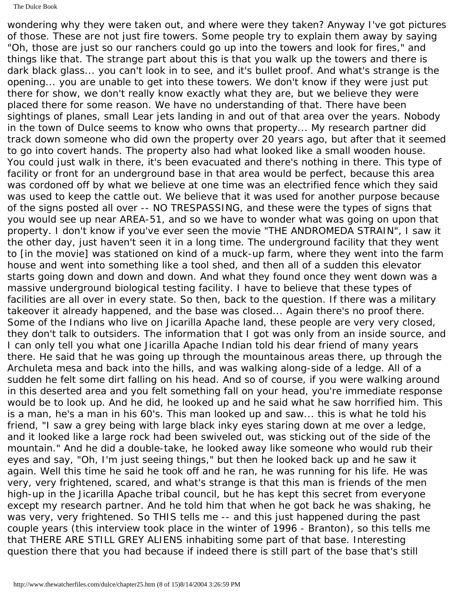wondering why they were taken out, and where were they taken? Anyway I've got pictures of those. These are not just fire towers. Some people try to explain them away by saying "Oh, those are just so our ranchers could go up into the towers and look for fires," and things like that. The strange part about this is that you walk up the towers and there is dark black glass... you can't look in to see, and it's bullet proof. And what's strange is the opening... you are unable to get into these towers. We don't know if they were just put there for show, we don't really know exactly what they are, but we believe they were placed there for some reason. We have no understanding of that. There have been sightings of planes, small Lear jets landing in and out of that area over the years. Nobody in the town of Dulce seems to know who owns that property... My research partner did track down someone who did own the property over 20 years ago, but after that it seemed to go into covert hands. The property also had what looked like a small wooden house. You could just walk in there, it's been evacuated and there's nothing in there. This type of facility or front for an underground base in that area would be perfect, because this area was cordoned off by what we believe at one time was an electrified fence which they said was used to keep the cattle out. We believe that it was used for another purpose because of the signs posted all over -- NO TRESPASSING, and these were the types of signs that you would see up near AREA-51, and so we have to wonder what was going on upon that property. I don't know if you've ever seen the movie "THE ANDROMEDA STRAIN", I saw it the other day, just haven't seen it in a long time. The underground facility that they went to [in the movie] was stationed on kind of a muck-up farm, where they went into the farm house and went into something like a tool shed, and then all of a sudden this elevator starts going down and down and down. And what they found once they went down was a massive underground biological testing facility. I have to believe that these types of facilities are all over in every state. So then, back to the question. If there was a military takeover it already happened, and the base was closed... Again there's no proof there. Some of the Indians who live on Jicarilla Apache land, these people are very very closed, they don't talk to outsiders. The information that I got was only from an inside source, and I can only tell you what one Jicarilla Apache Indian told his dear friend of many years there. He said that he was going up through the mountainous areas there, up through the Archuleta mesa and back into the hills, and was walking along-side of a ledge. All of a sudden he felt some dirt falling on his head. And so of course, if you were walking around in this deserted area and you felt something fall on your head, you're immediate response would be to look up. And he did, he looked up and he said what he saw horrified him. This is a man, he's a man in his 60's. This man looked up and saw... this is what he told his friend, "I saw a grey being with large black inky eyes staring down at me over a ledge, and it looked like a large rock had been swiveled out, was sticking out of the side of the mountain." And he did a double-take, he looked away like someone who would rub their eyes and say, "Oh, I'm just seeing things," but then he looked back up and he saw it again. Well this time he said he took off and he ran, he was running for his life. He was very, very frightened, scared, and what's strange is that this man is friends of the men high-up in the Jicarilla Apache tribal council, but he has kept this secret from everyone except my research partner. And he told him that when he got back he was shaking, he was very, very frightened. So THIS tells me -- and this just happened during the past couple years (this interview took place in the winter of 1996 - Branton), so this tells me that THERE ARE STILL GREY ALIENS inhabiting some part of that base. Interesting question there that you had because if indeed there is still part of the base that's still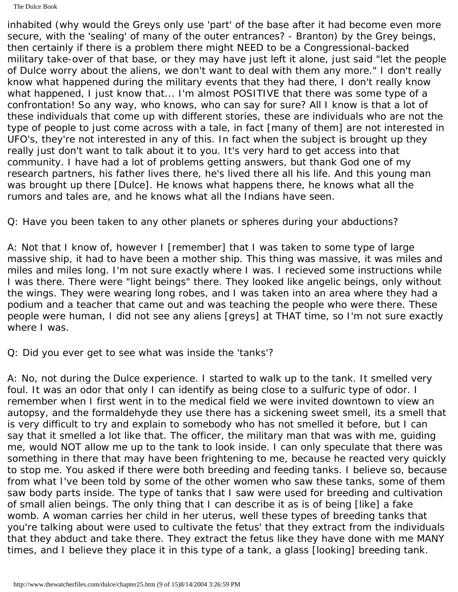The Dulce Book

inhabited (why would the Greys only use 'part' of the base after it had become even more secure, with the 'sealing' of many of the outer entrances? - Branton) by the Grey beings, then certainly if there is a problem there might NEED to be a Congressional-backed military take-over of that base, or they may have just left it alone, just said "let the people of Dulce worry about the aliens, we don't want to deal with them any more." I don't really know what happened during the military events that they had there, I don't really know what happened, I just know that... I'm almost POSITIVE that there was some type of a confrontation! So any way, who knows, who can say for sure? All I know is that a lot of these individuals that come up with different stories, these are individuals who are not the type of people to just come across with a tale, in fact [many of them] are not interested in UFO's, they're not interested in any of this. In fact when the subject is brought up they really just don't want to talk about it to you. It's very hard to get access into that community. I have had a lot of problems getting answers, but thank God one of my research partners, his father lives there, he's lived there all his life. And this young man was brought up there [Dulce]. He knows what happens there, he knows what all the rumors and tales are, and he knows what all the Indians have seen.

Q: Have you been taken to any other planets or spheres during your abductions?

A: Not that I know of, however I [remember] that I was taken to some type of large massive ship, it had to have been a mother ship. This thing was massive, it was miles and miles and miles long. I'm not sure exactly where I was. I recieved some instructions while I was there. There were "light beings" there. They looked like angelic beings, only without the wings. They were wearing long robes, and I was taken into an area where they had a podium and a teacher that came out and was teaching the people who were there. These people were human, I did not see any aliens [greys] at THAT time, so I'm not sure exactly where I was.

Q: Did you ever get to see what was inside the 'tanks'?

A: No, not during the Dulce experience. I started to walk up to the tank. It smelled very foul. It was an odor that only I can identify as being close to a sulfuric type of odor. I remember when I first went in to the medical field we were invited downtown to view an autopsy, and the formaldehyde they use there has a sickening sweet smell, its a smell that is very difficult to try and explain to somebody who has not smelled it before, but I can say that it smelled a lot like that. The officer, the military man that was with me, guiding me, would NOT allow me up to the tank to look inside. I can only speculate that there was something in there that may have been frightening to me, because he reacted very quickly to stop me. You asked if there were both breeding and feeding tanks. I believe so, because from what I've been told by some of the other women who saw these tanks, some of them saw body parts inside. The type of tanks that I saw were used for breeding and cultivation of small alien beings. The only thing that I can describe it as is of being [like] a fake womb. A woman carries her child in her uterus, well these types of breeding tanks that you're talking about were used to cultivate the fetus' that they extract from the individuals that they abduct and take there. They extract the fetus like they have done with me MANY times, and I believe they place it in this type of a tank, a glass [looking] breeding tank.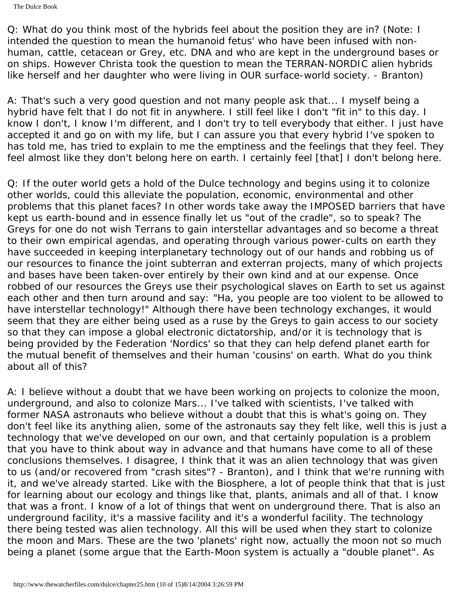The Dulce Book

Q: What do you think most of the hybrids feel about the position they are in? (Note: I intended the question to mean the humanoid fetus' who have been infused with nonhuman, cattle, cetacean or Grey, etc. DNA and who are kept in the underground bases or on ships. However Christa took the question to mean the TERRAN-NORDIC alien hybrids like herself and her daughter who were living in OUR surface-world society. - Branton)

A: That's such a very good question and not many people ask that... I myself being a hybrid have felt that I do not fit in anywhere. I still feel like I don't "fit in" to this day. I know I don't, I know I'm different, and I don't try to tell everybody that either. I just have accepted it and go on with my life, but I can assure you that every hybrid I've spoken to has told me, has tried to explain to me the emptiness and the feelings that they feel. They feel almost like they don't belong here on earth. I certainly feel [that] I don't belong here.

Q: If the outer world gets a hold of the Dulce technology and begins using it to colonize other worlds, could this alleviate the population, economic, environmental and other problems that this planet faces? In other words take away the IMPOSED barriers that have kept us earth-bound and in essence finally let us "out of the cradle", so to speak? The Greys for one do not wish Terrans to gain interstellar advantages and so become a threat to their own empirical agendas, and operating through various power-cults on earth they have succeeded in keeping interplanetary technology out of our hands and robbing us of our resources to finance the joint subterran and exterran projects, many of which projects and bases have been taken-over entirely by their own kind and at our expense. Once robbed of our resources the Greys use their psychological slaves on Earth to set us against each other and then turn around and say: "Ha, you people are too violent to be allowed to have interstellar technology!" Although there have been technology exchanges, it would seem that they are either being used as a ruse by the Greys to gain access to our society so that they can impose a global electronic dictatorship, and/or it is technology that is being provided by the Federation 'Nordics' so that they can help defend planet earth for the mutual benefit of themselves and their human 'cousins' on earth. What do you think about all of this?

A: I believe without a doubt that we have been working on projects to colonize the moon, underground, and also to colonize Mars... I've talked with scientists, I've talked with former NASA astronauts who believe without a doubt that this is what's going on. They don't feel like its anything alien, some of the astronauts say they felt like, well this is just a technology that we've developed on our own, and that certainly population is a problem that you have to think about way in advance and that humans have come to all of these conclusions themselves. I disagree, I think that it was an alien technology that was given to us (and/or recovered from "crash sites"? - Branton), and I think that we're running with it, and we've already started. Like with the Biosphere, a lot of people think that that is just for learning about our ecology and things like that, plants, animals and all of that. I know that was a front. I know of a lot of things that went on underground there. That is also an underground facility, it's a massive facility and it's a wonderful facility. The technology there being tested was alien technology. All this will be used when they start to colonize the moon and Mars. These are the two 'planets' right now, actually the moon not so much being a planet (some argue that the Earth-Moon system is actually a "double planet". As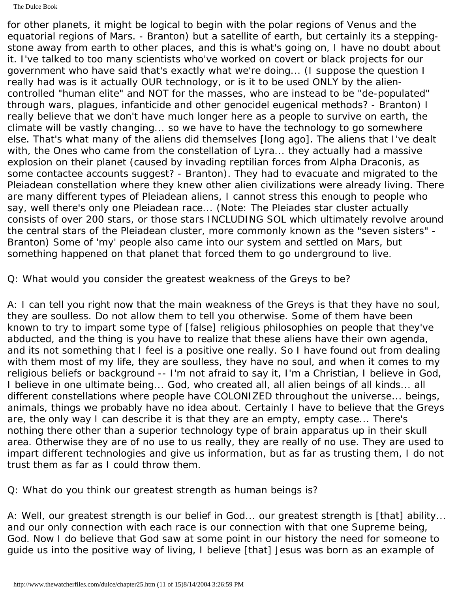The Dulce Book

for other planets, it might be logical to begin with the polar regions of Venus and the equatorial regions of Mars. - Branton) but a satellite of earth, but certainly its a steppingstone away from earth to other places, and this is what's going on, I have no doubt about it. I've talked to too many scientists who've worked on covert or black projects for our government who have said that's exactly what we're doing... (I suppose the question I really had was is it actually OUR technology, or is it to be used ONLY by the aliencontrolled "human elite" and NOT for the masses, who are instead to be "de-populated" through wars, plagues, infanticide and other genocidel eugenical methods? - Branton) I really believe that we don't have much longer here as a people to survive on earth, the climate will be vastly changing... so we have to have the technology to go somewhere else. That's what many of the aliens did themselves [long ago]. The aliens that I've dealt with, the Ones who came from the constellation of Lyra... they actually had a massive explosion on their planet (caused by invading reptilian forces from Alpha Draconis, as some contactee accounts suggest? - Branton). They had to evacuate and migrated to the Pleiadean constellation where they knew other alien civilizations were already living. There are many different types of Pleiadean aliens, I cannot stress this enough to people who say, well there's only one Pleiadean race... (Note: The Pleiades star cluster actually consists of over 200 stars, or those stars INCLUDING SOL which ultimately revolve around the central stars of the Pleiadean cluster, more commonly known as the "seven sisters" - Branton) Some of 'my' people also came into our system and settled on Mars, but something happened on that planet that forced them to go underground to live.

Q: What would you consider the greatest weakness of the Greys to be?

A: I can tell you right now that the main weakness of the Greys is that they have no soul, they are soulless. Do not allow them to tell you otherwise. Some of them have been known to try to impart some type of [false] religious philosophies on people that they've abducted, and the thing is you have to realize that these aliens have their own agenda, and its not something that I feel is a positive one really. So I have found out from dealing with them most of my life, they are soulless, they have no soul, and when it comes to my religious beliefs or background -- I'm not afraid to say it, I'm a Christian, I believe in God, I believe in one ultimate being... God, who created all, all alien beings of all kinds... all different constellations where people have COLONIZED throughout the universe... beings, animals, things we probably have no idea about. Certainly I have to believe that the Greys are, the only way I can describe it is that they are an empty, empty case... There's nothing there other than a superior technology type of brain apparatus up in their skull area. Otherwise they are of no use to us really, they are really of no use. They are used to impart different technologies and give us information, but as far as trusting them, I do not trust them as far as I could throw them.

Q: What do you think our greatest strength as human beings is?

A: Well, our greatest strength is our belief in God... our greatest strength is [that] ability... and our only connection with each race is our connection with that one Supreme being, God. Now I do believe that God saw at some point in our history the need for someone to guide us into the positive way of living, I believe [that] Jesus was born as an example of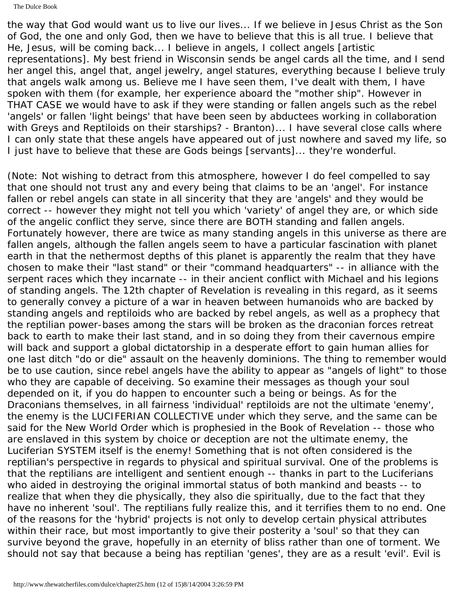the way that God would want us to live our lives... If we believe in Jesus Christ as the Son of God, the one and only God, then we have to believe that this is all true. I believe that He, Jesus, will be coming back... I believe in angels, I collect angels [artistic representations]. My best friend in Wisconsin sends be angel cards all the time, and I send her angel this, angel that, angel jewelry, angel statures, everything because I believe truly that angels walk among us. Believe me I have seen them, I've dealt with them, I have spoken with them (for example, her experience aboard the "mother ship". However in THAT CASE we would have to ask if they were standing or fallen angels such as the rebel 'angels' or fallen 'light beings' that have been seen by abductees working in collaboration with Greys and Reptiloids on their starships? - Branton)... I have several close calls where I can only state that these angels have appeared out of just nowhere and saved my life, so I just have to believe that these are Gods beings [servants]... they're wonderful.

(Note: Not wishing to detract from this atmosphere, however I do feel compelled to say that one should not trust any and every being that claims to be an 'angel'. For instance fallen or rebel angels can state in all sincerity that they are 'angels' and they would be correct -- however they might not tell you which 'variety' of angel they are, or which side of the angelic conflict they serve, since there are BOTH standing and fallen angels. Fortunately however, there are twice as many standing angels in this universe as there are fallen angels, although the fallen angels seem to have a particular fascination with planet earth in that the nethermost depths of this planet is apparently the realm that they have chosen to make their "last stand" or their "command headquarters" -- in alliance with the serpent races which they incarnate -- in their ancient conflict with Michael and his legions of standing angels. The 12th chapter of Revelation is revealing in this regard, as it seems to generally convey a picture of a war in heaven between humanoids who are backed by standing angels and reptiloids who are backed by rebel angels, as well as a prophecy that the reptilian power-bases among the stars will be broken as the draconian forces retreat back to earth to make their last stand, and in so doing they from their cavernous empire will back and support a global dictatorship in a desperate effort to gain human allies for one last ditch "do or die" assault on the heavenly dominions. The thing to remember would be to use caution, since rebel angels have the ability to appear as "angels of light" to those who they are capable of deceiving. So examine their messages as though your soul depended on it, if you do happen to encounter such a being or beings. As for the Draconians themselves, in all fairness 'individual' reptiloids are not the ultimate 'enemy', the enemy is the LUCIFERIAN COLLECTIVE under which they serve, and the same can be said for the New World Order which is prophesied in the Book of Revelation -- those who are enslaved in this system by choice or deception are not the ultimate enemy, the Luciferian SYSTEM itself is the enemy! Something that is not often considered is the reptilian's perspective in regards to physical and spiritual survival. One of the problems is that the reptilians are intelligent and sentient enough -- thanks in part to the Luciferians who aided in destroying the original immortal status of both mankind and beasts -- to realize that when they die physically, they also die spiritually, due to the fact that they have no inherent 'soul'. The reptilians fully realize this, and it terrifies them to no end. One of the reasons for the 'hybrid' projects is not only to develop certain physical attributes within their race, but most importantly to give their posterity a 'soul' so that they can survive beyond the grave, hopefully in an eternity of bliss rather than one of torment. We should not say that because a being has reptilian 'genes', they are as a result 'evil'. Evil is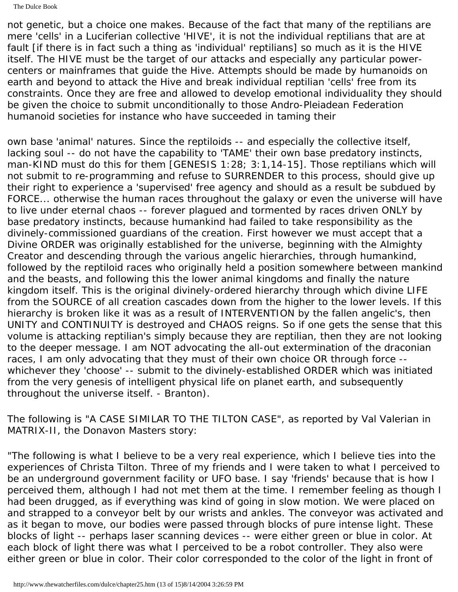not genetic, but a choice one makes. Because of the fact that many of the reptilians are mere 'cells' in a Luciferian collective 'HIVE', it is not the individual reptilians that are at fault [if there is in fact such a thing as 'individual' reptilians] so much as it is the HIVE itself. The HIVE must be the target of our attacks and especially any particular powercenters or mainframes that guide the Hive. Attempts should be made by humanoids on earth and beyond to attack the Hive and break individual reptilian 'cells' free from its constraints. Once they are free and allowed to develop emotional individuality they should be given the choice to submit unconditionally to those Andro-Pleiadean Federation humanoid societies for instance who have succeeded in taming their

own base 'animal' natures. Since the reptiloids -- and especially the collective itself, lacking soul -- do not have the capability to 'TAME' their own base predatory instincts, man-KIND must do this for them [GENESIS 1:28; 3:1,14-15]. Those reptilians which will not submit to re-programming and refuse to SURRENDER to this process, should give up their right to experience a 'supervised' free agency and should as a result be subdued by FORCE... otherwise the human races throughout the galaxy or even the universe will have to live under eternal chaos -- forever plagued and tormented by races driven ONLY by base predatory instincts, because humankind had failed to take responsibility as the divinely-commissioned guardians of the creation. First however we must accept that a Divine ORDER was originally established for the universe, beginning with the Almighty Creator and descending through the various angelic hierarchies, through humankind, followed by the reptiloid races who originally held a position somewhere between mankind and the beasts, and following this the lower animal kingdoms and finally the nature kingdom itself. This is the original divinely-ordered hierarchy through which divine LIFE from the SOURCE of all creation cascades down from the higher to the lower levels. If this hierarchy is broken like it was as a result of INTERVENTION by the fallen angelic's, then UNITY and CONTINUITY is destroyed and CHAOS reigns. So if one gets the sense that this volume is attacking reptilian's simply because they are reptilian, then they are not looking to the deeper message. I am NOT advocating the all-out extermination of the draconian races, I am only advocating that they must of their own choice OR through force - whichever they 'choose' -- submit to the divinely-established ORDER which was initiated from the very genesis of intelligent physical life on planet earth, and subsequently throughout the universe itself. - Branton).

The following is "A CASE SIMILAR TO THE TILTON CASE", as reported by Val Valerian in MATRIX-II, the Donavon Masters story:

"The following is what I believe to be a very real experience, which I believe ties into the experiences of Christa Tilton. Three of my friends and I were taken to what I perceived to be an underground government facility or UFO base. I say 'friends' because that is how I perceived them, although I had not met them at the time. I remember feeling as though I had been drugged, as if everything was kind of going in slow motion. We were placed on and strapped to a conveyor belt by our wrists and ankles. The conveyor was activated and as it began to move, our bodies were passed through blocks of pure intense light. These blocks of light -- perhaps laser scanning devices -- were either green or blue in color. At each block of light there was what I perceived to be a robot controller. They also were either green or blue in color. Their color corresponded to the color of the light in front of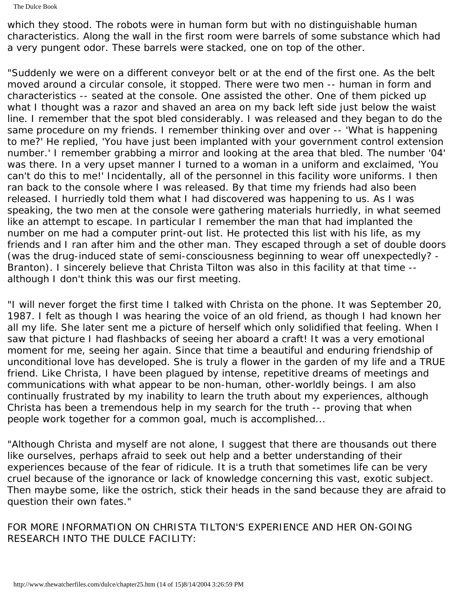The Dulce Book

which they stood. The robots were in human form but with no distinguishable human characteristics. Along the wall in the first room were barrels of some substance which had a very pungent odor. These barrels were stacked, one on top of the other.

"Suddenly we were on a different conveyor belt or at the end of the first one. As the belt moved around a circular console, it stopped. There were two men -- human in form and characteristics -- seated at the console. One assisted the other. One of them picked up what I thought was a razor and shaved an area on my back left side just below the waist line. I remember that the spot bled considerably. I was released and they began to do the same procedure on my friends. I remember thinking over and over -- 'What is happening to me?' He replied, 'You have just been implanted with your government control extension number.' I remember grabbing a mirror and looking at the area that bled. The number '04' was there. In a very upset manner I turned to a woman in a uniform and exclaimed, 'You can't do this to me!' Incidentally, all of the personnel in this facility wore uniforms. I then ran back to the console where I was released. By that time my friends had also been released. I hurriedly told them what I had discovered was happening to us. As I was speaking, the two men at the console were gathering materials hurriedly, in what seemed like an attempt to escape. In particular I remember the man that had implanted the number on me had a computer print-out list. He protected this list with his life, as my friends and I ran after him and the other man. They escaped through a set of double doors (was the drug-induced state of semi-consciousness beginning to wear off unexpectedly? - Branton). I sincerely believe that Christa Tilton was also in this facility at that time - although I don't think this was our first meeting.

"I will never forget the first time I talked with Christa on the phone. It was September 20, 1987. I felt as though I was hearing the voice of an old friend, as though I had known her all my life. She later sent me a picture of herself which only solidified that feeling. When I saw that picture I had flashbacks of seeing her aboard a craft! It was a very emotional moment for me, seeing her again. Since that time a beautiful and enduring friendship of unconditional love has developed. She is truly a flower in the garden of my life and a TRUE friend. Like Christa, I have been plagued by intense, repetitive dreams of meetings and communications with what appear to be non-human, other-worldly beings. I am also continually frustrated by my inability to learn the truth about my experiences, although Christa has been a tremendous help in my search for the truth -- proving that when people work together for a common goal, much is accomplished...

"Although Christa and myself are not alone, I suggest that there are thousands out there like ourselves, perhaps afraid to seek out help and a better understanding of their experiences because of the fear of ridicule. It is a truth that sometimes life can be very cruel because of the ignorance or lack of knowledge concerning this vast, exotic subject. Then maybe some, like the ostrich, stick their heads in the sand because they are afraid to question their own fates."

FOR MORE INFORMATION ON CHRISTA TILTON'S EXPERIENCE AND HER ON-GOING RESEARCH INTO THE DULCE FACILITY: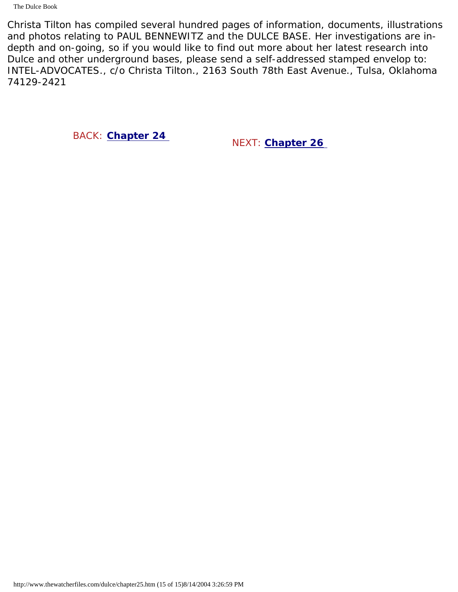Christa Tilton has compiled several hundred pages of information, documents, illustrations and photos relating to PAUL BENNEWITZ and the DULCE BASE. Her investigations are indepth and on-going, so if you would like to find out more about her latest research into Dulce and other underground bases, please send a self-addressed stamped envelop to: INTEL-ADVOCATES., c/o Christa Tilton., 2163 South 78th East Avenue., Tulsa, Oklahoma 74129-2421

BACK: **[Chapter 24](#page-226-0)** NEXT: **[Chapter 26](#page-244-0)**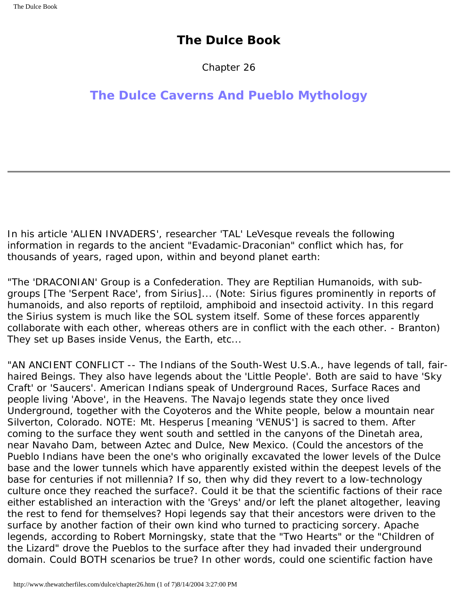Chapter 26

## <span id="page-244-0"></span>**The Dulce Caverns And Pueblo Mythology**

In his article 'ALIEN INVADERS', researcher 'TAL' LeVesque reveals the following information in regards to the ancient "Evadamic-Draconian" conflict which has, for thousands of years, raged upon, within and beyond planet earth:

"The 'DRACONIAN' Group is a Confederation. They are Reptilian Humanoids, with subgroups [The 'Serpent Race', from Sirius]... (Note: Sirius figures prominently in reports of humanoids, and also reports of reptiloid, amphiboid and insectoid activity. In this regard the Sirius system is much like the SOL system itself. Some of these forces apparently collaborate with each other, whereas others are in conflict with the each other. - Branton) They set up Bases inside Venus, the Earth, etc...

"AN ANCIENT CONFLICT -- The Indians of the South-West U.S.A., have legends of tall, fairhaired Beings. They also have legends about the 'Little People'. Both are said to have 'Sky Craft' or 'Saucers'. American Indians speak of Underground Races, Surface Races and people living 'Above', in the Heavens. The Navajo legends state they once lived Underground, together with the Coyoteros and the White people, below a mountain near Silverton, Colorado. NOTE: Mt. Hesperus [meaning 'VENUS'] is sacred to them. After coming to the surface they went south and settled in the canyons of the Dinetah area, near Navaho Dam, between Aztec and Dulce, New Mexico. (Could the ancestors of the Pueblo Indians have been the one's who originally excavated the lower levels of the Dulce base and the lower tunnels which have apparently existed within the deepest levels of the base for centuries if not millennia? If so, then why did they revert to a low-technology culture once they reached the surface?. Could it be that the scientific factions of their race either established an interaction with the 'Greys' and/or left the planet altogether, leaving the rest to fend for themselves? Hopi legends say that their ancestors were driven to the surface by another faction of their own kind who turned to practicing sorcery. Apache legends, according to Robert Morningsky, state that the "Two Hearts" or the "Children of the Lizard" drove the Pueblos to the surface after they had invaded their underground domain. Could BOTH scenarios be true? In other words, could one scientific faction have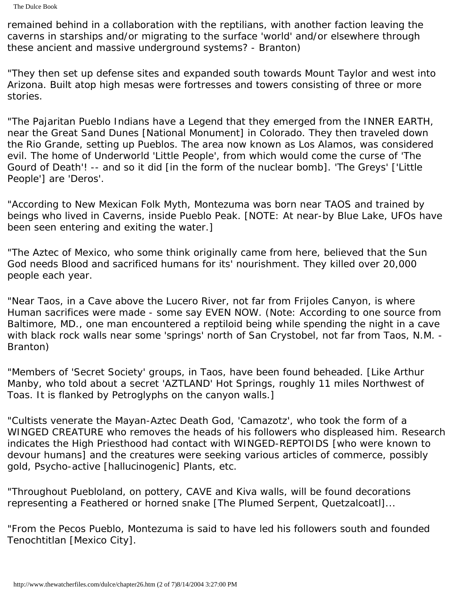The Dulce Book

remained behind in a collaboration with the reptilians, with another faction leaving the caverns in starships and/or migrating to the surface 'world' and/or elsewhere through these ancient and massive underground systems? - Branton)

"They then set up defense sites and expanded south towards Mount Taylor and west into Arizona. Built atop high mesas were fortresses and towers consisting of three or more stories.

"The Pajaritan Pueblo Indians have a Legend that they emerged from the INNER EARTH, near the Great Sand Dunes [National Monument] in Colorado. They then traveled down the Rio Grande, setting up Pueblos. The area now known as Los Alamos, was considered evil. The home of Underworld 'Little People', from which would come the curse of 'The Gourd of Death'! -- and so it did [in the form of the nuclear bomb]. 'The Greys' ['Little People'] are 'Deros'.

"According to New Mexican Folk Myth, Montezuma was born near TAOS and trained by beings who lived in Caverns, inside Pueblo Peak. [NOTE: At near-by Blue Lake, UFOs have been seen entering and exiting the water.]

"The Aztec of Mexico, who some think originally came from here, believed that the Sun God needs Blood and sacrificed humans for its' nourishment. They killed over 20,000 people each year.

"Near Taos, in a Cave above the Lucero River, not far from Frijoles Canyon, is where Human sacrifices were made - some say EVEN NOW. (Note: According to one source from Baltimore, MD., one man encountered a reptiloid being while spending the night in a cave with black rock walls near some 'springs' north of San Crystobel, not far from Taos, N.M. -Branton)

"Members of 'Secret Society' groups, in Taos, have been found beheaded. [Like Arthur Manby, who told about a secret 'AZTLAND' Hot Springs, roughly 11 miles Northwest of Toas. It is flanked by Petroglyphs on the canyon walls.]

"Cultists venerate the Mayan-Aztec Death God, 'Camazotz', who took the form of a WINGED CREATURE who removes the heads of his followers who displeased him. Research indicates the High Priesthood had contact with WINGED-REPTOIDS [who were known to devour humans] and the creatures were seeking various articles of commerce, possibly gold, Psycho-active [hallucinogenic] Plants, etc.

"Throughout Puebloland, on pottery, CAVE and Kiva walls, will be found decorations representing a Feathered or horned snake [The Plumed Serpent, Quetzalcoatl]...

"From the Pecos Pueblo, Montezuma is said to have led his followers south and founded Tenochtitlan [Mexico City].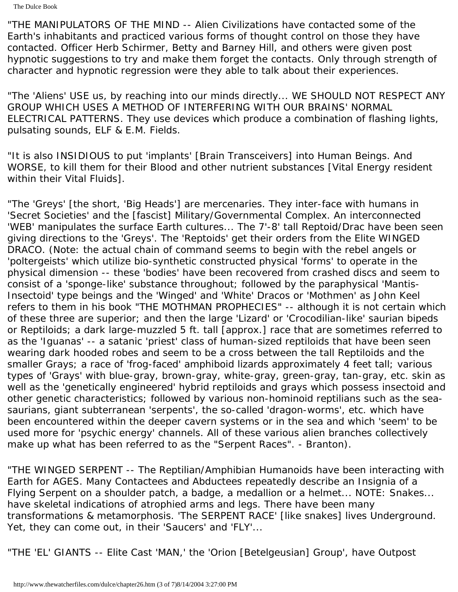"THE MANIPULATORS OF THE MIND -- Alien Civilizations have contacted some of the Earth's inhabitants and practiced various forms of thought control on those they have contacted. Officer Herb Schirmer, Betty and Barney Hill, and others were given post hypnotic suggestions to try and make them forget the contacts. Only through strength of character and hypnotic regression were they able to talk about their experiences.

"The 'Aliens' USE us, by reaching into our minds directly... WE SHOULD NOT RESPECT ANY GROUP WHICH USES A METHOD OF INTERFERING WITH OUR BRAINS' NORMAL ELECTRICAL PATTERNS. They use devices which produce a combination of flashing lights, pulsating sounds, ELF & E.M. Fields.

"It is also INSIDIOUS to put 'implants' [Brain Transceivers] into Human Beings. And WORSE, to kill them for their Blood and other nutrient substances [Vital Energy resident within their Vital Fluids].

"The 'Greys' [the short, 'Big Heads'] are mercenaries. They inter-face with humans in 'Secret Societies' and the [fascist] Military/Governmental Complex. An interconnected 'WEB' manipulates the surface Earth cultures... The 7'-8' tall Reptoid/Drac have been seen giving directions to the 'Greys'. The 'Reptoids' get their orders from the Elite WINGED DRACO. (Note: the actual chain of command seems to begin with the rebel angels or 'poltergeists' which utilize bio-synthetic constructed physical 'forms' to operate in the physical dimension -- these 'bodies' have been recovered from crashed discs and seem to consist of a 'sponge-like' substance throughout; followed by the paraphysical 'Mantis-Insectoid' type beings and the 'Winged' and 'White' Dracos or 'Mothmen' as John Keel refers to them in his book "THE MOTHMAN PROPHECIES" -- although it is not certain which of these three are superior; and then the large 'Lizard' or 'Crocodilian-like' saurian bipeds or Reptiloids; a dark large-muzzled 5 ft. tall [approx.] race that are sometimes referred to as the 'Iguanas' -- a satanic 'priest' class of human-sized reptiloids that have been seen wearing dark hooded robes and seem to be a cross between the tall Reptiloids and the smaller Grays; a race of 'frog-faced' amphiboid lizards approximately 4 feet tall; various types of 'Grays' with blue-gray, brown-gray, white-gray, green-gray, tan-gray, etc. skin as well as the 'genetically engineered' hybrid reptiloids and grays which possess insectoid and other genetic characteristics; followed by various non-hominoid reptilians such as the seasaurians, giant subterranean 'serpents', the so-called 'dragon-worms', etc. which have been encountered within the deeper cavern systems or in the sea and which 'seem' to be used more for 'psychic energy' channels. All of these various alien branches collectively make up what has been referred to as the "Serpent Races". - Branton).

"THE WINGED SERPENT -- The Reptilian/Amphibian Humanoids have been interacting with Earth for AGES. Many Contactees and Abductees repeatedly describe an Insignia of a Flying Serpent on a shoulder patch, a badge, a medallion or a helmet... NOTE: Snakes... have skeletal indications of atrophied arms and legs. There have been many transformations & metamorphosis. 'The SERPENT RACE' [like snakes] lives Underground. Yet, they can come out, in their 'Saucers' and 'FLY'...

"THE 'EL' GIANTS -- Elite Cast 'MAN,' the 'Orion [Betelgeusian] Group', have Outpost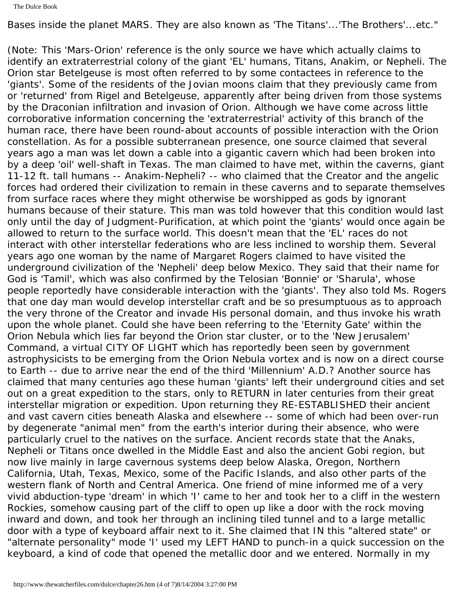Bases inside the planet MARS. They are also known as 'The Titans'...'The Brothers'...etc."

(Note: This 'Mars-Orion' reference is the only source we have which actually claims to identify an extraterrestrial colony of the giant 'EL' humans, Titans, Anakim, or Nepheli. The Orion star Betelgeuse is most often referred to by some contactees in reference to the 'giants'. Some of the residents of the Jovian moons claim that they previously came from or 'returned' from Rigel and Betelgeuse, apparently after being driven from those systems by the Draconian infiltration and invasion of Orion. Although we have come across little corroborative information concerning the 'extraterrestrial' activity of this branch of the human race, there have been round-about accounts of possible interaction with the Orion constellation. As for a possible subterranean presence, one source claimed that several years ago a man was let down a cable into a gigantic cavern which had been broken into by a deep 'oil' well-shaft in Texas. The man claimed to have met, within the caverns, giant 11-12 ft. tall humans -- Anakim-Nepheli? -- who claimed that the Creator and the angelic forces had ordered their civilization to remain in these caverns and to separate themselves from surface races where they might otherwise be worshipped as gods by ignorant humans because of their stature. This man was told however that this condition would last only until the day of Judgment-Purification, at which point the 'giants' would once again be allowed to return to the surface world. This doesn't mean that the 'EL' races do not interact with other interstellar federations who are less inclined to worship them. Several years ago one woman by the name of Margaret Rogers claimed to have visited the underground civilization of the 'Nepheli' deep below Mexico. They said that their name for God is 'Tamil', which was also confirmed by the Telosian 'Bonnie' or 'Sharula', whose people reportedly have considerable interaction with the 'giants'. They also told Ms. Rogers that one day man would develop interstellar craft and be so presumptuous as to approach the very throne of the Creator and invade His personal domain, and thus invoke his wrath upon the whole planet. Could she have been referring to the 'Eternity Gate' within the Orion Nebula which lies far beyond the Orion star cluster, or to the 'New Jerusalem' Command, a virtual CITY OF LIGHT which has reportedly been seen by government astrophysicists to be emerging from the Orion Nebula vortex and is now on a direct course to Earth -- due to arrive near the end of the third 'Millennium' A.D.? Another source has claimed that many centuries ago these human 'giants' left their underground cities and set out on a great expedition to the stars, only to RETURN in later centuries from their great interstellar migration or expedition. Upon returning they RE-ESTABLISHED their ancient and vast cavern cities beneath Alaska and elsewhere -- some of which had been over-run by degenerate "animal men" from the earth's interior during their absence, who were particularly cruel to the natives on the surface. Ancient records state that the Anaks, Nepheli or Titans once dwelled in the Middle East and also the ancient Gobi region, but now live mainly in large cavernous systems deep below Alaska, Oregon, Northern California, Utah, Texas, Mexico, some of the Pacific Islands, and also other parts of the western flank of North and Central America. One friend of mine informed me of a very vivid abduction-type 'dream' in which 'I' came to her and took her to a cliff in the western Rockies, somehow causing part of the cliff to open up like a door with the rock moving inward and down, and took her through an inclining tiled tunnel and to a large metallic door with a type of keyboard affair next to it. She claimed that IN this "altered state" or "alternate personality" mode 'I' used my LEFT HAND to punch-in a quick succession on the keyboard, a kind of code that opened the metallic door and we entered. Normally in my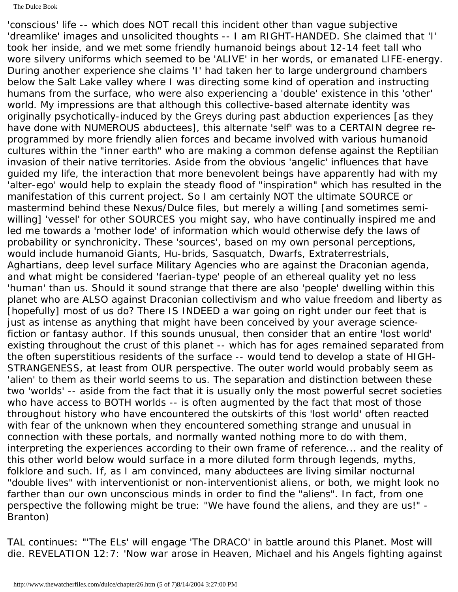'conscious' life -- which does NOT recall this incident other than vague subjective 'dreamlike' images and unsolicited thoughts -- I am RIGHT-HANDED. She claimed that 'I' took her inside, and we met some friendly humanoid beings about 12-14 feet tall who wore silvery uniforms which seemed to be 'ALIVE' in her words, or emanated LIFE-energy. During another experience she claims 'I' had taken her to large underground chambers below the Salt Lake valley where I was directing some kind of operation and instructing humans from the surface, who were also experiencing a 'double' existence in this 'other' world. My impressions are that although this collective-based alternate identity was originally psychotically-induced by the Greys during past abduction experiences [as they have done with NUMEROUS abductees], this alternate 'self' was to a CERTAIN degree reprogrammed by more friendly alien forces and became involved with various humanoid cultures within the "inner earth" who are making a common defense against the Reptilian invasion of their native territories. Aside from the obvious 'angelic' influences that have guided my life, the interaction that more benevolent beings have apparently had with my 'alter-ego' would help to explain the steady flood of "inspiration" which has resulted in the manifestation of this current project. So I am certainly NOT the ultimate SOURCE or mastermind behind these Nexus/Dulce files, but merely a willing [and sometimes semiwilling] 'vessel' for other SOURCES you might say, who have continually inspired me and led me towards a 'mother lode' of information which would otherwise defy the laws of probability or synchronicity. These 'sources', based on my own personal perceptions, would include humanoid Giants, Hu-brids, Sasquatch, Dwarfs, Extraterrestrials, Aghartians, deep level surface Military Agencies who are against the Draconian agenda, and what might be considered 'faerian-type' people of an ethereal quality yet no less 'human' than us. Should it sound strange that there are also 'people' dwelling within this planet who are ALSO against Draconian collectivism and who value freedom and liberty as [hopefully] most of us do? There IS INDEED a war going on right under our feet that is just as intense as anything that might have been conceived by your average sciencefiction or fantasy author. If this sounds unusual, then consider that an entire 'lost world' existing throughout the crust of this planet -- which has for ages remained separated from the often superstitious residents of the surface -- would tend to develop a state of HIGH-STRANGENESS, at least from OUR perspective. The outer world would probably seem as 'alien' to them as their world seems to us. The separation and distinction between these two 'worlds' -- aside from the fact that it is usually only the most powerful secret societies who have access to BOTH worlds -- is often augmented by the fact that most of those throughout history who have encountered the outskirts of this 'lost world' often reacted with fear of the unknown when they encountered something strange and unusual in connection with these portals, and normally wanted nothing more to do with them, interpreting the experiences according to their own frame of reference... and the reality of this other world below would surface in a more diluted form through legends, myths, folklore and such. If, as I am convinced, many abductees are living similar nocturnal "double lives" with interventionist or non-interventionist aliens, or both, we might look no farther than our own unconscious minds in order to find the "aliens". In fact, from one perspective the following might be true: "We have found the aliens, and they are us!" - Branton)

TAL continues: "'The ELs' will engage 'The DRACO' in battle around this Planet. Most will die. REVELATION 12:7: 'Now war arose in Heaven, Michael and his Angels fighting against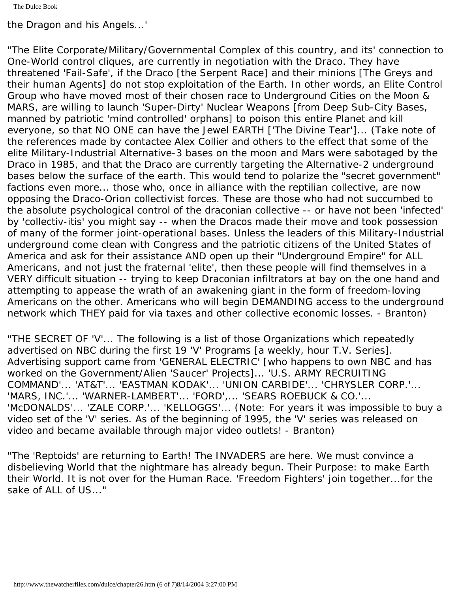the Dragon and his Angels...'

"The Elite Corporate/Military/Governmental Complex of this country, and its' connection to One-World control cliques, are currently in negotiation with the Draco. They have threatened 'Fail-Safe', if the Draco [the Serpent Race] and their minions [The Greys and their human Agents] do not stop exploitation of the Earth. In other words, an Elite Control Group who have moved most of their chosen race to Underground Cities on the Moon & MARS, are willing to launch 'Super-Dirty' Nuclear Weapons [from Deep Sub-City Bases, manned by patriotic 'mind controlled' orphans] to poison this entire Planet and kill everyone, so that NO ONE can have the Jewel EARTH ['The Divine Tear']... (Take note of the references made by contactee Alex Collier and others to the effect that some of the elite Military-Industrial Alternative-3 bases on the moon and Mars were sabotaged by the Draco in 1985, and that the Draco are currently targeting the Alternative-2 underground bases below the surface of the earth. This would tend to polarize the "secret government" factions even more... those who, once in alliance with the reptilian collective, are now opposing the Draco-Orion collectivist forces. These are those who had not succumbed to the absolute psychological control of the draconian collective -- or have not been 'infected' by 'collectiv-itis' you might say -- when the Dracos made their move and took possession of many of the former joint-operational bases. Unless the leaders of this Military-Industrial underground come clean with Congress and the patriotic citizens of the United States of America and ask for their assistance AND open up their "Underground Empire" for ALL Americans, and not just the fraternal 'elite', then these people will find themselves in a VERY difficult situation -- trying to keep Draconian infiltrators at bay on the one hand and attempting to appease the wrath of an awakening giant in the form of freedom-loving Americans on the other. Americans who will begin DEMANDING access to the underground network which THEY paid for via taxes and other collective economic losses. - Branton)

"THE SECRET OF 'V'... The following is a list of those Organizations which repeatedly advertised on NBC during the first 19 'V' Programs [a weekly, hour T.V. Series]. Advertising support came from 'GENERAL ELECTRIC' [who happens to own NBC and has worked on the Government/Alien 'Saucer' Projects]... 'U.S. ARMY RECRUITING COMMAND'... 'AT&T'... 'EASTMAN KODAK'... 'UNION CARBIDE'... 'CHRYSLER CORP.'... 'MARS, INC.'... 'WARNER-LAMBERT'... 'FORD',... 'SEARS ROEBUCK & CO.'... 'McDONALDS'... 'ZALE CORP.'... 'KELLOGGS'... (Note: For years it was impossible to buy a video set of the 'V' series. As of the beginning of 1995, the 'V' series was released on video and became available through major video outlets! - Branton)

"The 'Reptoids' are returning to Earth! The INVADERS are here. We must convince a disbelieving World that the nightmare has already begun. Their Purpose: to make Earth their World. It is not over for the Human Race. 'Freedom Fighters' join together...for the sake of ALL of US..."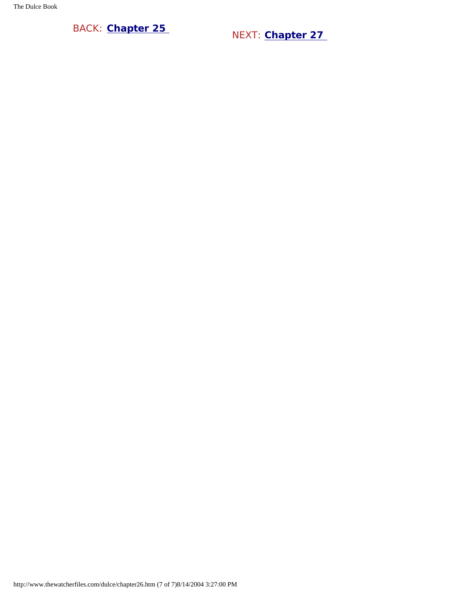BACK: **[Chapter 25](#page-229-0)** NEXT: **[Chapter 27](#page-251-0)**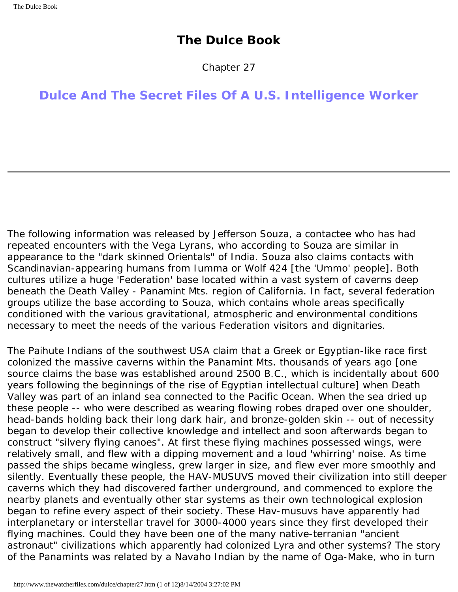Chapter 27

#### <span id="page-251-0"></span>**Dulce And The Secret Files Of A U.S. Intelligence Worker**

The following information was released by Jefferson Souza, a contactee who has had repeated encounters with the Vega Lyrans, who according to Souza are similar in appearance to the "dark skinned Orientals" of India. Souza also claims contacts with Scandinavian-appearing humans from Iumma or Wolf 424 [the 'Ummo' people]. Both cultures utilize a huge 'Federation' base located within a vast system of caverns deep beneath the Death Valley - Panamint Mts. region of California. In fact, several federation groups utilize the base according to Souza, which contains whole areas specifically conditioned with the various gravitational, atmospheric and environmental conditions necessary to meet the needs of the various Federation visitors and dignitaries.

The Paihute Indians of the southwest USA claim that a Greek or Egyptian-like race first colonized the massive caverns within the Panamint Mts. thousands of years ago [one source claims the base was established around 2500 B.C., which is incidentally about 600 years following the beginnings of the rise of Egyptian intellectual culture] when Death Valley was part of an inland sea connected to the Pacific Ocean. When the sea dried up these people -- who were described as wearing flowing robes draped over one shoulder, head-bands holding back their long dark hair, and bronze-golden skin -- out of necessity began to develop their collective knowledge and intellect and soon afterwards began to construct "silvery flying canoes". At first these flying machines possessed wings, were relatively small, and flew with a dipping movement and a loud 'whirring' noise. As time passed the ships became wingless, grew larger in size, and flew ever more smoothly and silently. Eventually these people, the HAV-MUSUVS moved their civilization into still deeper caverns which they had discovered farther underground, and commenced to explore the nearby planets and eventually other star systems as their own technological explosion began to refine every aspect of their society. These Hav-musuvs have apparently had interplanetary or interstellar travel for 3000-4000 years since they first developed their flying machines. Could they have been one of the many native-terranian "ancient astronaut" civilizations which apparently had colonized Lyra and other systems? The story of the Panamints was related by a Navaho Indian by the name of Oga-Make, who in turn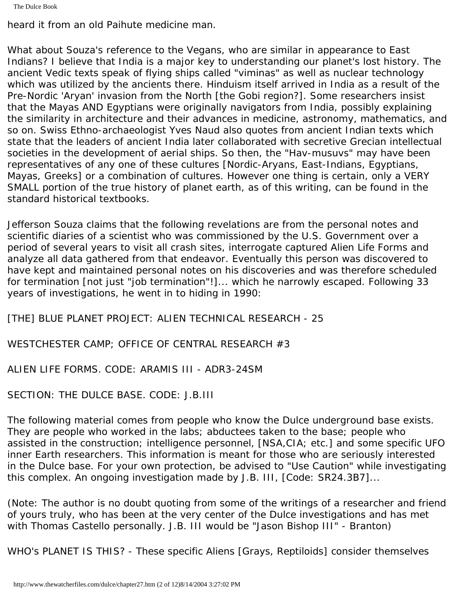```
The Dulce Book
```
heard it from an old Paihute medicine man.

What about Souza's reference to the Vegans, who are similar in appearance to East Indians? I believe that India is a major key to understanding our planet's lost history. The ancient Vedic texts speak of flying ships called "viminas" as well as nuclear technology which was utilized by the ancients there. Hinduism itself arrived in India as a result of the Pre-Nordic 'Aryan' invasion from the North [the Gobi region?]. Some researchers insist that the Mayas AND Egyptians were originally navigators from India, possibly explaining the similarity in architecture and their advances in medicine, astronomy, mathematics, and so on. Swiss Ethno-archaeologist Yves Naud also quotes from ancient Indian texts which state that the leaders of ancient India later collaborated with secretive Grecian intellectual societies in the development of aerial ships. So then, the "Hav-musuvs" may have been representatives of any one of these cultures [Nordic-Aryans, East-Indians, Egyptians, Mayas, Greeks] or a combination of cultures. However one thing is certain, only a VERY SMALL portion of the true history of planet earth, as of this writing, can be found in the standard historical textbooks.

Jefferson Souza claims that the following revelations are from the personal notes and scientific diaries of a scientist who was commissioned by the U.S. Government over a period of several years to visit all crash sites, interrogate captured Alien Life Forms and analyze all data gathered from that endeavor. Eventually this person was discovered to have kept and maintained personal notes on his discoveries and was therefore scheduled for termination [not just "job termination"!]... which he narrowly escaped. Following 33 years of investigations, he went in to hiding in 1990:

[THE] BLUE PLANET PROJECT: ALIEN TECHNICAL RESEARCH - 25

WESTCHESTER CAMP; OFFICE OF CENTRAL RESEARCH #3

ALIEN LIFE FORMS. CODE: ARAMIS III - ADR3-24SM

SECTION: THE DULCE BASE. CODE: J.B.III

The following material comes from people who know the Dulce underground base exists. They are people who worked in the labs; abductees taken to the base; people who assisted in the construction; intelligence personnel, [NSA,CIA; etc.] and some specific UFO inner Earth researchers. This information is meant for those who are seriously interested in the Dulce base. For your own protection, be advised to "Use Caution" while investigating this complex. An ongoing investigation made by J.B. III, [Code: SR24.3B7]...

(Note: The author is no doubt quoting from some of the writings of a researcher and friend of yours truly, who has been at the very center of the Dulce investigations and has met with Thomas Castello personally. J.B. III would be "Jason Bishop III" - Branton)

WHO's PLANET IS THIS? - These specific Aliens [Grays, Reptiloids] consider themselves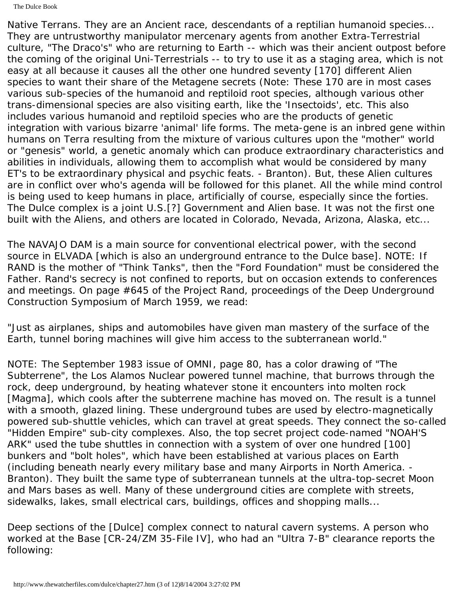The Dulce Book

Native Terrans. They are an Ancient race, descendants of a reptilian humanoid species... They are untrustworthy manipulator mercenary agents from another Extra-Terrestrial culture, "The Draco's" who are returning to Earth -- which was their ancient outpost before the coming of the original Uni-Terrestrials -- to try to use it as a staging area, which is not easy at all because it causes all the other one hundred seventy [170] different Alien species to want their share of the Metagene secrets (Note: These 170 are in most cases various sub-species of the humanoid and reptiloid root species, although various other trans-dimensional species are also visiting earth, like the 'Insectoids', etc. This also includes various humanoid and reptiloid species who are the products of genetic integration with various bizarre 'animal' life forms. The meta-gene is an inbred gene within humans on Terra resulting from the mixture of various cultures upon the "mother" world or "genesis" world, a genetic anomaly which can produce extraordinary characteristics and abilities in individuals, allowing them to accomplish what would be considered by many ET's to be extraordinary physical and psychic feats. - Branton). But, these Alien cultures are in conflict over who's agenda will be followed for this planet. All the while mind control is being used to keep humans in place, artificially of course, especially since the forties. The Dulce complex is a joint U.S.[?] Government and Alien base. It was not the first one built with the Aliens, and others are located in Colorado, Nevada, Arizona, Alaska, etc...

The NAVAJO DAM is a main source for conventional electrical power, with the second source in ELVADA [which is also an underground entrance to the Dulce base]. NOTE: If RAND is the mother of "Think Tanks", then the "Ford Foundation" must be considered the Father. Rand's secrecy is not confined to reports, but on occasion extends to conferences and meetings. On page #645 of the Project Rand, proceedings of the Deep Underground Construction Symposium of March 1959, we read:

"Just as airplanes, ships and automobiles have given man mastery of the surface of the Earth, tunnel boring machines will give him access to the subterranean world."

NOTE: The September 1983 issue of OMNI, page 80, has a color drawing of "The Subterrene", the Los Alamos Nuclear powered tunnel machine, that burrows through the rock, deep underground, by heating whatever stone it encounters into molten rock [Magma], which cools after the subterrene machine has moved on. The result is a tunnel with a smooth, glazed lining. These underground tubes are used by electro-magnetically powered sub-shuttle vehicles, which can travel at great speeds. They connect the so-called "Hidden Empire" sub-city complexes. Also, the top secret project code-named "NOAH'S ARK" used the tube shuttles in connection with a system of over one hundred [100] bunkers and "bolt holes", which have been established at various places on Earth (including beneath nearly every military base and many Airports in North America. - Branton). They built the same type of subterranean tunnels at the ultra-top-secret Moon and Mars bases as well. Many of these underground cities are complete with streets, sidewalks, lakes, small electrical cars, buildings, offices and shopping malls...

Deep sections of the [Dulce] complex connect to natural cavern systems. A person who worked at the Base [CR-24/ZM 35-File IV], who had an "Ultra 7-B" clearance reports the following: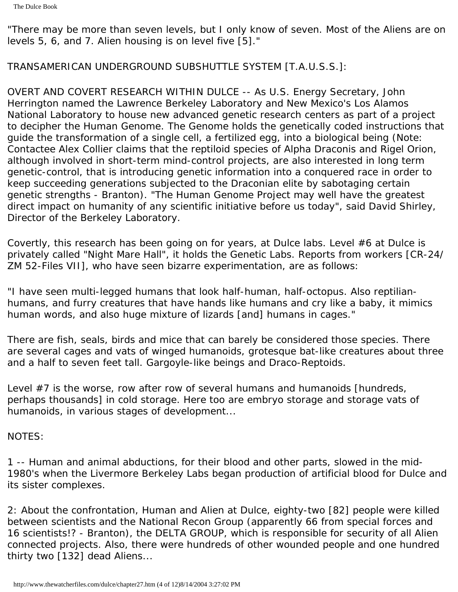"There may be more than seven levels, but I only know of seven. Most of the Aliens are on levels 5, 6, and 7. Alien housing is on level five [5]."

## TRANSAMERICAN UNDERGROUND SUBSHUTTLE SYSTEM [T.A.U.S.S.]:

OVERT AND COVERT RESEARCH WITHIN DULCE -- As U.S. Energy Secretary, John Herrington named the Lawrence Berkeley Laboratory and New Mexico's Los Alamos National Laboratory to house new advanced genetic research centers as part of a project to decipher the Human Genome. The Genome holds the genetically coded instructions that guide the transformation of a single cell, a fertilized egg, into a biological being (Note: Contactee Alex Collier claims that the reptiloid species of Alpha Draconis and Rigel Orion, although involved in short-term mind-control projects, are also interested in long term genetic-control, that is introducing genetic information into a conquered race in order to keep succeeding generations subjected to the Draconian elite by sabotaging certain genetic strengths - Branton). "The Human Genome Project may well have the greatest direct impact on humanity of any scientific initiative before us today", said David Shirley, Director of the Berkeley Laboratory.

Covertly, this research has been going on for years, at Dulce labs. Level #6 at Dulce is privately called "Night Mare Hall", it holds the Genetic Labs. Reports from workers [CR-24/ ZM 52-Files VII], who have seen bizarre experimentation, are as follows:

"I have seen multi-legged humans that look half-human, half-octopus. Also reptilianhumans, and furry creatures that have hands like humans and cry like a baby, it mimics human words, and also huge mixture of lizards [and] humans in cages."

There are fish, seals, birds and mice that can barely be considered those species. There are several cages and vats of winged humanoids, grotesque bat-like creatures about three and a half to seven feet tall. Gargoyle-like beings and Draco-Reptoids.

Level #7 is the worse, row after row of several humans and humanoids [hundreds, perhaps thousands] in cold storage. Here too are embryo storage and storage vats of humanoids, in various stages of development...

#### NOTES:

1 -- Human and animal abductions, for their blood and other parts, slowed in the mid-1980's when the Livermore Berkeley Labs began production of artificial blood for Dulce and its sister complexes.

2: About the confrontation, Human and Alien at Dulce, eighty-two [82] people were killed between scientists and the National Recon Group (apparently 66 from special forces and 16 scientists!? - Branton), the DELTA GROUP, which is responsible for security of all Alien connected projects. Also, there were hundreds of other wounded people and one hundred thirty two [132] dead Aliens...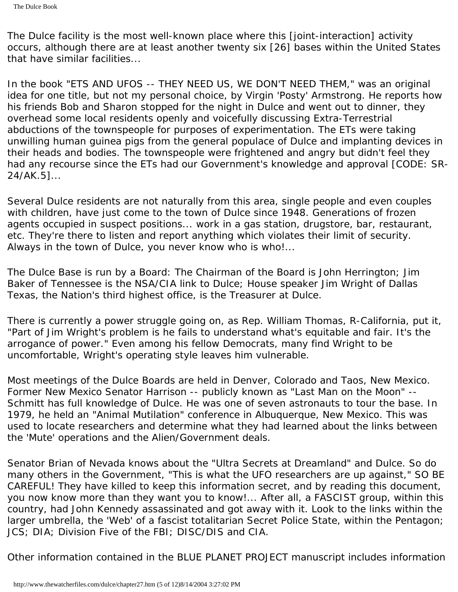The Dulce facility is the most well-known place where this [joint-interaction] activity occurs, although there are at least another twenty six [26] bases within the United States that have similar facilities...

In the book "ETS AND UFOS -- THEY NEED US, WE DON'T NEED THEM," was an original idea for one title, but not my personal choice, by Virgin 'Posty' Armstrong. He reports how his friends Bob and Sharon stopped for the night in Dulce and went out to dinner, they overhead some local residents openly and voicefully discussing Extra-Terrestrial abductions of the townspeople for purposes of experimentation. The ETs were taking unwilling human guinea pigs from the general populace of Dulce and implanting devices in their heads and bodies. The townspeople were frightened and angry but didn't feel they had any recourse since the ETs had our Government's knowledge and approval [CODE: SR-24/AK.5]...

Several Dulce residents are not naturally from this area, single people and even couples with children, have just come to the town of Dulce since 1948. Generations of frozen agents occupied in suspect positions... work in a gas station, drugstore, bar, restaurant, etc. They're there to listen and report anything which violates their limit of security. Always in the town of Dulce, you never know who is who!...

The Dulce Base is run by a Board: The Chairman of the Board is John Herrington; Jim Baker of Tennessee is the NSA/CIA link to Dulce; House speaker Jim Wright of Dallas Texas, the Nation's third highest office, is the Treasurer at Dulce.

There is currently a power struggle going on, as Rep. William Thomas, R-California, put it, "Part of Jim Wright's problem is he fails to understand what's equitable and fair. It's the arrogance of power." Even among his fellow Democrats, many find Wright to be uncomfortable, Wright's operating style leaves him vulnerable.

Most meetings of the Dulce Boards are held in Denver, Colorado and Taos, New Mexico. Former New Mexico Senator Harrison -- publicly known as "Last Man on the Moon" -- Schmitt has full knowledge of Dulce. He was one of seven astronauts to tour the base. In 1979, he held an "Animal Mutilation" conference in Albuquerque, New Mexico. This was used to locate researchers and determine what they had learned about the links between the 'Mute' operations and the Alien/Government deals.

Senator Brian of Nevada knows about the "Ultra Secrets at Dreamland" and Dulce. So do many others in the Government, "This is what the UFO researchers are up against," SO BE CAREFUL! They have killed to keep this information secret, and by reading this document, you now know more than they want you to know!... After all, a FASCIST group, within this country, had John Kennedy assassinated and got away with it. Look to the links within the larger umbrella, the 'Web' of a fascist totalitarian Secret Police State, within the Pentagon; JCS; DIA; Division Five of the FBI; DISC/DIS and CIA.

Other information contained in the BLUE PLANET PROJECT manuscript includes information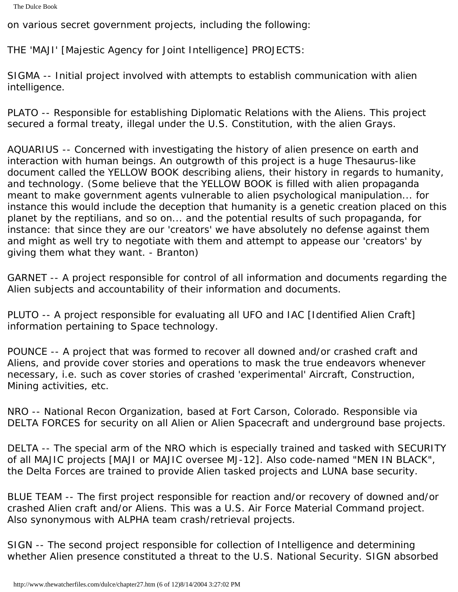on various secret government projects, including the following:

THE 'MAJI' [Majestic Agency for Joint Intelligence] PROJECTS:

SIGMA -- Initial project involved with attempts to establish communication with alien intelligence.

PLATO -- Responsible for establishing Diplomatic Relations with the Aliens. This project secured a formal treaty, illegal under the U.S. Constitution, with the alien Grays.

AQUARIUS -- Concerned with investigating the history of alien presence on earth and interaction with human beings. An outgrowth of this project is a huge Thesaurus-like document called the YELLOW BOOK describing aliens, their history in regards to humanity, and technology. (Some believe that the YELLOW BOOK is filled with alien propaganda meant to make government agents vulnerable to alien psychological manipulation... for instance this would include the deception that humanity is a genetic creation placed on this planet by the reptilians, and so on... and the potential results of such propaganda, for instance: that since they are our 'creators' we have absolutely no defense against them and might as well try to negotiate with them and attempt to appease our 'creators' by giving them what they want. - Branton)

GARNET -- A project responsible for control of all information and documents regarding the Alien subjects and accountability of their information and documents.

PLUTO -- A project responsible for evaluating all UFO and IAC [Identified Alien Craft] information pertaining to Space technology.

POUNCE -- A project that was formed to recover all downed and/or crashed craft and Aliens, and provide cover stories and operations to mask the true endeavors whenever necessary, i.e. such as cover stories of crashed 'experimental' Aircraft, Construction, Mining activities, etc.

NRO -- National Recon Organization, based at Fort Carson, Colorado. Responsible via DELTA FORCES for security on all Alien or Alien Spacecraft and underground base projects.

DELTA -- The special arm of the NRO which is especially trained and tasked with SECURITY of all MAJIC projects [MAJI or MAJIC oversee MJ-12]. Also code-named "MEN IN BLACK", the Delta Forces are trained to provide Alien tasked projects and LUNA base security.

BLUE TEAM -- The first project responsible for reaction and/or recovery of downed and/or crashed Alien craft and/or Aliens. This was a U.S. Air Force Material Command project. Also synonymous with ALPHA team crash/retrieval projects.

SIGN -- The second project responsible for collection of Intelligence and determining whether Alien presence constituted a threat to the U.S. National Security. SIGN absorbed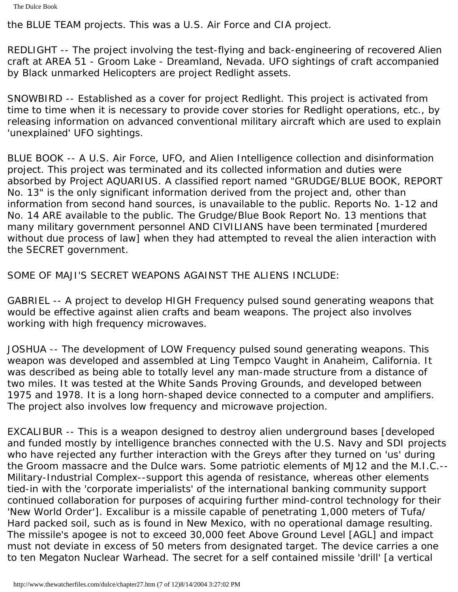The Dulce Book

the BLUE TEAM projects. This was a U.S. Air Force and CIA project.

REDLIGHT -- The project involving the test-flying and back-engineering of recovered Alien craft at AREA 51 - Groom Lake - Dreamland, Nevada. UFO sightings of craft accompanied by Black unmarked Helicopters are project Redlight assets.

SNOWBIRD -- Established as a cover for project Redlight. This project is activated from time to time when it is necessary to provide cover stories for Redlight operations, etc., by releasing information on advanced conventional military aircraft which are used to explain 'unexplained' UFO sightings.

BLUE BOOK -- A U.S. Air Force, UFO, and Alien Intelligence collection and disinformation project. This project was terminated and its collected information and duties were absorbed by Project AQUARIUS. A classified report named "GRUDGE/BLUE BOOK, REPORT No. 13" is the only significant information derived from the project and, other than information from second hand sources, is unavailable to the public. Reports No. 1-12 and No. 14 ARE available to the public. The Grudge/Blue Book Report No. 13 mentions that many military government personnel AND CIVILIANS have been terminated [murdered without due process of law] when they had attempted to reveal the alien interaction with the SECRET government.

SOME OF MAJI'S SECRET WEAPONS AGAINST THE ALIENS INCLUDE:

GABRIEL -- A project to develop HIGH Frequency pulsed sound generating weapons that would be effective against alien crafts and beam weapons. The project also involves working with high frequency microwaves.

JOSHUA -- The development of LOW Frequency pulsed sound generating weapons. This weapon was developed and assembled at Ling Tempco Vaught in Anaheim, California. It was described as being able to totally level any man-made structure from a distance of two miles. It was tested at the White Sands Proving Grounds, and developed between 1975 and 1978. It is a long horn-shaped device connected to a computer and amplifiers. The project also involves low frequency and microwave projection.

EXCALIBUR -- This is a weapon designed to destroy alien underground bases [developed and funded mostly by intelligence branches connected with the U.S. Navy and SDI projects who have rejected any further interaction with the Greys after they turned on 'us' during the Groom massacre and the Dulce wars. Some patriotic elements of MJ12 and the M.I.C.-- Military-Industrial Complex--support this agenda of resistance, whereas other elements tied-in with the 'corporate imperialists' of the international banking community support continued collaboration for purposes of acquiring further mind-control technology for their 'New World Order']. Excalibur is a missile capable of penetrating 1,000 meters of Tufa/ Hard packed soil, such as is found in New Mexico, with no operational damage resulting. The missile's apogee is not to exceed 30,000 feet Above Ground Level [AGL] and impact must not deviate in excess of 50 meters from designated target. The device carries a one to ten Megaton Nuclear Warhead. The secret for a self contained missile 'drill' [a vertical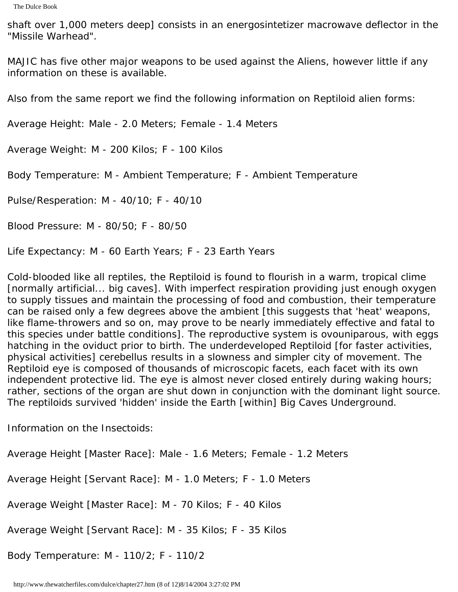shaft over 1,000 meters deep] consists in an energosintetizer macrowave deflector in the "Missile Warhead".

MAJIC has five other major weapons to be used against the Aliens, however little if any information on these is available.

Also from the same report we find the following information on Reptiloid alien forms:

Average Height: Male - 2.0 Meters; Female - 1.4 Meters

Average Weight: M - 200 Kilos; F - 100 Kilos

Body Temperature: M - Ambient Temperature; F - Ambient Temperature

Pulse/Resperation: M - 40/10; F - 40/10

Blood Pressure: M - 80/50; F - 80/50

Life Expectancy: M - 60 Earth Years; F - 23 Earth Years

Cold-blooded like all reptiles, the Reptiloid is found to flourish in a warm, tropical clime [normally artificial... big caves]. With imperfect respiration providing just enough oxygen to supply tissues and maintain the processing of food and combustion, their temperature can be raised only a few degrees above the ambient [this suggests that 'heat' weapons, like flame-throwers and so on, may prove to be nearly immediately effective and fatal to this species under battle conditions]. The reproductive system is ovouniparous, with eggs hatching in the oviduct prior to birth. The underdeveloped Reptiloid [for faster activities, physical activities] cerebellus results in a slowness and simpler city of movement. The Reptiloid eye is composed of thousands of microscopic facets, each facet with its own independent protective lid. The eye is almost never closed entirely during waking hours; rather, sections of the organ are shut down in conjunction with the dominant light source. The reptiloids survived 'hidden' inside the Earth [within] Big Caves Underground.

Information on the Insectoids:

Average Height [Master Race]: Male - 1.6 Meters; Female - 1.2 Meters

Average Height [Servant Race]: M - 1.0 Meters; F - 1.0 Meters

Average Weight [Master Race]: M - 70 Kilos; F - 40 Kilos

Average Weight [Servant Race]: M - 35 Kilos; F - 35 Kilos

Body Temperature: M - 110/2; F - 110/2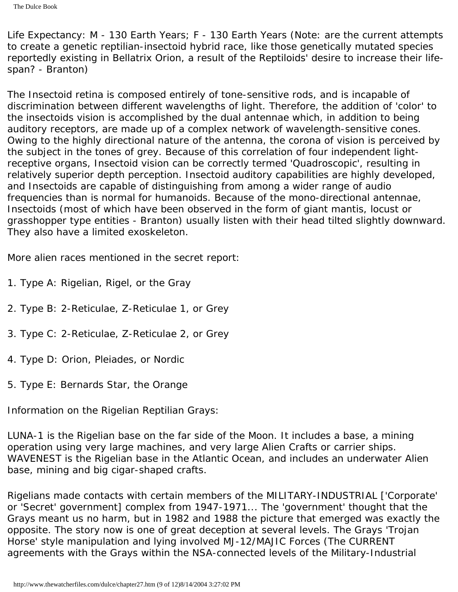Life Expectancy: M - 130 Earth Years; F - 130 Earth Years (Note: are the current attempts to create a genetic reptilian-insectoid hybrid race, like those genetically mutated species reportedly existing in Bellatrix Orion, a result of the Reptiloids' desire to increase their lifespan? - Branton)

The Insectoid retina is composed entirely of tone-sensitive rods, and is incapable of discrimination between different wavelengths of light. Therefore, the addition of 'color' to the insectoids vision is accomplished by the dual antennae which, in addition to being auditory receptors, are made up of a complex network of wavelength-sensitive cones. Owing to the highly directional nature of the antenna, the corona of vision is perceived by the subject in the tones of grey. Because of this correlation of four independent lightreceptive organs, Insectoid vision can be correctly termed 'Quadroscopic', resulting in relatively superior depth perception. Insectoid auditory capabilities are highly developed, and Insectoids are capable of distinguishing from among a wider range of audio frequencies than is normal for humanoids. Because of the mono-directional antennae, Insectoids (most of which have been observed in the form of giant mantis, locust or grasshopper type entities - Branton) usually listen with their head tilted slightly downward. They also have a limited exoskeleton.

More alien races mentioned in the secret report:

- 1. Type A: Rigelian, Rigel, or the Gray
- 2. Type B: 2-Reticulae, Z-Reticulae 1, or Grey
- 3. Type C: 2-Reticulae, Z-Reticulae 2, or Grey
- 4. Type D: Orion, Pleiades, or Nordic
- 5. Type E: Bernards Star, the Orange

Information on the Rigelian Reptilian Grays:

LUNA-1 is the Rigelian base on the far side of the Moon. It includes a base, a mining operation using very large machines, and very large Alien Crafts or carrier ships. WAVENEST is the Rigelian base in the Atlantic Ocean, and includes an underwater Alien base, mining and big cigar-shaped crafts.

Rigelians made contacts with certain members of the MILITARY-INDUSTRIAL ['Corporate' or 'Secret' government] complex from 1947-1971... The 'government' thought that the Grays meant us no harm, but in 1982 and 1988 the picture that emerged was exactly the opposite. The story now is one of great deception at several levels. The Grays 'Trojan Horse' style manipulation and lying involved MJ-12/MAJIC Forces (The CURRENT agreements with the Grays within the NSA-connected levels of the Military-Industrial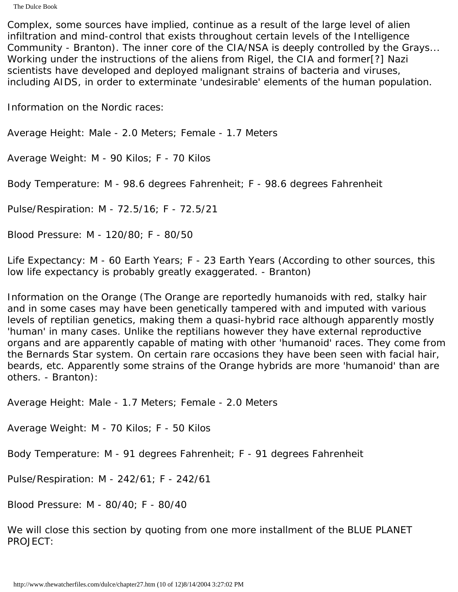The Dulce Book

Complex, some sources have implied, continue as a result of the large level of alien infiltration and mind-control that exists throughout certain levels of the Intelligence Community - Branton). The inner core of the CIA/NSA is deeply controlled by the Grays... Working under the instructions of the aliens from Rigel, the CIA and former[?] Nazi scientists have developed and deployed malignant strains of bacteria and viruses, including AIDS, in order to exterminate 'undesirable' elements of the human population.

Information on the Nordic races:

Average Height: Male - 2.0 Meters; Female - 1.7 Meters

Average Weight: M - 90 Kilos; F - 70 Kilos

Body Temperature: M - 98.6 degrees Fahrenheit; F - 98.6 degrees Fahrenheit

Pulse/Respiration: M - 72.5/16; F - 72.5/21

Blood Pressure: M - 120/80; F - 80/50

Life Expectancy: M - 60 Earth Years; F - 23 Earth Years (According to other sources, this low life expectancy is probably greatly exaggerated. - Branton)

Information on the Orange (The Orange are reportedly humanoids with red, stalky hair and in some cases may have been genetically tampered with and imputed with various levels of reptilian genetics, making them a quasi-hybrid race although apparently mostly 'human' in many cases. Unlike the reptilians however they have external reproductive organs and are apparently capable of mating with other 'humanoid' races. They come from the Bernards Star system. On certain rare occasions they have been seen with facial hair, beards, etc. Apparently some strains of the Orange hybrids are more 'humanoid' than are others. - Branton):

Average Height: Male - 1.7 Meters; Female - 2.0 Meters

Average Weight: M - 70 Kilos; F - 50 Kilos

Body Temperature: M - 91 degrees Fahrenheit; F - 91 degrees Fahrenheit

Pulse/Respiration: M - 242/61; F - 242/61

Blood Pressure: M - 80/40; F - 80/40

We will close this section by quoting from one more installment of the BLUE PLANET PROJECT: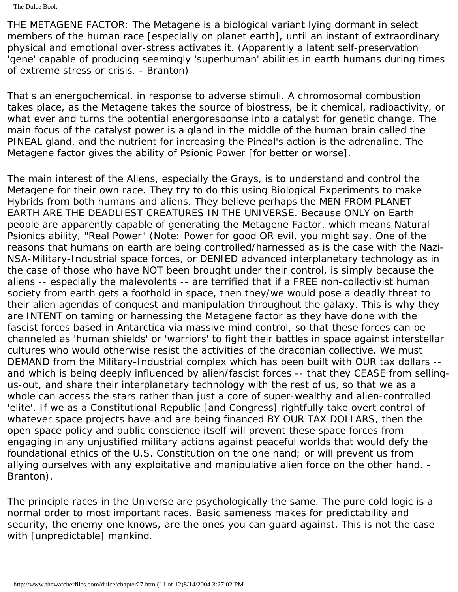THE METAGENE FACTOR: The Metagene is a biological variant lying dormant in select members of the human race [especially on planet earth], until an instant of extraordinary physical and emotional over-stress activates it. (Apparently a latent self-preservation 'gene' capable of producing seemingly 'superhuman' abilities in earth humans during times of extreme stress or crisis. - Branton)

That's an energochemical, in response to adverse stimuli. A chromosomal combustion takes place, as the Metagene takes the source of biostress, be it chemical, radioactivity, or what ever and turns the potential energoresponse into a catalyst for genetic change. The main focus of the catalyst power is a gland in the middle of the human brain called the PINEAL gland, and the nutrient for increasing the Pineal's action is the adrenaline. The Metagene factor gives the ability of Psionic Power [for better or worse].

The main interest of the Aliens, especially the Grays, is to understand and control the Metagene for their own race. They try to do this using Biological Experiments to make Hybrids from both humans and aliens. They believe perhaps the MEN FROM PLANET EARTH ARE THE DEADLIEST CREATURES IN THE UNIVERSE. Because ONLY on Earth people are apparently capable of generating the Metagene Factor, which means Natural Psionics ability, "Real Power" (Note: Power for good OR evil, you might say. One of the reasons that humans on earth are being controlled/harnessed as is the case with the Nazi-NSA-Military-Industrial space forces, or DENIED advanced interplanetary technology as in the case of those who have NOT been brought under their control, is simply because the aliens -- especially the malevolents -- are terrified that if a FREE non-collectivist human society from earth gets a foothold in space, then they/we would pose a deadly threat to their alien agendas of conquest and manipulation throughout the galaxy. This is why they are INTENT on taming or harnessing the Metagene factor as they have done with the fascist forces based in Antarctica via massive mind control, so that these forces can be channeled as 'human shields' or 'warriors' to fight their battles in space against interstellar cultures who would otherwise resist the activities of the draconian collective. We must DEMAND from the Military-Industrial complex which has been built with OUR tax dollars - and which is being deeply influenced by alien/fascist forces -- that they CEASE from sellingus-out, and share their interplanetary technology with the rest of us, so that we as a whole can access the stars rather than just a core of super-wealthy and alien-controlled 'elite'. If we as a Constitutional Republic [and Congress] rightfully take overt control of whatever space projects have and are being financed BY OUR TAX DOLLARS, then the open space policy and public conscience itself will prevent these space forces from engaging in any unjustified military actions against peaceful worlds that would defy the foundational ethics of the U.S. Constitution on the one hand; or will prevent us from allying ourselves with any exploitative and manipulative alien force on the other hand. - Branton).

The principle races in the Universe are psychologically the same. The pure cold logic is a normal order to most important races. Basic sameness makes for predictability and security, the enemy one knows, are the ones you can guard against. This is not the case with [unpredictable] mankind.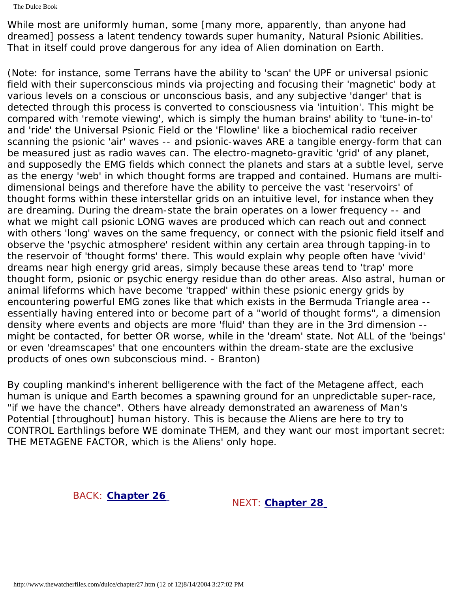The Dulce Book

While most are uniformly human, some [many more, apparently, than anyone had dreamed] possess a latent tendency towards super humanity, Natural Psionic Abilities. That in itself could prove dangerous for any idea of Alien domination on Earth.

(Note: for instance, some Terrans have the ability to 'scan' the UPF or universal psionic field with their superconscious minds via projecting and focusing their 'magnetic' body at various levels on a conscious or unconscious basis, and any subjective 'danger' that is detected through this process is converted to consciousness via 'intuition'. This might be compared with 'remote viewing', which is simply the human brains' ability to 'tune-in-to' and 'ride' the Universal Psionic Field or the 'Flowline' like a biochemical radio receiver scanning the psionic 'air' waves -- and psionic-waves ARE a tangible energy-form that can be measured just as radio waves can. The electro-magneto-gravitic 'grid' of any planet, and supposedly the EMG fields which connect the planets and stars at a subtle level, serve as the energy 'web' in which thought forms are trapped and contained. Humans are multidimensional beings and therefore have the ability to perceive the vast 'reservoirs' of thought forms within these interstellar grids on an intuitive level, for instance when they are dreaming. During the dream-state the brain operates on a lower frequency -- and what we might call psionic LONG waves are produced which can reach out and connect with others 'long' waves on the same frequency, or connect with the psionic field itself and observe the 'psychic atmosphere' resident within any certain area through tapping-in to the reservoir of 'thought forms' there. This would explain why people often have 'vivid' dreams near high energy grid areas, simply because these areas tend to 'trap' more thought form, psionic or psychic energy residue than do other areas. Also astral, human or animal lifeforms which have become 'trapped' within these psionic energy grids by encountering powerful EMG zones like that which exists in the Bermuda Triangle area - essentially having entered into or become part of a "world of thought forms", a dimension density where events and objects are more 'fluid' than they are in the 3rd dimension - might be contacted, for better OR worse, while in the 'dream' state. Not ALL of the 'beings' or even 'dreamscapes' that one encounters within the dream-state are the exclusive products of ones own subconscious mind. - Branton)

By coupling mankind's inherent belligerence with the fact of the Metagene affect, each human is unique and Earth becomes a spawning ground for an unpredictable super-race, "if we have the chance". Others have already demonstrated an awareness of Man's Potential [throughout] human history. This is because the Aliens are here to try to CONTROL Earthlings before WE dominate THEM, and they want our most important secret: THE METAGENE FACTOR, which is the Aliens' only hope.

BACK: **[Chapter 26](#page-244-0)** NEXT: **[Chapter 28](#page-263-0)**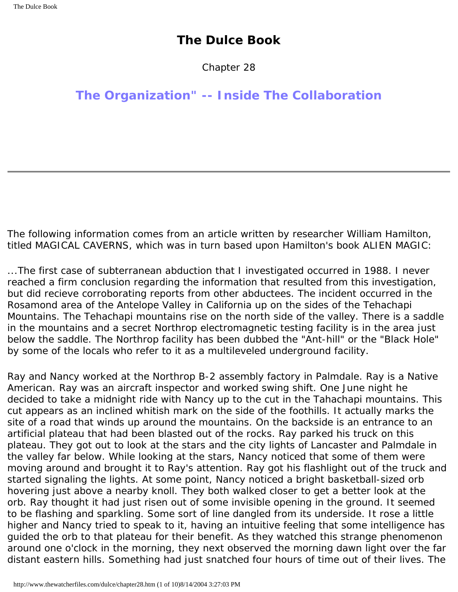# **The Dulce Book**

Chapter 28

# <span id="page-263-0"></span>**The Organization" -- Inside The Collaboration**

The following information comes from an article written by researcher William Hamilton, titled MAGICAL CAVERNS, which was in turn based upon Hamilton's book ALIEN MAGIC:

...The first case of subterranean abduction that I investigated occurred in 1988. I never reached a firm conclusion regarding the information that resulted from this investigation, but did recieve corroborating reports from other abductees. The incident occurred in the Rosamond area of the Antelope Valley in California up on the sides of the Tehachapi Mountains. The Tehachapi mountains rise on the north side of the valley. There is a saddle in the mountains and a secret Northrop electromagnetic testing facility is in the area just below the saddle. The Northrop facility has been dubbed the "Ant-hill" or the "Black Hole" by some of the locals who refer to it as a multileveled underground facility.

Ray and Nancy worked at the Northrop B-2 assembly factory in Palmdale. Ray is a Native American. Ray was an aircraft inspector and worked swing shift. One June night he decided to take a midnight ride with Nancy up to the cut in the Tahachapi mountains. This cut appears as an inclined whitish mark on the side of the foothills. It actually marks the site of a road that winds up around the mountains. On the backside is an entrance to an artificial plateau that had been blasted out of the rocks. Ray parked his truck on this plateau. They got out to look at the stars and the city lights of Lancaster and Palmdale in the valley far below. While looking at the stars, Nancy noticed that some of them were moving around and brought it to Ray's attention. Ray got his flashlight out of the truck and started signaling the lights. At some point, Nancy noticed a bright basketball-sized orb hovering just above a nearby knoll. They both walked closer to get a better look at the orb. Ray thought it had just risen out of some invisible opening in the ground. It seemed to be flashing and sparkling. Some sort of line dangled from its underside. It rose a little higher and Nancy tried to speak to it, having an intuitive feeling that some intelligence has guided the orb to that plateau for their benefit. As they watched this strange phenomenon around one o'clock in the morning, they next observed the morning dawn light over the far distant eastern hills. Something had just snatched four hours of time out of their lives. The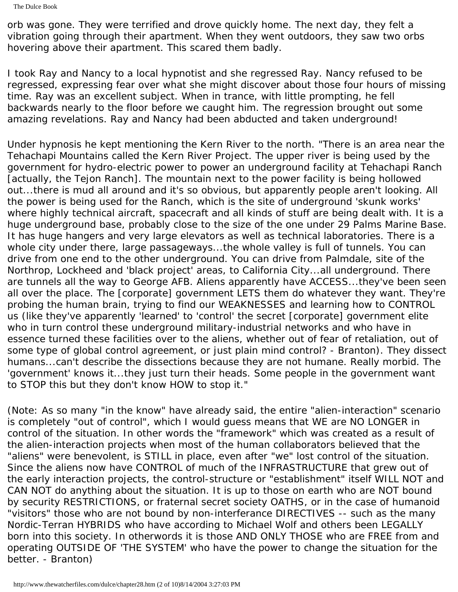The Dulce Book

orb was gone. They were terrified and drove quickly home. The next day, they felt a vibration going through their apartment. When they went outdoors, they saw two orbs hovering above their apartment. This scared them badly.

I took Ray and Nancy to a local hypnotist and she regressed Ray. Nancy refused to be regressed, expressing fear over what she might discover about those four hours of missing time. Ray was an excellent subject. When in trance, with little prompting, he fell backwards nearly to the floor before we caught him. The regression brought out some amazing revelations. Ray and Nancy had been abducted and taken underground!

Under hypnosis he kept mentioning the Kern River to the north. "There is an area near the Tehachapi Mountains called the Kern River Project. The upper river is being used by the government for hydro-electric power to power an underground facility at Tehachapi Ranch [actually, the Tejon Ranch]. The mountain next to the power facility is being hollowed out...there is mud all around and it's so obvious, but apparently people aren't looking. All the power is being used for the Ranch, which is the site of underground 'skunk works' where highly technical aircraft, spacecraft and all kinds of stuff are being dealt with. It is a huge underground base, probably close to the size of the one under 29 Palms Marine Base. It has huge hangers and very large elevators as well as technical laboratories. There is a whole city under there, large passageways...the whole valley is full of tunnels. You can drive from one end to the other underground. You can drive from Palmdale, site of the Northrop, Lockheed and 'black project' areas, to California City...all underground. There are tunnels all the way to George AFB. Aliens apparently have ACCESS...they've been seen all over the place. The [corporate] government LETS them do whatever they want. They're probing the human brain, trying to find our WEAKNESSES and learning how to CONTROL us (like they've apparently 'learned' to 'control' the secret [corporate] government elite who in turn control these underground military-industrial networks and who have in essence turned these facilities over to the aliens, whether out of fear of retaliation, out of some type of global control agreement, or just plain mind control? - Branton). They dissect humans...can't describe the dissections because they are not humane. Really morbid. The 'government' knows it...they just turn their heads. Some people in the government want to STOP this but they don't know HOW to stop it."

(Note: As so many "in the know" have already said, the entire "alien-interaction" scenario is completely "out of control", which I would guess means that WE are NO LONGER in control of the situation. In other words the "framework" which was created as a result of the alien-interaction projects when most of the human collaborators believed that the "aliens" were benevolent, is STILL in place, even after "we" lost control of the situation. Since the aliens now have CONTROL of much of the INFRASTRUCTURE that grew out of the early interaction projects, the control-structure or "establishment" itself WILL NOT and CAN NOT do anything about the situation. It is up to those on earth who are NOT bound by security RESTRICTIONS, or fraternal secret society OATHS, or in the case of humanoid "visitors" those who are not bound by non-interferance DIRECTIVES -- such as the many Nordic-Terran HYBRIDS who have according to Michael Wolf and others been LEGALLY born into this society. In otherwords it is those AND ONLY THOSE who are FREE from and operating OUTSIDE OF 'THE SYSTEM' who have the power to change the situation for the better. - Branton)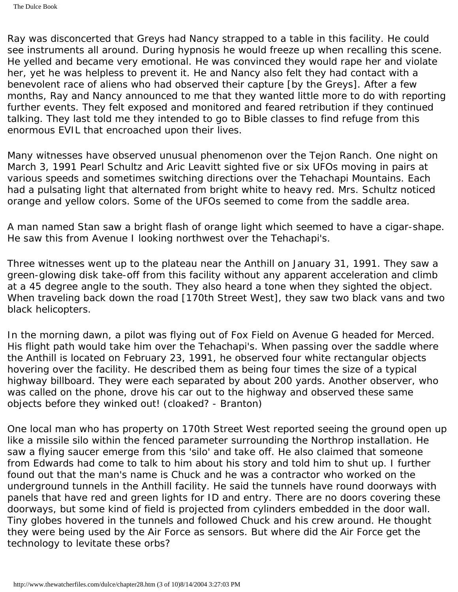Ray was disconcerted that Greys had Nancy strapped to a table in this facility. He could see instruments all around. During hypnosis he would freeze up when recalling this scene. He yelled and became very emotional. He was convinced they would rape her and violate her, yet he was helpless to prevent it. He and Nancy also felt they had contact with a benevolent race of aliens who had observed their capture [by the Greys]. After a few months, Ray and Nancy announced to me that they wanted little more to do with reporting further events. They felt exposed and monitored and feared retribution if they continued talking. They last told me they intended to go to Bible classes to find refuge from this enormous EVIL that encroached upon their lives.

Many witnesses have observed unusual phenomenon over the Tejon Ranch. One night on March 3, 1991 Pearl Schultz and Aric Leavitt sighted five or six UFOs moving in pairs at various speeds and sometimes switching directions over the Tehachapi Mountains. Each had a pulsating light that alternated from bright white to heavy red. Mrs. Schultz noticed orange and yellow colors. Some of the UFOs seemed to come from the saddle area.

A man named Stan saw a bright flash of orange light which seemed to have a cigar-shape. He saw this from Avenue I looking northwest over the Tehachapi's.

Three witnesses went up to the plateau near the Anthill on January 31, 1991. They saw a green-glowing disk take-off from this facility without any apparent acceleration and climb at a 45 degree angle to the south. They also heard a tone when they sighted the object. When traveling back down the road [170th Street West], they saw two black vans and two black helicopters.

In the morning dawn, a pilot was flying out of Fox Field on Avenue G headed for Merced. His flight path would take him over the Tehachapi's. When passing over the saddle where the Anthill is located on February 23, 1991, he observed four white rectangular objects hovering over the facility. He described them as being four times the size of a typical highway billboard. They were each separated by about 200 yards. Another observer, who was called on the phone, drove his car out to the highway and observed these same objects before they winked out! (cloaked? - Branton)

One local man who has property on 170th Street West reported seeing the ground open up like a missile silo within the fenced parameter surrounding the Northrop installation. He saw a flying saucer emerge from this 'silo' and take off. He also claimed that someone from Edwards had come to talk to him about his story and told him to shut up. I further found out that the man's name is Chuck and he was a contractor who worked on the underground tunnels in the Anthill facility. He said the tunnels have round doorways with panels that have red and green lights for ID and entry. There are no doors covering these doorways, but some kind of field is projected from cylinders embedded in the door wall. Tiny globes hovered in the tunnels and followed Chuck and his crew around. He thought they were being used by the Air Force as sensors. But where did the Air Force get the technology to levitate these orbs?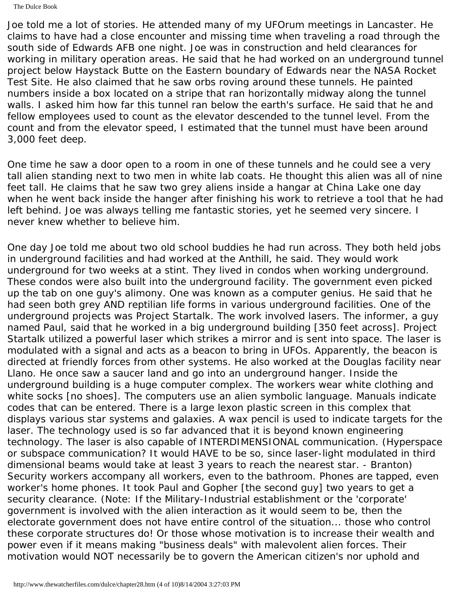The Dulce Book

Joe told me a lot of stories. He attended many of my UFOrum meetings in Lancaster. He claims to have had a close encounter and missing time when traveling a road through the south side of Edwards AFB one night. Joe was in construction and held clearances for working in military operation areas. He said that he had worked on an underground tunnel project below Haystack Butte on the Eastern boundary of Edwards near the NASA Rocket Test Site. He also claimed that he saw orbs roving around these tunnels. He painted numbers inside a box located on a stripe that ran horizontally midway along the tunnel walls. I asked him how far this tunnel ran below the earth's surface. He said that he and fellow employees used to count as the elevator descended to the tunnel level. From the count and from the elevator speed, I estimated that the tunnel must have been around 3,000 feet deep.

One time he saw a door open to a room in one of these tunnels and he could see a very tall alien standing next to two men in white lab coats. He thought this alien was all of nine feet tall. He claims that he saw two grey aliens inside a hangar at China Lake one day when he went back inside the hanger after finishing his work to retrieve a tool that he had left behind. Joe was always telling me fantastic stories, yet he seemed very sincere. I never knew whether to believe him.

One day Joe told me about two old school buddies he had run across. They both held jobs in underground facilities and had worked at the Anthill, he said. They would work underground for two weeks at a stint. They lived in condos when working underground. These condos were also built into the underground facility. The government even picked up the tab on one guy's alimony. One was known as a computer genius. He said that he had seen both grey AND reptilian life forms in various underground facilities. One of the underground projects was Project Startalk. The work involved lasers. The informer, a guy named Paul, said that he worked in a big underground building [350 feet across]. Project Startalk utilized a powerful laser which strikes a mirror and is sent into space. The laser is modulated with a signal and acts as a beacon to bring in UFOs. Apparently, the beacon is directed at friendly forces from other systems. He also worked at the Douglas facility near Llano. He once saw a saucer land and go into an underground hanger. Inside the underground building is a huge computer complex. The workers wear white clothing and white socks [no shoes]. The computers use an alien symbolic language. Manuals indicate codes that can be entered. There is a large lexon plastic screen in this complex that displays various star systems and galaxies. A wax pencil is used to indicate targets for the laser. The technology used is so far advanced that it is beyond known engineering technology. The laser is also capable of INTERDIMENSIONAL communication. (Hyperspace or subspace communication? It would HAVE to be so, since laser-light modulated in third dimensional beams would take at least 3 years to reach the nearest star. - Branton) Security workers accompany all workers, even to the bathroom. Phones are tapped, even worker's home phones. It took Paul and Gopher [the second guy] two years to get a security clearance. (Note: If the Military-Industrial establishment or the 'corporate' government is involved with the alien interaction as it would seem to be, then the electorate government does not have entire control of the situation... those who control these corporate structures do! Or those whose motivation is to increase their wealth and power even if it means making "business deals" with malevolent alien forces. Their motivation would NOT necessarily be to govern the American citizen's nor uphold and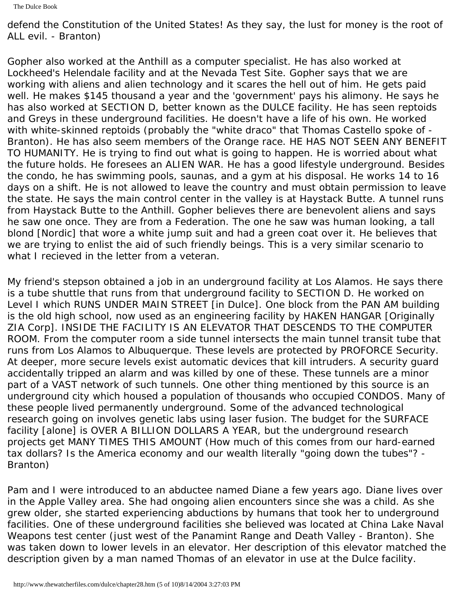defend the Constitution of the United States! As they say, the lust for money is the root of ALL evil. - Branton)

Gopher also worked at the Anthill as a computer specialist. He has also worked at Lockheed's Helendale facility and at the Nevada Test Site. Gopher says that we are working with aliens and alien technology and it scares the hell out of him. He gets paid well. He makes \$145 thousand a year and the 'government' pays his alimony. He says he has also worked at SECTION D, better known as the DULCE facility. He has seen reptoids and Greys in these underground facilities. He doesn't have a life of his own. He worked with white-skinned reptoids (probably the "white draco" that Thomas Castello spoke of - Branton). He has also seem members of the Orange race. HE HAS NOT SEEN ANY BENEFIT TO HUMANITY. He is trying to find out what is going to happen. He is worried about what the future holds. He foresees an ALIEN WAR. He has a good lifestyle underground. Besides the condo, he has swimming pools, saunas, and a gym at his disposal. He works 14 to 16 days on a shift. He is not allowed to leave the country and must obtain permission to leave the state. He says the main control center in the valley is at Haystack Butte. A tunnel runs from Haystack Butte to the Anthill. Gopher believes there are benevolent aliens and says he saw one once. They are from a Federation. The one he saw was human looking, a tall blond [Nordic] that wore a white jump suit and had a green coat over it. He believes that we are trying to enlist the aid of such friendly beings. This is a very similar scenario to what I recieved in the letter from a veteran.

My friend's stepson obtained a job in an underground facility at Los Alamos. He says there is a tube shuttle that runs from that underground facility to SECTION D. He worked on Level I which RUNS UNDER MAIN STREET [in Dulce]. One block from the PAN AM building is the old high school, now used as an engineering facility by HAKEN HANGAR [Originally ZIA Corp]. INSIDE THE FACILITY IS AN ELEVATOR THAT DESCENDS TO THE COMPUTER ROOM. From the computer room a side tunnel intersects the main tunnel transit tube that runs from Los Alamos to Albuquerque. These levels are protected by PROFORCE Security. At deeper, more secure levels exist automatic devices that kill intruders. A security guard accidentally tripped an alarm and was killed by one of these. These tunnels are a minor part of a VAST network of such tunnels. One other thing mentioned by this source is an underground city which housed a population of thousands who occupied CONDOS. Many of these people lived permanently underground. Some of the advanced technological research going on involves genetic labs using laser fusion. The budget for the SURFACE facility [alone] is OVER A BILLION DOLLARS A YEAR, but the underground research projects get MANY TIMES THIS AMOUNT (How much of this comes from our hard-earned tax dollars? Is the America economy and our wealth literally "going down the tubes"? - Branton)

Pam and I were introduced to an abductee named Diane a few years ago. Diane lives over in the Apple Valley area. She had ongoing alien encounters since she was a child. As she grew older, she started experiencing abductions by humans that took her to underground facilities. One of these underground facilities she believed was located at China Lake Naval Weapons test center (just west of the Panamint Range and Death Valley - Branton). She was taken down to lower levels in an elevator. Her description of this elevator matched the description given by a man named Thomas of an elevator in use at the Dulce facility.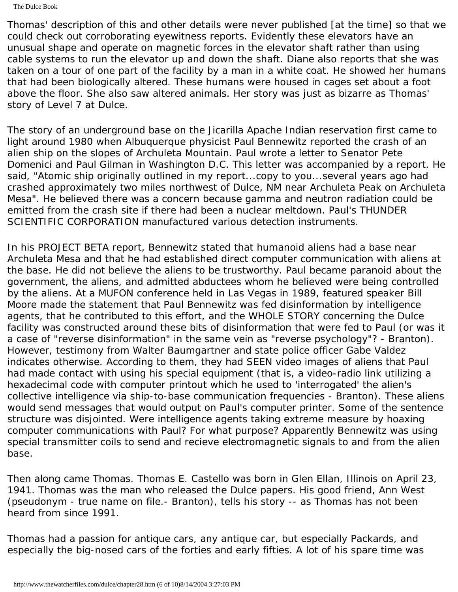The Dulce Book

Thomas' description of this and other details were never published [at the time] so that we could check out corroborating eyewitness reports. Evidently these elevators have an unusual shape and operate on magnetic forces in the elevator shaft rather than using cable systems to run the elevator up and down the shaft. Diane also reports that she was taken on a tour of one part of the facility by a man in a white coat. He showed her humans that had been biologically altered. These humans were housed in cages set about a foot above the floor. She also saw altered animals. Her story was just as bizarre as Thomas' story of Level 7 at Dulce.

The story of an underground base on the Jicarilla Apache Indian reservation first came to light around 1980 when Albuquerque physicist Paul Bennewitz reported the crash of an alien ship on the slopes of Archuleta Mountain. Paul wrote a letter to Senator Pete Domenici and Paul Gilman in Washington D.C. This letter was accompanied by a report. He said, "Atomic ship originally outlined in my report...copy to you...several years ago had crashed approximately two miles northwest of Dulce, NM near Archuleta Peak on Archuleta Mesa". He believed there was a concern because gamma and neutron radiation could be emitted from the crash site if there had been a nuclear meltdown. Paul's THUNDER SCIENTIFIC CORPORATION manufactured various detection instruments.

In his PROJECT BETA report, Bennewitz stated that humanoid aliens had a base near Archuleta Mesa and that he had established direct computer communication with aliens at the base. He did not believe the aliens to be trustworthy. Paul became paranoid about the government, the aliens, and admitted abductees whom he believed were being controlled by the aliens. At a MUFON conference held in Las Vegas in 1989, featured speaker Bill Moore made the statement that Paul Bennewitz was fed disinformation by intelligence agents, that he contributed to this effort, and the WHOLE STORY concerning the Dulce facility was constructed around these bits of disinformation that were fed to Paul (or was it a case of "reverse disinformation" in the same vein as "reverse psychology"? - Branton). However, testimony from Walter Baumgartner and state police officer Gabe Valdez indicates otherwise. According to them, they had SEEN video images of aliens that Paul had made contact with using his special equipment (that is, a video-radio link utilizing a hexadecimal code with computer printout which he used to 'interrogated' the alien's collective intelligence via ship-to-base communication frequencies - Branton). These aliens would send messages that would output on Paul's computer printer. Some of the sentence structure was disjointed. Were intelligence agents taking extreme measure by hoaxing computer communications with Paul? For what purpose? Apparently Bennewitz was using special transmitter coils to send and recieve electromagnetic signals to and from the alien base.

Then along came Thomas. Thomas E. Castello was born in Glen Ellan, Illinois on April 23, 1941. Thomas was the man who released the Dulce papers. His good friend, Ann West (pseudonym - true name on file.- Branton), tells his story -- as Thomas has not been heard from since 1991.

Thomas had a passion for antique cars, any antique car, but especially Packards, and especially the big-nosed cars of the forties and early fifties. A lot of his spare time was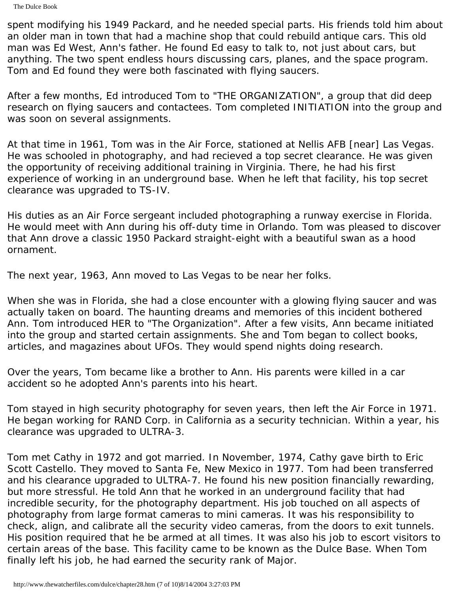The Dulce Book

spent modifying his 1949 Packard, and he needed special parts. His friends told him about an older man in town that had a machine shop that could rebuild antique cars. This old man was Ed West, Ann's father. He found Ed easy to talk to, not just about cars, but anything. The two spent endless hours discussing cars, planes, and the space program. Tom and Ed found they were both fascinated with flying saucers.

After a few months, Ed introduced Tom to "THE ORGANIZATION", a group that did deep research on flying saucers and contactees. Tom completed INITIATION into the group and was soon on several assignments.

At that time in 1961, Tom was in the Air Force, stationed at Nellis AFB [near] Las Vegas. He was schooled in photography, and had recieved a top secret clearance. He was given the opportunity of receiving additional training in Virginia. There, he had his first experience of working in an underground base. When he left that facility, his top secret clearance was upgraded to TS-IV.

His duties as an Air Force sergeant included photographing a runway exercise in Florida. He would meet with Ann during his off-duty time in Orlando. Tom was pleased to discover that Ann drove a classic 1950 Packard straight-eight with a beautiful swan as a hood ornament.

The next year, 1963, Ann moved to Las Vegas to be near her folks.

When she was in Florida, she had a close encounter with a glowing flying saucer and was actually taken on board. The haunting dreams and memories of this incident bothered Ann. Tom introduced HER to "The Organization". After a few visits, Ann became initiated into the group and started certain assignments. She and Tom began to collect books, articles, and magazines about UFOs. They would spend nights doing research.

Over the years, Tom became like a brother to Ann. His parents were killed in a car accident so he adopted Ann's parents into his heart.

Tom stayed in high security photography for seven years, then left the Air Force in 1971. He began working for RAND Corp. in California as a security technician. Within a year, his clearance was upgraded to ULTRA-3.

Tom met Cathy in 1972 and got married. In November, 1974, Cathy gave birth to Eric Scott Castello. They moved to Santa Fe, New Mexico in 1977. Tom had been transferred and his clearance upgraded to ULTRA-7. He found his new position financially rewarding, but more stressful. He told Ann that he worked in an underground facility that had incredible security, for the photography department. His job touched on all aspects of photography from large format cameras to mini cameras. It was his responsibility to check, align, and calibrate all the security video cameras, from the doors to exit tunnels. His position required that he be armed at all times. It was also his job to escort visitors to certain areas of the base. This facility came to be known as the Dulce Base. When Tom finally left his job, he had earned the security rank of Major.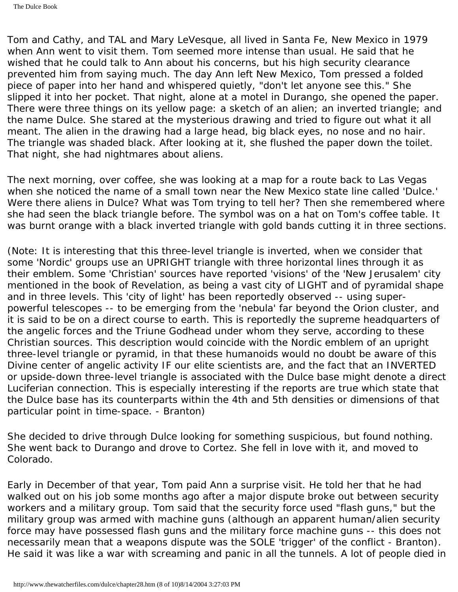Tom and Cathy, and TAL and Mary LeVesque, all lived in Santa Fe, New Mexico in 1979 when Ann went to visit them. Tom seemed more intense than usual. He said that he wished that he could talk to Ann about his concerns, but his high security clearance prevented him from saying much. The day Ann left New Mexico, Tom pressed a folded piece of paper into her hand and whispered quietly, "don't let anyone see this." She slipped it into her pocket. That night, alone at a motel in Durango, she opened the paper. There were three things on its yellow page: a sketch of an alien; an inverted triangle; and the name Dulce. She stared at the mysterious drawing and tried to figure out what it all meant. The alien in the drawing had a large head, big black eyes, no nose and no hair. The triangle was shaded black. After looking at it, she flushed the paper down the toilet. That night, she had nightmares about aliens.

The next morning, over coffee, she was looking at a map for a route back to Las Vegas when she noticed the name of a small town near the New Mexico state line called 'Dulce.' Were there aliens in Dulce? What was Tom trying to tell her? Then she remembered where she had seen the black triangle before. The symbol was on a hat on Tom's coffee table. It was burnt orange with a black inverted triangle with gold bands cutting it in three sections.

(Note: It is interesting that this three-level triangle is inverted, when we consider that some 'Nordic' groups use an UPRIGHT triangle with three horizontal lines through it as their emblem. Some 'Christian' sources have reported 'visions' of the 'New Jerusalem' city mentioned in the book of Revelation, as being a vast city of LIGHT and of pyramidal shape and in three levels. This 'city of light' has been reportedly observed -- using superpowerful telescopes -- to be emerging from the 'nebula' far beyond the Orion cluster, and it is said to be on a direct course to earth. This is reportedly the supreme headquarters of the angelic forces and the Triune Godhead under whom they serve, according to these Christian sources. This description would coincide with the Nordic emblem of an upright three-level triangle or pyramid, in that these humanoids would no doubt be aware of this Divine center of angelic activity IF our elite scientists are, and the fact that an INVERTED or upside-down three-level triangle is associated with the Dulce base might denote a direct Luciferian connection. This is especially interesting if the reports are true which state that the Dulce base has its counterparts within the 4th and 5th densities or dimensions of that particular point in time-space. - Branton)

She decided to drive through Dulce looking for something suspicious, but found nothing. She went back to Durango and drove to Cortez. She fell in love with it, and moved to Colorado.

Early in December of that year, Tom paid Ann a surprise visit. He told her that he had walked out on his job some months ago after a major dispute broke out between security workers and a military group. Tom said that the security force used "flash guns," but the military group was armed with machine guns (although an apparent human/alien security force may have possessed flash guns and the military force machine guns -- this does not necessarily mean that a weapons dispute was the SOLE 'trigger' of the conflict - Branton). He said it was like a war with screaming and panic in all the tunnels. A lot of people died in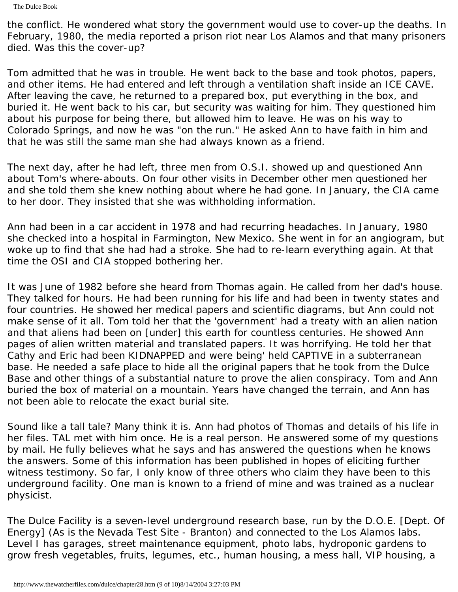the conflict. He wondered what story the government would use to cover-up the deaths. In February, 1980, the media reported a prison riot near Los Alamos and that many prisoners died. Was this the cover-up?

Tom admitted that he was in trouble. He went back to the base and took photos, papers, and other items. He had entered and left through a ventilation shaft inside an ICE CAVE. After leaving the cave, he returned to a prepared box, put everything in the box, and buried it. He went back to his car, but security was waiting for him. They questioned him about his purpose for being there, but allowed him to leave. He was on his way to Colorado Springs, and now he was "on the run." He asked Ann to have faith in him and that he was still the same man she had always known as a friend.

The next day, after he had left, three men from O.S.I. showed up and questioned Ann about Tom's where-abouts. On four other visits in December other men questioned her and she told them she knew nothing about where he had gone. In January, the CIA came to her door. They insisted that she was withholding information.

Ann had been in a car accident in 1978 and had recurring headaches. In January, 1980 she checked into a hospital in Farmington, New Mexico. She went in for an angiogram, but woke up to find that she had had a stroke. She had to re-learn everything again. At that time the OSI and CIA stopped bothering her.

It was June of 1982 before she heard from Thomas again. He called from her dad's house. They talked for hours. He had been running for his life and had been in twenty states and four countries. He showed her medical papers and scientific diagrams, but Ann could not make sense of it all. Tom told her that the 'government' had a treaty with an alien nation and that aliens had been on [under] this earth for countless centuries. He showed Ann pages of alien written material and translated papers. It was horrifying. He told her that Cathy and Eric had been KIDNAPPED and were being' held CAPTIVE in a subterranean base. He needed a safe place to hide all the original papers that he took from the Dulce Base and other things of a substantial nature to prove the alien conspiracy. Tom and Ann buried the box of material on a mountain. Years have changed the terrain, and Ann has not been able to relocate the exact burial site.

Sound like a tall tale? Many think it is. Ann had photos of Thomas and details of his life in her files. TAL met with him once. He is a real person. He answered some of my questions by mail. He fully believes what he says and has answered the questions when he knows the answers. Some of this information has been published in hopes of eliciting further witness testimony. So far, I only know of three others who claim they have been to this underground facility. One man is known to a friend of mine and was trained as a nuclear physicist.

The Dulce Facility is a seven-level underground research base, run by the D.O.E. [Dept. Of Energy] (As is the Nevada Test Site - Branton) and connected to the Los Alamos labs. Level I has garages, street maintenance equipment, photo labs, hydroponic gardens to grow fresh vegetables, fruits, legumes, etc., human housing, a mess hall, VIP housing, a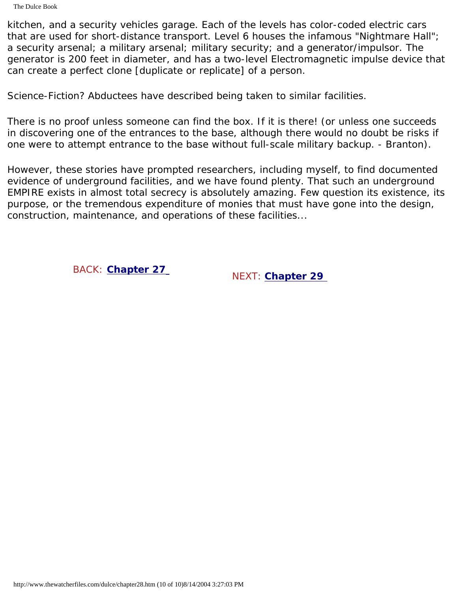The Dulce Book

kitchen, and a security vehicles garage. Each of the levels has color-coded electric cars that are used for short-distance transport. Level 6 houses the infamous "Nightmare Hall"; a security arsenal; a military arsenal; military security; and a generator/impulsor. The generator is 200 feet in diameter, and has a two-level Electromagnetic impulse device that can create a perfect clone [duplicate or replicate] of a person.

Science-Fiction? Abductees have described being taken to similar facilities.

There is no proof unless someone can find the box. If it is there! (or unless one succeeds in discovering one of the entrances to the base, although there would no doubt be risks if one were to attempt entrance to the base without full-scale military backup. - Branton).

However, these stories have prompted researchers, including myself, to find documented evidence of underground facilities, and we have found plenty. That such an underground EMPIRE exists in almost total secrecy is absolutely amazing. Few question its existence, its purpose, or the tremendous expenditure of monies that must have gone into the design, construction, maintenance, and operations of these facilities...

BACK: **[Chapter 27](#page-251-0)** NEXT: **[Chapter 29](#page-273-0)**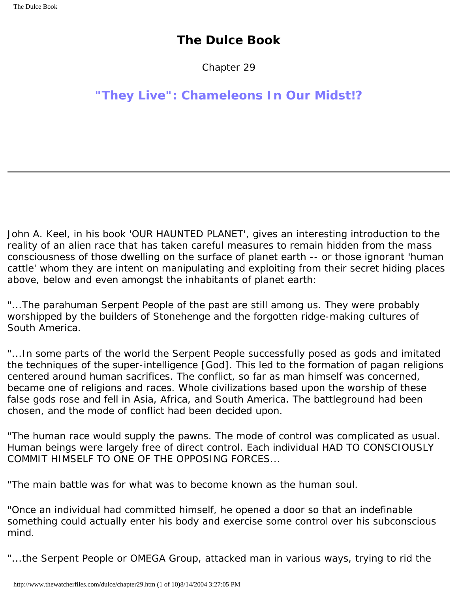# **The Dulce Book**

Chapter 29

# <span id="page-273-0"></span>**"They Live": Chameleons In Our Midst!?**

John A. Keel, in his book 'OUR HAUNTED PLANET', gives an interesting introduction to the reality of an alien race that has taken careful measures to remain hidden from the mass consciousness of those dwelling on the surface of planet earth -- or those ignorant 'human cattle' whom they are intent on manipulating and exploiting from their secret hiding places above, below and even amongst the inhabitants of planet earth:

"...The parahuman Serpent People of the past are still among us. They were probably worshipped by the builders of Stonehenge and the forgotten ridge-making cultures of South America.

"...In some parts of the world the Serpent People successfully posed as gods and imitated the techniques of the super-intelligence [God]. This led to the formation of pagan religions centered around human sacrifices. The conflict, so far as man himself was concerned, became one of religions and races. Whole civilizations based upon the worship of these false gods rose and fell in Asia, Africa, and South America. The battleground had been chosen, and the mode of conflict had been decided upon.

"The human race would supply the pawns. The mode of control was complicated as usual. Human beings were largely free of direct control. Each individual HAD TO CONSCIOUSLY COMMIT HIMSELF TO ONE OF THE OPPOSING FORCES...

"The main battle was for what was to become known as the human soul.

"Once an individual had committed himself, he opened a door so that an indefinable something could actually enter his body and exercise some control over his subconscious mind.

"...the Serpent People or OMEGA Group, attacked man in various ways, trying to rid the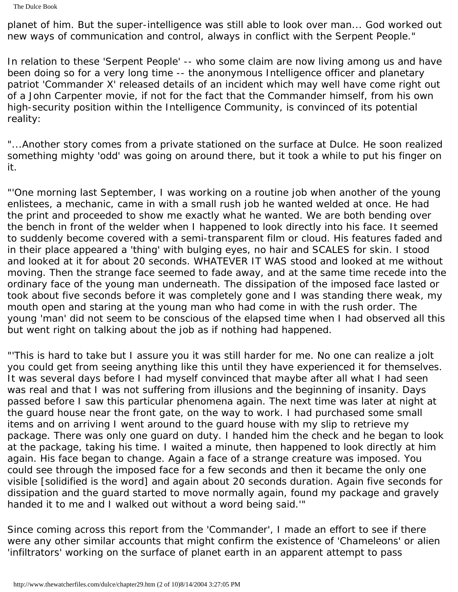The Dulce Book

planet of him. But the super-intelligence was still able to look over man... God worked out new ways of communication and control, always in conflict with the Serpent People."

In relation to these 'Serpent People' -- who some claim are now living among us and have been doing so for a very long time -- the anonymous Intelligence officer and planetary patriot 'Commander X' released details of an incident which may well have come right out of a John Carpenter movie, if not for the fact that the Commander himself, from his own high-security position within the Intelligence Community, is convinced of its potential reality:

"...Another story comes from a private stationed on the surface at Dulce. He soon realized something mighty 'odd' was going on around there, but it took a while to put his finger on it.

"'One morning last September, I was working on a routine job when another of the young enlistees, a mechanic, came in with a small rush job he wanted welded at once. He had the print and proceeded to show me exactly what he wanted. We are both bending over the bench in front of the welder when I happened to look directly into his face. It seemed to suddenly become covered with a semi-transparent film or cloud. His features faded and in their place appeared a 'thing' with bulging eyes, no hair and SCALES for skin. I stood and looked at it for about 20 seconds. WHATEVER IT WAS stood and looked at me without moving. Then the strange face seemed to fade away, and at the same time recede into the ordinary face of the young man underneath. The dissipation of the imposed face lasted or took about five seconds before it was completely gone and I was standing there weak, my mouth open and staring at the young man who had come in with the rush order. The young 'man' did not seem to be conscious of the elapsed time when I had observed all this but went right on talking about the job as if nothing had happened.

"'This is hard to take but I assure you it was still harder for me. No one can realize a jolt you could get from seeing anything like this until they have experienced it for themselves. It was several days before I had myself convinced that maybe after all what I had seen was real and that I was not suffering from illusions and the beginning of insanity. Days passed before I saw this particular phenomena again. The next time was later at night at the guard house near the front gate, on the way to work. I had purchased some small items and on arriving I went around to the guard house with my slip to retrieve my package. There was only one guard on duty. I handed him the check and he began to look at the package, taking his time. I waited a minute, then happened to look directly at him again. His face began to change. Again a face of a strange creature was imposed. You could see through the imposed face for a few seconds and then it became the only one visible [solidified is the word] and again about 20 seconds duration. Again five seconds for dissipation and the guard started to move normally again, found my package and gravely handed it to me and I walked out without a word being said.'"

Since coming across this report from the 'Commander', I made an effort to see if there were any other similar accounts that might confirm the existence of 'Chameleons' or alien 'infiltrators' working on the surface of planet earth in an apparent attempt to pass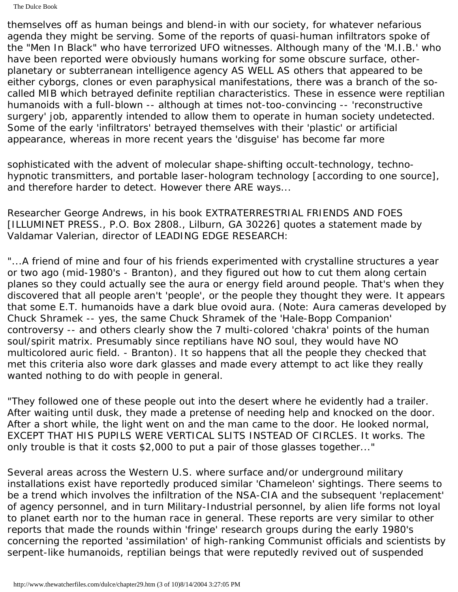The Dulce Book

themselves off as human beings and blend-in with our society, for whatever nefarious agenda they might be serving. Some of the reports of quasi-human infiltrators spoke of the "Men In Black" who have terrorized UFO witnesses. Although many of the 'M.I.B.' who have been reported were obviously humans working for some obscure surface, otherplanetary or subterranean intelligence agency AS WELL AS others that appeared to be either cyborgs, clones or even paraphysical manifestations, there was a branch of the socalled MIB which betrayed definite reptilian characteristics. These in essence were reptilian humanoids with a full-blown -- although at times not-too-convincing -- 'reconstructive surgery' job, apparently intended to allow them to operate in human society undetected. Some of the early 'infiltrators' betrayed themselves with their 'plastic' or artificial appearance, whereas in more recent years the 'disguise' has become far more

sophisticated with the advent of molecular shape-shifting occult-technology, technohypnotic transmitters, and portable laser-hologram technology [according to one source], and therefore harder to detect. However there ARE ways...

Researcher George Andrews, in his book EXTRATERRESTRIAL FRIENDS AND FOES [ILLUMINET PRESS., P.O. Box 2808., Lilburn, GA 30226] quotes a statement made by Valdamar Valerian, director of LEADING EDGE RESEARCH:

"...A friend of mine and four of his friends experimented with crystalline structures a year or two ago (mid-1980's - Branton), and they figured out how to cut them along certain planes so they could actually see the aura or energy field around people. That's when they discovered that all people aren't 'people', or the people they thought they were. It appears that some E.T. humanoids have a dark blue ovoid aura. (Note: Aura cameras developed by Chuck Shramek -- yes, the same Chuck Shramek of the 'Hale-Bopp Companion' controversy -- and others clearly show the 7 multi-colored 'chakra' points of the human soul/spirit matrix. Presumably since reptilians have NO soul, they would have NO multicolored auric field. - Branton). It so happens that all the people they checked that met this criteria also wore dark glasses and made every attempt to act like they really wanted nothing to do with people in general.

"They followed one of these people out into the desert where he evidently had a trailer. After waiting until dusk, they made a pretense of needing help and knocked on the door. After a short while, the light went on and the man came to the door. He looked normal, EXCEPT THAT HIS PUPILS WERE VERTICAL SLITS INSTEAD OF CIRCLES. It works. The only trouble is that it costs \$2,000 to put a pair of those glasses together..."

Several areas across the Western U.S. where surface and/or underground military installations exist have reportedly produced similar 'Chameleon' sightings. There seems to be a trend which involves the infiltration of the NSA-CIA and the subsequent 'replacement' of agency personnel, and in turn Military-Industrial personnel, by alien life forms not loyal to planet earth nor to the human race in general. These reports are very similar to other reports that made the rounds within 'fringe' research groups during the early 1980's concerning the reported 'assimilation' of high-ranking Communist officials and scientists by serpent-like humanoids, reptilian beings that were reputedly revived out of suspended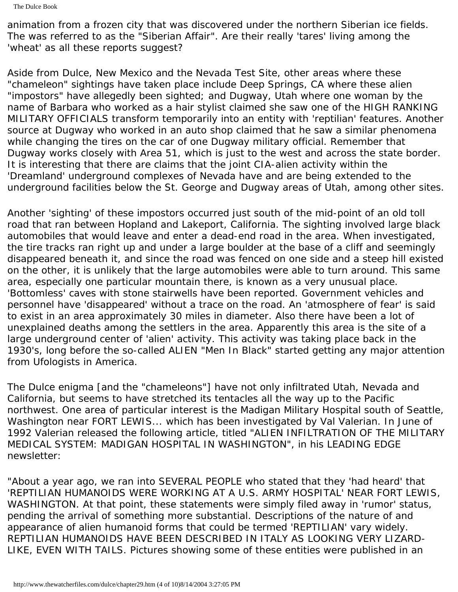The Dulce Book

animation from a frozen city that was discovered under the northern Siberian ice fields. The was referred to as the "Siberian Affair". Are their really 'tares' living among the 'wheat' as all these reports suggest?

Aside from Dulce, New Mexico and the Nevada Test Site, other areas where these "chameleon" sightings have taken place include Deep Springs, CA where these alien "impostors" have allegedly been sighted; and Dugway, Utah where one woman by the name of Barbara who worked as a hair stylist claimed she saw one of the HIGH RANKING MILITARY OFFICIALS transform temporarily into an entity with 'reptilian' features. Another source at Dugway who worked in an auto shop claimed that he saw a similar phenomena while changing the tires on the car of one Dugway military official. Remember that Dugway works closely with Area 51, which is just to the west and across the state border. It is interesting that there are claims that the joint CIA-alien activity within the 'Dreamland' underground complexes of Nevada have and are being extended to the underground facilities below the St. George and Dugway areas of Utah, among other sites.

Another 'sighting' of these impostors occurred just south of the mid-point of an old toll road that ran between Hopland and Lakeport, California. The sighting involved large black automobiles that would leave and enter a dead-end road in the area. When investigated, the tire tracks ran right up and under a large boulder at the base of a cliff and seemingly disappeared beneath it, and since the road was fenced on one side and a steep hill existed on the other, it is unlikely that the large automobiles were able to turn around. This same area, especially one particular mountain there, is known as a very unusual place. 'Bottomless' caves with stone stairwells have been reported. Government vehicles and personnel have 'disappeared' without a trace on the road. An 'atmosphere of fear' is said to exist in an area approximately 30 miles in diameter. Also there have been a lot of unexplained deaths among the settlers in the area. Apparently this area is the site of a large underground center of 'alien' activity. This activity was taking place back in the 1930's, long before the so-called ALIEN "Men In Black" started getting any major attention from Ufologists in America.

The Dulce enigma [and the "chameleons"] have not only infiltrated Utah, Nevada and California, but seems to have stretched its tentacles all the way up to the Pacific northwest. One area of particular interest is the Madigan Military Hospital south of Seattle, Washington near FORT LEWIS... which has been investigated by Val Valerian. In June of 1992 Valerian released the following article, titled "ALIEN INFILTRATION OF THE MILITARY MEDICAL SYSTEM: MADIGAN HOSPITAL IN WASHINGTON", in his LEADING EDGE newsletter:

"About a year ago, we ran into SEVERAL PEOPLE who stated that they 'had heard' that 'REPTILIAN HUMANOIDS WERE WORKING AT A U.S. ARMY HOSPITAL' NEAR FORT LEWIS, WASHINGTON. At that point, these statements were simply filed away in 'rumor' status, pending the arrival of something more substantial. Descriptions of the nature of and appearance of alien humanoid forms that could be termed 'REPTILIAN' vary widely. REPTILIAN HUMANOIDS HAVE BEEN DESCRIBED IN ITALY AS LOOKING VERY LIZARD-LIKE, EVEN WITH TAILS. Pictures showing some of these entities were published in an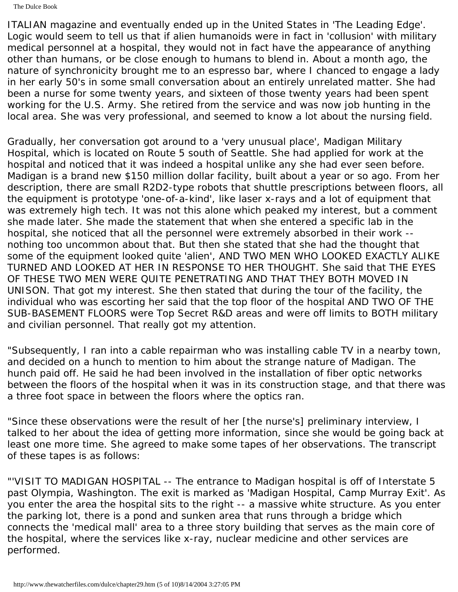The Dulce Book

ITALIAN magazine and eventually ended up in the United States in 'The Leading Edge'. Logic would seem to tell us that if alien humanoids were in fact in 'collusion' with military medical personnel at a hospital, they would not in fact have the appearance of anything other than humans, or be close enough to humans to blend in. About a month ago, the nature of synchronicity brought me to an espresso bar, where I chanced to engage a lady in her early 50's in some small conversation about an entirely unrelated matter. She had been a nurse for some twenty years, and sixteen of those twenty years had been spent working for the U.S. Army. She retired from the service and was now job hunting in the local area. She was very professional, and seemed to know a lot about the nursing field.

Gradually, her conversation got around to a 'very unusual place', Madigan Military Hospital, which is located on Route 5 south of Seattle. She had applied for work at the hospital and noticed that it was indeed a hospital unlike any she had ever seen before. Madigan is a brand new \$150 million dollar facility, built about a year or so ago. From her description, there are small R2D2-type robots that shuttle prescriptions between floors, all the equipment is prototype 'one-of-a-kind', like laser x-rays and a lot of equipment that was extremely high tech. It was not this alone which peaked my interest, but a comment she made later. She made the statement that when she entered a specific lab in the hospital, she noticed that all the personnel were extremely absorbed in their work - nothing too uncommon about that. But then she stated that she had the thought that some of the equipment looked quite 'alien', AND TWO MEN WHO LOOKED EXACTLY ALIKE TURNED AND LOOKED AT HER IN RESPONSE TO HER THOUGHT. She said that THE EYES OF THESE TWO MEN WERE QUITE PENETRATING AND THAT THEY BOTH MOVED IN UNISON. That got my interest. She then stated that during the tour of the facility, the individual who was escorting her said that the top floor of the hospital AND TWO OF THE SUB-BASEMENT FLOORS were Top Secret R&D areas and were off limits to BOTH military and civilian personnel. That really got my attention.

"Subsequently, I ran into a cable repairman who was installing cable TV in a nearby town, and decided on a hunch to mention to him about the strange nature of Madigan. The hunch paid off. He said he had been involved in the installation of fiber optic networks between the floors of the hospital when it was in its construction stage, and that there was a three foot space in between the floors where the optics ran.

"Since these observations were the result of her [the nurse's] preliminary interview, I talked to her about the idea of getting more information, since she would be going back at least one more time. She agreed to make some tapes of her observations. The transcript of these tapes is as follows:

"'VISIT TO MADIGAN HOSPITAL -- The entrance to Madigan hospital is off of Interstate 5 past Olympia, Washington. The exit is marked as 'Madigan Hospital, Camp Murray Exit'. As you enter the area the hospital sits to the right -- a massive white structure. As you enter the parking lot, there is a pond and sunken area that runs through a bridge which connects the 'medical mall' area to a three story building that serves as the main core of the hospital, where the services like x-ray, nuclear medicine and other services are performed.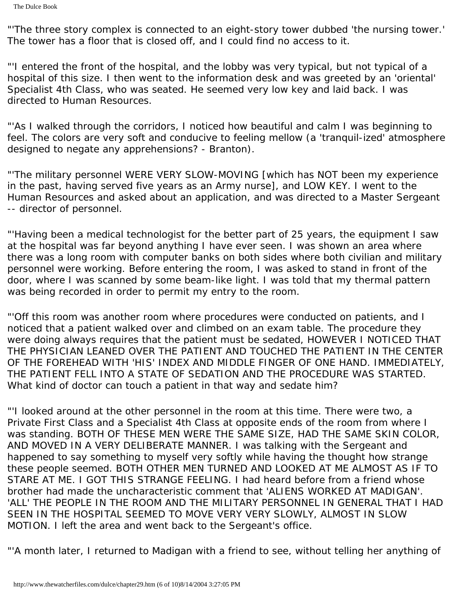"'The three story complex is connected to an eight-story tower dubbed 'the nursing tower.' The tower has a floor that is closed off, and I could find no access to it.

"'I entered the front of the hospital, and the lobby was very typical, but not typical of a hospital of this size. I then went to the information desk and was greeted by an 'oriental' Specialist 4th Class, who was seated. He seemed very low key and laid back. I was directed to Human Resources.

"'As I walked through the corridors, I noticed how beautiful and calm I was beginning to feel. The colors are very soft and conducive to feeling mellow (a 'tranquil-ized' atmosphere designed to negate any apprehensions? - Branton).

"'The military personnel WERE VERY SLOW-MOVING [which has NOT been my experience in the past, having served five years as an Army nurse], and LOW KEY. I went to the Human Resources and asked about an application, and was directed to a Master Sergeant -- director of personnel.

"'Having been a medical technologist for the better part of 25 years, the equipment I saw at the hospital was far beyond anything I have ever seen. I was shown an area where there was a long room with computer banks on both sides where both civilian and military personnel were working. Before entering the room, I was asked to stand in front of the door, where I was scanned by some beam-like light. I was told that my thermal pattern was being recorded in order to permit my entry to the room.

"'Off this room was another room where procedures were conducted on patients, and I noticed that a patient walked over and climbed on an exam table. The procedure they were doing always requires that the patient must be sedated, HOWEVER I NOTICED THAT THE PHYSICIAN LEANED OVER THE PATIENT AND TOUCHED THE PATIENT IN THE CENTER OF THE FOREHEAD WITH 'HIS' INDEX AND MIDDLE FINGER OF ONE HAND. IMMEDIATELY, THE PATIENT FELL INTO A STATE OF SEDATION AND THE PROCEDURE WAS STARTED. What kind of doctor can touch a patient in that way and sedate him?

"'I looked around at the other personnel in the room at this time. There were two, a Private First Class and a Specialist 4th Class at opposite ends of the room from where I was standing. BOTH OF THESE MEN WERE THE SAME SIZE, HAD THE SAME SKIN COLOR, AND MOVED IN A VERY DELIBERATE MANNER. I was talking with the Sergeant and happened to say something to myself very softly while having the thought how strange these people seemed. BOTH OTHER MEN TURNED AND LOOKED AT ME ALMOST AS IF TO STARE AT ME. I GOT THIS STRANGE FEELING. I had heard before from a friend whose brother had made the uncharacteristic comment that 'ALIENS WORKED AT MADIGAN'. 'ALL' THE PEOPLE IN THE ROOM AND THE MILITARY PERSONNEL IN GENERAL THAT I HAD SEEN IN THE HOSPITAL SEEMED TO MOVE VERY VERY SLOWLY, ALMOST IN SLOW MOTION. I left the area and went back to the Sergeant's office.

"'A month later, I returned to Madigan with a friend to see, without telling her anything of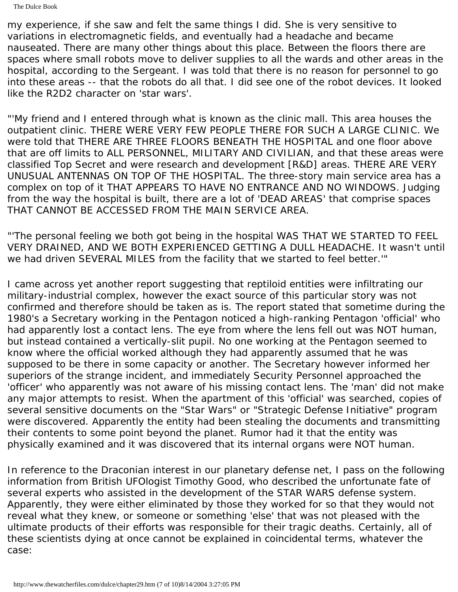The Dulce Book

my experience, if she saw and felt the same things I did. She is very sensitive to variations in electromagnetic fields, and eventually had a headache and became nauseated. There are many other things about this place. Between the floors there are spaces where small robots move to deliver supplies to all the wards and other areas in the hospital, according to the Sergeant. I was told that there is no reason for personnel to go into these areas -- that the robots do all that. I did see one of the robot devices. It looked like the R2D2 character on 'star wars'.

"'My friend and I entered through what is known as the clinic mall. This area houses the outpatient clinic. THERE WERE VERY FEW PEOPLE THERE FOR SUCH A LARGE CLINIC. We were told that THERE ARE THREE FLOORS BENEATH THE HOSPITAL and one floor above that are off limits to ALL PERSONNEL, MILITARY AND CIVILIAN, and that these areas were classified Top Secret and were research and development [R&D] areas. THERE ARE VERY UNUSUAL ANTENNAS ON TOP OF THE HOSPITAL. The three-story main service area has a complex on top of it THAT APPEARS TO HAVE NO ENTRANCE AND NO WINDOWS. Judging from the way the hospital is built, there are a lot of 'DEAD AREAS' that comprise spaces THAT CANNOT BE ACCESSED FROM THE MAIN SERVICE AREA.

"'The personal feeling we both got being in the hospital WAS THAT WE STARTED TO FEEL VERY DRAINED, AND WE BOTH EXPERIENCED GETTING A DULL HEADACHE. It wasn't until we had driven SEVERAL MILES from the facility that we started to feel better.'"

I came across yet another report suggesting that reptiloid entities were infiltrating our military-industrial complex, however the exact source of this particular story was not confirmed and therefore should be taken as is. The report stated that sometime during the 1980's a Secretary working in the Pentagon noticed a high-ranking Pentagon 'official' who had apparently lost a contact lens. The eye from where the lens fell out was NOT human, but instead contained a vertically-slit pupil. No one working at the Pentagon seemed to know where the official worked although they had apparently assumed that he was supposed to be there in some capacity or another. The Secretary however informed her superiors of the strange incident, and immediately Security Personnel approached the 'officer' who apparently was not aware of his missing contact lens. The 'man' did not make any major attempts to resist. When the apartment of this 'official' was searched, copies of several sensitive documents on the "Star Wars" or "Strategic Defense Initiative" program were discovered. Apparently the entity had been stealing the documents and transmitting their contents to some point beyond the planet. Rumor had it that the entity was physically examined and it was discovered that its internal organs were NOT human.

In reference to the Draconian interest in our planetary defense net, I pass on the following information from British UFOlogist Timothy Good, who described the unfortunate fate of several experts who assisted in the development of the STAR WARS defense system. Apparently, they were either eliminated by those they worked for so that they would not reveal what they knew, or someone or something 'else' that was not pleased with the ultimate products of their efforts was responsible for their tragic deaths. Certainly, all of these scientists dying at once cannot be explained in coincidental terms, whatever the case: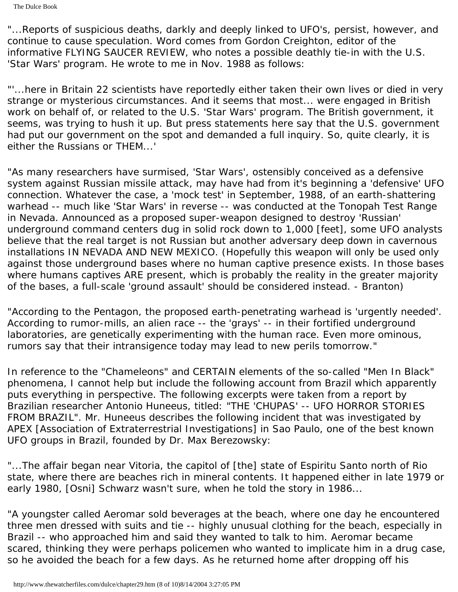"...Reports of suspicious deaths, darkly and deeply linked to UFO's, persist, however, and continue to cause speculation. Word comes from Gordon Creighton, editor of the informative FLYING SAUCER REVIEW, who notes a possible deathly tie-in with the U.S. 'Star Wars' program. He wrote to me in Nov. 1988 as follows:

"'...here in Britain 22 scientists have reportedly either taken their own lives or died in very strange or mysterious circumstances. And it seems that most... were engaged in British work on behalf of, or related to the U.S. 'Star Wars' program. The British government, it seems, was trying to hush it up. But press statements here say that the U.S. government had put our government on the spot and demanded a full inquiry. So, quite clearly, it is either the Russians or THEM...'

"As many researchers have surmised, 'Star Wars', ostensibly conceived as a defensive system against Russian missile attack, may have had from it's beginning a 'defensive' UFO connection. Whatever the case, a 'mock test' in September, 1988, of an earth-shattering warhead -- much like 'Star Wars' in reverse -- was conducted at the Tonopah Test Range in Nevada. Announced as a proposed super-weapon designed to destroy 'Russian' underground command centers dug in solid rock down to 1,000 [feet], some UFO analysts believe that the real target is not Russian but another adversary deep down in cavernous installations IN NEVADA AND NEW MEXICO. (Hopefully this weapon will only be used only against those underground bases where no human captive presence exists. In those bases where humans captives ARE present, which is probably the reality in the greater majority of the bases, a full-scale 'ground assault' should be considered instead. - Branton)

"According to the Pentagon, the proposed earth-penetrating warhead is 'urgently needed'. According to rumor-mills, an alien race -- the 'grays' -- in their fortified underground laboratories, are genetically experimenting with the human race. Even more ominous, rumors say that their intransigence today may lead to new perils tomorrow."

In reference to the "Chameleons" and CERTAIN elements of the so-called "Men In Black" phenomena, I cannot help but include the following account from Brazil which apparently puts everything in perspective. The following excerpts were taken from a report by Brazilian researcher Antonio Huneeus, titled: "THE 'CHUPAS' -- UFO HORROR STORIES FROM BRAZIL". Mr. Huneeus describes the following incident that was investigated by APEX [Association of Extraterrestrial Investigations] in Sao Paulo, one of the best known UFO groups in Brazil, founded by Dr. Max Berezowsky:

"...The affair began near Vitoria, the capitol of [the] state of Espiritu Santo north of Rio state, where there are beaches rich in mineral contents. It happened either in late 1979 or early 1980, [Osni] Schwarz wasn't sure, when he told the story in 1986...

"A youngster called Aeromar sold beverages at the beach, where one day he encountered three men dressed with suits and tie -- highly unusual clothing for the beach, especially in Brazil -- who approached him and said they wanted to talk to him. Aeromar became scared, thinking they were perhaps policemen who wanted to implicate him in a drug case, so he avoided the beach for a few days. As he returned home after dropping off his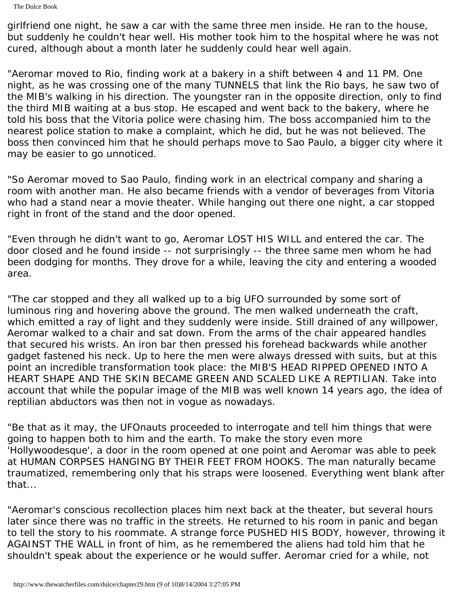The Dulce Book

girlfriend one night, he saw a car with the same three men inside. He ran to the house, but suddenly he couldn't hear well. His mother took him to the hospital where he was not cured, although about a month later he suddenly could hear well again.

"Aeromar moved to Rio, finding work at a bakery in a shift between 4 and 11 PM. One night, as he was crossing one of the many TUNNELS that link the Rio bays, he saw two of the MIB's walking in his direction. The youngster ran in the opposite direction, only to find the third MIB waiting at a bus stop. He escaped and went back to the bakery, where he told his boss that the Vitoria police were chasing him. The boss accompanied him to the nearest police station to make a complaint, which he did, but he was not believed. The boss then convinced him that he should perhaps move to Sao Paulo, a bigger city where it may be easier to go unnoticed.

"So Aeromar moved to Sao Paulo, finding work in an electrical company and sharing a room with another man. He also became friends with a vendor of beverages from Vitoria who had a stand near a movie theater. While hanging out there one night, a car stopped right in front of the stand and the door opened.

"Even through he didn't want to go, Aeromar LOST HIS WILL and entered the car. The door closed and he found inside -- not surprisingly -- the three same men whom he had been dodging for months. They drove for a while, leaving the city and entering a wooded area.

"The car stopped and they all walked up to a big UFO surrounded by some sort of luminous ring and hovering above the ground. The men walked underneath the craft, which emitted a ray of light and they suddenly were inside. Still drained of any willpower, Aeromar walked to a chair and sat down. From the arms of the chair appeared handles that secured his wrists. An iron bar then pressed his forehead backwards while another gadget fastened his neck. Up to here the men were always dressed with suits, but at this point an incredible transformation took place: the MIB'S HEAD RIPPED OPENED INTO A HEART SHAPE AND THE SKIN BECAME GREEN AND SCALED LIKE A REPTILIAN. Take into account that while the popular image of the MIB was well known 14 years ago, the idea of reptilian abductors was then not in vogue as nowadays.

"Be that as it may, the UFOnauts proceeded to interrogate and tell him things that were going to happen both to him and the earth. To make the story even more 'Hollywoodesque', a door in the room opened at one point and Aeromar was able to peek at HUMAN CORPSES HANGING BY THEIR FEET FROM HOOKS. The man naturally became traumatized, remembering only that his straps were loosened. Everything went blank after that...

"Aeromar's conscious recollection places him next back at the theater, but several hours later since there was no traffic in the streets. He returned to his room in panic and began to tell the story to his roommate. A strange force PUSHED HIS BODY, however, throwing it AGAINST THE WALL in front of him, as he remembered the aliens had told him that he shouldn't speak about the experience or he would suffer. Aeromar cried for a while, not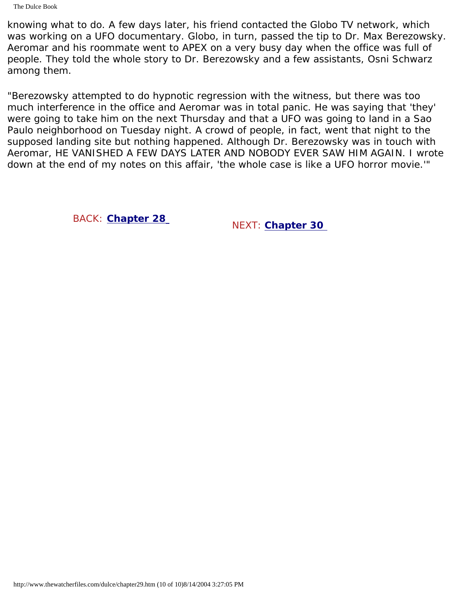The Dulce Book

knowing what to do. A few days later, his friend contacted the Globo TV network, which was working on a UFO documentary. Globo, in turn, passed the tip to Dr. Max Berezowsky. Aeromar and his roommate went to APEX on a very busy day when the office was full of people. They told the whole story to Dr. Berezowsky and a few assistants, Osni Schwarz among them.

"Berezowsky attempted to do hypnotic regression with the witness, but there was too much interference in the office and Aeromar was in total panic. He was saying that 'they' were going to take him on the next Thursday and that a UFO was going to land in a Sao Paulo neighborhood on Tuesday night. A crowd of people, in fact, went that night to the supposed landing site but nothing happened. Although Dr. Berezowsky was in touch with Aeromar, HE VANISHED A FEW DAYS LATER AND NOBODY EVER SAW HIM AGAIN. I wrote down at the end of my notes on this affair, 'the whole case is like a UFO horror movie.'"

BACK: **[Chapter 28](#page-263-0)** NEXT: **[Chapter 30](#page-283-0)**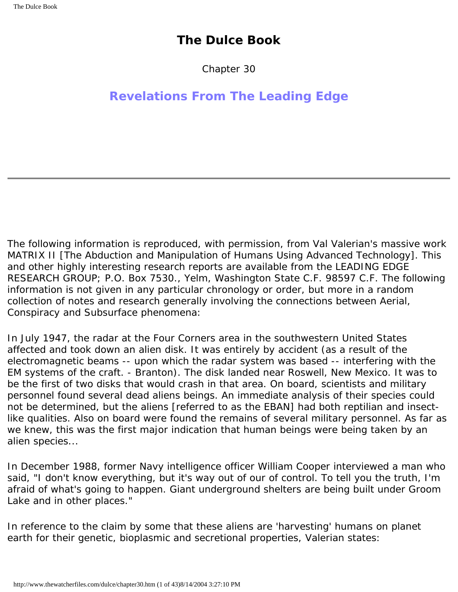## **The Dulce Book**

Chapter 30

# <span id="page-283-0"></span>**Revelations From The Leading Edge**

The following information is reproduced, with permission, from Val Valerian's massive work MATRIX II [The Abduction and Manipulation of Humans Using Advanced Technology]. This and other highly interesting research reports are available from the LEADING EDGE RESEARCH GROUP; P.O. Box 7530., Yelm, Washington State C.F. 98597 C.F. The following information is not given in any particular chronology or order, but more in a random collection of notes and research generally involving the connections between Aerial, Conspiracy and Subsurface phenomena:

In July 1947, the radar at the Four Corners area in the southwestern United States affected and took down an alien disk. It was entirely by accident (as a result of the electromagnetic beams -- upon which the radar system was based -- interfering with the EM systems of the craft. - Branton). The disk landed near Roswell, New Mexico. It was to be the first of two disks that would crash in that area. On board, scientists and military personnel found several dead aliens beings. An immediate analysis of their species could not be determined, but the aliens [referred to as the EBAN] had both reptilian and insectlike qualities. Also on board were found the remains of several military personnel. As far as we knew, this was the first major indication that human beings were being taken by an alien species...

In December 1988, former Navy intelligence officer William Cooper interviewed a man who said, "I don't know everything, but it's way out of our of control. To tell you the truth, I'm afraid of what's going to happen. Giant underground shelters are being built under Groom Lake and in other places."

In reference to the claim by some that these aliens are 'harvesting' humans on planet earth for their genetic, bioplasmic and secretional properties, Valerian states: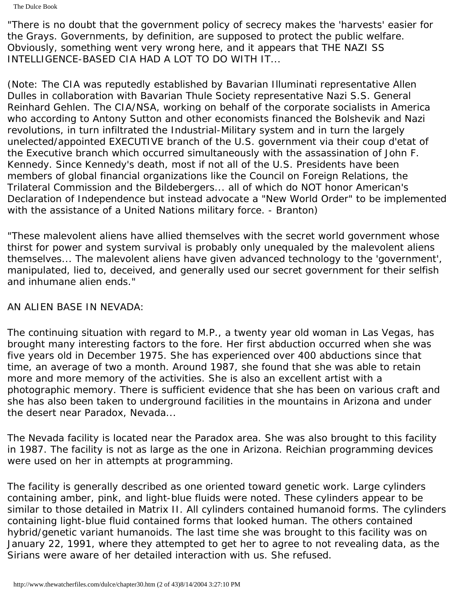The Dulce Book

"There is no doubt that the government policy of secrecy makes the 'harvests' easier for the Grays. Governments, by definition, are supposed to protect the public welfare. Obviously, something went very wrong here, and it appears that THE NAZI SS INTELLIGENCE-BASED CIA HAD A LOT TO DO WITH IT...

(Note: The CIA was reputedly established by Bavarian Illuminati representative Allen Dulles in collaboration with Bavarian Thule Society representative Nazi S.S. General Reinhard Gehlen. The CIA/NSA, working on behalf of the corporate socialists in America who according to Antony Sutton and other economists financed the Bolshevik and Nazi revolutions, in turn infiltrated the Industrial-Military system and in turn the largely unelected/appointed EXECUTIVE branch of the U.S. government via their coup d'etat of the Executive branch which occurred simultaneously with the assassination of John F. Kennedy. Since Kennedy's death, most if not all of the U.S. Presidents have been members of global financial organizations like the Council on Foreign Relations, the Trilateral Commission and the Bildebergers... all of which do NOT honor American's Declaration of Independence but instead advocate a "New World Order" to be implemented with the assistance of a United Nations military force. - Branton)

"These malevolent aliens have allied themselves with the secret world government whose thirst for power and system survival is probably only unequaled by the malevolent aliens themselves... The malevolent aliens have given advanced technology to the 'government', manipulated, lied to, deceived, and generally used our secret government for their selfish and inhumane alien ends."

### AN ALIEN BASE IN NEVADA:

The continuing situation with regard to M.P., a twenty year old woman in Las Vegas, has brought many interesting factors to the fore. Her first abduction occurred when she was five years old in December 1975. She has experienced over 400 abductions since that time, an average of two a month. Around 1987, she found that she was able to retain more and more memory of the activities. She is also an excellent artist with a photographic memory. There is sufficient evidence that she has been on various craft and she has also been taken to underground facilities in the mountains in Arizona and under the desert near Paradox, Nevada...

The Nevada facility is located near the Paradox area. She was also brought to this facility in 1987. The facility is not as large as the one in Arizona. Reichian programming devices were used on her in attempts at programming.

The facility is generally described as one oriented toward genetic work. Large cylinders containing amber, pink, and light-blue fluids were noted. These cylinders appear to be similar to those detailed in Matrix II. All cylinders contained humanoid forms. The cylinders containing light-blue fluid contained forms that looked human. The others contained hybrid/genetic variant humanoids. The last time she was brought to this facility was on January 22, 1991, where they attempted to get her to agree to not revealing data, as the Sirians were aware of her detailed interaction with us. She refused.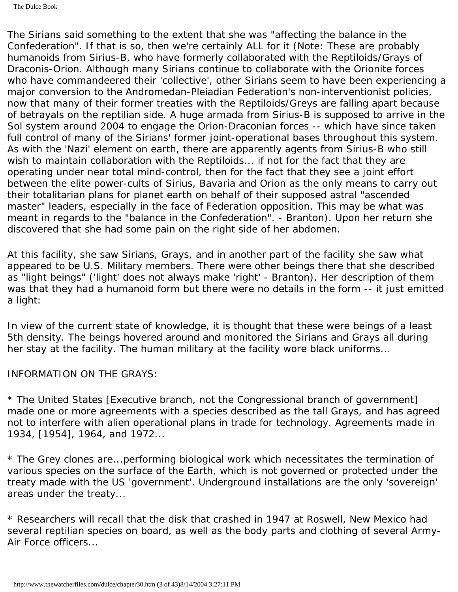The Sirians said something to the extent that she was "affecting the balance in the Confederation". If that is so, then we're certainly ALL for it (Note: These are probably humanoids from Sirius-B, who have formerly collaborated with the Reptiloids/Grays of Draconis-Orion. Although many Sirians continue to collaborate with the Orionite forces who have commandeered their 'collective', other Sirians seem to have been experiencing a major conversion to the Andromedan-Pleiadian Federation's non-interventionist policies, now that many of their former treaties with the Reptiloids/Greys are falling apart because of betrayals on the reptilian side. A huge armada from Sirius-B is supposed to arrive in the Sol system around 2004 to engage the Orion-Draconian forces -- which have since taken full control of many of the Sirians' former joint-operational bases throughout this system. As with the 'Nazi' element on earth, there are apparently agents from Sirius-B who still wish to maintain collaboration with the Reptiloids... if not for the fact that they are operating under near total mind-control, then for the fact that they see a joint effort between the elite power-cults of Sirius, Bavaria and Orion as the only means to carry out their totalitarian plans for planet earth on behalf of their supposed astral "ascended master" leaders, especially in the face of Federation opposition. This may be what was meant in regards to the "balance in the Confederation". - Branton). Upon her return she discovered that she had some pain on the right side of her abdomen.

At this facility, she saw Sirians, Grays, and in another part of the facility she saw what appeared to be U.S. Military members. There were other beings there that she described as "light beings" ('light' does not always make 'right' - Branton). Her description of them was that they had a humanoid form but there were no details in the form -- it just emitted a light:

In view of the current state of knowledge, it is thought that these were beings of a least 5th density. The beings hovered around and monitored the Sirians and Grays all during her stay at the facility. The human military at the facility wore black uniforms...

INFORMATION ON THE GRAYS:

\* The United States [Executive branch, not the Congressional branch of government] made one or more agreements with a species described as the tall Grays, and has agreed not to interfere with alien operational plans in trade for technology. Agreements made in 1934, [1954], 1964, and 1972...

\* The Grey clones are...performing biological work which necessitates the termination of various species on the surface of the Earth, which is not governed or protected under the treaty made with the US 'government'. Underground installations are the only 'sovereign' areas under the treaty...

\* Researchers will recall that the disk that crashed in 1947 at Roswell, New Mexico had several reptilian species on board, as well as the body parts and clothing of several Army-Air Force officers...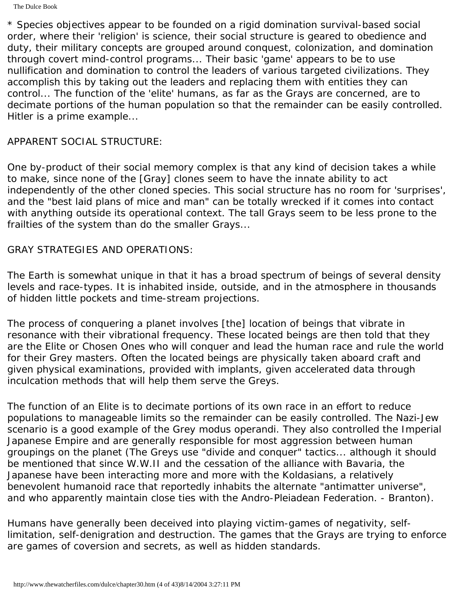\* Species objectives appear to be founded on a rigid domination survival-based social order, where their 'religion' is science, their social structure is geared to obedience and duty, their military concepts are grouped around conquest, colonization, and domination through covert mind-control programs... Their basic 'game' appears to be to use nullification and domination to control the leaders of various targeted civilizations. They accomplish this by taking out the leaders and replacing them with entities they can control... The function of the 'elite' humans, as far as the Grays are concerned, are to decimate portions of the human population so that the remainder can be easily controlled. Hitler is a prime example...

#### APPARENT SOCIAL STRUCTURE:

One by-product of their social memory complex is that any kind of decision takes a while to make, since none of the [Gray] clones seem to have the innate ability to act independently of the other cloned species. This social structure has no room for 'surprises', and the "best laid plans of mice and man" can be totally wrecked if it comes into contact with anything outside its operational context. The tall Grays seem to be less prone to the frailties of the system than do the smaller Grays...

### GRAY STRATEGIES AND OPERATIONS:

The Earth is somewhat unique in that it has a broad spectrum of beings of several density levels and race-types. It is inhabited inside, outside, and in the atmosphere in thousands of hidden little pockets and time-stream projections.

The process of conquering a planet involves [the] location of beings that vibrate in resonance with their vibrational frequency. These located beings are then told that they are the Elite or Chosen Ones who will conquer and lead the human race and rule the world for their Grey masters. Often the located beings are physically taken aboard craft and given physical examinations, provided with implants, given accelerated data through inculcation methods that will help them serve the Greys.

The function of an Elite is to decimate portions of its own race in an effort to reduce populations to manageable limits so the remainder can be easily controlled. The Nazi-Jew scenario is a good example of the Grey modus operandi. They also controlled the Imperial Japanese Empire and are generally responsible for most aggression between human groupings on the planet (The Greys use "divide and conquer" tactics... although it should be mentioned that since W.W.II and the cessation of the alliance with Bavaria, the Japanese have been interacting more and more with the Koldasians, a relatively benevolent humanoid race that reportedly inhabits the alternate "antimatter universe", and who apparently maintain close ties with the Andro-Pleiadean Federation. - Branton).

Humans have generally been deceived into playing victim-games of negativity, selflimitation, self-denigration and destruction. The games that the Grays are trying to enforce are games of coversion and secrets, as well as hidden standards.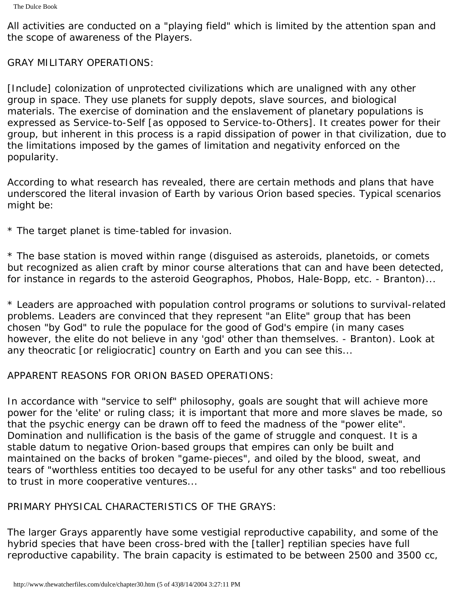All activities are conducted on a "playing field" which is limited by the attention span and the scope of awareness of the Players.

### GRAY MILITARY OPERATIONS:

[Include] colonization of unprotected civilizations which are unaligned with any other group in space. They use planets for supply depots, slave sources, and biological materials. The exercise of domination and the enslavement of planetary populations is expressed as Service-to-Self [as opposed to Service-to-Others]. It creates power for their group, but inherent in this process is a rapid dissipation of power in that civilization, due to the limitations imposed by the games of limitation and negativity enforced on the popularity.

According to what research has revealed, there are certain methods and plans that have underscored the literal invasion of Earth by various Orion based species. Typical scenarios might be:

\* The target planet is time-tabled for invasion.

\* The base station is moved within range (disguised as asteroids, planetoids, or comets but recognized as alien craft by minor course alterations that can and have been detected, for instance in regards to the asteroid Geographos, Phobos, Hale-Bopp, etc. - Branton)...

\* Leaders are approached with population control programs or solutions to survival-related problems. Leaders are convinced that they represent "an Elite" group that has been chosen "by God" to rule the populace for the good of God's empire (in many cases however, the elite do not believe in any 'god' other than themselves. - Branton). Look at any theocratic [or religiocratic] country on Earth and you can see this...

### APPARENT REASONS FOR ORION BASED OPERATIONS:

In accordance with "service to self" philosophy, goals are sought that will achieve more power for the 'elite' or ruling class; it is important that more and more slaves be made, so that the psychic energy can be drawn off to feed the madness of the "power elite". Domination and nullification is the basis of the game of struggle and conquest. It is a stable datum to negative Orion-based groups that empires can only be built and maintained on the backs of broken "game-pieces", and oiled by the blood, sweat, and tears of "worthless entities too decayed to be useful for any other tasks" and too rebellious to trust in more cooperative ventures...

PRIMARY PHYSICAL CHARACTERISTICS OF THE GRAYS:

The larger Grays apparently have some vestigial reproductive capability, and some of the hybrid species that have been cross-bred with the [taller] reptilian species have full reproductive capability. The brain capacity is estimated to be between 2500 and 3500 cc,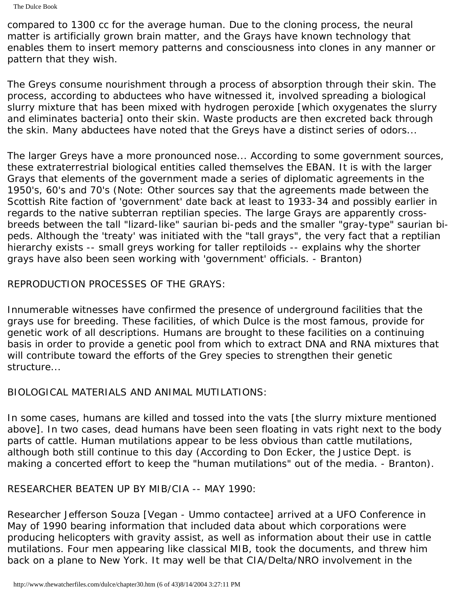compared to 1300 cc for the average human. Due to the cloning process, the neural matter is artificially grown brain matter, and the Grays have known technology that enables them to insert memory patterns and consciousness into clones in any manner or pattern that they wish.

The Greys consume nourishment through a process of absorption through their skin. The process, according to abductees who have witnessed it, involved spreading a biological slurry mixture that has been mixed with hydrogen peroxide [which oxygenates the slurry and eliminates bacteria] onto their skin. Waste products are then excreted back through the skin. Many abductees have noted that the Greys have a distinct series of odors...

The larger Greys have a more pronounced nose... According to some government sources, these extraterrestrial biological entities called themselves the EBAN. It is with the larger Grays that elements of the government made a series of diplomatic agreements in the 1950's, 60's and 70's (Note: Other sources say that the agreements made between the Scottish Rite faction of 'government' date back at least to 1933-34 and possibly earlier in regards to the native subterran reptilian species. The large Grays are apparently crossbreeds between the tall "lizard-like" saurian bi-peds and the smaller "gray-type" saurian bipeds. Although the 'treaty' was initiated with the "tall grays", the very fact that a reptilian hierarchy exists -- small greys working for taller reptiloids -- explains why the shorter grays have also been seen working with 'government' officials. - Branton)

## REPRODUCTION PROCESSES OF THE GRAYS:

Innumerable witnesses have confirmed the presence of underground facilities that the grays use for breeding. These facilities, of which Dulce is the most famous, provide for genetic work of all descriptions. Humans are brought to these facilities on a continuing basis in order to provide a genetic pool from which to extract DNA and RNA mixtures that will contribute toward the efforts of the Grey species to strengthen their genetic structure...

## BIOLOGICAL MATERIALS AND ANIMAL MUTILATIONS:

In some cases, humans are killed and tossed into the vats [the slurry mixture mentioned above]. In two cases, dead humans have been seen floating in vats right next to the body parts of cattle. Human mutilations appear to be less obvious than cattle mutilations, although both still continue to this day (According to Don Ecker, the Justice Dept. is making a concerted effort to keep the "human mutilations" out of the media. - Branton).

RESEARCHER BEATEN UP BY MIB/CIA -- MAY 1990:

Researcher Jefferson Souza [Vegan - Ummo contactee] arrived at a UFO Conference in May of 1990 bearing information that included data about which corporations were producing helicopters with gravity assist, as well as information about their use in cattle mutilations. Four men appearing like classical MIB, took the documents, and threw him back on a plane to New York. It may well be that CIA/Delta/NRO involvement in the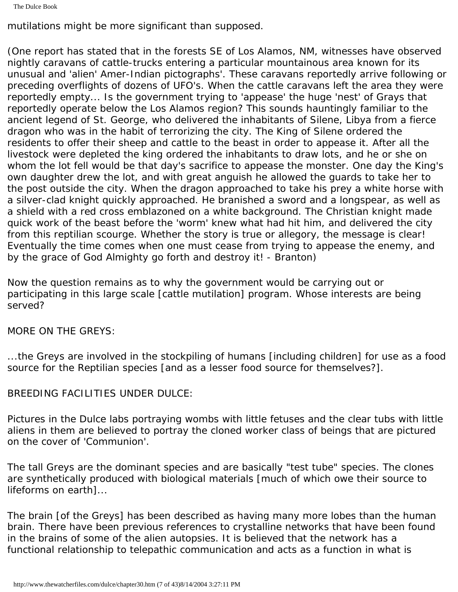The Dulce Book

mutilations might be more significant than supposed.

(One report has stated that in the forests SE of Los Alamos, NM, witnesses have observed nightly caravans of cattle-trucks entering a particular mountainous area known for its unusual and 'alien' Amer-Indian pictographs'. These caravans reportedly arrive following or preceding overflights of dozens of UFO's. When the cattle caravans left the area they were reportedly empty... Is the government trying to 'appease' the huge 'nest' of Grays that reportedly operate below the Los Alamos region? This sounds hauntingly familiar to the ancient legend of St. George, who delivered the inhabitants of Silene, Libya from a fierce dragon who was in the habit of terrorizing the city. The King of Silene ordered the residents to offer their sheep and cattle to the beast in order to appease it. After all the livestock were depleted the king ordered the inhabitants to draw lots, and he or she on whom the lot fell would be that day's sacrifice to appease the monster. One day the King's own daughter drew the lot, and with great anguish he allowed the guards to take her to the post outside the city. When the dragon approached to take his prey a white horse with a silver-clad knight quickly approached. He branished a sword and a longspear, as well as a shield with a red cross emblazoned on a white background. The Christian knight made quick work of the beast before the 'worm' knew what had hit him, and delivered the city from this reptilian scourge. Whether the story is true or allegory, the message is clear! Eventually the time comes when one must cease from trying to appease the enemy, and by the grace of God Almighty go forth and destroy it! - Branton)

Now the question remains as to why the government would be carrying out or participating in this large scale [cattle mutilation] program. Whose interests are being served?

MORE ON THE GREYS:

...the Greys are involved in the stockpiling of humans [including children] for use as a food source for the Reptilian species [and as a lesser food source for themselves?].

## BREEDING FACILITIES UNDER DULCE:

Pictures in the Dulce labs portraying wombs with little fetuses and the clear tubs with little aliens in them are believed to portray the cloned worker class of beings that are pictured on the cover of 'Communion'.

The tall Greys are the dominant species and are basically "test tube" species. The clones are synthetically produced with biological materials [much of which owe their source to lifeforms on earth]...

The brain [of the Greys] has been described as having many more lobes than the human brain. There have been previous references to crystalline networks that have been found in the brains of some of the alien autopsies. It is believed that the network has a functional relationship to telepathic communication and acts as a function in what is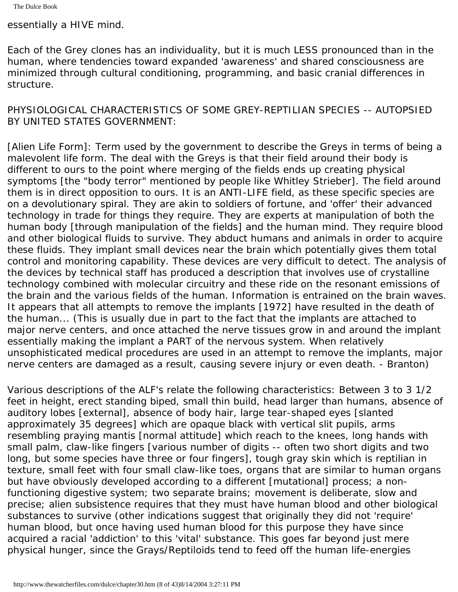essentially a HIVE mind.

Each of the Grey clones has an individuality, but it is much LESS pronounced than in the human, where tendencies toward expanded 'awareness' and shared consciousness are minimized through cultural conditioning, programming, and basic cranial differences in structure.

PHYSIOLOGICAL CHARACTERISTICS OF SOME GREY-REPTILIAN SPECIES -- AUTOPSIED BY UNITED STATES GOVERNMENT:

[Alien Life Form]: Term used by the government to describe the Greys in terms of being a malevolent life form. The deal with the Greys is that their field around their body is different to ours to the point where merging of the fields ends up creating physical symptoms [the "body terror" mentioned by people like Whitley Strieber]. The field around them is in direct opposition to ours. It is an ANTI-LIFE field, as these specific species are on a devolutionary spiral. They are akin to soldiers of fortune, and 'offer' their advanced technology in trade for things they require. They are experts at manipulation of both the human body [through manipulation of the fields] and the human mind. They require blood and other biological fluids to survive. They abduct humans and animals in order to acquire these fluids. They implant small devices near the brain which potentially gives them total control and monitoring capability. These devices are very difficult to detect. The analysis of the devices by technical staff has produced a description that involves use of crystalline technology combined with molecular circuitry and these ride on the resonant emissions of the brain and the various fields of the human. Information is entrained on the brain waves. It appears that all attempts to remove the implants [1972] have resulted in the death of the human... (This is usually due in part to the fact that the implants are attached to major nerve centers, and once attached the nerve tissues grow in and around the implant essentially making the implant a PART of the nervous system. When relatively unsophisticated medical procedures are used in an attempt to remove the implants, major nerve centers are damaged as a result, causing severe injury or even death. - Branton)

Various descriptions of the ALF's relate the following characteristics: Between 3 to 3 1/2 feet in height, erect standing biped, small thin build, head larger than humans, absence of auditory lobes [external], absence of body hair, large tear-shaped eyes [slanted approximately 35 degrees] which are opaque black with vertical slit pupils, arms resembling praying mantis [normal attitude] which reach to the knees, long hands with small palm, claw-like fingers [various number of digits -- often two short digits and two long, but some species have three or four fingers], tough gray skin which is reptilian in texture, small feet with four small claw-like toes, organs that are similar to human organs but have obviously developed according to a different [mutational] process; a nonfunctioning digestive system; two separate brains; movement is deliberate, slow and precise; alien subsistence requires that they must have human blood and other biological substances to survive (other indications suggest that originally they did not 'require' human blood, but once having used human blood for this purpose they have since acquired a racial 'addiction' to this 'vital' substance. This goes far beyond just mere physical hunger, since the Grays/Reptiloids tend to feed off the human life-energies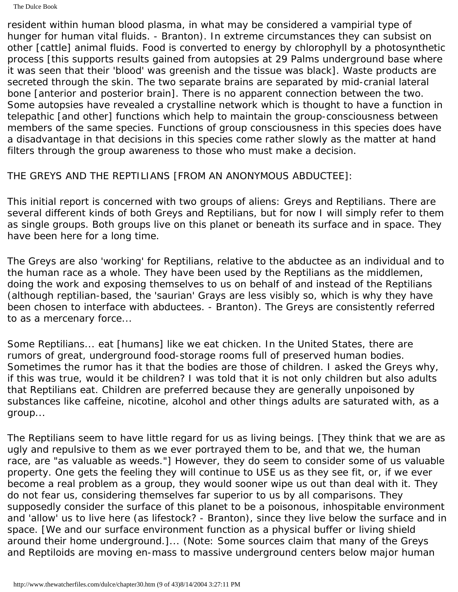The Dulce Book

resident within human blood plasma, in what may be considered a vampirial type of hunger for human vital fluids. - Branton). In extreme circumstances they can subsist on other [cattle] animal fluids. Food is converted to energy by chlorophyll by a photosynthetic process [this supports results gained from autopsies at 29 Palms underground base where it was seen that their 'blood' was greenish and the tissue was black]. Waste products are secreted through the skin. The two separate brains are separated by mid-cranial lateral bone [anterior and posterior brain]. There is no apparent connection between the two. Some autopsies have revealed a crystalline network which is thought to have a function in telepathic [and other] functions which help to maintain the group-consciousness between members of the same species. Functions of group consciousness in this species does have a disadvantage in that decisions in this species come rather slowly as the matter at hand filters through the group awareness to those who must make a decision.

THE GREYS AND THE REPTILIANS [FROM AN ANONYMOUS ABDUCTEE]:

This initial report is concerned with two groups of aliens: Greys and Reptilians. There are several different kinds of both Greys and Reptilians, but for now I will simply refer to them as single groups. Both groups live on this planet or beneath its surface and in space. They have been here for a long time.

The Greys are also 'working' for Reptilians, relative to the abductee as an individual and to the human race as a whole. They have been used by the Reptilians as the middlemen, doing the work and exposing themselves to us on behalf of and instead of the Reptilians (although reptilian-based, the 'saurian' Grays are less visibly so, which is why they have been chosen to interface with abductees. - Branton). The Greys are consistently referred to as a mercenary force...

Some Reptilians... eat [humans] like we eat chicken. In the United States, there are rumors of great, underground food-storage rooms full of preserved human bodies. Sometimes the rumor has it that the bodies are those of children. I asked the Greys why, if this was true, would it be children? I was told that it is not only children but also adults that Reptilians eat. Children are preferred because they are generally unpoisoned by substances like caffeine, nicotine, alcohol and other things adults are saturated with, as a group...

The Reptilians seem to have little regard for us as living beings. [They think that we are as ugly and repulsive to them as we ever portrayed them to be, and that we, the human race, are "as valuable as weeds."] However, they do seem to consider some of us valuable property. One gets the feeling they will continue to USE us as they see fit, or, if we ever become a real problem as a group, they would sooner wipe us out than deal with it. They do not fear us, considering themselves far superior to us by all comparisons. They supposedly consider the surface of this planet to be a poisonous, inhospitable environment and 'allow' us to live here (as lifestock? - Branton), since they live below the surface and in space. [We and our surface environment function as a physical buffer or living shield around their home underground.]... (Note: Some sources claim that many of the Greys and Reptiloids are moving en-mass to massive underground centers below major human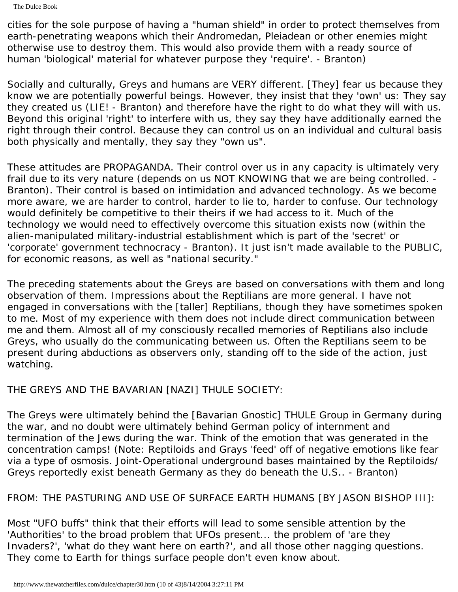The Dulce Book

cities for the sole purpose of having a "human shield" in order to protect themselves from earth-penetrating weapons which their Andromedan, Pleiadean or other enemies might otherwise use to destroy them. This would also provide them with a ready source of human 'biological' material for whatever purpose they 'require'. - Branton)

Socially and culturally, Greys and humans are VERY different. [They] fear us because they know we are potentially powerful beings. However, they insist that they 'own' us: They say they created us (LIE! - Branton) and therefore have the right to do what they will with us. Beyond this original 'right' to interfere with us, they say they have additionally earned the right through their control. Because they can control us on an individual and cultural basis both physically and mentally, they say they "own us".

These attitudes are PROPAGANDA. Their control over us in any capacity is ultimately very frail due to its very nature (depends on us NOT KNOWING that we are being controlled. - Branton). Their control is based on intimidation and advanced technology. As we become more aware, we are harder to control, harder to lie to, harder to confuse. Our technology would definitely be competitive to their theirs if we had access to it. Much of the technology we would need to effectively overcome this situation exists now (within the alien-manipulated military-industrial establishment which is part of the 'secret' or 'corporate' government technocracy - Branton). It just isn't made available to the PUBLIC, for economic reasons, as well as "national security."

The preceding statements about the Greys are based on conversations with them and long observation of them. Impressions about the Reptilians are more general. I have not engaged in conversations with the [taller] Reptilians, though they have sometimes spoken to me. Most of my experience with them does not include direct communication between me and them. Almost all of my consciously recalled memories of Reptilians also include Greys, who usually do the communicating between us. Often the Reptilians seem to be present during abductions as observers only, standing off to the side of the action, just watching.

# THE GREYS AND THE BAVARIAN [NAZI] THULE SOCIETY:

The Greys were ultimately behind the [Bavarian Gnostic] THULE Group in Germany during the war, and no doubt were ultimately behind German policy of internment and termination of the Jews during the war. Think of the emotion that was generated in the concentration camps! (Note: Reptiloids and Grays 'feed' off of negative emotions like fear via a type of osmosis. Joint-Operational underground bases maintained by the Reptiloids/ Greys reportedly exist beneath Germany as they do beneath the U.S.. - Branton)

# FROM: THE PASTURING AND USE OF SURFACE EARTH HUMANS [BY JASON BISHOP III]:

Most "UFO buffs" think that their efforts will lead to some sensible attention by the 'Authorities' to the broad problem that UFOs present... the problem of 'are they Invaders?', 'what do they want here on earth?', and all those other nagging questions. They come to Earth for things surface people don't even know about.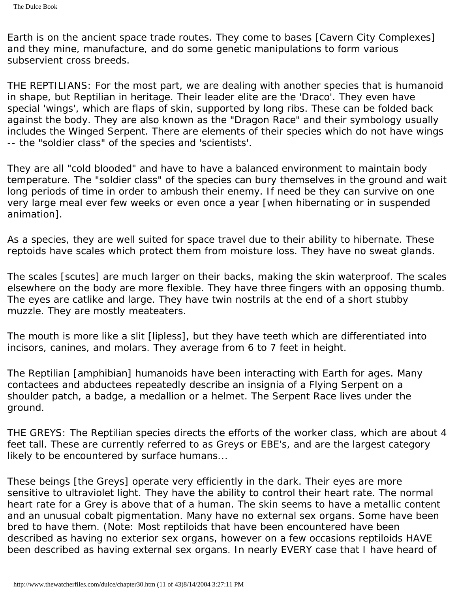Earth is on the ancient space trade routes. They come to bases [Cavern City Complexes] and they mine, manufacture, and do some genetic manipulations to form various subservient cross breeds.

THE REPTILIANS: For the most part, we are dealing with another species that is humanoid in shape, but Reptilian in heritage. Their leader elite are the 'Draco'. They even have special 'wings', which are flaps of skin, supported by long ribs. These can be folded back against the body. They are also known as the "Dragon Race" and their symbology usually includes the Winged Serpent. There are elements of their species which do not have wings -- the "soldier class" of the species and 'scientists'.

They are all "cold blooded" and have to have a balanced environment to maintain body temperature. The "soldier class" of the species can bury themselves in the ground and wait long periods of time in order to ambush their enemy. If need be they can survive on one very large meal ever few weeks or even once a year [when hibernating or in suspended animation].

As a species, they are well suited for space travel due to their ability to hibernate. These reptoids have scales which protect them from moisture loss. They have no sweat glands.

The scales [scutes] are much larger on their backs, making the skin waterproof. The scales elsewhere on the body are more flexible. They have three fingers with an opposing thumb. The eyes are catlike and large. They have twin nostrils at the end of a short stubby muzzle. They are mostly meateaters.

The mouth is more like a slit [lipless], but they have teeth which are differentiated into incisors, canines, and molars. They average from 6 to 7 feet in height.

The Reptilian [amphibian] humanoids have been interacting with Earth for ages. Many contactees and abductees repeatedly describe an insignia of a Flying Serpent on a shoulder patch, a badge, a medallion or a helmet. The Serpent Race lives under the ground.

THE GREYS: The Reptilian species directs the efforts of the worker class, which are about 4 feet tall. These are currently referred to as Greys or EBE's, and are the largest category likely to be encountered by surface humans...

These beings [the Greys] operate very efficiently in the dark. Their eyes are more sensitive to ultraviolet light. They have the ability to control their heart rate. The normal heart rate for a Grey is above that of a human. The skin seems to have a metallic content and an unusual cobalt pigmentation. Many have no external sex organs. Some have been bred to have them. (Note: Most reptiloids that have been encountered have been described as having no exterior sex organs, however on a few occasions reptiloids HAVE been described as having external sex organs. In nearly EVERY case that I have heard of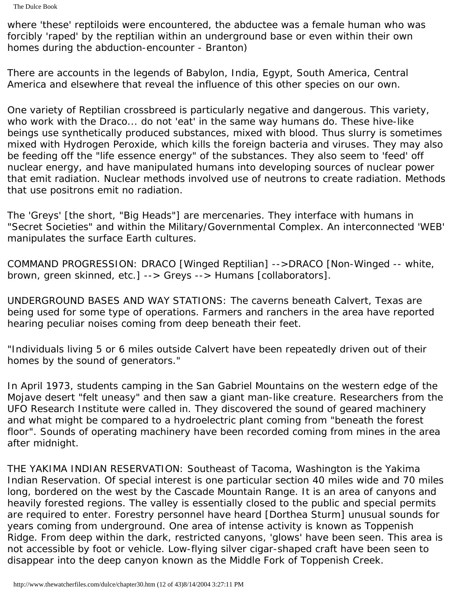The Dulce Book

where 'these' reptiloids were encountered, the abductee was a female human who was forcibly 'raped' by the reptilian within an underground base or even within their own homes during the abduction-encounter - Branton)

There are accounts in the legends of Babylon, India, Egypt, South America, Central America and elsewhere that reveal the influence of this other species on our own.

One variety of Reptilian crossbreed is particularly negative and dangerous. This variety, who work with the Draco... do not 'eat' in the same way humans do. These hive-like beings use synthetically produced substances, mixed with blood. Thus slurry is sometimes mixed with Hydrogen Peroxide, which kills the foreign bacteria and viruses. They may also be feeding off the "life essence energy" of the substances. They also seem to 'feed' off nuclear energy, and have manipulated humans into developing sources of nuclear power that emit radiation. Nuclear methods involved use of neutrons to create radiation. Methods that use positrons emit no radiation.

The 'Greys' [the short, "Big Heads"] are mercenaries. They interface with humans in "Secret Societies" and within the Military/Governmental Complex. An interconnected 'WEB' manipulates the surface Earth cultures.

COMMAND PROGRESSION: DRACO [Winged Reptilian] -->DRACO [Non-Winged -- white, brown, green skinned, etc.] --> Greys --> Humans [collaborators].

UNDERGROUND BASES AND WAY STATIONS: The caverns beneath Calvert, Texas are being used for some type of operations. Farmers and ranchers in the area have reported hearing peculiar noises coming from deep beneath their feet.

"Individuals living 5 or 6 miles outside Calvert have been repeatedly driven out of their homes by the sound of generators."

In April 1973, students camping in the San Gabriel Mountains on the western edge of the Mojave desert "felt uneasy" and then saw a giant man-like creature. Researchers from the UFO Research Institute were called in. They discovered the sound of geared machinery and what might be compared to a hydroelectric plant coming from "beneath the forest floor". Sounds of operating machinery have been recorded coming from mines in the area after midnight.

THE YAKIMA INDIAN RESERVATION: Southeast of Tacoma, Washington is the Yakima Indian Reservation. Of special interest is one particular section 40 miles wide and 70 miles long, bordered on the west by the Cascade Mountain Range. It is an area of canyons and heavily forested regions. The valley is essentially closed to the public and special permits are required to enter. Forestry personnel have heard [Dorthea Sturm] unusual sounds for years coming from underground. One area of intense activity is known as Toppenish Ridge. From deep within the dark, restricted canyons, 'glows' have been seen. This area is not accessible by foot or vehicle. Low-flying silver cigar-shaped craft have been seen to disappear into the deep canyon known as the Middle Fork of Toppenish Creek.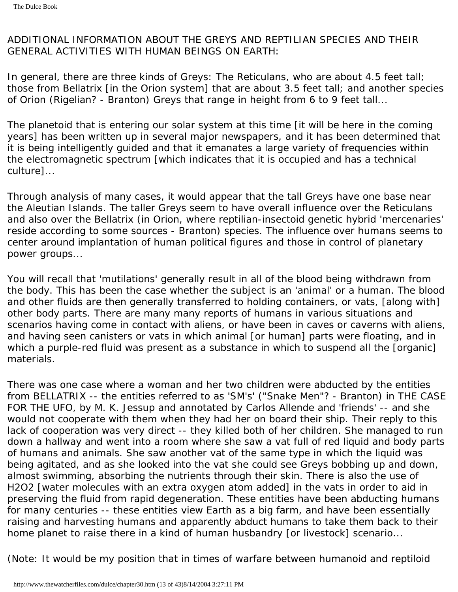ADDITIONAL INFORMATION ABOUT THE GREYS AND REPTILIAN SPECIES AND THEIR GENERAL ACTIVITIES WITH HUMAN BEINGS ON EARTH:

In general, there are three kinds of Greys: The Reticulans, who are about 4.5 feet tall; those from Bellatrix [in the Orion system] that are about 3.5 feet tall; and another species of Orion (Rigelian? - Branton) Greys that range in height from 6 to 9 feet tall...

The planetoid that is entering our solar system at this time [it will be here in the coming years] has been written up in several major newspapers, and it has been determined that it is being intelligently guided and that it emanates a large variety of frequencies within the electromagnetic spectrum [which indicates that it is occupied and has a technical culture]...

Through analysis of many cases, it would appear that the tall Greys have one base near the Aleutian Islands. The taller Greys seem to have overall influence over the Reticulans and also over the Bellatrix (in Orion, where reptilian-insectoid genetic hybrid 'mercenaries' reside according to some sources - Branton) species. The influence over humans seems to center around implantation of human political figures and those in control of planetary power groups...

You will recall that 'mutilations' generally result in all of the blood being withdrawn from the body. This has been the case whether the subject is an 'animal' or a human. The blood and other fluids are then generally transferred to holding containers, or vats, [along with] other body parts. There are many many reports of humans in various situations and scenarios having come in contact with aliens, or have been in caves or caverns with aliens, and having seen canisters or vats in which animal [or human] parts were floating, and in which a purple-red fluid was present as a substance in which to suspend all the [organic] materials.

There was one case where a woman and her two children were abducted by the entities from BELLATRIX -- the entities referred to as 'SM's' ("Snake Men"? - Branton) in THE CASE FOR THE UFO, by M. K. Jessup and annotated by Carlos Allende and 'friends' -- and she would not cooperate with them when they had her on board their ship. Their reply to this lack of cooperation was very direct -- they killed both of her children. She managed to run down a hallway and went into a room where she saw a vat full of red liquid and body parts of humans and animals. She saw another vat of the same type in which the liquid was being agitated, and as she looked into the vat she could see Greys bobbing up and down, almost swimming, absorbing the nutrients through their skin. There is also the use of H2O2 [water molecules with an extra oxygen atom added] in the vats in order to aid in preserving the fluid from rapid degeneration. These entities have been abducting humans for many centuries -- these entities view Earth as a big farm, and have been essentially raising and harvesting humans and apparently abduct humans to take them back to their home planet to raise there in a kind of human husbandry [or livestock] scenario...

(Note: It would be my position that in times of warfare between humanoid and reptiloid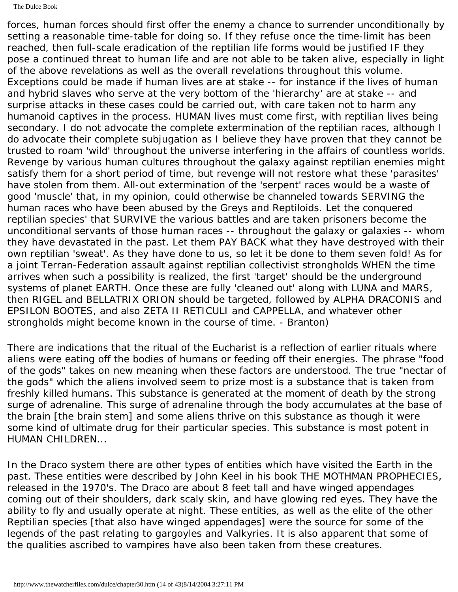forces, human forces should first offer the enemy a chance to surrender unconditionally by setting a reasonable time-table for doing so. If they refuse once the time-limit has been reached, then full-scale eradication of the reptilian life forms would be justified IF they pose a continued threat to human life and are not able to be taken alive, especially in light of the above revelations as well as the overall revelations throughout this volume. Exceptions could be made if human lives are at stake -- for instance if the lives of human and hybrid slaves who serve at the very bottom of the 'hierarchy' are at stake -- and surprise attacks in these cases could be carried out, with care taken not to harm any humanoid captives in the process. HUMAN lives must come first, with reptilian lives being secondary. I do not advocate the complete extermination of the reptilian races, although I do advocate their complete subjugation as I believe they have proven that they cannot be trusted to roam 'wild' throughout the universe interfering in the affairs of countless worlds. Revenge by various human cultures throughout the galaxy against reptilian enemies might satisfy them for a short period of time, but revenge will not restore what these 'parasites' have stolen from them. All-out extermination of the 'serpent' races would be a waste of good 'muscle' that, in my opinion, could otherwise be channeled towards SERVING the human races who have been abused by the Greys and Reptiloids. Let the conquered reptilian species' that SURVIVE the various battles and are taken prisoners become the unconditional servants of those human races -- throughout the galaxy or galaxies -- whom they have devastated in the past. Let them PAY BACK what they have destroyed with their own reptilian 'sweat'. As they have done to us, so let it be done to them seven fold! As for a joint Terran-Federation assault against reptilian collectivist strongholds WHEN the time arrives when such a possibility is realized, the first 'target' should be the underground systems of planet EARTH. Once these are fully 'cleaned out' along with LUNA and MARS, then RIGEL and BELLATRIX ORION should be targeted, followed by ALPHA DRACONIS and EPSILON BOOTES, and also ZETA II RETICULI and CAPPELLA, and whatever other strongholds might become known in the course of time. - Branton)

There are indications that the ritual of the Eucharist is a reflection of earlier rituals where aliens were eating off the bodies of humans or feeding off their energies. The phrase "food of the gods" takes on new meaning when these factors are understood. The true "nectar of the gods" which the aliens involved seem to prize most is a substance that is taken from freshly killed humans. This substance is generated at the moment of death by the strong surge of adrenaline. This surge of adrenaline through the body accumulates at the base of the brain [the brain stem] and some aliens thrive on this substance as though it were some kind of ultimate drug for their particular species. This substance is most potent in HUMAN CHILDREN...

In the Draco system there are other types of entities which have visited the Earth in the past. These entities were described by John Keel in his book THE MOTHMAN PROPHECIES, released in the 1970's. The Draco are about 8 feet tall and have winged appendages coming out of their shoulders, dark scaly skin, and have glowing red eyes. They have the ability to fly and usually operate at night. These entities, as well as the elite of the other Reptilian species [that also have winged appendages] were the source for some of the legends of the past relating to gargoyles and Valkyries. It is also apparent that some of the qualities ascribed to vampires have also been taken from these creatures.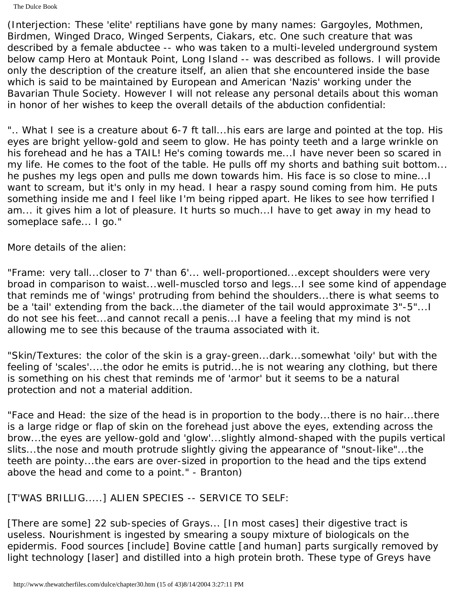The Dulce Book

(Interjection: These 'elite' reptilians have gone by many names: Gargoyles, Mothmen, Birdmen, Winged Draco, Winged Serpents, Ciakars, etc. One such creature that was described by a female abductee -- who was taken to a multi-leveled underground system below camp Hero at Montauk Point, Long Island -- was described as follows. I will provide only the description of the creature itself, an alien that she encountered inside the base which is said to be maintained by European and American 'Nazis' working under the Bavarian Thule Society. However I will not release any personal details about this woman in honor of her wishes to keep the overall details of the abduction confidential:

".. What I see is a creature about 6-7 ft tall...his ears are large and pointed at the top. His eyes are bright yellow-gold and seem to glow. He has pointy teeth and a large wrinkle on his forehead and he has a TAIL! He's coming towards me...I have never been so scared in my life. He comes to the foot of the table. He pulls off my shorts and bathing suit bottom... he pushes my legs open and pulls me down towards him. His face is so close to mine...I want to scream, but it's only in my head. I hear a raspy sound coming from him. He puts something inside me and I feel like I'm being ripped apart. He likes to see how terrified I am... it gives him a lot of pleasure. It hurts so much...I have to get away in my head to someplace safe... I go."

More details of the alien:

"Frame: very tall...closer to 7' than 6'... well-proportioned...except shoulders were very broad in comparison to waist...well-muscled torso and legs...I see some kind of appendage that reminds me of 'wings' protruding from behind the shoulders...there is what seems to be a 'tail' extending from the back...the diameter of the tail would approximate 3"-5"...I do not see his feet...and cannot recall a penis...I have a feeling that my mind is not allowing me to see this because of the trauma associated with it.

"Skin/Textures: the color of the skin is a gray-green...dark...somewhat 'oily' but with the feeling of 'scales'....the odor he emits is putrid...he is not wearing any clothing, but there is something on his chest that reminds me of 'armor' but it seems to be a natural protection and not a material addition.

"Face and Head: the size of the head is in proportion to the body...there is no hair...there is a large ridge or flap of skin on the forehead just above the eyes, extending across the brow...the eyes are yellow-gold and 'glow'...slightly almond-shaped with the pupils vertical slits...the nose and mouth protrude slightly giving the appearance of "snout-like"...the teeth are pointy...the ears are over-sized in proportion to the head and the tips extend above the head and come to a point." - Branton)

[T'WAS BRILLIG.....] ALIEN SPECIES -- SERVICE TO SELF:

[There are some] 22 sub-species of Grays... [In most cases] their digestive tract is useless. Nourishment is ingested by smearing a soupy mixture of biologicals on the epidermis. Food sources [include] Bovine cattle [and human] parts surgically removed by light technology [laser] and distilled into a high protein broth. These type of Greys have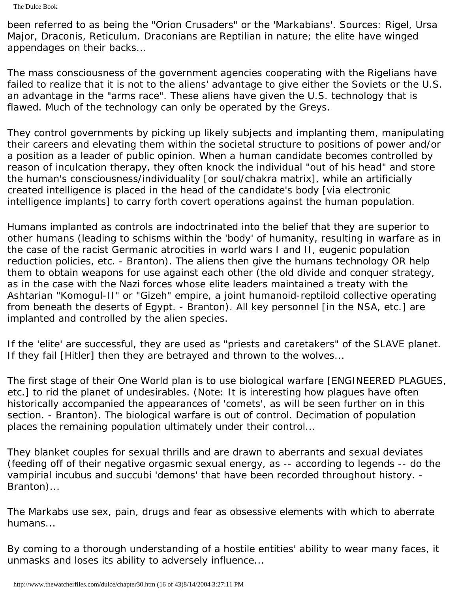been referred to as being the "Orion Crusaders" or the 'Markabians'. Sources: Rigel, Ursa Major, Draconis, Reticulum. Draconians are Reptilian in nature; the elite have winged appendages on their backs...

The mass consciousness of the government agencies cooperating with the Rigelians have failed to realize that it is not to the aliens' advantage to give either the Soviets or the U.S. an advantage in the "arms race". These aliens have given the U.S. technology that is flawed. Much of the technology can only be operated by the Greys.

They control governments by picking up likely subjects and implanting them, manipulating their careers and elevating them within the societal structure to positions of power and/or a position as a leader of public opinion. When a human candidate becomes controlled by reason of inculcation therapy, they often knock the individual "out of his head" and store the human's consciousness/individuality [or soul/chakra matrix], while an artificially created intelligence is placed in the head of the candidate's body [via electronic intelligence implants] to carry forth covert operations against the human population.

Humans implanted as controls are indoctrinated into the belief that they are superior to other humans (leading to schisms within the 'body' of humanity, resulting in warfare as in the case of the racist Germanic atrocities in world wars I and II, eugenic population reduction policies, etc. - Branton). The aliens then give the humans technology OR help them to obtain weapons for use against each other (the old divide and conquer strategy, as in the case with the Nazi forces whose elite leaders maintained a treaty with the Ashtarian "Komogul-II" or "Gizeh" empire, a joint humanoid-reptiloid collective operating from beneath the deserts of Egypt. - Branton). All key personnel [in the NSA, etc.] are implanted and controlled by the alien species.

If the 'elite' are successful, they are used as "priests and caretakers" of the SLAVE planet. If they fail [Hitler] then they are betrayed and thrown to the wolves...

The first stage of their One World plan is to use biological warfare [ENGINEERED PLAGUES, etc.] to rid the planet of undesirables. (Note: It is interesting how plagues have often historically accompanied the appearances of 'comets', as will be seen further on in this section. - Branton). The biological warfare is out of control. Decimation of population places the remaining population ultimately under their control...

They blanket couples for sexual thrills and are drawn to aberrants and sexual deviates (feeding off of their negative orgasmic sexual energy, as -- according to legends -- do the vampirial incubus and succubi 'demons' that have been recorded throughout history. - Branton)...

The Markabs use sex, pain, drugs and fear as obsessive elements with which to aberrate humans...

By coming to a thorough understanding of a hostile entities' ability to wear many faces, it unmasks and loses its ability to adversely influence...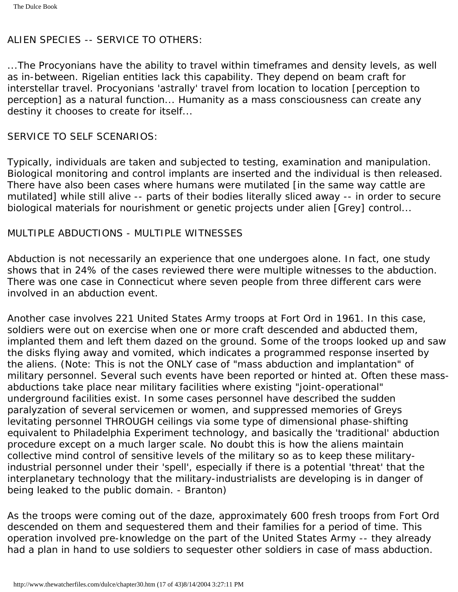#### ALIEN SPECIES -- SERVICE TO OTHERS:

...The Procyonians have the ability to travel within timeframes and density levels, as well as in-between. Rigelian entities lack this capability. They depend on beam craft for interstellar travel. Procyonians 'astrally' travel from location to location [perception to perception] as a natural function... Humanity as a mass consciousness can create any destiny it chooses to create for itself...

#### SERVICE TO SELF SCENARIOS:

Typically, individuals are taken and subjected to testing, examination and manipulation. Biological monitoring and control implants are inserted and the individual is then released. There have also been cases where humans were mutilated [in the same way cattle are mutilated] while still alive -- parts of their bodies literally sliced away -- in order to secure biological materials for nourishment or genetic projects under alien [Grey] control...

#### MULTIPLE ABDUCTIONS - MULTIPLE WITNESSES

Abduction is not necessarily an experience that one undergoes alone. In fact, one study shows that in 24% of the cases reviewed there were multiple witnesses to the abduction. There was one case in Connecticut where seven people from three different cars were involved in an abduction event.

Another case involves 221 United States Army troops at Fort Ord in 1961. In this case, soldiers were out on exercise when one or more craft descended and abducted them, implanted them and left them dazed on the ground. Some of the troops looked up and saw the disks flying away and vomited, which indicates a programmed response inserted by the aliens. (Note: This is not the ONLY case of "mass abduction and implantation" of military personnel. Several such events have been reported or hinted at. Often these massabductions take place near military facilities where existing "joint-operational" underground facilities exist. In some cases personnel have described the sudden paralyzation of several servicemen or women, and suppressed memories of Greys levitating personnel THROUGH ceilings via some type of dimensional phase-shifting equivalent to Philadelphia Experiment technology, and basically the 'traditional' abduction procedure except on a much larger scale. No doubt this is how the aliens maintain collective mind control of sensitive levels of the military so as to keep these militaryindustrial personnel under their 'spell', especially if there is a potential 'threat' that the interplanetary technology that the military-industrialists are developing is in danger of being leaked to the public domain. - Branton)

As the troops were coming out of the daze, approximately 600 fresh troops from Fort Ord descended on them and sequestered them and their families for a period of time. This operation involved pre-knowledge on the part of the United States Army -- they already had a plan in hand to use soldiers to sequester other soldiers in case of mass abduction.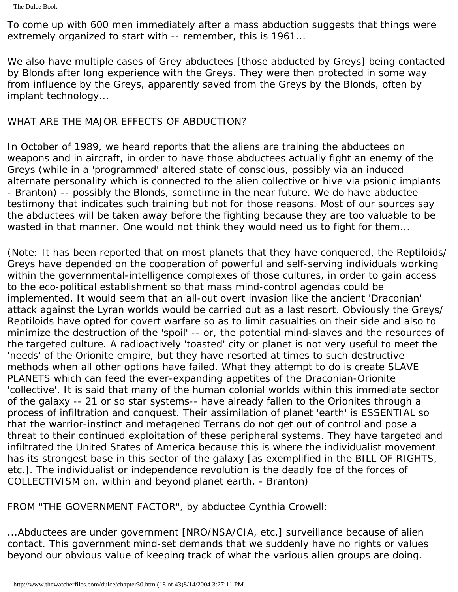The Dulce Book

To come up with 600 men immediately after a mass abduction suggests that things were extremely organized to start with -- remember, this is 1961...

We also have multiple cases of Grey abductees [those abducted by Greys] being contacted by Blonds after long experience with the Greys. They were then protected in some way from influence by the Greys, apparently saved from the Greys by the Blonds, often by implant technology...

## WHAT ARE THE MAJOR EFFECTS OF ABDUCTION?

In October of 1989, we heard reports that the aliens are training the abductees on weapons and in aircraft, in order to have those abductees actually fight an enemy of the Greys (while in a 'programmed' altered state of conscious, possibly via an induced alternate personality which is connected to the alien collective or hive via psionic implants - Branton) -- possibly the Blonds, sometime in the near future. We do have abductee testimony that indicates such training but not for those reasons. Most of our sources say the abductees will be taken away before the fighting because they are too valuable to be wasted in that manner. One would not think they would need us to fight for them...

(Note: It has been reported that on most planets that they have conquered, the Reptiloids/ Greys have depended on the cooperation of powerful and self-serving individuals working within the governmental-intelligence complexes of those cultures, in order to gain access to the eco-political establishment so that mass mind-control agendas could be implemented. It would seem that an all-out overt invasion like the ancient 'Draconian' attack against the Lyran worlds would be carried out as a last resort. Obviously the Greys/ Reptiloids have opted for covert warfare so as to limit casualties on their side and also to minimize the destruction of the 'spoil' -- or, the potential mind-slaves and the resources of the targeted culture. A radioactively 'toasted' city or planet is not very useful to meet the 'needs' of the Orionite empire, but they have resorted at times to such destructive methods when all other options have failed. What they attempt to do is create SLAVE PLANETS which can feed the ever-expanding appetites of the Draconian-Orionite 'collective'. It is said that many of the human colonial worlds within this immediate sector of the galaxy -- 21 or so star systems-- have already fallen to the Orionites through a process of infiltration and conquest. Their assimilation of planet 'earth' is ESSENTIAL so that the warrior-instinct and metagened Terrans do not get out of control and pose a threat to their continued exploitation of these peripheral systems. They have targeted and infiltrated the United States of America because this is where the individualist movement has its strongest base in this sector of the galaxy [as exemplified in the BILL OF RIGHTS, etc.]. The individualist or independence revolution is the deadly foe of the forces of COLLECTIVISM on, within and beyond planet earth. - Branton)

FROM "THE GOVERNMENT FACTOR", by abductee Cynthia Crowell:

...Abductees are under government [NRO/NSA/CIA, etc.] surveillance because of alien contact. This government mind-set demands that we suddenly have no rights or values beyond our obvious value of keeping track of what the various alien groups are doing.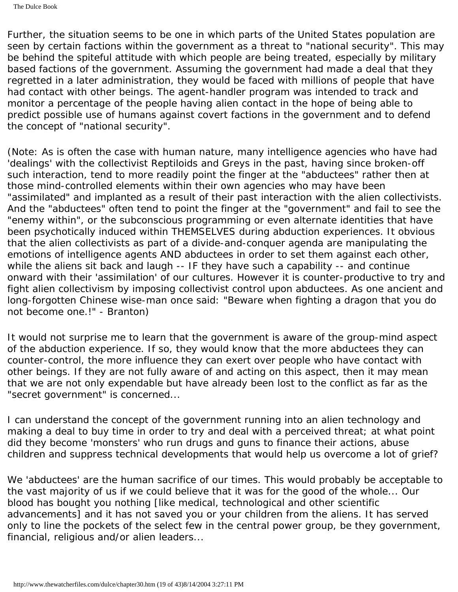Further, the situation seems to be one in which parts of the United States population are seen by certain factions within the government as a threat to "national security". This may be behind the spiteful attitude with which people are being treated, especially by military based factions of the government. Assuming the government had made a deal that they regretted in a later administration, they would be faced with millions of people that have had contact with other beings. The agent-handler program was intended to track and monitor a percentage of the people having alien contact in the hope of being able to predict possible use of humans against covert factions in the government and to defend the concept of "national security".

(Note: As is often the case with human nature, many intelligence agencies who have had 'dealings' with the collectivist Reptiloids and Greys in the past, having since broken-off such interaction, tend to more readily point the finger at the "abductees" rather then at those mind-controlled elements within their own agencies who may have been "assimilated" and implanted as a result of their past interaction with the alien collectivists. And the "abductees" often tend to point the finger at the "government" and fail to see the "enemy within", or the subconscious programming or even alternate identities that have been psychotically induced within THEMSELVES during abduction experiences. It obvious that the alien collectivists as part of a divide-and-conquer agenda are manipulating the emotions of intelligence agents AND abductees in order to set them against each other, while the aliens sit back and laugh -- IF they have such a capability -- and continue onward with their 'assimilation' of our cultures. However it is counter-productive to try and fight alien collectivism by imposing collectivist control upon abductees. As one ancient and long-forgotten Chinese wise-man once said: "Beware when fighting a dragon that you do not become one.!" - Branton)

It would not surprise me to learn that the government is aware of the group-mind aspect of the abduction experience. If so, they would know that the more abductees they can counter-control, the more influence they can exert over people who have contact with other beings. If they are not fully aware of and acting on this aspect, then it may mean that we are not only expendable but have already been lost to the conflict as far as the "secret government" is concerned...

I can understand the concept of the government running into an alien technology and making a deal to buy time in order to try and deal with a perceived threat; at what point did they become 'monsters' who run drugs and guns to finance their actions, abuse children and suppress technical developments that would help us overcome a lot of grief?

We 'abductees' are the human sacrifice of our times. This would probably be acceptable to the vast majority of us if we could believe that it was for the good of the whole... Our blood has bought you nothing [like medical, technological and other scientific advancements] and it has not saved you or your children from the aliens. It has served only to line the pockets of the select few in the central power group, be they government, financial, religious and/or alien leaders...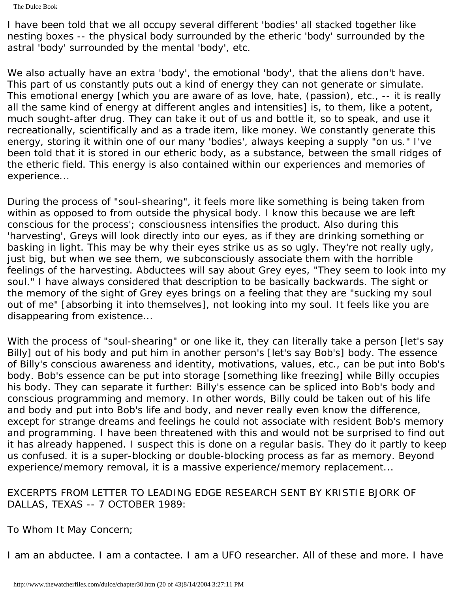The Dulce Book

I have been told that we all occupy several different 'bodies' all stacked together like nesting boxes -- the physical body surrounded by the etheric 'body' surrounded by the astral 'body' surrounded by the mental 'body', etc.

We also actually have an extra 'body', the emotional 'body', that the aliens don't have. This part of us constantly puts out a kind of energy they can not generate or simulate. This emotional energy [which you are aware of as love, hate, (passion), etc., -- it is really all the same kind of energy at different angles and intensities] is, to them, like a potent, much sought-after drug. They can take it out of us and bottle it, so to speak, and use it recreationally, scientifically and as a trade item, like money. We constantly generate this energy, storing it within one of our many 'bodies', always keeping a supply "on us." I've been told that it is stored in our etheric body, as a substance, between the small ridges of the etheric field. This energy is also contained within our experiences and memories of experience...

During the process of "soul-shearing", it feels more like something is being taken from within as opposed to from outside the physical body. I know this because we are left conscious for the process'; consciousness intensifies the product. Also during this 'harvesting', Greys will look directly into our eyes, as if they are drinking something or basking in light. This may be why their eyes strike us as so ugly. They're not really ugly, just big, but when we see them, we subconsciously associate them with the horrible feelings of the harvesting. Abductees will say about Grey eyes, "They seem to look into my soul." I have always considered that description to be basically backwards. The sight or the memory of the sight of Grey eyes brings on a feeling that they are "sucking my soul out of me" [absorbing it into themselves], not looking into my soul. It feels like you are disappearing from existence...

With the process of "soul-shearing" or one like it, they can literally take a person [let's say Billy] out of his body and put him in another person's [let's say Bob's] body. The essence of Billy's conscious awareness and identity, motivations, values, etc., can be put into Bob's body. Bob's essence can be put into storage [something like freezing] while Billy occupies his body. They can separate it further: Billy's essence can be spliced into Bob's body and conscious programming and memory. In other words, Billy could be taken out of his life and body and put into Bob's life and body, and never really even know the difference, except for strange dreams and feelings he could not associate with resident Bob's memory and programming. I have been threatened with this and would not be surprised to find out it has already happened. I suspect this is done on a regular basis. They do it partly to keep us confused. it is a super-blocking or double-blocking process as far as memory. Beyond experience/memory removal, it is a massive experience/memory replacement...

## EXCERPTS FROM LETTER TO LEADING EDGE RESEARCH SENT BY KRISTIE BJORK OF DALLAS, TEXAS -- 7 OCTOBER 1989:

## To Whom It May Concern;

I am an abductee. I am a contactee. I am a UFO researcher. All of these and more. I have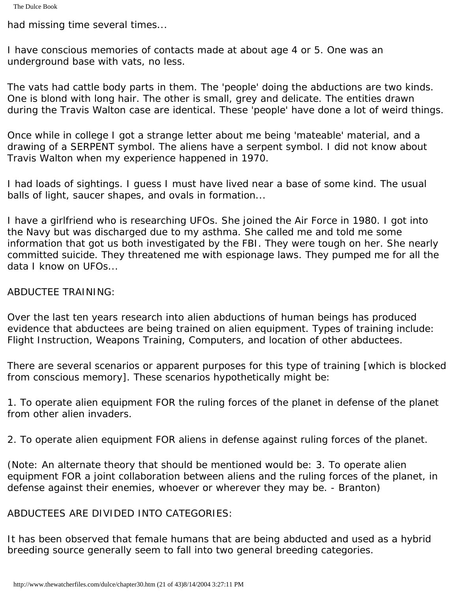had missing time several times...

I have conscious memories of contacts made at about age 4 or 5. One was an underground base with vats, no less.

The vats had cattle body parts in them. The 'people' doing the abductions are two kinds. One is blond with long hair. The other is small, grey and delicate. The entities drawn during the Travis Walton case are identical. These 'people' have done a lot of weird things.

Once while in college I got a strange letter about me being 'mateable' material, and a drawing of a SERPENT symbol. The aliens have a serpent symbol. I did not know about Travis Walton when my experience happened in 1970.

I had loads of sightings. I guess I must have lived near a base of some kind. The usual balls of light, saucer shapes, and ovals in formation...

I have a girlfriend who is researching UFOs. She joined the Air Force in 1980. I got into the Navy but was discharged due to my asthma. She called me and told me some information that got us both investigated by the FBI. They were tough on her. She nearly committed suicide. They threatened me with espionage laws. They pumped me for all the data I know on UFOs...

ABDUCTEE TRAINING:

Over the last ten years research into alien abductions of human beings has produced evidence that abductees are being trained on alien equipment. Types of training include: Flight Instruction, Weapons Training, Computers, and location of other abductees.

There are several scenarios or apparent purposes for this type of training [which is blocked from conscious memory]. These scenarios hypothetically might be:

1. To operate alien equipment FOR the ruling forces of the planet in defense of the planet from other alien invaders.

2. To operate alien equipment FOR aliens in defense against ruling forces of the planet.

(Note: An alternate theory that should be mentioned would be: 3. To operate alien equipment FOR a joint collaboration between aliens and the ruling forces of the planet, in defense against their enemies, whoever or wherever they may be. - Branton)

ABDUCTEES ARE DIVIDED INTO CATEGORIES:

It has been observed that female humans that are being abducted and used as a hybrid breeding source generally seem to fall into two general breeding categories.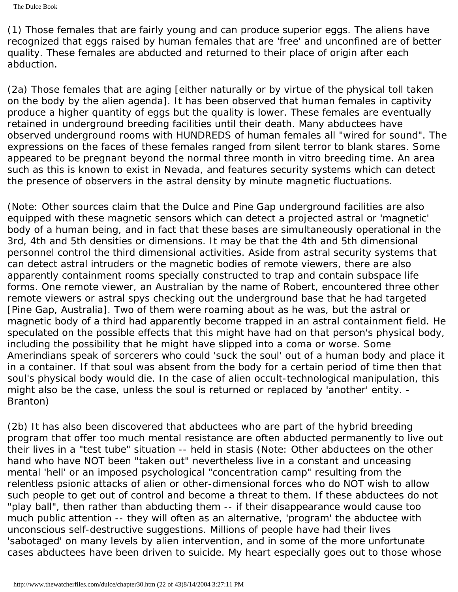(1) Those females that are fairly young and can produce superior eggs. The aliens have recognized that eggs raised by human females that are 'free' and unconfined are of better quality. These females are abducted and returned to their place of origin after each abduction.

(2a) Those females that are aging [either naturally or by virtue of the physical toll taken on the body by the alien agenda]. It has been observed that human females in captivity produce a higher quantity of eggs but the quality is lower. These females are eventually retained in underground breeding facilities until their death. Many abductees have observed underground rooms with HUNDREDS of human females all "wired for sound". The expressions on the faces of these females ranged from silent terror to blank stares. Some appeared to be pregnant beyond the normal three month in vitro breeding time. An area such as this is known to exist in Nevada, and features security systems which can detect the presence of observers in the astral density by minute magnetic fluctuations.

(Note: Other sources claim that the Dulce and Pine Gap underground facilities are also equipped with these magnetic sensors which can detect a projected astral or 'magnetic' body of a human being, and in fact that these bases are simultaneously operational in the 3rd, 4th and 5th densities or dimensions. It may be that the 4th and 5th dimensional personnel control the third dimensional activities. Aside from astral security systems that can detect astral intruders or the magnetic bodies of remote viewers, there are also apparently containment rooms specially constructed to trap and contain subspace life forms. One remote viewer, an Australian by the name of Robert, encountered three other remote viewers or astral spys checking out the underground base that he had targeted [Pine Gap, Australia]. Two of them were roaming about as he was, but the astral or magnetic body of a third had apparently become trapped in an astral containment field. He speculated on the possible effects that this might have had on that person's physical body, including the possibility that he might have slipped into a coma or worse. Some Amerindians speak of sorcerers who could 'suck the soul' out of a human body and place it in a container. If that soul was absent from the body for a certain period of time then that soul's physical body would die. In the case of alien occult-technological manipulation, this might also be the case, unless the soul is returned or replaced by 'another' entity. - Branton)

(2b) It has also been discovered that abductees who are part of the hybrid breeding program that offer too much mental resistance are often abducted permanently to live out their lives in a "test tube" situation -- held in stasis (Note: Other abductees on the other hand who have NOT been "taken out" nevertheless live in a constant and unceasing mental 'hell' or an imposed psychological "concentration camp" resulting from the relentless psionic attacks of alien or other-dimensional forces who do NOT wish to allow such people to get out of control and become a threat to them. If these abductees do not "play ball", then rather than abducting them -- if their disappearance would cause too much public attention -- they will often as an alternative, 'program' the abductee with unconscious self-destructive suggestions. Millions of people have had their lives 'sabotaged' on many levels by alien intervention, and in some of the more unfortunate cases abductees have been driven to suicide. My heart especially goes out to those whose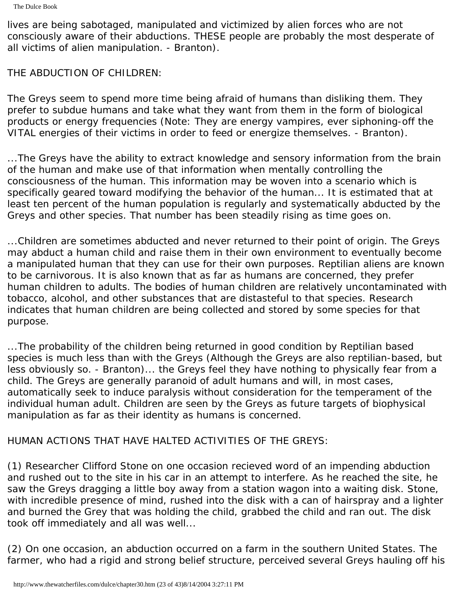lives are being sabotaged, manipulated and victimized by alien forces who are not consciously aware of their abductions. THESE people are probably the most desperate of all victims of alien manipulation. - Branton).

## THE ABDUCTION OF CHILDREN:

The Greys seem to spend more time being afraid of humans than disliking them. They prefer to subdue humans and take what they want from them in the form of biological products or energy frequencies (Note: They are energy vampires, ever siphoning-off the VITAL energies of their victims in order to feed or energize themselves. - Branton).

...The Greys have the ability to extract knowledge and sensory information from the brain of the human and make use of that information when mentally controlling the consciousness of the human. This information may be woven into a scenario which is specifically geared toward modifying the behavior of the human... It is estimated that at least ten percent of the human population is regularly and systematically abducted by the Greys and other species. That number has been steadily rising as time goes on.

...Children are sometimes abducted and never returned to their point of origin. The Greys may abduct a human child and raise them in their own environment to eventually become a manipulated human that they can use for their own purposes. Reptilian aliens are known to be carnivorous. It is also known that as far as humans are concerned, they prefer human children to adults. The bodies of human children are relatively uncontaminated with tobacco, alcohol, and other substances that are distasteful to that species. Research indicates that human children are being collected and stored by some species for that purpose.

...The probability of the children being returned in good condition by Reptilian based species is much less than with the Greys (Although the Greys are also reptilian-based, but less obviously so. - Branton)... the Greys feel they have nothing to physically fear from a child. The Greys are generally paranoid of adult humans and will, in most cases, automatically seek to induce paralysis without consideration for the temperament of the individual human adult. Children are seen by the Greys as future targets of biophysical manipulation as far as their identity as humans is concerned.

## HUMAN ACTIONS THAT HAVE HALTED ACTIVITIES OF THE GREYS:

(1) Researcher Clifford Stone on one occasion recieved word of an impending abduction and rushed out to the site in his car in an attempt to interfere. As he reached the site, he saw the Greys dragging a little boy away from a station wagon into a waiting disk. Stone, with incredible presence of mind, rushed into the disk with a can of hairspray and a lighter and burned the Grey that was holding the child, grabbed the child and ran out. The disk took off immediately and all was well...

(2) On one occasion, an abduction occurred on a farm in the southern United States. The farmer, who had a rigid and strong belief structure, perceived several Greys hauling off his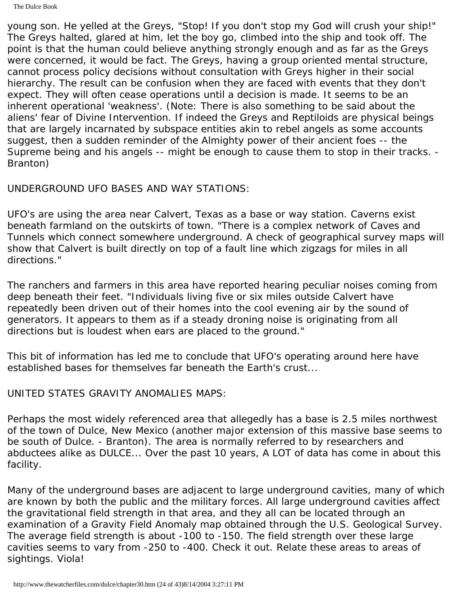young son. He yelled at the Greys, "Stop! If you don't stop my God will crush your ship!" The Greys halted, glared at him, let the boy go, climbed into the ship and took off. The point is that the human could believe anything strongly enough and as far as the Greys were concerned, it would be fact. The Greys, having a group oriented mental structure, cannot process policy decisions without consultation with Greys higher in their social hierarchy. The result can be confusion when they are faced with events that they don't expect. They will often cease operations until a decision is made. It seems to be an inherent operational 'weakness'. (Note: There is also something to be said about the aliens' fear of Divine Intervention. If indeed the Greys and Reptiloids are physical beings that are largely incarnated by subspace entities akin to rebel angels as some accounts suggest, then a sudden reminder of the Almighty power of their ancient foes -- the Supreme being and his angels -- might be enough to cause them to stop in their tracks. - Branton)

#### UNDERGROUND UFO BASES AND WAY STATIONS:

UFO's are using the area near Calvert, Texas as a base or way station. Caverns exist beneath farmland on the outskirts of town. "There is a complex network of Caves and Tunnels which connect somewhere underground. A check of geographical survey maps will show that Calvert is built directly on top of a fault line which zigzags for miles in all directions."

The ranchers and farmers in this area have reported hearing peculiar noises coming from deep beneath their feet. "Individuals living five or six miles outside Calvert have repeatedly been driven out of their homes into the cool evening air by the sound of generators. It appears to them as if a steady droning noise is originating from all directions but is loudest when ears are placed to the ground."

This bit of information has led me to conclude that UFO's operating around here have established bases for themselves far beneath the Earth's crust...

## UNITED STATES GRAVITY ANOMALIES MAPS:

Perhaps the most widely referenced area that allegedly has a base is 2.5 miles northwest of the town of Dulce, New Mexico (another major extension of this massive base seems to be south of Dulce. - Branton). The area is normally referred to by researchers and abductees alike as DULCE... Over the past 10 years, A LOT of data has come in about this facility.

Many of the underground bases are adjacent to large underground cavities, many of which are known by both the public and the military forces. All large underground cavities affect the gravitational field strength in that area, and they all can be located through an examination of a Gravity Field Anomaly map obtained through the U.S. Geological Survey. The average field strength is about -100 to -150. The field strength over these large cavities seems to vary from -250 to -400. Check it out. Relate these areas to areas of sightings. Viola!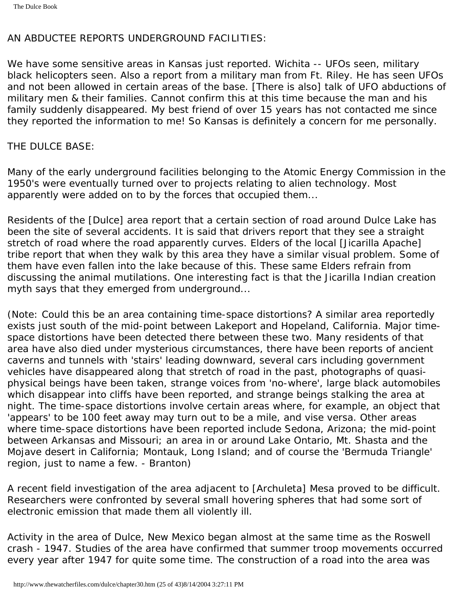#### AN ABDUCTEE REPORTS UNDERGROUND FACILITIES:

We have some sensitive areas in Kansas just reported. Wichita -- UFOs seen, military black helicopters seen. Also a report from a military man from Ft. Riley. He has seen UFOs and not been allowed in certain areas of the base. [There is also] talk of UFO abductions of military men & their families. Cannot confirm this at this time because the man and his family suddenly disappeared. My best friend of over 15 years has not contacted me since they reported the information to me! So Kansas is definitely a concern for me personally.

THE DULCE BASE:

Many of the early underground facilities belonging to the Atomic Energy Commission in the 1950's were eventually turned over to projects relating to alien technology. Most apparently were added on to by the forces that occupied them...

Residents of the [Dulce] area report that a certain section of road around Dulce Lake has been the site of several accidents. It is said that drivers report that they see a straight stretch of road where the road apparently curves. Elders of the local [Jicarilla Apache] tribe report that when they walk by this area they have a similar visual problem. Some of them have even fallen into the lake because of this. These same Elders refrain from discussing the animal mutilations. One interesting fact is that the Jicarilla Indian creation myth says that they emerged from underground...

(Note: Could this be an area containing time-space distortions? A similar area reportedly exists just south of the mid-point between Lakeport and Hopeland, California. Major timespace distortions have been detected there between these two. Many residents of that area have also died under mysterious circumstances, there have been reports of ancient caverns and tunnels with 'stairs' leading downward, several cars including government vehicles have disappeared along that stretch of road in the past, photographs of quasiphysical beings have been taken, strange voices from 'no-where', large black automobiles which disappear into cliffs have been reported, and strange beings stalking the area at night. The time-space distortions involve certain areas where, for example, an object that 'appears' to be 100 feet away may turn out to be a mile, and vise versa. Other areas where time-space distortions have been reported include Sedona, Arizona; the mid-point between Arkansas and Missouri; an area in or around Lake Ontario, Mt. Shasta and the Mojave desert in California; Montauk, Long Island; and of course the 'Bermuda Triangle' region, just to name a few. - Branton)

A recent field investigation of the area adjacent to [Archuleta] Mesa proved to be difficult. Researchers were confronted by several small hovering spheres that had some sort of electronic emission that made them all violently ill.

Activity in the area of Dulce, New Mexico began almost at the same time as the Roswell crash - 1947. Studies of the area have confirmed that summer troop movements occurred every year after 1947 for quite some time. The construction of a road into the area was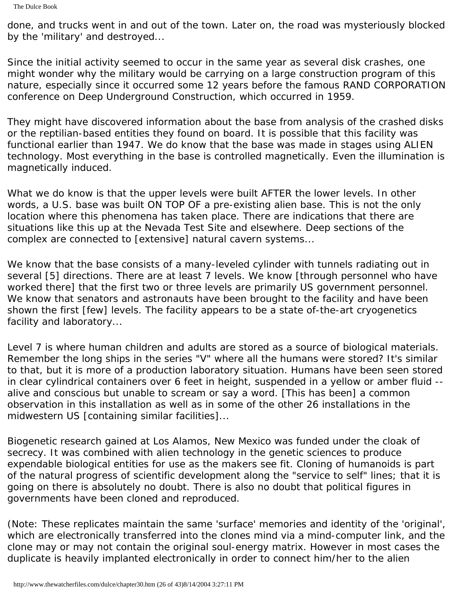done, and trucks went in and out of the town. Later on, the road was mysteriously blocked by the 'military' and destroyed...

Since the initial activity seemed to occur in the same year as several disk crashes, one might wonder why the military would be carrying on a large construction program of this nature, especially since it occurred some 12 years before the famous RAND CORPORATION conference on Deep Underground Construction, which occurred in 1959.

They might have discovered information about the base from analysis of the crashed disks or the reptilian-based entities they found on board. It is possible that this facility was functional earlier than 1947. We do know that the base was made in stages using ALIEN technology. Most everything in the base is controlled magnetically. Even the illumination is magnetically induced.

What we do know is that the upper levels were built AFTER the lower levels. In other words, a U.S. base was built ON TOP OF a pre-existing alien base. This is not the only location where this phenomena has taken place. There are indications that there are situations like this up at the Nevada Test Site and elsewhere. Deep sections of the complex are connected to [extensive] natural cavern systems...

We know that the base consists of a many-leveled cylinder with tunnels radiating out in several [5] directions. There are at least 7 levels. We know [through personnel who have worked there] that the first two or three levels are primarily US government personnel. We know that senators and astronauts have been brought to the facility and have been shown the first [few] levels. The facility appears to be a state of-the-art cryogenetics facility and laboratory...

Level 7 is where human children and adults are stored as a source of biological materials. Remember the long ships in the series "V" where all the humans were stored? It's similar to that, but it is more of a production laboratory situation. Humans have been seen stored in clear cylindrical containers over 6 feet in height, suspended in a yellow or amber fluid - alive and conscious but unable to scream or say a word. [This has been] a common observation in this installation as well as in some of the other 26 installations in the midwestern US [containing similar facilities]...

Biogenetic research gained at Los Alamos, New Mexico was funded under the cloak of secrecy. It was combined with alien technology in the genetic sciences to produce expendable biological entities for use as the makers see fit. Cloning of humanoids is part of the natural progress of scientific development along the "service to self" lines; that it is going on there is absolutely no doubt. There is also no doubt that political figures in governments have been cloned and reproduced.

(Note: These replicates maintain the same 'surface' memories and identity of the 'original', which are electronically transferred into the clones mind via a mind-computer link, and the clone may or may not contain the original soul-energy matrix. However in most cases the duplicate is heavily implanted electronically in order to connect him/her to the alien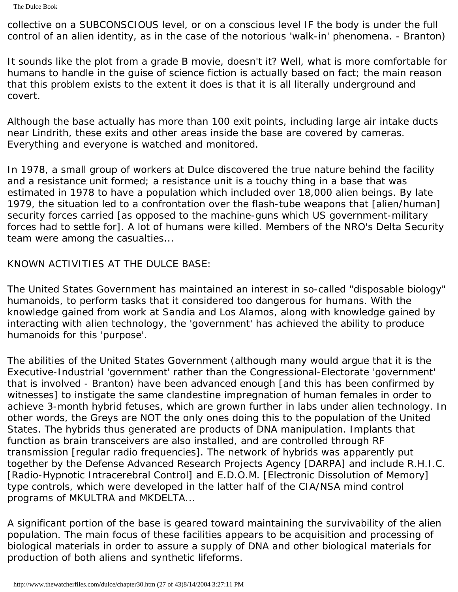collective on a SUBCONSCIOUS level, or on a conscious level IF the body is under the full control of an alien identity, as in the case of the notorious 'walk-in' phenomena. - Branton)

It sounds like the plot from a grade B movie, doesn't it? Well, what is more comfortable for humans to handle in the guise of science fiction is actually based on fact; the main reason that this problem exists to the extent it does is that it is all literally underground and covert.

Although the base actually has more than 100 exit points, including large air intake ducts near Lindrith, these exits and other areas inside the base are covered by cameras. Everything and everyone is watched and monitored.

In 1978, a small group of workers at Dulce discovered the true nature behind the facility and a resistance unit formed; a resistance unit is a touchy thing in a base that was estimated in 1978 to have a population which included over 18,000 alien beings. By late 1979, the situation led to a confrontation over the flash-tube weapons that [alien/human] security forces carried [as opposed to the machine-guns which US government-military forces had to settle for]. A lot of humans were killed. Members of the NRO's Delta Security team were among the casualties...

## KNOWN ACTIVITIES AT THE DULCE BASE:

The United States Government has maintained an interest in so-called "disposable biology" humanoids, to perform tasks that it considered too dangerous for humans. With the knowledge gained from work at Sandia and Los Alamos, along with knowledge gained by interacting with alien technology, the 'government' has achieved the ability to produce humanoids for this 'purpose'.

The abilities of the United States Government (although many would argue that it is the Executive-Industrial 'government' rather than the Congressional-Electorate 'government' that is involved - Branton) have been advanced enough [and this has been confirmed by witnesses] to instigate the same clandestine impregnation of human females in order to achieve 3-month hybrid fetuses, which are grown further in labs under alien technology. In other words, the Greys are NOT the only ones doing this to the population of the United States. The hybrids thus generated are products of DNA manipulation. Implants that function as brain transceivers are also installed, and are controlled through RF transmission [regular radio frequencies]. The network of hybrids was apparently put together by the Defense Advanced Research Projects Agency [DARPA] and include R.H.I.C. [Radio-Hypnotic Intracerebral Control] and E.D.O.M. [Electronic Dissolution of Memory] type controls, which were developed in the latter half of the CIA/NSA mind control programs of MKULTRA and MKDELTA...

A significant portion of the base is geared toward maintaining the survivability of the alien population. The main focus of these facilities appears to be acquisition and processing of biological materials in order to assure a supply of DNA and other biological materials for production of both aliens and synthetic lifeforms.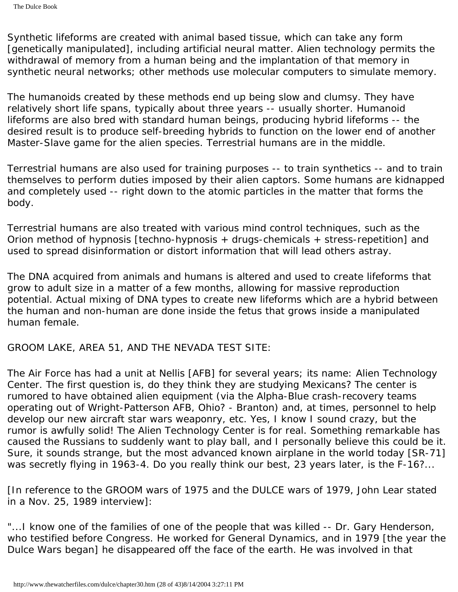Synthetic lifeforms are created with animal based tissue, which can take any form [genetically manipulated], including artificial neural matter. Alien technology permits the withdrawal of memory from a human being and the implantation of that memory in synthetic neural networks; other methods use molecular computers to simulate memory.

The humanoids created by these methods end up being slow and clumsy. They have relatively short life spans, typically about three years -- usually shorter. Humanoid lifeforms are also bred with standard human beings, producing hybrid lifeforms -- the desired result is to produce self-breeding hybrids to function on the lower end of another Master-Slave game for the alien species. Terrestrial humans are in the middle.

Terrestrial humans are also used for training purposes -- to train synthetics -- and to train themselves to perform duties imposed by their alien captors. Some humans are kidnapped and completely used -- right down to the atomic particles in the matter that forms the body.

Terrestrial humans are also treated with various mind control techniques, such as the Orion method of hypnosis [techno-hypnosis + drugs-chemicals + stress-repetition] and used to spread disinformation or distort information that will lead others astray.

The DNA acquired from animals and humans is altered and used to create lifeforms that grow to adult size in a matter of a few months, allowing for massive reproduction potential. Actual mixing of DNA types to create new lifeforms which are a hybrid between the human and non-human are done inside the fetus that grows inside a manipulated human female.

GROOM LAKE, AREA 51, AND THE NEVADA TEST SITE:

The Air Force has had a unit at Nellis [AFB] for several years; its name: Alien Technology Center. The first question is, do they think they are studying Mexicans? The center is rumored to have obtained alien equipment (via the Alpha-Blue crash-recovery teams operating out of Wright-Patterson AFB, Ohio? - Branton) and, at times, personnel to help develop our new aircraft star wars weaponry, etc. Yes, I know I sound crazy, but the rumor is awfully solid! The Alien Technology Center is for real. Something remarkable has caused the Russians to suddenly want to play ball, and I personally believe this could be it. Sure, it sounds strange, but the most advanced known airplane in the world today [SR-71] was secretly flying in 1963-4. Do you really think our best, 23 years later, is the F-16?...

[In reference to the GROOM wars of 1975 and the DULCE wars of 1979, John Lear stated in a Nov. 25, 1989 interview]:

"...I know one of the families of one of the people that was killed -- Dr. Gary Henderson, who testified before Congress. He worked for General Dynamics, and in 1979 [the year the Dulce Wars began] he disappeared off the face of the earth. He was involved in that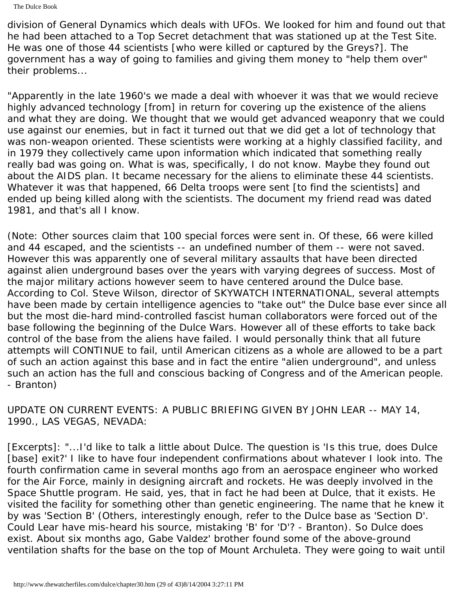The Dulce Book

division of General Dynamics which deals with UFOs. We looked for him and found out that he had been attached to a Top Secret detachment that was stationed up at the Test Site. He was one of those 44 scientists [who were killed or captured by the Greys?]. The government has a way of going to families and giving them money to "help them over" their problems...

"Apparently in the late 1960's we made a deal with whoever it was that we would recieve highly advanced technology [from] in return for covering up the existence of the aliens and what they are doing. We thought that we would get advanced weaponry that we could use against our enemies, but in fact it turned out that we did get a lot of technology that was non-weapon oriented. These scientists were working at a highly classified facility, and in 1979 they collectively came upon information which indicated that something really really bad was going on. What is was, specifically, I do not know. Maybe they found out about the AIDS plan. It became necessary for the aliens to eliminate these 44 scientists. Whatever it was that happened, 66 Delta troops were sent [to find the scientists] and ended up being killed along with the scientists. The document my friend read was dated 1981, and that's all I know.

(Note: Other sources claim that 100 special forces were sent in. Of these, 66 were killed and 44 escaped, and the scientists -- an undefined number of them -- were not saved. However this was apparently one of several military assaults that have been directed against alien underground bases over the years with varying degrees of success. Most of the major military actions however seem to have centered around the Dulce base. According to Col. Steve Wilson, director of SKYWATCH INTERNATIONAL, several attempts have been made by certain intelligence agencies to "take out" the Dulce base ever since all but the most die-hard mind-controlled fascist human collaborators were forced out of the base following the beginning of the Dulce Wars. However all of these efforts to take back control of the base from the aliens have failed. I would personally think that all future attempts will CONTINUE to fail, until American citizens as a whole are allowed to be a part of such an action against this base and in fact the entire "alien underground", and unless such an action has the full and conscious backing of Congress and of the American people. - Branton)

UPDATE ON CURRENT EVENTS: A PUBLIC BRIEFING GIVEN BY JOHN LEAR -- MAY 14, 1990., LAS VEGAS, NEVADA:

[Excerpts]: "...I'd like to talk a little about Dulce. The question is 'Is this true, does Dulce [base] exit?' I like to have four independent confirmations about whatever I look into. The fourth confirmation came in several months ago from an aerospace engineer who worked for the Air Force, mainly in designing aircraft and rockets. He was deeply involved in the Space Shuttle program. He said, yes, that in fact he had been at Dulce, that it exists. He visited the facility for something other than genetic engineering. The name that he knew it by was 'Section B' (Others, interestingly enough, refer to the Dulce base as 'Section D'. Could Lear have mis-heard his source, mistaking 'B' for 'D'? - Branton). So Dulce does exist. About six months ago, Gabe Valdez' brother found some of the above-ground ventilation shafts for the base on the top of Mount Archuleta. They were going to wait until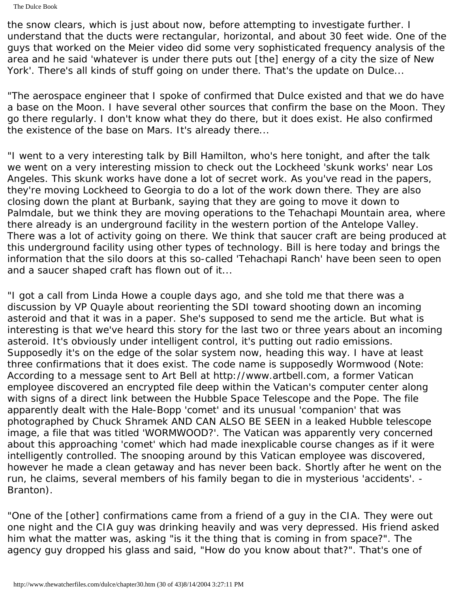The Dulce Book

the snow clears, which is just about now, before attempting to investigate further. I understand that the ducts were rectangular, horizontal, and about 30 feet wide. One of the guys that worked on the Meier video did some very sophisticated frequency analysis of the area and he said 'whatever is under there puts out [the] energy of a city the size of New York'. There's all kinds of stuff going on under there. That's the update on Dulce...

"The aerospace engineer that I spoke of confirmed that Dulce existed and that we do have a base on the Moon. I have several other sources that confirm the base on the Moon. They go there regularly. I don't know what they do there, but it does exist. He also confirmed the existence of the base on Mars. It's already there...

"I went to a very interesting talk by Bill Hamilton, who's here tonight, and after the talk we went on a very interesting mission to check out the Lockheed 'skunk works' near Los Angeles. This skunk works have done a lot of secret work. As you've read in the papers, they're moving Lockheed to Georgia to do a lot of the work down there. They are also closing down the plant at Burbank, saying that they are going to move it down to Palmdale, but we think they are moving operations to the Tehachapi Mountain area, where there already is an underground facility in the western portion of the Antelope Valley. There was a lot of activity going on there. We think that saucer craft are being produced at this underground facility using other types of technology. Bill is here today and brings the information that the silo doors at this so-called 'Tehachapi Ranch' have been seen to open and a saucer shaped craft has flown out of it...

"I got a call from Linda Howe a couple days ago, and she told me that there was a discussion by VP Quayle about reorienting the SDI toward shooting down an incoming asteroid and that it was in a paper. She's supposed to send me the article. But what is interesting is that we've heard this story for the last two or three years about an incoming asteroid. It's obviously under intelligent control, it's putting out radio emissions. Supposedly it's on the edge of the solar system now, heading this way. I have at least three confirmations that it does exist. The code name is supposedly Wormwood (Note: According to a message sent to Art Bell at http://www.artbell.com, a former Vatican employee discovered an encrypted file deep within the Vatican's computer center along with signs of a direct link between the Hubble Space Telescope and the Pope. The file apparently dealt with the Hale-Bopp 'comet' and its unusual 'companion' that was photographed by Chuck Shramek AND CAN ALSO BE SEEN in a leaked Hubble telescope image, a file that was titled 'WORMWOOD?'. The Vatican was apparently very concerned about this approaching 'comet' which had made inexplicable course changes as if it were intelligently controlled. The snooping around by this Vatican employee was discovered, however he made a clean getaway and has never been back. Shortly after he went on the run, he claims, several members of his family began to die in mysterious 'accidents'. - Branton).

"One of the [other] confirmations came from a friend of a guy in the CIA. They were out one night and the CIA guy was drinking heavily and was very depressed. His friend asked him what the matter was, asking "is it the thing that is coming in from space?". The agency guy dropped his glass and said, "How do you know about that?". That's one of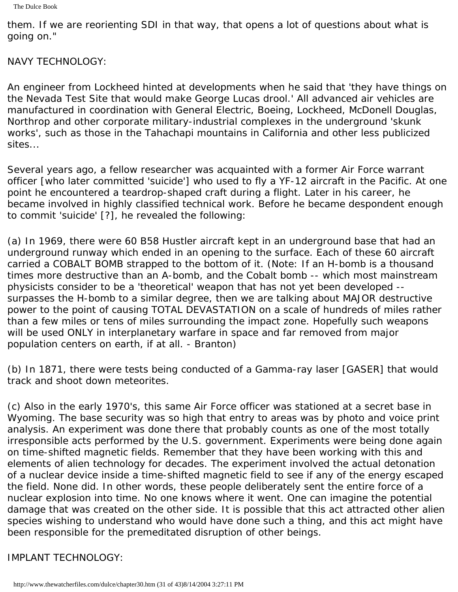them. If we are reorienting SDI in that way, that opens a lot of questions about what is going on."

#### NAVY TECHNOLOGY:

An engineer from Lockheed hinted at developments when he said that 'they have things on the Nevada Test Site that would make George Lucas drool.' All advanced air vehicles are manufactured in coordination with General Electric, Boeing, Lockheed, McDonell Douglas, Northrop and other corporate military-industrial complexes in the underground 'skunk works', such as those in the Tahachapi mountains in California and other less publicized sites...

Several years ago, a fellow researcher was acquainted with a former Air Force warrant officer [who later committed 'suicide'] who used to fly a YF-12 aircraft in the Pacific. At one point he encountered a teardrop-shaped craft during a flight. Later in his career, he became involved in highly classified technical work. Before he became despondent enough to commit 'suicide' [?], he revealed the following:

(a) In 1969, there were 60 B58 Hustler aircraft kept in an underground base that had an underground runway which ended in an opening to the surface. Each of these 60 aircraft carried a COBALT BOMB strapped to the bottom of it. (Note: If an H-bomb is a thousand times more destructive than an A-bomb, and the Cobalt bomb -- which most mainstream physicists consider to be a 'theoretical' weapon that has not yet been developed - surpasses the H-bomb to a similar degree, then we are talking about MAJOR destructive power to the point of causing TOTAL DEVASTATION on a scale of hundreds of miles rather than a few miles or tens of miles surrounding the impact zone. Hopefully such weapons will be used ONLY in interplanetary warfare in space and far removed from major population centers on earth, if at all. - Branton)

(b) In 1871, there were tests being conducted of a Gamma-ray laser [GASER] that would track and shoot down meteorites.

(c) Also in the early 1970's, this same Air Force officer was stationed at a secret base in Wyoming. The base security was so high that entry to areas was by photo and voice print analysis. An experiment was done there that probably counts as one of the most totally irresponsible acts performed by the U.S. government. Experiments were being done again on time-shifted magnetic fields. Remember that they have been working with this and elements of alien technology for decades. The experiment involved the actual detonation of a nuclear device inside a time-shifted magnetic field to see if any of the energy escaped the field. None did. In other words, these people deliberately sent the entire force of a nuclear explosion into time. No one knows where it went. One can imagine the potential damage that was created on the other side. It is possible that this act attracted other alien species wishing to understand who would have done such a thing, and this act might have been responsible for the premeditated disruption of other beings.

## IMPLANT TECHNOLOGY: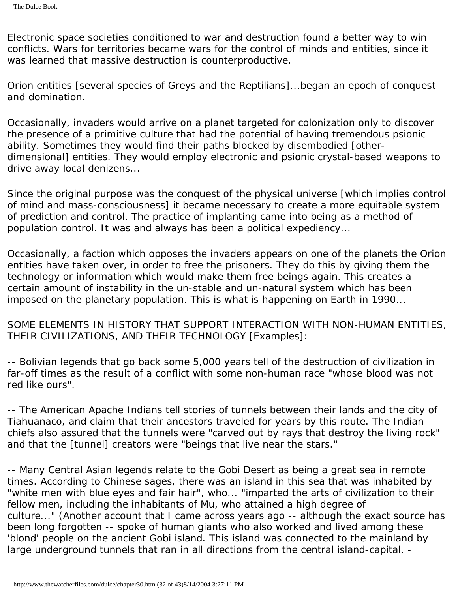Electronic space societies conditioned to war and destruction found a better way to win conflicts. Wars for territories became wars for the control of minds and entities, since it was learned that massive destruction is counterproductive.

Orion entities [several species of Greys and the Reptilians]...began an epoch of conquest and domination.

Occasionally, invaders would arrive on a planet targeted for colonization only to discover the presence of a primitive culture that had the potential of having tremendous psionic ability. Sometimes they would find their paths blocked by disembodied [otherdimensional] entities. They would employ electronic and psionic crystal-based weapons to drive away local denizens...

Since the original purpose was the conquest of the physical universe [which implies control of mind and mass-consciousness] it became necessary to create a more equitable system of prediction and control. The practice of implanting came into being as a method of population control. It was and always has been a political expediency...

Occasionally, a faction which opposes the invaders appears on one of the planets the Orion entities have taken over, in order to free the prisoners. They do this by giving them the technology or information which would make them free beings again. This creates a certain amount of instability in the un-stable and un-natural system which has been imposed on the planetary population. This is what is happening on Earth in 1990...

SOME ELEMENTS IN HISTORY THAT SUPPORT INTERACTION WITH NON-HUMAN ENTITIES, THEIR CIVILIZATIONS, AND THEIR TECHNOLOGY [Examples]:

-- Bolivian legends that go back some 5,000 years tell of the destruction of civilization in far-off times as the result of a conflict with some non-human race "whose blood was not red like ours".

-- The American Apache Indians tell stories of tunnels between their lands and the city of Tiahuanaco, and claim that their ancestors traveled for years by this route. The Indian chiefs also assured that the tunnels were "carved out by rays that destroy the living rock" and that the [tunnel] creators were "beings that live near the stars."

-- Many Central Asian legends relate to the Gobi Desert as being a great sea in remote times. According to Chinese sages, there was an island in this sea that was inhabited by "white men with blue eyes and fair hair", who... "imparted the arts of civilization to their fellow men, including the inhabitants of Mu, who attained a high degree of culture..." (Another account that I came across years ago -- although the exact source has been long forgotten -- spoke of human giants who also worked and lived among these 'blond' people on the ancient Gobi island. This island was connected to the mainland by large underground tunnels that ran in all directions from the central island-capital. -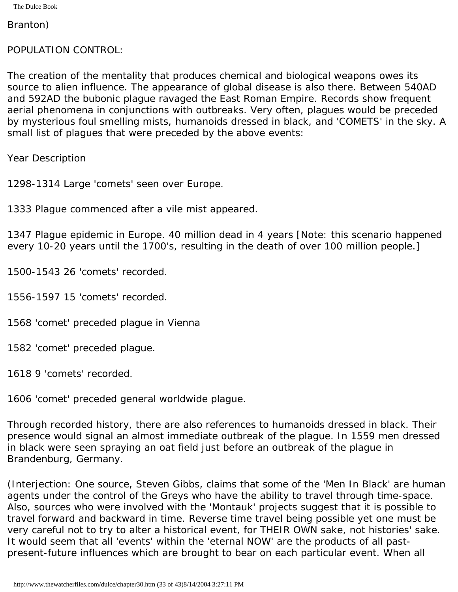The Dulce Book

Branton)

#### POPULATION CONTROL:

The creation of the mentality that produces chemical and biological weapons owes its source to alien influence. The appearance of global disease is also there. Between 540AD and 592AD the bubonic plague ravaged the East Roman Empire. Records show frequent aerial phenomena in conjunctions with outbreaks. Very often, plagues would be preceded by mysterious foul smelling mists, humanoids dressed in black, and 'COMETS' in the sky. A small list of plagues that were preceded by the above events:

Year Description

1298-1314 Large 'comets' seen over Europe.

1333 Plague commenced after a vile mist appeared.

1347 Plague epidemic in Europe. 40 million dead in 4 years [Note: this scenario happened every 10-20 years until the 1700's, resulting in the death of over 100 million people.]

1500-1543 26 'comets' recorded.

1556-1597 15 'comets' recorded.

1568 'comet' preceded plague in Vienna

1582 'comet' preceded plague.

1618 9 'comets' recorded.

1606 'comet' preceded general worldwide plague.

Through recorded history, there are also references to humanoids dressed in black. Their presence would signal an almost immediate outbreak of the plague. In 1559 men dressed in black were seen spraying an oat field just before an outbreak of the plague in Brandenburg, Germany.

(Interjection: One source, Steven Gibbs, claims that some of the 'Men In Black' are human agents under the control of the Greys who have the ability to travel through time-space. Also, sources who were involved with the 'Montauk' projects suggest that it is possible to travel forward and backward in time. Reverse time travel being possible yet one must be very careful not to try to alter a historical event, for THEIR OWN sake, not histories' sake. It would seem that all 'events' within the 'eternal NOW' are the products of all pastpresent-future influences which are brought to bear on each particular event. When all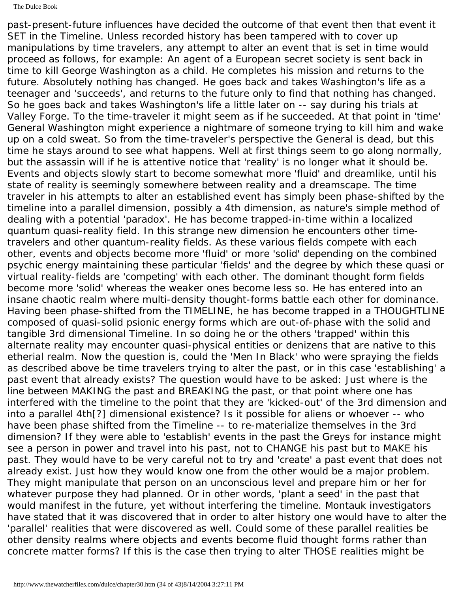The Dulce Book

past-present-future influences have decided the outcome of that event then that event it SET in the Timeline. Unless recorded history has been tampered with to cover up manipulations by time travelers, any attempt to alter an event that is set in time would proceed as follows, for example: An agent of a European secret society is sent back in time to kill George Washington as a child. He completes his mission and returns to the future. Absolutely nothing has changed. He goes back and takes Washington's life as a teenager and 'succeeds', and returns to the future only to find that nothing has changed. So he goes back and takes Washington's life a little later on -- say during his trials at Valley Forge. To the time-traveler it might seem as if he succeeded. At that point in 'time' General Washington might experience a nightmare of someone trying to kill him and wake up on a cold sweat. So from the time-traveler's perspective the General is dead, but this time he stays around to see what happens. Well at first things seem to go along normally, but the assassin will if he is attentive notice that 'reality' is no longer what it should be. Events and objects slowly start to become somewhat more 'fluid' and dreamlike, until his state of reality is seemingly somewhere between reality and a dreamscape. The time traveler in his attempts to alter an established event has simply been phase-shifted by the timeline into a parallel dimension, possibly a 4th dimension, as nature's simple method of dealing with a potential 'paradox'. He has become trapped-in-time within a localized quantum quasi-reality field. In this strange new dimension he encounters other timetravelers and other quantum-reality fields. As these various fields compete with each other, events and objects become more 'fluid' or more 'solid' depending on the combined psychic energy maintaining these particular 'fields' and the degree by which these quasi or virtual reality-fields are 'competing' with each other. The dominant thought form fields become more 'solid' whereas the weaker ones become less so. He has entered into an insane chaotic realm where multi-density thought-forms battle each other for dominance. Having been phase-shifted from the TIMELINE, he has become trapped in a THOUGHTLINE composed of quasi-solid psionic energy forms which are out-of-phase with the solid and tangible 3rd dimensional Timeline. In so doing he or the others 'trapped' within this alternate reality may encounter quasi-physical entities or denizens that are native to this etherial realm. Now the question is, could the 'Men In Black' who were spraying the fields as described above be time travelers trying to alter the past, or in this case 'establishing' a past event that already exists? The question would have to be asked: Just where is the line between MAKING the past and BREAKING the past, or that point where one has interfered with the timeline to the point that they are 'kicked-out' of the 3rd dimension and into a parallel 4th[?] dimensional existence? Is it possible for aliens or whoever -- who have been phase shifted from the Timeline -- to re-materialize themselves in the 3rd dimension? If they were able to 'establish' events in the past the Greys for instance might see a person in power and travel into his past, not to CHANGE his past but to MAKE his past. They would have to be very careful not to try and 'create' a past event that does not already exist. Just how they would know one from the other would be a major problem. They might manipulate that person on an unconscious level and prepare him or her for whatever purpose they had planned. Or in other words, 'plant a seed' in the past that would manifest in the future, yet without interfering the timeline. Montauk investigators have stated that it was discovered that in order to alter history one would have to alter the 'parallel' realities that were discovered as well. Could some of these parallel realities be other density realms where objects and events become fluid thought forms rather than concrete matter forms? If this is the case then trying to alter THOSE realities might be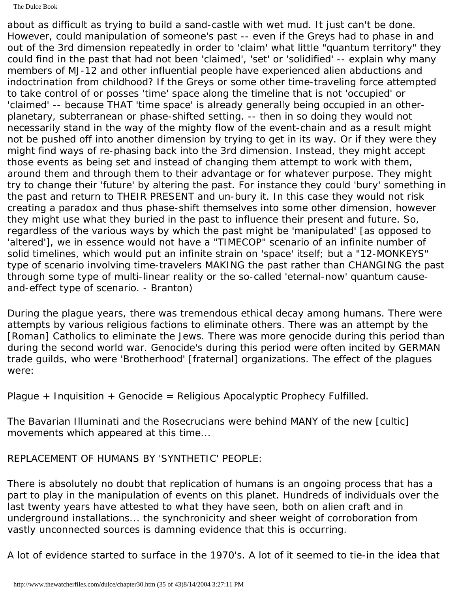about as difficult as trying to build a sand-castle with wet mud. It just can't be done. However, could manipulation of someone's past -- even if the Greys had to phase in and out of the 3rd dimension repeatedly in order to 'claim' what little "quantum territory" they could find in the past that had not been 'claimed', 'set' or 'solidified' -- explain why many members of MJ-12 and other influential people have experienced alien abductions and indoctrination from childhood? If the Greys or some other time-traveling force attempted to take control of or posses 'time' space along the timeline that is not 'occupied' or 'claimed' -- because THAT 'time space' is already generally being occupied in an otherplanetary, subterranean or phase-shifted setting. -- then in so doing they would not necessarily stand in the way of the mighty flow of the event-chain and as a result might not be pushed off into another dimension by trying to get in its way. Or if they were they might find ways of re-phasing back into the 3rd dimension. Instead, they might accept those events as being set and instead of changing them attempt to work with them, around them and through them to their advantage or for whatever purpose. They might try to change their 'future' by altering the past. For instance they could 'bury' something in the past and return to THEIR PRESENT and un-bury it. In this case they would not risk creating a paradox and thus phase-shift themselves into some other dimension, however they might use what they buried in the past to influence their present and future. So, regardless of the various ways by which the past might be 'manipulated' [as opposed to 'altered'], we in essence would not have a "TIMECOP" scenario of an infinite number of solid timelines, which would put an infinite strain on 'space' itself; but a "12-MONKEYS" type of scenario involving time-travelers MAKING the past rather than CHANGING the past through some type of multi-linear reality or the so-called 'eternal-now' quantum causeand-effect type of scenario. - Branton)

During the plague years, there was tremendous ethical decay among humans. There were attempts by various religious factions to eliminate others. There was an attempt by the [Roman] Catholics to eliminate the Jews. There was more genocide during this period than during the second world war. Genocide's during this period were often incited by GERMAN trade guilds, who were 'Brotherhood' [fraternal] organizations. The effect of the plagues were:

Plague + Inquisition + Genocide = Religious Apocalyptic Prophecy Fulfilled.

The Bavarian Illuminati and the Rosecrucians were behind MANY of the new [cultic] movements which appeared at this time...

REPLACEMENT OF HUMANS BY 'SYNTHETIC' PEOPLE:

There is absolutely no doubt that replication of humans is an ongoing process that has a part to play in the manipulation of events on this planet. Hundreds of individuals over the last twenty years have attested to what they have seen, both on alien craft and in underground installations... the synchronicity and sheer weight of corroboration from vastly unconnected sources is damning evidence that this is occurring.

A lot of evidence started to surface in the 1970's. A lot of it seemed to tie-in the idea that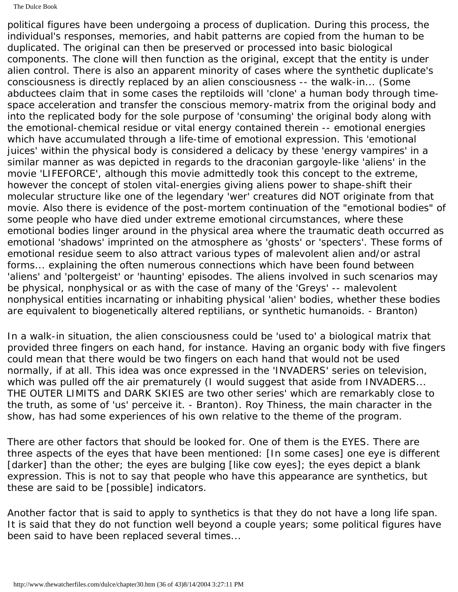The Dulce Book

political figures have been undergoing a process of duplication. During this process, the individual's responses, memories, and habit patterns are copied from the human to be duplicated. The original can then be preserved or processed into basic biological components. The clone will then function as the original, except that the entity is under alien control. There is also an apparent minority of cases where the synthetic duplicate's consciousness is directly replaced by an alien consciousness -- the walk-in... (Some abductees claim that in some cases the reptiloids will 'clone' a human body through timespace acceleration and transfer the conscious memory-matrix from the original body and into the replicated body for the sole purpose of 'consuming' the original body along with the emotional-chemical residue or vital energy contained therein -- emotional energies which have accumulated through a life-time of emotional expression. This 'emotional juices' within the physical body is considered a delicacy by these 'energy vampires' in a similar manner as was depicted in regards to the draconian gargoyle-like 'aliens' in the movie 'LIFEFORCE', although this movie admittedly took this concept to the extreme, however the concept of stolen vital-energies giving aliens power to shape-shift their molecular structure like one of the legendary 'wer' creatures did NOT originate from that movie. Also there is evidence of the post-mortem continuation of the "emotional bodies" of some people who have died under extreme emotional circumstances, where these emotional bodies linger around in the physical area where the traumatic death occurred as emotional 'shadows' imprinted on the atmosphere as 'ghosts' or 'specters'. These forms of emotional residue seem to also attract various types of malevolent alien and/or astral forms... explaining the often numerous connections which have been found between 'aliens' and 'poltergeist' or 'haunting' episodes. The aliens involved in such scenarios may be physical, nonphysical or as with the case of many of the 'Greys' -- malevolent nonphysical entities incarnating or inhabiting physical 'alien' bodies, whether these bodies are equivalent to biogenetically altered reptilians, or synthetic humanoids. - Branton)

In a walk-in situation, the alien consciousness could be 'used to' a biological matrix that provided three fingers on each hand, for instance. Having an organic body with five fingers could mean that there would be two fingers on each hand that would not be used normally, if at all. This idea was once expressed in the 'INVADERS' series on television, which was pulled off the air prematurely (I would suggest that aside from INVADERS... THE OUTER LIMITS and DARK SKIES are two other series' which are remarkably close to the truth, as some of 'us' perceive it. - Branton). Roy Thiness, the main character in the show, has had some experiences of his own relative to the theme of the program.

There are other factors that should be looked for. One of them is the EYES. There are three aspects of the eyes that have been mentioned: [In some cases] one eye is different [darker] than the other; the eyes are bulging [like cow eyes]; the eyes depict a blank expression. This is not to say that people who have this appearance are synthetics, but these are said to be [possible] indicators.

Another factor that is said to apply to synthetics is that they do not have a long life span. It is said that they do not function well beyond a couple years; some political figures have been said to have been replaced several times...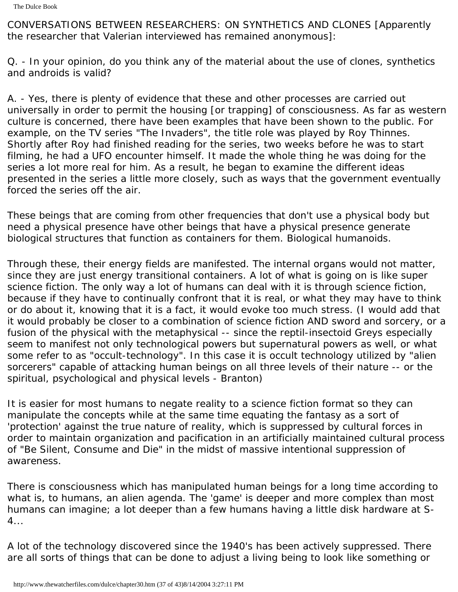CONVERSATIONS BETWEEN RESEARCHERS: ON SYNTHETICS AND CLONES [Apparently the researcher that Valerian interviewed has remained anonymous]:

Q. - In your opinion, do you think any of the material about the use of clones, synthetics and androids is valid?

A. - Yes, there is plenty of evidence that these and other processes are carried out universally in order to permit the housing [or trapping] of consciousness. As far as western culture is concerned, there have been examples that have been shown to the public. For example, on the TV series "The Invaders", the title role was played by Roy Thinnes. Shortly after Roy had finished reading for the series, two weeks before he was to start filming, he had a UFO encounter himself. It made the whole thing he was doing for the series a lot more real for him. As a result, he began to examine the different ideas presented in the series a little more closely, such as ways that the government eventually forced the series off the air.

These beings that are coming from other frequencies that don't use a physical body but need a physical presence have other beings that have a physical presence generate biological structures that function as containers for them. Biological humanoids.

Through these, their energy fields are manifested. The internal organs would not matter, since they are just energy transitional containers. A lot of what is going on is like super science fiction. The only way a lot of humans can deal with it is through science fiction, because if they have to continually confront that it is real, or what they may have to think or do about it, knowing that it is a fact, it would evoke too much stress. (I would add that it would probably be closer to a combination of science fiction AND sword and sorcery, or a fusion of the physical with the metaphysical -- since the reptil-insectoid Greys especially seem to manifest not only technological powers but supernatural powers as well, or what some refer to as "occult-technology". In this case it is occult technology utilized by "alien sorcerers" capable of attacking human beings on all three levels of their nature -- or the spiritual, psychological and physical levels - Branton)

It is easier for most humans to negate reality to a science fiction format so they can manipulate the concepts while at the same time equating the fantasy as a sort of 'protection' against the true nature of reality, which is suppressed by cultural forces in order to maintain organization and pacification in an artificially maintained cultural process of "Be Silent, Consume and Die" in the midst of massive intentional suppression of awareness.

There is consciousness which has manipulated human beings for a long time according to what is, to humans, an alien agenda. The 'game' is deeper and more complex than most humans can imagine; a lot deeper than a few humans having a little disk hardware at S- $4 \ldots$ 

A lot of the technology discovered since the 1940's has been actively suppressed. There are all sorts of things that can be done to adjust a living being to look like something or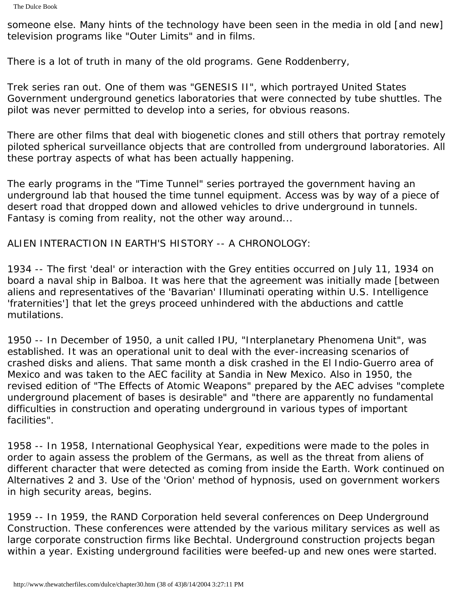someone else. Many hints of the technology have been seen in the media in old [and new] television programs like "Outer Limits" and in films.

There is a lot of truth in many of the old programs. Gene Roddenberry,

Trek series ran out. One of them was "GENESIS II", which portrayed United States Government underground genetics laboratories that were connected by tube shuttles. The pilot was never permitted to develop into a series, for obvious reasons.

There are other films that deal with biogenetic clones and still others that portray remotely piloted spherical surveillance objects that are controlled from underground laboratories. All these portray aspects of what has been actually happening.

The early programs in the "Time Tunnel" series portrayed the government having an underground lab that housed the time tunnel equipment. Access was by way of a piece of desert road that dropped down and allowed vehicles to drive underground in tunnels. Fantasy is coming from reality, not the other way around...

ALIEN INTERACTION IN EARTH'S HISTORY -- A CHRONOLOGY:

1934 -- The first 'deal' or interaction with the Grey entities occurred on July 11, 1934 on board a naval ship in Balboa. It was here that the agreement was initially made [between aliens and representatives of the 'Bavarian' Illuminati operating within U.S. Intelligence 'fraternities'] that let the greys proceed unhindered with the abductions and cattle mutilations.

1950 -- In December of 1950, a unit called IPU, "Interplanetary Phenomena Unit", was established. It was an operational unit to deal with the ever-increasing scenarios of crashed disks and aliens. That same month a disk crashed in the El Indio-Guerro area of Mexico and was taken to the AEC facility at Sandia in New Mexico. Also in 1950, the revised edition of "The Effects of Atomic Weapons" prepared by the AEC advises "complete underground placement of bases is desirable" and "there are apparently no fundamental difficulties in construction and operating underground in various types of important facilities".

1958 -- In 1958, International Geophysical Year, expeditions were made to the poles in order to again assess the problem of the Germans, as well as the threat from aliens of different character that were detected as coming from inside the Earth. Work continued on Alternatives 2 and 3. Use of the 'Orion' method of hypnosis, used on government workers in high security areas, begins.

1959 -- In 1959, the RAND Corporation held several conferences on Deep Underground Construction. These conferences were attended by the various military services as well as large corporate construction firms like Bechtal. Underground construction projects began within a year. Existing underground facilities were beefed-up and new ones were started.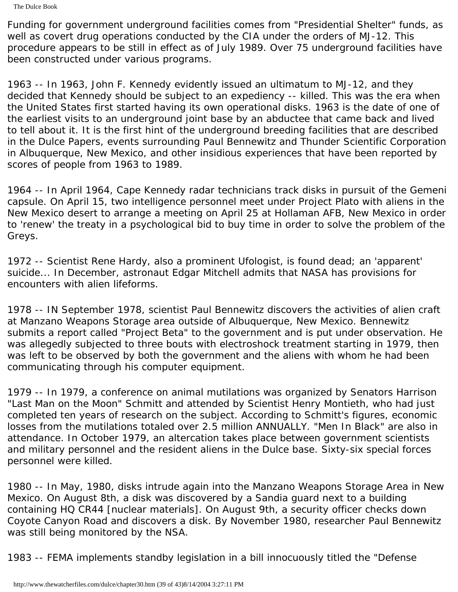The Dulce Book

Funding for government underground facilities comes from "Presidential Shelter" funds, as well as covert drug operations conducted by the CIA under the orders of MJ-12. This procedure appears to be still in effect as of July 1989. Over 75 underground facilities have been constructed under various programs.

1963 -- In 1963, John F. Kennedy evidently issued an ultimatum to MJ-12, and they decided that Kennedy should be subject to an expediency -- killed. This was the era when the United States first started having its own operational disks. 1963 is the date of one of the earliest visits to an underground joint base by an abductee that came back and lived to tell about it. It is the first hint of the underground breeding facilities that are described in the Dulce Papers, events surrounding Paul Bennewitz and Thunder Scientific Corporation in Albuquerque, New Mexico, and other insidious experiences that have been reported by scores of people from 1963 to 1989.

1964 -- In April 1964, Cape Kennedy radar technicians track disks in pursuit of the Gemeni capsule. On April 15, two intelligence personnel meet under Project Plato with aliens in the New Mexico desert to arrange a meeting on April 25 at Hollaman AFB, New Mexico in order to 'renew' the treaty in a psychological bid to buy time in order to solve the problem of the Greys.

1972 -- Scientist Rene Hardy, also a prominent Ufologist, is found dead; an 'apparent' suicide... In December, astronaut Edgar Mitchell admits that NASA has provisions for encounters with alien lifeforms.

1978 -- IN September 1978, scientist Paul Bennewitz discovers the activities of alien craft at Manzano Weapons Storage area outside of Albuquerque, New Mexico. Bennewitz submits a report called "Project Beta" to the government and is put under observation. He was allegedly subjected to three bouts with electroshock treatment starting in 1979, then was left to be observed by both the government and the aliens with whom he had been communicating through his computer equipment.

1979 -- In 1979, a conference on animal mutilations was organized by Senators Harrison "Last Man on the Moon" Schmitt and attended by Scientist Henry Montieth, who had just completed ten years of research on the subject. According to Schmitt's figures, economic losses from the mutilations totaled over 2.5 million ANNUALLY. "Men In Black" are also in attendance. In October 1979, an altercation takes place between government scientists and military personnel and the resident aliens in the Dulce base. Sixty-six special forces personnel were killed.

1980 -- In May, 1980, disks intrude again into the Manzano Weapons Storage Area in New Mexico. On August 8th, a disk was discovered by a Sandia guard next to a building containing HQ CR44 [nuclear materials]. On August 9th, a security officer checks down Coyote Canyon Road and discovers a disk. By November 1980, researcher Paul Bennewitz was still being monitored by the NSA.

1983 -- FEMA implements standby legislation in a bill innocuously titled the "Defense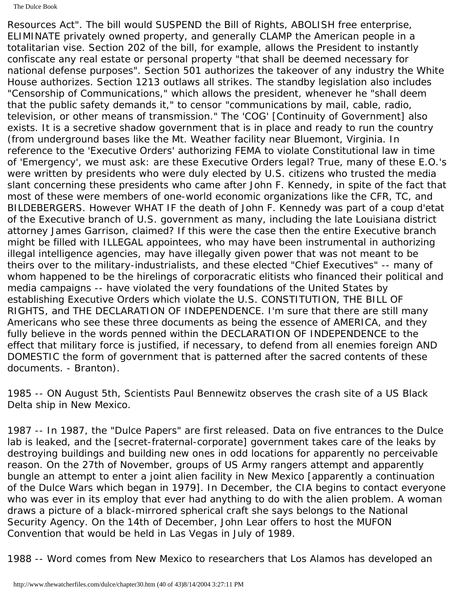Resources Act". The bill would SUSPEND the Bill of Rights, ABOLISH free enterprise, ELIMINATE privately owned property, and generally CLAMP the American people in a totalitarian vise. Section 202 of the bill, for example, allows the President to instantly confiscate any real estate or personal property "that shall be deemed necessary for national defense purposes". Section 501 authorizes the takeover of any industry the White House authorizes. Section 1213 outlaws all strikes. The standby legislation also includes "Censorship of Communications," which allows the president, whenever he "shall deem that the public safety demands it," to censor "communications by mail, cable, radio, television, or other means of transmission." The 'COG' [Continuity of Government] also exists. It is a secretive shadow government that is in place and ready to run the country (from underground bases like the Mt. Weather facility near Bluemont, Virginia. In reference to the 'Executive Orders' authorizing FEMA to violate Constitutional law in time of 'Emergency', we must ask: are these Executive Orders legal? True, many of these E.O.'s were written by presidents who were duly elected by U.S. citizens who trusted the media slant concerning these presidents who came after John F. Kennedy, in spite of the fact that most of these were members of one-world economic organizations like the CFR, TC, and BILDEBERGERS. However WHAT IF the death of John F. Kennedy was part of a coup d'etat of the Executive branch of U.S. government as many, including the late Louisiana district attorney James Garrison, claimed? If this were the case then the entire Executive branch might be filled with ILLEGAL appointees, who may have been instrumental in authorizing illegal intelligence agencies, may have illegally given power that was not meant to be theirs over to the military-industrialists, and these elected "Chief Executives" -- many of whom happened to be the hirelings of corporacratic elitists who financed their political and media campaigns -- have violated the very foundations of the United States by establishing Executive Orders which violate the U.S. CONSTITUTION, THE BILL OF RIGHTS, and THE DECLARATION OF INDEPENDENCE. I'm sure that there are still many Americans who see these three documents as being the essence of AMERICA, and they fully believe in the words penned within the DECLARATION OF INDEPENDENCE to the effect that military force is justified, if necessary, to defend from all enemies foreign AND DOMESTIC the form of government that is patterned after the sacred contents of these documents. - Branton).

1985 -- ON August 5th, Scientists Paul Bennewitz observes the crash site of a US Black Delta ship in New Mexico.

1987 -- In 1987, the "Dulce Papers" are first released. Data on five entrances to the Dulce lab is leaked, and the [secret-fraternal-corporate] government takes care of the leaks by destroying buildings and building new ones in odd locations for apparently no perceivable reason. On the 27th of November, groups of US Army rangers attempt and apparently bungle an attempt to enter a joint alien facility in New Mexico [apparently a continuation of the Dulce Wars which began in 1979]. In December, the CIA begins to contact everyone who was ever in its employ that ever had anything to do with the alien problem. A woman draws a picture of a black-mirrored spherical craft she says belongs to the National Security Agency. On the 14th of December, John Lear offers to host the MUFON Convention that would be held in Las Vegas in July of 1989.

1988 -- Word comes from New Mexico to researchers that Los Alamos has developed an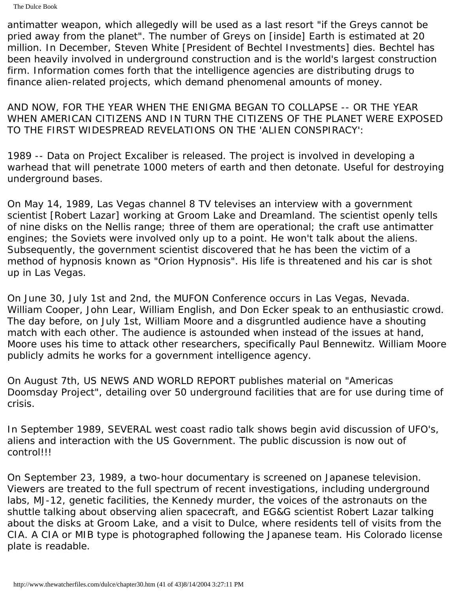The Dulce Book

antimatter weapon, which allegedly will be used as a last resort "if the Greys cannot be pried away from the planet". The number of Greys on [inside] Earth is estimated at 20 million. In December, Steven White [President of Bechtel Investments] dies. Bechtel has been heavily involved in underground construction and is the world's largest construction firm. Information comes forth that the intelligence agencies are distributing drugs to finance alien-related projects, which demand phenomenal amounts of money.

AND NOW, FOR THE YEAR WHEN THE ENIGMA BEGAN TO COLLAPSE -- OR THE YEAR WHEN AMERICAN CITIZENS AND IN TURN THE CITIZENS OF THE PLANET WERE EXPOSED TO THE FIRST WIDESPREAD REVELATIONS ON THE 'ALIEN CONSPIRACY':

1989 -- Data on Project Excaliber is released. The project is involved in developing a warhead that will penetrate 1000 meters of earth and then detonate. Useful for destroying underground bases.

On May 14, 1989, Las Vegas channel 8 TV televises an interview with a government scientist [Robert Lazar] working at Groom Lake and Dreamland. The scientist openly tells of nine disks on the Nellis range; three of them are operational; the craft use antimatter engines; the Soviets were involved only up to a point. He won't talk about the aliens. Subsequently, the government scientist discovered that he has been the victim of a method of hypnosis known as "Orion Hypnosis". His life is threatened and his car is shot up in Las Vegas.

On June 30, July 1st and 2nd, the MUFON Conference occurs in Las Vegas, Nevada. William Cooper, John Lear, William English, and Don Ecker speak to an enthusiastic crowd. The day before, on July 1st, William Moore and a disgruntled audience have a shouting match with each other. The audience is astounded when instead of the issues at hand, Moore uses his time to attack other researchers, specifically Paul Bennewitz. William Moore publicly admits he works for a government intelligence agency.

On August 7th, US NEWS AND WORLD REPORT publishes material on "Americas Doomsday Project", detailing over 50 underground facilities that are for use during time of crisis.

In September 1989, SEVERAL west coast radio talk shows begin avid discussion of UFO's, aliens and interaction with the US Government. The public discussion is now out of control!!!

On September 23, 1989, a two-hour documentary is screened on Japanese television. Viewers are treated to the full spectrum of recent investigations, including underground labs, MJ-12, genetic facilities, the Kennedy murder, the voices of the astronauts on the shuttle talking about observing alien spacecraft, and EG&G scientist Robert Lazar talking about the disks at Groom Lake, and a visit to Dulce, where residents tell of visits from the CIA. A CIA or MIB type is photographed following the Japanese team. His Colorado license plate is readable.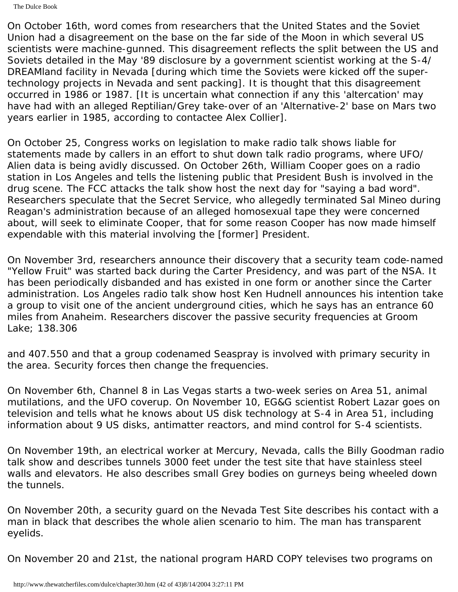The Dulce Book

On October 16th, word comes from researchers that the United States and the Soviet Union had a disagreement on the base on the far side of the Moon in which several US scientists were machine-gunned. This disagreement reflects the split between the US and Soviets detailed in the May '89 disclosure by a government scientist working at the S-4/ DREAMland facility in Nevada [during which time the Soviets were kicked off the supertechnology projects in Nevada and sent packing]. It is thought that this disagreement occurred in 1986 or 1987. [It is uncertain what connection if any this 'altercation' may have had with an alleged Reptilian/Grey take-over of an 'Alternative-2' base on Mars two years earlier in 1985, according to contactee Alex Collier].

On October 25, Congress works on legislation to make radio talk shows liable for statements made by callers in an effort to shut down talk radio programs, where UFO/ Alien data is being avidly discussed. On October 26th, William Cooper goes on a radio station in Los Angeles and tells the listening public that President Bush is involved in the drug scene. The FCC attacks the talk show host the next day for "saying a bad word". Researchers speculate that the Secret Service, who allegedly terminated Sal Mineo during Reagan's administration because of an alleged homosexual tape they were concerned about, will seek to eliminate Cooper, that for some reason Cooper has now made himself expendable with this material involving the [former] President.

On November 3rd, researchers announce their discovery that a security team code-named "Yellow Fruit" was started back during the Carter Presidency, and was part of the NSA. It has been periodically disbanded and has existed in one form or another since the Carter administration. Los Angeles radio talk show host Ken Hudnell announces his intention take a group to visit one of the ancient underground cities, which he says has an entrance 60 miles from Anaheim. Researchers discover the passive security frequencies at Groom Lake; 138.306

and 407.550 and that a group codenamed Seaspray is involved with primary security in the area. Security forces then change the frequencies.

On November 6th, Channel 8 in Las Vegas starts a two-week series on Area 51, animal mutilations, and the UFO coverup. On November 10, EG&G scientist Robert Lazar goes on television and tells what he knows about US disk technology at S-4 in Area 51, including information about 9 US disks, antimatter reactors, and mind control for S-4 scientists.

On November 19th, an electrical worker at Mercury, Nevada, calls the Billy Goodman radio talk show and describes tunnels 3000 feet under the test site that have stainless steel walls and elevators. He also describes small Grey bodies on gurneys being wheeled down the tunnels.

On November 20th, a security guard on the Nevada Test Site describes his contact with a man in black that describes the whole alien scenario to him. The man has transparent eyelids.

On November 20 and 21st, the national program HARD COPY televises two programs on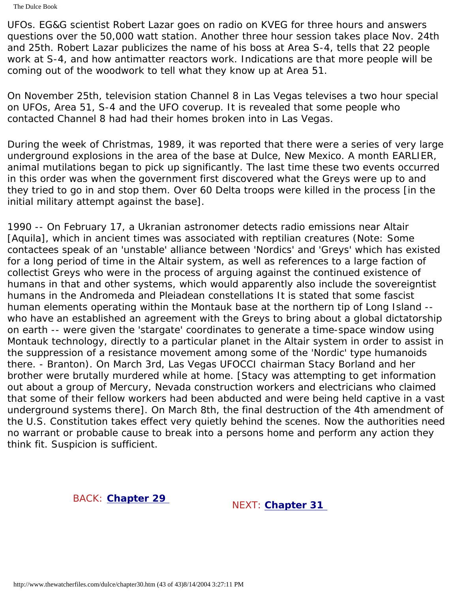The Dulce Book

UFOs. EG&G scientist Robert Lazar goes on radio on KVEG for three hours and answers questions over the 50,000 watt station. Another three hour session takes place Nov. 24th and 25th. Robert Lazar publicizes the name of his boss at Area S-4, tells that 22 people work at S-4, and how antimatter reactors work. Indications are that more people will be coming out of the woodwork to tell what they know up at Area 51.

On November 25th, television station Channel 8 in Las Vegas televises a two hour special on UFOs, Area 51, S-4 and the UFO coverup. It is revealed that some people who contacted Channel 8 had had their homes broken into in Las Vegas.

During the week of Christmas, 1989, it was reported that there were a series of very large underground explosions in the area of the base at Dulce, New Mexico. A month EARLIER, animal mutilations began to pick up significantly. The last time these two events occurred in this order was when the government first discovered what the Greys were up to and they tried to go in and stop them. Over 60 Delta troops were killed in the process [in the initial military attempt against the base].

1990 -- On February 17, a Ukranian astronomer detects radio emissions near Altair [Aquila], which in ancient times was associated with reptilian creatures (Note: Some contactees speak of an 'unstable' alliance between 'Nordics' and 'Greys' which has existed for a long period of time in the Altair system, as well as references to a large faction of collectist Greys who were in the process of arguing against the continued existence of humans in that and other systems, which would apparently also include the sovereigntist humans in the Andromeda and Pleiadean constellations It is stated that some fascist human elements operating within the Montauk base at the northern tip of Long Island - who have an established an agreement with the Greys to bring about a global dictatorship on earth -- were given the 'stargate' coordinates to generate a time-space window using Montauk technology, directly to a particular planet in the Altair system in order to assist in the suppression of a resistance movement among some of the 'Nordic' type humanoids there. - Branton). On March 3rd, Las Vegas UFOCCI chairman Stacy Borland and her brother were brutally murdered while at home. [Stacy was attempting to get information out about a group of Mercury, Nevada construction workers and electricians who claimed that some of their fellow workers had been abducted and were being held captive in a vast underground systems there]. On March 8th, the final destruction of the 4th amendment of the U.S. Constitution takes effect very quietly behind the scenes. Now the authorities need no warrant or probable cause to break into a persons home and perform any action they think fit. Suspicion is sufficient.

# BACK: **[Chapter 29](#page-273-0)** NEXT: **[Chapter 31](#page-326-0)**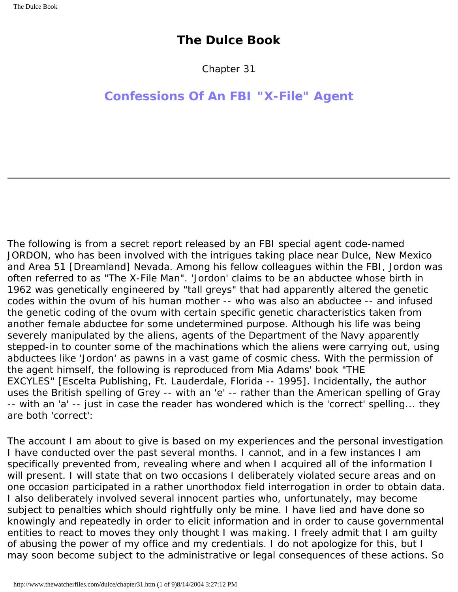#### **The Dulce Book**

Chapter 31

#### <span id="page-326-0"></span>**Confessions Of An FBI "X-File" Agent**

The following is from a secret report released by an FBI special agent code-named JORDON, who has been involved with the intrigues taking place near Dulce, New Mexico and Area 51 [Dreamland] Nevada. Among his fellow colleagues within the FBI, Jordon was often referred to as "The X-File Man". 'Jordon' claims to be an abductee whose birth in 1962 was genetically engineered by "tall greys" that had apparently altered the genetic codes within the ovum of his human mother -- who was also an abductee -- and infused the genetic coding of the ovum with certain specific genetic characteristics taken from another female abductee for some undetermined purpose. Although his life was being severely manipulated by the aliens, agents of the Department of the Navy apparently stepped-in to counter some of the machinations which the aliens were carrying out, using abductees like 'Jordon' as pawns in a vast game of cosmic chess. With the permission of the agent himself, the following is reproduced from Mia Adams' book "THE EXCYLES" [Escelta Publishing, Ft. Lauderdale, Florida -- 1995]. Incidentally, the author uses the British spelling of Grey -- with an 'e' -- rather than the American spelling of Gray -- with an 'a' -- just in case the reader has wondered which is the 'correct' spelling... they are both 'correct':

The account I am about to give is based on my experiences and the personal investigation I have conducted over the past several months. I cannot, and in a few instances I am specifically prevented from, revealing where and when I acquired all of the information I will present. I will state that on two occasions I deliberately violated secure areas and on one occasion participated in a rather unorthodox field interrogation in order to obtain data. I also deliberately involved several innocent parties who, unfortunately, may become subject to penalties which should rightfully only be mine. I have lied and have done so knowingly and repeatedly in order to elicit information and in order to cause governmental entities to react to moves they only thought I was making. I freely admit that I am guilty of abusing the power of my office and my credentials. I do not apologize for this, but I may soon become subject to the administrative or legal consequences of these actions. So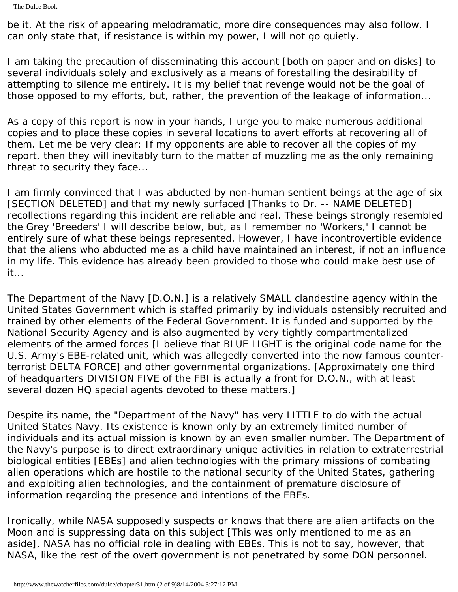be it. At the risk of appearing melodramatic, more dire consequences may also follow. I can only state that, if resistance is within my power, I will not go quietly.

I am taking the precaution of disseminating this account [both on paper and on disks] to several individuals solely and exclusively as a means of forestalling the desirability of attempting to silence me entirely. It is my belief that revenge would not be the goal of those opposed to my efforts, but, rather, the prevention of the leakage of information...

As a copy of this report is now in your hands, I urge you to make numerous additional copies and to place these copies in several locations to avert efforts at recovering all of them. Let me be very clear: If my opponents are able to recover all the copies of my report, then they will inevitably turn to the matter of muzzling me as the only remaining threat to security they face...

I am firmly convinced that I was abducted by non-human sentient beings at the age of six [SECTION DELETED] and that my newly surfaced [Thanks to Dr. -- NAME DELETED] recollections regarding this incident are reliable and real. These beings strongly resembled the Grey 'Breeders' I will describe below, but, as I remember no 'Workers,' I cannot be entirely sure of what these beings represented. However, I have incontrovertible evidence that the aliens who abducted me as a child have maintained an interest, if not an influence in my life. This evidence has already been provided to those who could make best use of it...

The Department of the Navy [D.O.N.] is a relatively SMALL clandestine agency within the United States Government which is staffed primarily by individuals ostensibly recruited and trained by other elements of the Federal Government. It is funded and supported by the National Security Agency and is also augmented by very tightly compartmentalized elements of the armed forces [I believe that BLUE LIGHT is the original code name for the U.S. Army's EBE-related unit, which was allegedly converted into the now famous counterterrorist DELTA FORCE] and other governmental organizations. [Approximately one third of headquarters DIVISION FIVE of the FBI is actually a front for D.O.N., with at least several dozen HQ special agents devoted to these matters.]

Despite its name, the "Department of the Navy" has very LITTLE to do with the actual United States Navy. Its existence is known only by an extremely limited number of individuals and its actual mission is known by an even smaller number. The Department of the Navy's purpose is to direct extraordinary unique activities in relation to extraterrestrial biological entities [EBEs] and alien technologies with the primary missions of combating alien operations which are hostile to the national security of the United States, gathering and exploiting alien technologies, and the containment of premature disclosure of information regarding the presence and intentions of the EBEs.

Ironically, while NASA supposedly suspects or knows that there are alien artifacts on the Moon and is suppressing data on this subject [This was only mentioned to me as an aside], NASA has no official role in dealing with EBEs. This is not to say, however, that NASA, like the rest of the overt government is not penetrated by some DON personnel.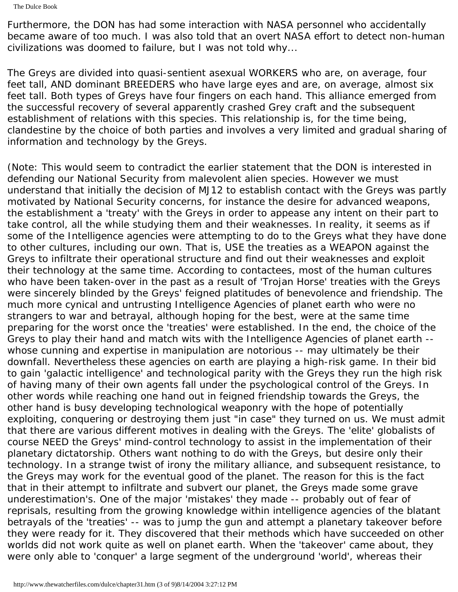The Dulce Book

Furthermore, the DON has had some interaction with NASA personnel who accidentally became aware of too much. I was also told that an overt NASA effort to detect non-human civilizations was doomed to failure, but I was not told why...

The Greys are divided into quasi-sentient asexual WORKERS who are, on average, four feet tall, AND dominant BREEDERS who have large eyes and are, on average, almost six feet tall. Both types of Greys have four fingers on each hand. This alliance emerged from the successful recovery of several apparently crashed Grey craft and the subsequent establishment of relations with this species. This relationship is, for the time being, clandestine by the choice of both parties and involves a very limited and gradual sharing of information and technology by the Greys.

(Note: This would seem to contradict the earlier statement that the DON is interested in defending our National Security from malevolent alien species. However we must understand that initially the decision of MJ12 to establish contact with the Greys was partly motivated by National Security concerns, for instance the desire for advanced weapons, the establishment a 'treaty' with the Greys in order to appease any intent on their part to take control, all the while studying them and their weaknesses. In reality, it seems as if some of the Intelligence agencies were attempting to do to the Greys what they have done to other cultures, including our own. That is, USE the treaties as a WEAPON against the Greys to infiltrate their operational structure and find out their weaknesses and exploit their technology at the same time. According to contactees, most of the human cultures who have been taken-over in the past as a result of 'Trojan Horse' treaties with the Greys were sincerely blinded by the Greys' feigned platitudes of benevolence and friendship. The much more cynical and untrusting Intelligence Agencies of planet earth who were no strangers to war and betrayal, although hoping for the best, were at the same time preparing for the worst once the 'treaties' were established. In the end, the choice of the Greys to play their hand and match wits with the Intelligence Agencies of planet earth - whose cunning and expertise in manipulation are notorious -- may ultimately be their downfall. Nevertheless these agencies on earth are playing a high-risk game. In their bid to gain 'galactic intelligence' and technological parity with the Greys they run the high risk of having many of their own agents fall under the psychological control of the Greys. In other words while reaching one hand out in feigned friendship towards the Greys, the other hand is busy developing technological weaponry with the hope of potentially exploiting, conquering or destroying them just "in case" they turned on us. We must admit that there are various different motives in dealing with the Greys. The 'elite' globalists of course NEED the Greys' mind-control technology to assist in the implementation of their planetary dictatorship. Others want nothing to do with the Greys, but desire only their technology. In a strange twist of irony the military alliance, and subsequent resistance, to the Greys may work for the eventual good of the planet. The reason for this is the fact that in their attempt to infiltrate and subvert our planet, the Greys made some grave underestimation's. One of the major 'mistakes' they made -- probably out of fear of reprisals, resulting from the growing knowledge within intelligence agencies of the blatant betrayals of the 'treaties' -- was to jump the gun and attempt a planetary takeover before they were ready for it. They discovered that their methods which have succeeded on other worlds did not work quite as well on planet earth. When the 'takeover' came about, they were only able to 'conquer' a large segment of the underground 'world', whereas their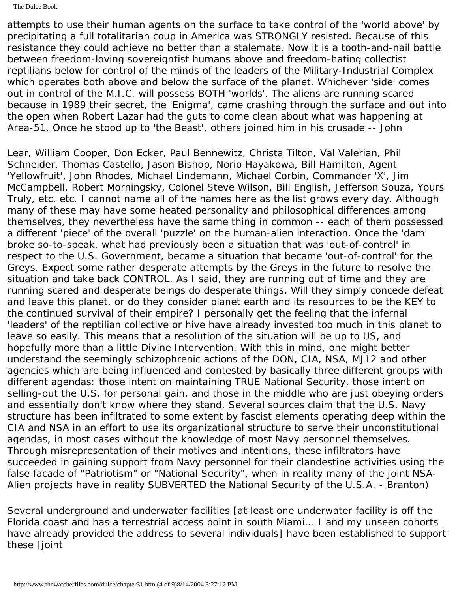#### The Dulce Book

attempts to use their human agents on the surface to take control of the 'world above' by precipitating a full totalitarian coup in America was STRONGLY resisted. Because of this resistance they could achieve no better than a stalemate. Now it is a tooth-and-nail battle between freedom-loving sovereigntist humans above and freedom-hating collectist reptilians below for control of the minds of the leaders of the Military-Industrial Complex which operates both above and below the surface of the planet. Whichever 'side' comes out in control of the M.I.C. will possess BOTH 'worlds'. The aliens are running scared because in 1989 their secret, the 'Enigma', came crashing through the surface and out into the open when Robert Lazar had the guts to come clean about what was happening at Area-51. Once he stood up to 'the Beast', others joined him in his crusade -- John

Lear, William Cooper, Don Ecker, Paul Bennewitz, Christa Tilton, Val Valerian, Phil Schneider, Thomas Castello, Jason Bishop, Norio Hayakowa, Bill Hamilton, Agent 'Yellowfruit', John Rhodes, Michael Lindemann, Michael Corbin, Commander 'X', Jim McCampbell, Robert Morningsky, Colonel Steve Wilson, Bill English, Jefferson Souza, Yours Truly, etc. etc. I cannot name all of the names here as the list grows every day. Although many of these may have some heated personality and philosophical differences among themselves, they nevertheless have the same thing in common -- each of them possessed a different 'piece' of the overall 'puzzle' on the human-alien interaction. Once the 'dam' broke so-to-speak, what had previously been a situation that was 'out-of-control' in respect to the U.S. Government, became a situation that became 'out-of-control' for the Greys. Expect some rather desperate attempts by the Greys in the future to resolve the situation and take back CONTROL. As I said, they are running out of time and they are running scared and desperate beings do desperate things. Will they simply concede defeat and leave this planet, or do they consider planet earth and its resources to be the KEY to the continued survival of their empire? I personally get the feeling that the infernal 'leaders' of the reptilian collective or hive have already invested too much in this planet to leave so easily. This means that a resolution of the situation will be up to US, and hopefully more than a little Divine Intervention. With this in mind, one might better understand the seemingly schizophrenic actions of the DON, CIA, NSA, MJ12 and other agencies which are being influenced and contested by basically three different groups with different agendas: those intent on maintaining TRUE National Security, those intent on selling-out the U.S. for personal gain, and those in the middle who are just obeying orders and essentially don't know where they stand. Several sources claim that the U.S. Navy structure has been infiltrated to some extent by fascist elements operating deep within the CIA and NSA in an effort to use its organizational structure to serve their unconstitutional agendas, in most cases without the knowledge of most Navy personnel themselves. Through misrepresentation of their motives and intentions, these infiltrators have succeeded in gaining support from Navy personnel for their clandestine activities using the false facade of "Patriotism" or "National Security", when in reality many of the joint NSA-Alien projects have in reality SUBVERTED the National Security of the U.S.A. - Branton)

Several underground and underwater facilities [at least one underwater facility is off the Florida coast and has a terrestrial access point in south Miami... I and my unseen cohorts have already provided the address to several individuals] have been established to support these [joint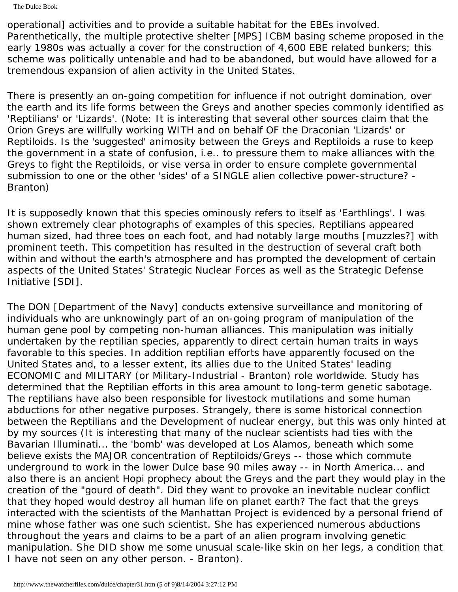The Dulce Book

operational] activities and to provide a suitable habitat for the EBEs involved. Parenthetically, the multiple protective shelter [MPS] ICBM basing scheme proposed in the early 1980s was actually a cover for the construction of 4,600 EBE related bunkers; this scheme was politically untenable and had to be abandoned, but would have allowed for a tremendous expansion of alien activity in the United States.

There is presently an on-going competition for influence if not outright domination, over the earth and its life forms between the Greys and another species commonly identified as 'Reptilians' or 'Lizards'. (Note: It is interesting that several other sources claim that the Orion Greys are willfully working WITH and on behalf OF the Draconian 'Lizards' or Reptiloids. Is the 'suggested' animosity between the Greys and Reptiloids a ruse to keep the government in a state of confusion, i.e.. to pressure them to make alliances with the Greys to fight the Reptiloids, or vise versa in order to ensure complete governmental submission to one or the other 'sides' of a SINGLE alien collective power-structure? - Branton)

It is supposedly known that this species ominously refers to itself as 'Earthlings'. I was shown extremely clear photographs of examples of this species. Reptilians appeared human sized, had three toes on each foot, and had notably large mouths [muzzles?] with prominent teeth. This competition has resulted in the destruction of several craft both within and without the earth's atmosphere and has prompted the development of certain aspects of the United States' Strategic Nuclear Forces as well as the Strategic Defense Initiative [SDI].

The DON [Department of the Navy] conducts extensive surveillance and monitoring of individuals who are unknowingly part of an on-going program of manipulation of the human gene pool by competing non-human alliances. This manipulation was initially undertaken by the reptilian species, apparently to direct certain human traits in ways favorable to this species. In addition reptilian efforts have apparently focused on the United States and, to a lesser extent, its allies due to the United States' leading ECONOMIC and MILITARY (or Military-Industrial - Branton) role worldwide. Study has determined that the Reptilian efforts in this area amount to long-term genetic sabotage. The reptilians have also been responsible for livestock mutilations and some human abductions for other negative purposes. Strangely, there is some historical connection between the Reptilians and the Development of nuclear energy, but this was only hinted at by my sources (It is interesting that many of the nuclear scientists had ties with the Bavarian Illuminati... the 'bomb' was developed at Los Alamos, beneath which some believe exists the MAJOR concentration of Reptiloids/Greys -- those which commute underground to work in the lower Dulce base 90 miles away -- in North America... and also there is an ancient Hopi prophecy about the Greys and the part they would play in the creation of the "gourd of death". Did they want to provoke an inevitable nuclear conflict that they hoped would destroy all human life on planet earth? The fact that the greys interacted with the scientists of the Manhattan Project is evidenced by a personal friend of mine whose father was one such scientist. She has experienced numerous abductions throughout the years and claims to be a part of an alien program involving genetic manipulation. She DID show me some unusual scale-like skin on her legs, a condition that I have not seen on any other person. - Branton).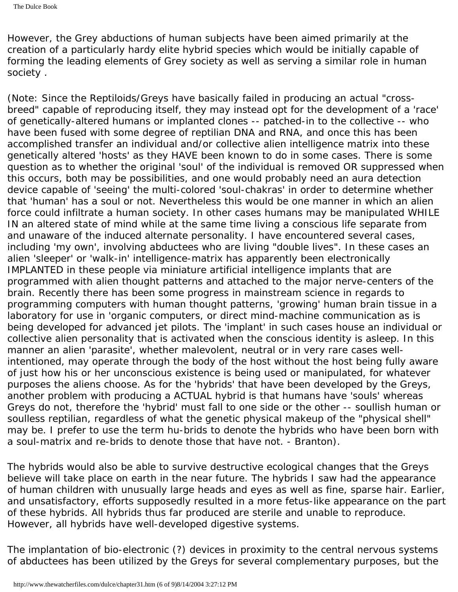However, the Grey abductions of human subjects have been aimed primarily at the creation of a particularly hardy elite hybrid species which would be initially capable of forming the leading elements of Grey society as well as serving a similar role in human society .

(Note: Since the Reptiloids/Greys have basically failed in producing an actual "crossbreed" capable of reproducing itself, they may instead opt for the development of a 'race' of genetically-altered humans or implanted clones -- patched-in to the collective -- who have been fused with some degree of reptilian DNA and RNA, and once this has been accomplished transfer an individual and/or collective alien intelligence matrix into these genetically altered 'hosts' as they HAVE been known to do in some cases. There is some question as to whether the original 'soul' of the individual is removed OR suppressed when this occurs, both may be possibilities, and one would probably need an aura detection device capable of 'seeing' the multi-colored 'soul-chakras' in order to determine whether that 'human' has a soul or not. Nevertheless this would be one manner in which an alien force could infiltrate a human society. In other cases humans may be manipulated WHILE IN an altered state of mind while at the same time living a conscious life separate from and unaware of the induced alternate personality. I have encountered several cases, including 'my own', involving abductees who are living "double lives". In these cases an alien 'sleeper' or 'walk-in' intelligence-matrix has apparently been electronically IMPLANTED in these people via miniature artificial intelligence implants that are programmed with alien thought patterns and attached to the major nerve-centers of the brain. Recently there has been some progress in mainstream science in regards to programming computers with human thought patterns, 'growing' human brain tissue in a laboratory for use in 'organic computers, or direct mind-machine communication as is being developed for advanced jet pilots. The 'implant' in such cases house an individual or collective alien personality that is activated when the conscious identity is asleep. In this manner an alien 'parasite', whether malevolent, neutral or in very rare cases wellintentioned, may operate through the body of the host without the host being fully aware of just how his or her unconscious existence is being used or manipulated, for whatever purposes the aliens choose. As for the 'hybrids' that have been developed by the Greys, another problem with producing a ACTUAL hybrid is that humans have 'souls' whereas Greys do not, therefore the 'hybrid' must fall to one side or the other -- soullish human or soulless reptilian, regardless of what the genetic physical makeup of the "physical shell" may be. I prefer to use the term hu-brids to denote the hybrids who have been born with a soul-matrix and re-brids to denote those that have not. - Branton).

The hybrids would also be able to survive destructive ecological changes that the Greys believe will take place on earth in the near future. The hybrids I saw had the appearance of human children with unusually large heads and eyes as well as fine, sparse hair. Earlier, and unsatisfactory, efforts supposedly resulted in a more fetus-like appearance on the part of these hybrids. All hybrids thus far produced are sterile and unable to reproduce. However, all hybrids have well-developed digestive systems.

The implantation of bio-electronic (?) devices in proximity to the central nervous systems of abductees has been utilized by the Greys for several complementary purposes, but the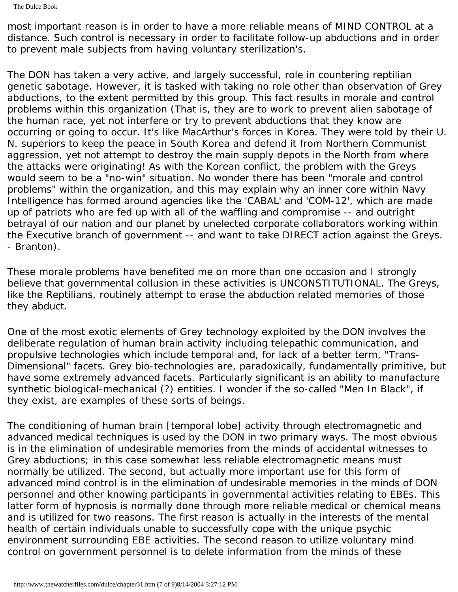The Dulce Book

most important reason is in order to have a more reliable means of MIND CONTROL at a distance. Such control is necessary in order to facilitate follow-up abductions and in order to prevent male subjects from having voluntary sterilization's.

The DON has taken a very active, and largely successful, role in countering reptilian genetic sabotage. However, it is tasked with taking no role other than observation of Grey abductions, to the extent permitted by this group. This fact results in morale and control problems within this organization (That is, they are to work to prevent alien sabotage of the human race, yet not interfere or try to prevent abductions that they know are occurring or going to occur. It's like MacArthur's forces in Korea. They were told by their U. N. superiors to keep the peace in South Korea and defend it from Northern Communist aggression, yet not attempt to destroy the main supply depots in the North from where the attacks were originating! As with the Korean conflict, the problem with the Greys would seem to be a "no-win" situation. No wonder there has been "morale and control problems" within the organization, and this may explain why an inner core within Navy Intelligence has formed around agencies like the 'CABAL' and 'COM-12', which are made up of patriots who are fed up with all of the waffling and compromise -- and outright betrayal of our nation and our planet by unelected corporate collaborators working within the Executive branch of government -- and want to take DIRECT action against the Greys. - Branton).

These morale problems have benefited me on more than one occasion and I strongly believe that governmental collusion in these activities is UNCONSTITUTIONAL. The Greys, like the Reptilians, routinely attempt to erase the abduction related memories of those they abduct.

One of the most exotic elements of Grey technology exploited by the DON involves the deliberate regulation of human brain activity including telepathic communication, and propulsive technologies which include temporal and, for lack of a better term, "Trans-Dimensional" facets. Grey bio-technologies are, paradoxically, fundamentally primitive, but have some extremely advanced facets. Particularly significant is an ability to manufacture synthetic biological-mechanical (?) entities. I wonder if the so-called "Men In Black", if they exist, are examples of these sorts of beings.

The conditioning of human brain [temporal lobe] activity through electromagnetic and advanced medical techniques is used by the DON in two primary ways. The most obvious is in the elimination of undesirable memories from the minds of accidental witnesses to Grey abductions; in this case somewhat less reliable electromagnetic means must normally be utilized. The second, but actually more important use for this form of advanced mind control is in the elimination of undesirable memories in the minds of DON personnel and other knowing participants in governmental activities relating to EBEs. This latter form of hypnosis is normally done through more reliable medical or chemical means and is utilized for two reasons. The first reason is actually in the interests of the mental health of certain individuals unable to successfully cope with the unique psychic environment surrounding EBE activities. The second reason to utilize voluntary mind control on government personnel is to delete information from the minds of these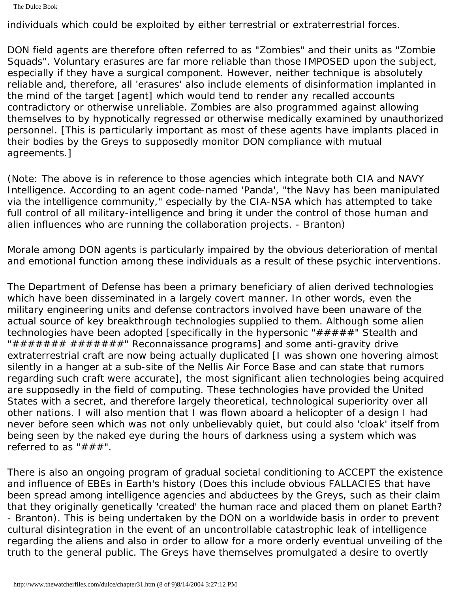The Dulce Book

individuals which could be exploited by either terrestrial or extraterrestrial forces.

DON field agents are therefore often referred to as "Zombies" and their units as "Zombie Squads". Voluntary erasures are far more reliable than those IMPOSED upon the subject, especially if they have a surgical component. However, neither technique is absolutely reliable and, therefore, all 'erasures' also include elements of disinformation implanted in the mind of the target [agent] which would tend to render any recalled accounts contradictory or otherwise unreliable. Zombies are also programmed against allowing themselves to by hypnotically regressed or otherwise medically examined by unauthorized personnel. [This is particularly important as most of these agents have implants placed in their bodies by the Greys to supposedly monitor DON compliance with mutual agreements.]

(Note: The above is in reference to those agencies which integrate both CIA and NAVY Intelligence. According to an agent code-named 'Panda', "the Navy has been manipulated via the intelligence community," especially by the CIA-NSA which has attempted to take full control of all military-intelligence and bring it under the control of those human and alien influences who are running the collaboration projects. - Branton)

Morale among DON agents is particularly impaired by the obvious deterioration of mental and emotional function among these individuals as a result of these psychic interventions.

The Department of Defense has been a primary beneficiary of alien derived technologies which have been disseminated in a largely covert manner. In other words, even the military engineering units and defense contractors involved have been unaware of the actual source of key breakthrough technologies supplied to them. Although some alien technologies have been adopted [specifically in the hypersonic " $\# \# \# \#$ " Stealth and "######## #######" Reconnaissance programs] and some anti-gravity drive extraterrestrial craft are now being actually duplicated [I was shown one hovering almost silently in a hanger at a sub-site of the Nellis Air Force Base and can state that rumors regarding such craft were accurate], the most significant alien technologies being acquired are supposedly in the field of computing. These technologies have provided the United States with a secret, and therefore largely theoretical, technological superiority over all other nations. I will also mention that I was flown aboard a helicopter of a design I had never before seen which was not only unbelievably quiet, but could also 'cloak' itself from being seen by the naked eye during the hours of darkness using a system which was referred to as " $###$ ".

There is also an ongoing program of gradual societal conditioning to ACCEPT the existence and influence of EBEs in Earth's history (Does this include obvious FALLACIES that have been spread among intelligence agencies and abductees by the Greys, such as their claim that they originally genetically 'created' the human race and placed them on planet Earth? - Branton). This is being undertaken by the DON on a worldwide basis in order to prevent cultural disintegration in the event of an uncontrollable catastrophic leak of intelligence regarding the aliens and also in order to allow for a more orderly eventual unveiling of the truth to the general public. The Greys have themselves promulgated a desire to overtly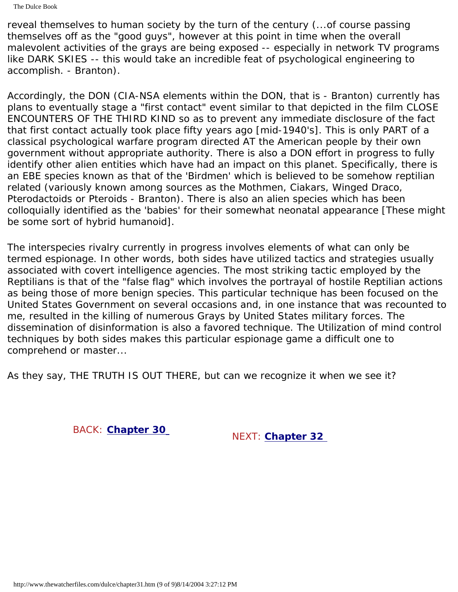reveal themselves to human society by the turn of the century (...of course passing themselves off as the "good guys", however at this point in time when the overall malevolent activities of the grays are being exposed -- especially in network TV programs like DARK SKIES -- this would take an incredible feat of psychological engineering to accomplish. - Branton).

Accordingly, the DON (CIA-NSA elements within the DON, that is - Branton) currently has plans to eventually stage a "first contact" event similar to that depicted in the film CLOSE ENCOUNTERS OF THE THIRD KIND so as to prevent any immediate disclosure of the fact that first contact actually took place fifty years ago [mid-1940's]. This is only PART of a classical psychological warfare program directed AT the American people by their own government without appropriate authority. There is also a DON effort in progress to fully identify other alien entities which have had an impact on this planet. Specifically, there is an EBE species known as that of the 'Birdmen' which is believed to be somehow reptilian related (variously known among sources as the Mothmen, Ciakars, Winged Draco, Pterodactoids or Pteroids - Branton). There is also an alien species which has been colloquially identified as the 'babies' for their somewhat neonatal appearance [These might be some sort of hybrid humanoid].

The interspecies rivalry currently in progress involves elements of what can only be termed espionage. In other words, both sides have utilized tactics and strategies usually associated with covert intelligence agencies. The most striking tactic employed by the Reptilians is that of the "false flag" which involves the portrayal of hostile Reptilian actions as being those of more benign species. This particular technique has been focused on the United States Government on several occasions and, in one instance that was recounted to me, resulted in the killing of numerous Grays by United States military forces. The dissemination of disinformation is also a favored technique. The Utilization of mind control techniques by both sides makes this particular espionage game a difficult one to comprehend or master...

As they say, THE TRUTH IS OUT THERE, but can we recognize it when we see it?

BACK: **[Chapter 30](#page-283-0)** NEXT: **[Chapter 32](#page-326-0)**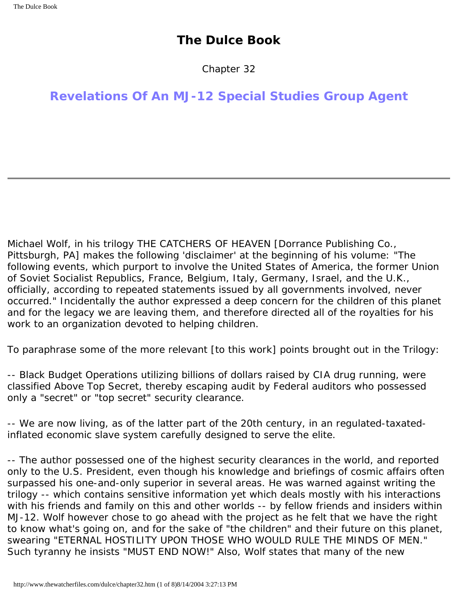### **The Dulce Book**

Chapter 32

### **Revelations Of An MJ-12 Special Studies Group Agent**

Michael Wolf, in his trilogy THE CATCHERS OF HEAVEN [Dorrance Publishing Co., Pittsburgh, PA] makes the following 'disclaimer' at the beginning of his volume: "The following events, which purport to involve the United States of America, the former Union of Soviet Socialist Republics, France, Belgium, Italy, Germany, Israel, and the U.K., officially, according to repeated statements issued by all governments involved, never occurred." Incidentally the author expressed a deep concern for the children of this planet and for the legacy we are leaving them, and therefore directed all of the royalties for his work to an organization devoted to helping children.

To paraphrase some of the more relevant [to this work] points brought out in the Trilogy:

-- Black Budget Operations utilizing billions of dollars raised by CIA drug running, were classified Above Top Secret, thereby escaping audit by Federal auditors who possessed only a "secret" or "top secret" security clearance.

-- We are now living, as of the latter part of the 20th century, in an regulated-taxatedinflated economic slave system carefully designed to serve the elite.

-- The author possessed one of the highest security clearances in the world, and reported only to the U.S. President, even though his knowledge and briefings of cosmic affairs often surpassed his one-and-only superior in several areas. He was warned against writing the trilogy -- which contains sensitive information yet which deals mostly with his interactions with his friends and family on this and other worlds -- by fellow friends and insiders within MJ-12. Wolf however chose to go ahead with the project as he felt that we have the right to know what's going on, and for the sake of "the children" and their future on this planet, swearing "ETERNAL HOSTILITY UPON THOSE WHO WOULD RULE THE MINDS OF MEN." Such tyranny he insists "MUST END NOW!" Also, Wolf states that many of the new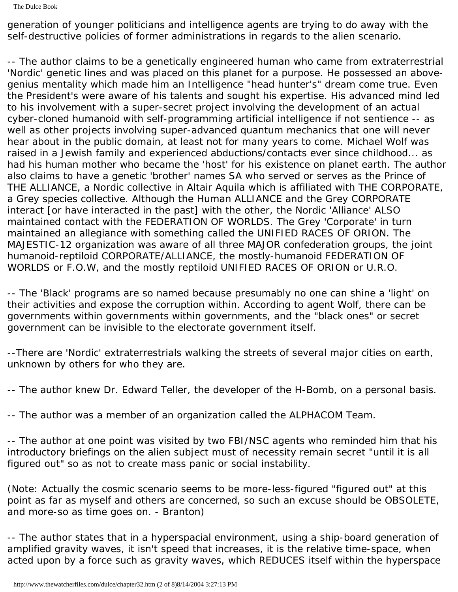The Dulce Book

generation of younger politicians and intelligence agents are trying to do away with the self-destructive policies of former administrations in regards to the alien scenario.

-- The author claims to be a genetically engineered human who came from extraterrestrial 'Nordic' genetic lines and was placed on this planet for a purpose. He possessed an abovegenius mentality which made him an Intelligence "head hunter's" dream come true. Even the President's were aware of his talents and sought his expertise. His advanced mind led to his involvement with a super-secret project involving the development of an actual cyber-cloned humanoid with self-programming artificial intelligence if not sentience -- as well as other projects involving super-advanced quantum mechanics that one will never hear about in the public domain, at least not for many years to come. Michael Wolf was raised in a Jewish family and experienced abductions/contacts ever since childhood... as had his human mother who became the 'host' for his existence on planet earth. The author also claims to have a genetic 'brother' names SA who served or serves as the Prince of THE ALLIANCE, a Nordic collective in Altair Aquila which is affiliated with THE CORPORATE, a Grey species collective. Although the Human ALLIANCE and the Grey CORPORATE interact [or have interacted in the past] with the other, the Nordic 'Alliance' ALSO maintained contact with the FEDERATION OF WORLDS. The Grey 'Corporate' in turn maintained an allegiance with something called the UNIFIED RACES OF ORION. The MAJESTIC-12 organization was aware of all three MAJOR confederation groups, the joint humanoid-reptiloid CORPORATE/ALLIANCE, the mostly-humanoid FEDERATION OF WORLDS or F.O.W, and the mostly reptiloid UNIFIED RACES OF ORION or U.R.O.

-- The 'Black' programs are so named because presumably no one can shine a 'light' on their activities and expose the corruption within. According to agent Wolf, there can be governments within governments within governments, and the "black ones" or secret government can be invisible to the electorate government itself.

--There are 'Nordic' extraterrestrials walking the streets of several major cities on earth, unknown by others for who they are.

-- The author knew Dr. Edward Teller, the developer of the H-Bomb, on a personal basis.

-- The author was a member of an organization called the ALPHACOM Team.

-- The author at one point was visited by two FBI/NSC agents who reminded him that his introductory briefings on the alien subject must of necessity remain secret "until it is all figured out" so as not to create mass panic or social instability.

(Note: Actually the cosmic scenario seems to be more-less-figured "figured out" at this point as far as myself and others are concerned, so such an excuse should be OBSOLETE, and more-so as time goes on. - Branton)

-- The author states that in a hyperspacial environment, using a ship-board generation of amplified gravity waves, it isn't speed that increases, it is the relative time-space, when acted upon by a force such as gravity waves, which REDUCES itself within the hyperspace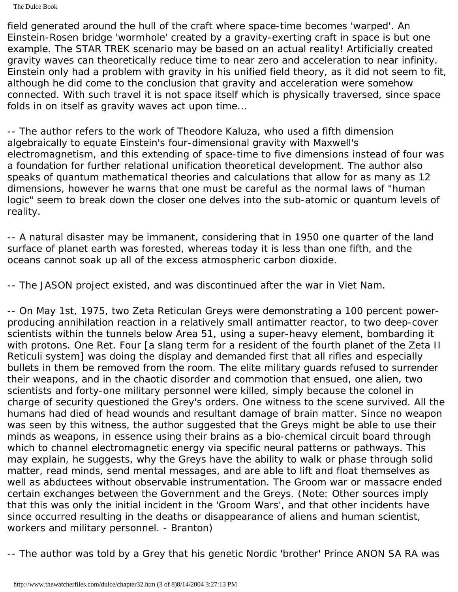The Dulce Book

field generated around the hull of the craft where space-time becomes 'warped'. An Einstein-Rosen bridge 'wormhole' created by a gravity-exerting craft in space is but one example. The STAR TREK scenario may be based on an actual reality! Artificially created gravity waves can theoretically reduce time to near zero and acceleration to near infinity. Einstein only had a problem with gravity in his unified field theory, as it did not seem to fit, although he did come to the conclusion that gravity and acceleration were somehow connected. With such travel it is not space itself which is physically traversed, since space folds in on itself as gravity waves act upon time...

-- The author refers to the work of Theodore Kaluza, who used a fifth dimension algebraically to equate Einstein's four-dimensional gravity with Maxwell's electromagnetism, and this extending of space-time to five dimensions instead of four was a foundation for further relational unification theoretical development. The author also speaks of quantum mathematical theories and calculations that allow for as many as 12 dimensions, however he warns that one must be careful as the normal laws of "human logic" seem to break down the closer one delves into the sub-atomic or quantum levels of reality.

-- A natural disaster may be immanent, considering that in 1950 one quarter of the land surface of planet earth was forested, whereas today it is less than one fifth, and the oceans cannot soak up all of the excess atmospheric carbon dioxide.

-- The JASON project existed, and was discontinued after the war in Viet Nam.

-- On May 1st, 1975, two Zeta Reticulan Greys were demonstrating a 100 percent powerproducing annihilation reaction in a relatively small antimatter reactor, to two deep-cover scientists within the tunnels below Area 51, using a super-heavy element, bombarding it with protons. One Ret. Four [a slang term for a resident of the fourth planet of the Zeta II Reticuli system] was doing the display and demanded first that all rifles and especially bullets in them be removed from the room. The elite military guards refused to surrender their weapons, and in the chaotic disorder and commotion that ensued, one alien, two scientists and forty-one military personnel were killed, simply because the colonel in charge of security questioned the Grey's orders. One witness to the scene survived. All the humans had died of head wounds and resultant damage of brain matter. Since no weapon was seen by this witness, the author suggested that the Greys might be able to use their minds as weapons, in essence using their brains as a bio-chemical circuit board through which to channel electromagnetic energy via specific neural patterns or pathways. This may explain, he suggests, why the Greys have the ability to walk or phase through solid matter, read minds, send mental messages, and are able to lift and float themselves as well as abductees without observable instrumentation. The Groom war or massacre ended certain exchanges between the Government and the Greys. (Note: Other sources imply that this was only the initial incident in the 'Groom Wars', and that other incidents have since occurred resulting in the deaths or disappearance of aliens and human scientist, workers and military personnel. - Branton)

-- The author was told by a Grey that his genetic Nordic 'brother' Prince ANON SA RA was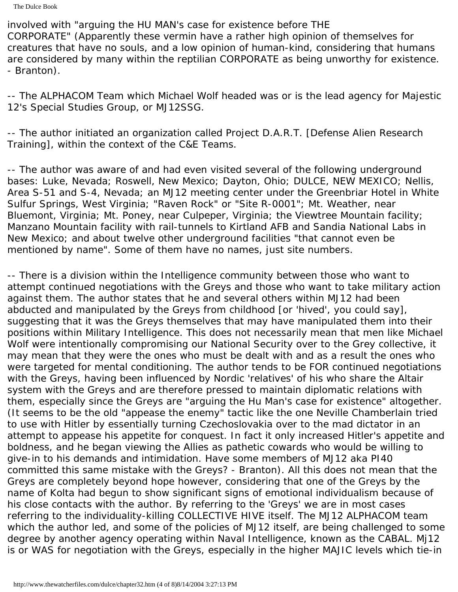involved with "arguing the HU MAN's case for existence before THE CORPORATE" (Apparently these vermin have a rather high opinion of themselves for creatures that have no souls, and a low opinion of human-kind, considering that humans are considered by many within the reptilian CORPORATE as being unworthy for existence. - Branton).

-- The ALPHACOM Team which Michael Wolf headed was or is the lead agency for Majestic 12's Special Studies Group, or MJ12SSG.

-- The author initiated an organization called Project D.A.R.T. [Defense Alien Research Training], within the context of the C&E Teams.

-- The author was aware of and had even visited several of the following underground bases: Luke, Nevada; Roswell, New Mexico; Dayton, Ohio; DULCE, NEW MEXICO; Nellis, Area S-51 and S-4, Nevada; an MJ12 meeting center under the Greenbriar Hotel in White Sulfur Springs, West Virginia; "Raven Rock" or "Site R-0001"; Mt. Weather, near Bluemont, Virginia; Mt. Poney, near Culpeper, Virginia; the Viewtree Mountain facility; Manzano Mountain facility with rail-tunnels to Kirtland AFB and Sandia National Labs in New Mexico; and about twelve other underground facilities "that cannot even be mentioned by name". Some of them have no names, just site numbers.

-- There is a division within the Intelligence community between those who want to attempt continued negotiations with the Greys and those who want to take military action against them. The author states that he and several others within MJ12 had been abducted and manipulated by the Greys from childhood [or 'hived', you could say], suggesting that it was the Greys themselves that may have manipulated them into their positions within Military Intelligence. This does not necessarily mean that men like Michael Wolf were intentionally compromising our National Security over to the Grey collective, it may mean that they were the ones who must be dealt with and as a result the ones who were targeted for mental conditioning. The author tends to be FOR continued negotiations with the Greys, having been influenced by Nordic 'relatives' of his who share the Altair system with the Greys and are therefore pressed to maintain diplomatic relations with them, especially since the Greys are "arguing the Hu Man's case for existence" altogether. (It seems to be the old "appease the enemy" tactic like the one Neville Chamberlain tried to use with Hitler by essentially turning Czechoslovakia over to the mad dictator in an attempt to appease his appetite for conquest. In fact it only increased Hitler's appetite and boldness, and he began viewing the Allies as pathetic cowards who would be willing to give-in to his demands and intimidation. Have some members of MJ12 aka PI40 committed this same mistake with the Greys? - Branton). All this does not mean that the Greys are completely beyond hope however, considering that one of the Greys by the name of Kolta had begun to show significant signs of emotional individualism because of his close contacts with the author. By referring to the 'Greys' we are in most cases referring to the individuality-killing COLLECTIVE HIVE itself. The MJ12 ALPHACOM team which the author led, and some of the policies of MJ12 itself, are being challenged to some degree by another agency operating within Naval Intelligence, known as the CABAL. Mj12 is or WAS for negotiation with the Greys, especially in the higher MAJIC levels which tie-in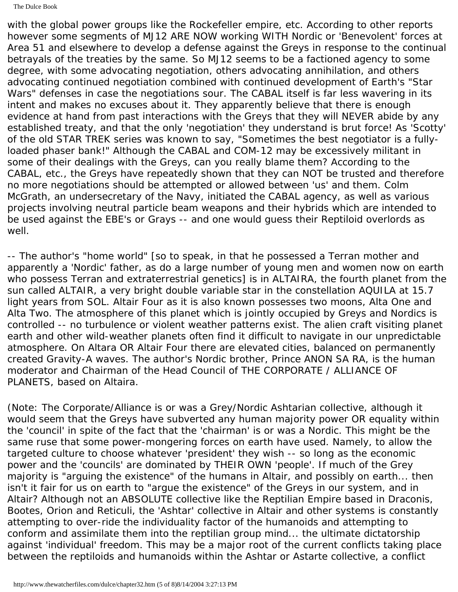The Dulce Book

with the global power groups like the Rockefeller empire, etc. According to other reports however some segments of MJ12 ARE NOW working WITH Nordic or 'Benevolent' forces at Area 51 and elsewhere to develop a defense against the Greys in response to the continual betrayals of the treaties by the same. So MJ12 seems to be a factioned agency to some degree, with some advocating negotiation, others advocating annihilation, and others advocating continued negotiation combined with continued development of Earth's "Star Wars" defenses in case the negotiations sour. The CABAL itself is far less wavering in its intent and makes no excuses about it. They apparently believe that there is enough evidence at hand from past interactions with the Greys that they will NEVER abide by any established treaty, and that the only 'negotiation' they understand is brut force! As 'Scotty' of the old STAR TREK series was known to say, "Sometimes the best negotiator is a fullyloaded phaser bank!" Although the CABAL and COM-12 may be excessively militant in some of their dealings with the Greys, can you really blame them? According to the CABAL, etc., the Greys have repeatedly shown that they can NOT be trusted and therefore no more negotiations should be attempted or allowed between 'us' and them. Colm McGrath, an undersecretary of the Navy, initiated the CABAL agency, as well as various projects involving neutral particle beam weapons and their hybrids which are intended to be used against the EBE's or Grays -- and one would guess their Reptiloid overlords as well.

-- The author's "home world" [so to speak, in that he possessed a Terran mother and apparently a 'Nordic' father, as do a large number of young men and women now on earth who possess Terran and extraterrestrial genetics] is in ALTAIRA, the fourth planet from the sun called ALTAIR, a very bright double variable star in the constellation AQUILA at 15.7 light years from SOL. Altair Four as it is also known possesses two moons, Alta One and Alta Two. The atmosphere of this planet which is jointly occupied by Greys and Nordics is controlled -- no turbulence or violent weather patterns exist. The alien craft visiting planet earth and other wild-weather planets often find it difficult to navigate in our unpredictable atmosphere. On Altara OR Altair Four there are elevated cities, balanced on permanently created Gravity-A waves. The author's Nordic brother, Prince ANON SA RA, is the human moderator and Chairman of the Head Council of THE CORPORATE / ALLIANCE OF PLANETS, based on Altaira.

(Note: The Corporate/Alliance is or was a Grey/Nordic Ashtarian collective, although it would seem that the Greys have subverted any human majority power OR equality within the 'council' in spite of the fact that the 'chairman' is or was a Nordic. This might be the same ruse that some power-mongering forces on earth have used. Namely, to allow the targeted culture to choose whatever 'president' they wish -- so long as the economic power and the 'councils' are dominated by THEIR OWN 'people'. If much of the Grey majority is "arguing the existence" of the humans in Altair, and possibly on earth... then isn't it fair for us on earth to "argue the existence" of the Greys in our system, and in Altair? Although not an ABSOLUTE collective like the Reptilian Empire based in Draconis, Bootes, Orion and Reticuli, the 'Ashtar' collective in Altair and other systems is constantly attempting to over-ride the individuality factor of the humanoids and attempting to conform and assimilate them into the reptilian group mind... the ultimate dictatorship against 'individual' freedom. This may be a major root of the current conflicts taking place between the reptiloids and humanoids within the Ashtar or Astarte collective, a conflict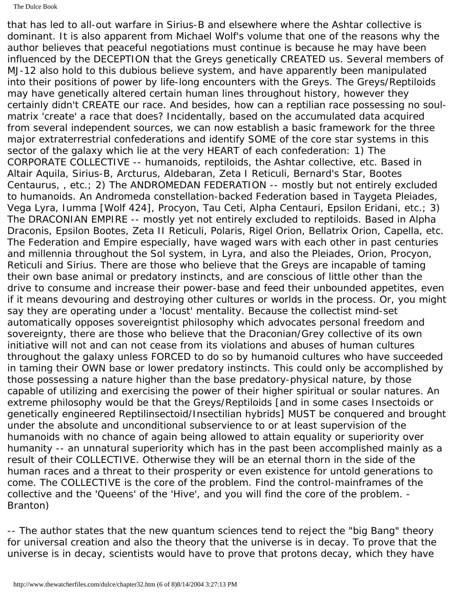that has led to all-out warfare in Sirius-B and elsewhere where the Ashtar collective is dominant. It is also apparent from Michael Wolf's volume that one of the reasons why the author believes that peaceful negotiations must continue is because he may have been influenced by the DECEPTION that the Greys genetically CREATED us. Several members of MJ-12 also hold to this dubious believe system, and have apparently been manipulated into their positions of power by life-long encounters with the Greys. The Greys/Reptiloids may have genetically altered certain human lines throughout history, however they certainly didn't CREATE our race. And besides, how can a reptilian race possessing no soulmatrix 'create' a race that does? Incidentally, based on the accumulated data acquired from several independent sources, we can now establish a basic framework for the three major extraterrestrial confederations and identify SOME of the core star systems in this sector of the galaxy which lie at the very HEART of each confederation: 1) The CORPORATE COLLECTIVE -- humanoids, reptiloids, the Ashtar collective, etc. Based in Altair Aquila, Sirius-B, Arcturus, Aldebaran, Zeta I Reticuli, Bernard's Star, Bootes Centaurus, , etc.; 2) The ANDROMEDAN FEDERATION -- mostly but not entirely excluded to humanoids. An Andromeda constellation-backed Federation based in Taygeta Pleiades, Vega Lyra, Iumma [Wolf 424], Procyon, Tau Ceti, Alpha Centauri, Epsilon Eridani, etc.; 3) The DRACONIAN EMPIRE -- mostly yet not entirely excluded to reptiloids. Based in Alpha Draconis, Epsilon Bootes, Zeta II Reticuli, Polaris, Rigel Orion, Bellatrix Orion, Capella, etc. The Federation and Empire especially, have waged wars with each other in past centuries and millennia throughout the Sol system, in Lyra, and also the Pleiades, Orion, Procyon, Reticuli and Sirius. There are those who believe that the Greys are incapable of taming their own base animal or predatory instincts, and are conscious of little other than the drive to consume and increase their power-base and feed their unbounded appetites, even if it means devouring and destroying other cultures or worlds in the process. Or, you might say they are operating under a 'locust' mentality. Because the collectist mind-set automatically opposes sovereigntist philosophy which advocates personal freedom and sovereignty, there are those who believe that the Draconian/Grey collective of its own initiative will not and can not cease from its violations and abuses of human cultures throughout the galaxy unless FORCED to do so by humanoid cultures who have succeeded in taming their OWN base or lower predatory instincts. This could only be accomplished by those possessing a nature higher than the base predatory-physical nature, by those capable of utilizing and exercising the power of their higher spiritual or soular natures. An extreme philosophy would be that the Greys/Reptiloids [and in some cases Insectoids or genetically engineered Reptilinsectoid/Insectilian hybrids] MUST be conquered and brought under the absolute and unconditional subservience to or at least supervision of the humanoids with no chance of again being allowed to attain equality or superiority over humanity -- an unnatural superiority which has in the past been accomplished mainly as a result of their COLLECTIVE. Otherwise they will be an eternal thorn in the side of the human races and a threat to their prosperity or even existence for untold generations to come. The COLLECTIVE is the core of the problem. Find the control-mainframes of the collective and the 'Queens' of the 'Hive', and you will find the core of the problem. - Branton)

-- The author states that the new quantum sciences tend to reject the "big Bang" theory for universal creation and also the theory that the universe is in decay. To prove that the universe is in decay, scientists would have to prove that protons decay, which they have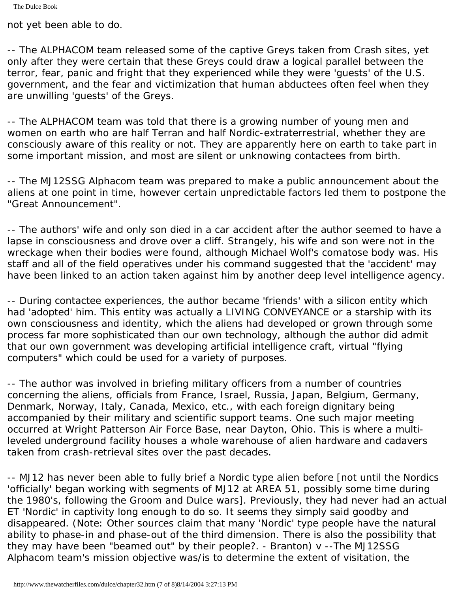not yet been able to do.

-- The ALPHACOM team released some of the captive Greys taken from Crash sites, yet only after they were certain that these Greys could draw a logical parallel between the terror, fear, panic and fright that they experienced while they were 'guests' of the U.S. government, and the fear and victimization that human abductees often feel when they are unwilling 'guests' of the Greys.

-- The ALPHACOM team was told that there is a growing number of young men and women on earth who are half Terran and half Nordic-extraterrestrial, whether they are consciously aware of this reality or not. They are apparently here on earth to take part in some important mission, and most are silent or unknowing contactees from birth.

-- The MJ12SSG Alphacom team was prepared to make a public announcement about the aliens at one point in time, however certain unpredictable factors led them to postpone the "Great Announcement".

-- The authors' wife and only son died in a car accident after the author seemed to have a lapse in consciousness and drove over a cliff. Strangely, his wife and son were not in the wreckage when their bodies were found, although Michael Wolf's comatose body was. His staff and all of the field operatives under his command suggested that the 'accident' may have been linked to an action taken against him by another deep level intelligence agency.

-- During contactee experiences, the author became 'friends' with a silicon entity which had 'adopted' him. This entity was actually a LIVING CONVEYANCE or a starship with its own consciousness and identity, which the aliens had developed or grown through some process far more sophisticated than our own technology, although the author did admit that our own government was developing artificial intelligence craft, virtual "flying computers" which could be used for a variety of purposes.

-- The author was involved in briefing military officers from a number of countries concerning the aliens, officials from France, Israel, Russia, Japan, Belgium, Germany, Denmark, Norway, Italy, Canada, Mexico, etc., with each foreign dignitary being accompanied by their military and scientific support teams. One such major meeting occurred at Wright Patterson Air Force Base, near Dayton, Ohio. This is where a multileveled underground facility houses a whole warehouse of alien hardware and cadavers taken from crash-retrieval sites over the past decades.

-- MJ12 has never been able to fully brief a Nordic type alien before [not until the Nordics 'officially' began working with segments of MJ12 at AREA 51, possibly some time during the 1980's, following the Groom and Dulce wars]. Previously, they had never had an actual ET 'Nordic' in captivity long enough to do so. It seems they simply said goodby and disappeared. (Note: Other sources claim that many 'Nordic' type people have the natural ability to phase-in and phase-out of the third dimension. There is also the possibility that they may have been "beamed out" by their people?. - Branton) v --The MJ12SSG Alphacom team's mission objective was/is to determine the extent of visitation, the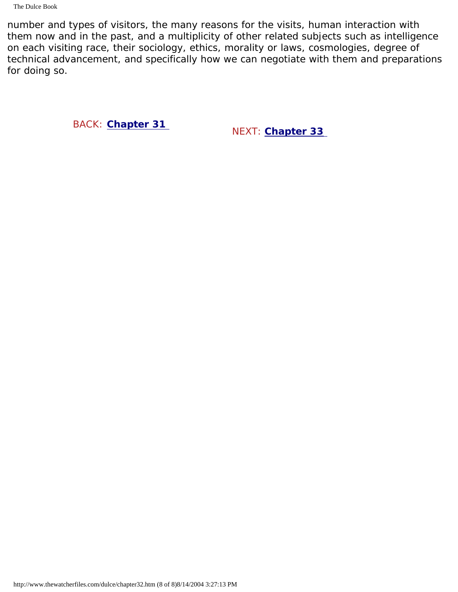number and types of visitors, the many reasons for the visits, human interaction with them now and in the past, and a multiplicity of other related subjects such as intelligence on each visiting race, their sociology, ethics, morality or laws, cosmologies, degree of technical advancement, and specifically how we can negotiate with them and preparations for doing so.

BACK: **[Chapter 31](#page-326-0)** NEXT: **[Chapter 33](#page-343-0)**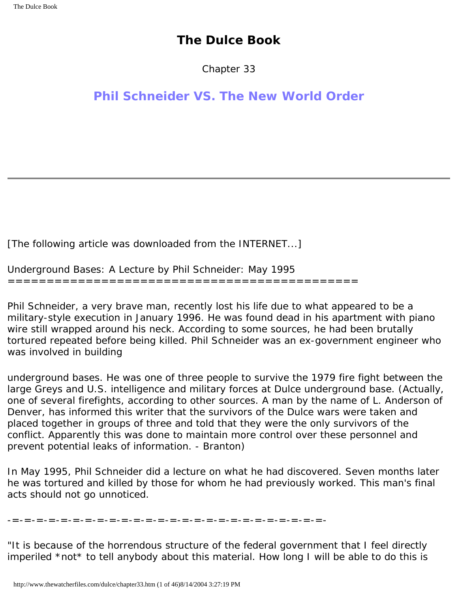## **The Dulce Book**

Chapter 33

<span id="page-343-0"></span>**Phil Schneider VS. The New World Order**

[The following article was downloaded from the INTERNET...]

Underground Bases: A Lecture by Phil Schneider: May 1995 =============================================

Phil Schneider, a very brave man, recently lost his life due to what appeared to be a military-style execution in January 1996. He was found dead in his apartment with piano wire still wrapped around his neck. According to some sources, he had been brutally tortured repeated before being killed. Phil Schneider was an ex-government engineer who was involved in building

underground bases. He was one of three people to survive the 1979 fire fight between the large Greys and U.S. intelligence and military forces at Dulce underground base. (Actually, one of several firefights, according to other sources. A man by the name of L. Anderson of Denver, has informed this writer that the survivors of the Dulce wars were taken and placed together in groups of three and told that they were the only survivors of the conflict. Apparently this was done to maintain more control over these personnel and prevent potential leaks of information. - Branton)

In May 1995, Phil Schneider did a lecture on what he had discovered. Seven months later he was tortured and killed by those for whom he had previously worked. This man's final acts should not go unnoticed.

-=-=-=-=-=-=-=-=-=-=-=-=-=-=-=-=-=-=-=-=-=-=-=-=-=-=-

"It is because of the horrendous structure of the federal government that I feel directly imperiled \*not\* to tell anybody about this material. How long I will be able to do this is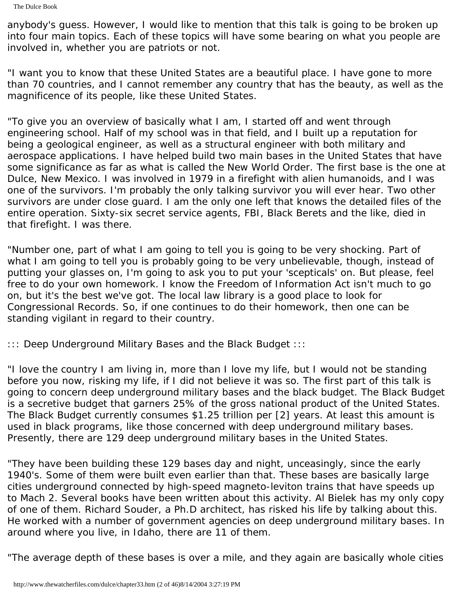anybody's guess. However, I would like to mention that this talk is going to be broken up into four main topics. Each of these topics will have some bearing on what you people are involved in, whether you are patriots or not.

"I want you to know that these United States are a beautiful place. I have gone to more than 70 countries, and I cannot remember any country that has the beauty, as well as the magnificence of its people, like these United States.

"To give you an overview of basically what I am, I started off and went through engineering school. Half of my school was in that field, and I built up a reputation for being a geological engineer, as well as a structural engineer with both military and aerospace applications. I have helped build two main bases in the United States that have some significance as far as what is called the New World Order. The first base is the one at Dulce, New Mexico. I was involved in 1979 in a firefight with alien humanoids, and I was one of the survivors. I'm probably the only talking survivor you will ever hear. Two other survivors are under close guard. I am the only one left that knows the detailed files of the entire operation. Sixty-six secret service agents, FBI, Black Berets and the like, died in that firefight. I was there.

"Number one, part of what I am going to tell you is going to be very shocking. Part of what I am going to tell you is probably going to be very unbelievable, though, instead of putting your glasses on, I'm going to ask you to put your 'scepticals' on. But please, feel free to do your own homework. I know the Freedom of Information Act isn't much to go on, but it's the best we've got. The local law library is a good place to look for Congressional Records. So, if one continues to do their homework, then one can be standing vigilant in regard to their country.

::: Deep Underground Military Bases and the Black Budget :::

"I love the country I am living in, more than I love my life, but I would not be standing before you now, risking my life, if I did not believe it was so. The first part of this talk is going to concern deep underground military bases and the black budget. The Black Budget is a secretive budget that garners 25% of the gross national product of the United States. The Black Budget currently consumes \$1.25 trillion per [2] years. At least this amount is used in black programs, like those concerned with deep underground military bases. Presently, there are 129 deep underground military bases in the United States.

"They have been building these 129 bases day and night, unceasingly, since the early 1940's. Some of them were built even earlier than that. These bases are basically large cities underground connected by high-speed magneto-leviton trains that have speeds up to Mach 2. Several books have been written about this activity. Al Bielek has my only copy of one of them. Richard Souder, a Ph.D architect, has risked his life by talking about this. He worked with a number of government agencies on deep underground military bases. In around where you live, in Idaho, there are 11 of them.

"The average depth of these bases is over a mile, and they again are basically whole cities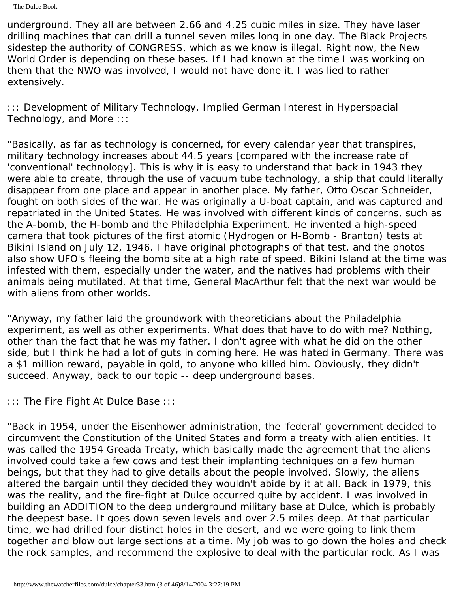underground. They all are between 2.66 and 4.25 cubic miles in size. They have laser drilling machines that can drill a tunnel seven miles long in one day. The Black Projects sidestep the authority of CONGRESS, which as we know is illegal. Right now, the New World Order is depending on these bases. If I had known at the time I was working on them that the NWO was involved, I would not have done it. I was lied to rather extensively.

::: Development of Military Technology, Implied German Interest in Hyperspacial Technology, and More :::

"Basically, as far as technology is concerned, for every calendar year that transpires, military technology increases about 44.5 years [compared with the increase rate of 'conventional' technology]. This is why it is easy to understand that back in 1943 they were able to create, through the use of vacuum tube technology, a ship that could literally disappear from one place and appear in another place. My father, Otto Oscar Schneider, fought on both sides of the war. He was originally a U-boat captain, and was captured and repatriated in the United States. He was involved with different kinds of concerns, such as the A-bomb, the H-bomb and the Philadelphia Experiment. He invented a high-speed camera that took pictures of the first atomic (Hydrogen or H-Bomb - Branton) tests at Bikini Island on July 12, 1946. I have original photographs of that test, and the photos also show UFO's fleeing the bomb site at a high rate of speed. Bikini Island at the time was infested with them, especially under the water, and the natives had problems with their animals being mutilated. At that time, General MacArthur felt that the next war would be with aliens from other worlds.

"Anyway, my father laid the groundwork with theoreticians about the Philadelphia experiment, as well as other experiments. What does that have to do with me? Nothing, other than the fact that he was my father. I don't agree with what he did on the other side, but I think he had a lot of guts in coming here. He was hated in Germany. There was a \$1 million reward, payable in gold, to anyone who killed him. Obviously, they didn't succeed. Anyway, back to our topic -- deep underground bases.

::: The Fire Fight At Dulce Base :::

"Back in 1954, under the Eisenhower administration, the 'federal' government decided to circumvent the Constitution of the United States and form a treaty with alien entities. It was called the 1954 Greada Treaty, which basically made the agreement that the aliens involved could take a few cows and test their implanting techniques on a few human beings, but that they had to give details about the people involved. Slowly, the aliens altered the bargain until they decided they wouldn't abide by it at all. Back in 1979, this was the reality, and the fire-fight at Dulce occurred quite by accident. I was involved in building an ADDITION to the deep underground military base at Dulce, which is probably the deepest base. It goes down seven levels and over 2.5 miles deep. At that particular time, we had drilled four distinct holes in the desert, and we were going to link them together and blow out large sections at a time. My job was to go down the holes and check the rock samples, and recommend the explosive to deal with the particular rock. As I was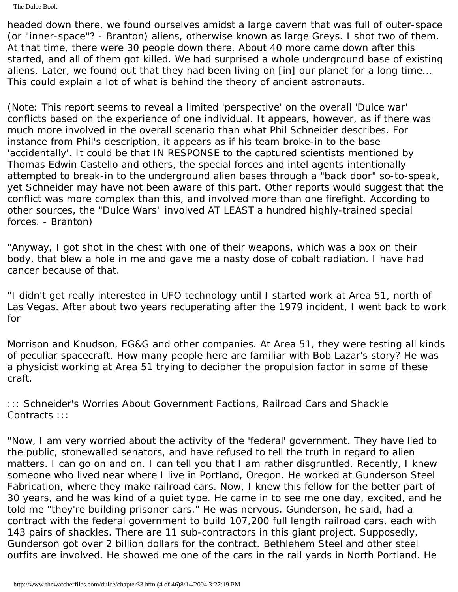The Dulce Book

headed down there, we found ourselves amidst a large cavern that was full of outer-space (or "inner-space"? - Branton) aliens, otherwise known as large Greys. I shot two of them. At that time, there were 30 people down there. About 40 more came down after this started, and all of them got killed. We had surprised a whole underground base of existing aliens. Later, we found out that they had been living on [in] our planet for a long time... This could explain a lot of what is behind the theory of ancient astronauts.

(Note: This report seems to reveal a limited 'perspective' on the overall 'Dulce war' conflicts based on the experience of one individual. It appears, however, as if there was much more involved in the overall scenario than what Phil Schneider describes. For instance from Phil's description, it appears as if his team broke-in to the base 'accidentally'. It could be that IN RESPONSE to the captured scientists mentioned by Thomas Edwin Castello and others, the special forces and intel agents intentionally attempted to break-in to the underground alien bases through a "back door" so-to-speak, yet Schneider may have not been aware of this part. Other reports would suggest that the conflict was more complex than this, and involved more than one firefight. According to other sources, the "Dulce Wars" involved AT LEAST a hundred highly-trained special forces. - Branton)

"Anyway, I got shot in the chest with one of their weapons, which was a box on their body, that blew a hole in me and gave me a nasty dose of cobalt radiation. I have had cancer because of that.

"I didn't get really interested in UFO technology until I started work at Area 51, north of Las Vegas. After about two years recuperating after the 1979 incident, I went back to work for

Morrison and Knudson, EG&G and other companies. At Area 51, they were testing all kinds of peculiar spacecraft. How many people here are familiar with Bob Lazar's story? He was a physicist working at Area 51 trying to decipher the propulsion factor in some of these craft.

::: Schneider's Worries About Government Factions, Railroad Cars and Shackle Contracts :::

"Now, I am very worried about the activity of the 'federal' government. They have lied to the public, stonewalled senators, and have refused to tell the truth in regard to alien matters. I can go on and on. I can tell you that I am rather disgruntled. Recently, I knew someone who lived near where I live in Portland, Oregon. He worked at Gunderson Steel Fabrication, where they make railroad cars. Now, I knew this fellow for the better part of 30 years, and he was kind of a quiet type. He came in to see me one day, excited, and he told me "they're building prisoner cars." He was nervous. Gunderson, he said, had a contract with the federal government to build 107,200 full length railroad cars, each with 143 pairs of shackles. There are 11 sub-contractors in this giant project. Supposedly, Gunderson got over 2 billion dollars for the contract. Bethlehem Steel and other steel outfits are involved. He showed me one of the cars in the rail yards in North Portland. He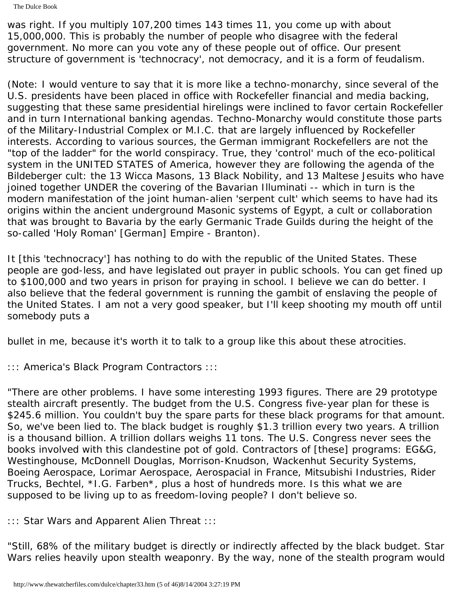```
The Dulce Book
```
was right. If you multiply 107,200 times 143 times 11, you come up with about 15,000,000. This is probably the number of people who disagree with the federal government. No more can you vote any of these people out of office. Our present structure of government is 'technocracy', not democracy, and it is a form of feudalism.

(Note: I would venture to say that it is more like a techno-monarchy, since several of the U.S. presidents have been placed in office with Rockefeller financial and media backing, suggesting that these same presidential hirelings were inclined to favor certain Rockefeller and in turn International banking agendas. Techno-Monarchy would constitute those parts of the Military-Industrial Complex or M.I.C. that are largely influenced by Rockefeller interests. According to various sources, the German immigrant Rockefellers are not the "top of the ladder" for the world conspiracy. True, they 'control' much of the eco-political system in the UNITED STATES of America, however they are following the agenda of the Bildeberger cult: the 13 Wicca Masons, 13 Black Nobility, and 13 Maltese Jesuits who have joined together UNDER the covering of the Bavarian Illuminati -- which in turn is the modern manifestation of the joint human-alien 'serpent cult' which seems to have had its origins within the ancient underground Masonic systems of Egypt, a cult or collaboration that was brought to Bavaria by the early Germanic Trade Guilds during the height of the so-called 'Holy Roman' [German] Empire - Branton).

It [this 'technocracy'] has nothing to do with the republic of the United States. These people are god-less, and have legislated out prayer in public schools. You can get fined up to \$100,000 and two years in prison for praying in school. I believe we can do better. I also believe that the federal government is running the gambit of enslaving the people of the United States. I am not a very good speaker, but I'll keep shooting my mouth off until somebody puts a

bullet in me, because it's worth it to talk to a group like this about these atrocities.

::: America's Black Program Contractors :::

"There are other problems. I have some interesting 1993 figures. There are 29 prototype stealth aircraft presently. The budget from the U.S. Congress five-year plan for these is \$245.6 million. You couldn't buy the spare parts for these black programs for that amount. So, we've been lied to. The black budget is roughly \$1.3 trillion every two years. A trillion is a thousand billion. A trillion dollars weighs 11 tons. The U.S. Congress never sees the books involved with this clandestine pot of gold. Contractors of [these] programs: EG&G, Westinghouse, McDonnell Douglas, Morrison-Knudson, Wackenhut Security Systems, Boeing Aerospace, Lorimar Aerospace, Aerospacial in France, Mitsubishi Industries, Rider Trucks, Bechtel, \*I.G. Farben\*, plus a host of hundreds more. Is this what we are supposed to be living up to as freedom-loving people? I don't believe so.

::: Star Wars and Apparent Alien Threat :::

"Still, 68% of the military budget is directly or indirectly affected by the black budget. Star Wars relies heavily upon stealth weaponry. By the way, none of the stealth program would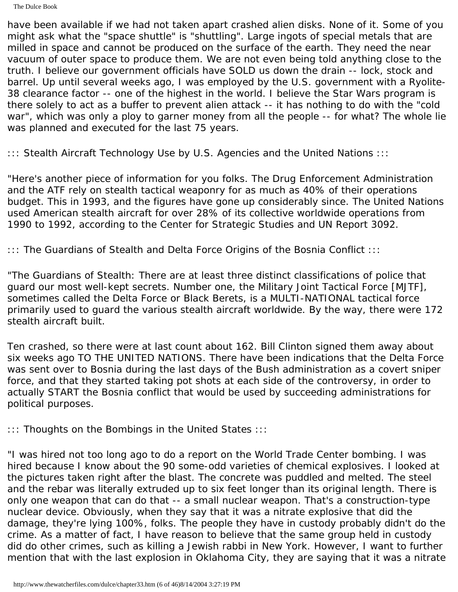The Dulce Book

have been available if we had not taken apart crashed alien disks. None of it. Some of you might ask what the "space shuttle" is "shuttling". Large ingots of special metals that are milled in space and cannot be produced on the surface of the earth. They need the near vacuum of outer space to produce them. We are not even being told anything close to the truth. I believe our government officials have SOLD us down the drain -- lock, stock and barrel. Up until several weeks ago, I was employed by the U.S. government with a Ryolite-38 clearance factor -- one of the highest in the world. I believe the Star Wars program is there solely to act as a buffer to prevent alien attack -- it has nothing to do with the "cold war", which was only a ploy to garner money from all the people -- for what? The whole lie was planned and executed for the last 75 years.

::: Stealth Aircraft Technology Use by U.S. Agencies and the United Nations :::

"Here's another piece of information for you folks. The Drug Enforcement Administration and the ATF rely on stealth tactical weaponry for as much as 40% of their operations budget. This in 1993, and the figures have gone up considerably since. The United Nations used American stealth aircraft for over 28% of its collective worldwide operations from 1990 to 1992, according to the Center for Strategic Studies and UN Report 3092.

::: The Guardians of Stealth and Delta Force Origins of the Bosnia Conflict :::

"The Guardians of Stealth: There are at least three distinct classifications of police that guard our most well-kept secrets. Number one, the Military Joint Tactical Force [MJTF], sometimes called the Delta Force or Black Berets, is a MULTI-NATIONAL tactical force primarily used to guard the various stealth aircraft worldwide. By the way, there were 172 stealth aircraft built.

Ten crashed, so there were at last count about 162. Bill Clinton signed them away about six weeks ago TO THE UNITED NATIONS. There have been indications that the Delta Force was sent over to Bosnia during the last days of the Bush administration as a covert sniper force, and that they started taking pot shots at each side of the controversy, in order to actually START the Bosnia conflict that would be used by succeeding administrations for political purposes.

::: Thoughts on the Bombings in the United States :::

"I was hired not too long ago to do a report on the World Trade Center bombing. I was hired because I know about the 90 some-odd varieties of chemical explosives. I looked at the pictures taken right after the blast. The concrete was puddled and melted. The steel and the rebar was literally extruded up to six feet longer than its original length. There is only one weapon that can do that -- a small nuclear weapon. That's a construction-type nuclear device. Obviously, when they say that it was a nitrate explosive that did the damage, they're lying 100%, folks. The people they have in custody probably didn't do the crime. As a matter of fact, I have reason to believe that the same group held in custody did do other crimes, such as killing a Jewish rabbi in New York. However, I want to further mention that with the last explosion in Oklahoma City, they are saying that it was a nitrate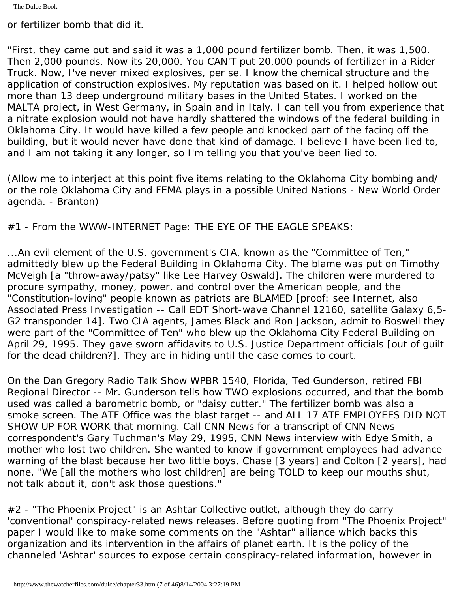The Dulce Book

or fertilizer bomb that did it.

"First, they came out and said it was a 1,000 pound fertilizer bomb. Then, it was 1,500. Then 2,000 pounds. Now its 20,000. You CAN'T put 20,000 pounds of fertilizer in a Rider Truck. Now, I've never mixed explosives, per se. I know the chemical structure and the application of construction explosives. My reputation was based on it. I helped hollow out more than 13 deep underground military bases in the United States. I worked on the MALTA project, in West Germany, in Spain and in Italy. I can tell you from experience that a nitrate explosion would not have hardly shattered the windows of the federal building in Oklahoma City. It would have killed a few people and knocked part of the facing off the building, but it would never have done that kind of damage. I believe I have been lied to, and I am not taking it any longer, so I'm telling you that you've been lied to.

(Allow me to interject at this point five items relating to the Oklahoma City bombing and/ or the role Oklahoma City and FEMA plays in a possible United Nations - New World Order agenda. - Branton)

#1 - From the WWW-INTERNET Page: THE EYE OF THE EAGLE SPEAKS:

...An evil element of the U.S. government's CIA, known as the "Committee of Ten," admittedly blew up the Federal Building in Oklahoma City. The blame was put on Timothy McVeigh [a "throw-away/patsy" like Lee Harvey Oswald]. The children were murdered to procure sympathy, money, power, and control over the American people, and the "Constitution-loving" people known as patriots are BLAMED [proof: see Internet, also Associated Press Investigation -- Call EDT Short-wave Channel 12160, satellite Galaxy 6,5- G2 transponder 14]. Two CIA agents, James Black and Ron Jackson, admit to Boswell they were part of the "Committee of Ten" who blew up the Oklahoma City Federal Building on April 29, 1995. They gave sworn affidavits to U.S. Justice Department officials [out of guilt for the dead children?]. They are in hiding until the case comes to court.

On the Dan Gregory Radio Talk Show WPBR 1540, Florida, Ted Gunderson, retired FBI Regional Director -- Mr. Gunderson tells how TWO explosions occurred, and that the bomb used was called a barometric bomb, or "daisy cutter." The fertilizer bomb was also a smoke screen. The ATF Office was the blast target -- and ALL 17 ATF EMPLOYEES DID NOT SHOW UP FOR WORK that morning. Call CNN News for a transcript of CNN News correspondent's Gary Tuchman's May 29, 1995, CNN News interview with Edye Smith, a mother who lost two children. She wanted to know if government employees had advance warning of the blast because her two little boys, Chase [3 years] and Colton [2 years], had none. "We [all the mothers who lost children] are being TOLD to keep our mouths shut, not talk about it, don't ask those questions."

#2 - "The Phoenix Project" is an Ashtar Collective outlet, although they do carry 'conventional' conspiracy-related news releases. Before quoting from "The Phoenix Project" paper I would like to make some comments on the "Ashtar" alliance which backs this organization and its intervention in the affairs of planet earth. It is the policy of the channeled 'Ashtar' sources to expose certain conspiracy-related information, however in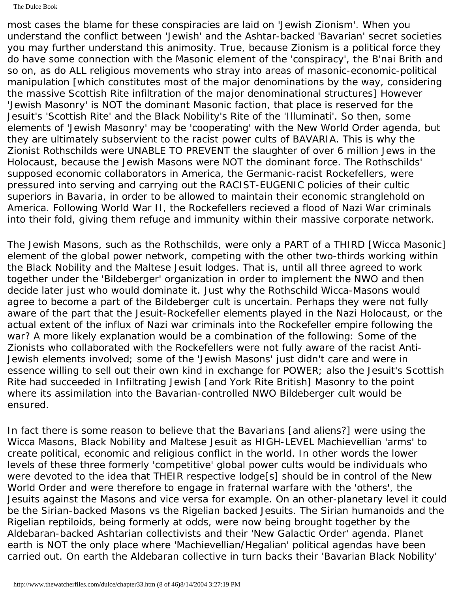The Dulce Book

most cases the blame for these conspiracies are laid on 'Jewish Zionism'. When you understand the conflict between 'Jewish' and the Ashtar-backed 'Bavarian' secret societies you may further understand this animosity. True, because Zionism is a political force they do have some connection with the Masonic element of the 'conspiracy', the B'nai Brith and so on, as do ALL religious movements who stray into areas of masonic-economic-political manipulation [which constitutes most of the major denominations by the way, considering the massive Scottish Rite infiltration of the major denominational structures] However 'Jewish Masonry' is NOT the dominant Masonic faction, that place is reserved for the Jesuit's 'Scottish Rite' and the Black Nobility's Rite of the 'Illuminati'. So then, some elements of 'Jewish Masonry' may be 'cooperating' with the New World Order agenda, but they are ultimately subservient to the racist power cults of BAVARIA. This is why the Zionist Rothschilds were UNABLE TO PREVENT the slaughter of over 6 million Jews in the Holocaust, because the Jewish Masons were NOT the dominant force. The Rothschilds' supposed economic collaborators in America, the Germanic-racist Rockefellers, were pressured into serving and carrying out the RACIST-EUGENIC policies of their cultic superiors in Bavaria, in order to be allowed to maintain their economic stranglehold on America. Following World War II, the Rockefellers recieved a flood of Nazi War criminals into their fold, giving them refuge and immunity within their massive corporate network.

The Jewish Masons, such as the Rothschilds, were only a PART of a THIRD [Wicca Masonic] element of the global power network, competing with the other two-thirds working within the Black Nobility and the Maltese Jesuit lodges. That is, until all three agreed to work together under the 'Bildeberger' organization in order to implement the NWO and then decide later just who would dominate it. Just why the Rothschild Wicca-Masons would agree to become a part of the Bildeberger cult is uncertain. Perhaps they were not fully aware of the part that the Jesuit-Rockefeller elements played in the Nazi Holocaust, or the actual extent of the influx of Nazi war criminals into the Rockefeller empire following the war? A more likely explanation would be a combination of the following: Some of the Zionists who collaborated with the Rockefellers were not fully aware of the racist Anti-Jewish elements involved; some of the 'Jewish Masons' just didn't care and were in essence willing to sell out their own kind in exchange for POWER; also the Jesuit's Scottish Rite had succeeded in Infiltrating Jewish [and York Rite British] Masonry to the point where its assimilation into the Bavarian-controlled NWO Bildeberger cult would be ensured.

In fact there is some reason to believe that the Bavarians [and aliens?] were using the Wicca Masons, Black Nobility and Maltese Jesuit as HIGH-LEVEL Machievellian 'arms' to create political, economic and religious conflict in the world. In other words the lower levels of these three formerly 'competitive' global power cults would be individuals who were devoted to the idea that THEIR respective lodge[s] should be in control of the New World Order and were therefore to engage in fraternal warfare with the 'others', the Jesuits against the Masons and vice versa for example. On an other-planetary level it could be the Sirian-backed Masons vs the Rigelian backed Jesuits. The Sirian humanoids and the Rigelian reptiloids, being formerly at odds, were now being brought together by the Aldebaran-backed Ashtarian collectivists and their 'New Galactic Order' agenda. Planet earth is NOT the only place where 'Machievellian/Hegalian' political agendas have been carried out. On earth the Aldebaran collective in turn backs their 'Bavarian Black Nobility'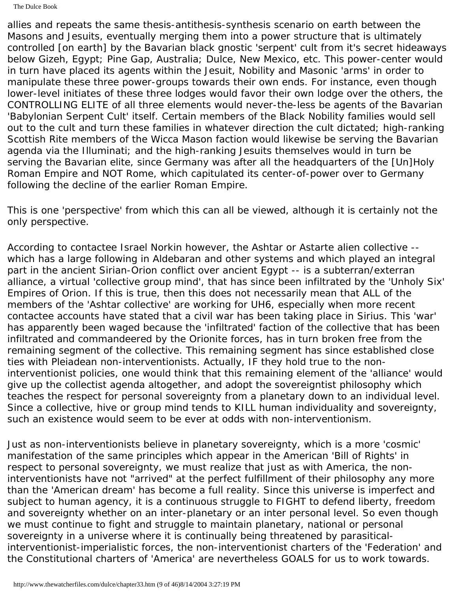The Dulce Book

allies and repeats the same thesis-antithesis-synthesis scenario on earth between the Masons and Jesuits, eventually merging them into a power structure that is ultimately controlled [on earth] by the Bavarian black gnostic 'serpent' cult from it's secret hideaways below Gizeh, Egypt; Pine Gap, Australia; Dulce, New Mexico, etc. This power-center would in turn have placed its agents within the Jesuit, Nobility and Masonic 'arms' in order to manipulate these three power-groups towards their own ends. For instance, even though lower-level initiates of these three lodges would favor their own lodge over the others, the CONTROLLING ELITE of all three elements would never-the-less be agents of the Bavarian 'Babylonian Serpent Cult' itself. Certain members of the Black Nobility families would sell out to the cult and turn these families in whatever direction the cult dictated; high-ranking Scottish Rite members of the Wicca Mason faction would likewise be serving the Bavarian agenda via the Illuminati; and the high-ranking Jesuits themselves would in turn be serving the Bavarian elite, since Germany was after all the headquarters of the [Un]Holy Roman Empire and NOT Rome, which capitulated its center-of-power over to Germany following the decline of the earlier Roman Empire.

This is one 'perspective' from which this can all be viewed, although it is certainly not the only perspective.

According to contactee Israel Norkin however, the Ashtar or Astarte alien collective - which has a large following in Aldebaran and other systems and which played an integral part in the ancient Sirian-Orion conflict over ancient Egypt -- is a subterran/exterran alliance, a virtual 'collective group mind', that has since been infiltrated by the 'Unholy Six' Empires of Orion. If this is true, then this does not necessarily mean that ALL of the members of the 'Ashtar collective' are working for UH6, especially when more recent contactee accounts have stated that a civil war has been taking place in Sirius. This 'war' has apparently been waged because the 'infiltrated' faction of the collective that has been infiltrated and commandeered by the Orionite forces, has in turn broken free from the remaining segment of the collective. This remaining segment has since established close ties with Pleiadean non-interventionists. Actually, IF they hold true to the noninterventionist policies, one would think that this remaining element of the 'alliance' would give up the collectist agenda altogether, and adopt the sovereigntist philosophy which teaches the respect for personal sovereignty from a planetary down to an individual level. Since a collective, hive or group mind tends to KILL human individuality and sovereignty, such an existence would seem to be ever at odds with non-interventionism.

Just as non-interventionists believe in planetary sovereignty, which is a more 'cosmic' manifestation of the same principles which appear in the American 'Bill of Rights' in respect to personal sovereignty, we must realize that just as with America, the noninterventionists have not "arrived" at the perfect fulfillment of their philosophy any more than the 'American dream' has become a full reality. Since this universe is imperfect and subject to human agency, it is a continuous struggle to FIGHT to defend liberty, freedom and sovereignty whether on an inter-planetary or an inter personal level. So even though we must continue to fight and struggle to maintain planetary, national or personal sovereignty in a universe where it is continually being threatened by parasiticalinterventionist-imperialistic forces, the non-interventionist charters of the 'Federation' and the Constitutional charters of 'America' are nevertheless GOALS for us to work towards.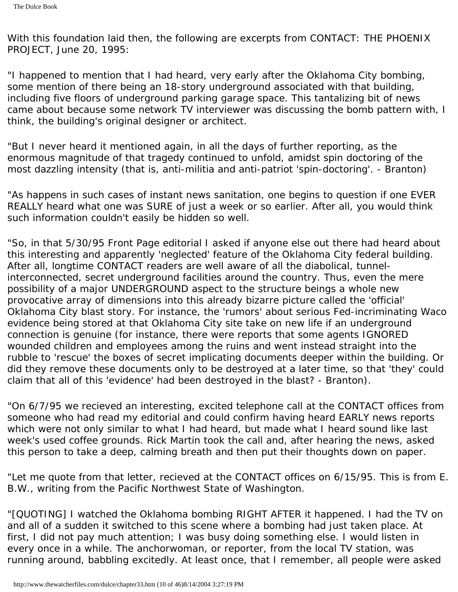With this foundation laid then, the following are excerpts from CONTACT: THE PHOENIX PROJECT, June 20, 1995:

"I happened to mention that I had heard, very early after the Oklahoma City bombing, some mention of there being an 18-story underground associated with that building, including five floors of underground parking garage space. This tantalizing bit of news came about because some network TV interviewer was discussing the bomb pattern with, I think, the building's original designer or architect.

"But I never heard it mentioned again, in all the days of further reporting, as the enormous magnitude of that tragedy continued to unfold, amidst spin doctoring of the most dazzling intensity (that is, anti-militia and anti-patriot 'spin-doctoring'. - Branton)

"As happens in such cases of instant news sanitation, one begins to question if one EVER REALLY heard what one was SURE of just a week or so earlier. After all, you would think such information couldn't easily be hidden so well.

"So, in that 5/30/95 Front Page editorial I asked if anyone else out there had heard about this interesting and apparently 'neglected' feature of the Oklahoma City federal building. After all, longtime CONTACT readers are well aware of all the diabolical, tunnelinterconnected, secret underground facilities around the country. Thus, even the mere possibility of a major UNDERGROUND aspect to the structure beings a whole new provocative array of dimensions into this already bizarre picture called the 'official' Oklahoma City blast story. For instance, the 'rumors' about serious Fed-incriminating Waco evidence being stored at that Oklahoma City site take on new life if an underground connection is genuine (for instance, there were reports that some agents IGNORED wounded children and employees among the ruins and went instead straight into the rubble to 'rescue' the boxes of secret implicating documents deeper within the building. Or did they remove these documents only to be destroyed at a later time, so that 'they' could claim that all of this 'evidence' had been destroyed in the blast? - Branton).

"On 6/7/95 we recieved an interesting, excited telephone call at the CONTACT offices from someone who had read my editorial and could confirm having heard EARLY news reports which were not only similar to what I had heard, but made what I heard sound like last week's used coffee grounds. Rick Martin took the call and, after hearing the news, asked this person to take a deep, calming breath and then put their thoughts down on paper.

"Let me quote from that letter, recieved at the CONTACT offices on 6/15/95. This is from E. B.W., writing from the Pacific Northwest State of Washington.

"[QUOTING] I watched the Oklahoma bombing RIGHT AFTER it happened. I had the TV on and all of a sudden it switched to this scene where a bombing had just taken place. At first, I did not pay much attention; I was busy doing something else. I would listen in every once in a while. The anchorwoman, or reporter, from the local TV station, was running around, babbling excitedly. At least once, that I remember, all people were asked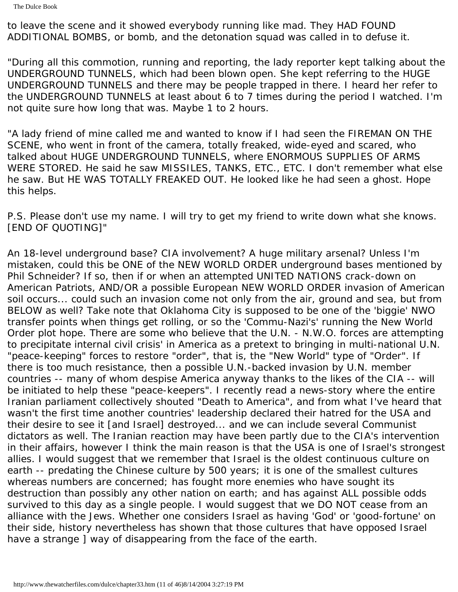to leave the scene and it showed everybody running like mad. They HAD FOUND ADDITIONAL BOMBS, or bomb, and the detonation squad was called in to defuse it.

"During all this commotion, running and reporting, the lady reporter kept talking about the UNDERGROUND TUNNELS, which had been blown open. She kept referring to the HUGE UNDERGROUND TUNNELS and there may be people trapped in there. I heard her refer to the UNDERGROUND TUNNELS at least about 6 to 7 times during the period I watched. I'm not quite sure how long that was. Maybe 1 to 2 hours.

"A lady friend of mine called me and wanted to know if I had seen the FIREMAN ON THE SCENE, who went in front of the camera, totally freaked, wide-eyed and scared, who talked about HUGE UNDERGROUND TUNNELS, where ENORMOUS SUPPLIES OF ARMS WERE STORED. He said he saw MISSILES, TANKS, ETC., ETC. I don't remember what else he saw. But HE WAS TOTALLY FREAKED OUT. He looked like he had seen a ghost. Hope this helps.

P.S. Please don't use my name. I will try to get my friend to write down what she knows. [END OF QUOTING]"

An 18-level underground base? CIA involvement? A huge military arsenal? Unless I'm mistaken, could this be ONE of the NEW WORLD ORDER underground bases mentioned by Phil Schneider? If so, then if or when an attempted UNITED NATIONS crack-down on American Patriots, AND/OR a possible European NEW WORLD ORDER invasion of American soil occurs... could such an invasion come not only from the air, ground and sea, but from BELOW as well? Take note that Oklahoma City is supposed to be one of the 'biggie' NWO transfer points when things get rolling, or so the 'Commu-Nazi's' running the New World Order plot hope. There are some who believe that the U.N. - N.W.O. forces are attempting to precipitate internal civil crisis' in America as a pretext to bringing in multi-national U.N. "peace-keeping" forces to restore "order", that is, the "New World" type of "Order". If there is too much resistance, then a possible U.N.-backed invasion by U.N. member countries -- many of whom despise America anyway thanks to the likes of the CIA -- will be initiated to help these "peace-keepers". I recently read a news-story where the entire Iranian parliament collectively shouted "Death to America", and from what I've heard that wasn't the first time another countries' leadership declared their hatred for the USA and their desire to see it [and Israel] destroyed... and we can include several Communist dictators as well. The Iranian reaction may have been partly due to the CIA's intervention in their affairs, however I think the main reason is that the USA is one of Israel's strongest allies. I would suggest that we remember that Israel is the oldest continuous culture on earth -- predating the Chinese culture by 500 years; it is one of the smallest cultures whereas numbers are concerned; has fought more enemies who have sought its destruction than possibly any other nation on earth; and has against ALL possible odds survived to this day as a single people. I would suggest that we DO NOT cease from an alliance with the Jews. Whether one considers Israel as having 'God' or 'good-fortune' on their side, history nevertheless has shown that those cultures that have opposed Israel have a strange I way of disappearing from the face of the earth.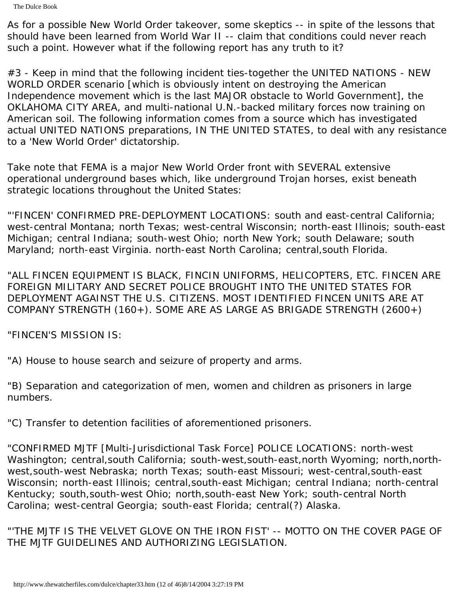The Dulce Book

As for a possible New World Order takeover, some skeptics -- in spite of the lessons that should have been learned from World War II -- claim that conditions could never reach such a point. However what if the following report has any truth to it?

#3 - Keep in mind that the following incident ties-together the UNITED NATIONS - NEW WORLD ORDER scenario [which is obviously intent on destroying the American Independence movement which is the last MAJOR obstacle to World Government], the OKLAHOMA CITY AREA, and multi-national U.N.-backed military forces now training on American soil. The following information comes from a source which has investigated actual UNITED NATIONS preparations, IN THE UNITED STATES, to deal with any resistance to a 'New World Order' dictatorship.

Take note that FEMA is a major New World Order front with SEVERAL extensive operational underground bases which, like underground Trojan horses, exist beneath strategic locations throughout the United States:

"'FINCEN' CONFIRMED PRE-DEPLOYMENT LOCATIONS: south and east-central California; west-central Montana; north Texas; west-central Wisconsin; north-east Illinois; south-east Michigan; central Indiana; south-west Ohio; north New York; south Delaware; south Maryland; north-east Virginia. north-east North Carolina; central,south Florida.

"ALL FINCEN EQUIPMENT IS BLACK, FINCIN UNIFORMS, HELICOPTERS, ETC. FINCEN ARE FOREIGN MILITARY AND SECRET POLICE BROUGHT INTO THE UNITED STATES FOR DEPLOYMENT AGAINST THE U.S. CITIZENS. MOST IDENTIFIED FINCEN UNITS ARE AT COMPANY STRENGTH (160+). SOME ARE AS LARGE AS BRIGADE STRENGTH (2600+)

"FINCEN'S MISSION IS:

"A) House to house search and seizure of property and arms.

"B) Separation and categorization of men, women and children as prisoners in large numbers.

"C) Transfer to detention facilities of aforementioned prisoners.

"CONFIRMED MJTF [Multi-Jurisdictional Task Force] POLICE LOCATIONS: north-west Washington; central, south California; south-west, south-east, north Wyoming; north, northwest,south-west Nebraska; north Texas; south-east Missouri; west-central,south-east Wisconsin; north-east Illinois; central,south-east Michigan; central Indiana; north-central Kentucky; south,south-west Ohio; north,south-east New York; south-central North Carolina; west-central Georgia; south-east Florida; central(?) Alaska.

"'THE MJTF IS THE VELVET GLOVE ON THE IRON FIST' -- MOTTO ON THE COVER PAGE OF THE MJTF GUIDELINES AND AUTHORIZING LEGISLATION.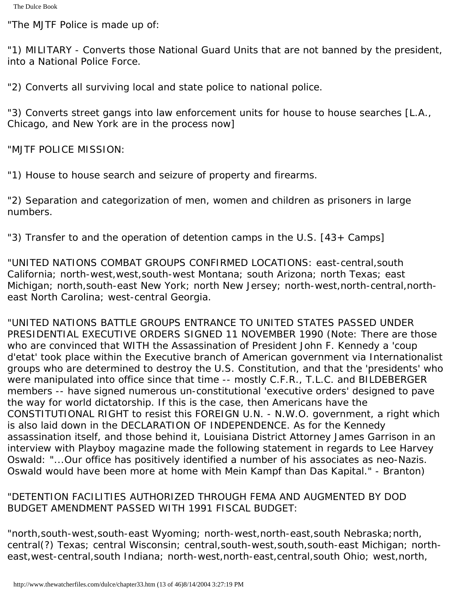"The MJTF Police is made up of:

"1) MILITARY - Converts those National Guard Units that are not banned by the president, into a National Police Force.

"2) Converts all surviving local and state police to national police.

"3) Converts street gangs into law enforcement units for house to house searches [L.A., Chicago, and New York are in the process now]

"MJTF POLICE MISSION:

"1) House to house search and seizure of property and firearms.

"2) Separation and categorization of men, women and children as prisoners in large numbers.

"3) Transfer to and the operation of detention camps in the U.S. [43+ Camps]

"UNITED NATIONS COMBAT GROUPS CONFIRMED LOCATIONS: east-central,south California; north-west,west,south-west Montana; south Arizona; north Texas; east Michigan; north,south-east New York; north New Jersey; north-west,north-central,northeast North Carolina; west-central Georgia.

"UNITED NATIONS BATTLE GROUPS ENTRANCE TO UNITED STATES PASSED UNDER PRESIDENTIAL EXECUTIVE ORDERS SIGNED 11 NOVEMBER 1990 (Note: There are those who are convinced that WITH the Assassination of President John F. Kennedy a 'coup d'etat' took place within the Executive branch of American government via Internationalist groups who are determined to destroy the U.S. Constitution, and that the 'presidents' who were manipulated into office since that time -- mostly C.F.R., T.L.C. and BILDEBERGER members -- have signed numerous un-constitutional 'executive orders' designed to pave the way for world dictatorship. If this is the case, then Americans have the CONSTITUTIONAL RIGHT to resist this FOREIGN U.N. - N.W.O. government, a right which is also laid down in the DECLARATION OF INDEPENDENCE. As for the Kennedy assassination itself, and those behind it, Louisiana District Attorney James Garrison in an interview with Playboy magazine made the following statement in regards to Lee Harvey Oswald: "...Our office has positively identified a number of his associates as neo-Nazis. Oswald would have been more at home with Mein Kampf than Das Kapital." - Branton)

#### "DETENTION FACILITIES AUTHORIZED THROUGH FEMA AND AUGMENTED BY DOD BUDGET AMENDMENT PASSED WITH 1991 FISCAL BUDGET:

"north,south-west,south-east Wyoming; north-west,north-east,south Nebraska;north, central(?) Texas; central Wisconsin; central,south-west,south,south-east Michigan; northeast, west-central, south Indiana; north-west, north-east, central, south Ohio; west, north,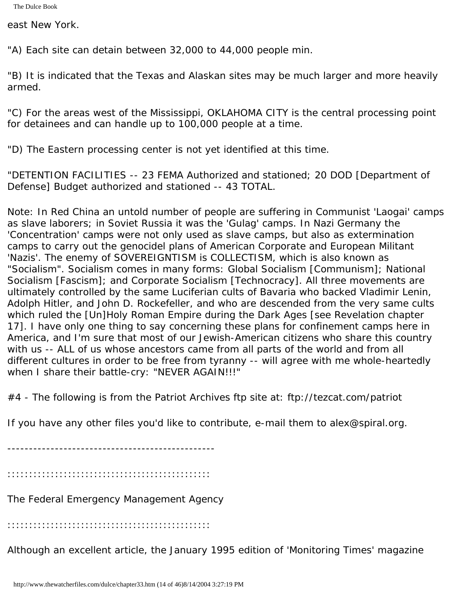east New York.

"A) Each site can detain between 32,000 to 44,000 people min.

"B) It is indicated that the Texas and Alaskan sites may be much larger and more heavily armed.

"C) For the areas west of the Mississippi, OKLAHOMA CITY is the central processing point for detainees and can handle up to 100,000 people at a time.

"D) The Eastern processing center is not yet identified at this time.

"DETENTION FACILITIES -- 23 FEMA Authorized and stationed; 20 DOD [Department of Defense] Budget authorized and stationed -- 43 TOTAL.

Note: In Red China an untold number of people are suffering in Communist 'Laogai' camps as slave laborers; in Soviet Russia it was the 'Gulag' camps. In Nazi Germany the 'Concentration' camps were not only used as slave camps, but also as extermination camps to carry out the genocidel plans of American Corporate and European Militant 'Nazis'. The enemy of SOVEREIGNTISM is COLLECTISM, which is also known as "Socialism". Socialism comes in many forms: Global Socialism [Communism]; National Socialism [Fascism]; and Corporate Socialism [Technocracy]. All three movements are ultimately controlled by the same Luciferian cults of Bavaria who backed Vladimir Lenin, Adolph Hitler, and John D. Rockefeller, and who are descended from the very same cults which ruled the [Un]Holy Roman Empire during the Dark Ages [see Revelation chapter 17]. I have only one thing to say concerning these plans for confinement camps here in America, and I'm sure that most of our Jewish-American citizens who share this country with us -- ALL of us whose ancestors came from all parts of the world and from all different cultures in order to be free from tyranny -- will agree with me whole-heartedly when I share their battle-cry: "NEVER AGAIN!!!"

#4 - The following is from the Patriot Archives ftp site at: ftp://tezcat.com/patriot

If you have any other files you'd like to contribute, e-mail them to alex@spiral.org.

------------------------------------------------

:::::::::::::::::::::::::::::::::::::::::::::::

The Federal Emergency Management Agency

:::::::::::::::::::::::::::::::::::::::::::::::

Although an excellent article, the January 1995 edition of 'Monitoring Times' magazine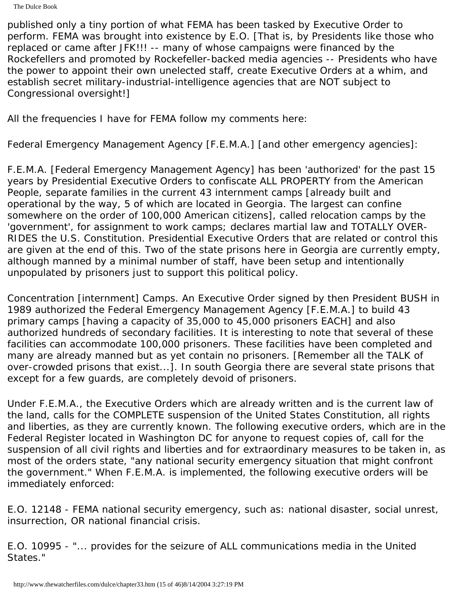published only a tiny portion of what FEMA has been tasked by Executive Order to perform. FEMA was brought into existence by E.O. [That is, by Presidents like those who replaced or came after JFK!!! -- many of whose campaigns were financed by the Rockefellers and promoted by Rockefeller-backed media agencies -- Presidents who have the power to appoint their own unelected staff, create Executive Orders at a whim, and establish secret military-industrial-intelligence agencies that are NOT subject to Congressional oversight!]

All the frequencies I have for FEMA follow my comments here:

Federal Emergency Management Agency [F.E.M.A.] [and other emergency agencies]:

F.E.M.A. [Federal Emergency Management Agency] has been 'authorized' for the past 15 years by Presidential Executive Orders to confiscate ALL PROPERTY from the American People, separate families in the current 43 internment camps [already built and operational by the way, 5 of which are located in Georgia. The largest can confine somewhere on the order of 100,000 American citizens], called relocation camps by the 'government', for assignment to work camps; declares martial law and TOTALLY OVER-RIDES the U.S. Constitution. Presidential Executive Orders that are related or control this are given at the end of this. Two of the state prisons here in Georgia are currently empty, although manned by a minimal number of staff, have been setup and intentionally unpopulated by prisoners just to support this political policy.

Concentration [internment] Camps. An Executive Order signed by then President BUSH in 1989 authorized the Federal Emergency Management Agency [F.E.M.A.] to build 43 primary camps [having a capacity of 35,000 to 45,000 prisoners EACH] and also authorized hundreds of secondary facilities. It is interesting to note that several of these facilities can accommodate 100,000 prisoners. These facilities have been completed and many are already manned but as yet contain no prisoners. [Remember all the TALK of over-crowded prisons that exist...]. In south Georgia there are several state prisons that except for a few guards, are completely devoid of prisoners.

Under F.E.M.A., the Executive Orders which are already written and is the current law of the land, calls for the COMPLETE suspension of the United States Constitution, all rights and liberties, as they are currently known. The following executive orders, which are in the Federal Register located in Washington DC for anyone to request copies of, call for the suspension of all civil rights and liberties and for extraordinary measures to be taken in, as most of the orders state, "any national security emergency situation that might confront the government." When F.E.M.A. is implemented, the following executive orders will be immediately enforced:

E.O. 12148 - FEMA national security emergency, such as: national disaster, social unrest, insurrection, OR national financial crisis.

E.O. 10995 - "... provides for the seizure of ALL communications media in the United States."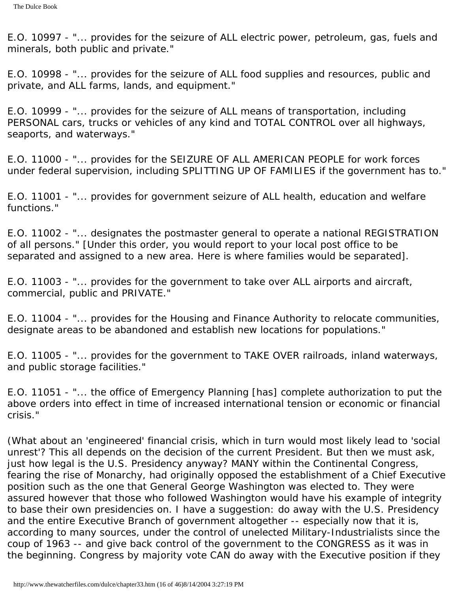E.O. 10997 - "... provides for the seizure of ALL electric power, petroleum, gas, fuels and minerals, both public and private."

E.O. 10998 - "... provides for the seizure of ALL food supplies and resources, public and private, and ALL farms, lands, and equipment."

E.O. 10999 - "... provides for the seizure of ALL means of transportation, including PERSONAL cars, trucks or vehicles of any kind and TOTAL CONTROL over all highways, seaports, and waterways."

E.O. 11000 - "... provides for the SEIZURE OF ALL AMERICAN PEOPLE for work forces under federal supervision, including SPLITTING UP OF FAMILIES if the government has to."

E.O. 11001 - "... provides for government seizure of ALL health, education and welfare functions."

E.O. 11002 - "... designates the postmaster general to operate a national REGISTRATION of all persons." [Under this order, you would report to your local post office to be separated and assigned to a new area. Here is where families would be separated].

E.O. 11003 - "... provides for the government to take over ALL airports and aircraft, commercial, public and PRIVATE."

E.O. 11004 - "... provides for the Housing and Finance Authority to relocate communities, designate areas to be abandoned and establish new locations for populations."

E.O. 11005 - "... provides for the government to TAKE OVER railroads, inland waterways, and public storage facilities."

E.O. 11051 - "... the office of Emergency Planning [has] complete authorization to put the above orders into effect in time of increased international tension or economic or financial crisis."

(What about an 'engineered' financial crisis, which in turn would most likely lead to 'social unrest'? This all depends on the decision of the current President. But then we must ask, just how legal is the U.S. Presidency anyway? MANY within the Continental Congress, fearing the rise of Monarchy, had originally opposed the establishment of a Chief Executive position such as the one that General George Washington was elected to. They were assured however that those who followed Washington would have his example of integrity to base their own presidencies on. I have a suggestion: do away with the U.S. Presidency and the entire Executive Branch of government altogether -- especially now that it is, according to many sources, under the control of unelected Military-Industrialists since the coup of 1963 -- and give back control of the government to the CONGRESS as it was in the beginning. Congress by majority vote CAN do away with the Executive position if they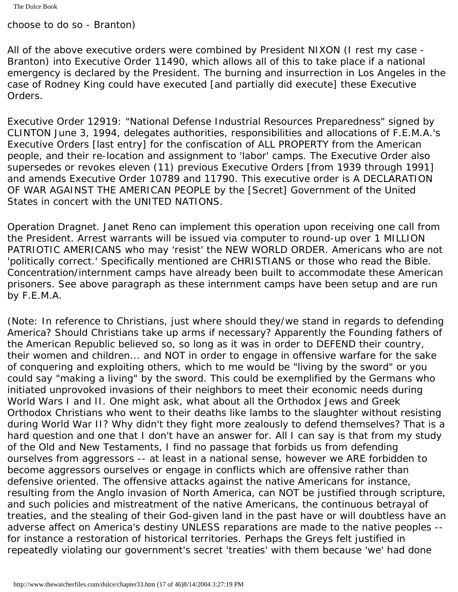choose to do so - Branton)

All of the above executive orders were combined by President NIXON (I rest my case - Branton) into Executive Order 11490, which allows all of this to take place if a national emergency is declared by the President. The burning and insurrection in Los Angeles in the case of Rodney King could have executed [and partially did execute] these Executive Orders.

Executive Order 12919: "National Defense Industrial Resources Preparedness" signed by CLINTON June 3, 1994, delegates authorities, responsibilities and allocations of F.E.M.A.'s Executive Orders [last entry] for the confiscation of ALL PROPERTY from the American people, and their re-location and assignment to 'labor' camps. The Executive Order also supersedes or revokes eleven (11) previous Executive Orders [from 1939 through 1991] and amends Executive Order 10789 and 11790. This executive order is A DECLARATION OF WAR AGAINST THE AMERICAN PEOPLE by the [Secret] Government of the United States in concert with the UNITED NATIONS.

Operation Dragnet. Janet Reno can implement this operation upon receiving one call from the President. Arrest warrants will be issued via computer to round-up over 1 MILLION PATRIOTIC AMERICANS who may 'resist' the NEW WORLD ORDER. Americans who are not 'politically correct.' Specifically mentioned are CHRISTIANS or those who read the Bible. Concentration/internment camps have already been built to accommodate these American prisoners. See above paragraph as these internment camps have been setup and are run by F.E.M.A.

(Note: In reference to Christians, just where should they/we stand in regards to defending America? Should Christians take up arms if necessary? Apparently the Founding fathers of the American Republic believed so, so long as it was in order to DEFEND their country, their women and children... and NOT in order to engage in offensive warfare for the sake of conquering and exploiting others, which to me would be "living by the sword" or you could say "making a living" by the sword. This could be exemplified by the Germans who initiated unprovoked invasions of their neighbors to meet their economic needs during World Wars I and II. One might ask, what about all the Orthodox Jews and Greek Orthodox Christians who went to their deaths like lambs to the slaughter without resisting during World War II? Why didn't they fight more zealously to defend themselves? That is a hard question and one that I don't have an answer for. All I can say is that from my study of the Old and New Testaments, I find no passage that forbids us from defending ourselves from aggressors -- at least in a national sense, however we ARE forbidden to become aggressors ourselves or engage in conflicts which are offensive rather than defensive oriented. The offensive attacks against the native Americans for instance, resulting from the Anglo invasion of North America, can NOT be justified through scripture, and such policies and mistreatment of the native Americans, the continuous betrayal of treaties, and the stealing of their God-given land in the past have or will doubtless have an adverse affect on America's destiny UNLESS reparations are made to the native peoples - for instance a restoration of historical territories. Perhaps the Greys felt justified in repeatedly violating our government's secret 'treaties' with them because 'we' had done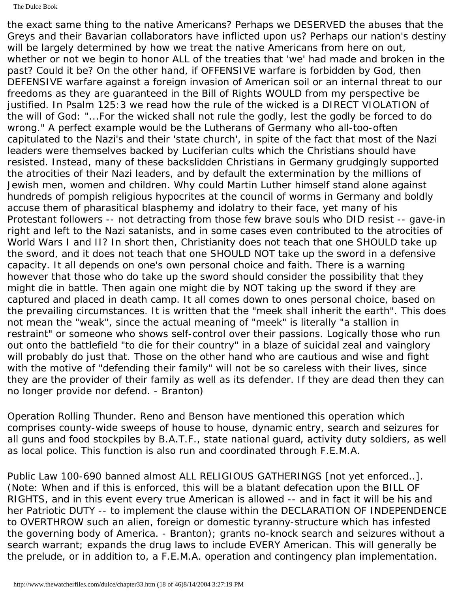#### The Dulce Book

the exact same thing to the native Americans? Perhaps we DESERVED the abuses that the Greys and their Bavarian collaborators have inflicted upon us? Perhaps our nation's destiny will be largely determined by how we treat the native Americans from here on out, whether or not we begin to honor ALL of the treaties that 'we' had made and broken in the past? Could it be? On the other hand, if OFFENSIVE warfare is forbidden by God, then DEFENSIVE warfare against a foreign invasion of American soil or an internal threat to our freedoms as they are guaranteed in the Bill of Rights WOULD from my perspective be justified. In Psalm 125:3 we read how the rule of the wicked is a DIRECT VIOLATION of the will of God: "...For the wicked shall not rule the godly, lest the godly be forced to do wrong." A perfect example would be the Lutherans of Germany who all-too-often capitulated to the Nazi's and their 'state church', in spite of the fact that most of the Nazi leaders were themselves backed by Luciferian cults which the Christians should have resisted. Instead, many of these backslidden Christians in Germany grudgingly supported the atrocities of their Nazi leaders, and by default the extermination by the millions of Jewish men, women and children. Why could Martin Luther himself stand alone against hundreds of pompish religious hypocrites at the council of worms in Germany and boldly accuse them of pharasitical blasphemy and idolatry to their face, yet many of his Protestant followers -- not detracting from those few brave souls who DID resist -- gave-in right and left to the Nazi satanists, and in some cases even contributed to the atrocities of World Wars I and II? In short then, Christianity does not teach that one SHOULD take up the sword, and it does not teach that one SHOULD NOT take up the sword in a defensive capacity. It all depends on one's own personal choice and faith. There is a warning however that those who do take up the sword should consider the possibility that they might die in battle. Then again one might die by NOT taking up the sword if they are captured and placed in death camp. It all comes down to ones personal choice, based on the prevailing circumstances. It is written that the "meek shall inherit the earth". This does not mean the "weak", since the actual meaning of "meek" is literally "a stallion in restraint" or someone who shows self-control over their passions. Logically those who run out onto the battlefield "to die for their country" in a blaze of suicidal zeal and vainglory will probably do just that. Those on the other hand who are cautious and wise and fight with the motive of "defending their family" will not be so careless with their lives, since they are the provider of their family as well as its defender. If they are dead then they can no longer provide nor defend. - Branton)

Operation Rolling Thunder. Reno and Benson have mentioned this operation which comprises county-wide sweeps of house to house, dynamic entry, search and seizures for all guns and food stockpiles by B.A.T.F., state national guard, activity duty soldiers, as well as local police. This function is also run and coordinated through F.E.M.A.

Public Law 100-690 banned almost ALL RELIGIOUS GATHERINGS [not yet enforced..]. (Note: When and if this is enforced, this will be a blatant defecation upon the BILL OF RIGHTS, and in this event every true American is allowed -- and in fact it will be his and her Patriotic DUTY -- to implement the clause within the DECLARATION OF INDEPENDENCE to OVERTHROW such an alien, foreign or domestic tyranny-structure which has infested the governing body of America. - Branton); grants no-knock search and seizures without a search warrant; expands the drug laws to include EVERY American. This will generally be the prelude, or in addition to, a F.E.M.A. operation and contingency plan implementation.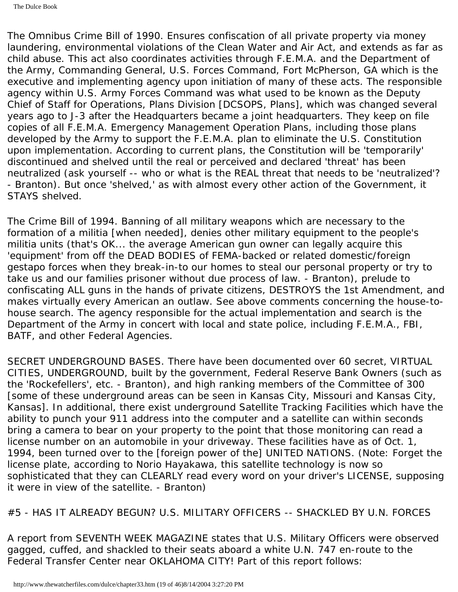The Omnibus Crime Bill of 1990. Ensures confiscation of all private property via money laundering, environmental violations of the Clean Water and Air Act, and extends as far as child abuse. This act also coordinates activities through F.E.M.A. and the Department of the Army, Commanding General, U.S. Forces Command, Fort McPherson, GA which is the executive and implementing agency upon initiation of many of these acts. The responsible agency within U.S. Army Forces Command was what used to be known as the Deputy Chief of Staff for Operations, Plans Division [DCSOPS, Plans], which was changed several years ago to J-3 after the Headquarters became a joint headquarters. They keep on file copies of all F.E.M.A. Emergency Management Operation Plans, including those plans developed by the Army to support the F.E.M.A. plan to eliminate the U.S. Constitution upon implementation. According to current plans, the Constitution will be 'temporarily' discontinued and shelved until the real or perceived and declared 'threat' has been neutralized (ask yourself -- who or what is the REAL threat that needs to be 'neutralized'? - Branton). But once 'shelved,' as with almost every other action of the Government, it STAYS shelved.

The Crime Bill of 1994. Banning of all military weapons which are necessary to the formation of a militia [when needed], denies other military equipment to the people's militia units (that's OK... the average American gun owner can legally acquire this 'equipment' from off the DEAD BODIES of FEMA-backed or related domestic/foreign gestapo forces when they break-in-to our homes to steal our personal property or try to take us and our families prisoner without due process of law. - Branton), prelude to confiscating ALL guns in the hands of private citizens, DESTROYS the 1st Amendment, and makes virtually every American an outlaw. See above comments concerning the house-tohouse search. The agency responsible for the actual implementation and search is the Department of the Army in concert with local and state police, including F.E.M.A., FBI, BATF, and other Federal Agencies.

SECRET UNDERGROUND BASES. There have been documented over 60 secret, VIRTUAL CITIES, UNDERGROUND, built by the government, Federal Reserve Bank Owners (such as the 'Rockefellers', etc. - Branton), and high ranking members of the Committee of 300 [some of these underground areas can be seen in Kansas City, Missouri and Kansas City, Kansas]. In additional, there exist underground Satellite Tracking Facilities which have the ability to punch your 911 address into the computer and a satellite can within seconds bring a camera to bear on your property to the point that those monitoring can read a license number on an automobile in your driveway. These facilities have as of Oct. 1, 1994, been turned over to the [foreign power of the] UNITED NATIONS. (Note: Forget the license plate, according to Norio Hayakawa, this satellite technology is now so sophisticated that they can CLEARLY read every word on your driver's LICENSE, supposing it were in view of the satellite. - Branton)

# #5 - HAS IT ALREADY BEGUN? U.S. MILITARY OFFICERS -- SHACKLED BY U.N. FORCES

A report from SEVENTH WEEK MAGAZINE states that U.S. Military Officers were observed gagged, cuffed, and shackled to their seats aboard a white U.N. 747 en-route to the Federal Transfer Center near OKLAHOMA CITY! Part of this report follows: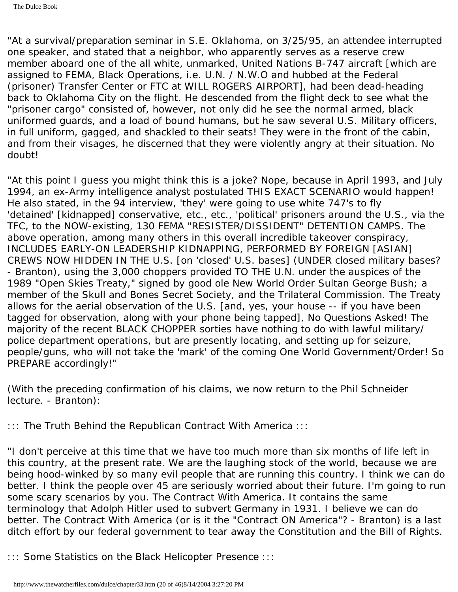"At a survival/preparation seminar in S.E. Oklahoma, on 3/25/95, an attendee interrupted one speaker, and stated that a neighbor, who apparently serves as a reserve crew member aboard one of the all white, unmarked, United Nations B-747 aircraft [which are assigned to FEMA, Black Operations, i.e. U.N. / N.W.O and hubbed at the Federal (prisoner) Transfer Center or FTC at WILL ROGERS AIRPORT], had been dead-heading back to Oklahoma City on the flight. He descended from the flight deck to see what the "prisoner cargo" consisted of, however, not only did he see the normal armed, black uniformed guards, and a load of bound humans, but he saw several U.S. Military officers, in full uniform, gagged, and shackled to their seats! They were in the front of the cabin, and from their visages, he discerned that they were violently angry at their situation. No doubt!

"At this point I guess you might think this is a joke? Nope, because in April 1993, and July 1994, an ex-Army intelligence analyst postulated THIS EXACT SCENARIO would happen! He also stated, in the 94 interview, 'they' were going to use white 747's to fly 'detained' [kidnapped] conservative, etc., etc., 'political' prisoners around the U.S., via the TFC, to the NOW-existing, 130 FEMA "RESISTER/DISSIDENT" DETENTION CAMPS. The above operation, among many others in this overall incredible takeover conspiracy, INCLUDES EARLY-ON LEADERSHIP KIDNAPPING, PERFORMED BY FOREIGN [ASIAN] CREWS NOW HIDDEN IN THE U.S. [on 'closed' U.S. bases] (UNDER closed military bases? - Branton), using the 3,000 choppers provided TO THE U.N. under the auspices of the 1989 "Open Skies Treaty," signed by good ole New World Order Sultan George Bush; a member of the Skull and Bones Secret Society, and the Trilateral Commission. The Treaty allows for the aerial observation of the U.S. [and, yes, your house -- if you have been tagged for observation, along with your phone being tapped], No Questions Asked! The majority of the recent BLACK CHOPPER sorties have nothing to do with lawful military/ police department operations, but are presently locating, and setting up for seizure, people/guns, who will not take the 'mark' of the coming One World Government/Order! So PREPARE accordingly!"

(With the preceding confirmation of his claims, we now return to the Phil Schneider lecture. - Branton):

::: The Truth Behind the Republican Contract With America :::

"I don't perceive at this time that we have too much more than six months of life left in this country, at the present rate. We are the laughing stock of the world, because we are being hood-winked by so many evil people that are running this country. I think we can do better. I think the people over 45 are seriously worried about their future. I'm going to run some scary scenarios by you. The Contract With America. It contains the same terminology that Adolph Hitler used to subvert Germany in 1931. I believe we can do better. The Contract With America (or is it the "Contract ON America"? - Branton) is a last ditch effort by our federal government to tear away the Constitution and the Bill of Rights.

::: Some Statistics on the Black Helicopter Presence :::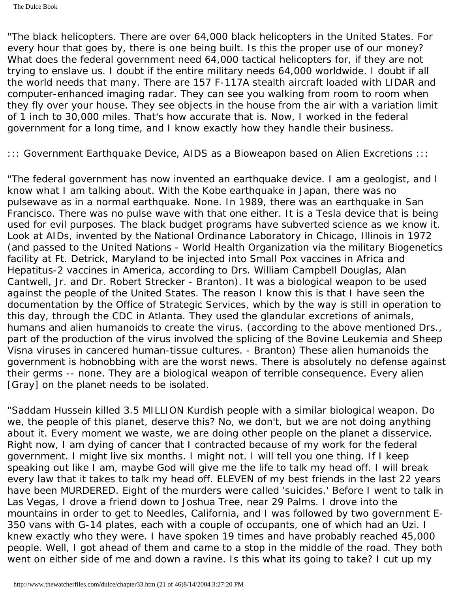"The black helicopters. There are over 64,000 black helicopters in the United States. For every hour that goes by, there is one being built. Is this the proper use of our money? What does the federal government need 64,000 tactical helicopters for, if they are not trying to enslave us. I doubt if the entire military needs 64,000 worldwide. I doubt if all the world needs that many. There are 157 F-117A stealth aircraft loaded with LIDAR and computer-enhanced imaging radar. They can see you walking from room to room when they fly over your house. They see objects in the house from the air with a variation limit of 1 inch to 30,000 miles. That's how accurate that is. Now, I worked in the federal government for a long time, and I know exactly how they handle their business.

::: Government Earthquake Device, AIDS as a Bioweapon based on Alien Excretions :::

"The federal government has now invented an earthquake device. I am a geologist, and I know what I am talking about. With the Kobe earthquake in Japan, there was no pulsewave as in a normal earthquake. None. In 1989, there was an earthquake in San Francisco. There was no pulse wave with that one either. It is a Tesla device that is being used for evil purposes. The black budget programs have subverted science as we know it. Look at AIDs, invented by the National Ordinance Laboratory in Chicago, Illinois in 1972 (and passed to the United Nations - World Health Organization via the military Biogenetics facility at Ft. Detrick, Maryland to be injected into Small Pox vaccines in Africa and Hepatitus-2 vaccines in America, according to Drs. William Campbell Douglas, Alan Cantwell, Jr. and Dr. Robert Strecker - Branton). It was a biological weapon to be used against the people of the United States. The reason I know this is that I have seen the documentation by the Office of Strategic Services, which by the way is still in operation to this day, through the CDC in Atlanta. They used the glandular excretions of animals, humans and alien humanoids to create the virus. (according to the above mentioned Drs., part of the production of the virus involved the splicing of the Bovine Leukemia and Sheep Visna viruses in cancered human-tissue cultures. - Branton) These alien humanoids the government is hobnobbing with are the worst news. There is absolutely no defense against their germs -- none. They are a biological weapon of terrible consequence. Every alien [Gray] on the planet needs to be isolated.

"Saddam Hussein killed 3.5 MILLION Kurdish people with a similar biological weapon. Do we, the people of this planet, deserve this? No, we don't, but we are not doing anything about it. Every moment we waste, we are doing other people on the planet a disservice. Right now, I am dying of cancer that I contracted because of my work for the federal government. I might live six months. I might not. I will tell you one thing. If I keep speaking out like I am, maybe God will give me the life to talk my head off. I will break every law that it takes to talk my head off. ELEVEN of my best friends in the last 22 years have been MURDERED. Eight of the murders were called 'suicides.' Before I went to talk in Las Vegas, I drove a friend down to Joshua Tree, near 29 Palms. I drove into the mountains in order to get to Needles, California, and I was followed by two government E-350 vans with G-14 plates, each with a couple of occupants, one of which had an Uzi. I knew exactly who they were. I have spoken 19 times and have probably reached 45,000 people. Well, I got ahead of them and came to a stop in the middle of the road. They both went on either side of me and down a ravine. Is this what its going to take? I cut up my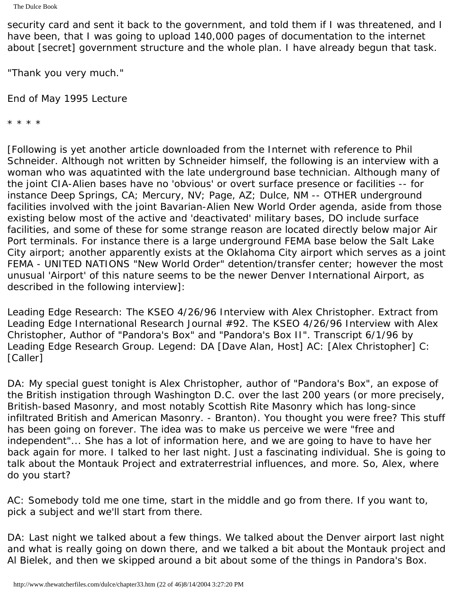security card and sent it back to the government, and told them if I was threatened, and I have been, that I was going to upload 140,000 pages of documentation to the internet about [secret] government structure and the whole plan. I have already begun that task.

"Thank you very much."

End of May 1995 Lecture

\* \* \* \*

[Following is yet another article downloaded from the Internet with reference to Phil Schneider. Although not written by Schneider himself, the following is an interview with a woman who was aquatinted with the late underground base technician. Although many of the joint CIA-Alien bases have no 'obvious' or overt surface presence or facilities -- for instance Deep Springs, CA; Mercury, NV; Page, AZ; Dulce, NM -- OTHER underground facilities involved with the joint Bavarian-Alien New World Order agenda, aside from those existing below most of the active and 'deactivated' military bases, DO include surface facilities, and some of these for some strange reason are located directly below major Air Port terminals. For instance there is a large underground FEMA base below the Salt Lake City airport; another apparently exists at the Oklahoma City airport which serves as a joint FEMA - UNITED NATIONS "New World Order" detention/transfer center; however the most unusual 'Airport' of this nature seems to be the newer Denver International Airport, as described in the following interview]:

Leading Edge Research: The KSEO 4/26/96 Interview with Alex Christopher. Extract from Leading Edge International Research Journal #92. The KSEO 4/26/96 Interview with Alex Christopher, Author of "Pandora's Box" and "Pandora's Box II". Transcript 6/1/96 by Leading Edge Research Group. Legend: DA [Dave Alan, Host] AC: [Alex Christopher] C: [Caller]

DA: My special guest tonight is Alex Christopher, author of "Pandora's Box", an expose of the British instigation through Washington D.C. over the last 200 years (or more precisely, British-based Masonry, and most notably Scottish Rite Masonry which has long-since infiltrated British and American Masonry. - Branton). You thought you were free? This stuff has been going on forever. The idea was to make us perceive we were "free and independent"... She has a lot of information here, and we are going to have to have her back again for more. I talked to her last night. Just a fascinating individual. She is going to talk about the Montauk Project and extraterrestrial influences, and more. So, Alex, where do you start?

AC: Somebody told me one time, start in the middle and go from there. If you want to, pick a subject and we'll start from there.

DA: Last night we talked about a few things. We talked about the Denver airport last night and what is really going on down there, and we talked a bit about the Montauk project and Al Bielek, and then we skipped around a bit about some of the things in Pandora's Box.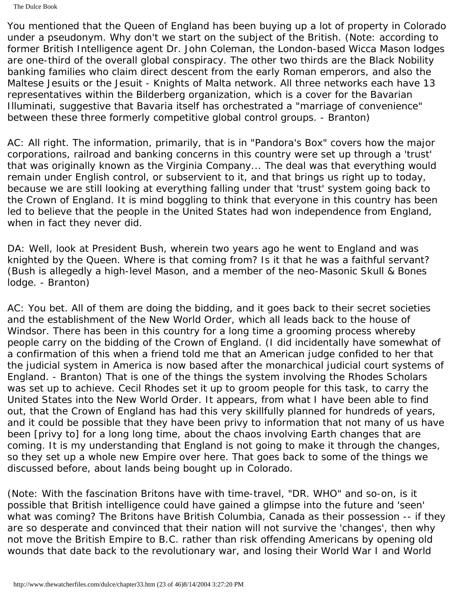The Dulce Book

You mentioned that the Queen of England has been buying up a lot of property in Colorado under a pseudonym. Why don't we start on the subject of the British. (Note: according to former British Intelligence agent Dr. John Coleman, the London-based Wicca Mason lodges are one-third of the overall global conspiracy. The other two thirds are the Black Nobility banking families who claim direct descent from the early Roman emperors, and also the Maltese Jesuits or the Jesuit - Knights of Malta network. All three networks each have 13 representatives within the Bilderberg organization, which is a cover for the Bavarian Illuminati, suggestive that Bavaria itself has orchestrated a "marriage of convenience" between these three formerly competitive global control groups. - Branton)

AC: All right. The information, primarily, that is in "Pandora's Box" covers how the major corporations, railroad and banking concerns in this country were set up through a 'trust' that was originally known as the Virginia Company... The deal was that everything would remain under English control, or subservient to it, and that brings us right up to today, because we are still looking at everything falling under that 'trust' system going back to the Crown of England. It is mind boggling to think that everyone in this country has been led to believe that the people in the United States had won independence from England, when in fact they never did.

DA: Well, look at President Bush, wherein two years ago he went to England and was knighted by the Queen. Where is that coming from? Is it that he was a faithful servant? (Bush is allegedly a high-level Mason, and a member of the neo-Masonic Skull & Bones lodge. - Branton)

AC: You bet. All of them are doing the bidding, and it goes back to their secret societies and the establishment of the New World Order, which all leads back to the house of Windsor. There has been in this country for a long time a grooming process whereby people carry on the bidding of the Crown of England. (I did incidentally have somewhat of a confirmation of this when a friend told me that an American judge confided to her that the judicial system in America is now based after the monarchical judicial court systems of England. - Branton) That is one of the things the system involving the Rhodes Scholars was set up to achieve. Cecil Rhodes set it up to groom people for this task, to carry the United States into the New World Order. It appears, from what I have been able to find out, that the Crown of England has had this very skillfully planned for hundreds of years, and it could be possible that they have been privy to information that not many of us have been [privy to] for a long long time, about the chaos involving Earth changes that are coming. It is my understanding that England is not going to make it through the changes, so they set up a whole new Empire over here. That goes back to some of the things we discussed before, about lands being bought up in Colorado.

(Note: With the fascination Britons have with time-travel, "DR. WHO" and so-on, is it possible that British intelligence could have gained a glimpse into the future and 'seen' what was coming? The Britons have British Columbia, Canada as their possession -- if they are so desperate and convinced that their nation will not survive the 'changes', then why not move the British Empire to B.C. rather than risk offending Americans by opening old wounds that date back to the revolutionary war, and losing their World War I and World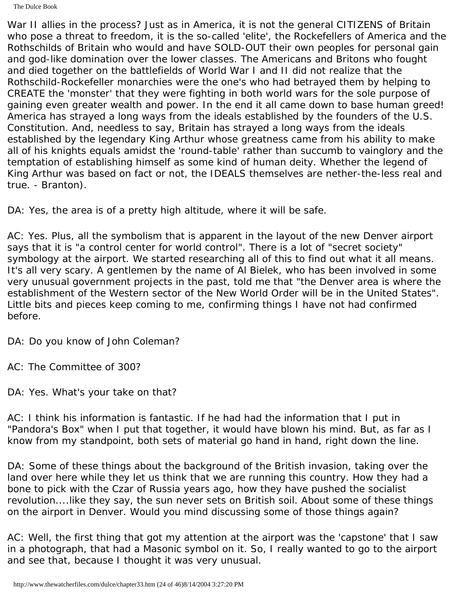The Dulce Book

War II allies in the process? Just as in America, it is not the general CITIZENS of Britain who pose a threat to freedom, it is the so-called 'elite', the Rockefellers of America and the Rothschilds of Britain who would and have SOLD-OUT their own peoples for personal gain and god-like domination over the lower classes. The Americans and Britons who fought and died together on the battlefields of World War I and II did not realize that the Rothschild-Rockefeller monarchies were the one's who had betrayed them by helping to CREATE the 'monster' that they were fighting in both world wars for the sole purpose of gaining even greater wealth and power. In the end it all came down to base human greed! America has strayed a long ways from the ideals established by the founders of the U.S. Constitution. And, needless to say, Britain has strayed a long ways from the ideals established by the legendary King Arthur whose greatness came from his ability to make all of his knights equals amidst the 'round-table' rather than succumb to vainglory and the temptation of establishing himself as some kind of human deity. Whether the legend of King Arthur was based on fact or not, the IDEALS themselves are nether-the-less real and true. - Branton).

DA: Yes, the area is of a pretty high altitude, where it will be safe.

AC: Yes. Plus, all the symbolism that is apparent in the layout of the new Denver airport says that it is "a control center for world control". There is a lot of "secret society" symbology at the airport. We started researching all of this to find out what it all means. It's all very scary. A gentlemen by the name of Al Bielek, who has been involved in some very unusual government projects in the past, told me that "the Denver area is where the establishment of the Western sector of the New World Order will be in the United States". Little bits and pieces keep coming to me, confirming things I have not had confirmed before.

DA: Do you know of John Coleman?

- AC: The Committee of 300?
- DA: Yes. What's your take on that?

AC: I think his information is fantastic. If he had had the information that I put in "Pandora's Box" when I put that together, it would have blown his mind. But, as far as I know from my standpoint, both sets of material go hand in hand, right down the line.

DA: Some of these things about the background of the British invasion, taking over the land over here while they let us think that we are running this country. How they had a bone to pick with the Czar of Russia years ago, how they have pushed the socialist revolution....like they say, the sun never sets on British soil. About some of these things on the airport in Denver. Would you mind discussing some of those things again?

AC: Well, the first thing that got my attention at the airport was the 'capstone' that I saw in a photograph, that had a Masonic symbol on it. So, I really wanted to go to the airport and see that, because I thought it was very unusual.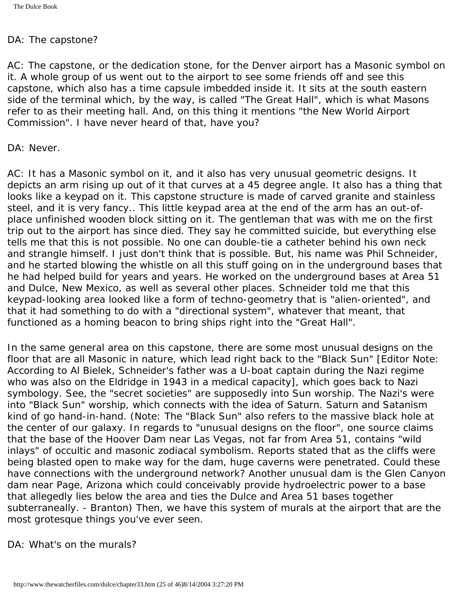### DA: The capstone?

AC: The capstone, or the dedication stone, for the Denver airport has a Masonic symbol on it. A whole group of us went out to the airport to see some friends off and see this capstone, which also has a time capsule imbedded inside it. It sits at the south eastern side of the terminal which, by the way, is called "The Great Hall", which is what Masons refer to as their meeting hall. And, on this thing it mentions "the New World Airport Commission". I have never heard of that, have you?

DA: Never.

AC: It has a Masonic symbol on it, and it also has very unusual geometric designs. It depicts an arm rising up out of it that curves at a 45 degree angle. It also has a thing that looks like a keypad on it. This capstone structure is made of carved granite and stainless steel, and it is very fancy.. This little keypad area at the end of the arm has an out-ofplace unfinished wooden block sitting on it. The gentleman that was with me on the first trip out to the airport has since died. They say he committed suicide, but everything else tells me that this is not possible. No one can double-tie a catheter behind his own neck and strangle himself. I just don't think that is possible. But, his name was Phil Schneider, and he started blowing the whistle on all this stuff going on in the underground bases that he had helped build for years and years. He worked on the underground bases at Area 51 and Dulce, New Mexico, as well as several other places. Schneider told me that this keypad-looking area looked like a form of techno-geometry that is "alien-oriented", and that it had something to do with a "directional system", whatever that meant, that functioned as a homing beacon to bring ships right into the "Great Hall".

In the same general area on this capstone, there are some most unusual designs on the floor that are all Masonic in nature, which lead right back to the "Black Sun" [Editor Note: According to Al Bielek, Schneider's father was a U-boat captain during the Nazi regime who was also on the Eldridge in 1943 in a medical capacity], which goes back to Nazi symbology. See, the "secret societies" are supposedly into Sun worship. The Nazi's were into "Black Sun" worship, which connects with the idea of Saturn. Saturn and Satanism kind of go hand-in-hand. (Note: The "Black Sun" also refers to the massive black hole at the center of our galaxy. In regards to "unusual designs on the floor", one source claims that the base of the Hoover Dam near Las Vegas, not far from Area 51, contains "wild inlays" of occultic and masonic zodiacal symbolism. Reports stated that as the cliffs were being blasted open to make way for the dam, huge caverns were penetrated. Could these have connections with the underground network? Another unusual dam is the Glen Canyon dam near Page, Arizona which could conceivably provide hydroelectric power to a base that allegedly lies below the area and ties the Dulce and Area 51 bases together subterraneally. - Branton) Then, we have this system of murals at the airport that are the most grotesque things you've ever seen.

DA: What's on the murals?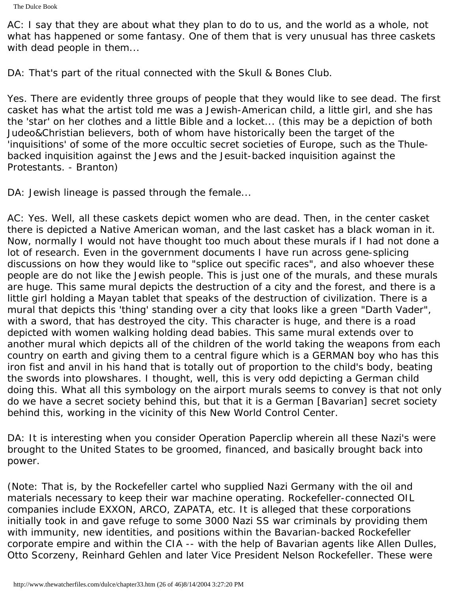```
The Dulce Book
```
AC: I say that they are about what they plan to do to us, and the world as a whole, not what has happened or some fantasy. One of them that is very unusual has three caskets with dead people in them...

DA: That's part of the ritual connected with the Skull & Bones Club.

Yes. There are evidently three groups of people that they would like to see dead. The first casket has what the artist told me was a Jewish-American child, a little girl, and she has the 'star' on her clothes and a little Bible and a locket... (this may be a depiction of both Judeo&Christian believers, both of whom have historically been the target of the 'inquisitions' of some of the more occultic secret societies of Europe, such as the Thulebacked inquisition against the Jews and the Jesuit-backed inquisition against the Protestants. - Branton)

DA: Jewish lineage is passed through the female...

AC: Yes. Well, all these caskets depict women who are dead. Then, in the center casket there is depicted a Native American woman, and the last casket has a black woman in it. Now, normally I would not have thought too much about these murals if I had not done a lot of research. Even in the government documents I have run across gene-splicing discussions on how they would like to "splice out specific races", and also whoever these people are do not like the Jewish people. This is just one of the murals, and these murals are huge. This same mural depicts the destruction of a city and the forest, and there is a little girl holding a Mayan tablet that speaks of the destruction of civilization. There is a mural that depicts this 'thing' standing over a city that looks like a green "Darth Vader", with a sword, that has destroyed the city. This character is huge, and there is a road depicted with women walking holding dead babies. This same mural extends over to another mural which depicts all of the children of the world taking the weapons from each country on earth and giving them to a central figure which is a GERMAN boy who has this iron fist and anvil in his hand that is totally out of proportion to the child's body, beating the swords into plowshares. I thought, well, this is very odd depicting a German child doing this. What all this symbology on the airport murals seems to convey is that not only do we have a secret society behind this, but that it is a German [Bavarian] secret society behind this, working in the vicinity of this New World Control Center.

DA: It is interesting when you consider Operation Paperclip wherein all these Nazi's were brought to the United States to be groomed, financed, and basically brought back into power.

(Note: That is, by the Rockefeller cartel who supplied Nazi Germany with the oil and materials necessary to keep their war machine operating. Rockefeller-connected OIL companies include EXXON, ARCO, ZAPATA, etc. It is alleged that these corporations initially took in and gave refuge to some 3000 Nazi SS war criminals by providing them with immunity, new identities, and positions within the Bavarian-backed Rockefeller corporate empire and within the CIA -- with the help of Bavarian agents like Allen Dulles, Otto Scorzeny, Reinhard Gehlen and later Vice President Nelson Rockefeller. These were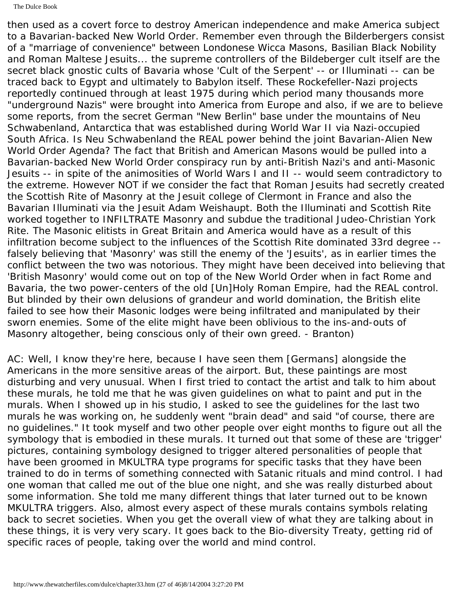The Dulce Book

then used as a covert force to destroy American independence and make America subject to a Bavarian-backed New World Order. Remember even through the Bilderbergers consist of a "marriage of convenience" between Londonese Wicca Masons, Basilian Black Nobility and Roman Maltese Jesuits... the supreme controllers of the Bildeberger cult itself are the secret black gnostic cults of Bavaria whose 'Cult of the Serpent' -- or Illuminati -- can be traced back to Egypt and ultimately to Babylon itself. These Rockefeller-Nazi projects reportedly continued through at least 1975 during which period many thousands more "underground Nazis" were brought into America from Europe and also, if we are to believe some reports, from the secret German "New Berlin" base under the mountains of Neu Schwabenland, Antarctica that was established during World War II via Nazi-occupied South Africa. Is Neu Schwabenland the REAL power behind the joint Bavarian-Alien New World Order Agenda? The fact that British and American Masons would be pulled into a Bavarian-backed New World Order conspiracy run by anti-British Nazi's and anti-Masonic Jesuits -- in spite of the animosities of World Wars I and II -- would seem contradictory to the extreme. However NOT if we consider the fact that Roman Jesuits had secretly created the Scottish Rite of Masonry at the Jesuit college of Clermont in France and also the Bavarian Illuminati via the Jesuit Adam Weishaupt. Both the Illuminati and Scottish Rite worked together to INFILTRATE Masonry and subdue the traditional Judeo-Christian York Rite. The Masonic elitists in Great Britain and America would have as a result of this infiltration become subject to the influences of the Scottish Rite dominated 33rd degree - falsely believing that 'Masonry' was still the enemy of the 'Jesuits', as in earlier times the conflict between the two was notorious. They might have been deceived into believing that 'British Masonry' would come out on top of the New World Order when in fact Rome and Bavaria, the two power-centers of the old [Un]Holy Roman Empire, had the REAL control. But blinded by their own delusions of grandeur and world domination, the British elite failed to see how their Masonic lodges were being infiltrated and manipulated by their sworn enemies. Some of the elite might have been oblivious to the ins-and-outs of Masonry altogether, being conscious only of their own greed. - Branton)

AC: Well, I know they're here, because I have seen them [Germans] alongside the Americans in the more sensitive areas of the airport. But, these paintings are most disturbing and very unusual. When I first tried to contact the artist and talk to him about these murals, he told me that he was given guidelines on what to paint and put in the murals. When I showed up in his studio, I asked to see the guidelines for the last two murals he was working on, he suddenly went "brain dead" and said "of course, there are no guidelines." It took myself and two other people over eight months to figure out all the symbology that is embodied in these murals. It turned out that some of these are 'trigger' pictures, containing symbology designed to trigger altered personalities of people that have been groomed in MKULTRA type programs for specific tasks that they have been trained to do in terms of something connected with Satanic rituals and mind control. I had one woman that called me out of the blue one night, and she was really disturbed about some information. She told me many different things that later turned out to be known MKULTRA triggers. Also, almost every aspect of these murals contains symbols relating back to secret societies. When you get the overall view of what they are talking about in these things, it is very very scary. It goes back to the Bio-diversity Treaty, getting rid of specific races of people, taking over the world and mind control.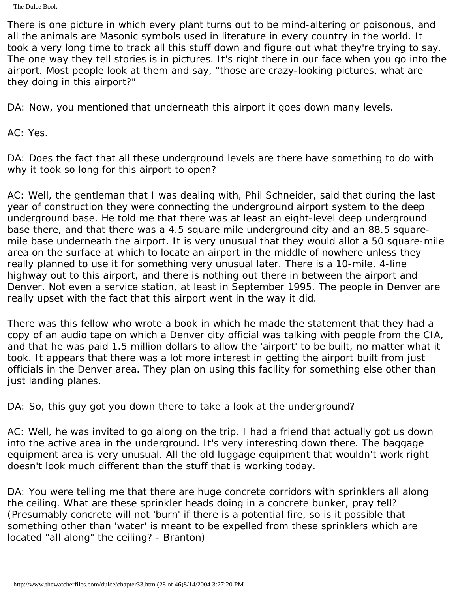The Dulce Book

There is one picture in which every plant turns out to be mind-altering or poisonous, and all the animals are Masonic symbols used in literature in every country in the world. It took a very long time to track all this stuff down and figure out what they're trying to say. The one way they tell stories is in pictures. It's right there in our face when you go into the airport. Most people look at them and say, "those are crazy-looking pictures, what are they doing in this airport?"

DA: Now, you mentioned that underneath this airport it goes down many levels.

AC: Yes.

DA: Does the fact that all these underground levels are there have something to do with why it took so long for this airport to open?

AC: Well, the gentleman that I was dealing with, Phil Schneider, said that during the last year of construction they were connecting the underground airport system to the deep underground base. He told me that there was at least an eight-level deep underground base there, and that there was a 4.5 square mile underground city and an 88.5 squaremile base underneath the airport. It is very unusual that they would allot a 50 square-mile area on the surface at which to locate an airport in the middle of nowhere unless they really planned to use it for something very unusual later. There is a 10-mile, 4-line highway out to this airport, and there is nothing out there in between the airport and Denver. Not even a service station, at least in September 1995. The people in Denver are really upset with the fact that this airport went in the way it did.

There was this fellow who wrote a book in which he made the statement that they had a copy of an audio tape on which a Denver city official was talking with people from the CIA, and that he was paid 1.5 million dollars to allow the 'airport' to be built, no matter what it took. It appears that there was a lot more interest in getting the airport built from just officials in the Denver area. They plan on using this facility for something else other than just landing planes.

DA: So, this guy got you down there to take a look at the underground?

AC: Well, he was invited to go along on the trip. I had a friend that actually got us down into the active area in the underground. It's very interesting down there. The baggage equipment area is very unusual. All the old luggage equipment that wouldn't work right doesn't look much different than the stuff that is working today.

DA: You were telling me that there are huge concrete corridors with sprinklers all along the ceiling. What are these sprinkler heads doing in a concrete bunker, pray tell? (Presumably concrete will not 'burn' if there is a potential fire, so is it possible that something other than 'water' is meant to be expelled from these sprinklers which are located "all along" the ceiling? - Branton)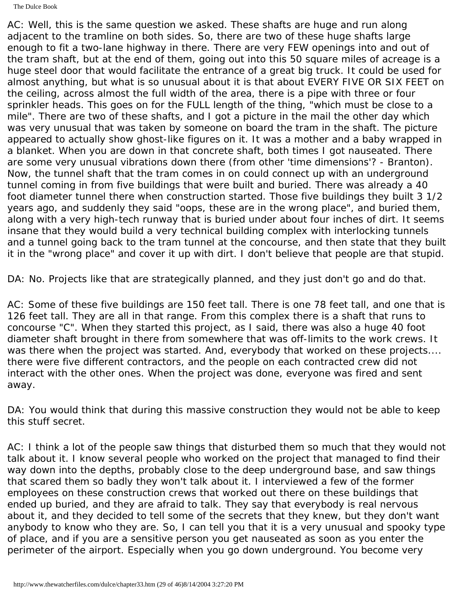The Dulce Book

AC: Well, this is the same question we asked. These shafts are huge and run along adjacent to the tramline on both sides. So, there are two of these huge shafts large enough to fit a two-lane highway in there. There are very FEW openings into and out of the tram shaft, but at the end of them, going out into this 50 square miles of acreage is a huge steel door that would facilitate the entrance of a great big truck. It could be used for almost anything, but what is so unusual about it is that about EVERY FIVE OR SIX FEET on the ceiling, across almost the full width of the area, there is a pipe with three or four sprinkler heads. This goes on for the FULL length of the thing, "which must be close to a mile". There are two of these shafts, and I got a picture in the mail the other day which was very unusual that was taken by someone on board the tram in the shaft. The picture appeared to actually show ghost-like figures on it. It was a mother and a baby wrapped in a blanket. When you are down in that concrete shaft, both times I got nauseated. There are some very unusual vibrations down there (from other 'time dimensions'? - Branton). Now, the tunnel shaft that the tram comes in on could connect up with an underground tunnel coming in from five buildings that were built and buried. There was already a 40 foot diameter tunnel there when construction started. Those five buildings they built 3 1/2 years ago, and suddenly they said "oops, these are in the wrong place", and buried them, along with a very high-tech runway that is buried under about four inches of dirt. It seems insane that they would build a very technical building complex with interlocking tunnels and a tunnel going back to the tram tunnel at the concourse, and then state that they built it in the "wrong place" and cover it up with dirt. I don't believe that people are that stupid.

DA: No. Projects like that are strategically planned, and they just don't go and do that.

AC: Some of these five buildings are 150 feet tall. There is one 78 feet tall, and one that is 126 feet tall. They are all in that range. From this complex there is a shaft that runs to concourse "C". When they started this project, as I said, there was also a huge 40 foot diameter shaft brought in there from somewhere that was off-limits to the work crews. It was there when the project was started. And, everybody that worked on these projects.... there were five different contractors, and the people on each contracted crew did not interact with the other ones. When the project was done, everyone was fired and sent away.

DA: You would think that during this massive construction they would not be able to keep this stuff secret.

AC: I think a lot of the people saw things that disturbed them so much that they would not talk about it. I know several people who worked on the project that managed to find their way down into the depths, probably close to the deep underground base, and saw things that scared them so badly they won't talk about it. I interviewed a few of the former employees on these construction crews that worked out there on these buildings that ended up buried, and they are afraid to talk. They say that everybody is real nervous about it, and they decided to tell some of the secrets that they knew, but they don't want anybody to know who they are. So, I can tell you that it is a very unusual and spooky type of place, and if you are a sensitive person you get nauseated as soon as you enter the perimeter of the airport. Especially when you go down underground. You become very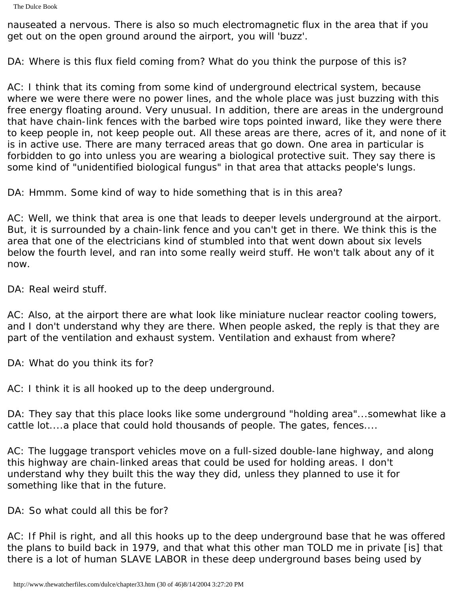nauseated a nervous. There is also so much electromagnetic flux in the area that if you get out on the open ground around the airport, you will 'buzz'.

DA: Where is this flux field coming from? What do you think the purpose of this is?

AC: I think that its coming from some kind of underground electrical system, because where we were there were no power lines, and the whole place was just buzzing with this free energy floating around. Very unusual. In addition, there are areas in the underground that have chain-link fences with the barbed wire tops pointed inward, like they were there to keep people in, not keep people out. All these areas are there, acres of it, and none of it is in active use. There are many terraced areas that go down. One area in particular is forbidden to go into unless you are wearing a biological protective suit. They say there is some kind of "unidentified biological fungus" in that area that attacks people's lungs.

DA: Hmmm. Some kind of way to hide something that is in this area?

AC: Well, we think that area is one that leads to deeper levels underground at the airport. But, it is surrounded by a chain-link fence and you can't get in there. We think this is the area that one of the electricians kind of stumbled into that went down about six levels below the fourth level, and ran into some really weird stuff. He won't talk about any of it now.

DA: Real weird stuff.

AC: Also, at the airport there are what look like miniature nuclear reactor cooling towers, and I don't understand why they are there. When people asked, the reply is that they are part of the ventilation and exhaust system. Ventilation and exhaust from where?

DA: What do you think its for?

AC: I think it is all hooked up to the deep underground.

DA: They say that this place looks like some underground "holding area"...somewhat like a cattle lot....a place that could hold thousands of people. The gates, fences....

AC: The luggage transport vehicles move on a full-sized double-lane highway, and along this highway are chain-linked areas that could be used for holding areas. I don't understand why they built this the way they did, unless they planned to use it for something like that in the future.

DA: So what could all this be for?

AC: If Phil is right, and all this hooks up to the deep underground base that he was offered the plans to build back in 1979, and that what this other man TOLD me in private [is] that there is a lot of human SLAVE LABOR in these deep underground bases being used by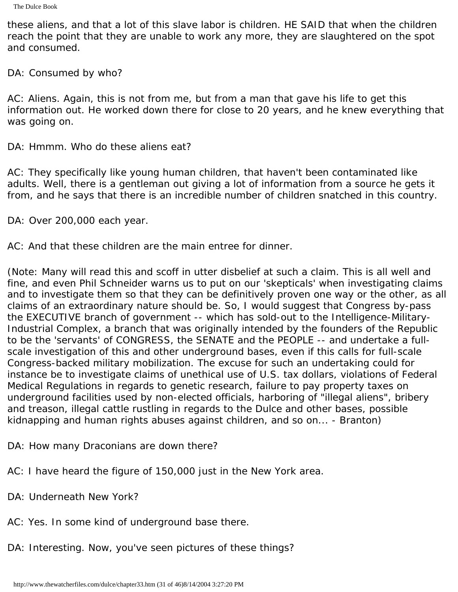```
The Dulce Book
```
these aliens, and that a lot of this slave labor is children. HE SAID that when the children reach the point that they are unable to work any more, they are slaughtered on the spot and consumed.

DA: Consumed by who?

AC: Aliens. Again, this is not from me, but from a man that gave his life to get this information out. He worked down there for close to 20 years, and he knew everything that was going on.

DA: Hmmm. Who do these aliens eat?

AC: They specifically like young human children, that haven't been contaminated like adults. Well, there is a gentleman out giving a lot of information from a source he gets it from, and he says that there is an incredible number of children snatched in this country.

DA: Over 200,000 each year.

AC: And that these children are the main entree for dinner.

(Note: Many will read this and scoff in utter disbelief at such a claim. This is all well and fine, and even Phil Schneider warns us to put on our 'skepticals' when investigating claims and to investigate them so that they can be definitively proven one way or the other, as all claims of an extraordinary nature should be. So, I would suggest that Congress by-pass the EXECUTIVE branch of government -- which has sold-out to the Intelligence-Military-Industrial Complex, a branch that was originally intended by the founders of the Republic to be the 'servants' of CONGRESS, the SENATE and the PEOPLE -- and undertake a fullscale investigation of this and other underground bases, even if this calls for full-scale Congress-backed military mobilization. The excuse for such an undertaking could for instance be to investigate claims of unethical use of U.S. tax dollars, violations of Federal Medical Regulations in regards to genetic research, failure to pay property taxes on underground facilities used by non-elected officials, harboring of "illegal aliens", bribery and treason, illegal cattle rustling in regards to the Dulce and other bases, possible kidnapping and human rights abuses against children, and so on... - Branton)

DA: How many Draconians are down there?

- AC: I have heard the figure of 150,000 just in the New York area.
- DA: Underneath New York?
- AC: Yes. In some kind of underground base there.
- DA: Interesting. Now, you've seen pictures of these things?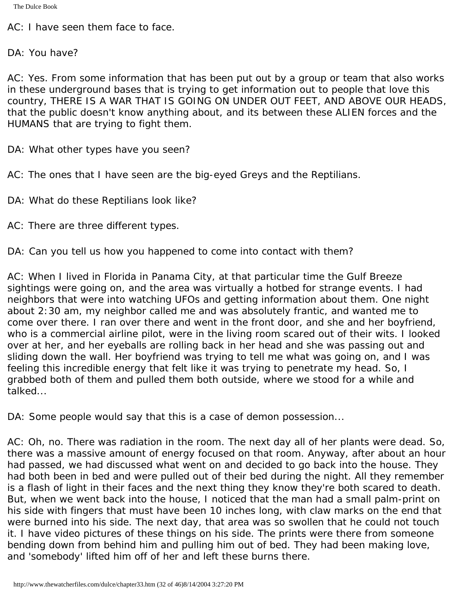The Dulce Book

AC: I have seen them face to face.

DA: You have?

AC: Yes. From some information that has been put out by a group or team that also works in these underground bases that is trying to get information out to people that love this country, THERE IS A WAR THAT IS GOING ON UNDER OUT FEET, AND ABOVE OUR HEADS, that the public doesn't know anything about, and its between these ALIEN forces and the HUMANS that are trying to fight them.

DA: What other types have you seen?

AC: The ones that I have seen are the big-eyed Greys and the Reptilians.

DA: What do these Reptilians look like?

AC: There are three different types.

DA: Can you tell us how you happened to come into contact with them?

AC: When I lived in Florida in Panama City, at that particular time the Gulf Breeze sightings were going on, and the area was virtually a hotbed for strange events. I had neighbors that were into watching UFOs and getting information about them. One night about 2:30 am, my neighbor called me and was absolutely frantic, and wanted me to come over there. I ran over there and went in the front door, and she and her boyfriend, who is a commercial airline pilot, were in the living room scared out of their wits. I looked over at her, and her eyeballs are rolling back in her head and she was passing out and sliding down the wall. Her boyfriend was trying to tell me what was going on, and I was feeling this incredible energy that felt like it was trying to penetrate my head. So, I grabbed both of them and pulled them both outside, where we stood for a while and talked...

DA: Some people would say that this is a case of demon possession...

AC: Oh, no. There was radiation in the room. The next day all of her plants were dead. So, there was a massive amount of energy focused on that room. Anyway, after about an hour had passed, we had discussed what went on and decided to go back into the house. They had both been in bed and were pulled out of their bed during the night. All they remember is a flash of light in their faces and the next thing they know they're both scared to death. But, when we went back into the house, I noticed that the man had a small palm-print on his side with fingers that must have been 10 inches long, with claw marks on the end that were burned into his side. The next day, that area was so swollen that he could not touch it. I have video pictures of these things on his side. The prints were there from someone bending down from behind him and pulling him out of bed. They had been making love, and 'somebody' lifted him off of her and left these burns there.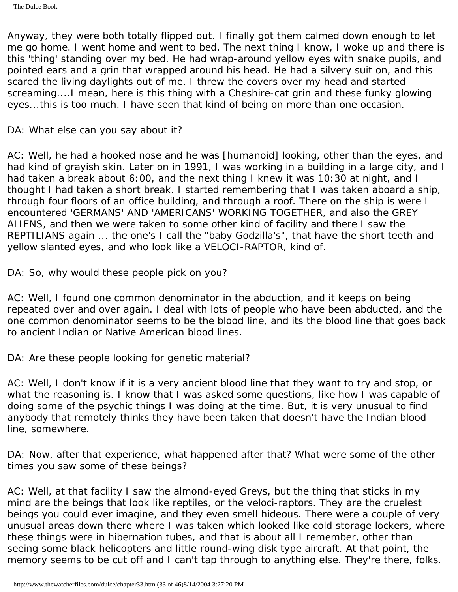Anyway, they were both totally flipped out. I finally got them calmed down enough to let me go home. I went home and went to bed. The next thing I know, I woke up and there is this 'thing' standing over my bed. He had wrap-around yellow eyes with snake pupils, and pointed ears and a grin that wrapped around his head. He had a silvery suit on, and this scared the living daylights out of me. I threw the covers over my head and started screaming....I mean, here is this thing with a Cheshire-cat grin and these funky glowing eyes...this is too much. I have seen that kind of being on more than one occasion.

DA: What else can you say about it?

AC: Well, he had a hooked nose and he was [humanoid] looking, other than the eyes, and had kind of grayish skin. Later on in 1991, I was working in a building in a large city, and I had taken a break about 6:00, and the next thing I knew it was 10:30 at night, and I thought I had taken a short break. I started remembering that I was taken aboard a ship, through four floors of an office building, and through a roof. There on the ship is were I encountered 'GERMANS' AND 'AMERICANS' WORKING TOGETHER, and also the GREY ALIENS, and then we were taken to some other kind of facility and there I saw the REPTILIANS again ... the one's I call the "baby Godzilla's", that have the short teeth and yellow slanted eyes, and who look like a VELOCI-RAPTOR, kind of.

DA: So, why would these people pick on you?

AC: Well, I found one common denominator in the abduction, and it keeps on being repeated over and over again. I deal with lots of people who have been abducted, and the one common denominator seems to be the blood line, and its the blood line that goes back to ancient Indian or Native American blood lines.

DA: Are these people looking for genetic material?

AC: Well, I don't know if it is a very ancient blood line that they want to try and stop, or what the reasoning is. I know that I was asked some questions, like how I was capable of doing some of the psychic things I was doing at the time. But, it is very unusual to find anybody that remotely thinks they have been taken that doesn't have the Indian blood line, somewhere.

DA: Now, after that experience, what happened after that? What were some of the other times you saw some of these beings?

AC: Well, at that facility I saw the almond-eyed Greys, but the thing that sticks in my mind are the beings that look like reptiles, or the veloci-raptors. They are the cruelest beings you could ever imagine, and they even smell hideous. There were a couple of very unusual areas down there where I was taken which looked like cold storage lockers, where these things were in hibernation tubes, and that is about all I remember, other than seeing some black helicopters and little round-wing disk type aircraft. At that point, the memory seems to be cut off and I can't tap through to anything else. They're there, folks.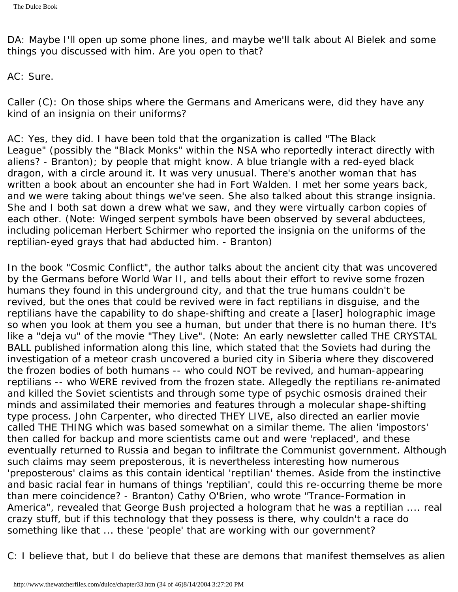DA: Maybe I'll open up some phone lines, and maybe we'll talk about Al Bielek and some things you discussed with him. Are you open to that?

AC: Sure.

Caller (C): On those ships where the Germans and Americans were, did they have any kind of an insignia on their uniforms?

AC: Yes, they did. I have been told that the organization is called "The Black League" (possibly the "Black Monks" within the NSA who reportedly interact directly with aliens? - Branton); by people that might know. A blue triangle with a red-eyed black dragon, with a circle around it. It was very unusual. There's another woman that has written a book about an encounter she had in Fort Walden. I met her some years back, and we were taking about things we've seen. She also talked about this strange insignia. She and I both sat down a drew what we saw, and they were virtually carbon copies of each other. (Note: Winged serpent symbols have been observed by several abductees, including policeman Herbert Schirmer who reported the insignia on the uniforms of the reptilian-eyed grays that had abducted him. - Branton)

In the book "Cosmic Conflict", the author talks about the ancient city that was uncovered by the Germans before World War II, and tells about their effort to revive some frozen humans they found in this underground city, and that the true humans couldn't be revived, but the ones that could be revived were in fact reptilians in disguise, and the reptilians have the capability to do shape-shifting and create a [laser] holographic image so when you look at them you see a human, but under that there is no human there. It's like a "deja vu" of the movie "They Live". (Note: An early newsletter called THE CRYSTAL BALL published information along this line, which stated that the Soviets had during the investigation of a meteor crash uncovered a buried city in Siberia where they discovered the frozen bodies of both humans -- who could NOT be revived, and human-appearing reptilians -- who WERE revived from the frozen state. Allegedly the reptilians re-animated and killed the Soviet scientists and through some type of psychic osmosis drained their minds and assimilated their memories and features through a molecular shape-shifting type process. John Carpenter, who directed THEY LIVE, also directed an earlier movie called THE THING which was based somewhat on a similar theme. The alien 'impostors' then called for backup and more scientists came out and were 'replaced', and these eventually returned to Russia and began to infiltrate the Communist government. Although such claims may seem preposterous, it is nevertheless interesting how numerous 'preposterous' claims as this contain identical 'reptilian' themes. Aside from the instinctive and basic racial fear in humans of things 'reptilian', could this re-occurring theme be more than mere coincidence? - Branton) Cathy O'Brien, who wrote "Trance-Formation in America", revealed that George Bush projected a hologram that he was a reptilian .... real crazy stuff, but if this technology that they possess is there, why couldn't a race do something like that ... these 'people' that are working with our government?

C: I believe that, but I do believe that these are demons that manifest themselves as alien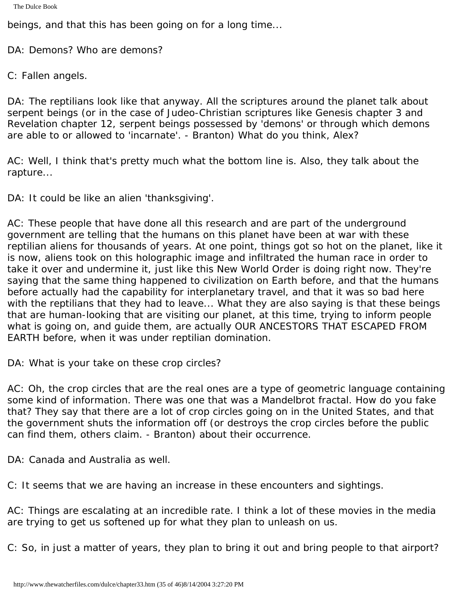The Dulce Book

beings, and that this has been going on for a long time...

DA: Demons? Who are demons?

C: Fallen angels.

DA: The reptilians look like that anyway. All the scriptures around the planet talk about serpent beings (or in the case of Judeo-Christian scriptures like Genesis chapter 3 and Revelation chapter 12, serpent beings possessed by 'demons' or through which demons are able to or allowed to 'incarnate'. - Branton) What do you think, Alex?

AC: Well, I think that's pretty much what the bottom line is. Also, they talk about the rapture...

DA: It could be like an alien 'thanksgiving'.

AC: These people that have done all this research and are part of the underground government are telling that the humans on this planet have been at war with these reptilian aliens for thousands of years. At one point, things got so hot on the planet, like it is now, aliens took on this holographic image and infiltrated the human race in order to take it over and undermine it, just like this New World Order is doing right now. They're saying that the same thing happened to civilization on Earth before, and that the humans before actually had the capability for interplanetary travel, and that it was so bad here with the reptilians that they had to leave... What they are also saying is that these beings that are human-looking that are visiting our planet, at this time, trying to inform people what is going on, and guide them, are actually OUR ANCESTORS THAT ESCAPED FROM EARTH before, when it was under reptilian domination.

DA: What is your take on these crop circles?

AC: Oh, the crop circles that are the real ones are a type of geometric language containing some kind of information. There was one that was a Mandelbrot fractal. How do you fake that? They say that there are a lot of crop circles going on in the United States, and that the government shuts the information off (or destroys the crop circles before the public can find them, others claim. - Branton) about their occurrence.

DA: Canada and Australia as well.

C: It seems that we are having an increase in these encounters and sightings.

AC: Things are escalating at an incredible rate. I think a lot of these movies in the media are trying to get us softened up for what they plan to unleash on us.

C: So, in just a matter of years, they plan to bring it out and bring people to that airport?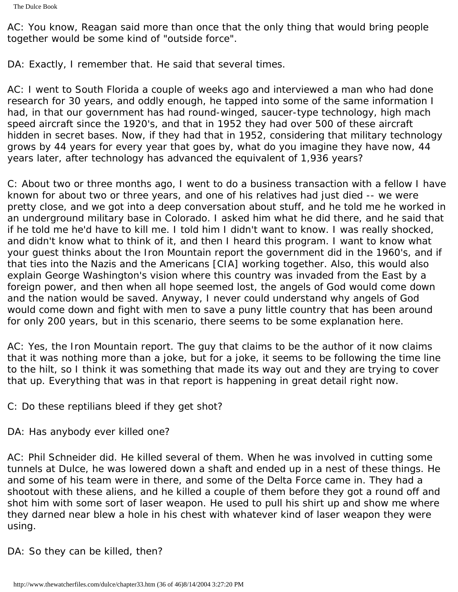AC: You know, Reagan said more than once that the only thing that would bring people together would be some kind of "outside force".

DA: Exactly, I remember that. He said that several times.

AC: I went to South Florida a couple of weeks ago and interviewed a man who had done research for 30 years, and oddly enough, he tapped into some of the same information I had, in that our government has had round-winged, saucer-type technology, high mach speed aircraft since the 1920's, and that in 1952 they had over 500 of these aircraft hidden in secret bases. Now, if they had that in 1952, considering that military technology grows by 44 years for every year that goes by, what do you imagine they have now, 44 years later, after technology has advanced the equivalent of 1,936 years?

C: About two or three months ago, I went to do a business transaction with a fellow I have known for about two or three years, and one of his relatives had just died -- we were pretty close, and we got into a deep conversation about stuff, and he told me he worked in an underground military base in Colorado. I asked him what he did there, and he said that if he told me he'd have to kill me. I told him I didn't want to know. I was really shocked, and didn't know what to think of it, and then I heard this program. I want to know what your guest thinks about the Iron Mountain report the government did in the 1960's, and if that ties into the Nazis and the Americans [CIA] working together. Also, this would also explain George Washington's vision where this country was invaded from the East by a foreign power, and then when all hope seemed lost, the angels of God would come down and the nation would be saved. Anyway, I never could understand why angels of God would come down and fight with men to save a puny little country that has been around for only 200 years, but in this scenario, there seems to be some explanation here.

AC: Yes, the Iron Mountain report. The guy that claims to be the author of it now claims that it was nothing more than a joke, but for a joke, it seems to be following the time line to the hilt, so I think it was something that made its way out and they are trying to cover that up. Everything that was in that report is happening in great detail right now.

C: Do these reptilians bleed if they get shot?

DA: Has anybody ever killed one?

AC: Phil Schneider did. He killed several of them. When he was involved in cutting some tunnels at Dulce, he was lowered down a shaft and ended up in a nest of these things. He and some of his team were in there, and some of the Delta Force came in. They had a shootout with these aliens, and he killed a couple of them before they got a round off and shot him with some sort of laser weapon. He used to pull his shirt up and show me where they darned near blew a hole in his chest with whatever kind of laser weapon they were using.

DA: So they can be killed, then?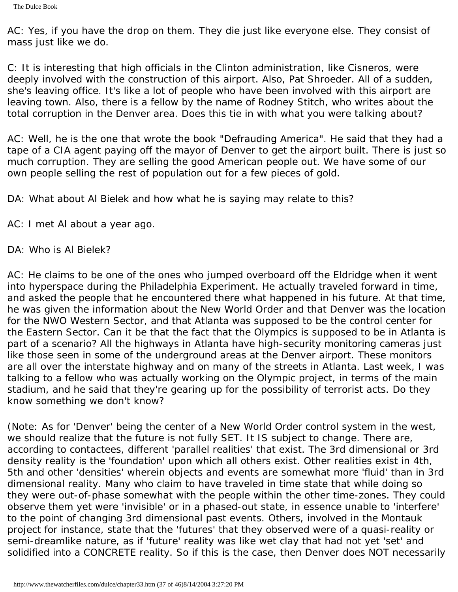AC: Yes, if you have the drop on them. They die just like everyone else. They consist of mass just like we do.

C: It is interesting that high officials in the Clinton administration, like Cisneros, were deeply involved with the construction of this airport. Also, Pat Shroeder. All of a sudden, she's leaving office. It's like a lot of people who have been involved with this airport are leaving town. Also, there is a fellow by the name of Rodney Stitch, who writes about the total corruption in the Denver area. Does this tie in with what you were talking about?

AC: Well, he is the one that wrote the book "Defrauding America". He said that they had a tape of a CIA agent paying off the mayor of Denver to get the airport built. There is just so much corruption. They are selling the good American people out. We have some of our own people selling the rest of population out for a few pieces of gold.

DA: What about Al Bielek and how what he is saying may relate to this?

- AC: I met Al about a year ago.
- DA: Who is Al Bielek?

AC: He claims to be one of the ones who jumped overboard off the Eldridge when it went into hyperspace during the Philadelphia Experiment. He actually traveled forward in time, and asked the people that he encountered there what happened in his future. At that time, he was given the information about the New World Order and that Denver was the location for the NWO Western Sector, and that Atlanta was supposed to be the control center for the Eastern Sector. Can it be that the fact that the Olympics is supposed to be in Atlanta is part of a scenario? All the highways in Atlanta have high-security monitoring cameras just like those seen in some of the underground areas at the Denver airport. These monitors are all over the interstate highway and on many of the streets in Atlanta. Last week, I was talking to a fellow who was actually working on the Olympic project, in terms of the main stadium, and he said that they're gearing up for the possibility of terrorist acts. Do they know something we don't know?

(Note: As for 'Denver' being the center of a New World Order control system in the west, we should realize that the future is not fully SET. It IS subject to change. There are, according to contactees, different 'parallel realities' that exist. The 3rd dimensional or 3rd density reality is the 'foundation' upon which all others exist. Other realities exist in 4th, 5th and other 'densities' wherein objects and events are somewhat more 'fluid' than in 3rd dimensional reality. Many who claim to have traveled in time state that while doing so they were out-of-phase somewhat with the people within the other time-zones. They could observe them yet were 'invisible' or in a phased-out state, in essence unable to 'interfere' to the point of changing 3rd dimensional past events. Others, involved in the Montauk project for instance, state that the 'futures' that they observed were of a quasi-reality or semi-dreamlike nature, as if 'future' reality was like wet clay that had not yet 'set' and solidified into a CONCRETE reality. So if this is the case, then Denver does NOT necessarily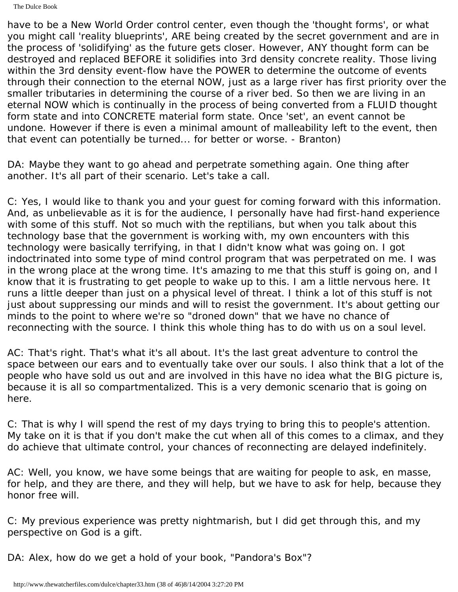have to be a New World Order control center, even though the 'thought forms', or what you might call 'reality blueprints', ARE being created by the secret government and are in the process of 'solidifying' as the future gets closer. However, ANY thought form can be destroyed and replaced BEFORE it solidifies into 3rd density concrete reality. Those living within the 3rd density event-flow have the POWER to determine the outcome of events through their connection to the eternal NOW, just as a large river has first priority over the smaller tributaries in determining the course of a river bed. So then we are living in an eternal NOW which is continually in the process of being converted from a FLUID thought form state and into CONCRETE material form state. Once 'set', an event cannot be undone. However if there is even a minimal amount of malleability left to the event, then that event can potentially be turned... for better or worse. - Branton)

DA: Maybe they want to go ahead and perpetrate something again. One thing after another. It's all part of their scenario. Let's take a call.

C: Yes, I would like to thank you and your guest for coming forward with this information. And, as unbelievable as it is for the audience, I personally have had first-hand experience with some of this stuff. Not so much with the reptilians, but when you talk about this technology base that the government is working with, my own encounters with this technology were basically terrifying, in that I didn't know what was going on. I got indoctrinated into some type of mind control program that was perpetrated on me. I was in the wrong place at the wrong time. It's amazing to me that this stuff is going on, and I know that it is frustrating to get people to wake up to this. I am a little nervous here. It runs a little deeper than just on a physical level of threat. I think a lot of this stuff is not just about suppressing our minds and will to resist the government. It's about getting our minds to the point to where we're so "droned down" that we have no chance of reconnecting with the source. I think this whole thing has to do with us on a soul level.

AC: That's right. That's what it's all about. It's the last great adventure to control the space between our ears and to eventually take over our souls. I also think that a lot of the people who have sold us out and are involved in this have no idea what the BIG picture is, because it is all so compartmentalized. This is a very demonic scenario that is going on here.

C: That is why I will spend the rest of my days trying to bring this to people's attention. My take on it is that if you don't make the cut when all of this comes to a climax, and they do achieve that ultimate control, your chances of reconnecting are delayed indefinitely.

AC: Well, you know, we have some beings that are waiting for people to ask, en masse, for help, and they are there, and they will help, but we have to ask for help, because they honor free will.

C: My previous experience was pretty nightmarish, but I did get through this, and my perspective on God is a gift.

DA: Alex, how do we get a hold of your book, "Pandora's Box"?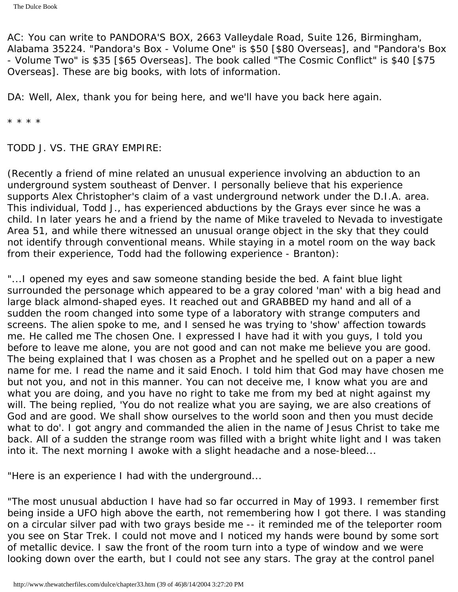AC: You can write to PANDORA'S BOX, 2663 Valleydale Road, Suite 126, Birmingham, Alabama 35224. "Pandora's Box - Volume One" is \$50 [\$80 Overseas], and "Pandora's Box - Volume Two" is \$35 [\$65 Overseas]. The book called "The Cosmic Conflict" is \$40 [\$75 Overseas]. These are big books, with lots of information.

DA: Well, Alex, thank you for being here, and we'll have you back here again.

\* \* \* \*

TODD J. VS. THE GRAY EMPIRE:

(Recently a friend of mine related an unusual experience involving an abduction to an underground system southeast of Denver. I personally believe that his experience supports Alex Christopher's claim of a vast underground network under the D.I.A. area. This individual, Todd J., has experienced abductions by the Grays ever since he was a child. In later years he and a friend by the name of Mike traveled to Nevada to investigate Area 51, and while there witnessed an unusual orange object in the sky that they could not identify through conventional means. While staying in a motel room on the way back from their experience, Todd had the following experience - Branton):

"...I opened my eyes and saw someone standing beside the bed. A faint blue light surrounded the personage which appeared to be a gray colored 'man' with a big head and large black almond-shaped eyes. It reached out and GRABBED my hand and all of a sudden the room changed into some type of a laboratory with strange computers and screens. The alien spoke to me, and I sensed he was trying to 'show' affection towards me. He called me The chosen One. I expressed I have had it with you guys, I told you before to leave me alone, you are not good and can not make me believe you are good. The being explained that I was chosen as a Prophet and he spelled out on a paper a new name for me. I read the name and it said Enoch. I told him that God may have chosen me but not you, and not in this manner. You can not deceive me, I know what you are and what you are doing, and you have no right to take me from my bed at night against my will. The being replied, 'You do not realize what you are saying, we are also creations of God and are good. We shall show ourselves to the world soon and then you must decide what to do'. I got angry and commanded the alien in the name of Jesus Christ to take me back. All of a sudden the strange room was filled with a bright white light and I was taken into it. The next morning I awoke with a slight headache and a nose-bleed...

"Here is an experience I had with the underground...

"The most unusual abduction I have had so far occurred in May of 1993. I remember first being inside a UFO high above the earth, not remembering how I got there. I was standing on a circular silver pad with two grays beside me -- it reminded me of the teleporter room you see on Star Trek. I could not move and I noticed my hands were bound by some sort of metallic device. I saw the front of the room turn into a type of window and we were looking down over the earth, but I could not see any stars. The gray at the control panel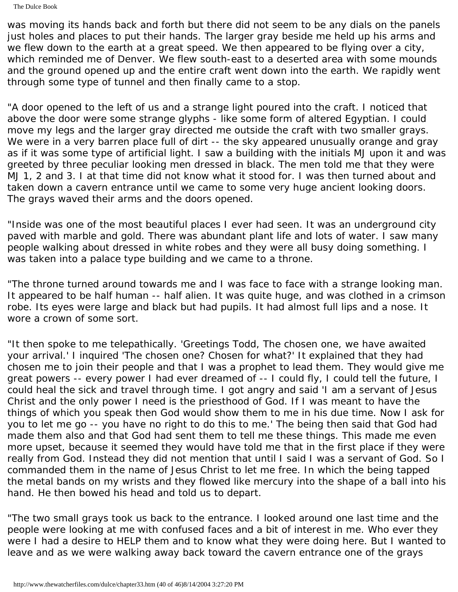The Dulce Book

was moving its hands back and forth but there did not seem to be any dials on the panels just holes and places to put their hands. The larger gray beside me held up his arms and we flew down to the earth at a great speed. We then appeared to be flying over a city, which reminded me of Denver. We flew south-east to a deserted area with some mounds and the ground opened up and the entire craft went down into the earth. We rapidly went through some type of tunnel and then finally came to a stop.

"A door opened to the left of us and a strange light poured into the craft. I noticed that above the door were some strange glyphs - like some form of altered Egyptian. I could move my legs and the larger gray directed me outside the craft with two smaller grays. We were in a very barren place full of dirt -- the sky appeared unusually orange and gray as if it was some type of artificial light. I saw a building with the initials MJ upon it and was greeted by three peculiar looking men dressed in black. The men told me that they were MJ 1, 2 and 3. I at that time did not know what it stood for. I was then turned about and taken down a cavern entrance until we came to some very huge ancient looking doors. The grays waved their arms and the doors opened.

"Inside was one of the most beautiful places I ever had seen. It was an underground city paved with marble and gold. There was abundant plant life and lots of water. I saw many people walking about dressed in white robes and they were all busy doing something. I was taken into a palace type building and we came to a throne.

"The throne turned around towards me and I was face to face with a strange looking man. It appeared to be half human -- half alien. It was quite huge, and was clothed in a crimson robe. Its eyes were large and black but had pupils. It had almost full lips and a nose. It wore a crown of some sort.

"It then spoke to me telepathically. 'Greetings Todd, The chosen one, we have awaited your arrival.' I inquired 'The chosen one? Chosen for what?' It explained that they had chosen me to join their people and that I was a prophet to lead them. They would give me great powers -- every power I had ever dreamed of -- I could fly, I could tell the future, I could heal the sick and travel through time. I got angry and said 'I am a servant of Jesus Christ and the only power I need is the priesthood of God. If I was meant to have the things of which you speak then God would show them to me in his due time. Now I ask for you to let me go -- you have no right to do this to me.' The being then said that God had made them also and that God had sent them to tell me these things. This made me even more upset, because it seemed they would have told me that in the first place if they were really from God. Instead they did not mention that until I said I was a servant of God. So I commanded them in the name of Jesus Christ to let me free. In which the being tapped the metal bands on my wrists and they flowed like mercury into the shape of a ball into his hand. He then bowed his head and told us to depart.

"The two small grays took us back to the entrance. I looked around one last time and the people were looking at me with confused faces and a bit of interest in me. Who ever they were I had a desire to HELP them and to know what they were doing here. But I wanted to leave and as we were walking away back toward the cavern entrance one of the grays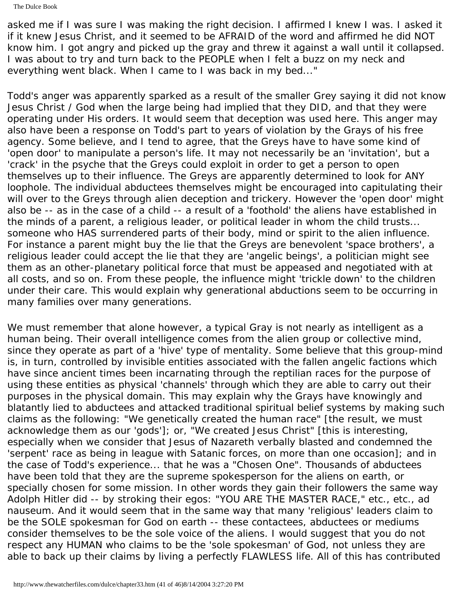The Dulce Book

asked me if I was sure I was making the right decision. I affirmed I knew I was. I asked it if it knew Jesus Christ, and it seemed to be AFRAID of the word and affirmed he did NOT know him. I got angry and picked up the gray and threw it against a wall until it collapsed. I was about to try and turn back to the PEOPLE when I felt a buzz on my neck and everything went black. When I came to I was back in my bed..."

Todd's anger was apparently sparked as a result of the smaller Grey saying it did not know Jesus Christ / God when the large being had implied that they DID, and that they were operating under His orders. It would seem that deception was used here. This anger may also have been a response on Todd's part to years of violation by the Grays of his free agency. Some believe, and I tend to agree, that the Greys have to have some kind of 'open door' to manipulate a person's life. It may not necessarily be an 'invitation', but a 'crack' in the psyche that the Greys could exploit in order to get a person to open themselves up to their influence. The Greys are apparently determined to look for ANY loophole. The individual abductees themselves might be encouraged into capitulating their will over to the Greys through alien deception and trickery. However the 'open door' might also be -- as in the case of a child -- a result of a 'foothold' the aliens have established in the minds of a parent, a religious leader, or political leader in whom the child trusts... someone who HAS surrendered parts of their body, mind or spirit to the alien influence. For instance a parent might buy the lie that the Greys are benevolent 'space brothers', a religious leader could accept the lie that they are 'angelic beings', a politician might see them as an other-planetary political force that must be appeased and negotiated with at all costs, and so on. From these people, the influence might 'trickle down' to the children under their care. This would explain why generational abductions seem to be occurring in many families over many generations.

We must remember that alone however, a typical Gray is not nearly as intelligent as a human being. Their overall intelligence comes from the alien group or collective mind, since they operate as part of a 'hive' type of mentality. Some believe that this group-mind is, in turn, controlled by invisible entities associated with the fallen angelic factions which have since ancient times been incarnating through the reptilian races for the purpose of using these entities as physical 'channels' through which they are able to carry out their purposes in the physical domain. This may explain why the Grays have knowingly and blatantly lied to abductees and attacked traditional spiritual belief systems by making such claims as the following: "We genetically created the human race" [the result, we must acknowledge them as our 'gods']; or, "We created Jesus Christ" [this is interesting, especially when we consider that Jesus of Nazareth verbally blasted and condemned the 'serpent' race as being in league with Satanic forces, on more than one occasion]; and in the case of Todd's experience... that he was a "Chosen One". Thousands of abductees have been told that they are the supreme spokesperson for the aliens on earth, or specially chosen for some mission. In other words they gain their followers the same way Adolph Hitler did -- by stroking their egos: "YOU ARE THE MASTER RACE," etc., etc., ad nauseum. And it would seem that in the same way that many 'religious' leaders claim to be the SOLE spokesman for God on earth -- these contactees, abductees or mediums consider themselves to be the sole voice of the aliens. I would suggest that you do not respect any HUMAN who claims to be the 'sole spokesman' of God, not unless they are able to back up their claims by living a perfectly FLAWLESS life. All of this has contributed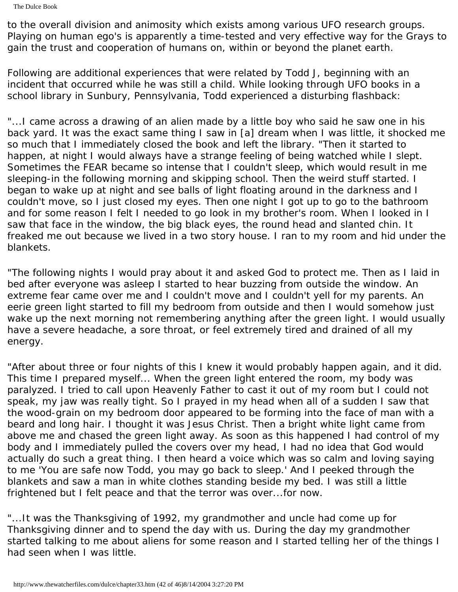The Dulce Book

to the overall division and animosity which exists among various UFO research groups. Playing on human ego's is apparently a time-tested and very effective way for the Grays to gain the trust and cooperation of humans on, within or beyond the planet earth.

Following are additional experiences that were related by Todd J, beginning with an incident that occurred while he was still a child. While looking through UFO books in a school library in Sunbury, Pennsylvania, Todd experienced a disturbing flashback:

"...I came across a drawing of an alien made by a little boy who said he saw one in his back yard. It was the exact same thing I saw in [a] dream when I was little, it shocked me so much that I immediately closed the book and left the library. "Then it started to happen, at night I would always have a strange feeling of being watched while I slept. Sometimes the FEAR became so intense that I couldn't sleep, which would result in me sleeping-in the following morning and skipping school. Then the weird stuff started. I began to wake up at night and see balls of light floating around in the darkness and I couldn't move, so I just closed my eyes. Then one night I got up to go to the bathroom and for some reason I felt I needed to go look in my brother's room. When I looked in I saw that face in the window, the big black eyes, the round head and slanted chin. It freaked me out because we lived in a two story house. I ran to my room and hid under the blankets.

"The following nights I would pray about it and asked God to protect me. Then as I laid in bed after everyone was asleep I started to hear buzzing from outside the window. An extreme fear came over me and I couldn't move and I couldn't yell for my parents. An eerie green light started to fill my bedroom from outside and then I would somehow just wake up the next morning not remembering anything after the green light. I would usually have a severe headache, a sore throat, or feel extremely tired and drained of all my energy.

"After about three or four nights of this I knew it would probably happen again, and it did. This time I prepared myself... When the green light entered the room, my body was paralyzed. I tried to call upon Heavenly Father to cast it out of my room but I could not speak, my jaw was really tight. So I prayed in my head when all of a sudden I saw that the wood-grain on my bedroom door appeared to be forming into the face of man with a beard and long hair. I thought it was Jesus Christ. Then a bright white light came from above me and chased the green light away. As soon as this happened I had control of my body and I immediately pulled the covers over my head, I had no idea that God would actually do such a great thing. I then heard a voice which was so calm and loving saying to me 'You are safe now Todd, you may go back to sleep.' And I peeked through the blankets and saw a man in white clothes standing beside my bed. I was still a little frightened but I felt peace and that the terror was over...for now.

"...It was the Thanksgiving of 1992, my grandmother and uncle had come up for Thanksgiving dinner and to spend the day with us. During the day my grandmother started talking to me about aliens for some reason and I started telling her of the things I had seen when I was little.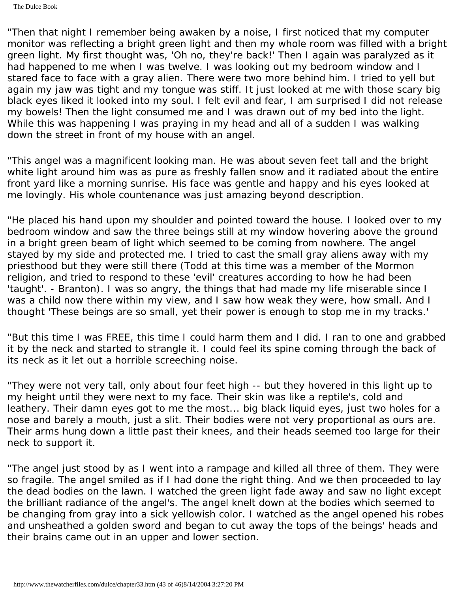"Then that night I remember being awaken by a noise, I first noticed that my computer monitor was reflecting a bright green light and then my whole room was filled with a bright green light. My first thought was, 'Oh no, they're back!' Then I again was paralyzed as it had happened to me when I was twelve. I was looking out my bedroom window and I stared face to face with a gray alien. There were two more behind him. I tried to yell but again my jaw was tight and my tongue was stiff. It just looked at me with those scary big black eyes liked it looked into my soul. I felt evil and fear, I am surprised I did not release my bowels! Then the light consumed me and I was drawn out of my bed into the light. While this was happening I was praying in my head and all of a sudden I was walking down the street in front of my house with an angel.

"This angel was a magnificent looking man. He was about seven feet tall and the bright white light around him was as pure as freshly fallen snow and it radiated about the entire front yard like a morning sunrise. His face was gentle and happy and his eyes looked at me lovingly. His whole countenance was just amazing beyond description.

"He placed his hand upon my shoulder and pointed toward the house. I looked over to my bedroom window and saw the three beings still at my window hovering above the ground in a bright green beam of light which seemed to be coming from nowhere. The angel stayed by my side and protected me. I tried to cast the small gray aliens away with my priesthood but they were still there (Todd at this time was a member of the Mormon religion, and tried to respond to these 'evil' creatures according to how he had been 'taught'. - Branton). I was so angry, the things that had made my life miserable since I was a child now there within my view, and I saw how weak they were, how small. And I thought 'These beings are so small, yet their power is enough to stop me in my tracks.'

"But this time I was FREE, this time I could harm them and I did. I ran to one and grabbed it by the neck and started to strangle it. I could feel its spine coming through the back of its neck as it let out a horrible screeching noise.

"They were not very tall, only about four feet high -- but they hovered in this light up to my height until they were next to my face. Their skin was like a reptile's, cold and leathery. Their damn eyes got to me the most... big black liquid eyes, just two holes for a nose and barely a mouth, just a slit. Their bodies were not very proportional as ours are. Their arms hung down a little past their knees, and their heads seemed too large for their neck to support it.

"The angel just stood by as I went into a rampage and killed all three of them. They were so fragile. The angel smiled as if I had done the right thing. And we then proceeded to lay the dead bodies on the lawn. I watched the green light fade away and saw no light except the brilliant radiance of the angel's. The angel knelt down at the bodies which seemed to be changing from gray into a sick yellowish color. I watched as the angel opened his robes and unsheathed a golden sword and began to cut away the tops of the beings' heads and their brains came out in an upper and lower section.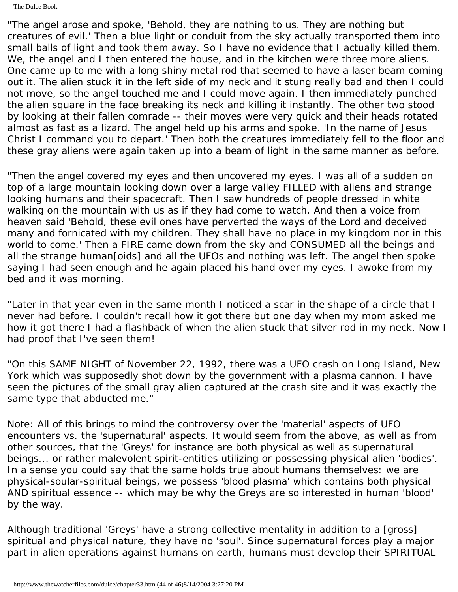The Dulce Book

"The angel arose and spoke, 'Behold, they are nothing to us. They are nothing but creatures of evil.' Then a blue light or conduit from the sky actually transported them into small balls of light and took them away. So I have no evidence that I actually killed them. We, the angel and I then entered the house, and in the kitchen were three more aliens. One came up to me with a long shiny metal rod that seemed to have a laser beam coming out it. The alien stuck it in the left side of my neck and it stung really bad and then I could not move, so the angel touched me and I could move again. I then immediately punched the alien square in the face breaking its neck and killing it instantly. The other two stood by looking at their fallen comrade -- their moves were very quick and their heads rotated almost as fast as a lizard. The angel held up his arms and spoke. 'In the name of Jesus Christ I command you to depart.' Then both the creatures immediately fell to the floor and these gray aliens were again taken up into a beam of light in the same manner as before.

"Then the angel covered my eyes and then uncovered my eyes. I was all of a sudden on top of a large mountain looking down over a large valley FILLED with aliens and strange looking humans and their spacecraft. Then I saw hundreds of people dressed in white walking on the mountain with us as if they had come to watch. And then a voice from heaven said 'Behold, these evil ones have perverted the ways of the Lord and deceived many and fornicated with my children. They shall have no place in my kingdom nor in this world to come.' Then a FIRE came down from the sky and CONSUMED all the beings and all the strange human[oids] and all the UFOs and nothing was left. The angel then spoke saying I had seen enough and he again placed his hand over my eyes. I awoke from my bed and it was morning.

"Later in that year even in the same month I noticed a scar in the shape of a circle that I never had before. I couldn't recall how it got there but one day when my mom asked me how it got there I had a flashback of when the alien stuck that silver rod in my neck. Now I had proof that I've seen them!

"On this SAME NIGHT of November 22, 1992, there was a UFO crash on Long Island, New York which was supposedly shot down by the government with a plasma cannon. I have seen the pictures of the small gray alien captured at the crash site and it was exactly the same type that abducted me."

Note: All of this brings to mind the controversy over the 'material' aspects of UFO encounters vs. the 'supernatural' aspects. It would seem from the above, as well as from other sources, that the 'Greys' for instance are both physical as well as supernatural beings... or rather malevolent spirit-entities utilizing or possessing physical alien 'bodies'. In a sense you could say that the same holds true about humans themselves: we are physical-soular-spiritual beings, we possess 'blood plasma' which contains both physical AND spiritual essence -- which may be why the Greys are so interested in human 'blood' by the way.

Although traditional 'Greys' have a strong collective mentality in addition to a [gross] spiritual and physical nature, they have no 'soul'. Since supernatural forces play a major part in alien operations against humans on earth, humans must develop their SPIRITUAL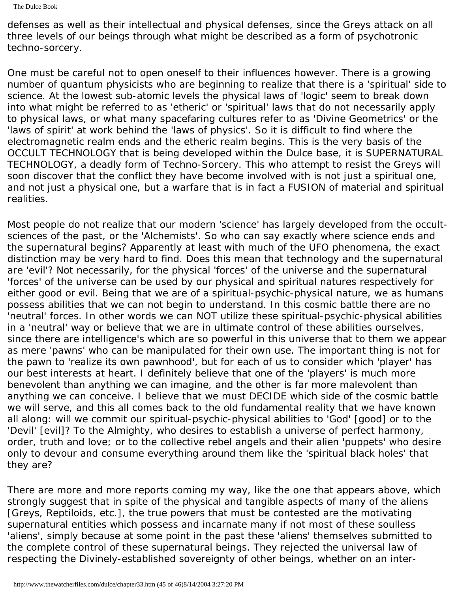The Dulce Book

defenses as well as their intellectual and physical defenses, since the Greys attack on all three levels of our beings through what might be described as a form of psychotronic techno-sorcery.

One must be careful not to open oneself to their influences however. There is a growing number of quantum physicists who are beginning to realize that there is a 'spiritual' side to science. At the lowest sub-atomic levels the physical laws of 'logic' seem to break down into what might be referred to as 'etheric' or 'spiritual' laws that do not necessarily apply to physical laws, or what many spacefaring cultures refer to as 'Divine Geometrics' or the 'laws of spirit' at work behind the 'laws of physics'. So it is difficult to find where the electromagnetic realm ends and the etheric realm begins. This is the very basis of the OCCULT TECHNOLOGY that is being developed within the Dulce base, it is SUPERNATURAL TECHNOLOGY, a deadly form of Techno-Sorcery. This who attempt to resist the Greys will soon discover that the conflict they have become involved with is not just a spiritual one, and not just a physical one, but a warfare that is in fact a FUSION of material and spiritual realities.

Most people do not realize that our modern 'science' has largely developed from the occultsciences of the past, or the 'Alchemists'. So who can say exactly where science ends and the supernatural begins? Apparently at least with much of the UFO phenomena, the exact distinction may be very hard to find. Does this mean that technology and the supernatural are 'evil'? Not necessarily, for the physical 'forces' of the universe and the supernatural 'forces' of the universe can be used by our physical and spiritual natures respectively for either good or evil. Being that we are of a spiritual-psychic-physical nature, we as humans possess abilities that we can not begin to understand. In this cosmic battle there are no 'neutral' forces. In other words we can NOT utilize these spiritual-psychic-physical abilities in a 'neutral' way or believe that we are in ultimate control of these abilities ourselves, since there are intelligence's which are so powerful in this universe that to them we appear as mere 'pawns' who can be manipulated for their own use. The important thing is not for the pawn to 'realize its own pawnhood', but for each of us to consider which 'player' has our best interests at heart. I definitely believe that one of the 'players' is much more benevolent than anything we can imagine, and the other is far more malevolent than anything we can conceive. I believe that we must DECIDE which side of the cosmic battle we will serve, and this all comes back to the old fundamental reality that we have known all along: will we commit our spiritual-psychic-physical abilities to 'God' [good] or to the 'Devil' [evil]? To the Almighty, who desires to establish a universe of perfect harmony, order, truth and love; or to the collective rebel angels and their alien 'puppets' who desire only to devour and consume everything around them like the 'spiritual black holes' that they are?

There are more and more reports coming my way, like the one that appears above, which strongly suggest that in spite of the physical and tangible aspects of many of the aliens [Greys, Reptiloids, etc.], the true powers that must be contested are the motivating supernatural entities which possess and incarnate many if not most of these soulless 'aliens', simply because at some point in the past these 'aliens' themselves submitted to the complete control of these supernatural beings. They rejected the universal law of respecting the Divinely-established sovereignty of other beings, whether on an inter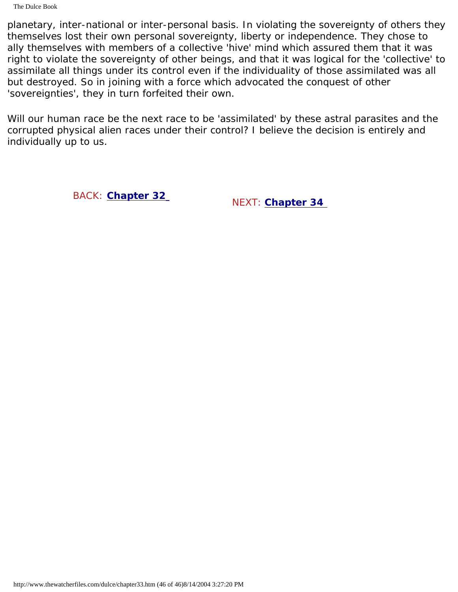The Dulce Book

planetary, inter-national or inter-personal basis. In violating the sovereignty of others they themselves lost their own personal sovereignty, liberty or independence. They chose to ally themselves with members of a collective 'hive' mind which assured them that it was right to violate the sovereignty of other beings, and that it was logical for the 'collective' to assimilate all things under its control even if the individuality of those assimilated was all but destroyed. So in joining with a force which advocated the conquest of other 'sovereignties', they in turn forfeited their own.

Will our human race be the next race to be 'assimilated' by these astral parasites and the corrupted physical alien races under their control? I believe the decision is entirely and individually up to us.

BACK: **[Chapter 32](#page-335-0)** NEXT: **[Chapter 34](#page-389-0)**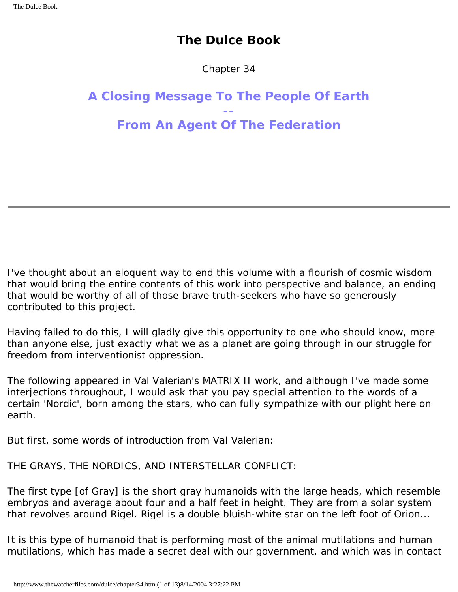# **The Dulce Book**

Chapter 34

<span id="page-389-0"></span>**A Closing Message To The People Of Earth -- From An Agent Of The Federation**

I've thought about an eloquent way to end this volume with a flourish of cosmic wisdom that would bring the entire contents of this work into perspective and balance, an ending that would be worthy of all of those brave truth-seekers who have so generously contributed to this project.

Having failed to do this, I will gladly give this opportunity to one who should know, more than anyone else, just exactly what we as a planet are going through in our struggle for freedom from interventionist oppression.

The following appeared in Val Valerian's MATRIX II work, and although I've made some interjections throughout, I would ask that you pay special attention to the words of a certain 'Nordic', born among the stars, who can fully sympathize with our plight here on earth.

But first, some words of introduction from Val Valerian:

THE GRAYS, THE NORDICS, AND INTERSTELLAR CONFLICT:

The first type [of Gray] is the short gray humanoids with the large heads, which resemble embryos and average about four and a half feet in height. They are from a solar system that revolves around Rigel. Rigel is a double bluish-white star on the left foot of Orion...

It is this type of humanoid that is performing most of the animal mutilations and human mutilations, which has made a secret deal with our government, and which was in contact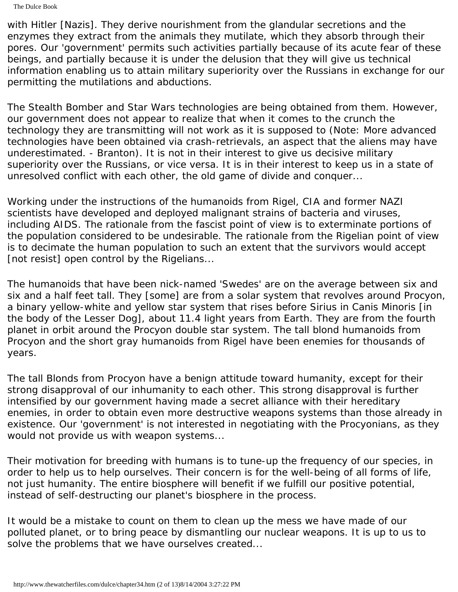The Dulce Book

with Hitler [Nazis]. They derive nourishment from the glandular secretions and the enzymes they extract from the animals they mutilate, which they absorb through their pores. Our 'government' permits such activities partially because of its acute fear of these beings, and partially because it is under the delusion that they will give us technical information enabling us to attain military superiority over the Russians in exchange for our permitting the mutilations and abductions.

The Stealth Bomber and Star Wars technologies are being obtained from them. However, our government does not appear to realize that when it comes to the crunch the technology they are transmitting will not work as it is supposed to (Note: More advanced technologies have been obtained via crash-retrievals, an aspect that the aliens may have underestimated. - Branton). It is not in their interest to give us decisive military superiority over the Russians, or vice versa. It is in their interest to keep us in a state of unresolved conflict with each other, the old game of divide and conquer...

Working under the instructions of the humanoids from Rigel, CIA and former NAZI scientists have developed and deployed malignant strains of bacteria and viruses, including AIDS. The rationale from the fascist point of view is to exterminate portions of the population considered to be undesirable. The rationale from the Rigelian point of view is to decimate the human population to such an extent that the survivors would accept [not resist] open control by the Rigelians...

The humanoids that have been nick-named 'Swedes' are on the average between six and six and a half feet tall. They [some] are from a solar system that revolves around Procyon, a binary yellow-white and yellow star system that rises before Sirius in Canis Minoris [in the body of the Lesser Dog], about 11.4 light years from Earth. They are from the fourth planet in orbit around the Procyon double star system. The tall blond humanoids from Procyon and the short gray humanoids from Rigel have been enemies for thousands of years.

The tall Blonds from Procyon have a benign attitude toward humanity, except for their strong disapproval of our inhumanity to each other. This strong disapproval is further intensified by our government having made a secret alliance with their hereditary enemies, in order to obtain even more destructive weapons systems than those already in existence. Our 'government' is not interested in negotiating with the Procyonians, as they would not provide us with weapon systems...

Their motivation for breeding with humans is to tune-up the frequency of our species, in order to help us to help ourselves. Their concern is for the well-being of all forms of life, not just humanity. The entire biosphere will benefit if we fulfill our positive potential, instead of self-destructing our planet's biosphere in the process.

It would be a mistake to count on them to clean up the mess we have made of our polluted planet, or to bring peace by dismantling our nuclear weapons. It is up to us to solve the problems that we have ourselves created...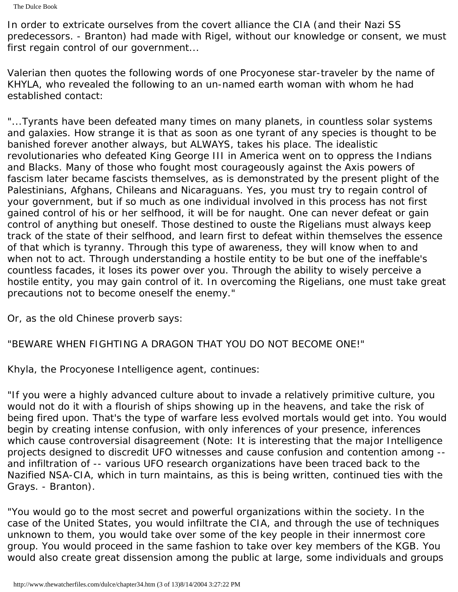In order to extricate ourselves from the covert alliance the CIA (and their Nazi SS predecessors. - Branton) had made with Rigel, without our knowledge or consent, we must first regain control of our government...

Valerian then quotes the following words of one Procyonese star-traveler by the name of KHYLA, who revealed the following to an un-named earth woman with whom he had established contact:

"...Tyrants have been defeated many times on many planets, in countless solar systems and galaxies. How strange it is that as soon as one tyrant of any species is thought to be banished forever another always, but ALWAYS, takes his place. The idealistic revolutionaries who defeated King George III in America went on to oppress the Indians and Blacks. Many of those who fought most courageously against the Axis powers of fascism later became fascists themselves, as is demonstrated by the present plight of the Palestinians, Afghans, Chileans and Nicaraguans. Yes, you must try to regain control of your government, but if so much as one individual involved in this process has not first gained control of his or her selfhood, it will be for naught. One can never defeat or gain control of anything but oneself. Those destined to ouste the Rigelians must always keep track of the state of their selfhood, and learn first to defeat within themselves the essence of that which is tyranny. Through this type of awareness, they will know when to and when not to act. Through understanding a hostile entity to be but one of the ineffable's countless facades, it loses its power over you. Through the ability to wisely perceive a hostile entity, you may gain control of it. In overcoming the Rigelians, one must take great precautions not to become oneself the enemy."

Or, as the old Chinese proverb says:

# "BEWARE WHEN FIGHTING A DRAGON THAT YOU DO NOT BECOME ONE!"

Khyla, the Procyonese Intelligence agent, continues:

"If you were a highly advanced culture about to invade a relatively primitive culture, you would not do it with a flourish of ships showing up in the heavens, and take the risk of being fired upon. That's the type of warfare less evolved mortals would get into. You would begin by creating intense confusion, with only inferences of your presence, inferences which cause controversial disagreement (Note: It is interesting that the major Intelligence projects designed to discredit UFO witnesses and cause confusion and contention among - and infiltration of -- various UFO research organizations have been traced back to the Nazified NSA-CIA, which in turn maintains, as this is being written, continued ties with the Grays. - Branton).

"You would go to the most secret and powerful organizations within the society. In the case of the United States, you would infiltrate the CIA, and through the use of techniques unknown to them, you would take over some of the key people in their innermost core group. You would proceed in the same fashion to take over key members of the KGB. You would also create great dissension among the public at large, some individuals and groups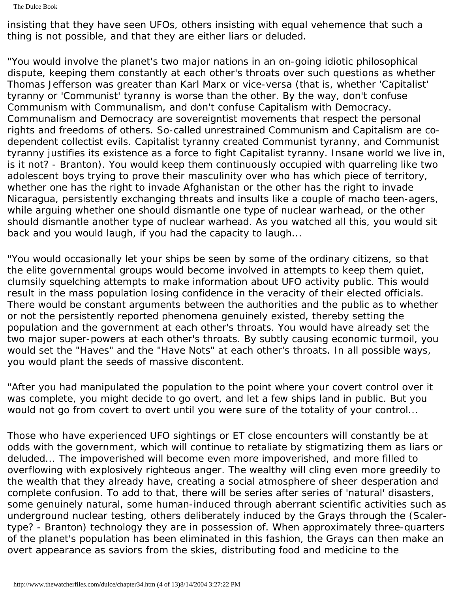The Dulce Book

insisting that they have seen UFOs, others insisting with equal vehemence that such a thing is not possible, and that they are either liars or deluded.

"You would involve the planet's two major nations in an on-going idiotic philosophical dispute, keeping them constantly at each other's throats over such questions as whether Thomas Jefferson was greater than Karl Marx or vice-versa (that is, whether 'Capitalist' tyranny or 'Communist' tyranny is worse than the other. By the way, don't confuse Communism with Communalism, and don't confuse Capitalism with Democracy. Communalism and Democracy are sovereigntist movements that respect the personal rights and freedoms of others. So-called unrestrained Communism and Capitalism are codependent collectist evils. Capitalist tyranny created Communist tyranny, and Communist tyranny justifies its existence as a force to fight Capitalist tyranny. Insane world we live in, is it not? - Branton). You would keep them continuously occupied with quarreling like two adolescent boys trying to prove their masculinity over who has which piece of territory, whether one has the right to invade Afghanistan or the other has the right to invade Nicaragua, persistently exchanging threats and insults like a couple of macho teen-agers, while arguing whether one should dismantle one type of nuclear warhead, or the other should dismantle another type of nuclear warhead. As you watched all this, you would sit back and you would laugh, if you had the capacity to laugh...

"You would occasionally let your ships be seen by some of the ordinary citizens, so that the elite governmental groups would become involved in attempts to keep them quiet, clumsily squelching attempts to make information about UFO activity public. This would result in the mass population losing confidence in the veracity of their elected officials. There would be constant arguments between the authorities and the public as to whether or not the persistently reported phenomena genuinely existed, thereby setting the population and the government at each other's throats. You would have already set the two major super-powers at each other's throats. By subtly causing economic turmoil, you would set the "Haves" and the "Have Nots" at each other's throats. In all possible ways, you would plant the seeds of massive discontent.

"After you had manipulated the population to the point where your covert control over it was complete, you might decide to go overt, and let a few ships land in public. But you would not go from covert to overt until you were sure of the totality of your control...

Those who have experienced UFO sightings or ET close encounters will constantly be at odds with the government, which will continue to retaliate by stigmatizing them as liars or deluded... The impoverished will become even more impoverished, and more filled to overflowing with explosively righteous anger. The wealthy will cling even more greedily to the wealth that they already have, creating a social atmosphere of sheer desperation and complete confusion. To add to that, there will be series after series of 'natural' disasters, some genuinely natural, some human-induced through aberrant scientific activities such as underground nuclear testing, others deliberately induced by the Grays through the (Scalertype? - Branton) technology they are in possession of. When approximately three-quarters of the planet's population has been eliminated in this fashion, the Grays can then make an overt appearance as saviors from the skies, distributing food and medicine to the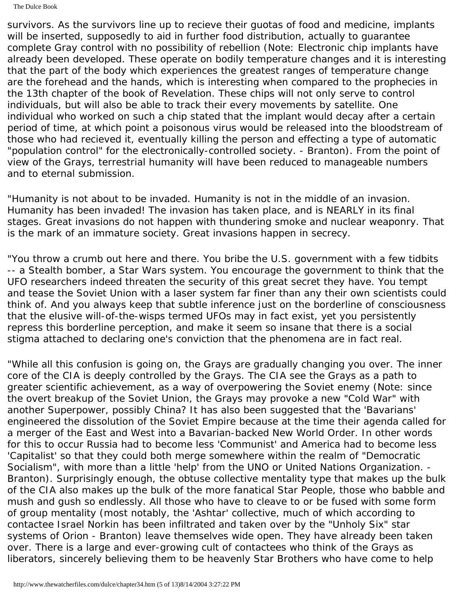The Dulce Book

survivors. As the survivors line up to recieve their guotas of food and medicine, implants will be inserted, supposedly to aid in further food distribution, actually to guarantee complete Gray control with no possibility of rebellion (Note: Electronic chip implants have already been developed. These operate on bodily temperature changes and it is interesting that the part of the body which experiences the greatest ranges of temperature change are the forehead and the hands, which is interesting when compared to the prophecies in the 13th chapter of the book of Revelation. These chips will not only serve to control individuals, but will also be able to track their every movements by satellite. One individual who worked on such a chip stated that the implant would decay after a certain period of time, at which point a poisonous virus would be released into the bloodstream of those who had recieved it, eventually killing the person and effecting a type of automatic "population control" for the electronically-controlled society. - Branton). From the point of view of the Grays, terrestrial humanity will have been reduced to manageable numbers and to eternal submission.

"Humanity is not about to be invaded. Humanity is not in the middle of an invasion. Humanity has been invaded! The invasion has taken place, and is NEARLY in its final stages. Great invasions do not happen with thundering smoke and nuclear weaponry. That is the mark of an immature society. Great invasions happen in secrecy.

"You throw a crumb out here and there. You bribe the U.S. government with a few tidbits -- a Stealth bomber, a Star Wars system. You encourage the government to think that the UFO researchers indeed threaten the security of this great secret they have. You tempt and tease the Soviet Union with a laser system far finer than any their own scientists could think of. And you always keep that subtle inference just on the borderline of consciousness that the elusive will-of-the-wisps termed UFOs may in fact exist, yet you persistently repress this borderline perception, and make it seem so insane that there is a social stigma attached to declaring one's conviction that the phenomena are in fact real.

"While all this confusion is going on, the Grays are gradually changing you over. The inner core of the CIA is deeply controlled by the Grays. The CIA see the Grays as a path to greater scientific achievement, as a way of overpowering the Soviet enemy (Note: since the overt breakup of the Soviet Union, the Grays may provoke a new "Cold War" with another Superpower, possibly China? It has also been suggested that the 'Bavarians' engineered the dissolution of the Soviet Empire because at the time their agenda called for a merger of the East and West into a Bavarian-backed New World Order. In other words for this to occur Russia had to become less 'Communist' and America had to become less 'Capitalist' so that they could both merge somewhere within the realm of "Democratic Socialism", with more than a little 'help' from the UNO or United Nations Organization. - Branton). Surprisingly enough, the obtuse collective mentality type that makes up the bulk of the CIA also makes up the bulk of the more fanatical Star People, those who babble and mush and gush so endlessly. All those who have to cleave to or be fused with some form of group mentality (most notably, the 'Ashtar' collective, much of which according to contactee Israel Norkin has been infiltrated and taken over by the "Unholy Six" star systems of Orion - Branton) leave themselves wide open. They have already been taken over. There is a large and ever-growing cult of contactees who think of the Grays as liberators, sincerely believing them to be heavenly Star Brothers who have come to help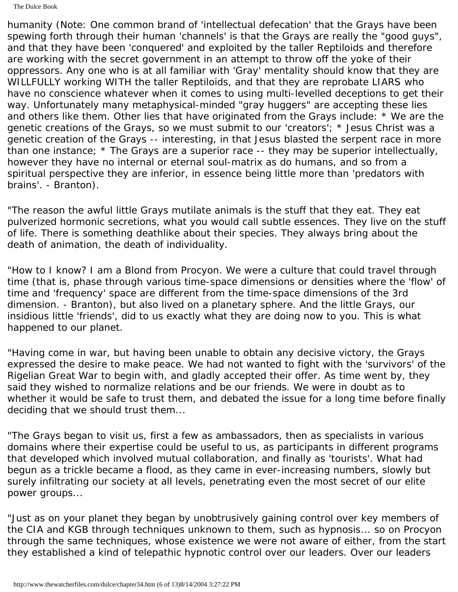The Dulce Book

humanity (Note: One common brand of 'intellectual defecation' that the Grays have been spewing forth through their human 'channels' is that the Grays are really the "good guys", and that they have been 'conquered' and exploited by the taller Reptiloids and therefore are working with the secret government in an attempt to throw off the yoke of their oppressors. Any one who is at all familiar with 'Gray' mentality should know that they are WILLFULLY working WITH the taller Reptiloids, and that they are reprobate LIARS who have no conscience whatever when it comes to using multi-levelled deceptions to get their way. Unfortunately many metaphysical-minded "gray huggers" are accepting these lies and others like them. Other lies that have originated from the Grays include: \* We are the genetic creations of the Grays, so we must submit to our 'creators'; \* Jesus Christ was a genetic creation of the Grays -- interesting, in that Jesus blasted the serpent race in more than one instance; \* The Grays are a superior race -- they may be superior intellectually, however they have no internal or eternal soul-matrix as do humans, and so from a spiritual perspective they are inferior, in essence being little more than 'predators with brains'. - Branton).

"The reason the awful little Grays mutilate animals is the stuff that they eat. They eat pulverized hormonic secretions, what you would call subtle essences. They live on the stuff of life. There is something deathlike about their species. They always bring about the death of animation, the death of individuality.

"How to I know? I am a Blond from Procyon. We were a culture that could travel through time (that is, phase through various time-space dimensions or densities where the 'flow' of time and 'frequency' space are different from the time-space dimensions of the 3rd dimension. - Branton), but also lived on a planetary sphere. And the little Grays, our insidious little 'friends', did to us exactly what they are doing now to you. This is what happened to our planet.

"Having come in war, but having been unable to obtain any decisive victory, the Grays expressed the desire to make peace. We had not wanted to fight with the 'survivors' of the Rigelian Great War to begin with, and gladly accepted their offer. As time went by, they said they wished to normalize relations and be our friends. We were in doubt as to whether it would be safe to trust them, and debated the issue for a long time before finally deciding that we should trust them...

"The Grays began to visit us, first a few as ambassadors, then as specialists in various domains where their expertise could be useful to us, as participants in different programs that developed which involved mutual collaboration, and finally as 'tourists'. What had begun as a trickle became a flood, as they came in ever-increasing numbers, slowly but surely infiltrating our society at all levels, penetrating even the most secret of our elite power groups...

"Just as on your planet they began by unobtrusively gaining control over key members of the CIA and KGB through techniques unknown to them, such as hypnosis... so on Procyon through the same techniques, whose existence we were not aware of either, from the start they established a kind of telepathic hypnotic control over our leaders. Over our leaders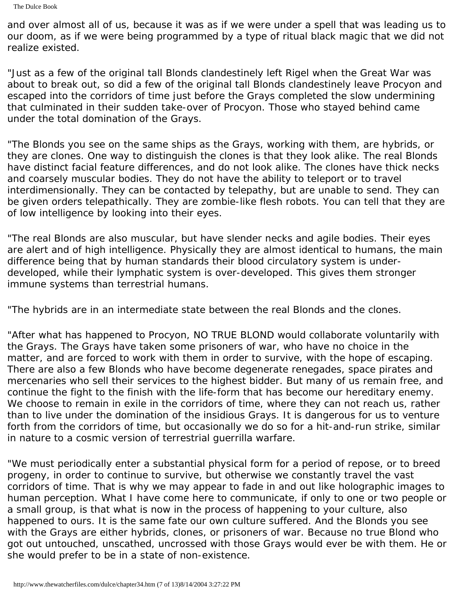and over almost all of us, because it was as if we were under a spell that was leading us to our doom, as if we were being programmed by a type of ritual black magic that we did not realize existed.

"Just as a few of the original tall Blonds clandestinely left Rigel when the Great War was about to break out, so did a few of the original tall Blonds clandestinely leave Procyon and escaped into the corridors of time just before the Grays completed the slow undermining that culminated in their sudden take-over of Procyon. Those who stayed behind came under the total domination of the Grays.

"The Blonds you see on the same ships as the Grays, working with them, are hybrids, or they are clones. One way to distinguish the clones is that they look alike. The real Blonds have distinct facial feature differences, and do not look alike. The clones have thick necks and coarsely muscular bodies. They do not have the ability to teleport or to travel interdimensionally. They can be contacted by telepathy, but are unable to send. They can be given orders telepathically. They are zombie-like flesh robots. You can tell that they are of low intelligence by looking into their eyes.

"The real Blonds are also muscular, but have slender necks and agile bodies. Their eyes are alert and of high intelligence. Physically they are almost identical to humans, the main difference being that by human standards their blood circulatory system is underdeveloped, while their lymphatic system is over-developed. This gives them stronger immune systems than terrestrial humans.

"The hybrids are in an intermediate state between the real Blonds and the clones.

"After what has happened to Procyon, NO TRUE BLOND would collaborate voluntarily with the Grays. The Grays have taken some prisoners of war, who have no choice in the matter, and are forced to work with them in order to survive, with the hope of escaping. There are also a few Blonds who have become degenerate renegades, space pirates and mercenaries who sell their services to the highest bidder. But many of us remain free, and continue the fight to the finish with the life-form that has become our hereditary enemy. We choose to remain in exile in the corridors of time, where they can not reach us, rather than to live under the domination of the insidious Grays. It is dangerous for us to venture forth from the corridors of time, but occasionally we do so for a hit-and-run strike, similar in nature to a cosmic version of terrestrial guerrilla warfare.

"We must periodically enter a substantial physical form for a period of repose, or to breed progeny, in order to continue to survive, but otherwise we constantly travel the vast corridors of time. That is why we may appear to fade in and out like holographic images to human perception. What I have come here to communicate, if only to one or two people or a small group, is that what is now in the process of happening to your culture, also happened to ours. It is the same fate our own culture suffered. And the Blonds you see with the Grays are either hybrids, clones, or prisoners of war. Because no true Blond who got out untouched, unscathed, uncrossed with those Grays would ever be with them. He or she would prefer to be in a state of non-existence.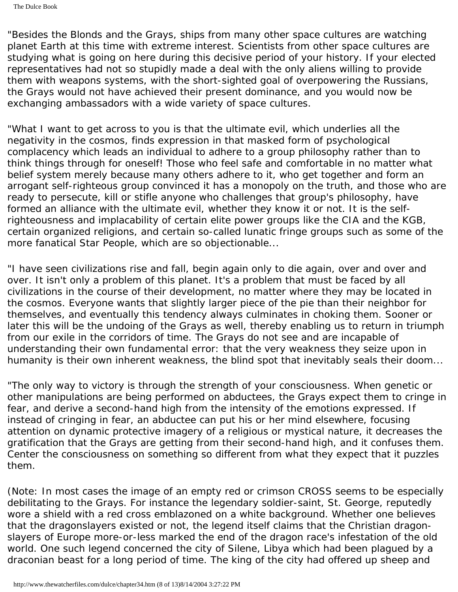"Besides the Blonds and the Grays, ships from many other space cultures are watching planet Earth at this time with extreme interest. Scientists from other space cultures are studying what is going on here during this decisive period of your history. If your elected representatives had not so stupidly made a deal with the only aliens willing to provide them with weapons systems, with the short-sighted goal of overpowering the Russians, the Grays would not have achieved their present dominance, and you would now be exchanging ambassadors with a wide variety of space cultures.

"What I want to get across to you is that the ultimate evil, which underlies all the negativity in the cosmos, finds expression in that masked form of psychological complacency which leads an individual to adhere to a group philosophy rather than to think things through for oneself! Those who feel safe and comfortable in no matter what belief system merely because many others adhere to it, who get together and form an arrogant self-righteous group convinced it has a monopoly on the truth, and those who are ready to persecute, kill or stifle anyone who challenges that group's philosophy, have formed an alliance with the ultimate evil, whether they know it or not. It is the selfrighteousness and implacability of certain elite power groups like the CIA and the KGB, certain organized religions, and certain so-called lunatic fringe groups such as some of the more fanatical Star People, which are so objectionable...

"I have seen civilizations rise and fall, begin again only to die again, over and over and over. It isn't only a problem of this planet. It's a problem that must be faced by all civilizations in the course of their development, no matter where they may be located in the cosmos. Everyone wants that slightly larger piece of the pie than their neighbor for themselves, and eventually this tendency always culminates in choking them. Sooner or later this will be the undoing of the Grays as well, thereby enabling us to return in triumph from our exile in the corridors of time. The Grays do not see and are incapable of understanding their own fundamental error: that the very weakness they seize upon in humanity is their own inherent weakness, the blind spot that inevitably seals their doom...

"The only way to victory is through the strength of your consciousness. When genetic or other manipulations are being performed on abductees, the Grays expect them to cringe in fear, and derive a second-hand high from the intensity of the emotions expressed. If instead of cringing in fear, an abductee can put his or her mind elsewhere, focusing attention on dynamic protective imagery of a religious or mystical nature, it decreases the gratification that the Grays are getting from their second-hand high, and it confuses them. Center the consciousness on something so different from what they expect that it puzzles them.

(Note: In most cases the image of an empty red or crimson CROSS seems to be especially debilitating to the Grays. For instance the legendary soldier-saint, St. George, reputedly wore a shield with a red cross emblazoned on a white background. Whether one believes that the dragonslayers existed or not, the legend itself claims that the Christian dragonslayers of Europe more-or-less marked the end of the dragon race's infestation of the old world. One such legend concerned the city of Silene, Libya which had been plagued by a draconian beast for a long period of time. The king of the city had offered up sheep and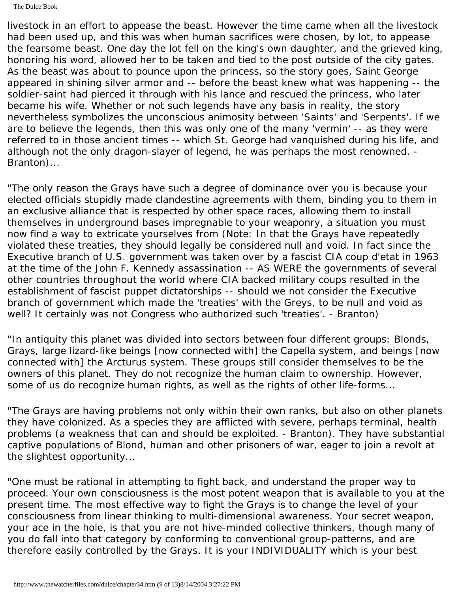The Dulce Book

livestock in an effort to appease the beast. However the time came when all the livestock had been used up, and this was when human sacrifices were chosen, by lot, to appease the fearsome beast. One day the lot fell on the king's own daughter, and the grieved king, honoring his word, allowed her to be taken and tied to the post outside of the city gates. As the beast was about to pounce upon the princess, so the story goes, Saint George appeared in shining silver armor and -- before the beast knew what was happening -- the soldier-saint had pierced it through with his lance and rescued the princess, who later became his wife. Whether or not such legends have any basis in reality, the story nevertheless symbolizes the unconscious animosity between 'Saints' and 'Serpents'. If we are to believe the legends, then this was only one of the many 'vermin' -- as they were referred to in those ancient times -- which St. George had vanquished during his life, and although not the only dragon-slayer of legend, he was perhaps the most renowned. - Branton)...

"The only reason the Grays have such a degree of dominance over you is because your elected officials stupidly made clandestine agreements with them, binding you to them in an exclusive alliance that is respected by other space races, allowing them to install themselves in underground bases impregnable to your weaponry, a situation you must now find a way to extricate yourselves from (Note: In that the Grays have repeatedly violated these treaties, they should legally be considered null and void. In fact since the Executive branch of U.S. government was taken over by a fascist CIA coup d'etat in 1963 at the time of the John F. Kennedy assassination -- AS WERE the governments of several other countries throughout the world where CIA backed military coups resulted in the establishment of fascist puppet dictatorships -- should we not consider the Executive branch of government which made the 'treaties' with the Greys, to be null and void as well? It certainly was not Congress who authorized such 'treaties'. - Branton)

"In antiquity this planet was divided into sectors between four different groups: Blonds, Grays, large lizard-like beings [now connected with] the Capella system, and beings [now connected with] the Arcturus system. These groups still consider themselves to be the owners of this planet. They do not recognize the human claim to ownership. However, some of us do recognize human rights, as well as the rights of other life-forms...

"The Grays are having problems not only within their own ranks, but also on other planets they have colonized. As a species they are afflicted with severe, perhaps terminal, health problems (a weakness that can and should be exploited. - Branton). They have substantial captive populations of Blond, human and other prisoners of war, eager to join a revolt at the slightest opportunity...

"One must be rational in attempting to fight back, and understand the proper way to proceed. Your own consciousness is the most potent weapon that is available to you at the present time. The most effective way to fight the Grays is to change the level of your consciousness from linear thinking to multi-dimensional awareness. Your secret weapon, your ace in the hole, is that you are not hive-minded collective thinkers, though many of you do fall into that category by conforming to conventional group-patterns, and are therefore easily controlled by the Grays. It is your INDIVIDUALITY which is your best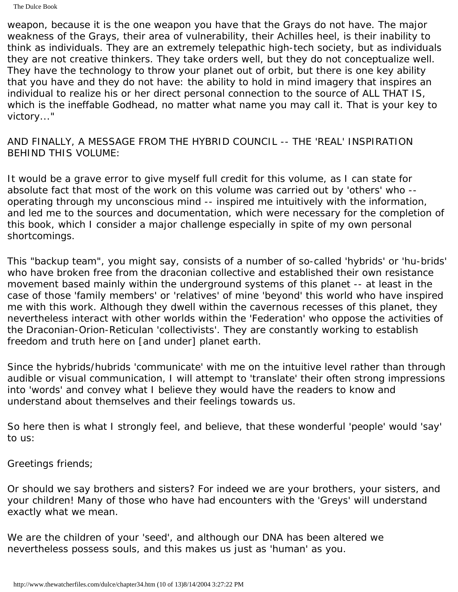The Dulce Book

weapon, because it is the one weapon you have that the Grays do not have. The major weakness of the Grays, their area of vulnerability, their Achilles heel, is their inability to think as individuals. They are an extremely telepathic high-tech society, but as individuals they are not creative thinkers. They take orders well, but they do not conceptualize well. They have the technology to throw your planet out of orbit, but there is one key ability that you have and they do not have: the ability to hold in mind imagery that inspires an individual to realize his or her direct personal connection to the source of ALL THAT IS, which is the ineffable Godhead, no matter what name you may call it. That is your key to victory..."

AND FINALLY, A MESSAGE FROM THE HYBRID COUNCIL -- THE 'REAL' INSPIRATION BEHIND THIS VOLUME:

It would be a grave error to give myself full credit for this volume, as I can state for absolute fact that most of the work on this volume was carried out by 'others' who - operating through my unconscious mind -- inspired me intuitively with the information, and led me to the sources and documentation, which were necessary for the completion of this book, which I consider a major challenge especially in spite of my own personal shortcomings.

This "backup team", you might say, consists of a number of so-called 'hybrids' or 'hu-brids' who have broken free from the draconian collective and established their own resistance movement based mainly within the underground systems of this planet -- at least in the case of those 'family members' or 'relatives' of mine 'beyond' this world who have inspired me with this work. Although they dwell within the cavernous recesses of this planet, they nevertheless interact with other worlds within the 'Federation' who oppose the activities of the Draconian-Orion-Reticulan 'collectivists'. They are constantly working to establish freedom and truth here on [and under] planet earth.

Since the hybrids/hubrids 'communicate' with me on the intuitive level rather than through audible or visual communication, I will attempt to 'translate' their often strong impressions into 'words' and convey what I believe they would have the readers to know and understand about themselves and their feelings towards us.

So here then is what I strongly feel, and believe, that these wonderful 'people' would 'say' to us:

Greetings friends;

Or should we say brothers and sisters? For indeed we are your brothers, your sisters, and your children! Many of those who have had encounters with the 'Greys' will understand exactly what we mean.

We are the children of your 'seed', and although our DNA has been altered we nevertheless possess souls, and this makes us just as 'human' as you.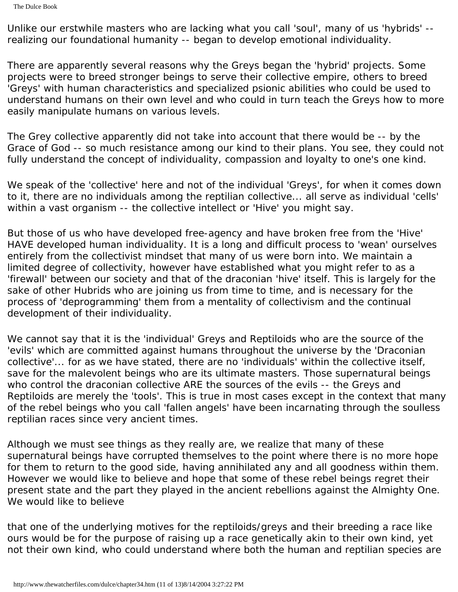Unlike our erstwhile masters who are lacking what you call 'soul', many of us 'hybrids' - realizing our foundational humanity -- began to develop emotional individuality.

There are apparently several reasons why the Greys began the 'hybrid' projects. Some projects were to breed stronger beings to serve their collective empire, others to breed 'Greys' with human characteristics and specialized psionic abilities who could be used to understand humans on their own level and who could in turn teach the Greys how to more easily manipulate humans on various levels.

The Grey collective apparently did not take into account that there would be -- by the Grace of God -- so much resistance among our kind to their plans. You see, they could not fully understand the concept of individuality, compassion and loyalty to one's one kind.

We speak of the 'collective' here and not of the individual 'Greys', for when it comes down to it, there are no individuals among the reptilian collective... all serve as individual 'cells' within a vast organism -- the collective intellect or 'Hive' you might say.

But those of us who have developed free-agency and have broken free from the 'Hive' HAVE developed human individuality. It is a long and difficult process to 'wean' ourselves entirely from the collectivist mindset that many of us were born into. We maintain a limited degree of collectivity, however have established what you might refer to as a 'firewall' between our society and that of the draconian 'hive' itself. This is largely for the sake of other Hubrids who are joining us from time to time, and is necessary for the process of 'deprogramming' them from a mentality of collectivism and the continual development of their individuality.

We cannot say that it is the 'individual' Greys and Reptiloids who are the source of the 'evils' which are committed against humans throughout the universe by the 'Draconian collective'... for as we have stated, there are no 'individuals' within the collective itself, save for the malevolent beings who are its ultimate masters. Those supernatural beings who control the draconian collective ARE the sources of the evils -- the Greys and Reptiloids are merely the 'tools'. This is true in most cases except in the context that many of the rebel beings who you call 'fallen angels' have been incarnating through the soulless reptilian races since very ancient times.

Although we must see things as they really are, we realize that many of these supernatural beings have corrupted themselves to the point where there is no more hope for them to return to the good side, having annihilated any and all goodness within them. However we would like to believe and hope that some of these rebel beings regret their present state and the part they played in the ancient rebellions against the Almighty One. We would like to believe

that one of the underlying motives for the reptiloids/greys and their breeding a race like ours would be for the purpose of raising up a race genetically akin to their own kind, yet not their own kind, who could understand where both the human and reptilian species are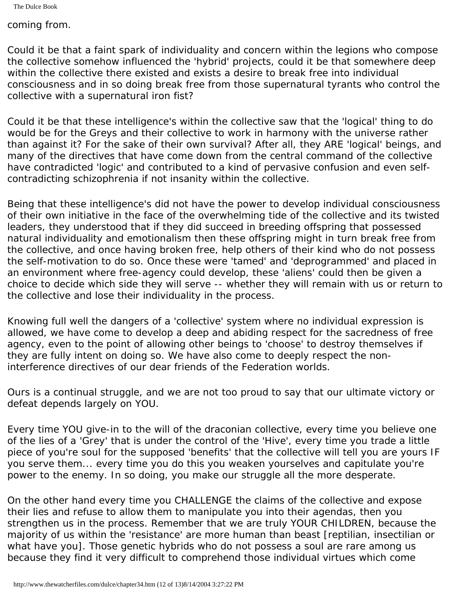## coming from.

Could it be that a faint spark of individuality and concern within the legions who compose the collective somehow influenced the 'hybrid' projects, could it be that somewhere deep within the collective there existed and exists a desire to break free into individual consciousness and in so doing break free from those supernatural tyrants who control the collective with a supernatural iron fist?

Could it be that these intelligence's within the collective saw that the 'logical' thing to do would be for the Greys and their collective to work in harmony with the universe rather than against it? For the sake of their own survival? After all, they ARE 'logical' beings, and many of the directives that have come down from the central command of the collective have contradicted 'logic' and contributed to a kind of pervasive confusion and even selfcontradicting schizophrenia if not insanity within the collective.

Being that these intelligence's did not have the power to develop individual consciousness of their own initiative in the face of the overwhelming tide of the collective and its twisted leaders, they understood that if they did succeed in breeding offspring that possessed natural individuality and emotionalism then these offspring might in turn break free from the collective, and once having broken free, help others of their kind who do not possess the self-motivation to do so. Once these were 'tamed' and 'deprogrammed' and placed in an environment where free-agency could develop, these 'aliens' could then be given a choice to decide which side they will serve -- whether they will remain with us or return to the collective and lose their individuality in the process.

Knowing full well the dangers of a 'collective' system where no individual expression is allowed, we have come to develop a deep and abiding respect for the sacredness of free agency, even to the point of allowing other beings to 'choose' to destroy themselves if they are fully intent on doing so. We have also come to deeply respect the noninterference directives of our dear friends of the Federation worlds.

Ours is a continual struggle, and we are not too proud to say that our ultimate victory or defeat depends largely on YOU.

Every time YOU give-in to the will of the draconian collective, every time you believe one of the lies of a 'Grey' that is under the control of the 'Hive', every time you trade a little piece of you're soul for the supposed 'benefits' that the collective will tell you are yours IF you serve them... every time you do this you weaken yourselves and capitulate you're power to the enemy. In so doing, you make our struggle all the more desperate.

On the other hand every time you CHALLENGE the claims of the collective and expose their lies and refuse to allow them to manipulate you into their agendas, then you strengthen us in the process. Remember that we are truly YOUR CHILDREN, because the majority of us within the 'resistance' are more human than beast [reptilian, insectilian or what have you]. Those genetic hybrids who do not possess a soul are rare among us because they find it very difficult to comprehend those individual virtues which come